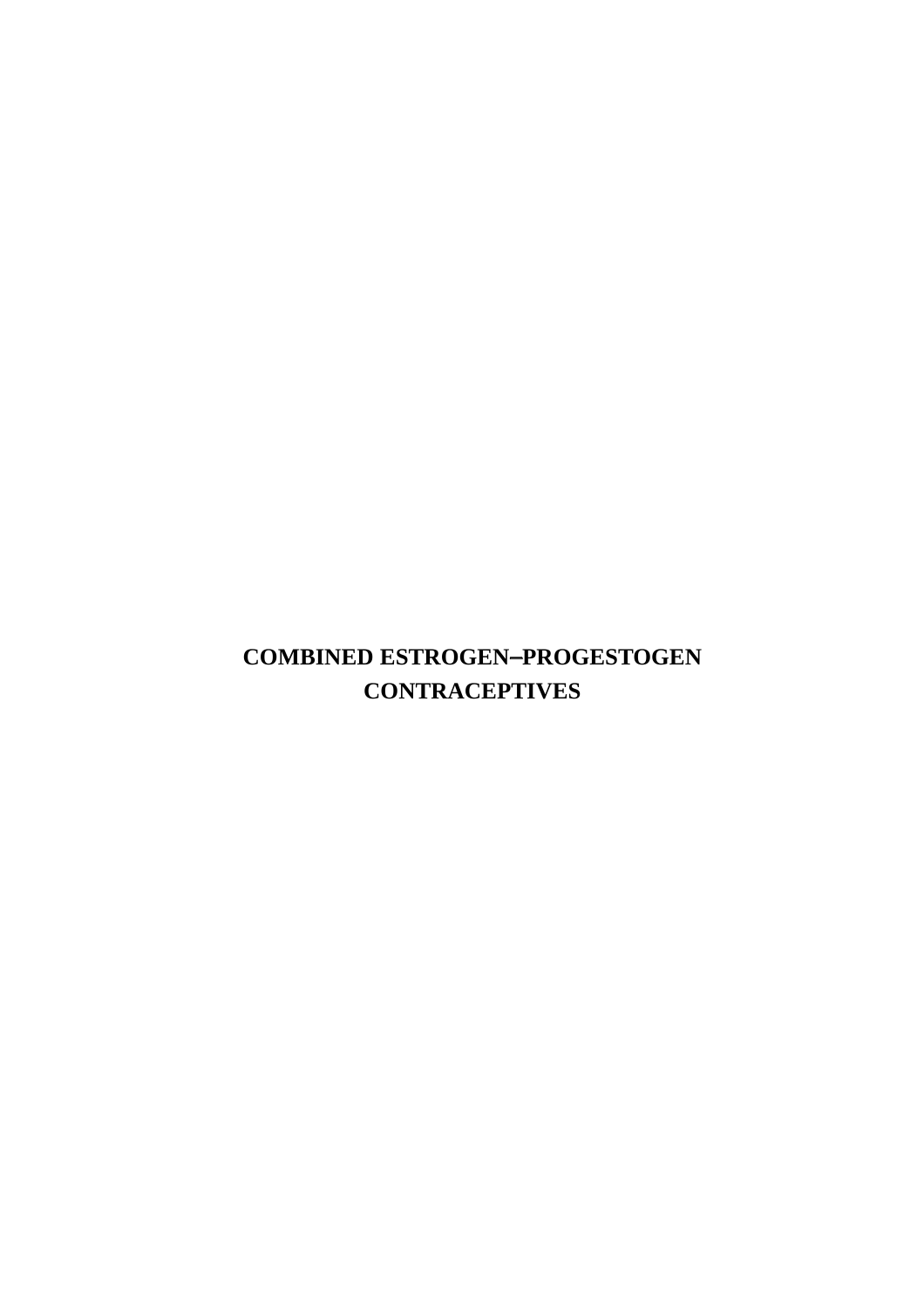# **COMBINED ESTROGEN**−**PROGESTOGEN CONTRACEPTIVES**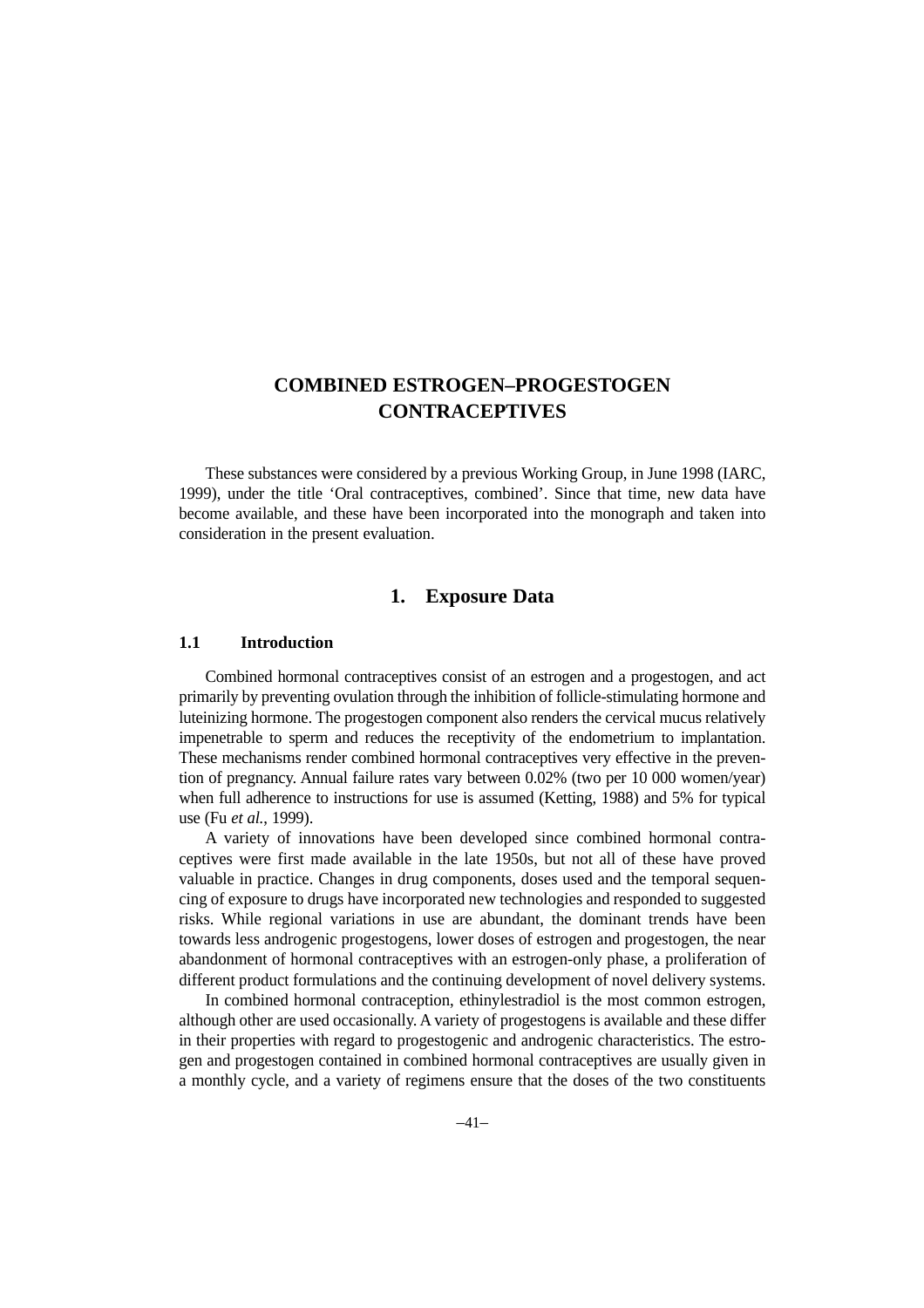# **COMBINED ESTROGEN–PROGESTOGEN CONTRACEPTIVES**

These substances were considered by a previous Working Group, in June 1998 (IARC, 1999), under the title 'Oral contraceptives, combined'. Since that time, new data have become available, and these have been incorporated into the monograph and taken into consideration in the present evaluation.

# **1. Exposure Data**

# **1.1 Introduction**

Combined hormonal contraceptives consist of an estrogen and a progestogen, and act primarily by preventing ovulation through the inhibition of follicle-stimulating hormone and luteinizing hormone. The progestogen component also renders the cervical mucus relatively impenetrable to sperm and reduces the receptivity of the endometrium to implantation. These mechanisms render combined hormonal contraceptives very effective in the prevention of pregnancy. Annual failure rates vary between 0.02% (two per 10 000 women/year) when full adherence to instructions for use is assumed (Ketting, 1988) and 5% for typical use (Fu *et al.*, 1999).

A variety of innovations have been developed since combined hormonal contraceptives were first made available in the late 1950s, but not all of these have proved valuable in practice. Changes in drug components, doses used and the temporal sequencing of exposure to drugs have incorporated new technologies and responded to suggested risks. While regional variations in use are abundant, the dominant trends have been towards less androgenic progestogens, lower doses of estrogen and progestogen, the near abandonment of hormonal contraceptives with an estrogen-only phase, a proliferation of different product formulations and the continuing development of novel delivery systems.

In combined hormonal contraception, ethinylestradiol is the most common estrogen, although other are used occasionally. A variety of progestogens is available and these differ in their properties with regard to progestogenic and androgenic characteristics. The estrogen and progestogen contained in combined hormonal contraceptives are usually given in a monthly cycle, and a variety of regimens ensure that the doses of the two constituents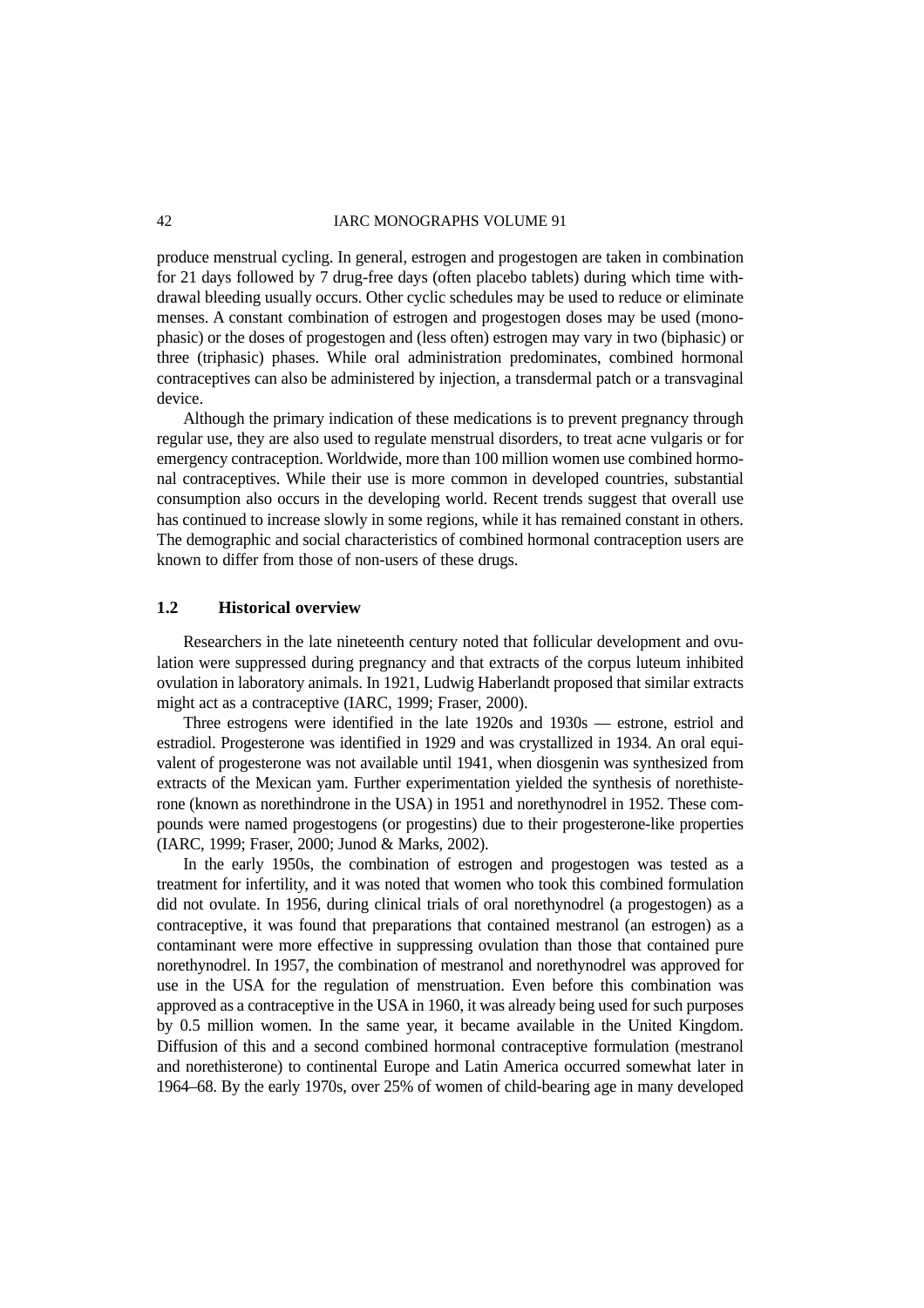produce menstrual cycling. In general, estrogen and progestogen are taken in combination for 21 days followed by 7 drug-free days (often placebo tablets) during which time withdrawal bleeding usually occurs. Other cyclic schedules may be used to reduce or eliminate menses. A constant combination of estrogen and progestogen doses may be used (monophasic) or the doses of progestogen and (less often) estrogen may vary in two (biphasic) or three (triphasic) phases. While oral administration predominates, combined hormonal contraceptives can also be administered by injection, a transdermal patch or a transvaginal device.

Although the primary indication of these medications is to prevent pregnancy through regular use, they are also used to regulate menstrual disorders, to treat acne vulgaris or for emergency contraception. Worldwide, more than 100 million women use combined hormonal contraceptives. While their use is more common in developed countries, substantial consumption also occurs in the developing world. Recent trends suggest that overall use has continued to increase slowly in some regions, while it has remained constant in others. The demographic and social characteristics of combined hormonal contraception users are known to differ from those of non-users of these drugs.

# **1.2 Historical overview**

Researchers in the late nineteenth century noted that follicular development and ovulation were suppressed during pregnancy and that extracts of the corpus luteum inhibited ovulation in laboratory animals. In 1921, Ludwig Haberlandt proposed that similar extracts might act as a contraceptive (IARC, 1999; Fraser, 2000).

Three estrogens were identified in the late 1920s and 1930s — estrone, estriol and estradiol. Progesterone was identified in 1929 and was crystallized in 1934. An oral equivalent of progesterone was not available until 1941, when diosgenin was synthesized from extracts of the Mexican yam. Further experimentation yielded the synthesis of norethisterone (known as norethindrone in the USA) in 1951 and norethynodrel in 1952. These compounds were named progestogens (or progestins) due to their progesterone-like properties (IARC, 1999; Fraser, 2000; Junod & Marks, 2002).

In the early 1950s, the combination of estrogen and progestogen was tested as a treatment for infertility, and it was noted that women who took this combined formulation did not ovulate. In 1956, during clinical trials of oral norethynodrel (a progestogen) as a contraceptive, it was found that preparations that contained mestranol (an estrogen) as a contaminant were more effective in suppressing ovulation than those that contained pure norethynodrel. In 1957, the combination of mestranol and norethynodrel was approved for use in the USA for the regulation of menstruation. Even before this combination was approved as a contraceptive in the USA in 1960, it was already being used for such purposes by 0.5 million women. In the same year, it became available in the United Kingdom. Diffusion of this and a second combined hormonal contraceptive formulation (mestranol and norethisterone) to continental Europe and Latin America occurred somewhat later in 1964–68. By the early 1970s, over 25% of women of child-bearing age in many developed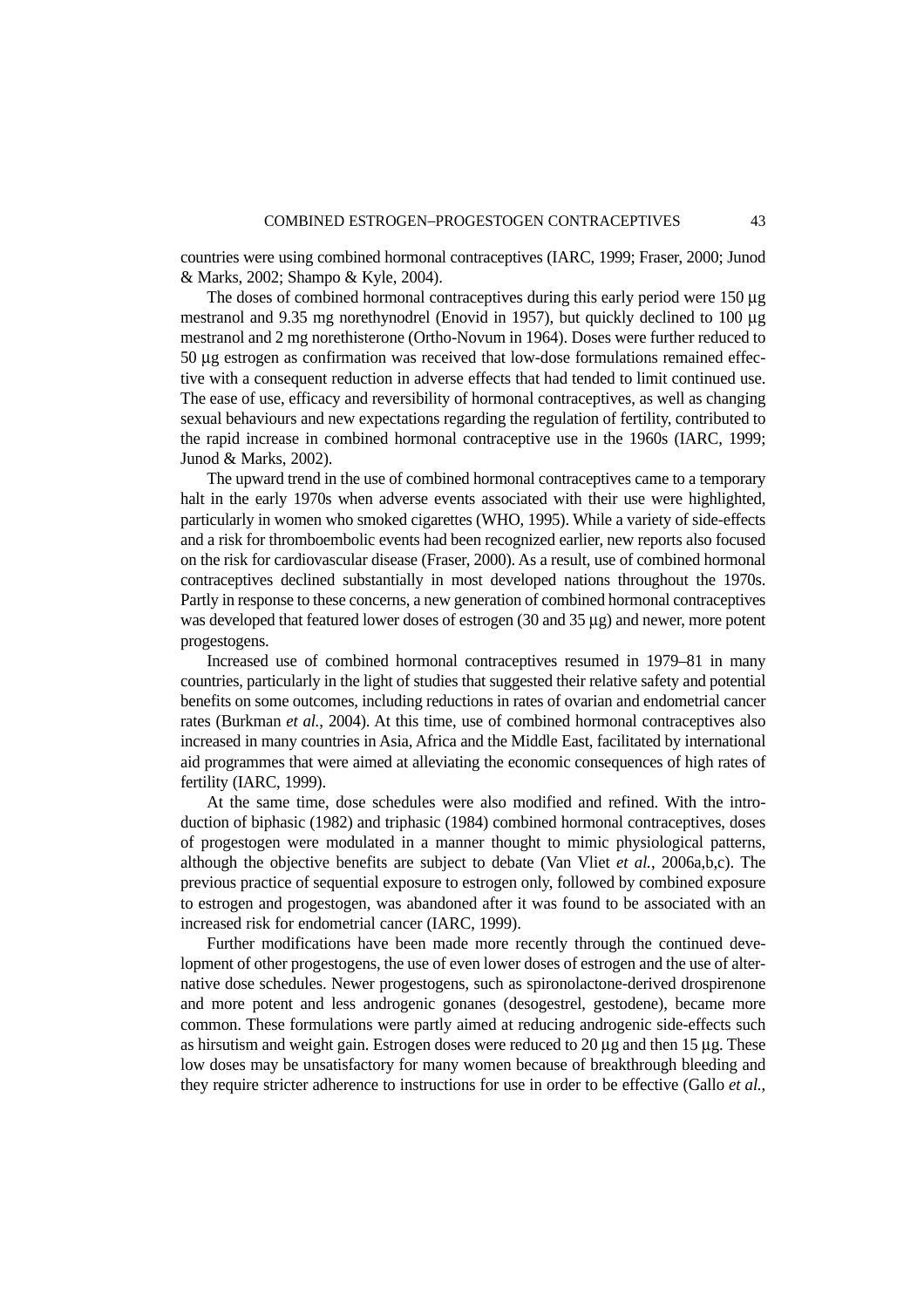countries were using combined hormonal contraceptives (IARC, 1999; Fraser, 2000; Junod & Marks, 2002; Shampo & Kyle, 2004).

The doses of combined hormonal contraceptives during this early period were 150 μg mestranol and 9.35 mg norethynodrel (Enovid in 1957), but quickly declined to 100 μg mestranol and 2 mg norethisterone (Ortho-Novum in 1964). Doses were further reduced to 50 μg estrogen as confirmation was received that low-dose formulations remained effective with a consequent reduction in adverse effects that had tended to limit continued use. The ease of use, efficacy and reversibility of hormonal contraceptives, as well as changing sexual behaviours and new expectations regarding the regulation of fertility, contributed to the rapid increase in combined hormonal contraceptive use in the 1960s (IARC, 1999; Junod & Marks, 2002).

The upward trend in the use of combined hormonal contraceptives came to a temporary halt in the early 1970s when adverse events associated with their use were highlighted, particularly in women who smoked cigarettes (WHO, 1995). While a variety of side-effects and a risk for thromboembolic events had been recognized earlier, new reports also focused on the risk for cardiovascular disease (Fraser, 2000). As a result, use of combined hormonal contraceptives declined substantially in most developed nations throughout the 1970s. Partly in response to these concerns, a new generation of combined hormonal contraceptives was developed that featured lower doses of estrogen (30 and 35 μg) and newer, more potent progestogens.

Increased use of combined hormonal contraceptives resumed in 1979–81 in many countries, particularly in the light of studies that suggested their relative safety and potential benefits on some outcomes, including reductions in rates of ovarian and endometrial cancer rates (Burkman *et al.*, 2004). At this time, use of combined hormonal contraceptives also increased in many countries in Asia, Africa and the Middle East, facilitated by international aid programmes that were aimed at alleviating the economic consequences of high rates of fertility (IARC, 1999).

At the same time, dose schedules were also modified and refined. With the introduction of biphasic (1982) and triphasic (1984) combined hormonal contraceptives, doses of progestogen were modulated in a manner thought to mimic physiological patterns, although the objective benefits are subject to debate (Van Vliet *et al.*, 2006a,b,c). The previous practice of sequential exposure to estrogen only, followed by combined exposure to estrogen and progestogen, was abandoned after it was found to be associated with an increased risk for endometrial cancer (IARC, 1999).

Further modifications have been made more recently through the continued development of other progestogens, the use of even lower doses of estrogen and the use of alternative dose schedules. Newer progestogens, such as spironolactone-derived drospirenone and more potent and less androgenic gonanes (desogestrel, gestodene), became more common. These formulations were partly aimed at reducing androgenic side-effects such as hirsutism and weight gain. Estrogen doses were reduced to 20 μg and then 15 μg. These low doses may be unsatisfactory for many women because of breakthrough bleeding and they require stricter adherence to instructions for use in order to be effective (Gallo *et al.*,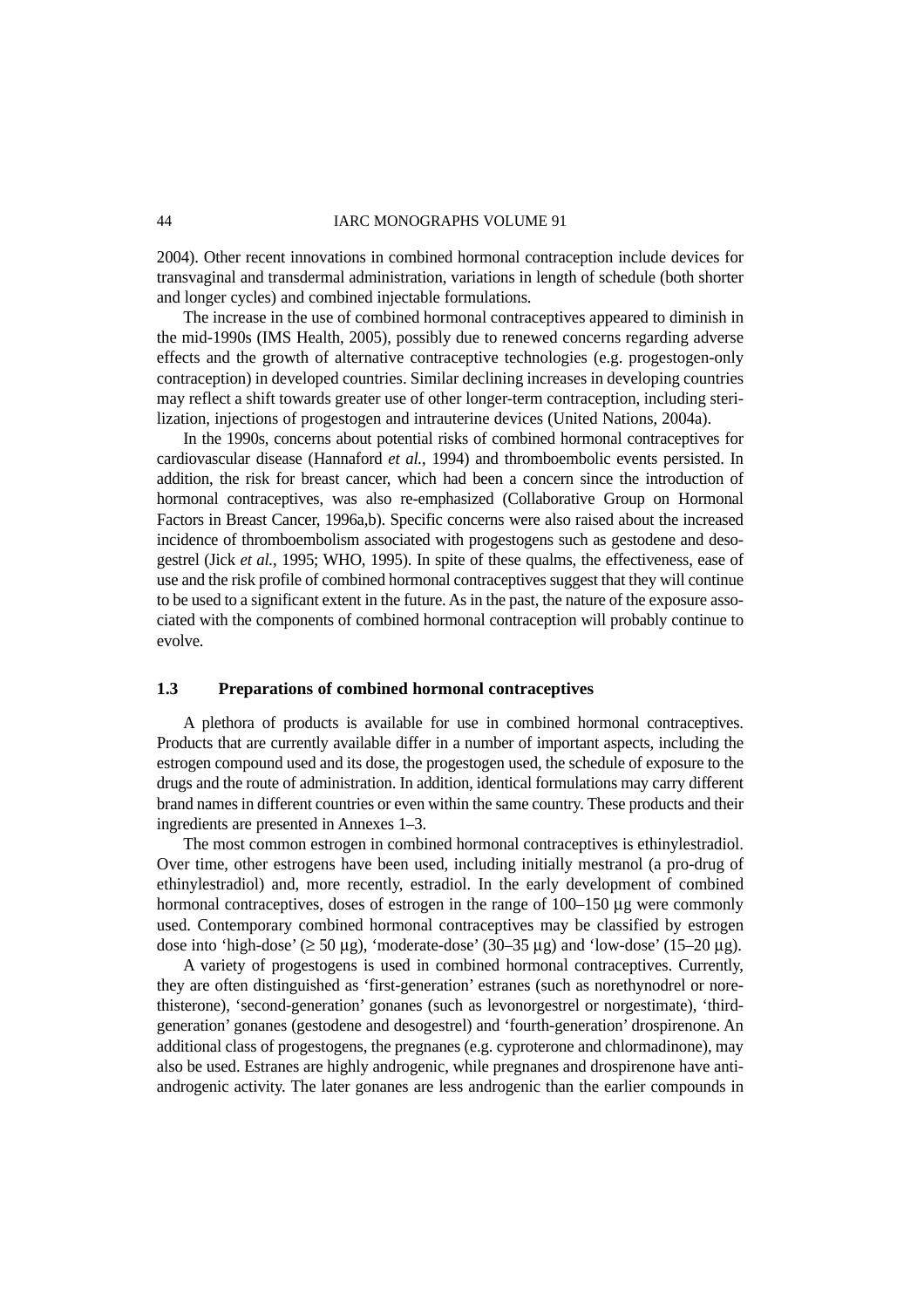2004). Other recent innovations in combined hormonal contraception include devices for transvaginal and transdermal administration, variations in length of schedule (both shorter and longer cycles) and combined injectable formulations.

The increase in the use of combined hormonal contraceptives appeared to diminish in the mid-1990s (IMS Health, 2005), possibly due to renewed concerns regarding adverse effects and the growth of alternative contraceptive technologies (e.g. progestogen-only contraception) in developed countries. Similar declining increases in developing countries may reflect a shift towards greater use of other longer-term contraception, including sterilization, injections of progestogen and intrauterine devices (United Nations, 2004a).

In the 1990s, concerns about potential risks of combined hormonal contraceptives for cardiovascular disease (Hannaford *et al.*, 1994) and thromboembolic events persisted. In addition, the risk for breast cancer, which had been a concern since the introduction of hormonal contraceptives, was also re-emphasized (Collaborative Group on Hormonal Factors in Breast Cancer, 1996a,b). Specific concerns were also raised about the increased incidence of thromboembolism associated with progestogens such as gestodene and desogestrel (Jick *et al.*, 1995; WHO, 1995). In spite of these qualms, the effectiveness, ease of use and the risk profile of combined hormonal contraceptives suggest that they will continue to be used to a significant extent in the future. As in the past, the nature of the exposure associated with the components of combined hormonal contraception will probably continue to evolve.

# **1.3 Preparations of combined hormonal contraceptives**

A plethora of products is available for use in combined hormonal contraceptives. Products that are currently available differ in a number of important aspects, including the estrogen compound used and its dose, the progestogen used, the schedule of exposure to the drugs and the route of administration. In addition, identical formulations may carry different brand names in different countries or even within the same country. These products and their ingredients are presented in Annexes 1–3.

The most common estrogen in combined hormonal contraceptives is ethinylestradiol. Over time, other estrogens have been used, including initially mestranol (a pro-drug of ethinylestradiol) and, more recently, estradiol. In the early development of combined hormonal contraceptives, doses of estrogen in the range of 100–150 μg were commonly used. Contemporary combined hormonal contraceptives may be classified by estrogen dose into 'high-dose' ( $\geq$  50 μg), 'moderate-dose' (30–35 μg) and 'low-dose' (15–20 μg).

A variety of progestogens is used in combined hormonal contraceptives. Currently, they are often distinguished as 'first-generation' estranes (such as norethynodrel or norethisterone), 'second-generation' gonanes (such as levonorgestrel or norgestimate), 'thirdgeneration' gonanes (gestodene and desogestrel) and 'fourth-generation' drospirenone. An additional class of progestogens, the pregnanes (e.g. cyproterone and chlormadinone), may also be used. Estranes are highly androgenic, while pregnanes and drospirenone have antiandrogenic activity. The later gonanes are less androgenic than the earlier compounds in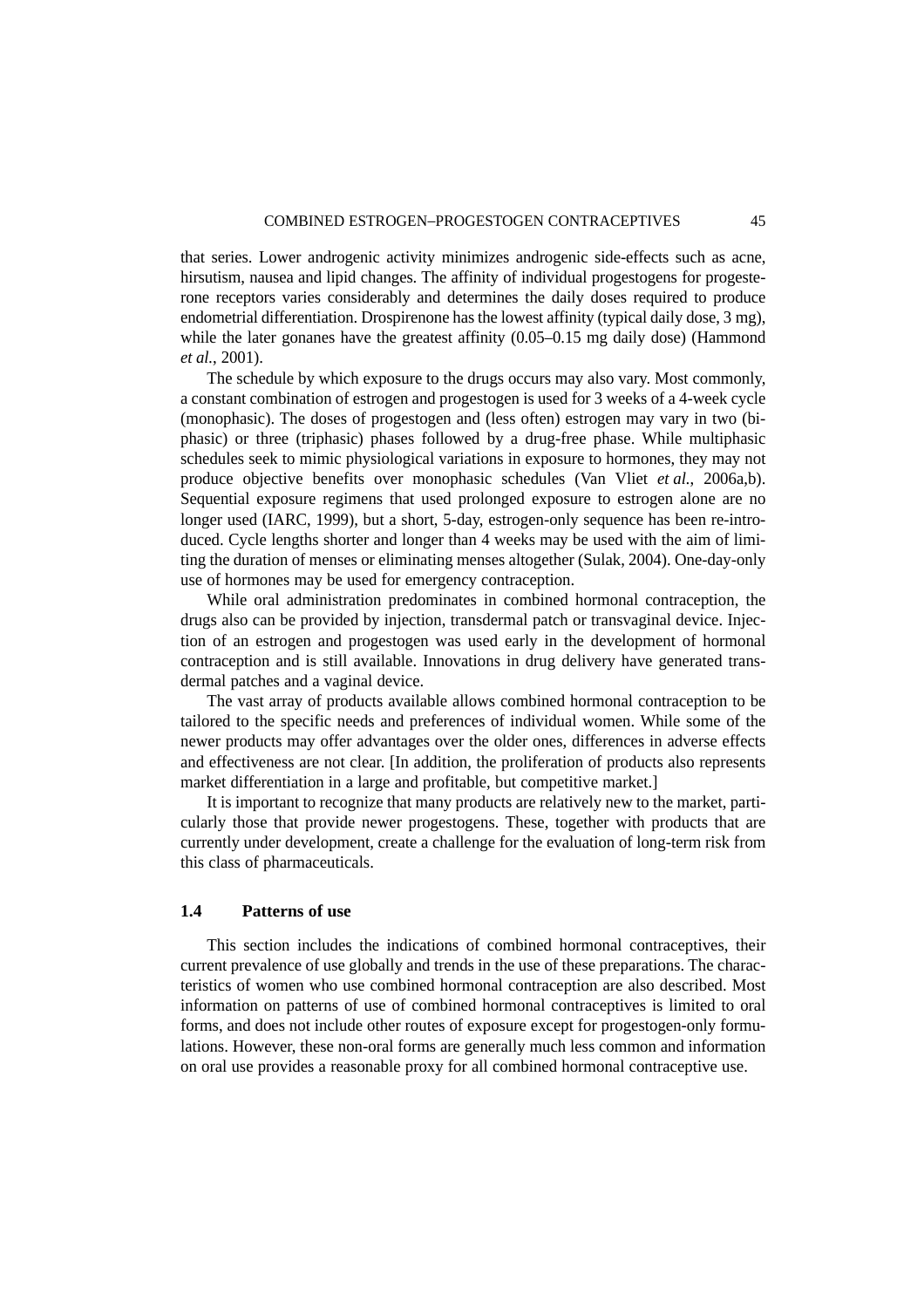that series. Lower androgenic activity minimizes androgenic side-effects such as acne, hirsutism, nausea and lipid changes. The affinity of individual progestogens for progesterone receptors varies considerably and determines the daily doses required to produce endometrial differentiation. Drospirenone has the lowest affinity (typical daily dose, 3 mg), while the later gonanes have the greatest affinity (0.05–0.15 mg daily dose) (Hammond *et al.*, 2001).

The schedule by which exposure to the drugs occurs may also vary. Most commonly, a constant combination of estrogen and progestogen is used for 3 weeks of a 4-week cycle (monophasic). The doses of progestogen and (less often) estrogen may vary in two (biphasic) or three (triphasic) phases followed by a drug-free phase. While multiphasic schedules seek to mimic physiological variations in exposure to hormones, they may not produce objective benefits over monophasic schedules (Van Vliet *et al.*, 2006a,b). Sequential exposure regimens that used prolonged exposure to estrogen alone are no longer used (IARC, 1999), but a short, 5-day, estrogen-only sequence has been re-introduced. Cycle lengths shorter and longer than 4 weeks may be used with the aim of limiting the duration of menses or eliminating menses altogether (Sulak, 2004). One-day-only use of hormones may be used for emergency contraception.

While oral administration predominates in combined hormonal contraception, the drugs also can be provided by injection, transdermal patch or transvaginal device. Injection of an estrogen and progestogen was used early in the development of hormonal contraception and is still available. Innovations in drug delivery have generated transdermal patches and a vaginal device.

The vast array of products available allows combined hormonal contraception to be tailored to the specific needs and preferences of individual women. While some of the newer products may offer advantages over the older ones, differences in adverse effects and effectiveness are not clear. [In addition, the proliferation of products also represents market differentiation in a large and profitable, but competitive market.]

It is important to recognize that many products are relatively new to the market, particularly those that provide newer progestogens. These, together with products that are currently under development, create a challenge for the evaluation of long-term risk from this class of pharmaceuticals.

# **1.4 Patterns of use**

This section includes the indications of combined hormonal contraceptives, their current prevalence of use globally and trends in the use of these preparations. The characteristics of women who use combined hormonal contraception are also described. Most information on patterns of use of combined hormonal contraceptives is limited to oral forms, and does not include other routes of exposure except for progestogen-only formulations. However, these non-oral forms are generally much less common and information on oral use provides a reasonable proxy for all combined hormonal contraceptive use.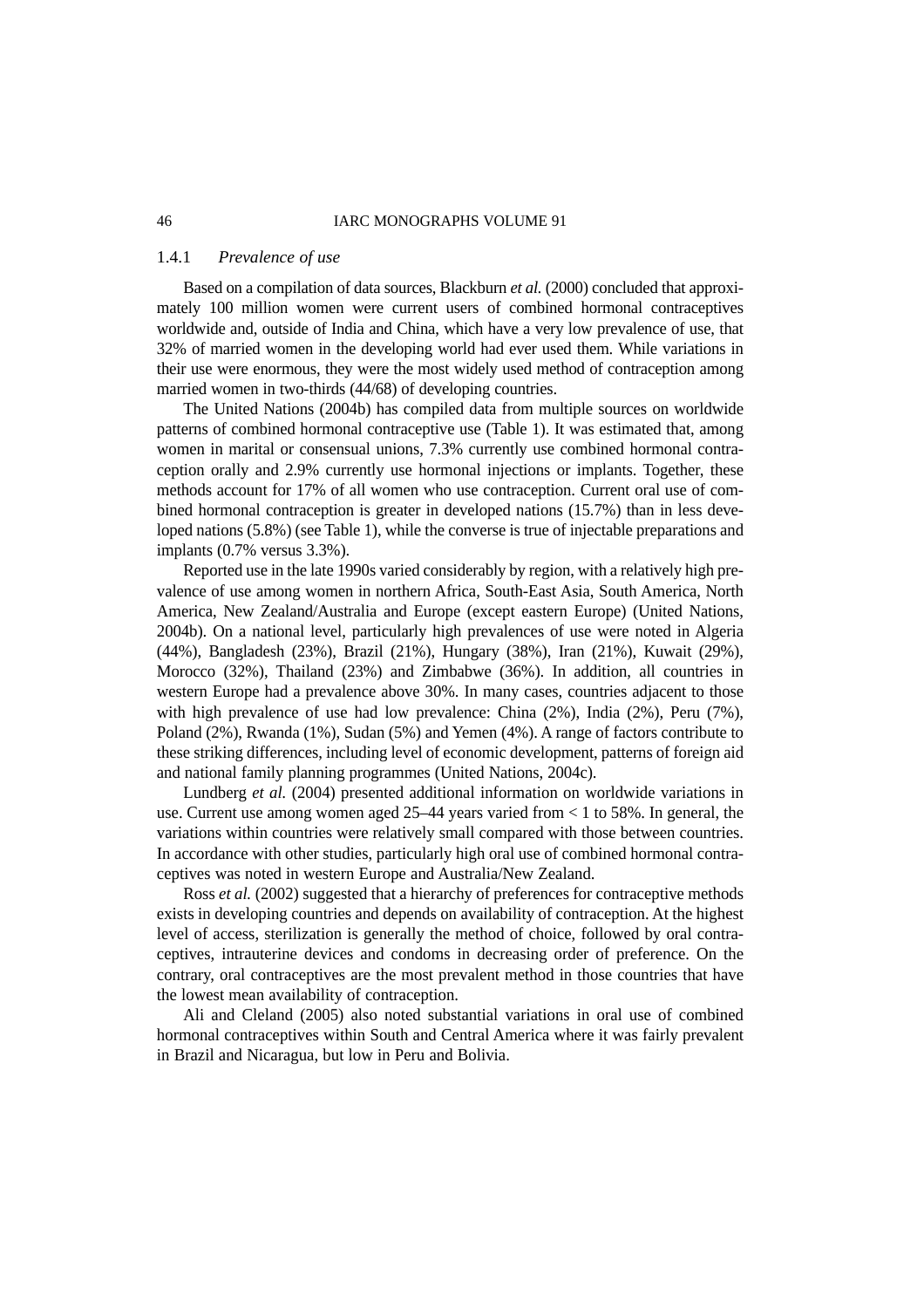# 1.4.1 *Prevalence of use*

Based on a compilation of data sources, Blackburn *et al.* (2000) concluded that approximately 100 million women were current users of combined hormonal contraceptives worldwide and, outside of India and China, which have a very low prevalence of use, that 32% of married women in the developing world had ever used them. While variations in their use were enormous, they were the most widely used method of contraception among married women in two-thirds (44/68) of developing countries.

The United Nations (2004b) has compiled data from multiple sources on worldwide patterns of combined hormonal contraceptive use (Table 1). It was estimated that, among women in marital or consensual unions, 7.3% currently use combined hormonal contraception orally and 2.9% currently use hormonal injections or implants. Together, these methods account for 17% of all women who use contraception. Current oral use of combined hormonal contraception is greater in developed nations (15.7%) than in less developed nations (5.8%) (see Table 1), while the converse is true of injectable preparations and implants (0.7% versus 3.3%).

Reported use in the late 1990s varied considerably by region, with a relatively high prevalence of use among women in northern Africa, South-East Asia, South America, North America, New Zealand/Australia and Europe (except eastern Europe) (United Nations, 2004b). On a national level, particularly high prevalences of use were noted in Algeria (44%), Bangladesh (23%), Brazil (21%), Hungary (38%), Iran (21%), Kuwait (29%), Morocco (32%), Thailand (23%) and Zimbabwe (36%). In addition, all countries in western Europe had a prevalence above 30%. In many cases, countries adjacent to those with high prevalence of use had low prevalence: China (2%), India (2%), Peru (7%), Poland (2%), Rwanda (1%), Sudan (5%) and Yemen (4%). A range of factors contribute to these striking differences, including level of economic development, patterns of foreign aid and national family planning programmes (United Nations, 2004c).

Lundberg *et al.* (2004) presented additional information on worldwide variations in use. Current use among women aged 25–44 years varied from < 1 to 58%. In general, the variations within countries were relatively small compared with those between countries. In accordance with other studies, particularly high oral use of combined hormonal contraceptives was noted in western Europe and Australia/New Zealand.

Ross *et al.* (2002) suggested that a hierarchy of preferences for contraceptive methods exists in developing countries and depends on availability of contraception. At the highest level of access, sterilization is generally the method of choice, followed by oral contraceptives, intrauterine devices and condoms in decreasing order of preference. On the contrary, oral contraceptives are the most prevalent method in those countries that have the lowest mean availability of contraception.

Ali and Cleland (2005) also noted substantial variations in oral use of combined hormonal contraceptives within South and Central America where it was fairly prevalent in Brazil and Nicaragua, but low in Peru and Bolivia.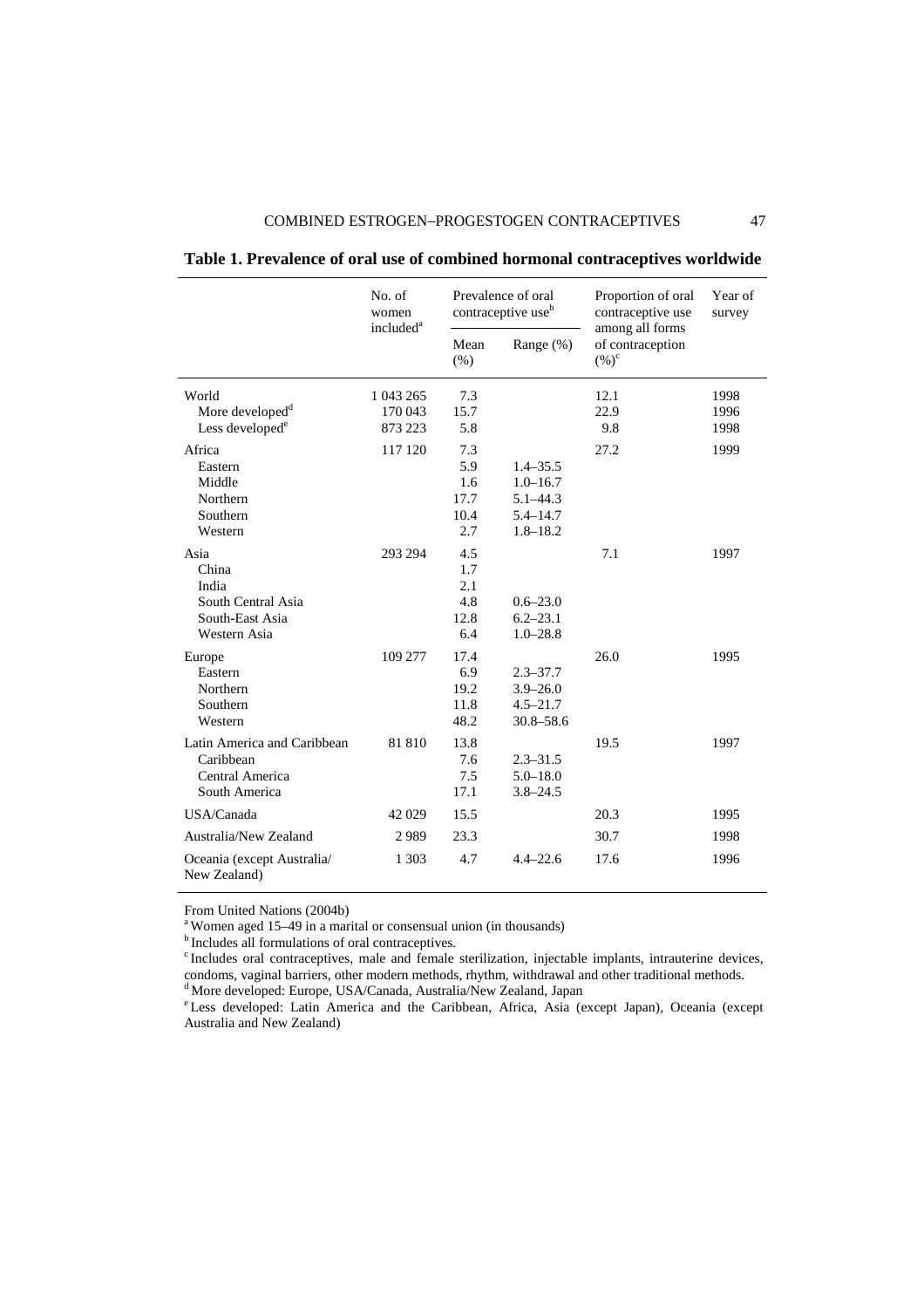|                                                                                 | No. of<br>women                 |                                          | Prevalence of oral<br>contraceptive use <sup>b</sup>                         | Proportion of oral<br>contraceptive use         | Year of<br>survey    |  |
|---------------------------------------------------------------------------------|---------------------------------|------------------------------------------|------------------------------------------------------------------------------|-------------------------------------------------|----------------------|--|
|                                                                                 | included <sup>a</sup>           | Mean<br>Range $(\%)$<br>$(\% )$          |                                                                              | among all forms<br>of contraception<br>$(\%)^c$ |                      |  |
| World<br>More developed <sup>d</sup><br>Less developed <sup>e</sup>             | 1 043 265<br>170 043<br>873 223 | 7.3<br>15.7<br>5.8                       |                                                                              | 12.1<br>22.9<br>9.8                             | 1998<br>1996<br>1998 |  |
| Africa<br>Eastern<br>Middle<br>Northern<br>Southern<br>Western                  | 117 120                         | 7.3<br>5.9<br>1.6<br>17.7<br>10.4<br>2.7 | $1.4 - 35.5$<br>$1.0 - 16.7$<br>$5.1 - 44.3$<br>$5.4 - 14.7$<br>$1.8 - 18.2$ | 27.2                                            | 1999                 |  |
| Asia<br>China<br>India<br>South Central Asia<br>South-East Asia<br>Western Asia | 293 294                         | 4.5<br>1.7<br>2.1<br>4.8<br>12.8<br>6.4  | $0.6 - 23.0$<br>$6.2 - 23.1$<br>$1.0 - 28.8$                                 | 7.1                                             | 1997                 |  |
| Europe<br>Eastern<br>Northern<br>Southern<br>Western                            | 109 277                         | 17.4<br>6.9<br>19.2<br>11.8<br>48.2      | $2.3 - 37.7$<br>$3.9 - 26.0$<br>$4.5 - 21.7$<br>$30.8 - 58.6$                | 26.0                                            | 1995                 |  |
| Latin America and Caribbean<br>Caribbean<br>Central America<br>South America    | 81 810                          | 13.8<br>7.6<br>7.5<br>17.1               | $2.3 - 31.5$<br>$5.0 - 18.0$<br>$3.8 - 24.5$                                 | 19.5                                            | 1997                 |  |
| USA/Canada                                                                      | 42 0 29                         | 15.5                                     |                                                                              | 20.3                                            | 1995                 |  |
| Australia/New Zealand                                                           | 2989                            | 23.3                                     |                                                                              | 30.7                                            | 1998                 |  |
| Oceania (except Australia/<br>New Zealand)                                      | 1 3 0 3                         | 4.7                                      | $4.4 - 22.6$                                                                 | 17.6                                            | 1996                 |  |

| Table 1. Prevalence of oral use of combined hormonal contraceptives worldwide |
|-------------------------------------------------------------------------------|
|-------------------------------------------------------------------------------|

From United Nations (2004b)

<sup>a</sup> Women aged 15–49 in a marital or consensual union (in thousands)

<sup>b</sup> Includes all formulations of oral contraceptives.

<sup>c</sup> Includes oral contraceptives, male and female sterilization, injectable implants, intrauterine devices, condoms, vaginal barriers, other modern methods, rhythm, withdrawal and other traditional methods.

d More developed: Europe, USA/Canada, Australia/New Zealand, Japan

e Less developed: Latin America and the Caribbean, Africa, Asia (except Japan), Oceania (except Australia and New Zealand)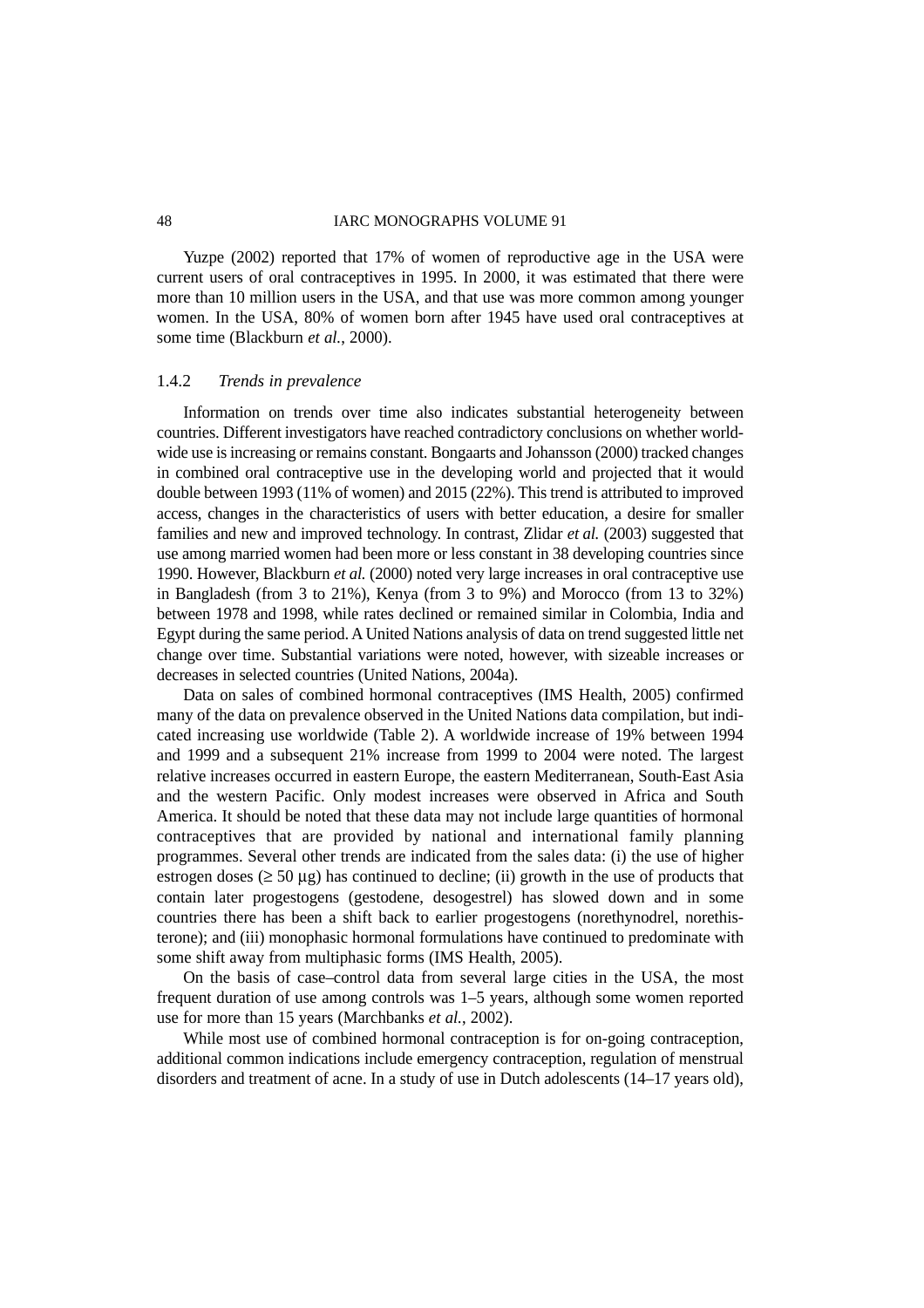Yuzpe (2002) reported that 17% of women of reproductive age in the USA were current users of oral contraceptives in 1995. In 2000, it was estimated that there were more than 10 million users in the USA, and that use was more common among younger women. In the USA, 80% of women born after 1945 have used oral contraceptives at some time (Blackburn *et al.*, 2000).

# 1.4.2 *Trends in prevalence*

Information on trends over time also indicates substantial heterogeneity between countries. Different investigators have reached contradictory conclusions on whether worldwide use is increasing or remains constant. Bongaarts and Johansson (2000) tracked changes in combined oral contraceptive use in the developing world and projected that it would double between 1993 (11% of women) and 2015 (22%). This trend is attributed to improved access, changes in the characteristics of users with better education, a desire for smaller families and new and improved technology. In contrast, Zlidar *et al.* (2003) suggested that use among married women had been more or less constant in 38 developing countries since 1990. However, Blackburn *et al.* (2000) noted very large increases in oral contraceptive use in Bangladesh (from 3 to 21%), Kenya (from 3 to 9%) and Morocco (from 13 to 32%) between 1978 and 1998, while rates declined or remained similar in Colombia, India and Egypt during the same period. A United Nations analysis of data on trend suggested little net change over time. Substantial variations were noted, however, with sizeable increases or decreases in selected countries (United Nations, 2004a).

Data on sales of combined hormonal contraceptives (IMS Health, 2005) confirmed many of the data on prevalence observed in the United Nations data compilation, but indicated increasing use worldwide (Table 2). A worldwide increase of 19% between 1994 and 1999 and a subsequent 21% increase from 1999 to 2004 were noted. The largest relative increases occurred in eastern Europe, the eastern Mediterranean, South-East Asia and the western Pacific. Only modest increases were observed in Africa and South America. It should be noted that these data may not include large quantities of hormonal contraceptives that are provided by national and international family planning programmes. Several other trends are indicated from the sales data: (i) the use of higher estrogen doses ( $\geq 50 \,\mu$ g) has continued to decline; (ii) growth in the use of products that contain later progestogens (gestodene, desogestrel) has slowed down and in some countries there has been a shift back to earlier progestogens (norethynodrel, norethisterone); and (iii) monophasic hormonal formulations have continued to predominate with some shift away from multiphasic forms (IMS Health, 2005).

On the basis of case–control data from several large cities in the USA, the most frequent duration of use among controls was 1–5 years, although some women reported use for more than 15 years (Marchbanks *et al.*, 2002).

While most use of combined hormonal contraception is for on-going contraception, additional common indications include emergency contraception, regulation of menstrual disorders and treatment of acne. In a study of use in Dutch adolescents (14–17 years old),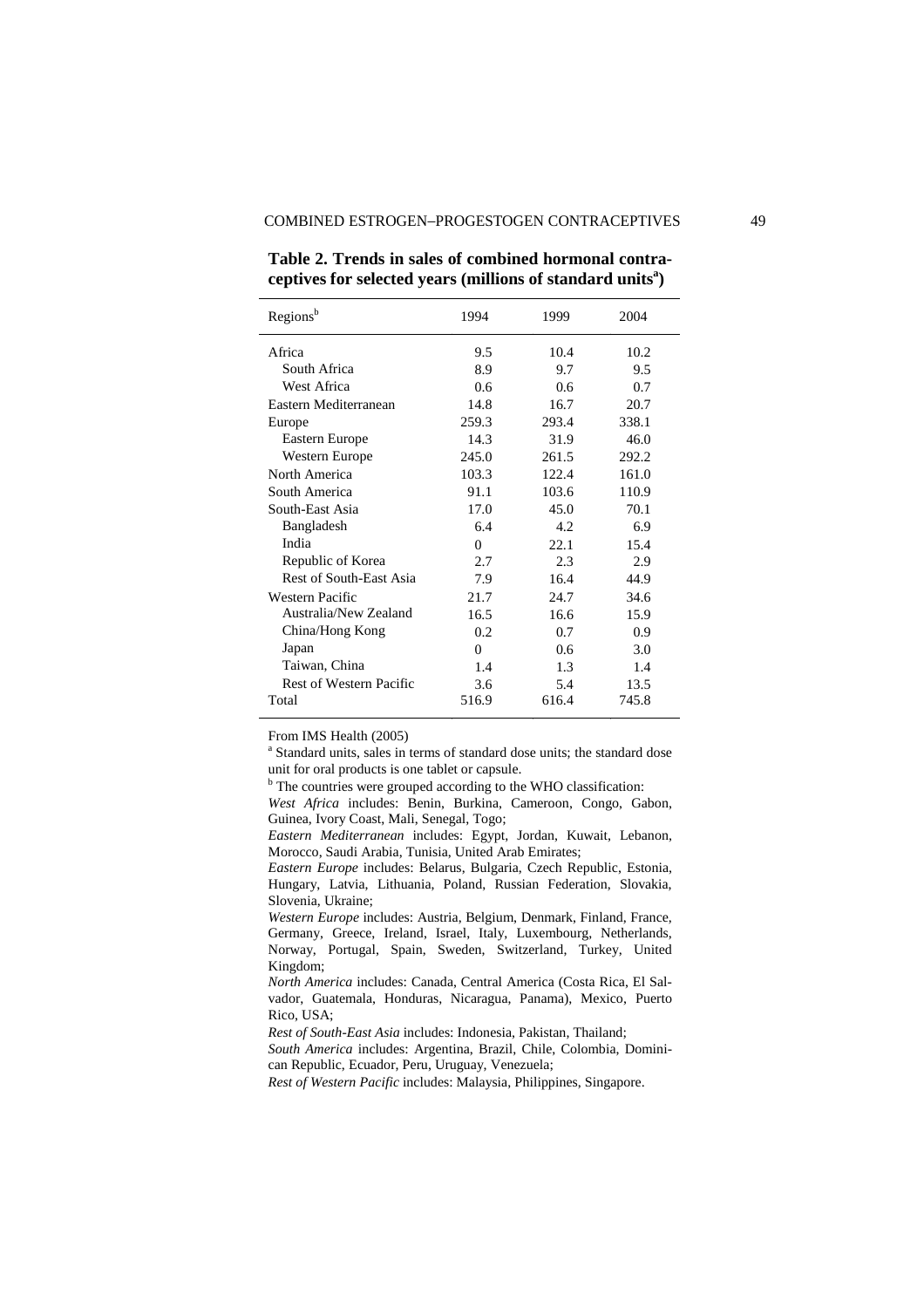| Regions <sup>b</sup>    | 1994             | 1999  | 2004  |  |
|-------------------------|------------------|-------|-------|--|
| Africa                  | 9.5              | 10.4  | 10.2  |  |
| South Africa            | 8.9              | 9.7   | 9.5   |  |
| West Africa             | 0.6              | 0.6   | 0.7   |  |
| Eastern Mediterranean   | 14.8             | 16.7  | 20.7  |  |
| Europe                  | 259.3            | 293.4 | 338.1 |  |
| Eastern Europe          | 14.3             | 31.9  | 46.0  |  |
| Western Europe          | 245.0            | 261.5 | 292.2 |  |
| North America           | 103.3            | 122.4 | 161.0 |  |
| South America           | 91.1             | 103.6 | 110.9 |  |
| South-East Asia         | 17.0             | 45.0  | 70.1  |  |
| Bangladesh              | 6.4              | 4.2   | 6.9   |  |
| India                   | $\Omega$         | 22.1  | 15.4  |  |
| Republic of Korea       | 2.7              | 2.3   | 2.9   |  |
| Rest of South-East Asia | 7.9              | 16.4  | 44.9  |  |
| <b>Western Pacific</b>  | 21.7             | 24.7  | 34.6  |  |
| Australia/New Zealand   | 16.5             | 16.6  | 15.9  |  |
| China/Hong Kong         | 0.2 <sub>1</sub> | 0.7   | 0.9   |  |
| Japan                   | $\Omega$         | 0.6   | 3.0   |  |
| Taiwan, China           | 1.4              | 1.3   | 1.4   |  |
| Rest of Western Pacific | 3.6              | 5.4   | 13.5  |  |
| Total                   | 516.9            | 616.4 | 745.8 |  |

**Table 2. Trends in sales of combined hormonal contra**ceptives for selected years (millions of standard units<sup>a</sup>)

From IMS Health (2005)

<sup>a</sup> Standard units, sales in terms of standard dose units; the standard dose unit for oral products is one tablet or capsule.

<sup>b</sup> The countries were grouped according to the WHO classification:

*West Africa* includes: Benin, Burkina, Cameroon, Congo, Gabon, Guinea, Ivory Coast, Mali, Senegal, Togo;

*Eastern Mediterranean* includes: Egypt, Jordan, Kuwait, Lebanon, Morocco, Saudi Arabia, Tunisia, United Arab Emirates;

*Eastern Europe* includes: Belarus, Bulgaria, Czech Republic, Estonia, Hungary, Latvia, Lithuania, Poland, Russian Federation, Slovakia, Slovenia, Ukraine;

*Western Europe* includes: Austria, Belgium, Denmark, Finland, France, Germany, Greece, Ireland, Israel, Italy, Luxembourg, Netherlands, Norway, Portugal, Spain, Sweden, Switzerland, Turkey, United Kingdom;

*North America* includes: Canada, Central America (Costa Rica, El Salvador, Guatemala, Honduras, Nicaragua, Panama), Mexico, Puerto Rico, USA;

*Rest of South-East Asia* includes: Indonesia, Pakistan, Thailand;

*South America* includes: Argentina, Brazil, Chile, Colombia, Dominican Republic, Ecuador, Peru, Uruguay, Venezuela;

*Rest of Western Pacific* includes: Malaysia, Philippines, Singapore.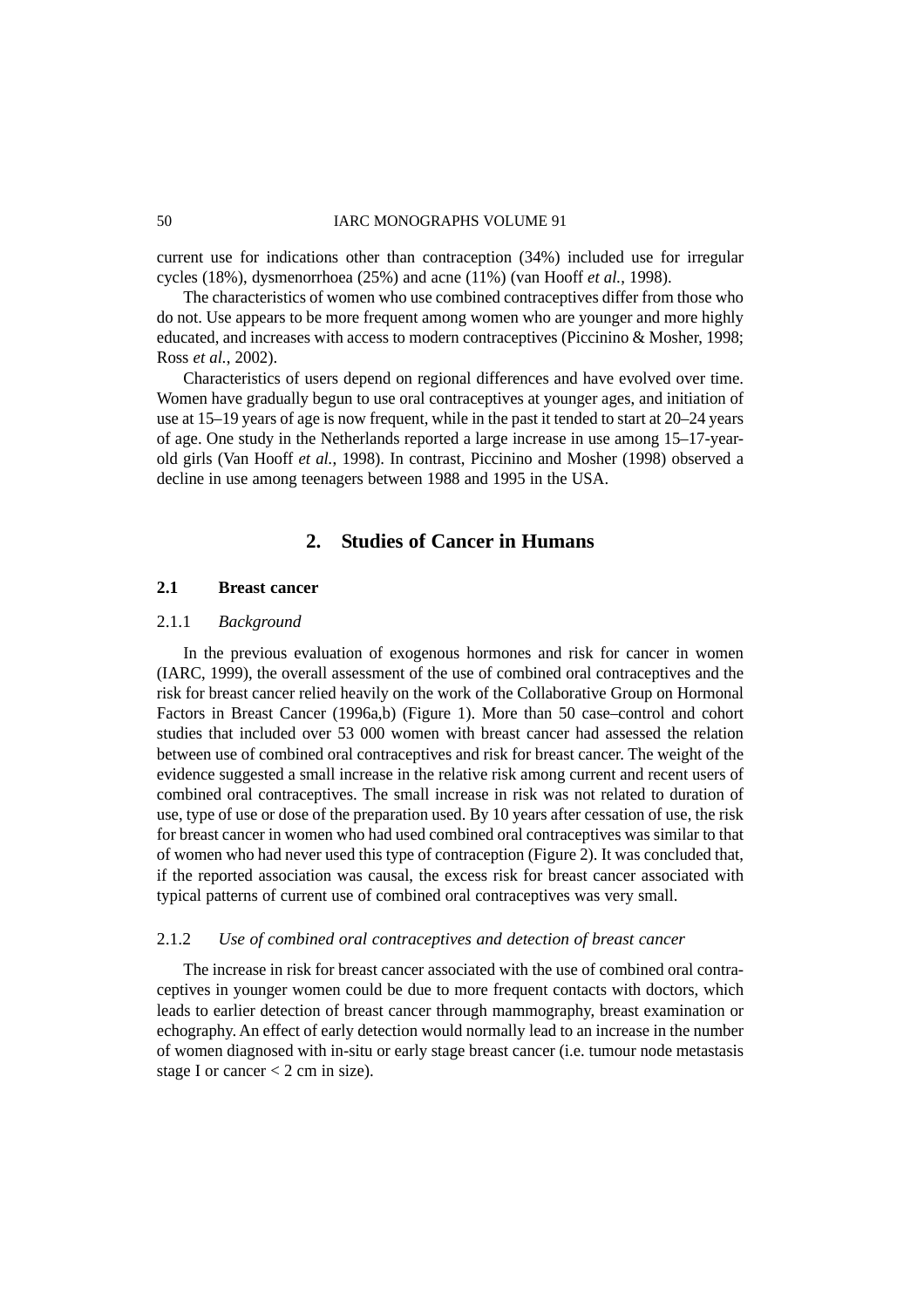current use for indications other than contraception (34%) included use for irregular cycles (18%), dysmenorrhoea (25%) and acne (11%) (van Hooff *et al.*, 1998).

The characteristics of women who use combined contraceptives differ from those who do not. Use appears to be more frequent among women who are younger and more highly educated, and increases with access to modern contraceptives (Piccinino & Mosher, 1998; Ross *et al.*, 2002).

Characteristics of users depend on regional differences and have evolved over time. Women have gradually begun to use oral contraceptives at younger ages, and initiation of use at 15–19 years of age is now frequent, while in the past it tended to start at 20–24 years of age. One study in the Netherlands reported a large increase in use among 15–17-yearold girls (Van Hooff *et al.*, 1998). In contrast, Piccinino and Mosher (1998) observed a decline in use among teenagers between 1988 and 1995 in the USA.

# **2. Studies of Cancer in Humans**

# **2.1 Breast cancer**

# 2.1.1 *Background*

In the previous evaluation of exogenous hormones and risk for cancer in women (IARC, 1999), the overall assessment of the use of combined oral contraceptives and the risk for breast cancer relied heavily on the work of the Collaborative Group on Hormonal Factors in Breast Cancer (1996a,b) (Figure 1). More than 50 case–control and cohort studies that included over 53 000 women with breast cancer had assessed the relation between use of combined oral contraceptives and risk for breast cancer. The weight of the evidence suggested a small increase in the relative risk among current and recent users of combined oral contraceptives. The small increase in risk was not related to duration of use, type of use or dose of the preparation used. By 10 years after cessation of use, the risk for breast cancer in women who had used combined oral contraceptives was similar to that of women who had never used this type of contraception (Figure 2). It was concluded that, if the reported association was causal, the excess risk for breast cancer associated with typical patterns of current use of combined oral contraceptives was very small.

# 2.1.2 *Use of combined oral contraceptives and detection of breast cancer*

The increase in risk for breast cancer associated with the use of combined oral contraceptives in younger women could be due to more frequent contacts with doctors, which leads to earlier detection of breast cancer through mammography, breast examination or echography. An effect of early detection would normally lead to an increase in the number of women diagnosed with in-situ or early stage breast cancer (i.e. tumour node metastasis stage I or cancer  $<$  2 cm in size).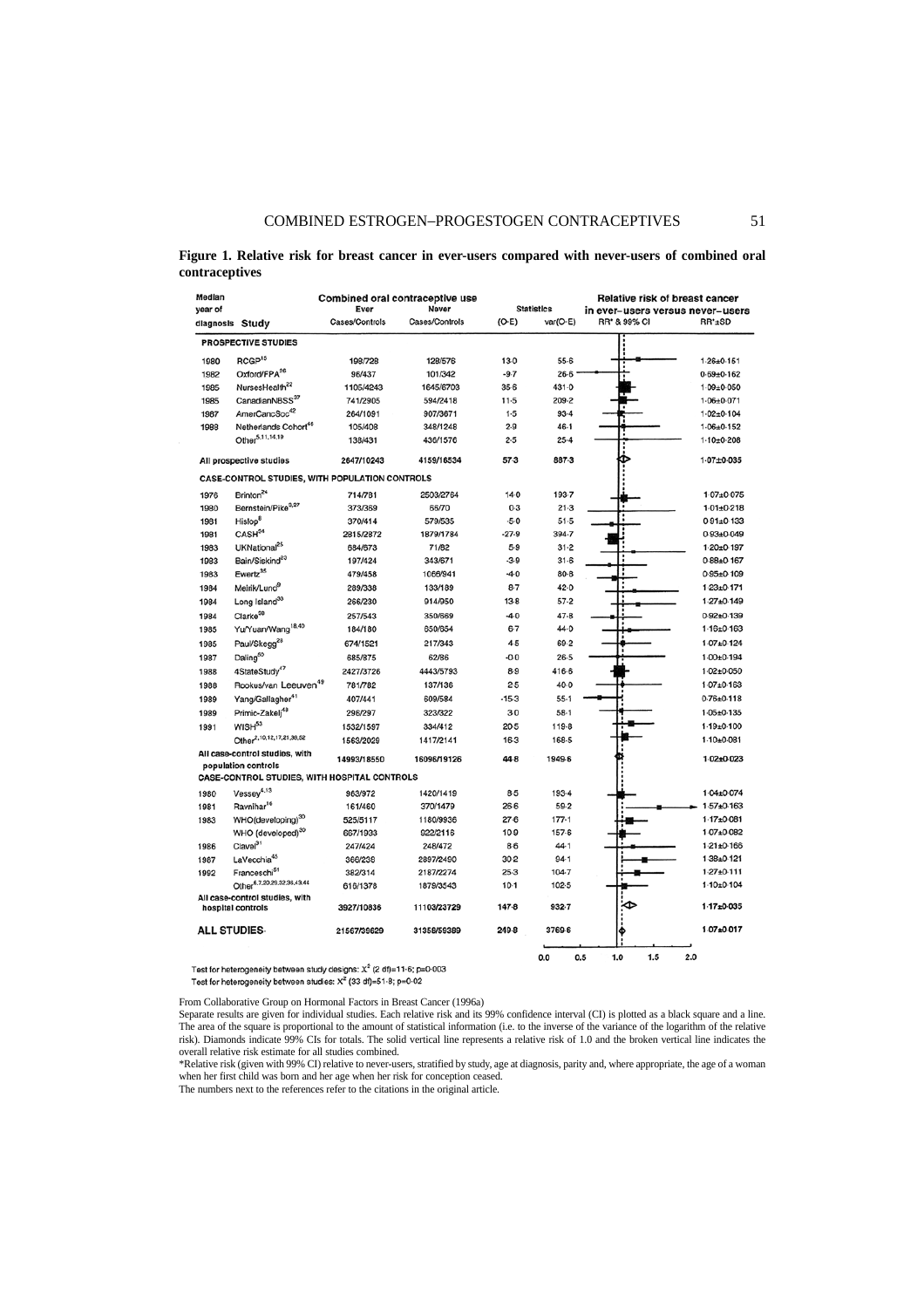**Figure 1. Relative risk for breast cancer in ever-users compared with never-users of combined oral contraceptives**

| Medlan             |                                                                            |                        | Combined oral contraceptive use<br>Never |         | <b>Statistics</b> | <b>Relative risk of breast cancer</b>            |                  |
|--------------------|----------------------------------------------------------------------------|------------------------|------------------------------------------|---------|-------------------|--------------------------------------------------|------------------|
| year of            | Study                                                                      | Ever<br>Cases/Controls | Cases/Controls                           | $(O-E)$ | var(O-E)          | in ever-users versus never-users<br>RR* & 99% CI | RR*±SD           |
| dlagnosis          |                                                                            |                        |                                          |         |                   |                                                  |                  |
|                    | <b>PROSPECTIVE STUDIES</b>                                                 |                        |                                          |         |                   |                                                  |                  |
| 1980               | RCGP <sup>15</sup>                                                         | 198/728                | 128/576                                  | 130     | $55-6$            |                                                  | $1.26 \pm 0.151$ |
| 1982               | Oxford/FPA <sup>26</sup>                                                   | 96/437                 | 101/342                                  | $-9.7$  | $26-6$            |                                                  | $0.69 + 0.162$   |
| 1985               | NursesHealth <sup>22</sup>                                                 | 1105/4243              | 1645/6703                                | 356     | 431-0             |                                                  | 1-09±0-050       |
| 1985               | CanadianNBSS <sup>37</sup>                                                 | 741/2905               | 594/2418                                 | $11-5$  | 209-2             |                                                  | 1.06±0.071       |
| 1987               | AmerCancSoc42                                                              | 264/1091               | 907/3671                                 | $1-5$   | $93-4$            |                                                  | $1.02 \pm 0.104$ |
| 1988               | Netherlands Cohort <sup>45</sup>                                           | 105/408                | 348/1248                                 | 2.9     | 46-1              |                                                  | 1-06±0-152       |
|                    | Other <sup>5,11,14,19</sup>                                                | 138/431                | 436/1576                                 | $2-5$   | $25-4$            |                                                  | $1.10 + 0.208$   |
|                    | All prospective studies                                                    | 2647/10243             | 4159/16534                               | 57.3    | 887-3             | D                                                | 1.07±0.035       |
|                    | CASE-CONTROL STUDIES, WITH POPULATION CONTROLS                             |                        |                                          |         |                   |                                                  |                  |
| 1976               | Brinton <sup>24</sup>                                                      | 714/781                | 2503/2764                                | $14-0$  | 193-7             |                                                  | $1.07 \pm 0.075$ |
| 1980               | Bernstein/Pike <sup>3,27</sup>                                             | 373/369                | 66/70                                    | $0-3$   | $21-3$            |                                                  | $1.01 \pm 0.218$ |
| 1981               | Hislop <sup>8</sup>                                                        | 370/414                | 579/535                                  | $-5-0$  | $51-5$            |                                                  | $0.91 \pm 0.133$ |
| 1981               | CASH <sup>34</sup>                                                         | 2815/2872              | 1879/1784                                | $-27.9$ | 394-7             |                                                  | $0.93 \pm 0.049$ |
| 1983               | UKNational <sup>25</sup>                                                   | 684/673                | 71/82                                    | $5-9$   | $31 - 2$          |                                                  | $1.20 \pm 0.197$ |
| 1983               | Bain/Siskind <sup>23</sup>                                                 | 197/424                | 343/671                                  | $-3.9$  | $31-6$            | t                                                | $0.88{\pm}0.167$ |
| 1983               | Ewertz <sup>35</sup>                                                       | 479/458                | 1066/941                                 | -4.0    | $80 - 8$          |                                                  | $0.95 \pm 0.109$ |
| 1984               | Meirik/Lund <sup>9</sup>                                                   | 289/338                | 133/189                                  | $8-7$   | 42.0              |                                                  | $1.23 \pm 0.171$ |
| 1984               | Long Island <sup>33</sup>                                                  | 266/230                | 914/950                                  | $13-8$  | $57 - 2$          |                                                  | $1.27 + 0.149$   |
| 1984               | Clarke <sup>38</sup>                                                       | 257/543                | 350/669                                  | $-4.0$  | $47 - 8$          |                                                  | $0.92 + 0.139$   |
| 1985               | Yu/Yuan/Wang <sup>18,40</sup>                                              | 184/180                | 650/654                                  | $6-7$   | 44-0              |                                                  | $1.16 \pm 0.163$ |
| 1985               | Paul/Skegg <sup>28</sup>                                                   | 674/1521               | 217/343                                  | $4-5$   | 69.2              |                                                  | $1.07 + 0.124$   |
| 1987               | Daling <sup>50</sup>                                                       | 685/875                | 62/86                                    | $-0.0$  | $26-5$            |                                                  | 1.00±0-194       |
| 1988               | 4StateStudy <sup>47</sup>                                                  | 2427/3726              | 4443/5793                                | $8-9$   | 416.6             |                                                  | $1.02 + 0.050$   |
| 1988               | Rookus/van Leeuven <sup>49</sup>                                           | 781/782                | 137/136                                  | 2.5     | 40-0              |                                                  | $1.07 + 0.163$   |
| 1989               | Yang/Gallagher <sup>41</sup>                                               | 407/441                | 609/584                                  | $-15-3$ | $55-1$            |                                                  | $0.76 \pm 0.118$ |
| 1989               | Primic-Zakelj <sup>48</sup>                                                | 296/297                | 323/322                                  | 3.0     | $58-1$            |                                                  | 1.05±0.135       |
| 1991               | WISH53                                                                     | 1532/1597              | 334/412                                  | $20-5$  | 119-8             |                                                  | 1-19±0-100       |
|                    | Other <sup>2,10,12,17,21,39,52</sup>                                       | 1563/2029              | 1417/2141                                | 16-3    | 168-5             |                                                  | $1.10+0.081$     |
|                    | All case-control studies, with                                             | 14993/18550            | 16096/19126                              | 44-8    | 1949-6            |                                                  | $1.02 + 0.023$   |
|                    | population controls<br><b>CASE-CONTROL STUDIES, WITH HOSPITAL CONTROLS</b> |                        |                                          |         |                   |                                                  |                  |
| 1980               | Vessey <sup>4,13</sup>                                                     | 963/972                | 1420/1419                                | $8-5$   | 193-4             |                                                  | 1-04±0-074       |
| 1981               | Ravnihar <sup>16</sup>                                                     | 161/460                | 370/1479                                 | $26-6$  | 59-2              |                                                  | $1.57 \pm 0.163$ |
| 1983               | WHO(developing) <sup>30</sup>                                              | 525/5117               | 1180/9936                                | 27.6    | 177-1             |                                                  | $1.17 \pm 0.081$ |
|                    | WHO (developed) <sup>30</sup>                                              | 667/1933               | 922/2116                                 | 10.9    | $157 - 6$         |                                                  | $1.07 \pm 0.082$ |
| 1986               | Clavel <sup>31</sup>                                                       | 247/424                | 248/472                                  | $8-6$   | 44-1              |                                                  | $1.21 \pm 0.166$ |
| 1987               | LaVecchia <sup>45</sup>                                                    | 366/238                | 2897/2490                                | 30.2    | $94-1$            |                                                  | $1.38 \pm 0.121$ |
| 1992               | Franceschi <sup>51</sup>                                                   | 382/314                | 2187/2274                                | $25-3$  | 104.7             |                                                  | $1.27 \pm 0.111$ |
|                    | Other6,7,20,29,32,36,43,44                                                 | 616/1378               | 1879/3543                                | $10-1$  | 102-5             |                                                  | $1.10 \pm 0.104$ |
|                    | All case-control studies, with                                             |                        |                                          |         |                   |                                                  |                  |
|                    | hospital controls                                                          | 3927/10836             | 11103/23729                              | 147-8   | 932.7             | ట                                                | 1.17±0.035       |
| <b>ALL STUDIES</b> |                                                                            | 21567/39629            | 31358/59389                              | 249-8   | 3769.6            | Ф                                                | 1.07±0.017       |
|                    |                                                                            |                        |                                          |         |                   |                                                  |                  |
|                    |                                                                            |                        |                                          |         | 0.0               | 1.0<br>1.5<br>0.5                                | 2.0              |

Test for heterogeneity between study designs:  $X^2$  (2 df)=11·6; p=0·003<br>Test for heterogeneity between studies:  $X^2$  (33 df)=51·8; p=0·02

From Collaborative Group on Hormonal Factors in Breast Cancer (1996a)

Separate results are given for individual studies. Each relative risk and its 99% confidence interval (CI) is plotted as a black square and a line. The area of the square is proportional to the amount of statistical information (i.e. to the inverse of the variance of the logarithm of the relative risk). Diamonds indicate 99% CIs for totals. The solid vertical line represents a relative risk of 1.0 and the broken vertical line indicates the overall relative risk estimate for all studies combined.

\*Relative risk (given with 99% CI) relative to never-users, stratified by study, age at diagnosis, parity and, where appropriate, the age of a woman when her first child was born and her age when her risk for conception ceased.

The numbers next to the references refer to the citations in the original article.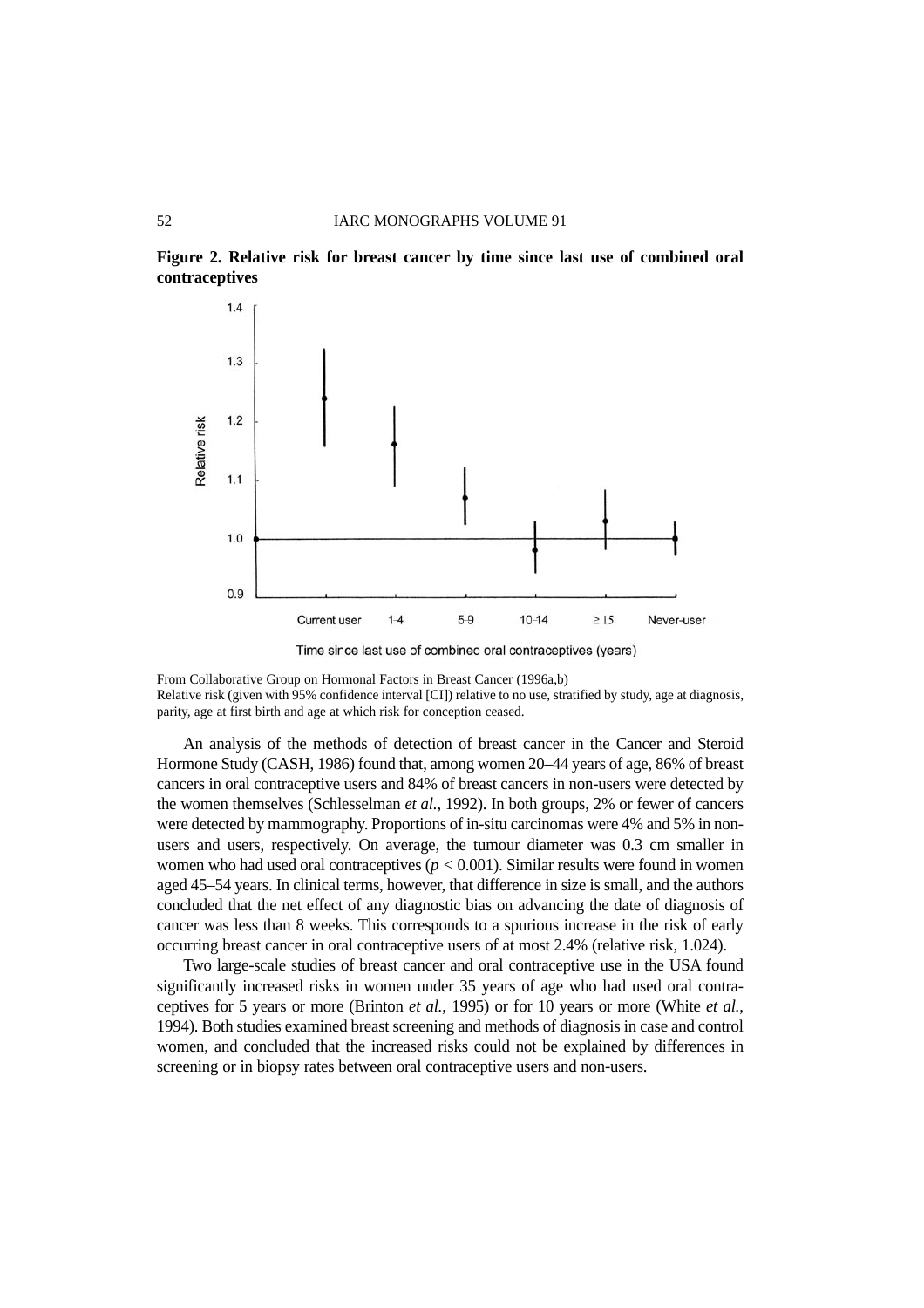



Time since last use of combined oral contraceptives (years)

Relative risk (given with 95% confidence interval [CI]) relative to no use, stratified by study, age at diagnosis, parity, age at first birth and age at which risk for conception ceased.

An analysis of the methods of detection of breast cancer in the Cancer and Steroid Hormone Study (CASH, 1986) found that, among women 20–44 years of age, 86% of breast cancers in oral contraceptive users and 84% of breast cancers in non-users were detected by the women themselves (Schlesselman *et al.*, 1992). In both groups, 2% or fewer of cancers were detected by mammography. Proportions of in-situ carcinomas were 4% and 5% in nonusers and users, respectively. On average, the tumour diameter was 0.3 cm smaller in women who had used oral contraceptives ( $p < 0.001$ ). Similar results were found in women aged 45–54 years. In clinical terms, however, that difference in size is small, and the authors concluded that the net effect of any diagnostic bias on advancing the date of diagnosis of cancer was less than 8 weeks. This corresponds to a spurious increase in the risk of early occurring breast cancer in oral contraceptive users of at most 2.4% (relative risk, 1.024).

Two large-scale studies of breast cancer and oral contraceptive use in the USA found significantly increased risks in women under 35 years of age who had used oral contraceptives for 5 years or more (Brinton *et al.*, 1995) or for 10 years or more (White *et al.*, 1994). Both studies examined breast screening and methods of diagnosis in case and control women, and concluded that the increased risks could not be explained by differences in screening or in biopsy rates between oral contraceptive users and non-users.

From Collaborative Group on Hormonal Factors in Breast Cancer (1996a,b)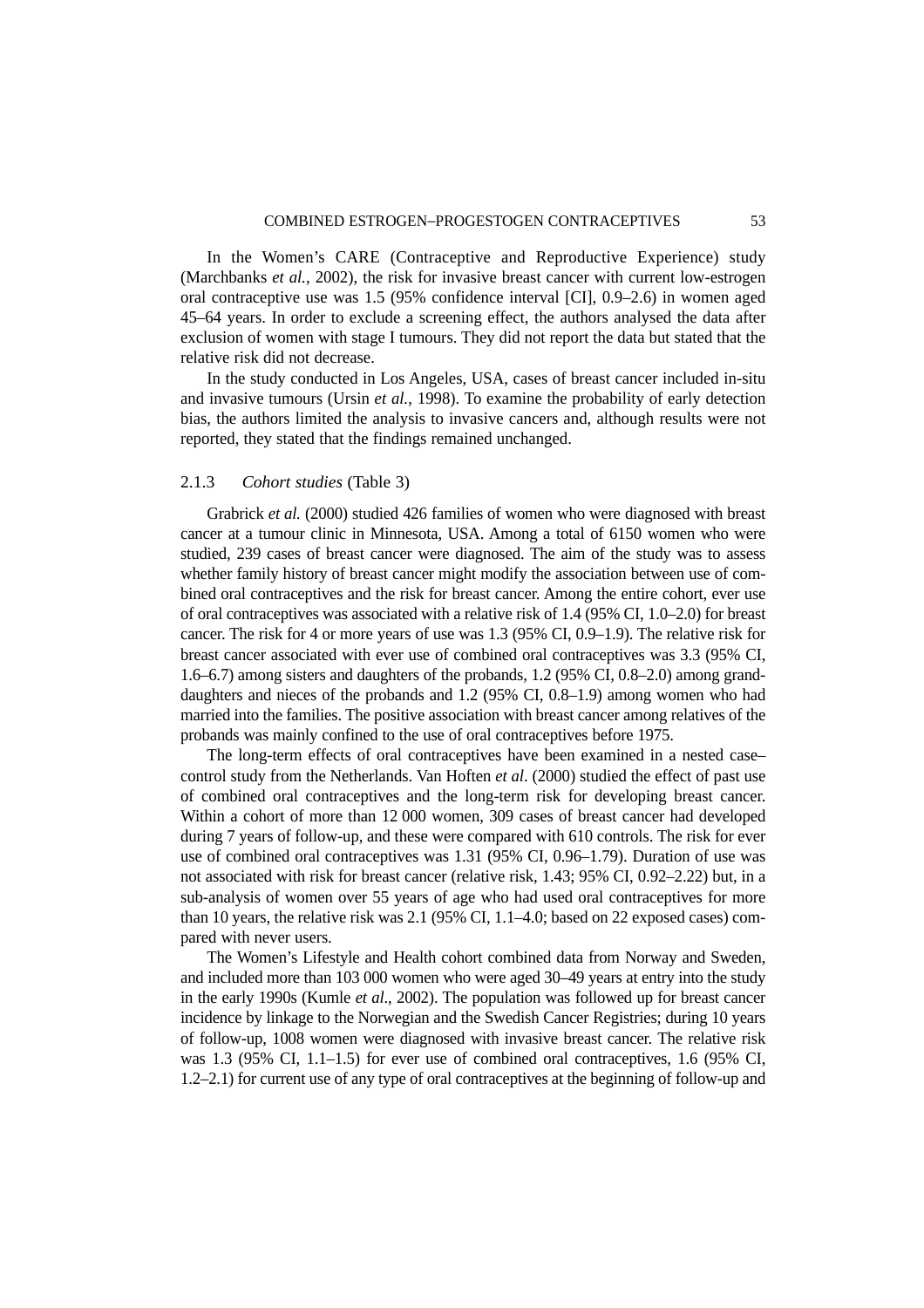In the Women's CARE (Contraceptive and Reproductive Experience) study (Marchbanks *et al.*, 2002), the risk for invasive breast cancer with current low-estrogen oral contraceptive use was 1.5 (95% confidence interval [CI], 0.9–2.6) in women aged 45–64 years. In order to exclude a screening effect, the authors analysed the data after exclusion of women with stage I tumours. They did not report the data but stated that the relative risk did not decrease.

In the study conducted in Los Angeles, USA, cases of breast cancer included in-situ and invasive tumours (Ursin *et al.*, 1998). To examine the probability of early detection bias, the authors limited the analysis to invasive cancers and, although results were not reported, they stated that the findings remained unchanged.

# 2.1.3 *Cohort studies* (Table 3)

Grabrick *et al.* (2000) studied 426 families of women who were diagnosed with breast cancer at a tumour clinic in Minnesota, USA. Among a total of 6150 women who were studied, 239 cases of breast cancer were diagnosed. The aim of the study was to assess whether family history of breast cancer might modify the association between use of combined oral contraceptives and the risk for breast cancer. Among the entire cohort, ever use of oral contraceptives was associated with a relative risk of 1.4 (95% CI, 1.0–2.0) for breast cancer. The risk for 4 or more years of use was 1.3 (95% CI, 0.9–1.9). The relative risk for breast cancer associated with ever use of combined oral contraceptives was 3.3 (95% CI, 1.6–6.7) among sisters and daughters of the probands, 1.2 (95% CI, 0.8–2.0) among granddaughters and nieces of the probands and 1.2 (95% CI, 0.8–1.9) among women who had married into the families. The positive association with breast cancer among relatives of the probands was mainly confined to the use of oral contraceptives before 1975.

The long-term effects of oral contraceptives have been examined in a nested case– control study from the Netherlands. Van Hoften *et al*. (2000) studied the effect of past use of combined oral contraceptives and the long-term risk for developing breast cancer. Within a cohort of more than 12 000 women, 309 cases of breast cancer had developed during 7 years of follow-up, and these were compared with 610 controls. The risk for ever use of combined oral contraceptives was 1.31 (95% CI, 0.96–1.79). Duration of use was not associated with risk for breast cancer (relative risk, 1.43; 95% CI, 0.92–2.22) but, in a sub-analysis of women over 55 years of age who had used oral contraceptives for more than 10 years, the relative risk was 2.1 (95% CI, 1.1–4.0; based on 22 exposed cases) compared with never users.

The Women's Lifestyle and Health cohort combined data from Norway and Sweden, and included more than 103 000 women who were aged 30–49 years at entry into the study in the early 1990s (Kumle *et al*., 2002). The population was followed up for breast cancer incidence by linkage to the Norwegian and the Swedish Cancer Registries; during 10 years of follow-up, 1008 women were diagnosed with invasive breast cancer. The relative risk was 1.3 (95% CI, 1.1–1.5) for ever use of combined oral contraceptives, 1.6 (95% CI, 1.2–2.1) for current use of any type of oral contraceptives at the beginning of follow-up and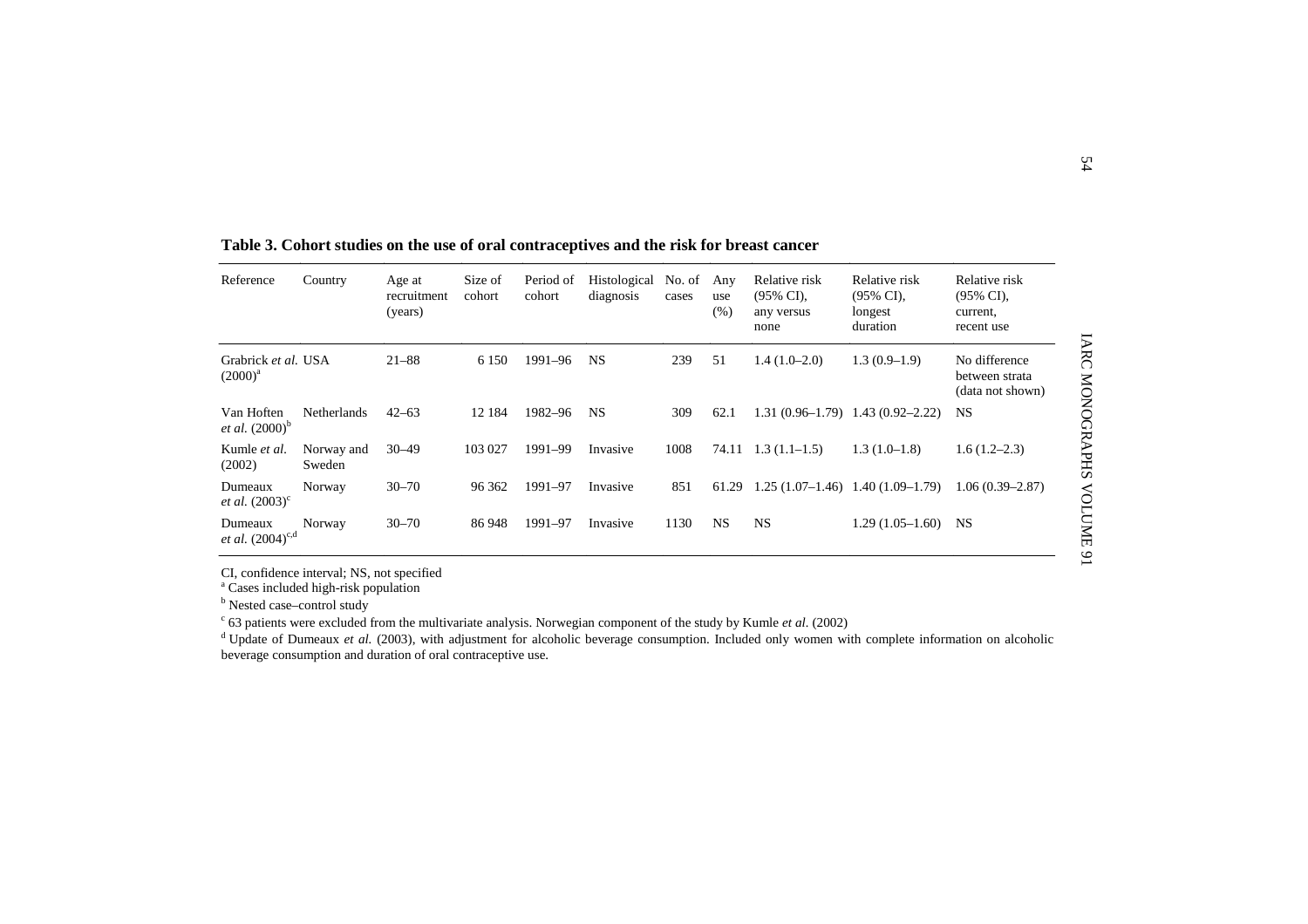| Table 3. Cohort studies on the use of oral contraceptives and the risk for breast cancer |                      |                                  |                   |                     |                           |                 |                    |                                                              |                                                               |                                                                  |
|------------------------------------------------------------------------------------------|----------------------|----------------------------------|-------------------|---------------------|---------------------------|-----------------|--------------------|--------------------------------------------------------------|---------------------------------------------------------------|------------------------------------------------------------------|
| Reference                                                                                | Country              | Age at<br>recruitment<br>(years) | Size of<br>cohort | Period of<br>cohort | Histological<br>diagnosis | No. of<br>cases | Any<br>use<br>(% ) | Relative risk<br>$(95\% \text{ CI})$ ,<br>any versus<br>none | Relative risk<br>$(95\% \text{ CI})$ ,<br>longest<br>duration | Relative risk<br>$(95\% \text{ CI})$ ,<br>current,<br>recent use |
| Grabrick et al. USA<br>$(2000)^{a}$                                                      |                      | $21 - 88$                        | 6 1 5 0           | 1991-96             | <b>NS</b>                 | 239             | 51                 | $1.4(1.0-2.0)$                                               | $1.3(0.9-1.9)$                                                | No difference<br>between strata<br>(data not shown)              |
| Van Hoften<br><i>et al.</i> $(2000)^b$                                                   | Netherlands          | $42 - 63$                        | 12 184            | 1982-96             | <b>NS</b>                 | 309             | 62.1               | $1.31(0.96-1.79)$ 1.43 $(0.92-2.22)$                         |                                                               | <b>NS</b>                                                        |
| Kumle et al.<br>(2002)                                                                   | Norway and<br>Sweden | $30 - 49$                        | 103 027           | 1991-99             | Invasive                  | 1008            |                    | $74.11 \quad 1.3 \ (1.1-1.5)$                                | $1.3(1.0-1.8)$                                                | $1.6(1.2-2.3)$                                                   |
| Dumeaux<br><i>et al.</i> $(2003)^c$                                                      | Norway               | $30 - 70$                        | 96 362            | 1991-97             | Invasive                  | 851             |                    | $61.29$ 1.25 (1.07-1.46) 1.40 (1.09-1.79)                    |                                                               | $1.06(0.39 - 2.87)$                                              |
| Dumeaux<br><i>et al.</i> $(2004)^{c,d}$                                                  | Norway               | $30 - 70$                        | 86 948            | 1991-97             | Invasive                  | 1130            | <b>NS</b>          | <b>NS</b>                                                    | $1.29(1.05-1.60)$                                             | <b>NS</b>                                                        |

CI, confidence interval; NS, not specified

<sup>a</sup> Cases included high-risk population

<sup>b</sup> Nested case–control study

 $\alpha$  63 patients were excluded from the multivariate analysis. Norwegian component of the study by Kumle *et al.* (2002)<br><sup>d</sup> Update of Dumeaux *et al.* (2003), with adjustment for alcoholic beverage consumption. Included beverage consumption and duration of oral contraceptive use.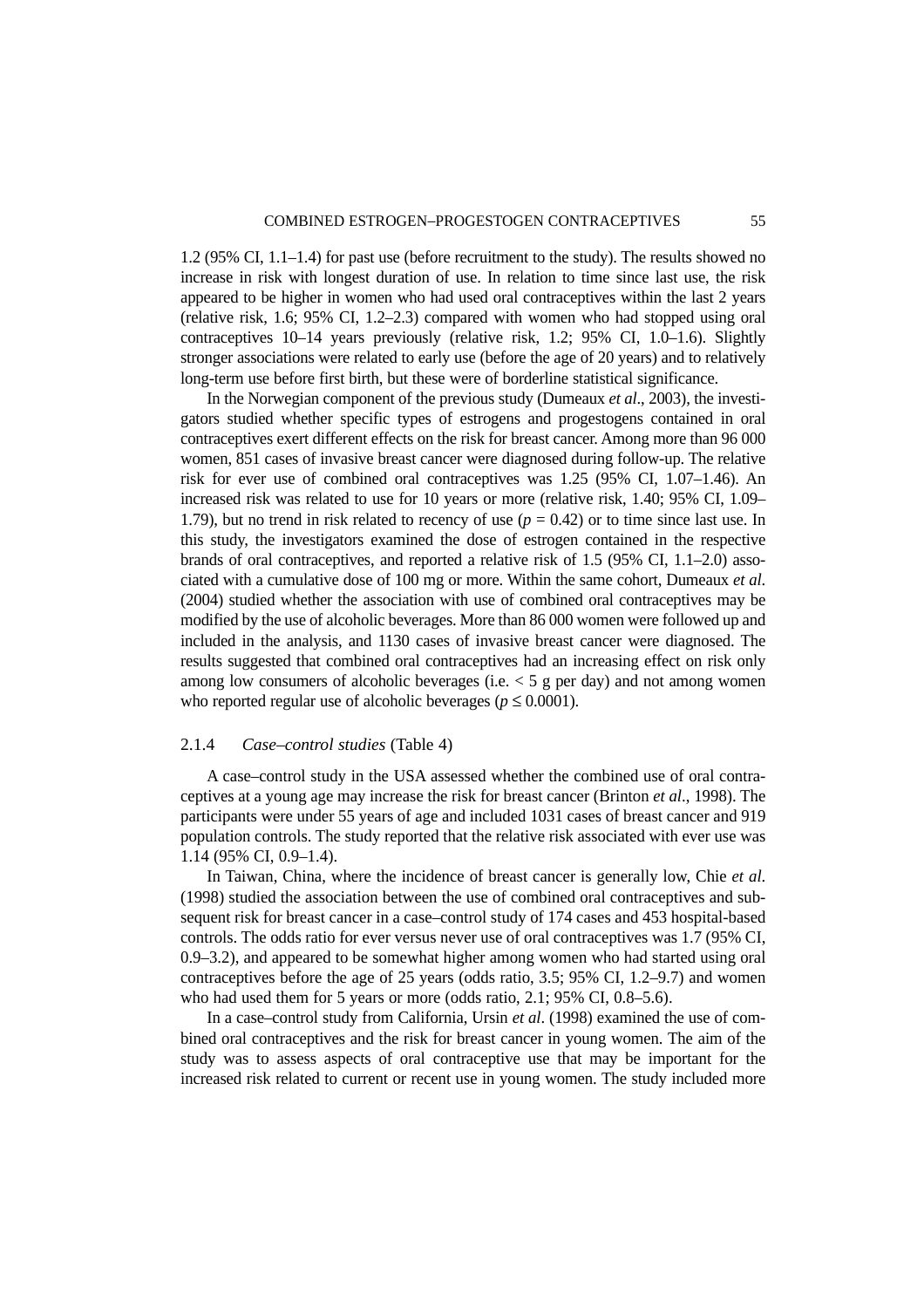1.2 (95% CI, 1.1–1.4) for past use (before recruitment to the study). The results showed no increase in risk with longest duration of use. In relation to time since last use, the risk appeared to be higher in women who had used oral contraceptives within the last 2 years (relative risk, 1.6; 95% CI, 1.2–2.3) compared with women who had stopped using oral contraceptives 10–14 years previously (relative risk, 1.2; 95% CI, 1.0–1.6). Slightly stronger associations were related to early use (before the age of 20 years) and to relatively long-term use before first birth, but these were of borderline statistical significance.

In the Norwegian component of the previous study (Dumeaux *et al*., 2003), the investigators studied whether specific types of estrogens and progestogens contained in oral contraceptives exert different effects on the risk for breast cancer. Among more than 96 000 women, 851 cases of invasive breast cancer were diagnosed during follow-up. The relative risk for ever use of combined oral contraceptives was 1.25 (95% CI, 1.07–1.46). An increased risk was related to use for 10 years or more (relative risk, 1.40; 95% CI, 1.09– 1.79), but no trend in risk related to recency of use  $(p = 0.42)$  or to time since last use. In this study, the investigators examined the dose of estrogen contained in the respective brands of oral contraceptives, and reported a relative risk of 1.5 (95% CI, 1.1–2.0) associated with a cumulative dose of 100 mg or more. Within the same cohort, Dumeaux *et al*. (2004) studied whether the association with use of combined oral contraceptives may be modified by the use of alcoholic beverages. More than 86 000 women were followed up and included in the analysis, and 1130 cases of invasive breast cancer were diagnosed. The results suggested that combined oral contraceptives had an increasing effect on risk only among low consumers of alcoholic beverages (i.e.  $<$  5 g per day) and not among women who reported regular use of alcoholic beverages ( $p \le 0.0001$ ).

# 2.1.4 *Case–control studies* (Table 4)

A case–control study in the USA assessed whether the combined use of oral contraceptives at a young age may increase the risk for breast cancer (Brinton *et al*., 1998). The participants were under 55 years of age and included 1031 cases of breast cancer and 919 population controls. The study reported that the relative risk associated with ever use was 1.14 (95% CI, 0.9–1.4).

In Taiwan, China, where the incidence of breast cancer is generally low, Chie *et al*. (1998) studied the association between the use of combined oral contraceptives and subsequent risk for breast cancer in a case–control study of 174 cases and 453 hospital-based controls. The odds ratio for ever versus never use of oral contraceptives was 1.7 (95% CI, 0.9–3.2), and appeared to be somewhat higher among women who had started using oral contraceptives before the age of 25 years (odds ratio, 3.5; 95% CI, 1.2–9.7) and women who had used them for 5 years or more (odds ratio, 2.1; 95% CI, 0.8–5.6).

In a case–control study from California, Ursin *et al*. (1998) examined the use of combined oral contraceptives and the risk for breast cancer in young women. The aim of the study was to assess aspects of oral contraceptive use that may be important for the increased risk related to current or recent use in young women. The study included more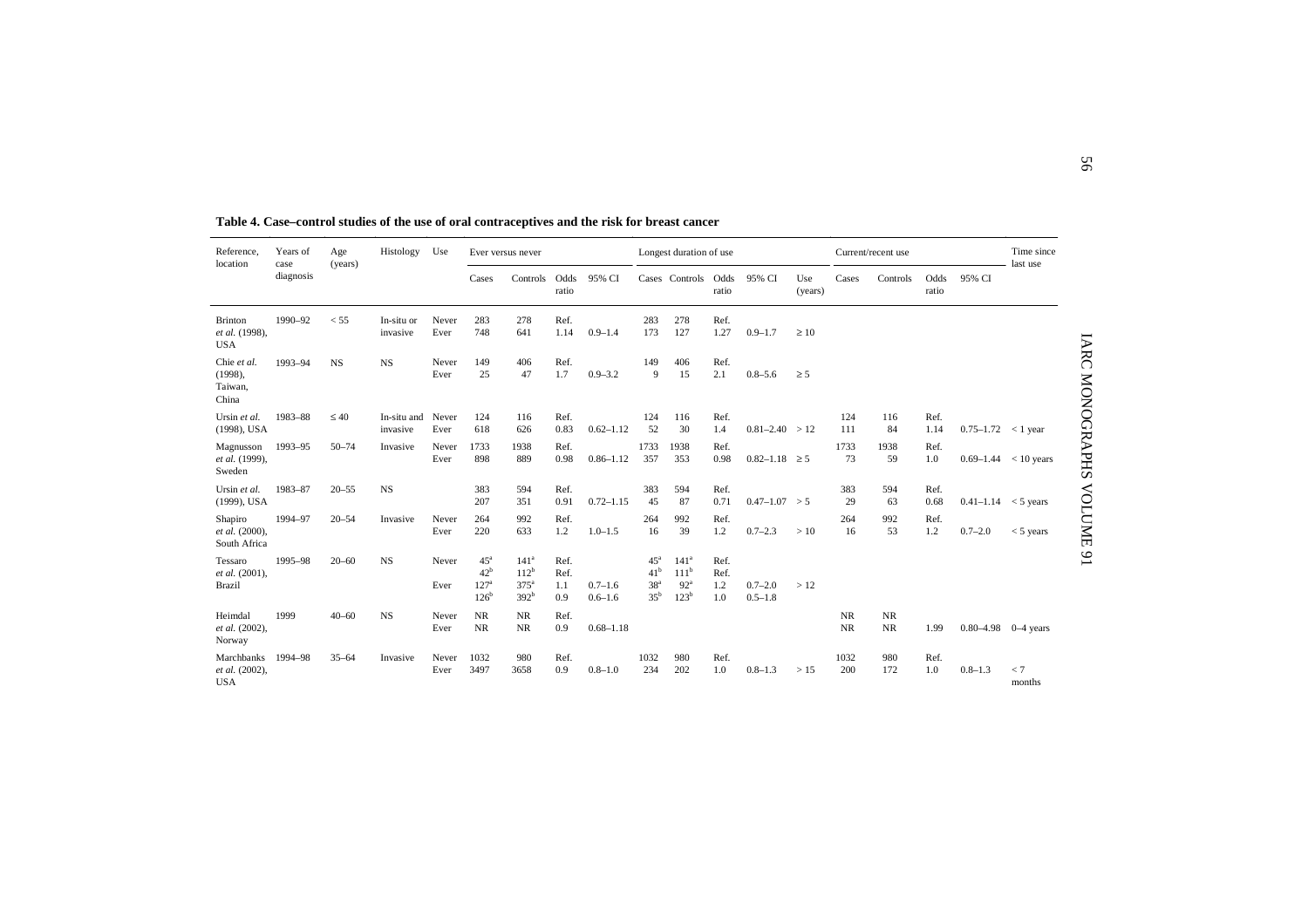| Table 4. Case–control studies of the use of oral contraceptives and the risk for breast cancer<br>Reference,<br>Years of<br>Age<br>Histology |                   |           |                         | Use           |                                                                      | Ever versus never                                                     |                            |                            |                                                                       | Longest duration of use                                            |                            |                            |                |                        | Current/recent use    |               |                           | Time since               |
|----------------------------------------------------------------------------------------------------------------------------------------------|-------------------|-----------|-------------------------|---------------|----------------------------------------------------------------------|-----------------------------------------------------------------------|----------------------------|----------------------------|-----------------------------------------------------------------------|--------------------------------------------------------------------|----------------------------|----------------------------|----------------|------------------------|-----------------------|---------------|---------------------------|--------------------------|
| location                                                                                                                                     | case<br>diagnosis | (years)   |                         |               | Cases                                                                | Controls                                                              | Odds<br>ratio              | 95% CI                     |                                                                       | Cases Controls                                                     | Odds<br>ratio              | 95% CI                     | Use<br>(years) | Cases                  | Controls              | Odds<br>ratio | 95% CI                    | last use                 |
| <b>Brinton</b><br>et al. (1998),<br><b>USA</b>                                                                                               | 1990-92           | < 55      | In-situ or<br>invasive  | Never<br>Ever | 283<br>748                                                           | 278<br>641                                                            | Ref.<br>1.14               | $0.9 - 1.4$                | 283<br>173                                                            | 278<br>127                                                         | Ref.<br>1.27               | $0.9 - 1.7$                | $\geq 10$      |                        |                       |               |                           |                          |
| Chie et al.<br>$(1998)$ ,<br>Taiwan,<br>China                                                                                                | 1993-94           | <b>NS</b> | <b>NS</b>               | Never<br>Ever | 149<br>25                                                            | 406<br>47                                                             | Ref.<br>1.7                | $0.9 - 3.2$                | 149<br>9                                                              | 406<br>15                                                          | Ref.<br>2.1                | $0.8 - 5.6$                | $\geq$ 5       |                        |                       |               |                           |                          |
| Ursin et al.<br>(1998), USA                                                                                                                  | 1983-88           | $\leq 40$ | In-situ and<br>invasive | Never<br>Ever | 124<br>618                                                           | 116<br>626                                                            | Ref.<br>0.83               | $0.62 - 1.12$              | 124<br>52                                                             | 116<br>30                                                          | Ref.<br>1.4                | $0.81 - 2.40 > 12$         |                | 124<br>111             | 116<br>84             | Ref.<br>1.14  | $0.75 - 1.72 < 1$ year    |                          |
| Magnusson<br>et al. (1999),<br>Sweden                                                                                                        | 1993-95           | $50 - 74$ | Invasive                | Never<br>Ever | 1733<br>898                                                          | 1938<br>889                                                           | Ref.<br>0.98               | $0.86 - 1.12$              | 1733<br>357                                                           | 1938<br>353                                                        | Ref.<br>0.98               | $0.82 - 1.18 \ge 5$        |                | 1733<br>73             | 1938<br>59            | Ref.<br>1.0   |                           | $0.69 - 1.44 < 10$ years |
| Ursin et al.<br>(1999), USA                                                                                                                  | 1983-87           | $20 - 55$ | <b>NS</b>               |               | 383<br>207                                                           | 594<br>351                                                            | Ref.<br>0.91               | $0.72 - 1.15$              | 383<br>45                                                             | 594<br>87                                                          | Ref.<br>0.71               | $0.47 - 1.07 > 5$          |                | 383<br>29              | 594<br>63             | Ref.<br>0.68  | $0.41 - 1.14 < 5$ years   |                          |
| Shapiro<br>et al. (2000),<br>South Africa                                                                                                    | 1994-97           | $20 - 54$ | Invasive                | Never<br>Ever | 264<br>220                                                           | 992<br>633                                                            | Ref.<br>1.2                | $1.0 - 1.5$                | 264<br>16                                                             | 992<br>39                                                          | Ref.<br>1.2                | $0.7 - 2.3$                | >10            | 264<br>16              | 992<br>53             | Ref.<br>1.2   | $0.7 - 2.0$               | $<$ 5 years              |
| Tessaro<br>et al. (2001),<br>Brazil                                                                                                          | 1995-98           | $20 - 60$ | <b>NS</b>               | Never<br>Ever | 45 <sup>a</sup><br>$42^{\rm b}$<br>127 <sup>a</sup><br>$126^{\rm b}$ | 141 <sup>a</sup><br>$112^b$<br>$375^{\mathrm{a}}$<br>392 <sup>b</sup> | Ref.<br>Ref.<br>1.1<br>0.9 | $0.7 - 1.6$<br>$0.6 - 1.6$ | 45 <sup>a</sup><br>41 <sup>b</sup><br>38 <sup>a</sup><br>$35^{\rm b}$ | 141 <sup>a</sup><br>111 <sup>b</sup><br>92 <sup>a</sup><br>$123^b$ | Ref.<br>Ref.<br>1.2<br>1.0 | $0.7 - 2.0$<br>$0.5 - 1.8$ | >12            |                        |                       |               |                           |                          |
| Heimdal<br>et al. (2002),<br>Norway                                                                                                          | 1999              | $40 - 60$ | <b>NS</b>               | Never<br>Ever | <b>NR</b><br>NR                                                      | <b>NR</b><br><b>NR</b>                                                | Ref.<br>0.9                | $0.68 - 1.18$              |                                                                       |                                                                    |                            |                            |                | <b>NR</b><br><b>NR</b> | <b>NR</b><br>$\rm NR$ | 1.99          | $0.80 - 4.98$ 0 - 4 years |                          |
| Marchbanks<br>et al. (2002),<br><b>USA</b>                                                                                                   | 1994-98           | $35 - 64$ | Invasive                | Never<br>Ever | 1032<br>3497                                                         | 980<br>3658                                                           | Ref.<br>0.9                | $0.8 - 1.0$                | 1032<br>234                                                           | 980<br>202                                                         | Ref.<br>1.0                | $0.8 - 1.3$                | >15            | 1032<br>200            | 980<br>172            | Ref.<br>1.0   | $0.8 - 1.3$               | < 7<br>months            |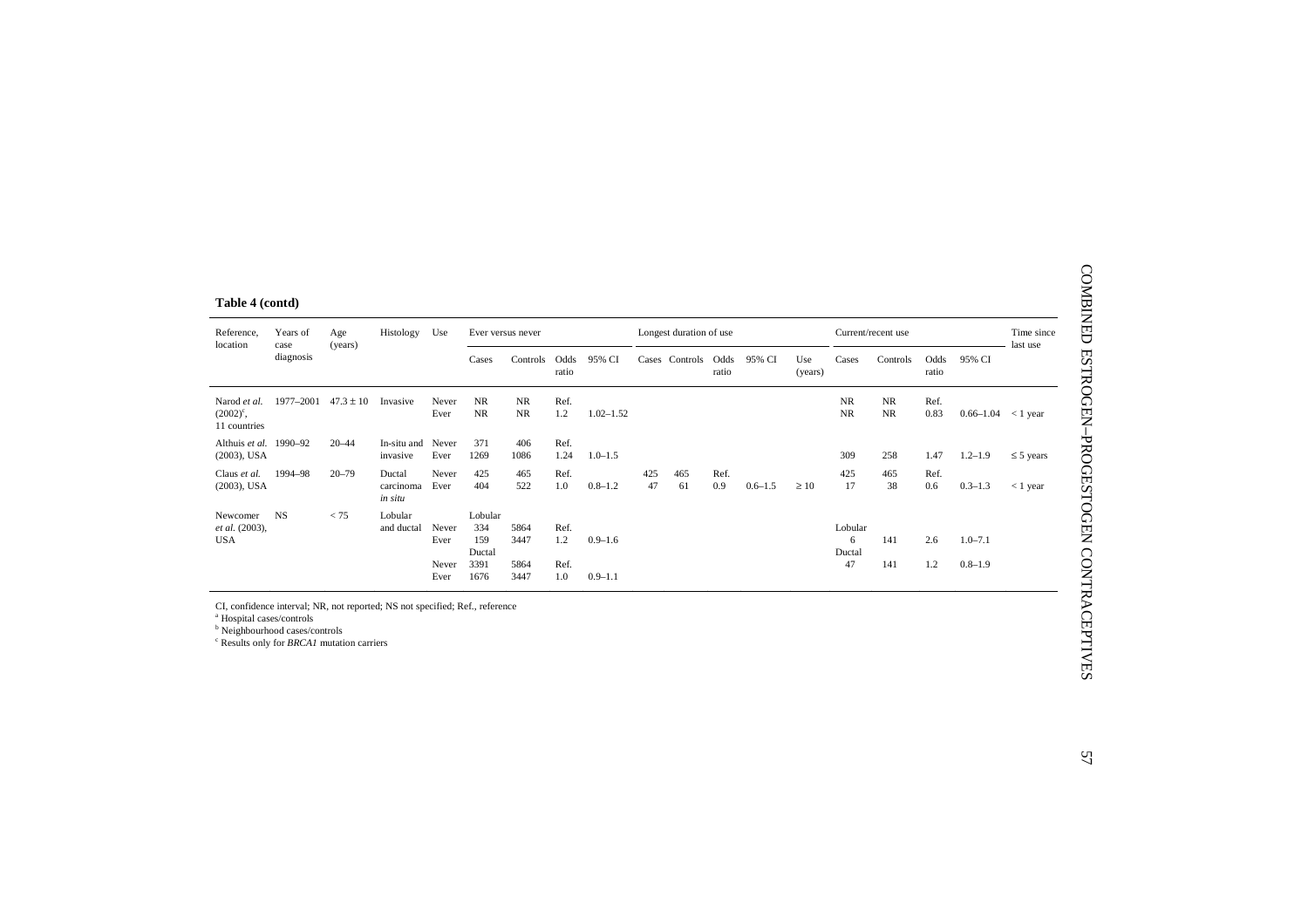|--|

| Reference,<br>location                             | Years of<br>case                                | Age<br>(years) | Histology                      | Use            | Ever versus never               |                        |                |               |           | Longest duration of use |             |             |           |                        | Current/recent use |              |               | Time since<br>last use |
|----------------------------------------------------|-------------------------------------------------|----------------|--------------------------------|----------------|---------------------------------|------------------------|----------------|---------------|-----------|-------------------------|-------------|-------------|-----------|------------------------|--------------------|--------------|---------------|------------------------|
|                                                    | diagnosis<br>Controls<br>Odds<br>Cases<br>ratio | 95% CI         |                                | Cases Controls | Odds<br>ratio                   | 95% CI                 | Use<br>(years) | Cases         | Controls  | Odds<br>ratio           | 95% CI      |             |           |                        |                    |              |               |                        |
| Narod et al.<br>$(2002)^{\circ}$ ,<br>11 countries | 1977–2001                                       | $47.3 \pm 10$  | Invasive                       | Never<br>Ever  | <b>NR</b><br><b>NR</b>          | <b>NR</b><br><b>NR</b> | Ref.<br>1.2    | $1.02 - 1.52$ |           |                         |             |             |           | <b>NR</b><br><b>NR</b> | NR<br><b>NR</b>    | Ref.<br>0.83 | $0.66 - 1.04$ | $< 1$ year             |
| Althuis et al. 1990-92<br>$(2003)$ , USA           |                                                 | $20 - 44$      | In-situ and<br>invasive        | Never<br>Ever  | 371<br>1269                     | 406<br>1086            | Ref.<br>1.24   | $1.0 - 1.5$   |           |                         |             |             |           | 309                    | 258                | 1.47         | $1.2 - 1.9$   | $\leq$ 5 years         |
| Claus et al.<br>$(2003)$ , USA                     | 1994-98                                         | $20 - 79$      | Ductal<br>carcinoma<br>in situ | Never<br>Ever  | 425<br>404                      | 465<br>522             | Ref.<br>1.0    | $0.8 - 1.2$   | 425<br>47 | 465<br>61               | Ref.<br>0.9 | $0.6 - 1.5$ | $\geq 10$ | 425<br>17              | 465<br>38          | Ref.<br>0.6  | $0.3 - 1.3$   | $<$ 1 year             |
| Newcomer<br>et al. (2003),<br><b>USA</b>           | <b>NS</b>                                       | < 75           | Lobular<br>and ductal          | Never<br>Ever  | Lobular<br>334<br>159<br>Ductal | 5864<br>3447           | Ref.<br>1.2    | $0.9 - 1.6$   |           |                         |             |             |           | Lobular<br>6<br>Ductal | 141                | 2.6          | $1.0 - 7.1$   |                        |
|                                                    |                                                 |                |                                | Never<br>Ever  | 3391<br>1676                    | 5864<br>3447           | Ref.<br>1.0    | $0.9 - 1.1$   |           |                         |             |             |           | 47                     | 141                | 1.2          | $0.8 - 1.9$   |                        |

CI, confidence interval; NR, not reported; NS not specified; Ref., reference<br><sup>a</sup> Hospital cases/controls<br><sup>b</sup> Neighbourhood cases/controls<br><sup>6</sup> Results only for *BRCA1* mutation carriers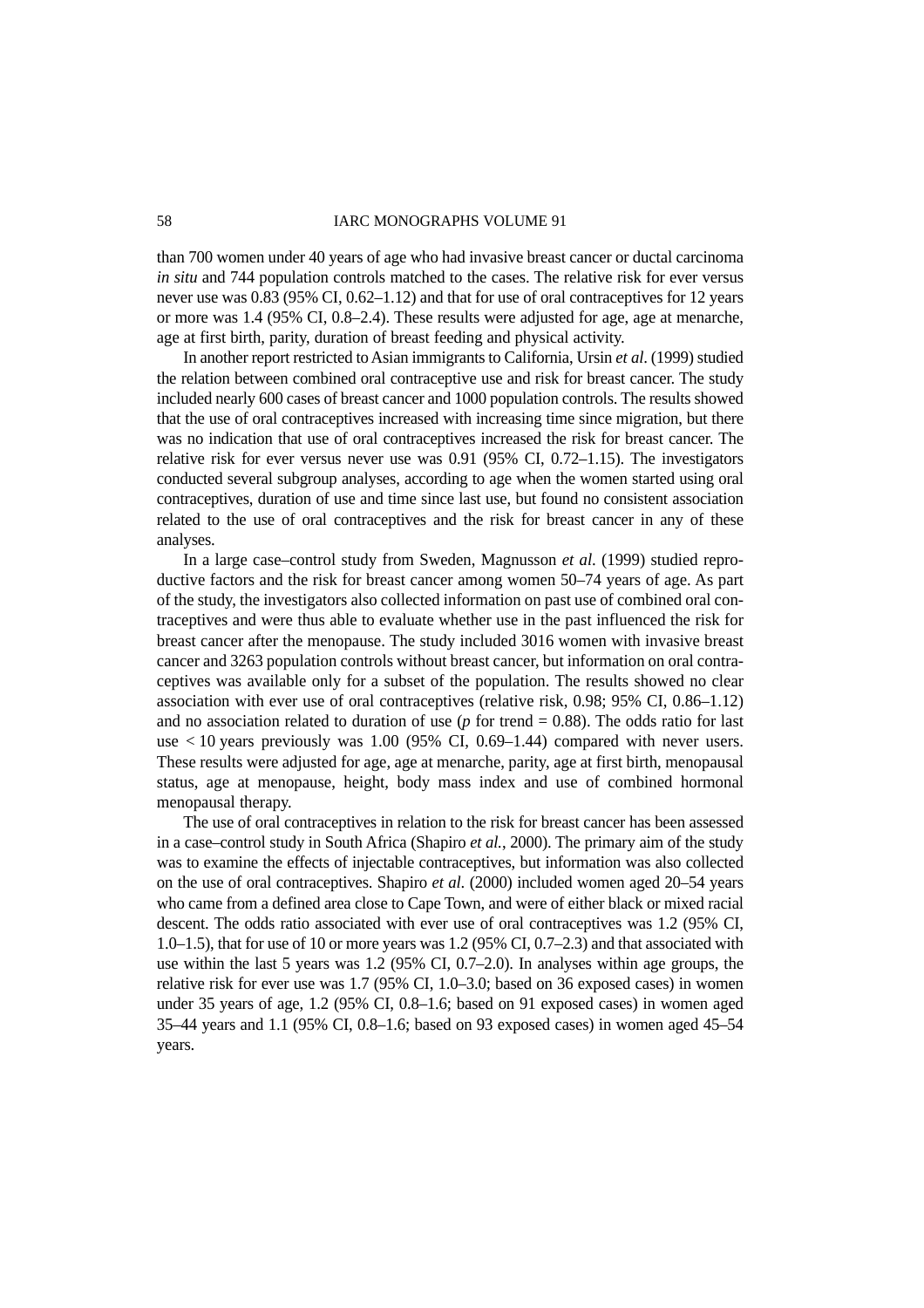than 700 women under 40 years of age who had invasive breast cancer or ductal carcinoma *in situ* and 744 population controls matched to the cases. The relative risk for ever versus never use was 0.83 (95% CI, 0.62–1.12) and that for use of oral contraceptives for 12 years or more was 1.4 (95% CI, 0.8–2.4). These results were adjusted for age, age at menarche, age at first birth, parity, duration of breast feeding and physical activity.

In another report restricted to Asian immigrants to California, Ursin *et al*. (1999) studied the relation between combined oral contraceptive use and risk for breast cancer. The study included nearly 600 cases of breast cancer and 1000 population controls. The results showed that the use of oral contraceptives increased with increasing time since migration, but there was no indication that use of oral contraceptives increased the risk for breast cancer. The relative risk for ever versus never use was 0.91 (95% CI, 0.72–1.15). The investigators conducted several subgroup analyses, according to age when the women started using oral contraceptives, duration of use and time since last use, but found no consistent association related to the use of oral contraceptives and the risk for breast cancer in any of these analyses.

In a large case–control study from Sweden, Magnusson *et al*. (1999) studied reproductive factors and the risk for breast cancer among women 50–74 years of age. As part of the study, the investigators also collected information on past use of combined oral contraceptives and were thus able to evaluate whether use in the past influenced the risk for breast cancer after the menopause. The study included 3016 women with invasive breast cancer and 3263 population controls without breast cancer, but information on oral contraceptives was available only for a subset of the population. The results showed no clear association with ever use of oral contraceptives (relative risk, 0.98; 95% CI, 0.86–1.12) and no association related to duration of use ( $p$  for trend  $= 0.88$ ). The odds ratio for last use  $< 10$  years previously was 1.00 (95% CI, 0.69–1.44) compared with never users. These results were adjusted for age, age at menarche, parity, age at first birth, menopausal status, age at menopause, height, body mass index and use of combined hormonal menopausal therapy.

The use of oral contraceptives in relation to the risk for breast cancer has been assessed in a case–control study in South Africa (Shapiro *et al.*, 2000). The primary aim of the study was to examine the effects of injectable contraceptives, but information was also collected on the use of oral contraceptives. Shapiro *et al*. (2000) included women aged 20–54 years who came from a defined area close to Cape Town, and were of either black or mixed racial descent. The odds ratio associated with ever use of oral contraceptives was 1.2 (95% CI, 1.0–1.5), that for use of 10 or more years was 1.2 (95% CI, 0.7–2.3) and that associated with use within the last 5 years was 1.2 (95% CI, 0.7–2.0). In analyses within age groups, the relative risk for ever use was 1.7 (95% CI, 1.0–3.0; based on 36 exposed cases) in women under 35 years of age, 1.2 (95% CI, 0.8–1.6; based on 91 exposed cases) in women aged 35–44 years and 1.1 (95% CI, 0.8–1.6; based on 93 exposed cases) in women aged 45–54 years.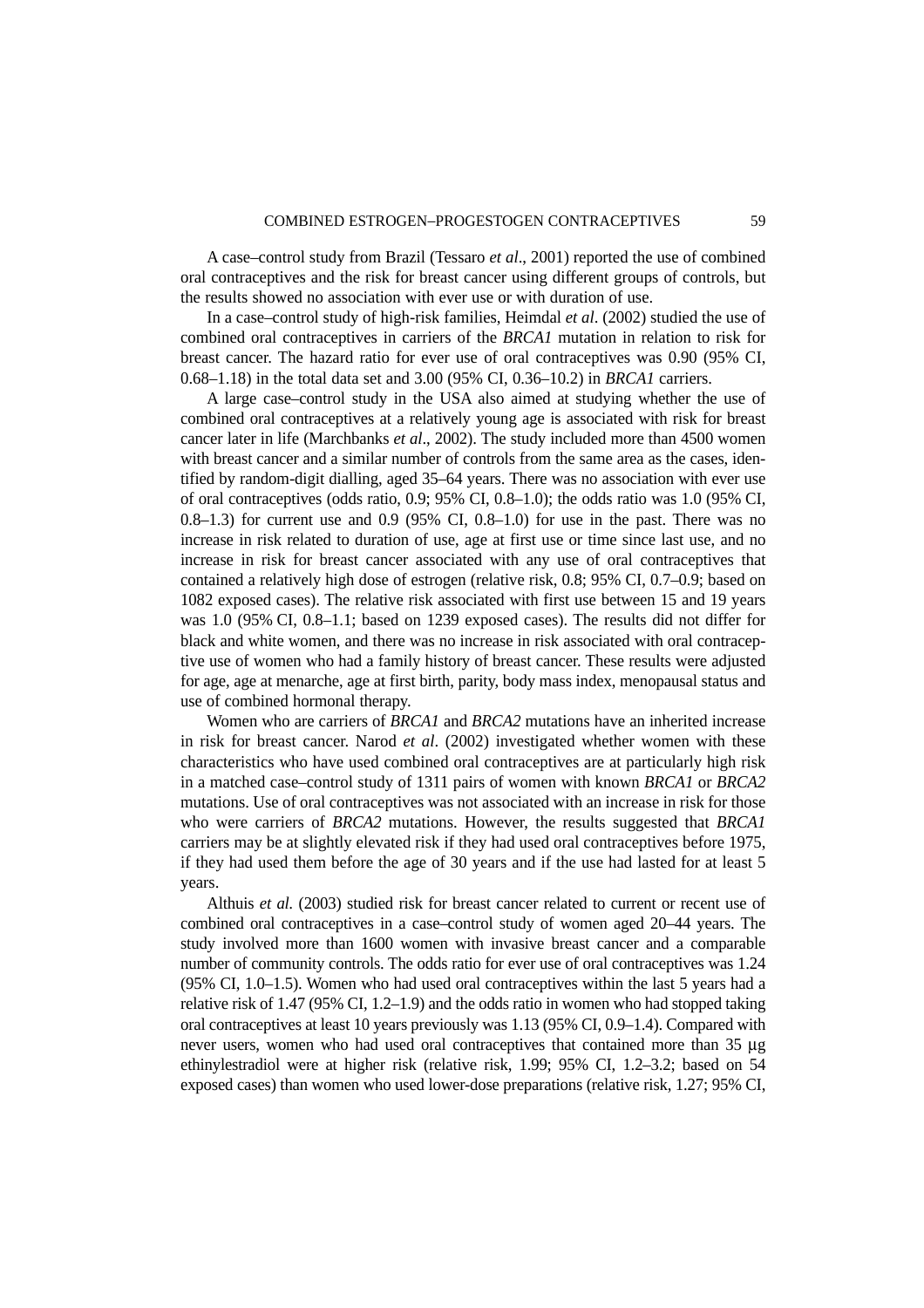#### COMBINED ESTROGEN−PROGESTOGEN CONTRACEPTIVES 59

A case–control study from Brazil (Tessaro *et al*., 2001) reported the use of combined oral contraceptives and the risk for breast cancer using different groups of controls, but the results showed no association with ever use or with duration of use.

In a case–control study of high-risk families, Heimdal *et al*. (2002) studied the use of combined oral contraceptives in carriers of the *BRCA1* mutation in relation to risk for breast cancer. The hazard ratio for ever use of oral contraceptives was 0.90 (95% CI, 0.68–1.18) in the total data set and 3.00 (95% CI, 0.36–10.2) in *BRCA1* carriers.

A large case–control study in the USA also aimed at studying whether the use of combined oral contraceptives at a relatively young age is associated with risk for breast cancer later in life (Marchbanks *et al*., 2002). The study included more than 4500 women with breast cancer and a similar number of controls from the same area as the cases, identified by random-digit dialling, aged 35–64 years. There was no association with ever use of oral contraceptives (odds ratio, 0.9; 95% CI, 0.8–1.0); the odds ratio was 1.0 (95% CI,  $0.8-1.3$ ) for current use and  $0.9$  (95% CI,  $0.8-1.0$ ) for use in the past. There was no increase in risk related to duration of use, age at first use or time since last use, and no increase in risk for breast cancer associated with any use of oral contraceptives that contained a relatively high dose of estrogen (relative risk, 0.8; 95% CI, 0.7–0.9; based on 1082 exposed cases). The relative risk associated with first use between 15 and 19 years was 1.0 (95% CI, 0.8–1.1; based on 1239 exposed cases). The results did not differ for black and white women, and there was no increase in risk associated with oral contraceptive use of women who had a family history of breast cancer. These results were adjusted for age, age at menarche, age at first birth, parity, body mass index, menopausal status and use of combined hormonal therapy.

Women who are carriers of *BRCA1* and *BRCA2* mutations have an inherited increase in risk for breast cancer. Narod *et al*. (2002) investigated whether women with these characteristics who have used combined oral contraceptives are at particularly high risk in a matched case–control study of 1311 pairs of women with known *BRCA1* or *BRCA2* mutations. Use of oral contraceptives was not associated with an increase in risk for those who were carriers of *BRCA2* mutations. However, the results suggested that *BRCA1* carriers may be at slightly elevated risk if they had used oral contraceptives before 1975, if they had used them before the age of 30 years and if the use had lasted for at least 5 years.

Althuis *et al.* (2003) studied risk for breast cancer related to current or recent use of combined oral contraceptives in a case–control study of women aged 20–44 years. The study involved more than 1600 women with invasive breast cancer and a comparable number of community controls. The odds ratio for ever use of oral contraceptives was 1.24 (95% CI, 1.0–1.5). Women who had used oral contraceptives within the last 5 years had a relative risk of 1.47 (95% CI, 1.2–1.9) and the odds ratio in women who had stopped taking oral contraceptives at least 10 years previously was 1.13 (95% CI, 0.9–1.4). Compared with never users, women who had used oral contraceptives that contained more than 35 μg ethinylestradiol were at higher risk (relative risk, 1.99; 95% CI, 1.2–3.2; based on 54 exposed cases) than women who used lower-dose preparations (relative risk, 1.27; 95% CI,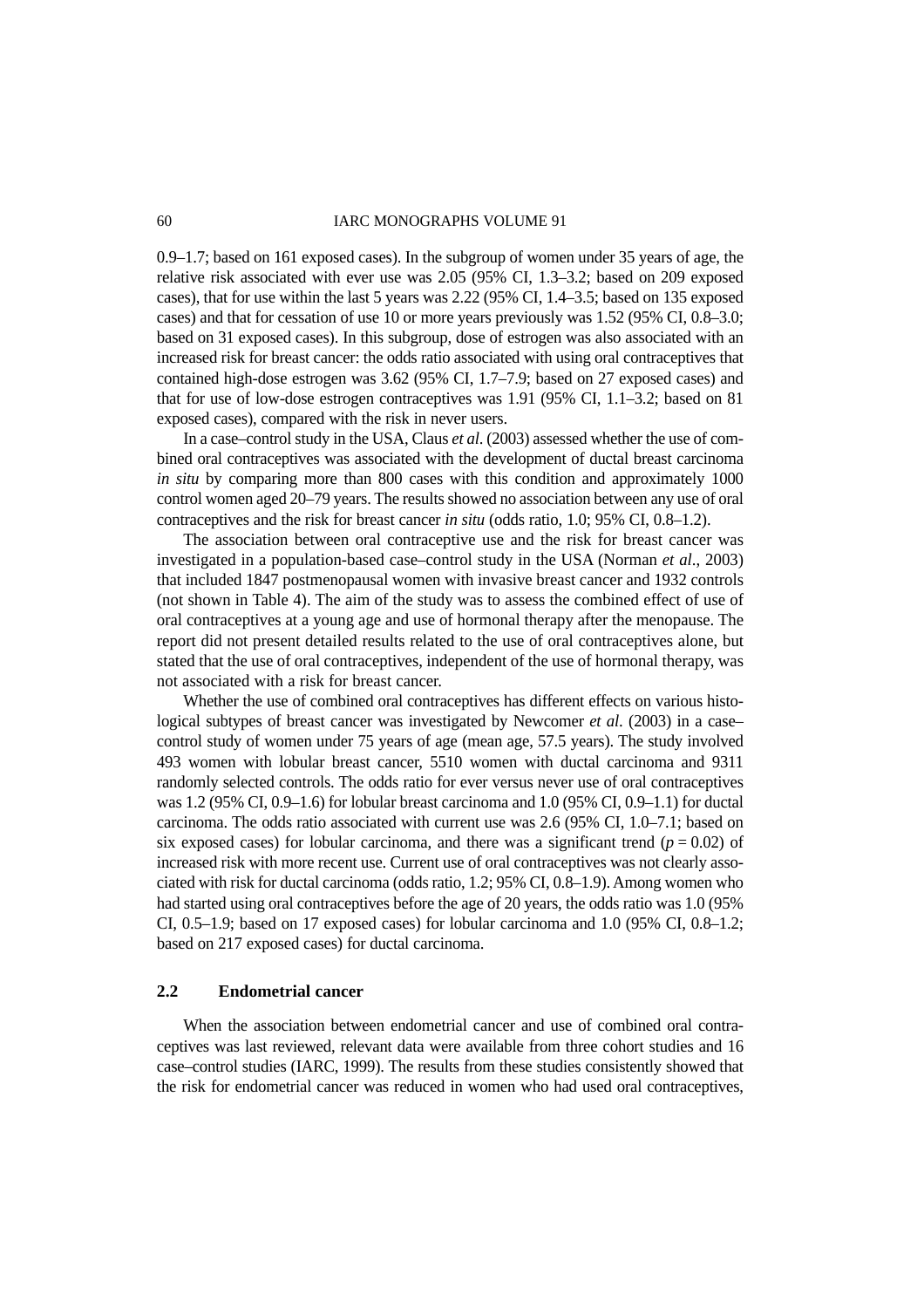0.9–1.7; based on 161 exposed cases). In the subgroup of women under 35 years of age, the relative risk associated with ever use was 2.05 (95% CI, 1.3–3.2; based on 209 exposed cases), that for use within the last 5 years was 2.22 (95% CI, 1.4–3.5; based on 135 exposed cases) and that for cessation of use 10 or more years previously was 1.52 (95% CI, 0.8–3.0; based on 31 exposed cases). In this subgroup, dose of estrogen was also associated with an increased risk for breast cancer: the odds ratio associated with using oral contraceptives that contained high-dose estrogen was 3.62 (95% CI, 1.7–7.9; based on 27 exposed cases) and that for use of low-dose estrogen contraceptives was 1.91 (95% CI, 1.1–3.2; based on 81 exposed cases), compared with the risk in never users.

In a case–control study in the USA, Claus *et al*. (2003) assessed whether the use of combined oral contraceptives was associated with the development of ductal breast carcinoma *in situ* by comparing more than 800 cases with this condition and approximately 1000 control women aged 20–79 years. The results showed no association between any use of oral contraceptives and the risk for breast cancer *in situ* (odds ratio, 1.0; 95% CI, 0.8–1.2).

The association between oral contraceptive use and the risk for breast cancer was investigated in a population-based case–control study in the USA (Norman *et al*., 2003) that included 1847 postmenopausal women with invasive breast cancer and 1932 controls (not shown in Table 4). The aim of the study was to assess the combined effect of use of oral contraceptives at a young age and use of hormonal therapy after the menopause. The report did not present detailed results related to the use of oral contraceptives alone, but stated that the use of oral contraceptives, independent of the use of hormonal therapy, was not associated with a risk for breast cancer.

Whether the use of combined oral contraceptives has different effects on various histological subtypes of breast cancer was investigated by Newcomer *et al*. (2003) in a case– control study of women under 75 years of age (mean age, 57.5 years). The study involved 493 women with lobular breast cancer, 5510 women with ductal carcinoma and 9311 randomly selected controls. The odds ratio for ever versus never use of oral contraceptives was 1.2 (95% CI, 0.9–1.6) for lobular breast carcinoma and 1.0 (95% CI, 0.9–1.1) for ductal carcinoma. The odds ratio associated with current use was 2.6 (95% CI, 1.0–7.1; based on six exposed cases) for lobular carcinoma, and there was a significant trend ( $p = 0.02$ ) of increased risk with more recent use. Current use of oral contraceptives was not clearly associated with risk for ductal carcinoma (odds ratio, 1.2; 95% CI, 0.8–1.9). Among women who had started using oral contraceptives before the age of 20 years, the odds ratio was 1.0 (95% CI,  $0.5-1.9$ ; based on 17 exposed cases) for lobular carcinoma and 1.0 (95% CI,  $0.8-1.2$ ; based on 217 exposed cases) for ductal carcinoma.

# **2.2 Endometrial cancer**

When the association between endometrial cancer and use of combined oral contraceptives was last reviewed, relevant data were available from three cohort studies and 16 case–control studies (IARC, 1999). The results from these studies consistently showed that the risk for endometrial cancer was reduced in women who had used oral contraceptives,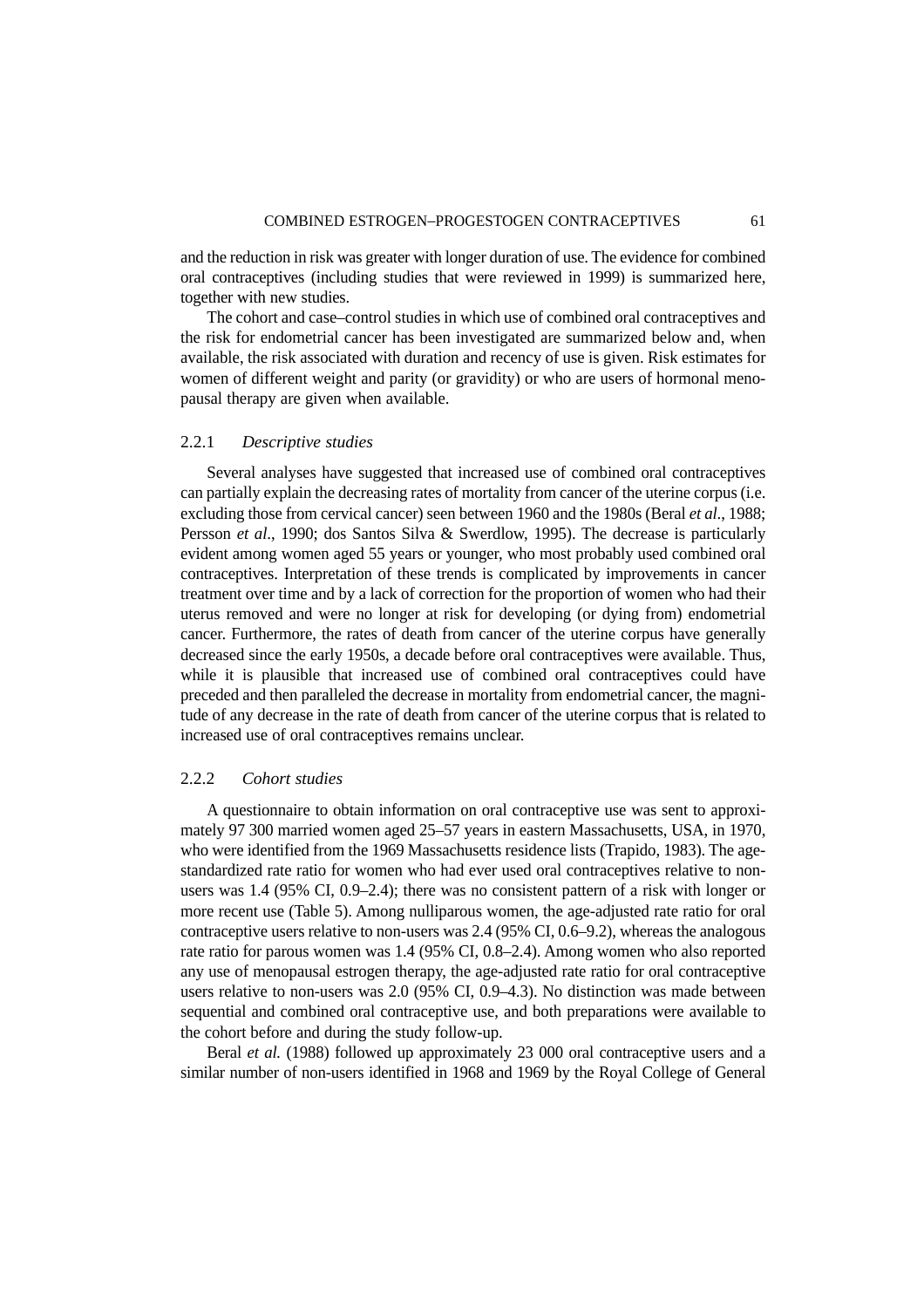and the reduction in risk was greater with longer duration of use. The evidence for combined oral contraceptives (including studies that were reviewed in 1999) is summarized here, together with new studies.

The cohort and case–control studies in which use of combined oral contraceptives and the risk for endometrial cancer has been investigated are summarized below and, when available, the risk associated with duration and recency of use is given. Risk estimates for women of different weight and parity (or gravidity) or who are users of hormonal menopausal therapy are given when available.

# 2.2.1 *Descriptive studies*

Several analyses have suggested that increased use of combined oral contraceptives can partially explain the decreasing rates of mortality from cancer of the uterine corpus (i.e. excluding those from cervical cancer) seen between 1960 and the 1980s (Beral *et al*., 1988; Persson *et al*., 1990; dos Santos Silva & Swerdlow, 1995). The decrease is particularly evident among women aged 55 years or younger, who most probably used combined oral contraceptives. Interpretation of these trends is complicated by improvements in cancer treatment over time and by a lack of correction for the proportion of women who had their uterus removed and were no longer at risk for developing (or dying from) endometrial cancer. Furthermore, the rates of death from cancer of the uterine corpus have generally decreased since the early 1950s, a decade before oral contraceptives were available. Thus, while it is plausible that increased use of combined oral contraceptives could have preceded and then paralleled the decrease in mortality from endometrial cancer, the magnitude of any decrease in the rate of death from cancer of the uterine corpus that is related to increased use of oral contraceptives remains unclear.

# 2.2.2 *Cohort studies*

A questionnaire to obtain information on oral contraceptive use was sent to approximately 97 300 married women aged 25–57 years in eastern Massachusetts, USA, in 1970, who were identified from the 1969 Massachusetts residence lists (Trapido, 1983). The agestandardized rate ratio for women who had ever used oral contraceptives relative to nonusers was 1.4 (95% CI, 0.9–2.4); there was no consistent pattern of a risk with longer or more recent use (Table 5). Among nulliparous women, the age-adjusted rate ratio for oral contraceptive users relative to non-users was 2.4 (95% CI, 0.6–9.2), whereas the analogous rate ratio for parous women was 1.4 (95% CI, 0.8–2.4). Among women who also reported any use of menopausal estrogen therapy, the age-adjusted rate ratio for oral contraceptive users relative to non-users was 2.0 (95% CI, 0.9–4.3). No distinction was made between sequential and combined oral contraceptive use, and both preparations were available to the cohort before and during the study follow-up.

Beral *et al.* (1988) followed up approximately 23 000 oral contraceptive users and a similar number of non-users identified in 1968 and 1969 by the Royal College of General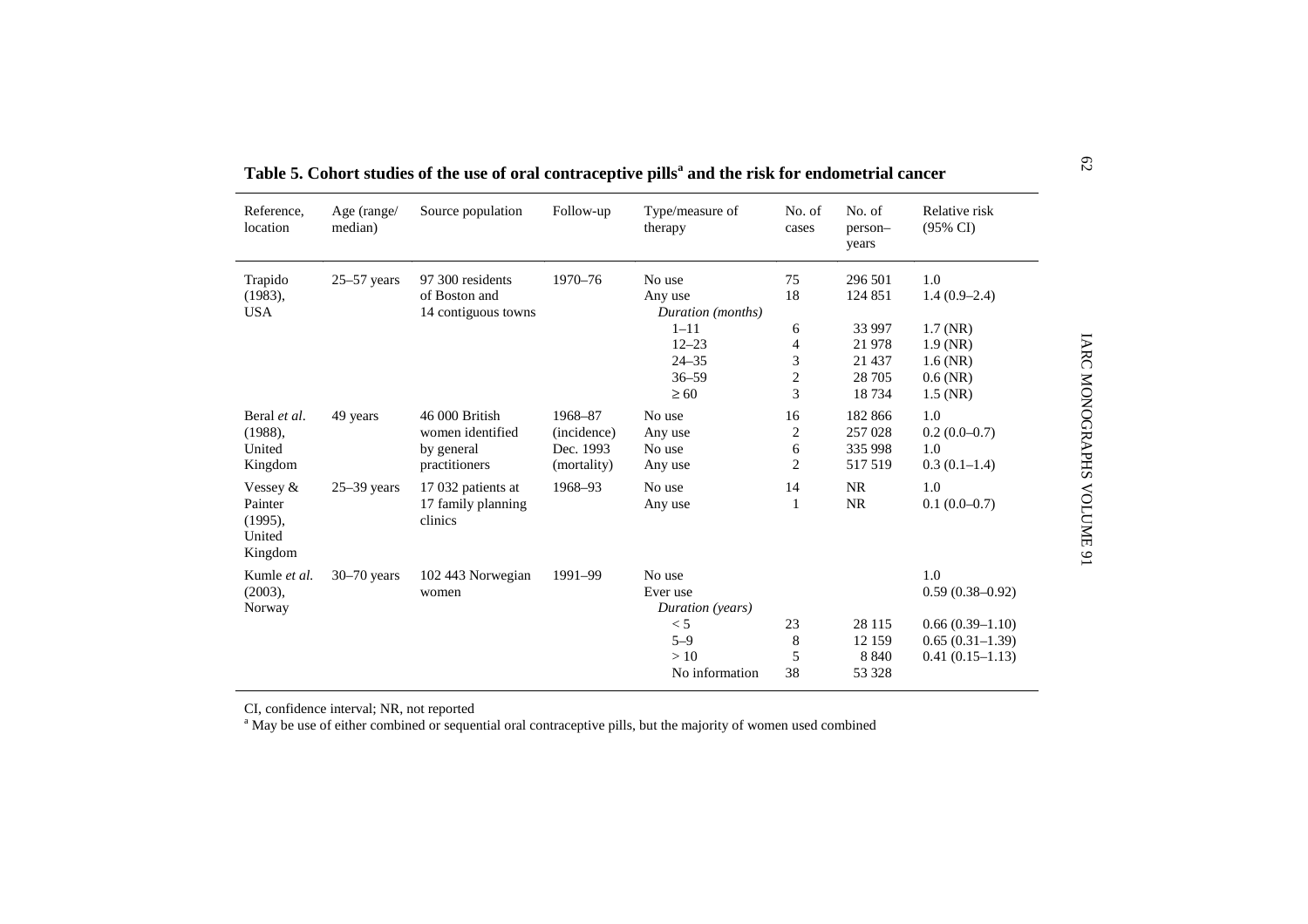|                                                          |                        |                                                                   |                                                    | Table 5. Cohort studies of the use of oral contraceptive pills <sup>a</sup> and the risk for endometrial cancer |                                               |                                                |                                                                    |
|----------------------------------------------------------|------------------------|-------------------------------------------------------------------|----------------------------------------------------|-----------------------------------------------------------------------------------------------------------------|-----------------------------------------------|------------------------------------------------|--------------------------------------------------------------------|
| Reference,<br>location                                   | Age (range/<br>median) | Source population                                                 | Follow-up                                          | Type/measure of<br>therapy                                                                                      | No. of<br>cases                               | No. of<br>person-<br>years                     | Relative risk<br>$(95\% \text{ CI})$                               |
| Trapido<br>(1983),<br><b>USA</b>                         | $25-57$ years          | 97 300 residents<br>of Boston and<br>14 contiguous towns          | $1970 - 76$                                        | No use<br>Any use<br>Duration (months)                                                                          | 75<br>18                                      | 296 501<br>124 851                             | 1.0<br>$1.4(0.9-2.4)$                                              |
|                                                          |                        |                                                                   |                                                    | $1 - 11$<br>$12 - 23$<br>$24 - 35$<br>$36 - 59$<br>$\geq 60$                                                    | 6<br>$\overline{4}$<br>3<br>$\mathbf{2}$<br>3 | 33 997<br>21 978<br>21 437<br>28 70 5<br>18734 | $1.7$ (NR)<br>$1.9$ (NR)<br>$1.6$ (NR)<br>$0.6$ (NR)<br>$1.5$ (NR) |
| Beral et al.<br>$(1988)$ ,<br>United<br>Kingdom          | 49 years               | 46 000 British<br>women identified<br>by general<br>practitioners | 1968-87<br>(incidence)<br>Dec. 1993<br>(mortality) | No use<br>Any use<br>No use<br>Any use                                                                          | 16<br>2<br>6<br>$\overline{2}$                | 182 866<br>257 028<br>335 998<br>517519        | 1.0<br>$0.2(0.0-0.7)$<br>1.0<br>$0.3(0.1-1.4)$                     |
| Vessey $&$<br>Painter<br>$(1995)$ ,<br>United<br>Kingdom | $25-39$ years          | 17 032 patients at<br>17 family planning<br>clinics               | 1968-93                                            | No use<br>Any use                                                                                               | 14<br>1                                       | <b>NR</b><br>NR                                | 1.0<br>$0.1(0.0-0.7)$                                              |
| Kumle et al.<br>(2003),<br>Norway                        | $30-70$ years          | 102 443 Norwegian<br>women                                        | 1991-99                                            | No use<br>Ever use<br>Duration (years)<br>< 5                                                                   | 23                                            | 28 115                                         | 1.0<br>$0.59(0.38 - 0.92)$<br>$0.66(0.39-1.10)$                    |
|                                                          |                        |                                                                   |                                                    | $5 - 9$<br>>10<br>No information                                                                                | 8<br>5<br>38                                  | 12 15 9<br>8 8 4 0<br>53 328                   | $0.65(0.31-1.39)$<br>$0.41(0.15-1.13)$                             |

CI, confidence interval; NR, not reported a May be use of either combined or sequential oral contraceptive pills, but the majority of women used combined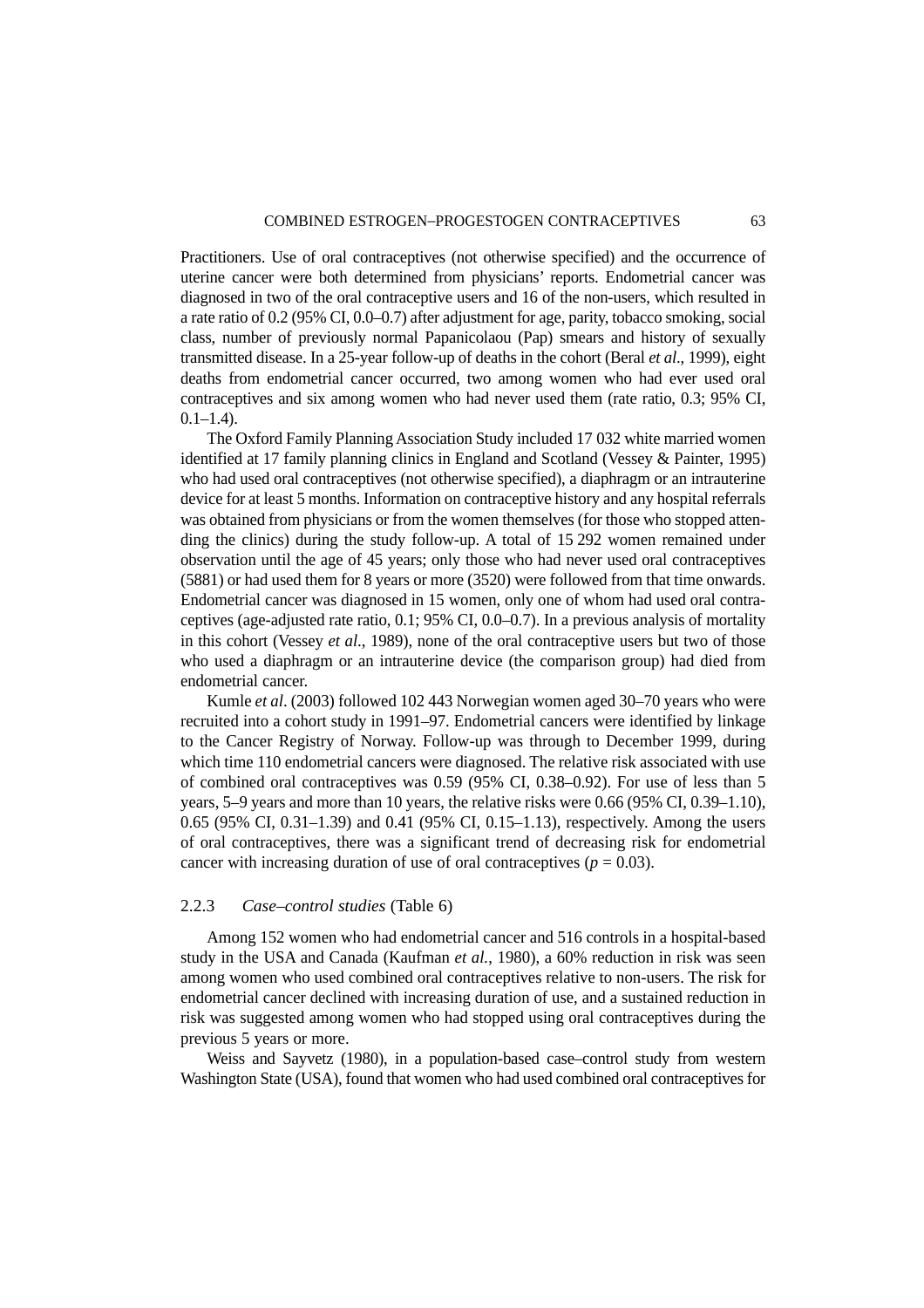Practitioners. Use of oral contraceptives (not otherwise specified) and the occurrence of uterine cancer were both determined from physicians' reports. Endometrial cancer was diagnosed in two of the oral contraceptive users and 16 of the non-users, which resulted in a rate ratio of 0.2 (95% CI, 0.0–0.7) after adjustment for age, parity, tobacco smoking, social class, number of previously normal Papanicolaou (Pap) smears and history of sexually transmitted disease. In a 25-year follow-up of deaths in the cohort (Beral *et al*., 1999), eight deaths from endometrial cancer occurred, two among women who had ever used oral contraceptives and six among women who had never used them (rate ratio, 0.3; 95% CI,  $0.1–1.4$ ).

The Oxford Family Planning Association Study included 17 032 white married women identified at 17 family planning clinics in England and Scotland (Vessey & Painter, 1995) who had used oral contraceptives (not otherwise specified), a diaphragm or an intrauterine device for at least 5 months. Information on contraceptive history and any hospital referrals was obtained from physicians or from the women themselves (for those who stopped attending the clinics) during the study follow-up. A total of 15 292 women remained under observation until the age of 45 years; only those who had never used oral contraceptives (5881) or had used them for 8 years or more (3520) were followed from that time onwards. Endometrial cancer was diagnosed in 15 women, only one of whom had used oral contraceptives (age-adjusted rate ratio, 0.1; 95% CI, 0.0–0.7). In a previous analysis of mortality in this cohort (Vessey *et al*., 1989), none of the oral contraceptive users but two of those who used a diaphragm or an intrauterine device (the comparison group) had died from endometrial cancer.

Kumle *et al*. (2003) followed 102 443 Norwegian women aged 30–70 years who were recruited into a cohort study in 1991–97. Endometrial cancers were identified by linkage to the Cancer Registry of Norway. Follow-up was through to December 1999, during which time 110 endometrial cancers were diagnosed. The relative risk associated with use of combined oral contraceptives was 0.59 (95% CI, 0.38–0.92). For use of less than 5 years, 5–9 years and more than 10 years, the relative risks were 0.66 (95% CI, 0.39–1.10), 0.65 (95% CI, 0.31–1.39) and 0.41 (95% CI, 0.15–1.13), respectively. Among the users of oral contraceptives, there was a significant trend of decreasing risk for endometrial cancer with increasing duration of use of oral contraceptives ( $p = 0.03$ ).

# 2.2.3 *Case–control studies* (Table 6)

Among 152 women who had endometrial cancer and 516 controls in a hospital-based study in the USA and Canada (Kaufman *et al.*, 1980), a 60% reduction in risk was seen among women who used combined oral contraceptives relative to non-users. The risk for endometrial cancer declined with increasing duration of use, and a sustained reduction in risk was suggested among women who had stopped using oral contraceptives during the previous 5 years or more.

Weiss and Sayvetz (1980), in a population-based case–control study from western Washington State (USA), found that women who had used combined oral contraceptives for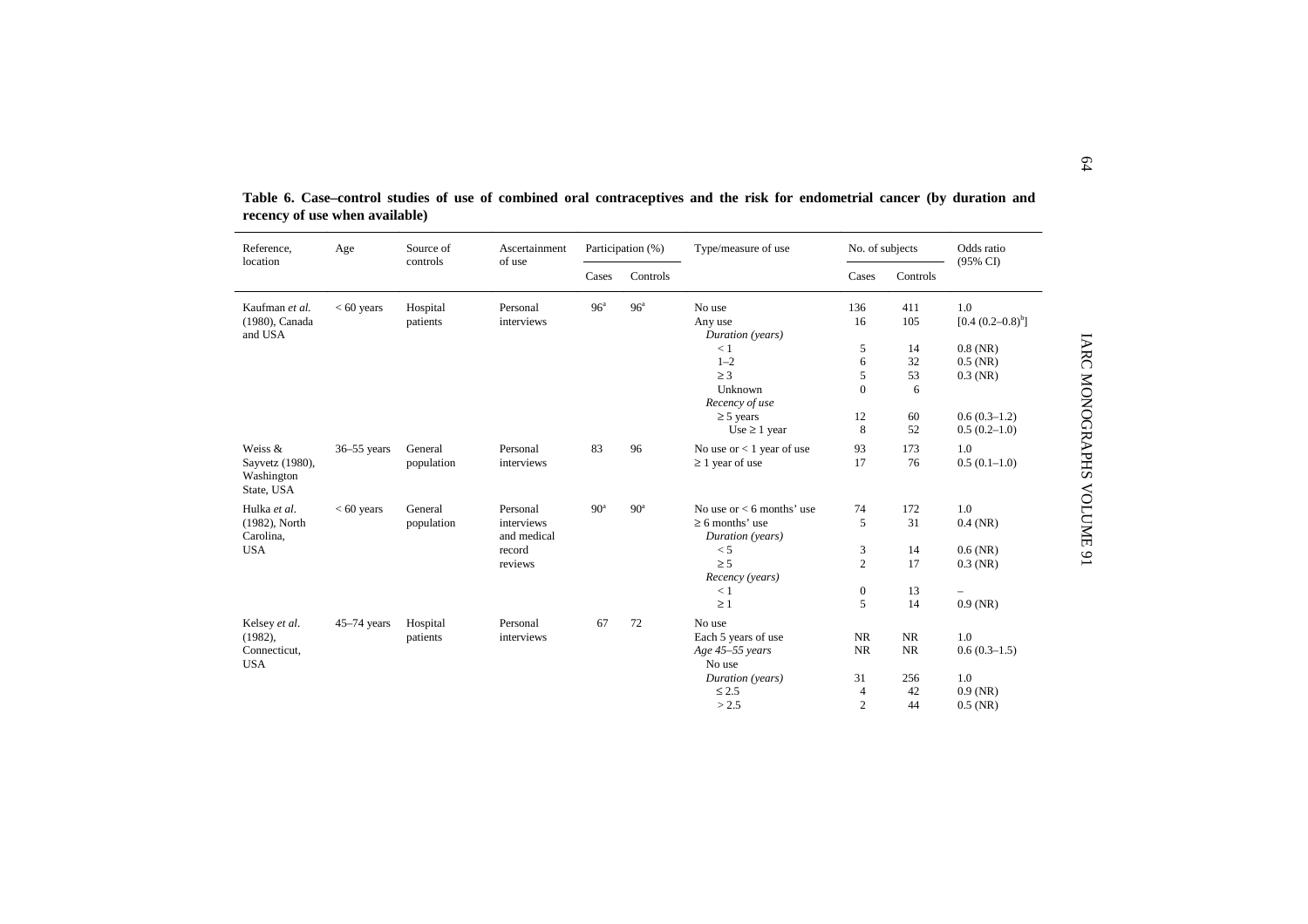| Reference,<br>location                      | Age             | Source of<br>controls | Ascertainment<br>of use   |                 | Participation (%) | Type/measure of use                      | No. of subjects  |           | Odds ratio<br>(95% CI)   |
|---------------------------------------------|-----------------|-----------------------|---------------------------|-----------------|-------------------|------------------------------------------|------------------|-----------|--------------------------|
|                                             |                 |                       |                           | Cases           | Controls          |                                          | Cases            | Controls  |                          |
| Kaufman et al.                              | $< 60$ years    | Hospital              | Personal                  | 96 <sup>a</sup> | 96 <sup>a</sup>   | No use                                   | 136              | 411       | 1.0                      |
| (1980), Canada<br>and USA                   |                 | patients              | interviews                |                 |                   | Any use<br>Duration (years)              | 16               | 105       | $[0.4 (0.2 - 0.8)^{b}]$  |
|                                             |                 |                       |                           |                 |                   | $\lt 1$                                  | 5                | 14        | $0.8$ (NR)               |
|                                             |                 |                       |                           |                 |                   | $1 - 2$                                  | 6                | 32        | $0.5$ (NR)               |
|                                             |                 |                       |                           |                 |                   | $\geq$ 3                                 | 5                | 53        | $0.3$ (NR)               |
|                                             |                 |                       |                           |                 |                   | Unknown                                  | $\Omega$         | 6         |                          |
|                                             |                 |                       |                           |                 |                   | Recency of use                           |                  |           |                          |
|                                             |                 |                       |                           |                 |                   | $\geq$ 5 years                           | 12               | 60        | $0.6(0.3-1.2)$           |
|                                             |                 |                       |                           |                 |                   | Use $\geq 1$ year                        | 8                | 52        | $0.5(0.2-1.0)$           |
| Weiss &                                     | $36 - 55$ years | General               | Personal                  | 83              | 96                | No use or $<$ 1 year of use              | 93               | 173       | 1.0                      |
| Sayvetz (1980),<br>Washington<br>State, USA |                 | population            | interviews                |                 |                   | $\geq 1$ year of use                     | 17               | 76        | $0.5(0.1-1.0)$           |
| Hulka et al.                                | $< 60$ years    | General               | Personal                  | 90 <sup>a</sup> | 90 <sup>a</sup>   | No use or $< 6$ months' use              | 74               | 172       | 1.0                      |
| (1982), North<br>Carolina,                  |                 | population            | interviews<br>and medical |                 |                   | $\geq 6$ months' use<br>Duration (years) | 5                | 31        | $0.4$ (NR)               |
| <b>USA</b>                                  |                 |                       | record                    |                 |                   | $\lt$ 5                                  | 3                | 14        | $0.6$ (NR)               |
|                                             |                 |                       | reviews                   |                 |                   | $\geq$ 5                                 | $\overline{c}$   | 17        | $0.3$ (NR)               |
|                                             |                 |                       |                           |                 |                   | Recency (years)                          |                  |           |                          |
|                                             |                 |                       |                           |                 |                   | < 1                                      | $\boldsymbol{0}$ | 13        | $\overline{\phantom{m}}$ |
|                                             |                 |                       |                           |                 |                   | $\geq 1$                                 | 5                | 14        | $0.9$ (NR)               |
| Kelsey et al.                               | $45-74$ years   | Hospital              | Personal                  | 67              | 72                | No use                                   |                  |           |                          |
| (1982),                                     |                 | patients              | interviews                |                 |                   | Each 5 years of use                      | <b>NR</b>        | NR        | 1.0                      |
| Connecticut,<br><b>USA</b>                  |                 |                       |                           |                 |                   | Age 45-55 years<br>No use                | <b>NR</b>        | <b>NR</b> | $0.6(0.3-1.5)$           |
|                                             |                 |                       |                           |                 |                   | Duration (years)                         | 31               | 256       | 1.0                      |
|                                             |                 |                       |                           |                 |                   | $\leq 2.5$                               | $\overline{4}$   | 42        | $0.9$ (NR)               |
|                                             |                 |                       |                           |                 |                   | > 2.5                                    | 2                | 44        | $0.5$ (NR)               |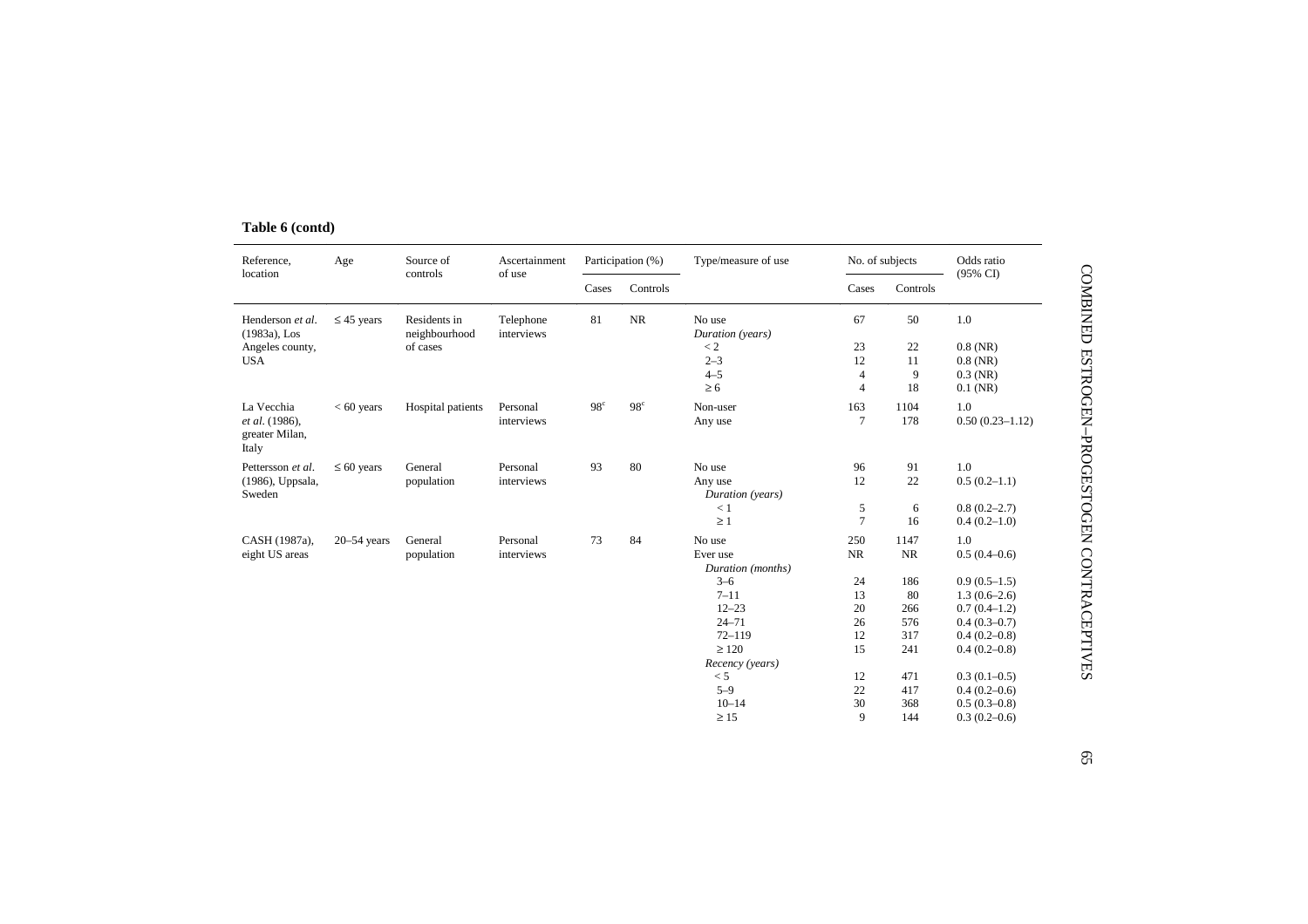# **Table 6 (contd)**

| Reference,<br>location                    | Age             | Source of<br>controls         | Ascertainment<br>of use |                 | Participation (%) | Type/measure of use           | No. of subjects |          | Odds ratio<br>(95% CI) |  |
|-------------------------------------------|-----------------|-------------------------------|-------------------------|-----------------|-------------------|-------------------------------|-----------------|----------|------------------------|--|
|                                           |                 |                               |                         | Cases           | Controls          |                               | Cases           | Controls |                        |  |
| Henderson et al.<br>$(1983a)$ , Los       | $\leq$ 45 years | Residents in<br>neighbourhood | Telephone<br>interviews | 81              | NR                | No use<br>Duration (years)    | 67              | 50       | 1.0                    |  |
| Angeles county,                           |                 | of cases                      |                         |                 |                   | $\lt 2$                       | 23              | 22       | $0.8$ (NR)             |  |
| <b>USA</b>                                |                 |                               |                         |                 |                   | $2 - 3$                       | 12              | 11       | $0.8$ (NR)             |  |
|                                           |                 |                               |                         |                 |                   | $4 - 5$                       | $\overline{4}$  | 9        | $0.3$ (NR)             |  |
|                                           |                 |                               |                         |                 |                   | $\geq 6$                      | $\overline{4}$  | 18       | $0.1$ (NR)             |  |
| La Vecchia                                | $< 60$ years    | Hospital patients             | Personal                | 98 <sup>c</sup> | 98 <sup>c</sup>   | Non-user                      | 163             | 1104     | 1.0                    |  |
| et al. (1986),<br>greater Milan,<br>Italy |                 |                               | interviews              |                 |                   | Any use                       | $7\phantom{.0}$ | 178      | $0.50(0.23 - 1.12)$    |  |
| Pettersson et al.                         | $\leq 60$ years | General                       | Personal                | 93              | 80                | No use                        | 96              | 91       | 1.0                    |  |
| (1986), Uppsala,<br>Sweden                |                 | population                    | interviews              |                 |                   | Any use<br>Duration (years)   | 12              | 22       | $0.5(0.2-1.1)$         |  |
|                                           |                 |                               |                         |                 |                   | <1                            | 5               | 6        | $0.8(0.2-2.7)$         |  |
|                                           |                 |                               |                         |                 |                   | $\geq 1$                      | $\overline{7}$  | 16       | $0.4(0.2-1.0)$         |  |
| CASH (1987a),                             | $20 - 54$ years | General                       | Personal                | 73              | 84                | No use                        | 250             | 1147     | 1.0                    |  |
| eight US areas                            |                 | population                    | interviews              |                 |                   | Ever use<br>Duration (months) | NR              | NR       | $0.5(0.4-0.6)$         |  |
|                                           |                 |                               |                         |                 |                   | $3 - 6$                       | 24              | 186      | $0.9(0.5-1.5)$         |  |
|                                           |                 |                               |                         |                 |                   | $7 - 11$                      | 13              | 80       | $1.3(0.6-2.6)$         |  |
|                                           |                 |                               |                         |                 |                   | $12 - 23$                     | 20              | 266      | $0.7(0.4-1.2)$         |  |
|                                           |                 |                               |                         |                 |                   | $24 - 71$                     | 26              | 576      | $0.4(0.3-0.7)$         |  |
|                                           |                 |                               |                         |                 |                   | $72 - 119$                    | 12              | 317      | $0.4(0.2-0.8)$         |  |
|                                           |                 |                               |                         |                 |                   | $\geq 120$                    | 15              | 241      | $0.4(0.2-0.8)$         |  |
|                                           |                 |                               |                         |                 |                   | Recency (years)               |                 |          |                        |  |
|                                           |                 |                               |                         |                 |                   | < 5                           | 12              | 471      | $0.3(0.1-0.5)$         |  |
|                                           |                 |                               |                         |                 |                   | $5 - 9$                       | 22              | 417      | $0.4(0.2-0.6)$         |  |
|                                           |                 |                               |                         |                 |                   | $10 - 14$                     | 30              | 368      | $0.5(0.3-0.8)$         |  |
|                                           |                 |                               |                         |                 |                   | $\geq 15$                     | 9               | 144      | $0.3(0.2-0.6)$         |  |

65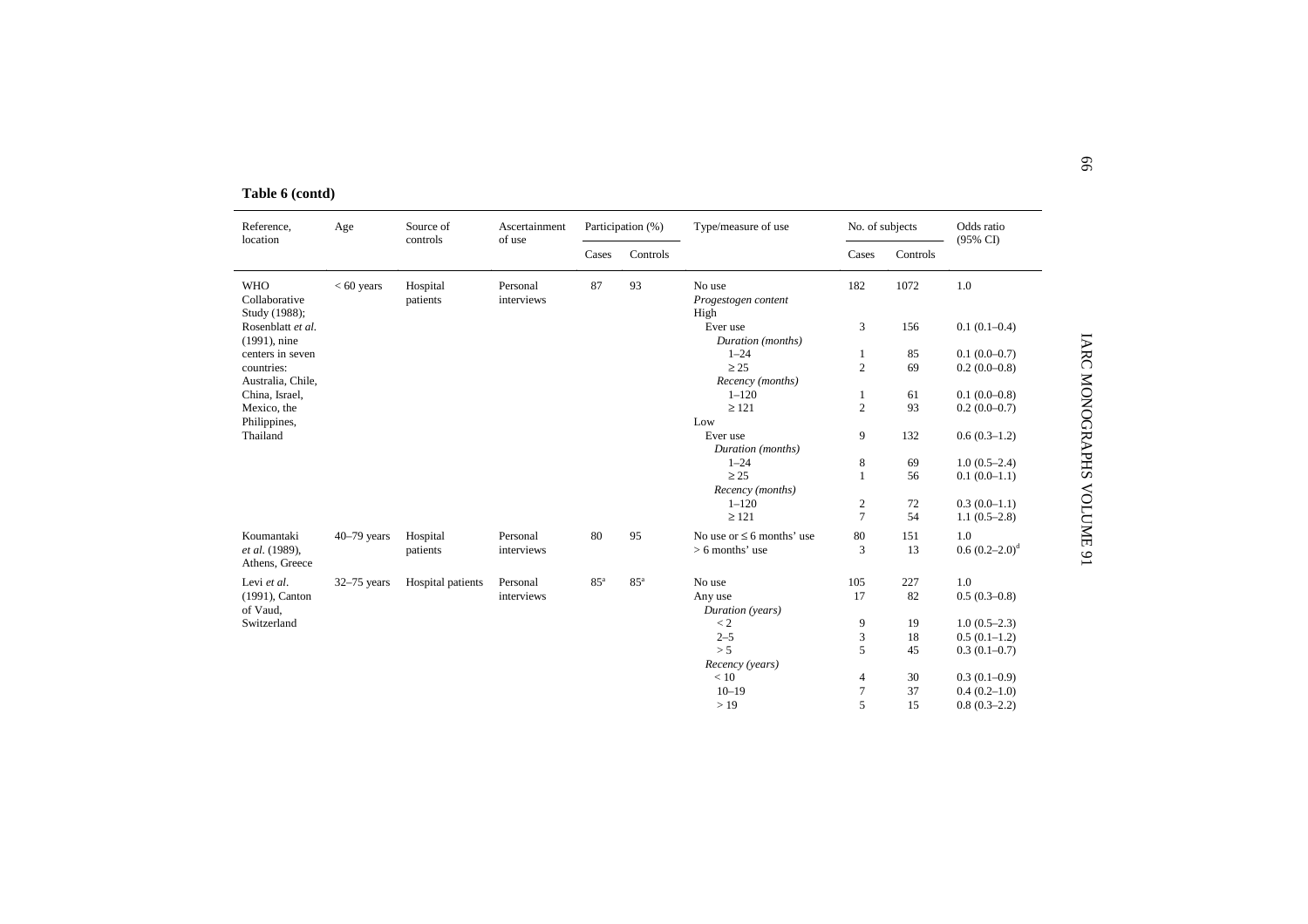|  | Table 6 (contd) |
|--|-----------------|
|  |                 |

| Table 6 (contd)                              |               |                      |                        |                   |                 |                                       |                 |          |                 |  |  |
|----------------------------------------------|---------------|----------------------|------------------------|-------------------|-----------------|---------------------------------------|-----------------|----------|-----------------|--|--|
| Reference,                                   | Age           | Source of            | Ascertainment          | Participation (%) |                 | Type/measure of use                   | No. of subjects |          | Odds ratio      |  |  |
| location                                     |               | controls             | of use                 | Cases             | Controls        |                                       | Cases           | Controls | (95% CI)        |  |  |
| <b>WHO</b><br>Collaborative<br>Study (1988); | $< 60$ years  | Hospital<br>patients | Personal<br>interviews | 87                | 93              | No use<br>Progestogen content<br>High | 182             | 1072     | 1.0             |  |  |
| Rosenblatt et al.<br>$(1991)$ , nine         |               |                      |                        |                   |                 | Ever use<br>Duration (months)         | 3               | 156      | $0.1(0.1-0.4)$  |  |  |
| centers in seven                             |               |                      |                        |                   |                 | $1 - 24$                              | 1               | 85       | $0.1(0.0-0.7)$  |  |  |
| countries:                                   |               |                      |                        |                   |                 | $\geq 25$                             | $\mathbf{2}$    | 69       | $0.2(0.0-0.8)$  |  |  |
| Australia, Chile,                            |               |                      |                        |                   |                 | Recency (months)                      |                 |          |                 |  |  |
| China, Israel,                               |               |                      |                        |                   |                 | $1 - 120$                             | 1               | 61       | $0.1(0.0-0.8)$  |  |  |
| Mexico, the                                  |               |                      |                        |                   |                 | $\geq 121$                            | $\mathbf{2}$    | 93       | $0.2(0.0-0.7)$  |  |  |
| Philippines,                                 |               |                      |                        |                   |                 | Low                                   |                 |          |                 |  |  |
| Thailand                                     |               | Ever use             | 9                      | 132               | $0.6(0.3-1.2)$  |                                       |                 |          |                 |  |  |
|                                              |               |                      |                        |                   |                 | Duration (months)                     |                 |          |                 |  |  |
|                                              |               |                      |                        |                   |                 | $1 - 24$                              | 8               | 69       | $1.0(0.5-2.4)$  |  |  |
|                                              |               |                      |                        |                   |                 | $\geq$ 25                             | $\mathbf{1}$    | 56       | $0.1(0.0-1.1)$  |  |  |
|                                              |               |                      |                        |                   |                 | Recency (months)                      |                 |          |                 |  |  |
|                                              |               |                      |                        |                   |                 | $1 - 120$                             | 2               | 72       | $0.3(0.0-1.1)$  |  |  |
|                                              |               |                      |                        |                   |                 | $\geq 121$                            | 7               | 54       | $1.1(0.5-2.8)$  |  |  |
| Koumantaki                                   | $40-79$ years | Hospital             | Personal               | 80                | 95              | No use or $\leq 6$ months' use        | 80              | 151      | 1.0             |  |  |
| et al. (1989),<br>Athens, Greece             |               | patients             | interviews             |                   |                 | $> 6$ months' use                     | 3               | 13       | $0.6(0.2-2.0)d$ |  |  |
| Levi et al.                                  | $32-75$ years | Hospital patients    | Personal               | $85^{\mathrm{a}}$ | 85 <sup>a</sup> | No use                                | 105             | 227      | 1.0             |  |  |
| (1991), Canton                               |               |                      | interviews             |                   |                 | Any use                               | 17              | 82       | $0.5(0.3-0.8)$  |  |  |
| of Vaud,                                     |               |                      |                        |                   |                 | Duration (years)                      |                 |          |                 |  |  |
| Switzerland                                  |               |                      |                        |                   |                 | $\lt 2$                               | 9               | 19       | $1.0(0.5-2.3)$  |  |  |
|                                              |               |                      |                        |                   |                 | $2 - 5$                               | 3               | 18       | $0.5(0.1-1.2)$  |  |  |
|                                              |               |                      |                        |                   |                 | > 5                                   | 5               | 45       | $0.3(0.1-0.7)$  |  |  |
|                                              |               |                      |                        |                   |                 | Recency (years)                       |                 |          |                 |  |  |
|                                              |               |                      |                        |                   |                 | < 10                                  | 4               | 30       | $0.3(0.1-0.9)$  |  |  |
|                                              |               |                      |                        |                   |                 | $10 - 19$                             | $\tau$          | 37       | $0.4(0.2-1.0)$  |  |  |
|                                              |               |                      |                        |                   |                 | >19                                   | 5               | 15       | $0.8(0.3-2.2)$  |  |  |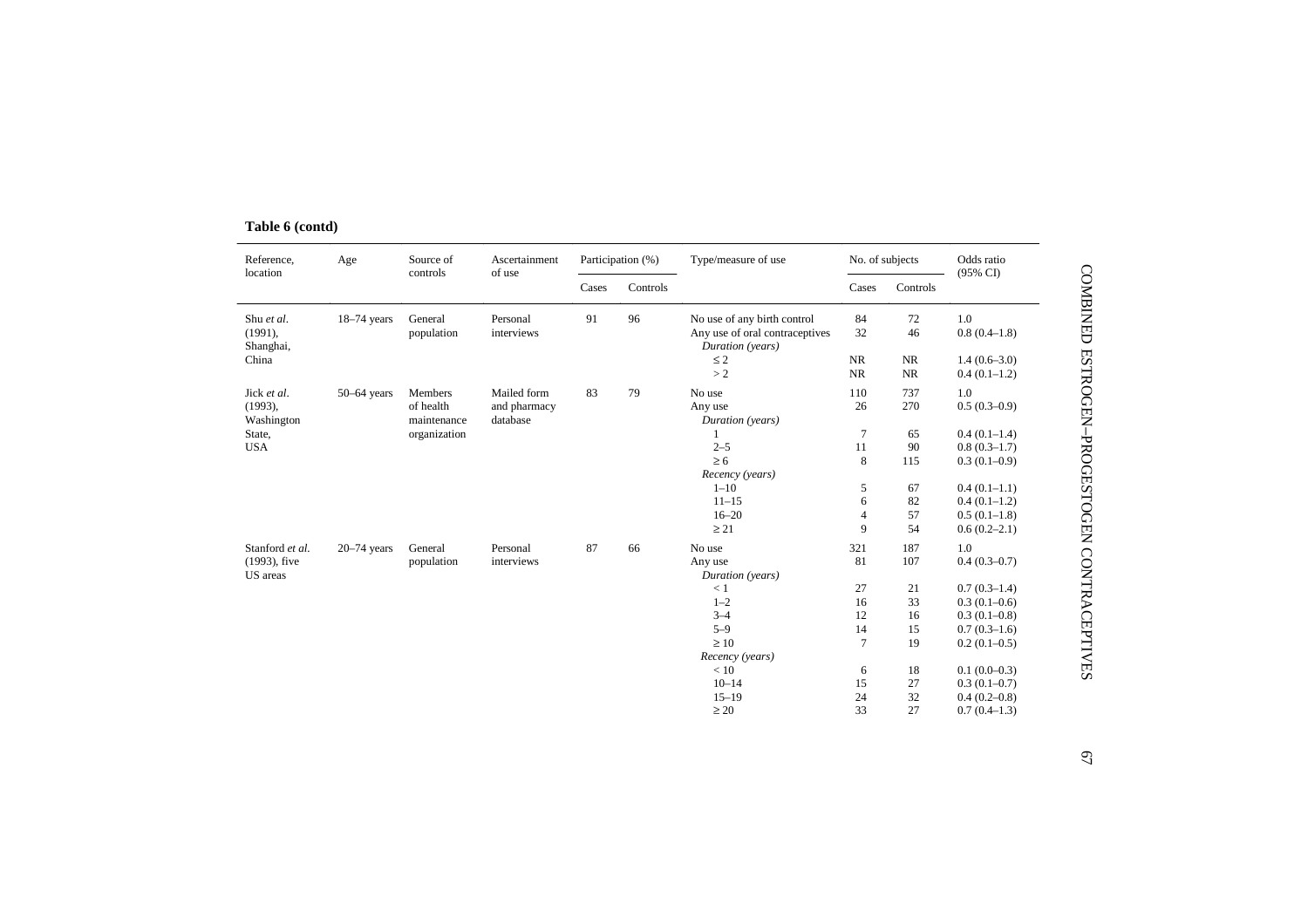# **Table 6 (contd)**

| Reference,<br>location                         | Age             | Source of<br>controls                    | Ascertainment<br>of use  | Participation (%) |          | Type/measure of use                                | No. of subjects |          | Odds ratio<br>(95% CI) |
|------------------------------------------------|-----------------|------------------------------------------|--------------------------|-------------------|----------|----------------------------------------------------|-----------------|----------|------------------------|
|                                                |                 |                                          |                          | Cases             | Controls |                                                    | Cases           | Controls |                        |
| Shu et al.                                     | $18-74$ years   | General                                  | Personal                 | 91                | 96       | No use of any birth control                        | 84              | 72       | 1.0                    |
| $(1991)$ ,<br>Shanghai,                        |                 | population                               | interviews               |                   |          | Any use of oral contraceptives<br>Duration (years) | 32              | 46       | $0.8(0.4-1.8)$         |
| China                                          |                 |                                          |                          |                   |          | $\leq$ 2                                           | NR              | NR       | $1.4(0.6-3.0)$         |
|                                                |                 |                                          |                          |                   |          | >2                                                 | NR              | NR       | $0.4(0.1-1.2)$         |
| Jick et al.                                    | $50-64$ years   | Members                                  | Mailed form              | 83                | 79       | No use                                             | 110             | 737      | 1.0                    |
| (1993),                                        |                 | of health<br>maintenance<br>organization | and pharmacy<br>database |                   |          | Any use                                            | 26              | 270      | $0.5(0.3-0.9)$         |
| Washington                                     |                 |                                          |                          |                   |          | Duration (years)                                   |                 |          |                        |
| State,                                         |                 |                                          |                          |                   |          |                                                    | $\tau$          | 65       | $0.4(0.1-1.4)$         |
| <b>USA</b>                                     |                 |                                          |                          |                   |          | $2 - 5$                                            | 11              | 90       | $0.8(0.3-1.7)$         |
|                                                |                 |                                          |                          |                   |          | $\geq 6$                                           | 8               | 115      | $0.3(0.1-0.9)$         |
|                                                |                 |                                          |                          |                   |          | Recency (years)                                    |                 |          |                        |
|                                                |                 |                                          |                          |                   |          | $1 - 10$                                           | 5               | 67       | $0.4(0.1-1.1)$         |
|                                                |                 |                                          |                          |                   |          | $11 - 15$                                          | 6               | 82       | $0.4(0.1-1.2)$         |
|                                                |                 |                                          |                          |                   |          | $16 - 20$                                          | 4               | 57       | $0.5(0.1-1.8)$         |
|                                                |                 |                                          |                          |                   |          | $\geq 21$                                          | 9               | 54       | $0.6(0.2-2.1)$         |
| Stanford et al.<br>$(1993)$ , five<br>US areas | $20 - 74$ years | General<br>population                    | Personal<br>interviews   | 87                | 66       | No use                                             | 321             | 187      | 1.0                    |
|                                                |                 |                                          |                          |                   |          | Any use                                            | 81              | 107      | $0.4(0.3-0.7)$         |
|                                                |                 |                                          |                          |                   |          | Duration (years)                                   |                 |          |                        |
|                                                |                 |                                          |                          |                   |          | < 1                                                | 27              | 21       | $0.7(0.3-1.4)$         |
|                                                |                 |                                          |                          |                   |          | $1 - 2$                                            | 16              | 33       | $0.3(0.1-0.6)$         |
|                                                |                 |                                          |                          |                   |          | $3 - 4$                                            | 12              | 16       | $0.3(0.1-0.8)$         |
|                                                |                 |                                          |                          |                   |          | $5 - 9$                                            | 14              | 15       | $0.7(0.3-1.6)$         |
|                                                |                 |                                          |                          |                   |          | $\geq 10$                                          | $\tau$          | 19       | $0.2(0.1-0.5)$         |
|                                                |                 |                                          |                          |                   |          | Recency (years)                                    |                 |          |                        |
|                                                |                 |                                          |                          |                   |          | < 10                                               | 6               | 18       | $0.1(0.0-0.3)$         |
|                                                |                 |                                          |                          |                   |          | $10 - 14$                                          | 15              | 27       | $0.3(0.1-0.7)$         |
|                                                |                 |                                          |                          |                   |          | $15 - 19$                                          | 24              | 32       | $0.4(0.2-0.8)$         |
|                                                |                 |                                          |                          |                   |          | $\geq 20$                                          | 33              | 27       | $0.7(0.4-1.3)$         |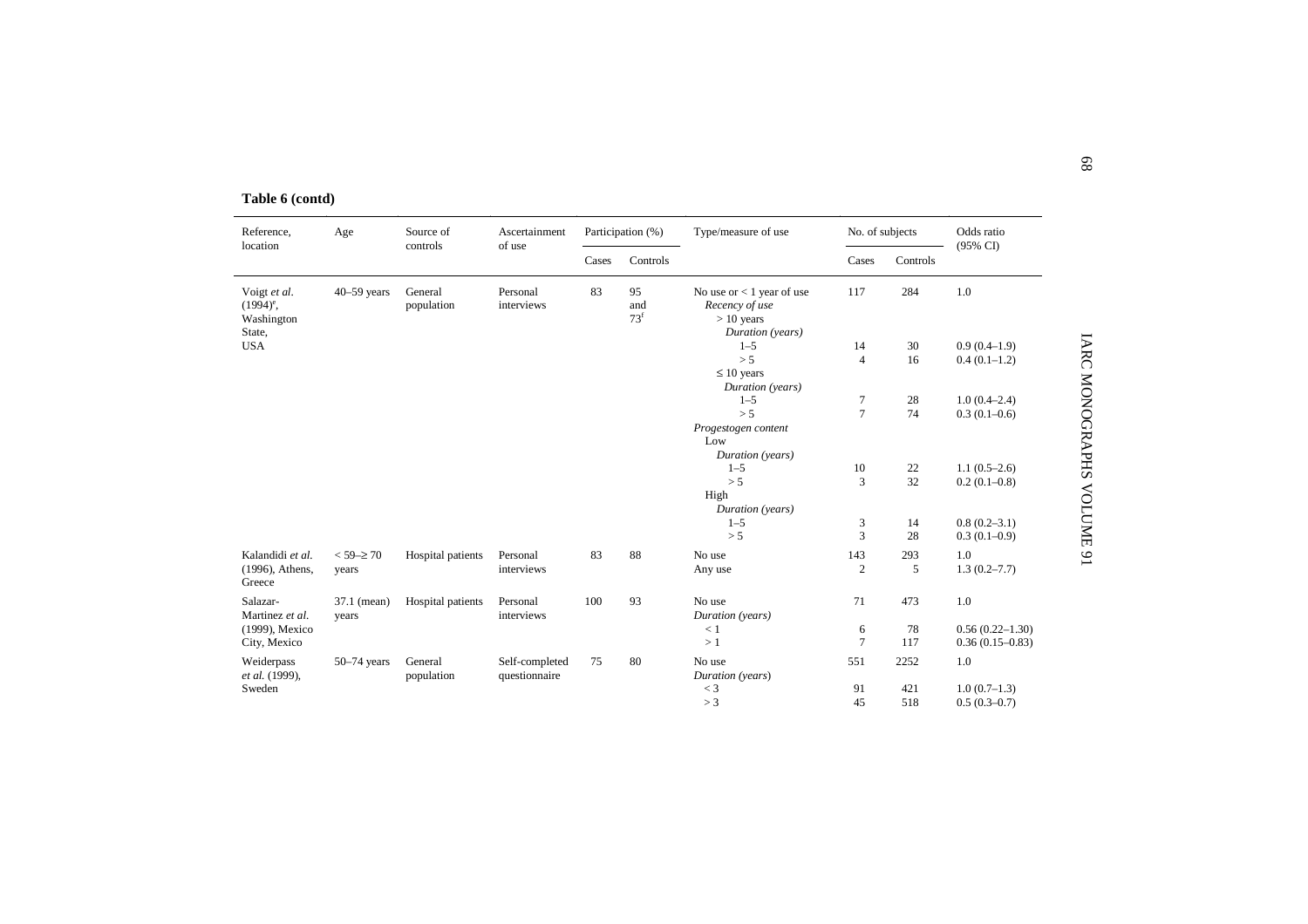| Table 6 (contd)<br>Reference,                        | Age                      | Source of             | Ascertainment                   | Type/measure of use | No. of subjects              |                                                                                   | Odds ratio           |            |                                          |
|------------------------------------------------------|--------------------------|-----------------------|---------------------------------|---------------------|------------------------------|-----------------------------------------------------------------------------------|----------------------|------------|------------------------------------------|
| location                                             | controls<br>of use       | Cases                 | Participation (%)<br>Controls   |                     | Controls<br>Cases            |                                                                                   | (95% CI)             |            |                                          |
| Voigt et al.<br>$(1994)^e$ ,<br>Washington<br>State, | $40 - 59$ years          | General<br>population | Personal<br>interviews          | 83                  | 95<br>and<br>73 <sup>f</sup> | No use or $<$ 1 year of use<br>Recency of use<br>$> 10$ years<br>Duration (years) | 117                  | 284        | 1.0                                      |
| <b>USA</b>                                           |                          |                       |                                 |                     |                              | $1 - 5$<br>> 5<br>$\leq 10$ years                                                 | 14<br>$\overline{4}$ | 30<br>16   | $0.9(0.4-1.9)$<br>$0.4(0.1-1.2)$         |
|                                                      |                          |                       |                                 |                     |                              | Duration (years)<br>$1 - 5$<br>> 5<br>Progestogen content                         | 7<br>$7\phantom{.0}$ | 28<br>74   | $1.0(0.4-2.4)$<br>$0.3(0.1-0.6)$         |
|                                                      |                          |                       |                                 |                     |                              | Low<br>Duration (years)<br>$1 - 5$<br>> 5<br>High                                 | 10<br>3              | 22<br>32   | $1.1(0.5-2.6)$<br>$0.2(0.1-0.8)$         |
|                                                      |                          |                       |                                 |                     |                              | Duration (years)<br>$1 - 5$<br>> 5                                                | 3<br>3               | 14<br>28   | $0.8(0.2 - 3.1)$<br>$0.3(0.1-0.9)$       |
| Kalandidi et al.<br>(1996), Athens,<br>Greece        | $< 59 - \ge 70$<br>years | Hospital patients     | Personal<br>interviews          | 83                  | 88                           | No use<br>Any use                                                                 | 143<br>$\sqrt{2}$    | 293<br>5   | 1.0<br>$1.3(0.2 - 7.7)$                  |
| Salazar-<br>Martinez et al.                          | 37.1 (mean)<br>years     | Hospital patients     | Personal<br>interviews          | 100                 | 93                           | No use<br>Duration (years)                                                        | 71                   | 473        | 1.0                                      |
| (1999), Mexico<br>City, Mexico                       |                          |                       |                                 |                     |                              | $\lt 1$<br>>1                                                                     | 6<br>$\overline{7}$  | 78<br>117  | $0.56(0.22 - 1.30)$<br>$0.36(0.15-0.83)$ |
| Weiderpass<br>et al. (1999),                         | 50-74 years              | General<br>population | Self-completed<br>questionnaire | 75                  | 80                           | No use<br>Duration (years)                                                        | 551                  | 2252       | 1.0                                      |
| Sweden                                               |                          |                       |                                 |                     |                              | $<$ 3<br>> 3                                                                      | 91<br>45             | 421<br>518 | $1.0(0.7-1.3)$<br>$0.5(0.3-0.7)$         |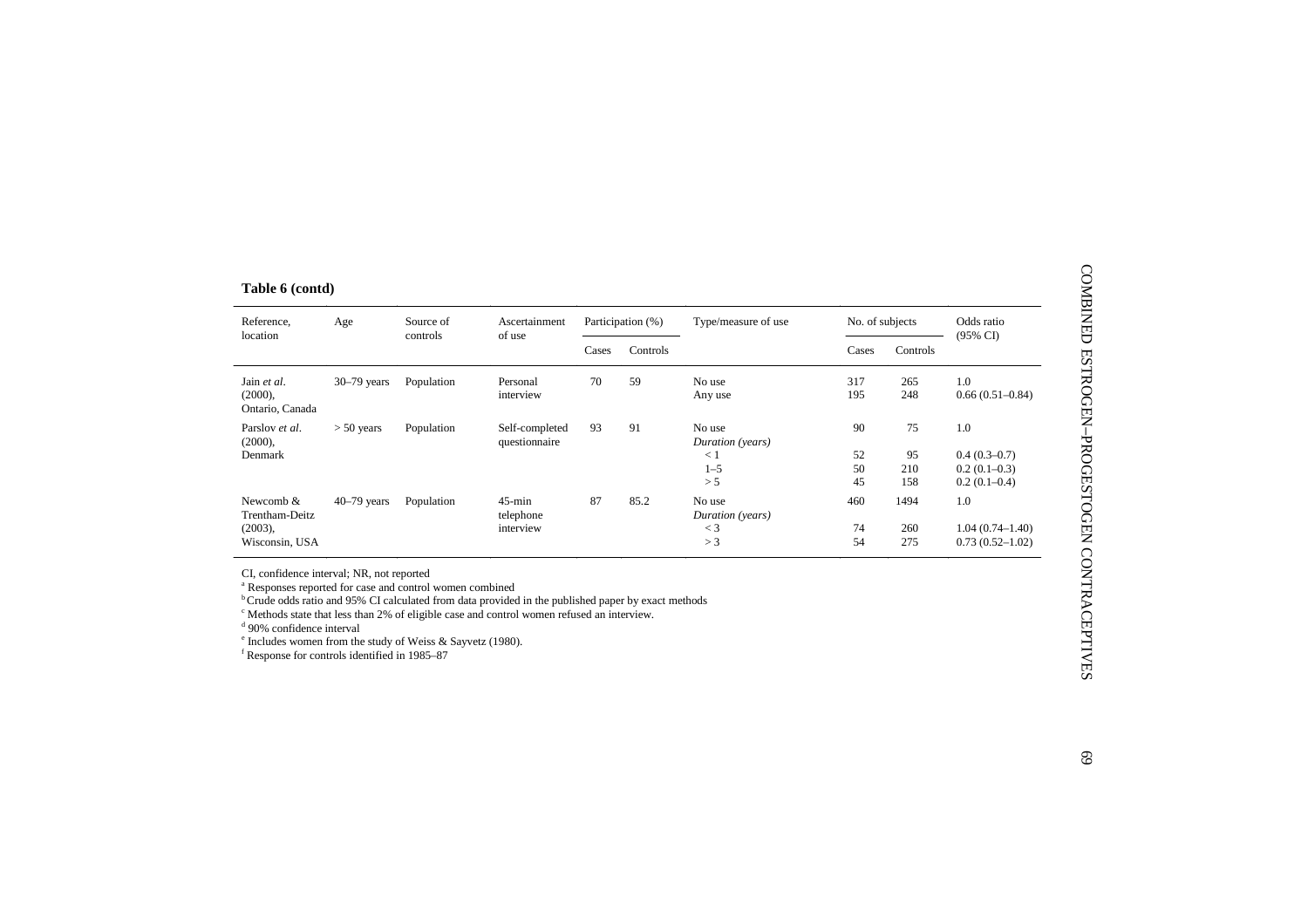# **Table 6 (contd)**

| Reference,<br>location                                      | Age           | Source of<br>controls | Ascertainment<br>of use             | Participation (%) |          | Type/measure of use                                      | No. of subjects      |                        | Odds ratio<br>(95% CI)                                    |
|-------------------------------------------------------------|---------------|-----------------------|-------------------------------------|-------------------|----------|----------------------------------------------------------|----------------------|------------------------|-----------------------------------------------------------|
|                                                             |               |                       |                                     | Cases             | Controls |                                                          | Cases                | Controls               |                                                           |
| Jain et al.<br>(2000),<br>Ontario, Canada                   | $30-79$ years | Population            | Personal<br>interview               | 70                | 59       | No use<br>Any use                                        | 317<br>195           | 265<br>248             | 1.0<br>$0.66(0.51-0.84)$                                  |
| Parslov et al.<br>(2000),<br>Denmark                        | $> 50$ years  | Population            | Self-completed<br>questionnaire     | 93                | 91       | No use<br>Duration (years)<br>$\leq 1$<br>$1 - 5$<br>> 5 | 90<br>52<br>50<br>45 | 75<br>95<br>210<br>158 | 1.0<br>$0.4(0.3-0.7)$<br>$0.2(0.1-0.3)$<br>$0.2(0.1-0.4)$ |
| Newcomb &<br>Trentham-Deitz<br>$(2003)$ ,<br>Wisconsin, USA | $40-79$ years | Population            | $45$ -min<br>telephone<br>interview | 87                | 85.2     | No use<br>Duration (years)<br>$\lt$ 3<br>> 3             | 460<br>74<br>54      | 1494<br>260<br>275     | 1.0<br>$1.04(0.74 - 1.40)$<br>$0.73(0.52 - 1.02)$         |

CI, confidence interval; NR, not reported

<sup>a</sup> Responses reported for case and control women combined

<sup>b</sup> Crude odds ratio and 95% CI calculated from data provided in the published paper by exact methods

c Methods state that less than 2% of eligible case and control women refused an interview.

<sup>d</sup> 90% confidence interval

<sup>e</sup> Includes women from the study of Weiss & Sayvetz (1980).

f Response for controls identified in 1985–87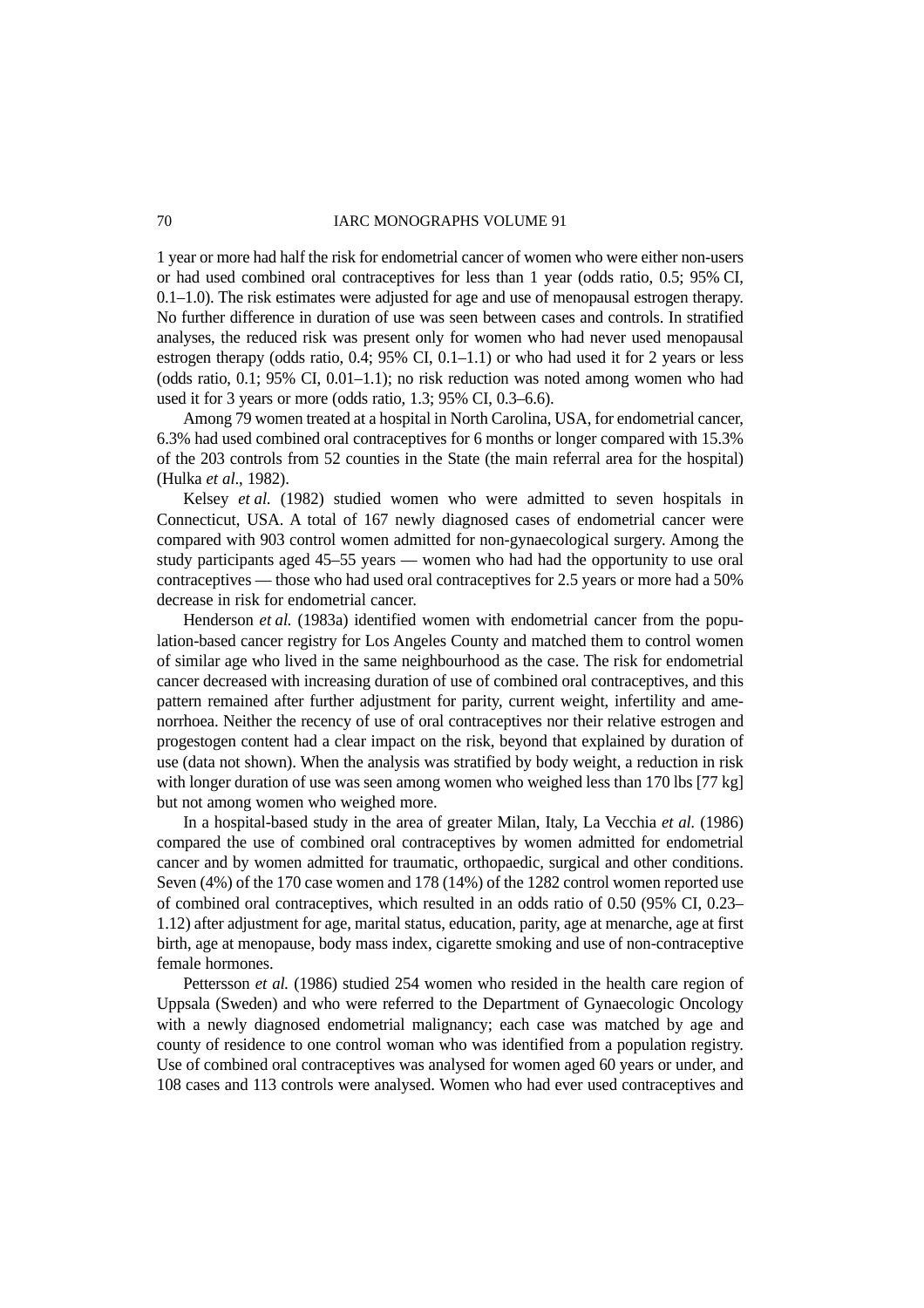1 year or more had half the risk for endometrial cancer of women who were either non-users or had used combined oral contraceptives for less than 1 year (odds ratio, 0.5; 95% CI, 0.1–1.0). The risk estimates were adjusted for age and use of menopausal estrogen therapy. No further difference in duration of use was seen between cases and controls. In stratified analyses, the reduced risk was present only for women who had never used menopausal estrogen therapy (odds ratio, 0.4; 95% CI, 0.1–1.1) or who had used it for 2 years or less (odds ratio, 0.1; 95% CI, 0.01–1.1); no risk reduction was noted among women who had used it for 3 years or more (odds ratio, 1.3; 95% CI, 0.3–6.6).

Among 79 women treated at a hospital in North Carolina, USA, for endometrial cancer, 6.3% had used combined oral contraceptives for 6 months or longer compared with 15.3% of the 203 controls from 52 counties in the State (the main referral area for the hospital) (Hulka *et al*., 1982).

Kelsey *et al.* (1982) studied women who were admitted to seven hospitals in Connecticut, USA. A total of 167 newly diagnosed cases of endometrial cancer were compared with 903 control women admitted for non-gynaecological surgery. Among the study participants aged 45–55 years — women who had had the opportunity to use oral contraceptives — those who had used oral contraceptives for 2.5 years or more had a 50% decrease in risk for endometrial cancer.

Henderson *et al.* (1983a) identified women with endometrial cancer from the population-based cancer registry for Los Angeles County and matched them to control women of similar age who lived in the same neighbourhood as the case. The risk for endometrial cancer decreased with increasing duration of use of combined oral contraceptives, and this pattern remained after further adjustment for parity, current weight, infertility and amenorrhoea. Neither the recency of use of oral contraceptives nor their relative estrogen and progestogen content had a clear impact on the risk, beyond that explained by duration of use (data not shown). When the analysis was stratified by body weight, a reduction in risk with longer duration of use was seen among women who weighed less than 170 lbs [77 kg] but not among women who weighed more.

In a hospital-based study in the area of greater Milan, Italy, La Vecchia *et al.* (1986) compared the use of combined oral contraceptives by women admitted for endometrial cancer and by women admitted for traumatic, orthopaedic, surgical and other conditions. Seven (4%) of the 170 case women and 178 (14%) of the 1282 control women reported use of combined oral contraceptives, which resulted in an odds ratio of 0.50 (95% CI, 0.23– 1.12) after adjustment for age, marital status, education, parity, age at menarche, age at first birth, age at menopause, body mass index, cigarette smoking and use of non-contraceptive female hormones.

Pettersson *et al.* (1986) studied 254 women who resided in the health care region of Uppsala (Sweden) and who were referred to the Department of Gynaecologic Oncology with a newly diagnosed endometrial malignancy; each case was matched by age and county of residence to one control woman who was identified from a population registry. Use of combined oral contraceptives was analysed for women aged 60 years or under, and 108 cases and 113 controls were analysed. Women who had ever used contraceptives and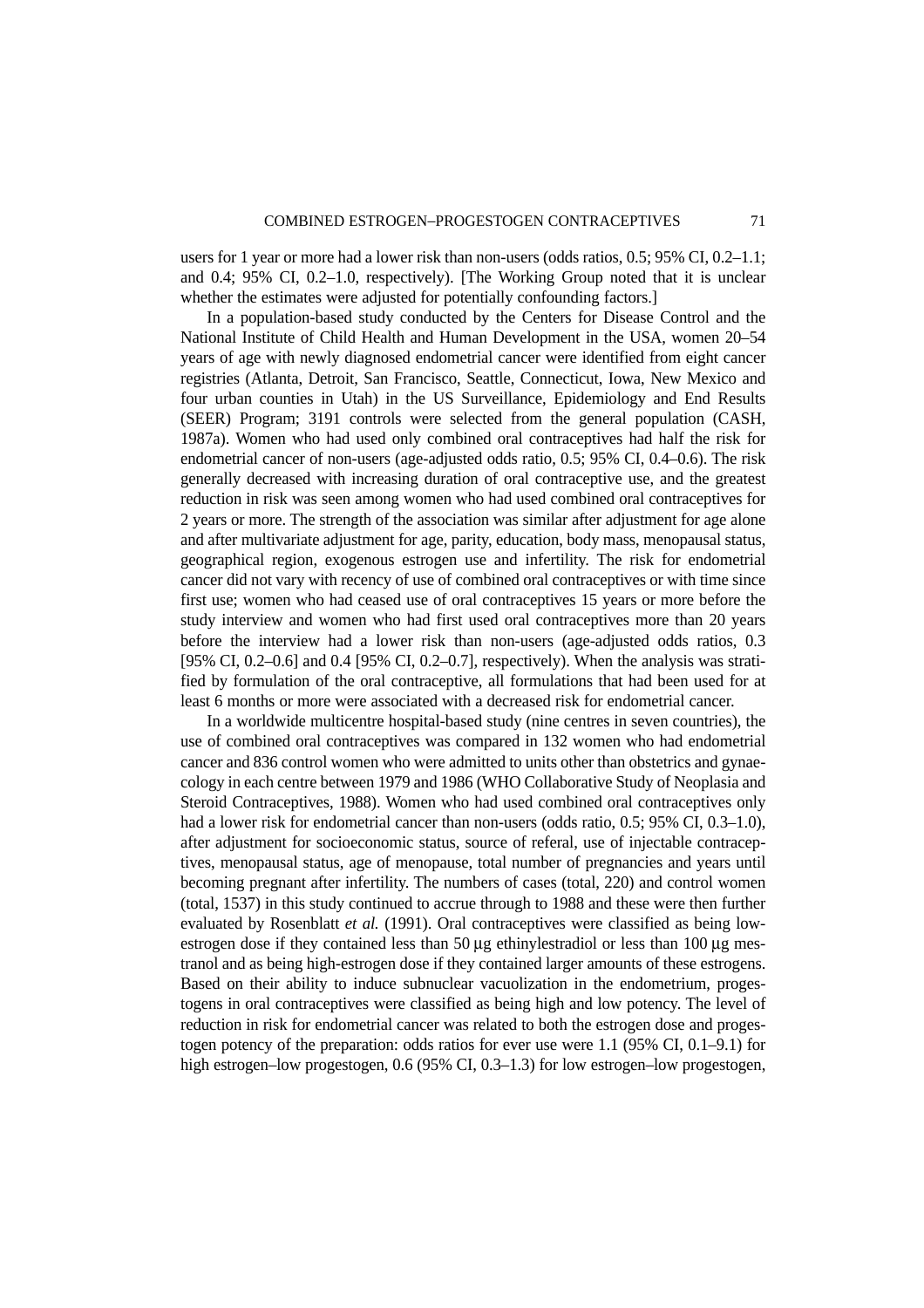users for 1 year or more had a lower risk than non-users (odds ratios, 0.5; 95% CI, 0.2–1.1; and 0.4; 95% CI, 0.2–1.0, respectively). [The Working Group noted that it is unclear whether the estimates were adjusted for potentially confounding factors.]

In a population-based study conducted by the Centers for Disease Control and the National Institute of Child Health and Human Development in the USA, women 20–54 years of age with newly diagnosed endometrial cancer were identified from eight cancer registries (Atlanta, Detroit, San Francisco, Seattle, Connecticut, Iowa, New Mexico and four urban counties in Utah) in the US Surveillance, Epidemiology and End Results (SEER) Program; 3191 controls were selected from the general population (CASH, 1987a). Women who had used only combined oral contraceptives had half the risk for endometrial cancer of non-users (age-adjusted odds ratio, 0.5; 95% CI, 0.4–0.6). The risk generally decreased with increasing duration of oral contraceptive use, and the greatest reduction in risk was seen among women who had used combined oral contraceptives for 2 years or more. The strength of the association was similar after adjustment for age alone and after multivariate adjustment for age, parity, education, body mass, menopausal status, geographical region, exogenous estrogen use and infertility. The risk for endometrial cancer did not vary with recency of use of combined oral contraceptives or with time since first use; women who had ceased use of oral contraceptives 15 years or more before the study interview and women who had first used oral contraceptives more than 20 years before the interview had a lower risk than non-users (age-adjusted odds ratios, 0.3 [95% CI, 0.2–0.6] and 0.4 [95% CI, 0.2–0.7], respectively). When the analysis was stratified by formulation of the oral contraceptive, all formulations that had been used for at least 6 months or more were associated with a decreased risk for endometrial cancer.

In a worldwide multicentre hospital-based study (nine centres in seven countries), the use of combined oral contraceptives was compared in 132 women who had endometrial cancer and 836 control women who were admitted to units other than obstetrics and gynaecology in each centre between 1979 and 1986 (WHO Collaborative Study of Neoplasia and Steroid Contraceptives, 1988). Women who had used combined oral contraceptives only had a lower risk for endometrial cancer than non-users (odds ratio, 0.5; 95% CI, 0.3–1.0), after adjustment for socioeconomic status, source of referal, use of injectable contraceptives, menopausal status, age of menopause, total number of pregnancies and years until becoming pregnant after infertility. The numbers of cases (total, 220) and control women (total, 1537) in this study continued to accrue through to 1988 and these were then further evaluated by Rosenblatt *et al.* (1991). Oral contraceptives were classified as being lowestrogen dose if they contained less than 50 μg ethinylestradiol or less than 100 μg mestranol and as being high-estrogen dose if they contained larger amounts of these estrogens. Based on their ability to induce subnuclear vacuolization in the endometrium, progestogens in oral contraceptives were classified as being high and low potency. The level of reduction in risk for endometrial cancer was related to both the estrogen dose and progestogen potency of the preparation: odds ratios for ever use were 1.1 (95% CI, 0.1–9.1) for high estrogen–low progestogen, 0.6 (95% CI, 0.3–1.3) for low estrogen–low progestogen,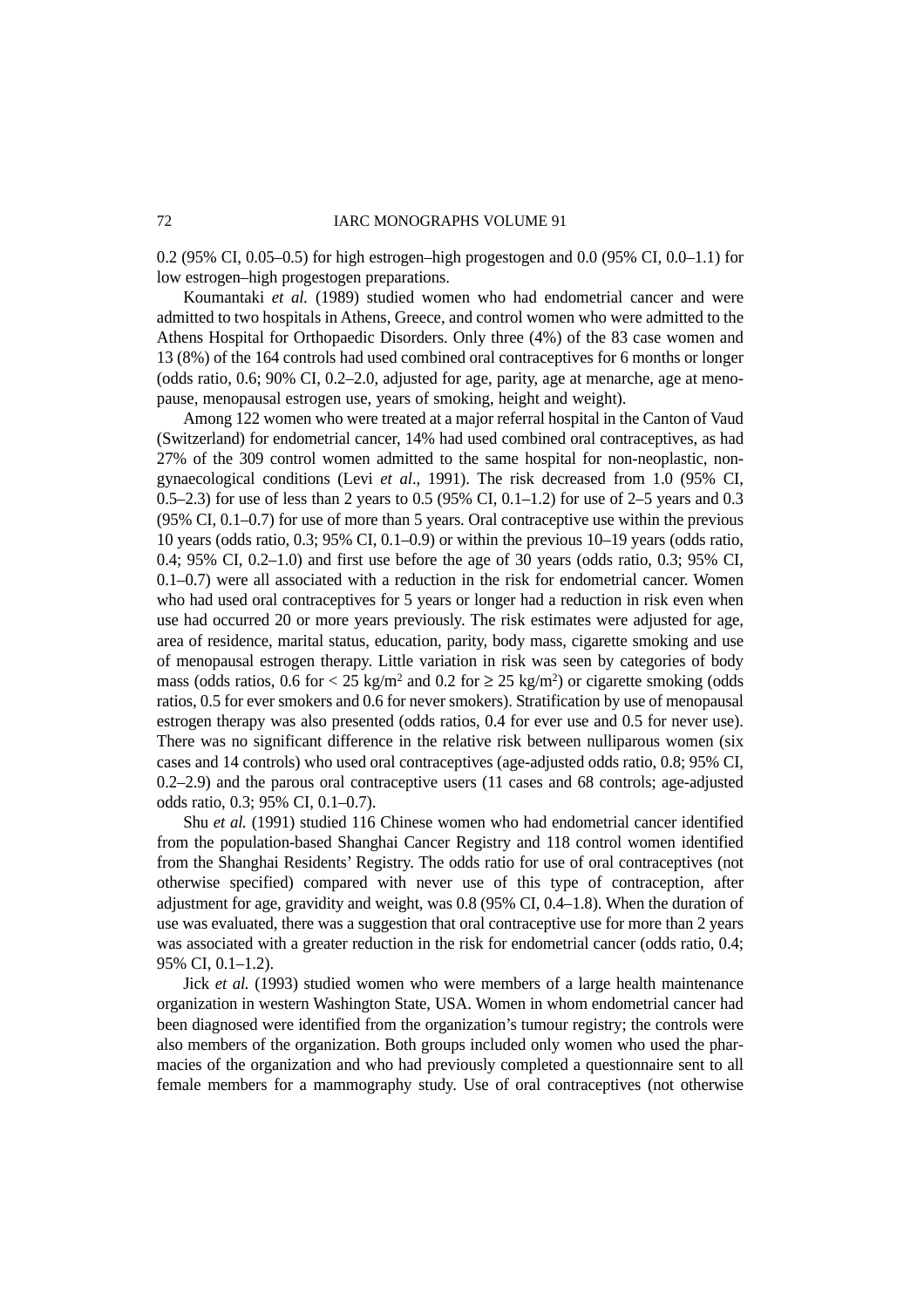0.2 (95% CI, 0.05–0.5) for high estrogen–high progestogen and 0.0 (95% CI, 0.0–1.1) for low estrogen–high progestogen preparations.

Koumantaki *et al.* (1989) studied women who had endometrial cancer and were admitted to two hospitals in Athens, Greece, and control women who were admitted to the Athens Hospital for Orthopaedic Disorders. Only three (4%) of the 83 case women and 13 (8%) of the 164 controls had used combined oral contraceptives for 6 months or longer (odds ratio, 0.6; 90% CI, 0.2–2.0, adjusted for age, parity, age at menarche, age at menopause, menopausal estrogen use, years of smoking, height and weight).

Among 122 women who were treated at a major referral hospital in the Canton of Vaud (Switzerland) for endometrial cancer, 14% had used combined oral contraceptives, as had 27% of the 309 control women admitted to the same hospital for non-neoplastic, nongynaecological conditions (Levi *et al*., 1991). The risk decreased from 1.0 (95% CI, 0.5–2.3) for use of less than 2 years to 0.5 (95% CI, 0.1–1.2) for use of 2–5 years and 0.3 (95% CI, 0.1–0.7) for use of more than 5 years. Oral contraceptive use within the previous 10 years (odds ratio, 0.3; 95% CI, 0.1–0.9) or within the previous 10–19 years (odds ratio, 0.4; 95% CI, 0.2–1.0) and first use before the age of 30 years (odds ratio, 0.3; 95% CI, 0.1–0.7) were all associated with a reduction in the risk for endometrial cancer. Women who had used oral contraceptives for 5 years or longer had a reduction in risk even when use had occurred 20 or more years previously. The risk estimates were adjusted for age, area of residence, marital status, education, parity, body mass, cigarette smoking and use of menopausal estrogen therapy. Little variation in risk was seen by categories of body mass (odds ratios, 0.6 for  $\lt 25$  kg/m<sup>2</sup> and 0.2 for  $\ge 25$  kg/m<sup>2</sup>) or cigarette smoking (odds ratios, 0.5 for ever smokers and 0.6 for never smokers). Stratification by use of menopausal estrogen therapy was also presented (odds ratios, 0.4 for ever use and 0.5 for never use). There was no significant difference in the relative risk between nulliparous women (six cases and 14 controls) who used oral contraceptives (age-adjusted odds ratio, 0.8; 95% CI, 0.2–2.9) and the parous oral contraceptive users (11 cases and 68 controls; age-adjusted odds ratio, 0.3; 95% CI, 0.1–0.7).

Shu *et al.* (1991) studied 116 Chinese women who had endometrial cancer identified from the population-based Shanghai Cancer Registry and 118 control women identified from the Shanghai Residents' Registry. The odds ratio for use of oral contraceptives (not otherwise specified) compared with never use of this type of contraception, after adjustment for age, gravidity and weight, was 0.8 (95% CI, 0.4–1.8). When the duration of use was evaluated, there was a suggestion that oral contraceptive use for more than 2 years was associated with a greater reduction in the risk for endometrial cancer (odds ratio, 0.4; 95% CI, 0.1–1.2).

Jick *et al.* (1993) studied women who were members of a large health maintenance organization in western Washington State, USA. Women in whom endometrial cancer had been diagnosed were identified from the organization's tumour registry; the controls were also members of the organization. Both groups included only women who used the pharmacies of the organization and who had previously completed a questionnaire sent to all female members for a mammography study. Use of oral contraceptives (not otherwise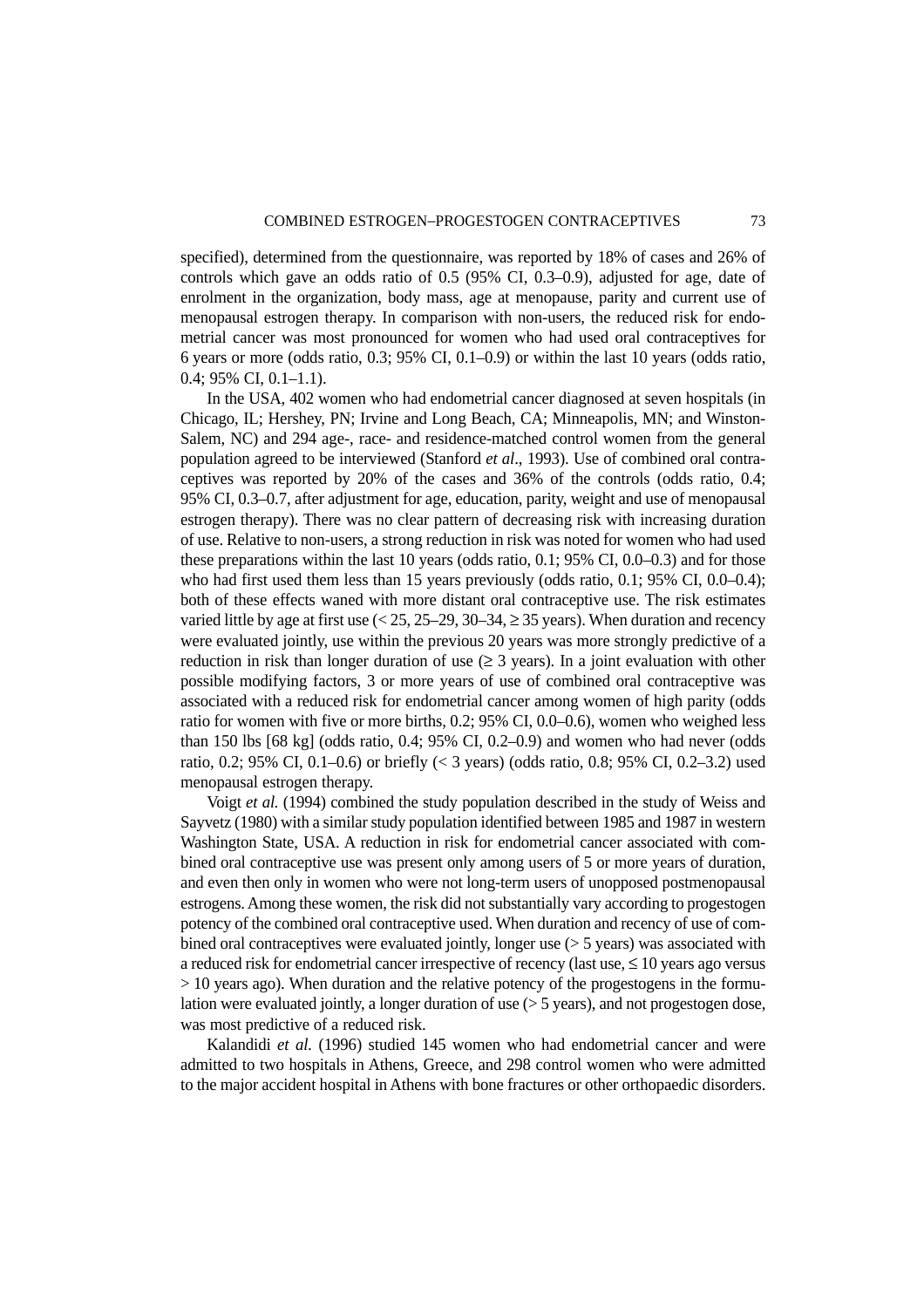specified), determined from the questionnaire, was reported by 18% of cases and 26% of controls which gave an odds ratio of 0.5 (95% CI, 0.3–0.9), adjusted for age, date of enrolment in the organization, body mass, age at menopause, parity and current use of menopausal estrogen therapy. In comparison with non-users, the reduced risk for endometrial cancer was most pronounced for women who had used oral contraceptives for 6 years or more (odds ratio, 0.3; 95% CI, 0.1–0.9) or within the last 10 years (odds ratio, 0.4; 95% CI, 0.1–1.1).

In the USA, 402 women who had endometrial cancer diagnosed at seven hospitals (in Chicago, IL; Hershey, PN; Irvine and Long Beach, CA; Minneapolis, MN; and Winston-Salem, NC) and 294 age-, race- and residence-matched control women from the general population agreed to be interviewed (Stanford *et al*., 1993). Use of combined oral contraceptives was reported by 20% of the cases and 36% of the controls (odds ratio, 0.4; 95% CI, 0.3–0.7, after adjustment for age, education, parity, weight and use of menopausal estrogen therapy). There was no clear pattern of decreasing risk with increasing duration of use. Relative to non-users, a strong reduction in risk was noted for women who had used these preparations within the last 10 years (odds ratio, 0.1; 95% CI, 0.0–0.3) and for those who had first used them less than 15 years previously (odds ratio, 0.1; 95% CI, 0.0–0.4); both of these effects waned with more distant oral contraceptive use. The risk estimates varied little by age at first use  $(25, 25-29, 30-34, \geq 35$  years). When duration and recency were evaluated jointly, use within the previous 20 years was more strongly predictive of a reduction in risk than longer duration of use  $(≥ 3 \text{ years})$ . In a joint evaluation with other possible modifying factors, 3 or more years of use of combined oral contraceptive was associated with a reduced risk for endometrial cancer among women of high parity (odds ratio for women with five or more births, 0.2; 95% CI, 0.0–0.6), women who weighed less than 150 lbs [68 kg] (odds ratio, 0.4; 95% CI, 0.2–0.9) and women who had never (odds ratio, 0.2; 95% CI, 0.1–0.6) or briefly (< 3 years) (odds ratio, 0.8; 95% CI, 0.2–3.2) used menopausal estrogen therapy.

Voigt *et al.* (1994) combined the study population described in the study of Weiss and Sayvetz (1980) with a similar study population identified between 1985 and 1987 in western Washington State, USA. A reduction in risk for endometrial cancer associated with combined oral contraceptive use was present only among users of 5 or more years of duration, and even then only in women who were not long-term users of unopposed postmenopausal estrogens. Among these women, the risk did not substantially vary according to progestogen potency of the combined oral contraceptive used. When duration and recency of use of combined oral contraceptives were evaluated jointly, longer use  $($  > 5 years) was associated with a reduced risk for endometrial cancer irrespective of recency (last use,  $\leq 10$  years ago versus  $> 10$  years ago). When duration and the relative potency of the progestogens in the formulation were evaluated jointly, a longer duration of use (> 5 years), and not progestogen dose, was most predictive of a reduced risk.

Kalandidi *et al.* (1996) studied 145 women who had endometrial cancer and were admitted to two hospitals in Athens, Greece, and 298 control women who were admitted to the major accident hospital in Athens with bone fractures or other orthopaedic disorders.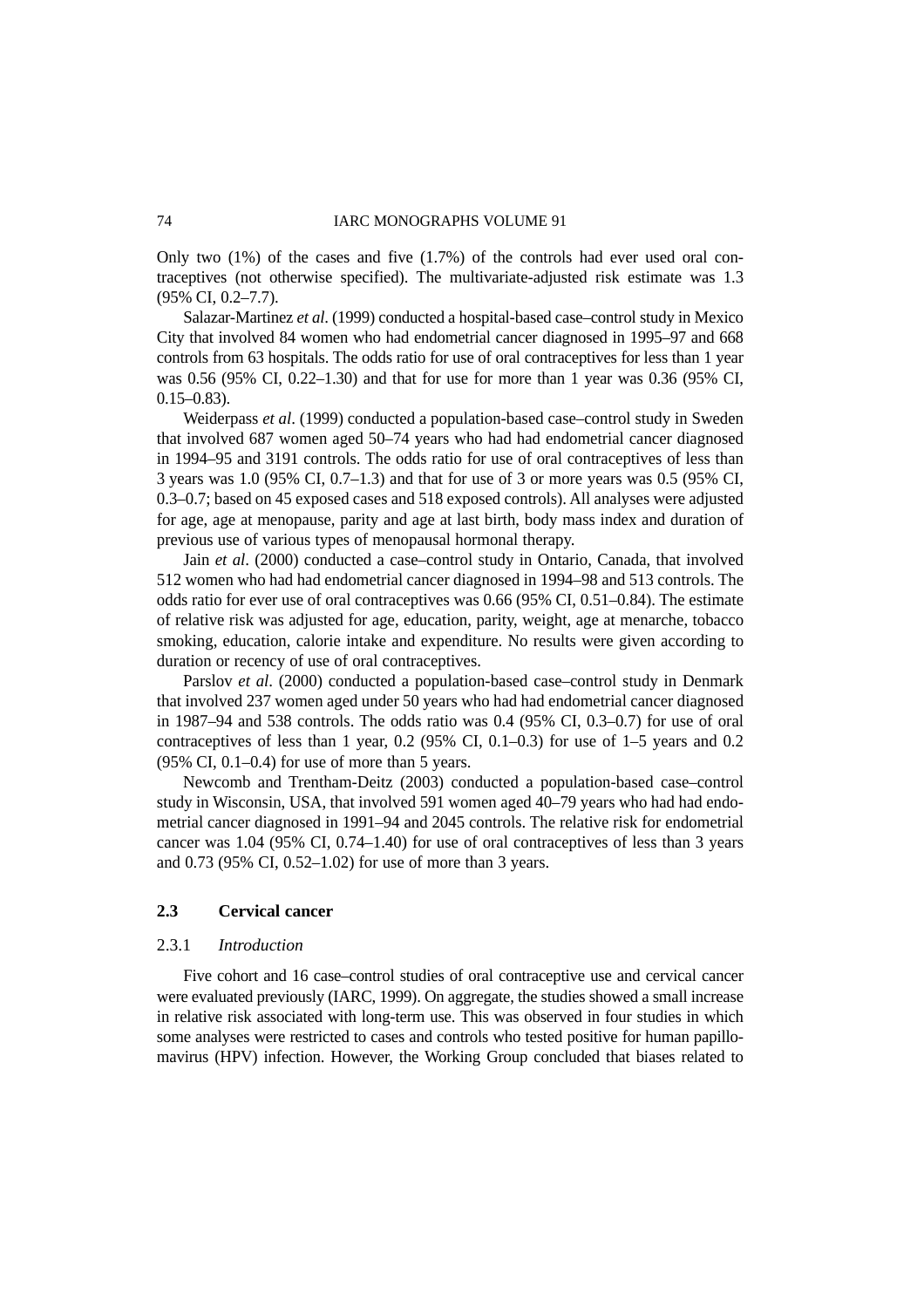Only two  $(1\%)$  of the cases and five  $(1.7\%)$  of the controls had ever used oral contraceptives (not otherwise specified). The multivariate-adjusted risk estimate was 1.3 (95% CI, 0.2–7.7).

Salazar-Martinez *et al*. (1999) conducted a hospital-based case–control study in Mexico City that involved 84 women who had endometrial cancer diagnosed in 1995–97 and 668 controls from 63 hospitals. The odds ratio for use of oral contraceptives for less than 1 year was 0.56 (95% CI, 0.22–1.30) and that for use for more than 1 year was 0.36 (95% CI, 0.15–0.83).

Weiderpass *et al*. (1999) conducted a population-based case–control study in Sweden that involved 687 women aged 50–74 years who had had endometrial cancer diagnosed in 1994–95 and 3191 controls. The odds ratio for use of oral contraceptives of less than 3 years was 1.0 (95% CI,  $0.7-1.3$ ) and that for use of 3 or more years was 0.5 (95% CI, 0.3–0.7; based on 45 exposed cases and 518 exposed controls). All analyses were adjusted for age, age at menopause, parity and age at last birth, body mass index and duration of previous use of various types of menopausal hormonal therapy.

Jain *et al*. (2000) conducted a case–control study in Ontario, Canada, that involved 512 women who had had endometrial cancer diagnosed in 1994–98 and 513 controls. The odds ratio for ever use of oral contraceptives was 0.66 (95% CI, 0.51–0.84). The estimate of relative risk was adjusted for age, education, parity, weight, age at menarche, tobacco smoking, education, calorie intake and expenditure. No results were given according to duration or recency of use of oral contraceptives.

Parslov *et al.* (2000) conducted a population-based case–control study in Denmark that involved 237 women aged under 50 years who had had endometrial cancer diagnosed in 1987–94 and 538 controls. The odds ratio was 0.4 (95% CI, 0.3–0.7) for use of oral contraceptives of less than 1 year,  $0.2$  (95% CI,  $0.1-0.3$ ) for use of  $1-5$  years and  $0.2$  $(95\% \text{ CI}, 0.1-0.4)$  for use of more than 5 years.

Newcomb and Trentham-Deitz (2003) conducted a population-based case–control study in Wisconsin, USA, that involved 591 women aged 40–79 years who had had endometrial cancer diagnosed in 1991–94 and 2045 controls. The relative risk for endometrial cancer was 1.04 (95% CI, 0.74–1.40) for use of oral contraceptives of less than 3 years and 0.73 (95% CI, 0.52–1.02) for use of more than 3 years.

# **2.3 Cervical cancer**

### 2.3.1 *Introduction*

Five cohort and 16 case–control studies of oral contraceptive use and cervical cancer were evaluated previously (IARC, 1999). On aggregate, the studies showed a small increase in relative risk associated with long-term use. This was observed in four studies in which some analyses were restricted to cases and controls who tested positive for human papillomavirus (HPV) infection. However, the Working Group concluded that biases related to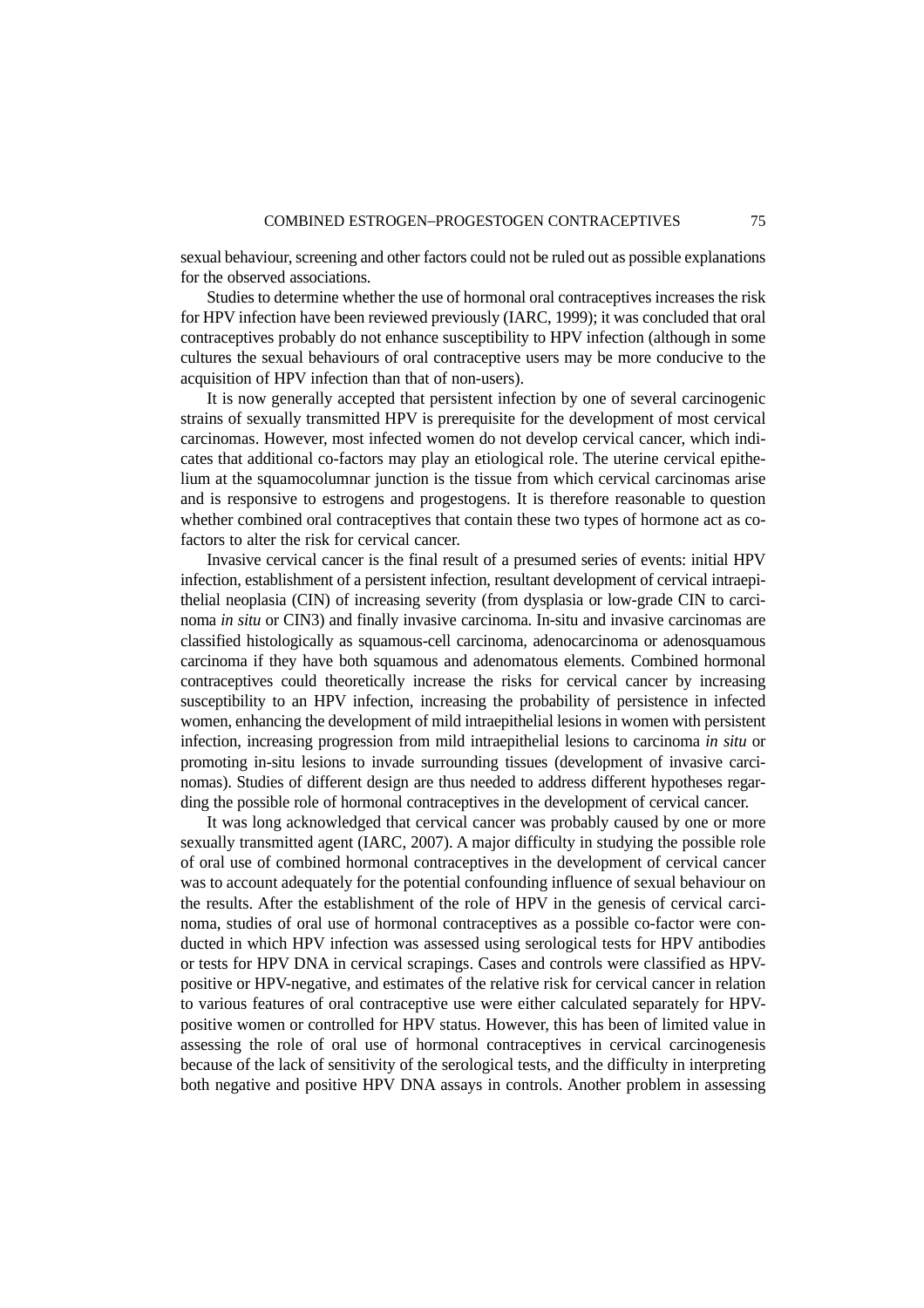sexual behaviour, screening and other factors could not be ruled out as possible explanations for the observed associations.

Studies to determine whether the use of hormonal oral contraceptives increases the risk for HPV infection have been reviewed previously (IARC, 1999); it was concluded that oral contraceptives probably do not enhance susceptibility to HPV infection (although in some cultures the sexual behaviours of oral contraceptive users may be more conducive to the acquisition of HPV infection than that of non-users).

It is now generally accepted that persistent infection by one of several carcinogenic strains of sexually transmitted HPV is prerequisite for the development of most cervical carcinomas. However, most infected women do not develop cervical cancer, which indicates that additional co-factors may play an etiological role. The uterine cervical epithelium at the squamocolumnar junction is the tissue from which cervical carcinomas arise and is responsive to estrogens and progestogens. It is therefore reasonable to question whether combined oral contraceptives that contain these two types of hormone act as cofactors to alter the risk for cervical cancer.

Invasive cervical cancer is the final result of a presumed series of events: initial HPV infection, establishment of a persistent infection, resultant development of cervical intraepithelial neoplasia (CIN) of increasing severity (from dysplasia or low-grade CIN to carcinoma *in situ* or CIN3) and finally invasive carcinoma. In-situ and invasive carcinomas are classified histologically as squamous-cell carcinoma, adenocarcinoma or adenosquamous carcinoma if they have both squamous and adenomatous elements. Combined hormonal contraceptives could theoretically increase the risks for cervical cancer by increasing susceptibility to an HPV infection, increasing the probability of persistence in infected women, enhancing the development of mild intraepithelial lesions in women with persistent infection, increasing progression from mild intraepithelial lesions to carcinoma *in situ* or promoting in-situ lesions to invade surrounding tissues (development of invasive carcinomas). Studies of different design are thus needed to address different hypotheses regarding the possible role of hormonal contraceptives in the development of cervical cancer.

It was long acknowledged that cervical cancer was probably caused by one or more sexually transmitted agent (IARC, 2007). A major difficulty in studying the possible role of oral use of combined hormonal contraceptives in the development of cervical cancer was to account adequately for the potential confounding influence of sexual behaviour on the results. After the establishment of the role of HPV in the genesis of cervical carcinoma, studies of oral use of hormonal contraceptives as a possible co-factor were conducted in which HPV infection was assessed using serological tests for HPV antibodies or tests for HPV DNA in cervical scrapings. Cases and controls were classified as HPVpositive or HPV-negative, and estimates of the relative risk for cervical cancer in relation to various features of oral contraceptive use were either calculated separately for HPVpositive women or controlled for HPV status. However, this has been of limited value in assessing the role of oral use of hormonal contraceptives in cervical carcinogenesis because of the lack of sensitivity of the serological tests, and the difficulty in interpreting both negative and positive HPV DNA assays in controls. Another problem in assessing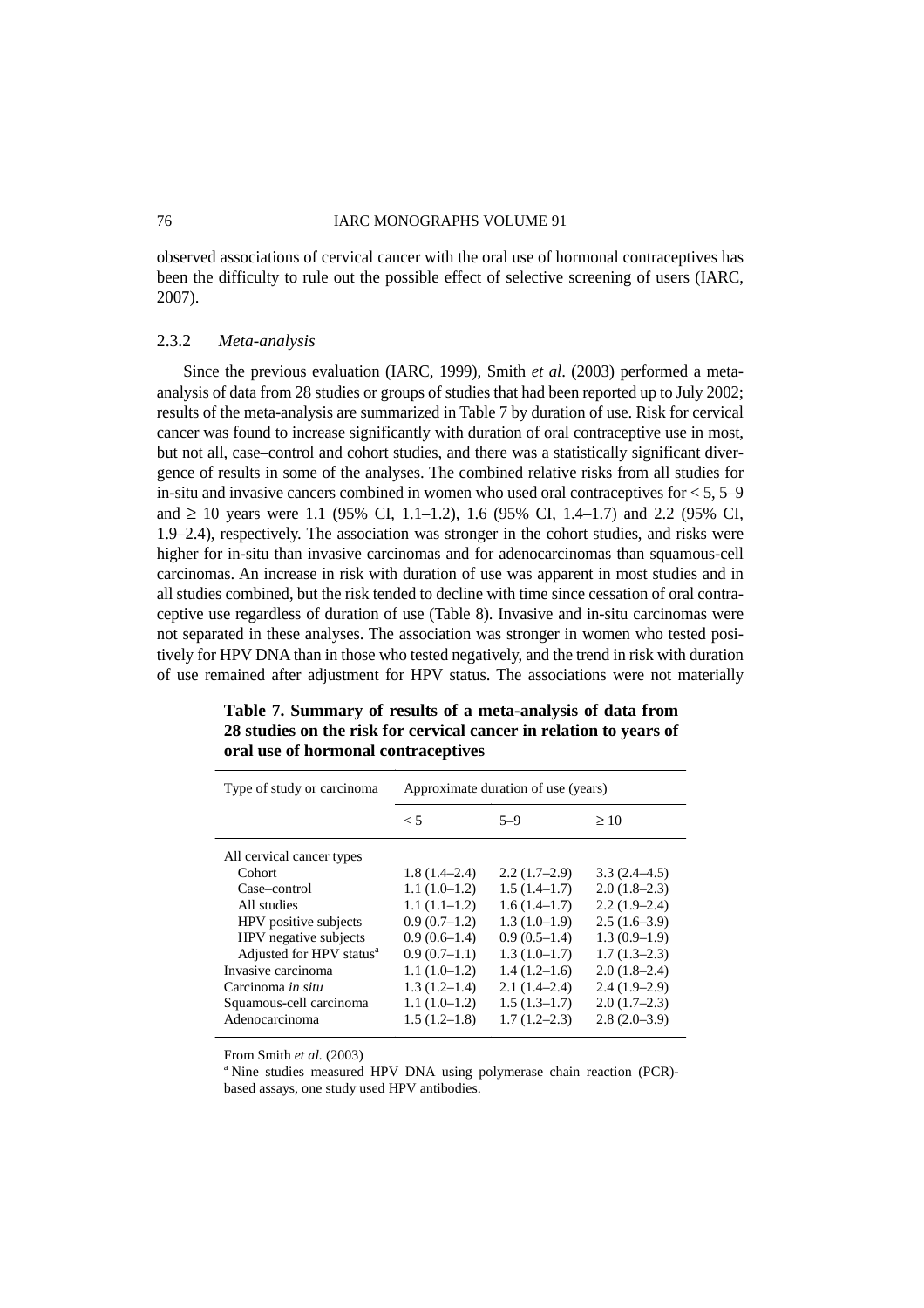observed associations of cervical cancer with the oral use of hormonal contraceptives has been the difficulty to rule out the possible effect of selective screening of users (IARC, 2007).

#### 2.3.2 *Meta-analysis*

Since the previous evaluation (IARC, 1999), Smith *et al*. (2003) performed a metaanalysis of data from 28 studies or groups of studies that had been reported up to July 2002; results of the meta-analysis are summarized in Table 7 by duration of use. Risk for cervical cancer was found to increase significantly with duration of oral contraceptive use in most, but not all, case–control and cohort studies, and there was a statistically significant divergence of results in some of the analyses. The combined relative risks from all studies for in-situ and invasive cancers combined in women who used oral contraceptives for  $\leq 5$ , 5–9 and  $\geq$  10 years were 1.1 (95% CI, 1.1–1.2), 1.6 (95% CI, 1.4–1.7) and 2.2 (95% CI, 1.9–2.4), respectively. The association was stronger in the cohort studies, and risks were higher for in-situ than invasive carcinomas and for adenocarcinomas than squamous-cell carcinomas. An increase in risk with duration of use was apparent in most studies and in all studies combined, but the risk tended to decline with time since cessation of oral contraceptive use regardless of duration of use (Table 8). Invasive and in-situ carcinomas were not separated in these analyses. The association was stronger in women who tested positively for HPV DNA than in those who tested negatively, and the trend in risk with duration of use remained after adjustment for HPV status. The associations were not materially

**Table 7. Summary of results of a meta-analysis of data from 28 studies on the risk for cervical cancer in relation to years of oral use of hormonal contraceptives**

| Type of study or carcinoma           | Approximate duration of use (years) |                |                  |  |  |  |  |
|--------------------------------------|-------------------------------------|----------------|------------------|--|--|--|--|
|                                      | < 5                                 | $5 - 9$        | $\geq 10$        |  |  |  |  |
| All cervical cancer types            |                                     |                |                  |  |  |  |  |
| Cohort                               | $1.8(1.4-2.4)$                      | $2.2(1.7-2.9)$ | $3.3(2.4 - 4.5)$ |  |  |  |  |
| Case–control                         | $1.1(1.0-1.2)$                      | $1.5(1.4-1.7)$ | $2.0(1.8-2.3)$   |  |  |  |  |
| All studies                          | $1.1(1.1-1.2)$                      | $1.6(1.4-1.7)$ | $2.2(1.9-2.4)$   |  |  |  |  |
| HPV positive subjects                | $0.9(0.7-1.2)$                      | $1.3(1.0-1.9)$ | $2.5(1.6-3.9)$   |  |  |  |  |
| HPV negative subjects                | $0.9(0.6-1.4)$                      | $0.9(0.5-1.4)$ | $1.3(0.9-1.9)$   |  |  |  |  |
| Adjusted for HPV status <sup>a</sup> | $0.9(0.7-1.1)$                      | $1.3(1.0-1.7)$ | $1.7(1.3-2.3)$   |  |  |  |  |
| Invasive carcinoma                   | $1.1(1.0-1.2)$                      | $1.4(1.2-1.6)$ | $2.0(1.8-2.4)$   |  |  |  |  |
| Carcinoma <i>in situ</i>             | $1.3(1.2-1.4)$                      | $2.1(1.4-2.4)$ | $2.4(1.9-2.9)$   |  |  |  |  |
| Squamous-cell carcinoma              | $1.1(1.0-1.2)$                      | $1.5(1.3-1.7)$ | $2.0(1.7-2.3)$   |  |  |  |  |
| Adenocarcinoma                       | $1.5(1.2-1.8)$                      | $1.7(1.2-2.3)$ | $2.8(2.0-3.9)$   |  |  |  |  |

From Smith *et al.* (2003)

<sup>a</sup> Nine studies measured HPV DNA using polymerase chain reaction (PCR)based assays, one study used HPV antibodies.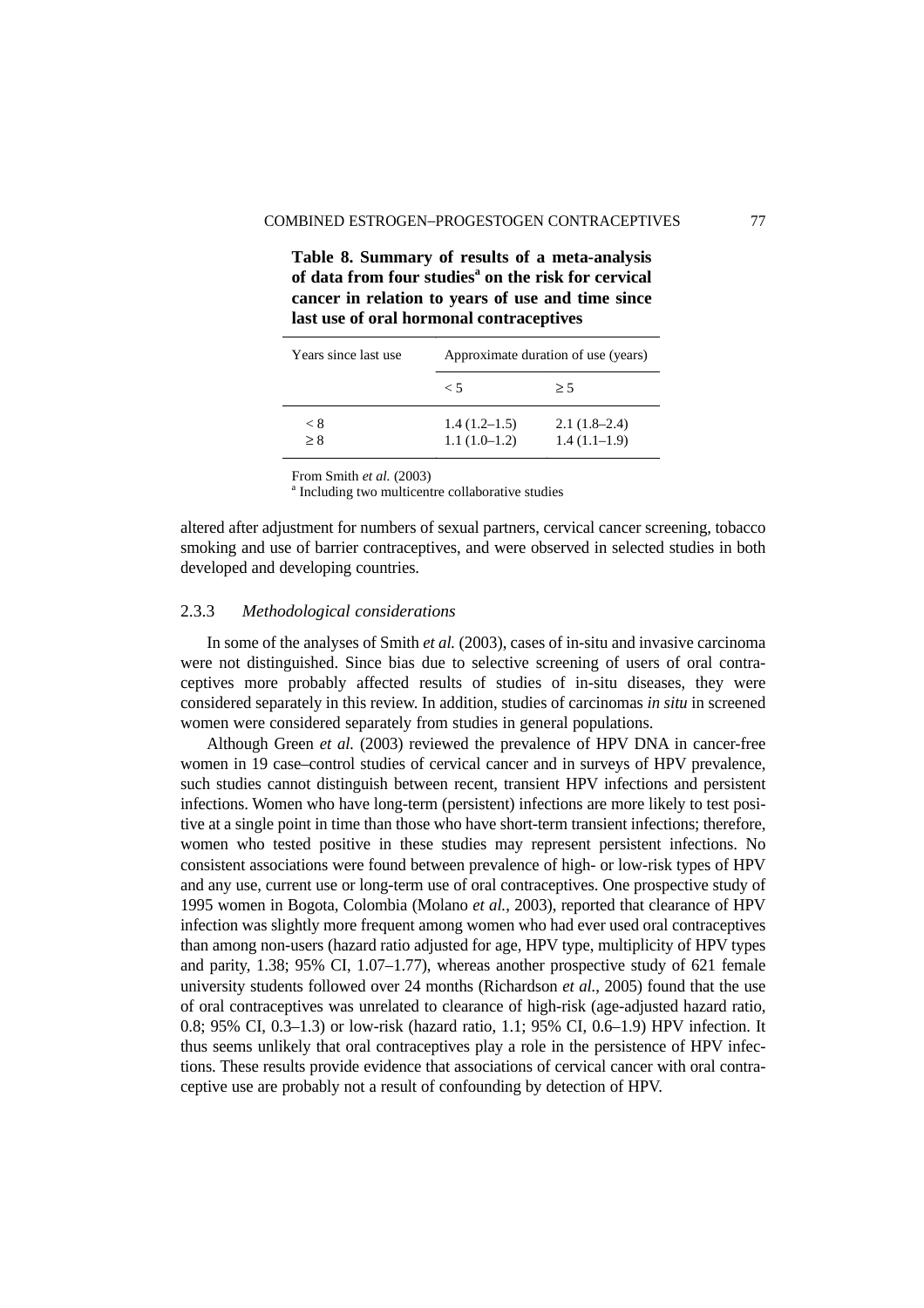### COMBINED ESTROGEN−PROGESTOGEN CONTRACEPTIVES 77

**Table 8. Summary of results of a meta-analysis of data from four studies<sup>a</sup> on the risk for cervical cancer in relation to years of use and time since last use of oral hormonal contraceptives** 

| Years since last use | Approximate duration of use (years) |                                  |  |  |
|----------------------|-------------------------------------|----------------------------------|--|--|
|                      | $\leq 5$                            | > 5                              |  |  |
| < 8<br>> 8           | $1.4(1.2-1.5)$<br>$1.1(1.0-1.2)$    | $2.1(1.8-2.4)$<br>$1.4(1.1-1.9)$ |  |  |

From Smith *et al.* (2003)

<sup>a</sup> Including two multicentre collaborative studies

altered after adjustment for numbers of sexual partners, cervical cancer screening, tobacco smoking and use of barrier contraceptives, and were observed in selected studies in both developed and developing countries.

### 2.3.3 *Methodological considerations*

In some of the analyses of Smith *et al.* (2003), cases of in-situ and invasive carcinoma were not distinguished. Since bias due to selective screening of users of oral contraceptives more probably affected results of studies of in-situ diseases, they were considered separately in this review. In addition, studies of carcinomas *in situ* in screened women were considered separately from studies in general populations.

Although Green *et al.* (2003) reviewed the prevalence of HPV DNA in cancer-free women in 19 case–control studies of cervical cancer and in surveys of HPV prevalence, such studies cannot distinguish between recent, transient HPV infections and persistent infections. Women who have long-term (persistent) infections are more likely to test positive at a single point in time than those who have short-term transient infections; therefore, women who tested positive in these studies may represent persistent infections. No consistent associations were found between prevalence of high- or low-risk types of HPV and any use, current use or long-term use of oral contraceptives. One prospective study of 1995 women in Bogota, Colombia (Molano *et al.*, 2003), reported that clearance of HPV infection was slightly more frequent among women who had ever used oral contraceptives than among non-users (hazard ratio adjusted for age, HPV type, multiplicity of HPV types and parity, 1.38; 95% CI, 1.07–1.77), whereas another prospective study of 621 female university students followed over 24 months (Richardson *et al.*, 2005) found that the use of oral contraceptives was unrelated to clearance of high-risk (age-adjusted hazard ratio, 0.8; 95% CI, 0.3–1.3) or low-risk (hazard ratio, 1.1; 95% CI, 0.6–1.9) HPV infection. It thus seems unlikely that oral contraceptives play a role in the persistence of HPV infections. These results provide evidence that associations of cervical cancer with oral contraceptive use are probably not a result of confounding by detection of HPV.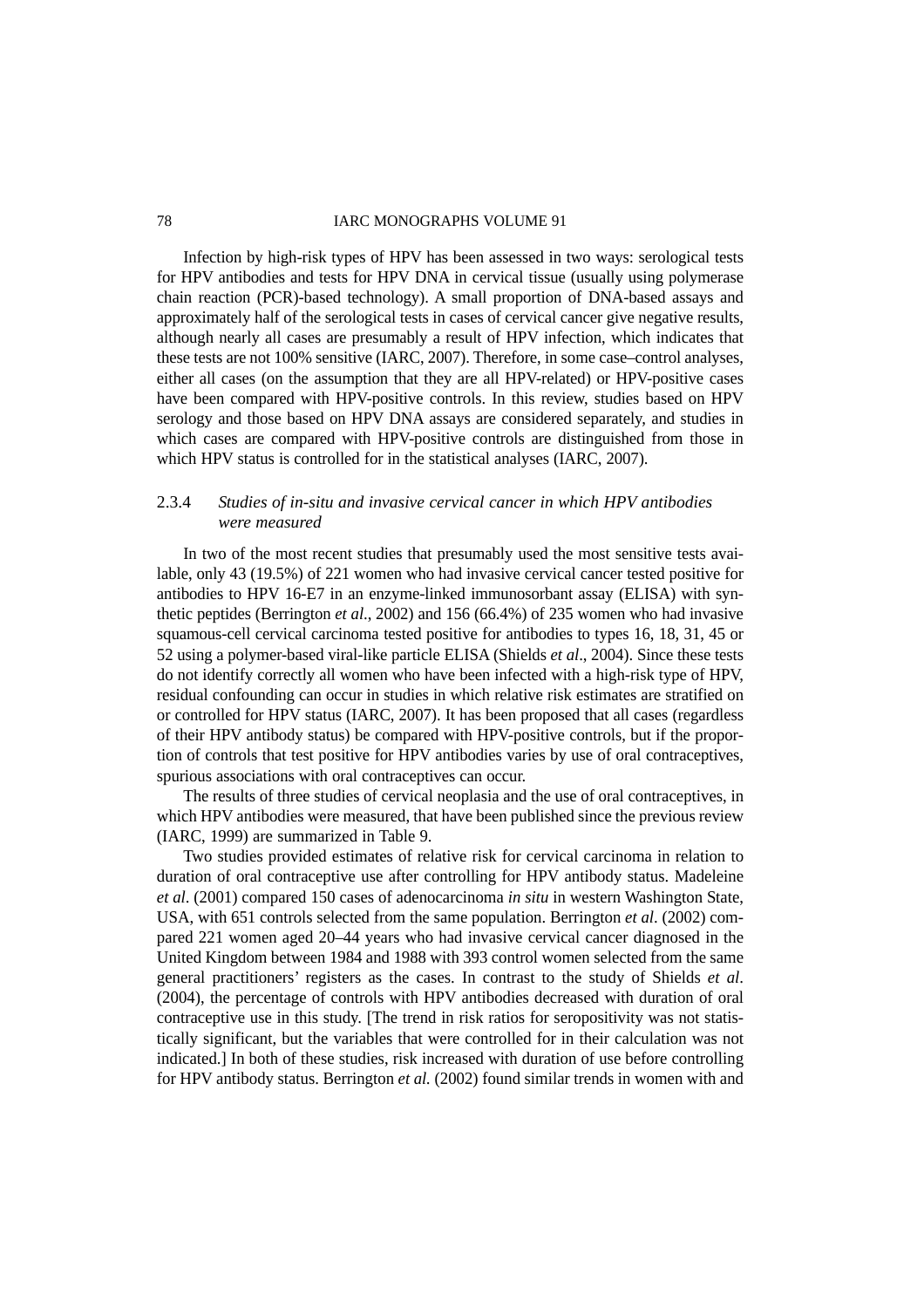Infection by high-risk types of HPV has been assessed in two ways: serological tests for HPV antibodies and tests for HPV DNA in cervical tissue (usually using polymerase chain reaction (PCR)-based technology). A small proportion of DNA-based assays and approximately half of the serological tests in cases of cervical cancer give negative results, although nearly all cases are presumably a result of HPV infection, which indicates that these tests are not 100% sensitive (IARC, 2007). Therefore, in some case–control analyses, either all cases (on the assumption that they are all HPV-related) or HPV-positive cases have been compared with HPV-positive controls. In this review, studies based on HPV serology and those based on HPV DNA assays are considered separately, and studies in which cases are compared with HPV-positive controls are distinguished from those in which HPV status is controlled for in the statistical analyses (IARC, 2007).

# 2.3.4 *Studies of in-situ and invasive cervical cancer in which HPV antibodies were measured*

In two of the most recent studies that presumably used the most sensitive tests available, only 43 (19.5%) of 221 women who had invasive cervical cancer tested positive for antibodies to HPV 16-E7 in an enzyme-linked immunosorbant assay (ELISA) with synthetic peptides (Berrington *et al*., 2002) and 156 (66.4%) of 235 women who had invasive squamous-cell cervical carcinoma tested positive for antibodies to types 16, 18, 31, 45 or 52 using a polymer-based viral-like particle ELISA (Shields *et al*., 2004). Since these tests do not identify correctly all women who have been infected with a high-risk type of HPV, residual confounding can occur in studies in which relative risk estimates are stratified on or controlled for HPV status (IARC, 2007). It has been proposed that all cases (regardless of their HPV antibody status) be compared with HPV-positive controls, but if the proportion of controls that test positive for HPV antibodies varies by use of oral contraceptives, spurious associations with oral contraceptives can occur.

The results of three studies of cervical neoplasia and the use of oral contraceptives, in which HPV antibodies were measured, that have been published since the previous review (IARC, 1999) are summarized in Table 9.

Two studies provided estimates of relative risk for cervical carcinoma in relation to duration of oral contraceptive use after controlling for HPV antibody status. Madeleine *et al*. (2001) compared 150 cases of adenocarcinoma *in situ* in western Washington State, USA, with 651 controls selected from the same population. Berrington *et al*. (2002) compared 221 women aged 20–44 years who had invasive cervical cancer diagnosed in the United Kingdom between 1984 and 1988 with 393 control women selected from the same general practitioners' registers as the cases. In contrast to the study of Shields *et al*. (2004), the percentage of controls with HPV antibodies decreased with duration of oral contraceptive use in this study. [The trend in risk ratios for seropositivity was not statistically significant, but the variables that were controlled for in their calculation was not indicated.] In both of these studies, risk increased with duration of use before controlling for HPV antibody status. Berrington *et al.* (2002) found similar trends in women with and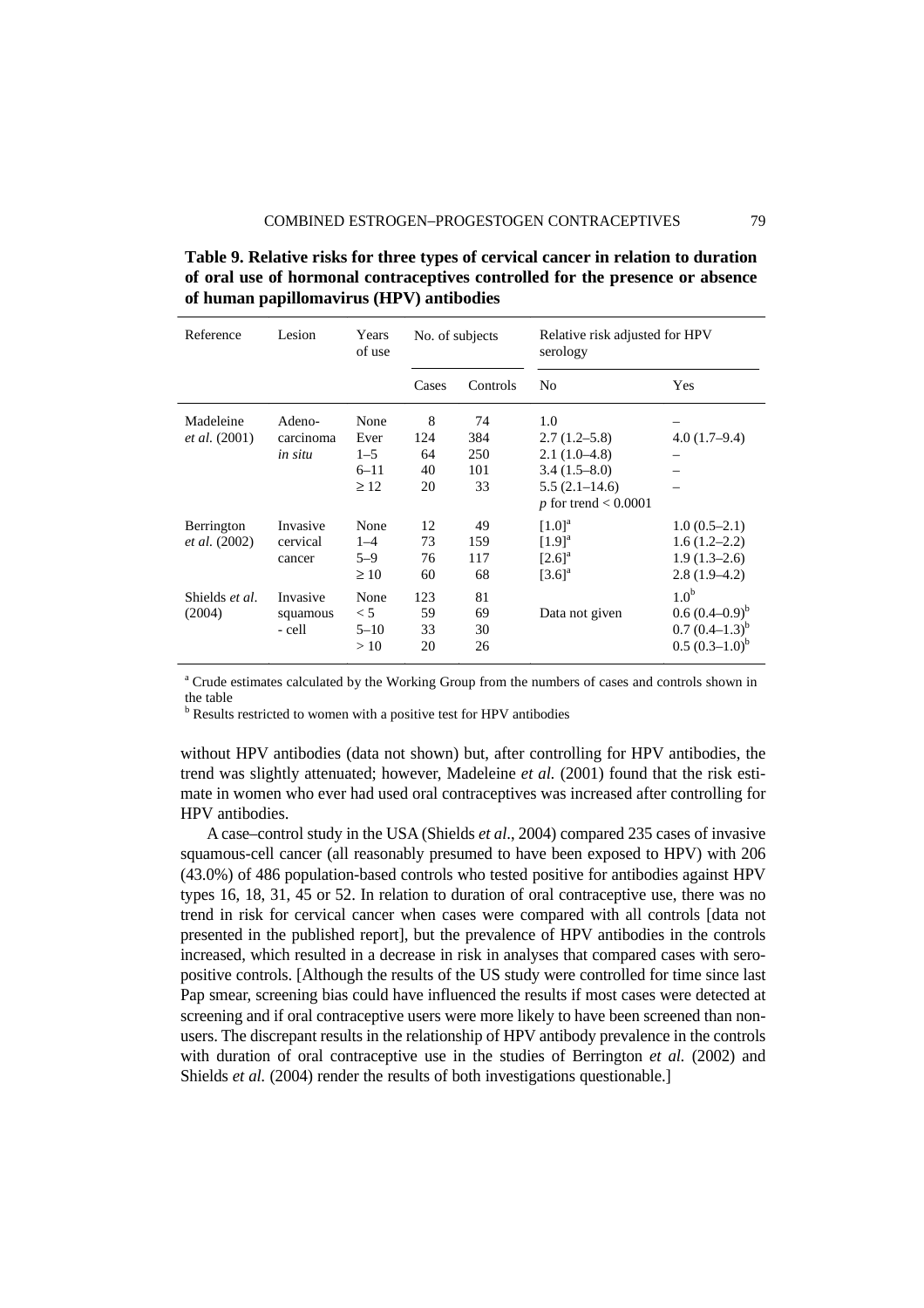**Table 9. Relative risks for three types of cervical cancer in relation to duration of oral use of hormonal contraceptives controlled for the presence or absence of human papillomavirus (HPV) antibodies** 

| Reference                          | Lesion                         | Years<br>of use                                  | No. of subjects            |                               | Relative risk adjusted for HPV<br>serology                                                             |                                                                                    |
|------------------------------------|--------------------------------|--------------------------------------------------|----------------------------|-------------------------------|--------------------------------------------------------------------------------------------------------|------------------------------------------------------------------------------------|
|                                    |                                |                                                  | Cases                      | Controls                      | No                                                                                                     | Yes                                                                                |
| Madeleine<br><i>et al.</i> (2001)  | Adeno-<br>carcinoma<br>in situ | None<br>Ever<br>$1 - 5$<br>$6 - 11$<br>$\geq$ 12 | 8<br>124<br>64<br>40<br>20 | 74<br>384<br>250<br>101<br>33 | 1.0<br>$2.7(1.2-5.8)$<br>$2.1(1.0-4.8)$<br>$3.4(1.5-8.0)$<br>$5.5(2.1-14.6)$<br>p for trend $< 0.0001$ | $4.0(1.7-9.4)$                                                                     |
| Berrington<br><i>et al.</i> (2002) | Invasive<br>cervical<br>cancer | None<br>$1 - 4$<br>$5 - 9$<br>$\geq 10$          | 12<br>73<br>76<br>60       | 49<br>159<br>117<br>68        | $[1.0]$ <sup>a</sup><br>$[1.9]$ <sup>a</sup><br>$[2.6]$ <sup>a</sup><br>$[3.6]$ <sup>a</sup>           | $1.0(0.5-2.1)$<br>$1.6(1.2-2.2)$<br>$1.9(1.3-2.6)$<br>$2.8(1.9-4.2)$               |
| Shields et al.<br>(2004)           | Invasive<br>squamous<br>- cell | None<br>$\leq 5$<br>$5 - 10$<br>>10              | 123<br>59<br>33<br>20      | 81<br>69<br>30<br>26          | Data not given                                                                                         | 1.0 <sup>b</sup><br>$0.6(0.4-0.9)^{b}$<br>$0.7(0.4-1.3)^{b}$<br>$0.5(0.3-1.0)^{b}$ |

<sup>a</sup> Crude estimates calculated by the Working Group from the numbers of cases and controls shown in the table

<sup>b</sup> Results restricted to women with a positive test for HPV antibodies

without HPV antibodies (data not shown) but, after controlling for HPV antibodies, the trend was slightly attenuated; however, Madeleine *et al.* (2001) found that the risk estimate in women who ever had used oral contraceptives was increased after controlling for HPV antibodies.

A case–control study in the USA (Shields *et al*., 2004) compared 235 cases of invasive squamous-cell cancer (all reasonably presumed to have been exposed to HPV) with 206 (43.0%) of 486 population-based controls who tested positive for antibodies against HPV types 16, 18, 31, 45 or 52. In relation to duration of oral contraceptive use, there was no trend in risk for cervical cancer when cases were compared with all controls [data not presented in the published report], but the prevalence of HPV antibodies in the controls increased, which resulted in a decrease in risk in analyses that compared cases with seropositive controls. [Although the results of the US study were controlled for time since last Pap smear, screening bias could have influenced the results if most cases were detected at screening and if oral contraceptive users were more likely to have been screened than nonusers. The discrepant results in the relationship of HPV antibody prevalence in the controls with duration of oral contraceptive use in the studies of Berrington *et al.* (2002) and Shields *et al.* (2004) render the results of both investigations questionable.]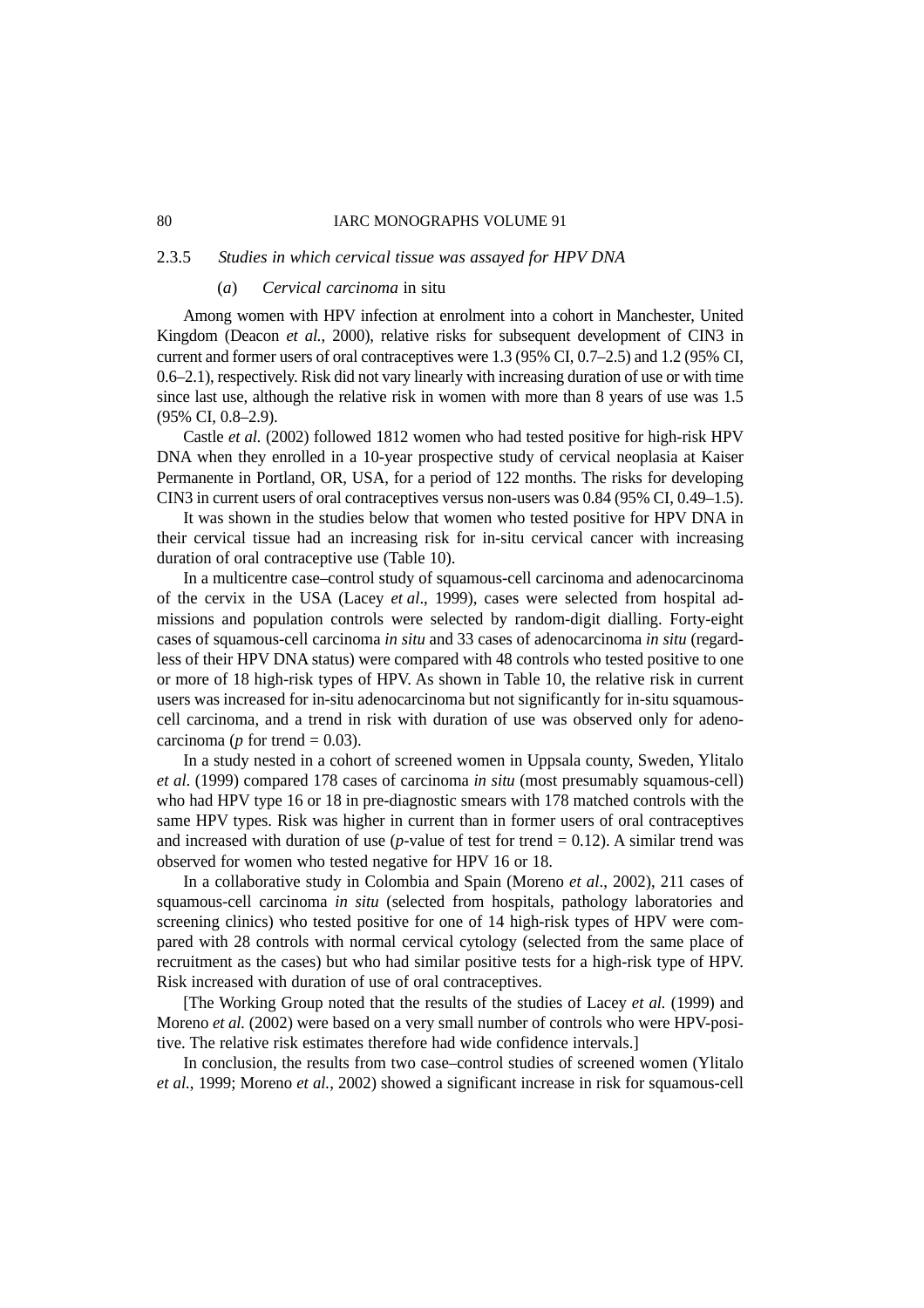### 2.3.5 *Studies in which cervical tissue was assayed for HPV DNA*

### (*a*) *Cervical carcinoma* in situ

Among women with HPV infection at enrolment into a cohort in Manchester, United Kingdom (Deacon *et al.*, 2000), relative risks for subsequent development of CIN3 in current and former users of oral contraceptives were 1.3 (95% CI, 0.7–2.5) and 1.2 (95% CI, 0.6–2.1), respectively. Risk did not vary linearly with increasing duration of use or with time since last use, although the relative risk in women with more than 8 years of use was 1.5 (95% CI, 0.8–2.9).

Castle *et al.* (2002) followed 1812 women who had tested positive for high-risk HPV DNA when they enrolled in a 10-year prospective study of cervical neoplasia at Kaiser Permanente in Portland, OR, USA, for a period of 122 months. The risks for developing CIN3 in current users of oral contraceptives versus non-users was 0.84 (95% CI, 0.49–1.5).

It was shown in the studies below that women who tested positive for HPV DNA in their cervical tissue had an increasing risk for in-situ cervical cancer with increasing duration of oral contraceptive use (Table 10).

In a multicentre case–control study of squamous-cell carcinoma and adenocarcinoma of the cervix in the USA (Lacey *et al*., 1999), cases were selected from hospital admissions and population controls were selected by random-digit dialling. Forty-eight cases of squamous-cell carcinoma *in situ* and 33 cases of adenocarcinoma *in situ* (regardless of their HPV DNA status) were compared with 48 controls who tested positive to one or more of 18 high-risk types of HPV. As shown in Table 10, the relative risk in current users was increased for in-situ adenocarcinoma but not significantly for in-situ squamouscell carcinoma, and a trend in risk with duration of use was observed only for adenocarcinoma ( $p$  for trend = 0.03).

In a study nested in a cohort of screened women in Uppsala county, Sweden, Ylitalo *et al*. (1999) compared 178 cases of carcinoma *in situ* (most presumably squamous-cell) who had HPV type 16 or 18 in pre-diagnostic smears with 178 matched controls with the same HPV types. Risk was higher in current than in former users of oral contraceptives and increased with duration of use  $(p$ -value of test for trend = 0.12). A similar trend was observed for women who tested negative for HPV 16 or 18.

In a collaborative study in Colombia and Spain (Moreno *et al*., 2002), 211 cases of squamous-cell carcinoma *in situ* (selected from hospitals, pathology laboratories and screening clinics) who tested positive for one of 14 high-risk types of HPV were compared with 28 controls with normal cervical cytology (selected from the same place of recruitment as the cases) but who had similar positive tests for a high-risk type of HPV. Risk increased with duration of use of oral contraceptives.

[The Working Group noted that the results of the studies of Lacey *et al.* (1999) and Moreno *et al.* (2002) were based on a very small number of controls who were HPV-positive. The relative risk estimates therefore had wide confidence intervals.]

In conclusion, the results from two case–control studies of screened women (Ylitalo *et al.*, 1999; Moreno *et al.*, 2002) showed a significant increase in risk for squamous-cell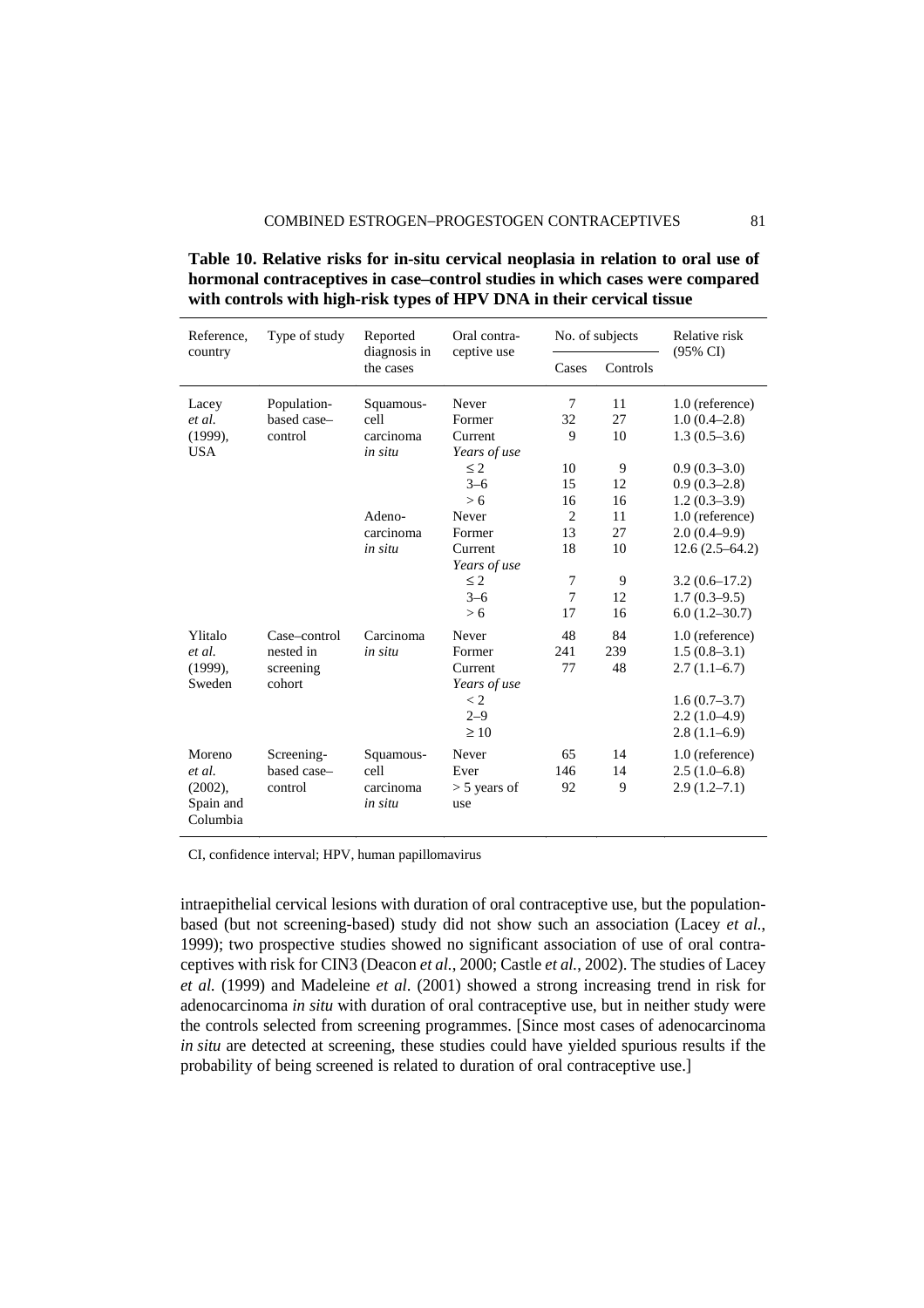| Table 10. Relative risks for in-situ cervical neoplasia in relation to oral use of |
|------------------------------------------------------------------------------------|
| hormonal contraceptives in case–control studies in which cases were compared       |
| with controls with high-risk types of HPV DNA in their cervical tissue             |

| Reference,<br>country                                | Type of study                                    | Reported<br>diagnosis in                                                    | Oral contra-<br>ceptive use                                                                                                                   | No. of subjects                                                                  |                                                              | Relative risk<br>$(95\% \text{ CI})$                                                                                                                                                                      |
|------------------------------------------------------|--------------------------------------------------|-----------------------------------------------------------------------------|-----------------------------------------------------------------------------------------------------------------------------------------------|----------------------------------------------------------------------------------|--------------------------------------------------------------|-----------------------------------------------------------------------------------------------------------------------------------------------------------------------------------------------------------|
|                                                      |                                                  | the cases                                                                   |                                                                                                                                               | Cases                                                                            | Controls                                                     |                                                                                                                                                                                                           |
| Lacey<br>et al.<br>(1999),<br><b>USA</b>             | Population-<br>based case-<br>control            | Squamous-<br>cell<br>carcinoma<br>in situ<br>Adeno-<br>carcinoma<br>in situ | Never<br>Former<br>Current<br>Years of use<br>$\leq$ 2<br>$3 - 6$<br>> 6<br>Never<br>Former<br>Current<br>Years of use<br>$\leq$ 2<br>$3 - 6$ | $\tau$<br>32<br>9<br>10<br>15<br>16<br>$\overline{2}$<br>13<br>18<br>7<br>$\tau$ | 11<br>27<br>10<br>9<br>12<br>16<br>11<br>27<br>10<br>9<br>12 | 1.0 (reference)<br>$1.0(0.4-2.8)$<br>$1.3(0.5-3.6)$<br>$0.9(0.3-3.0)$<br>$0.9(0.3-2.8)$<br>$1.2(0.3-3.9)$<br>1.0 (reference)<br>$2.0(0.4 - 9.9)$<br>$12.6(2.5-64.2)$<br>$3.2(0.6-17.2)$<br>$1.7(0.3-9.5)$ |
| Ylitalo<br>et al.<br>$(1999)$ ,<br>Sweden            | Case-control<br>nested in<br>screening<br>cohort | Carcinoma<br>in situ                                                        | > 6<br>Never<br>Former<br>Current<br>Years of use<br>$\lt 2$<br>$2 - 9$<br>$\geq 10$                                                          | 17<br>48<br>241<br>77                                                            | 16<br>84<br>239<br>48                                        | $6.0(1.2 - 30.7)$<br>1.0 (reference)<br>$1.5(0.8-3.1)$<br>$2.7(1.1-6.7)$<br>$1.6(0.7-3.7)$<br>$2.2(1.0-4.9)$<br>$2.8(1.1-6.9)$                                                                            |
| Moreno<br>et al.<br>(2002),<br>Spain and<br>Columbia | Screening-<br>based case-<br>control             | Squamous-<br>cell<br>carcinoma<br>in situ                                   | Never<br>Ever<br>$>$ 5 years of<br>use                                                                                                        | 65<br>146<br>92                                                                  | 14<br>14<br>9                                                | 1.0 (reference)<br>$2.5(1.0-6.8)$<br>$2.9(1.2 - 7.1)$                                                                                                                                                     |

CI, confidence interval; HPV, human papillomavirus

intraepithelial cervical lesions with duration of oral contraceptive use, but the populationbased (but not screening-based) study did not show such an association (Lacey *et al.*, 1999); two prospective studies showed no significant association of use of oral contraceptives with risk for CIN3 (Deacon *et al.*, 2000; Castle *et al.*, 2002). The studies of Lacey *et al.* (1999) and Madeleine *et al*. (2001) showed a strong increasing trend in risk for adenocarcinoma *in situ* with duration of oral contraceptive use, but in neither study were the controls selected from screening programmes. [Since most cases of adenocarcinoma *in situ* are detected at screening, these studies could have yielded spurious results if the probability of being screened is related to duration of oral contraceptive use.]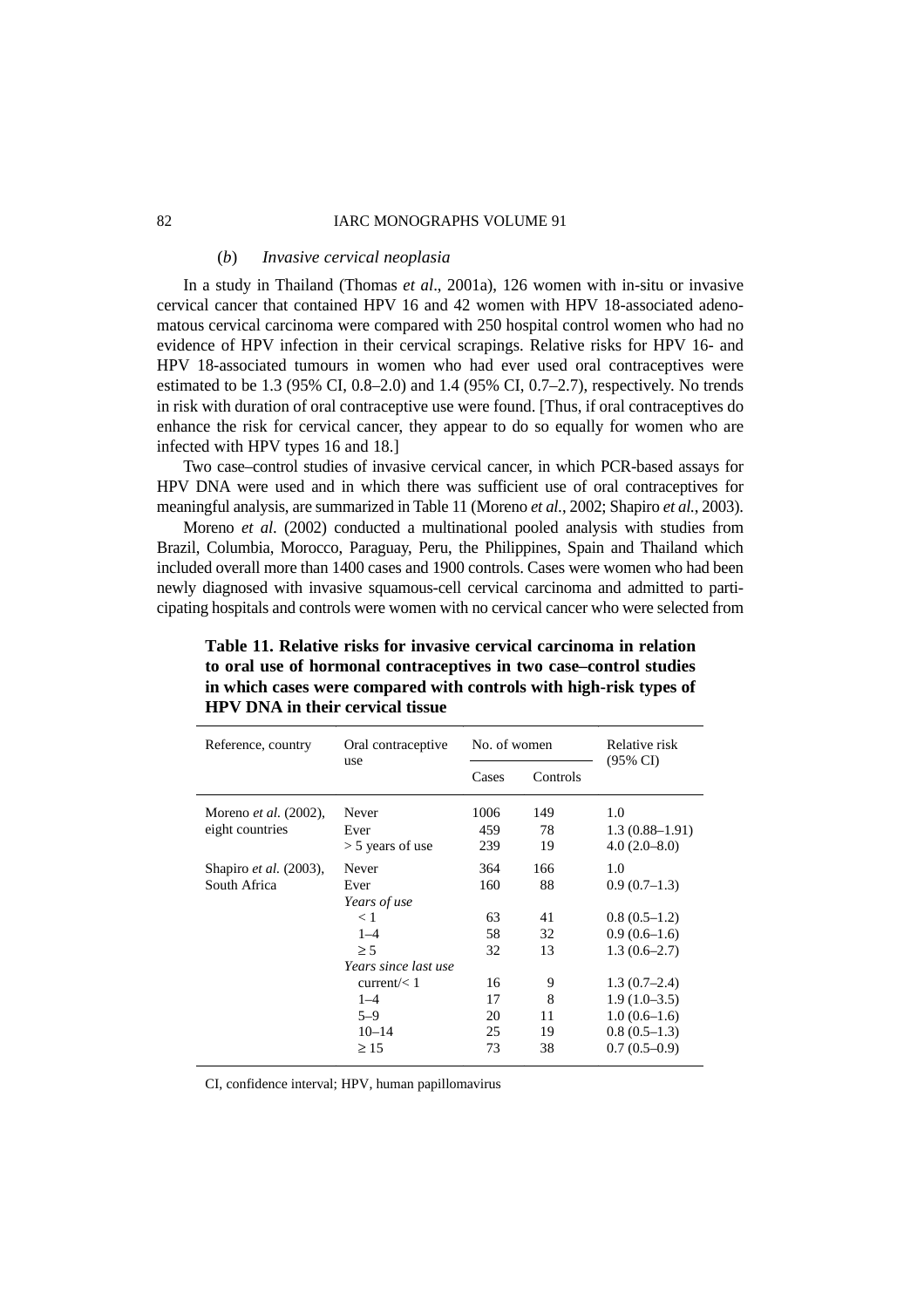#### (*b*) *Invasive cervical neoplasia*

In a study in Thailand (Thomas *et al*., 2001a), 126 women with in-situ or invasive cervical cancer that contained HPV 16 and 42 women with HPV 18-associated adenomatous cervical carcinoma were compared with 250 hospital control women who had no evidence of HPV infection in their cervical scrapings. Relative risks for HPV 16- and HPV 18-associated tumours in women who had ever used oral contraceptives were estimated to be 1.3 (95% CI, 0.8–2.0) and 1.4 (95% CI, 0.7–2.7), respectively. No trends in risk with duration of oral contraceptive use were found. [Thus, if oral contraceptives do enhance the risk for cervical cancer, they appear to do so equally for women who are infected with HPV types 16 and 18.]

Two case–control studies of invasive cervical cancer, in which PCR-based assays for HPV DNA were used and in which there was sufficient use of oral contraceptives for meaningful analysis, are summarized in Table 11 (Moreno *et al.*, 2002; Shapiro *et al.*, 2003).

Moreno *et al*. (2002) conducted a multinational pooled analysis with studies from Brazil, Columbia, Morocco, Paraguay, Peru, the Philippines, Spain and Thailand which included overall more than 1400 cases and 1900 controls. Cases were women who had been newly diagnosed with invasive squamous-cell cervical carcinoma and admitted to participating hospitals and controls were women with no cervical cancer who were selected from

| Reference, country           | Oral contraceptive   | No. of women |          | Relative risk      |  |
|------------------------------|----------------------|--------------|----------|--------------------|--|
|                              | use                  |              | Controls | (95% CI)           |  |
| Moreno <i>et al.</i> (2002), | Never                | 1006         | 149      | 1.0                |  |
| eight countries              | Ever                 | 459          | 78       | $1.3(0.88 - 1.91)$ |  |
|                              | $>$ 5 years of use   | 239          | 19       | $4.0(2.0-8.0)$     |  |
| Shapiro et al. (2003),       | Never                | 364          | 166      | 1.0                |  |
| South Africa                 | Ever                 | 160          | 88       | $0.9(0.7-1.3)$     |  |
|                              | Years of use         |              |          |                    |  |
|                              | < 1                  | 63           | 41       | $0.8(0.5-1.2)$     |  |
|                              | $1 - 4$              | 58           | 32       | $0.9(0.6-1.6)$     |  |
|                              | $\geq$ 5             | 32           | 13       | $1.3(0.6-2.7)$     |  |
|                              | Years since last use |              |          |                    |  |
|                              | current < 1          | 16           | 9        | $1.3(0.7-2.4)$     |  |
|                              | $1 - 4$              | 17           | 8        | $1.9(1.0-3.5)$     |  |
|                              | $5 - 9$              | 20           | 11       | $1.0(0.6-1.6)$     |  |
|                              | $10 - 14$            | 25           | 19       | $0.8(0.5-1.3)$     |  |
|                              | $\geq 15$            | 73           | 38       | $0.7(0.5-0.9)$     |  |

**Table 11. Relative risks for invasive cervical carcinoma in relation to oral use of hormonal contraceptives in two case–control studies in which cases were compared with controls with high-risk types of HPV DNA in their cervical tissue**

CI, confidence interval; HPV, human papillomavirus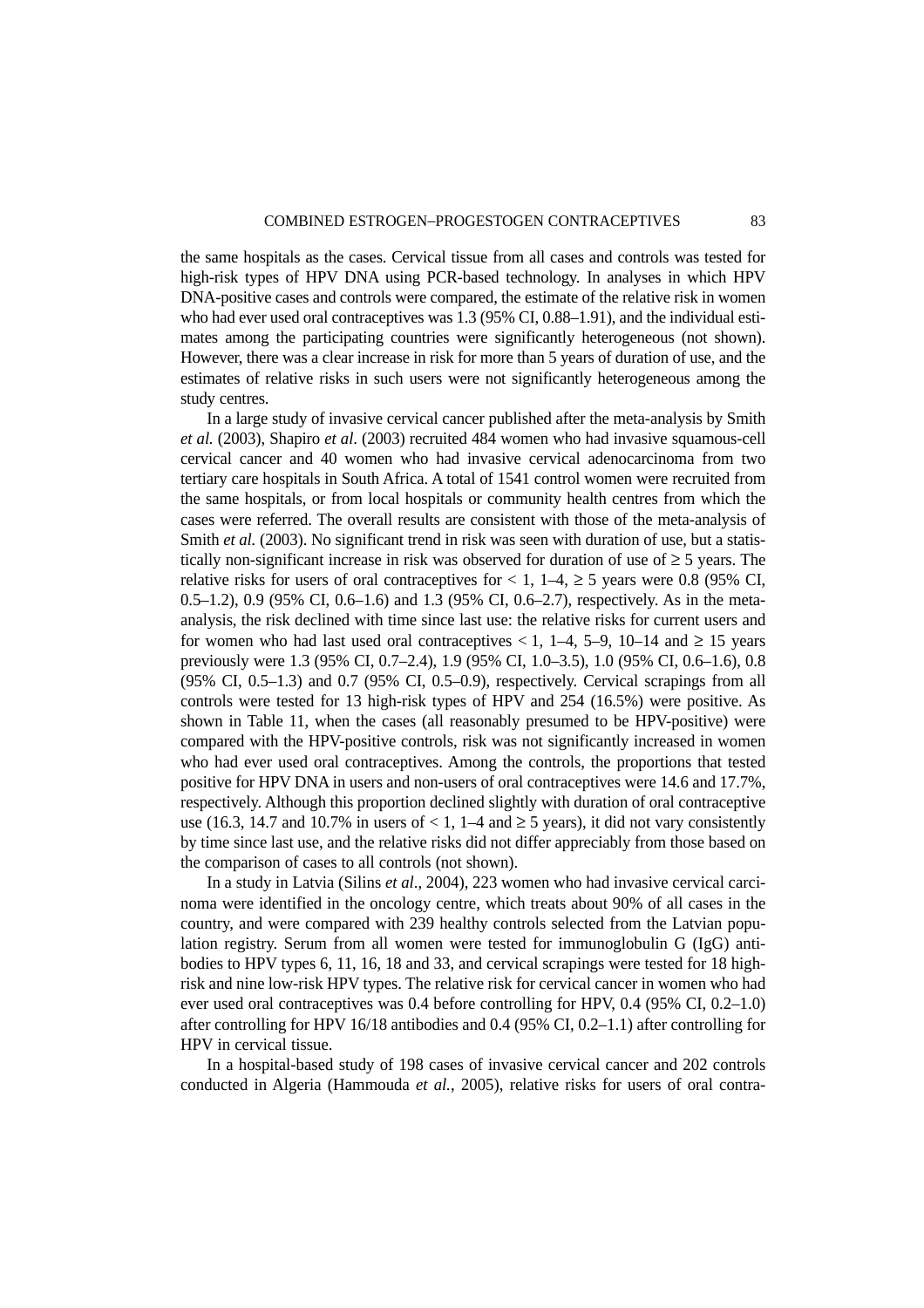the same hospitals as the cases. Cervical tissue from all cases and controls was tested for high-risk types of HPV DNA using PCR-based technology. In analyses in which HPV DNA-positive cases and controls were compared, the estimate of the relative risk in women who had ever used oral contraceptives was 1.3 (95% CI, 0.88–1.91), and the individual estimates among the participating countries were significantly heterogeneous (not shown). However, there was a clear increase in risk for more than 5 years of duration of use, and the estimates of relative risks in such users were not significantly heterogeneous among the study centres.

In a large study of invasive cervical cancer published after the meta-analysis by Smith *et al.* (2003), Shapiro *et al*. (2003) recruited 484 women who had invasive squamous-cell cervical cancer and 40 women who had invasive cervical adenocarcinoma from two tertiary care hospitals in South Africa. A total of 1541 control women were recruited from the same hospitals, or from local hospitals or community health centres from which the cases were referred. The overall results are consistent with those of the meta-analysis of Smith *et al.* (2003). No significant trend in risk was seen with duration of use, but a statistically non-significant increase in risk was observed for duration of use of  $\geq$  5 years. The relative risks for users of oral contraceptives for  $< 1$ , 1–4,  $\geq 5$  years were 0.8 (95% CI, 0.5–1.2), 0.9 (95% CI, 0.6–1.6) and 1.3 (95% CI, 0.6–2.7), respectively. As in the metaanalysis, the risk declined with time since last use: the relative risks for current users and for women who had last used oral contraceptives  $< 1$ , 1–4, 5–9, 10–14 and  $\ge 15$  years previously were 1.3 (95% CI, 0.7–2.4), 1.9 (95% CI, 1.0–3.5), 1.0 (95% CI, 0.6–1.6), 0.8 (95% CI, 0.5–1.3) and 0.7 (95% CI, 0.5–0.9), respectively. Cervical scrapings from all controls were tested for 13 high-risk types of HPV and 254 (16.5%) were positive. As shown in Table 11, when the cases (all reasonably presumed to be HPV-positive) were compared with the HPV-positive controls, risk was not significantly increased in women who had ever used oral contraceptives. Among the controls, the proportions that tested positive for HPV DNA in users and non-users of oral contraceptives were 14.6 and 17.7%, respectively. Although this proportion declined slightly with duration of oral contraceptive use (16.3, 14.7 and 10.7% in users of < 1, 1–4 and  $\geq$  5 years), it did not vary consistently by time since last use, and the relative risks did not differ appreciably from those based on the comparison of cases to all controls (not shown).

In a study in Latvia (Silins *et al*., 2004), 223 women who had invasive cervical carcinoma were identified in the oncology centre, which treats about 90% of all cases in the country, and were compared with 239 healthy controls selected from the Latvian population registry. Serum from all women were tested for immunoglobulin G (IgG) antibodies to HPV types 6, 11, 16, 18 and 33, and cervical scrapings were tested for 18 highrisk and nine low-risk HPV types. The relative risk for cervical cancer in women who had ever used oral contraceptives was 0.4 before controlling for HPV, 0.4 (95% CI, 0.2–1.0) after controlling for HPV 16/18 antibodies and 0.4 (95% CI, 0.2–1.1) after controlling for HPV in cervical tissue.

In a hospital-based study of 198 cases of invasive cervical cancer and 202 controls conducted in Algeria (Hammouda *et al.*, 2005), relative risks for users of oral contra-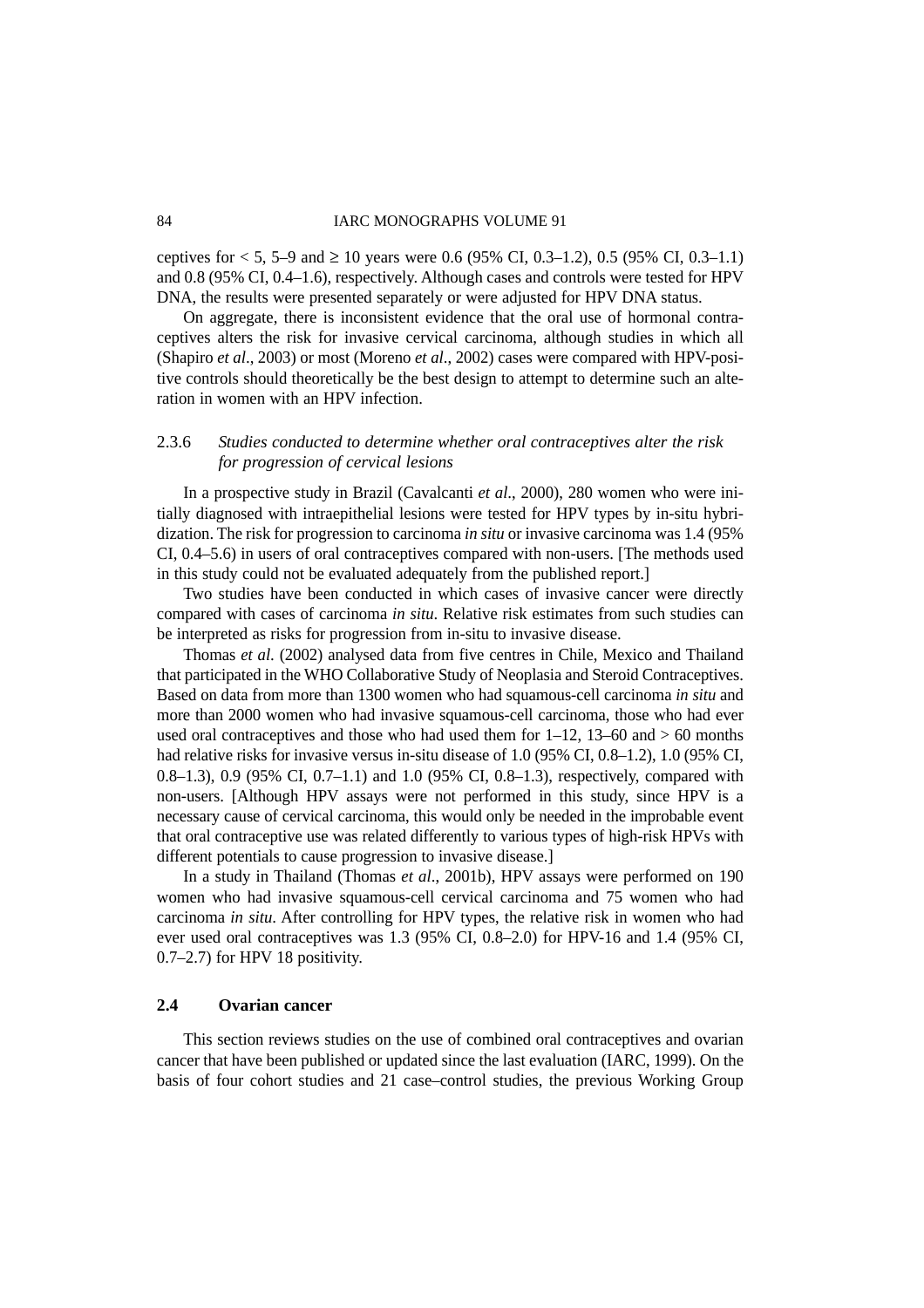ceptives for  $\lt 5$ , 5–9 and  $\geq 10$  years were 0.6 (95% CI, 0.3–1.2), 0.5 (95% CI, 0.3–1.1) and 0.8 (95% CI, 0.4–1.6), respectively. Although cases and controls were tested for HPV DNA, the results were presented separately or were adjusted for HPV DNA status.

On aggregate, there is inconsistent evidence that the oral use of hormonal contraceptives alters the risk for invasive cervical carcinoma, although studies in which all (Shapiro *et al*., 2003) or most (Moreno *et al*., 2002) cases were compared with HPV-positive controls should theoretically be the best design to attempt to determine such an alteration in women with an HPV infection.

# 2.3.6 *Studies conducted to determine whether oral contraceptives alter the risk for progression of cervical lesions*

In a prospective study in Brazil (Cavalcanti *et al*., 2000), 280 women who were initially diagnosed with intraepithelial lesions were tested for HPV types by in-situ hybridization. The risk for progression to carcinoma *in situ* or invasive carcinoma was 1.4 (95% CI, 0.4–5.6) in users of oral contraceptives compared with non-users. [The methods used in this study could not be evaluated adequately from the published report.]

Two studies have been conducted in which cases of invasive cancer were directly compared with cases of carcinoma *in situ*. Relative risk estimates from such studies can be interpreted as risks for progression from in-situ to invasive disease.

Thomas *et al*. (2002) analysed data from five centres in Chile, Mexico and Thailand that participated in the WHO Collaborative Study of Neoplasia and Steroid Contraceptives. Based on data from more than 1300 women who had squamous-cell carcinoma *in situ* and more than 2000 women who had invasive squamous-cell carcinoma, those who had ever used oral contraceptives and those who had used them for  $1-12$ ,  $13-60$  and  $> 60$  months had relative risks for invasive versus in-situ disease of 1.0 (95% CI, 0.8–1.2), 1.0 (95% CI, 0.8–1.3), 0.9 (95% CI, 0.7–1.1) and 1.0 (95% CI, 0.8–1.3), respectively, compared with non-users. [Although HPV assays were not performed in this study, since HPV is a necessary cause of cervical carcinoma, this would only be needed in the improbable event that oral contraceptive use was related differently to various types of high-risk HPVs with different potentials to cause progression to invasive disease.]

In a study in Thailand (Thomas *et al*., 2001b), HPV assays were performed on 190 women who had invasive squamous-cell cervical carcinoma and 75 women who had carcinoma *in situ*. After controlling for HPV types, the relative risk in women who had ever used oral contraceptives was 1.3 (95% CI, 0.8–2.0) for HPV-16 and 1.4 (95% CI, 0.7–2.7) for HPV 18 positivity.

# **2.4 Ovarian cancer**

This section reviews studies on the use of combined oral contraceptives and ovarian cancer that have been published or updated since the last evaluation (IARC, 1999). On the basis of four cohort studies and 21 case–control studies, the previous Working Group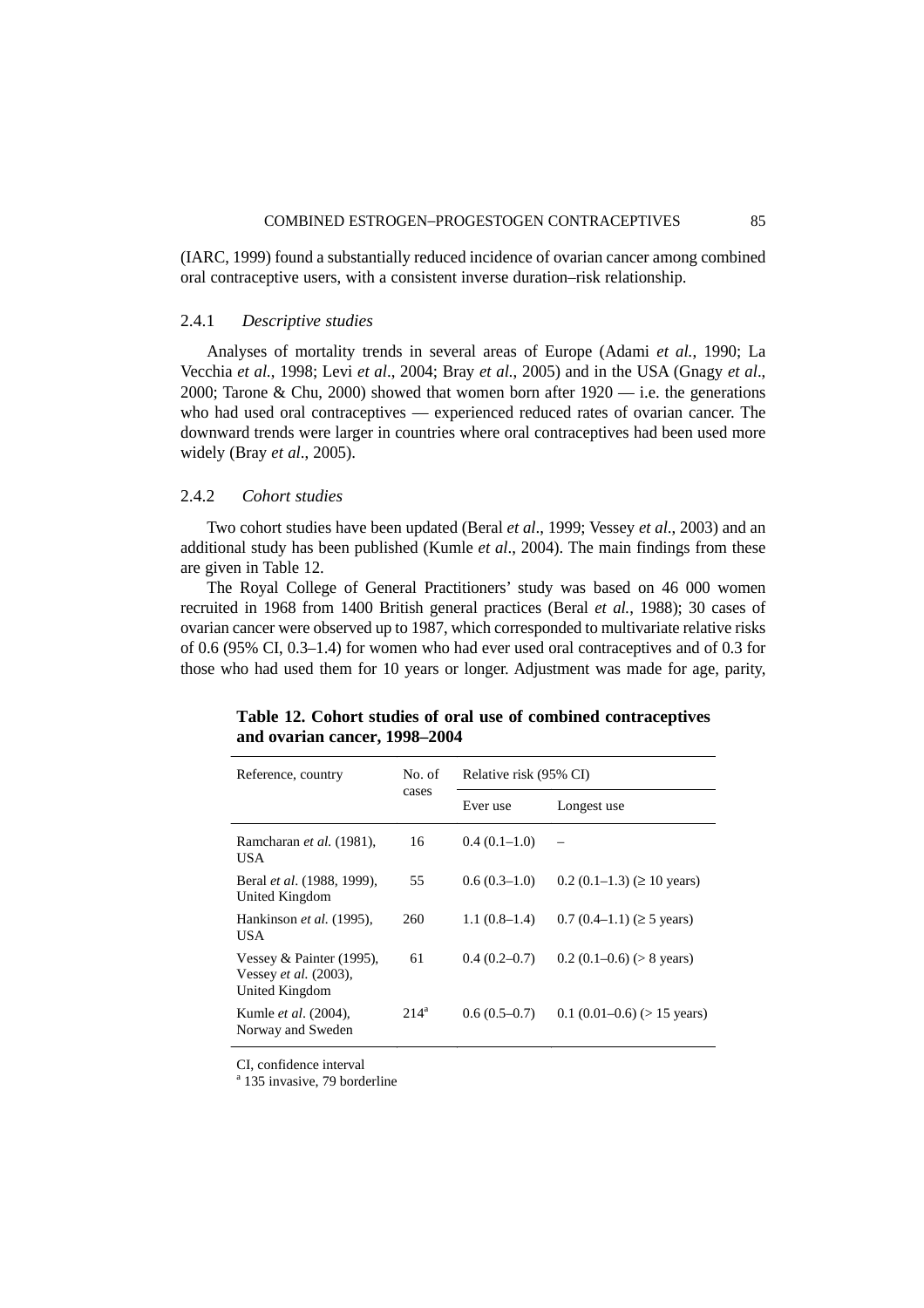(IARC, 1999) found a substantially reduced incidence of ovarian cancer among combined oral contraceptive users, with a consistent inverse duration–risk relationship.

# 2.4.1 *Descriptive studies*

Analyses of mortality trends in several areas of Europe (Adami *et al.*, 1990; La Vecchia *et al.*, 1998; Levi *et al*., 2004; Bray *et al.*, 2005) and in the USA (Gnagy *et al*., 2000; Tarone & Chu, 2000) showed that women born after  $1920 - i.e.$  the generations who had used oral contraceptives — experienced reduced rates of ovarian cancer. The downward trends were larger in countries where oral contraceptives had been used more widely (Bray *et al*., 2005).

### 2.4.2 *Cohort studies*

Two cohort studies have been updated (Beral *et al*., 1999; Vessey *et al*., 2003) and an additional study has been published (Kumle *et al*., 2004). The main findings from these are given in Table 12.

The Royal College of General Practitioners' study was based on 46 000 women recruited in 1968 from 1400 British general practices (Beral *et al.*, 1988); 30 cases of ovarian cancer were observed up to 1987, which corresponded to multivariate relative risks of 0.6 (95% CI, 0.3–1.4) for women who had ever used oral contraceptives and of 0.3 for those who had used them for 10 years or longer. Adjustment was made for age, parity,

| Reference, country                                                     | No. of         | Relative risk (95% CI) |                                        |  |  |
|------------------------------------------------------------------------|----------------|------------------------|----------------------------------------|--|--|
|                                                                        | cases          | Ever use               | Longest use                            |  |  |
| Ramcharan et al. (1981),<br>USA                                        | 16             | $0.4(0.1-1.0)$         |                                        |  |  |
| Beral et al. (1988, 1999),<br>United Kingdom                           | 55             | $0.6(0.3-1.0)$         | $0.2$ (0.1–1.3) ( $\geq$ 10 years)     |  |  |
| Hankinson et al. (1995),<br>USA                                        | 260            | $1.1(0.8-1.4)$         | $0.7 (0.4-1.1) (\geq 5 \text{ years})$ |  |  |
| Vessey & Painter $(1995)$ ,<br>Vessey et al. (2003),<br>United Kingdom | 61             | $0.4(0.2-0.7)$         | $0.2 (0.1 - 0.6)$ (> 8 years)          |  |  |
| Kumle et al. (2004),<br>Norway and Sweden                              | $2.14^{\rm a}$ | $0.6(0.5-0.7)$         | $0.1 (0.01-0.6) (> 15 \text{ years})$  |  |  |

**Table 12. Cohort studies of oral use of combined contraceptives and ovarian cancer, 1998–2004**

CI, confidence interval

<sup>a</sup> 135 invasive, 79 borderline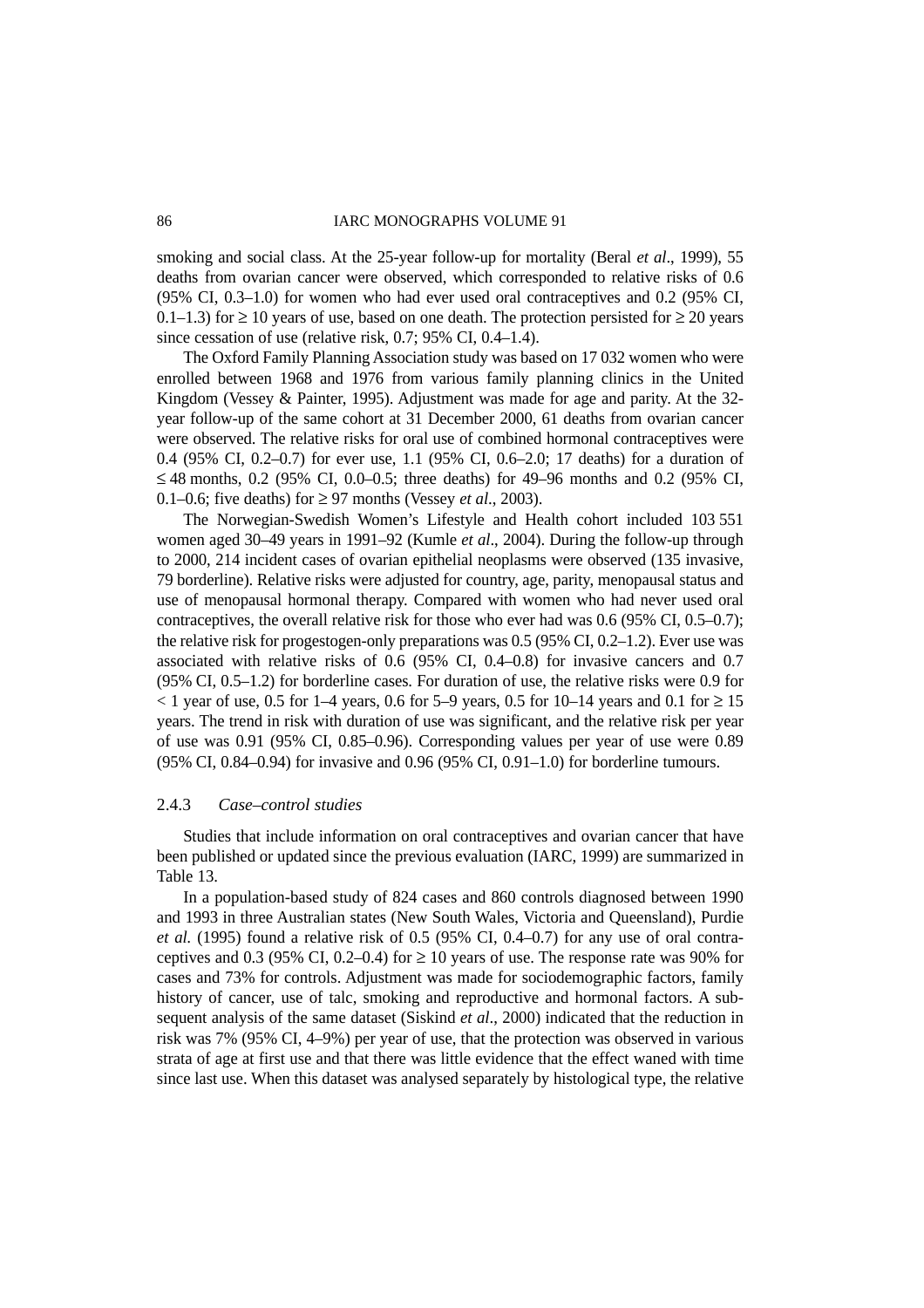smoking and social class. At the 25-year follow-up for mortality (Beral *et al*., 1999), 55 deaths from ovarian cancer were observed, which corresponded to relative risks of 0.6 (95% CI, 0.3–1.0) for women who had ever used oral contraceptives and 0.2 (95% CI, 0.1–1.3) for  $\geq$  10 years of use, based on one death. The protection persisted for  $\geq$  20 years since cessation of use (relative risk, 0.7; 95% CI, 0.4–1.4).

The Oxford Family Planning Association study was based on 17 032 women who were enrolled between 1968 and 1976 from various family planning clinics in the United Kingdom (Vessey & Painter, 1995). Adjustment was made for age and parity. At the 32 year follow-up of the same cohort at 31 December 2000, 61 deaths from ovarian cancer were observed. The relative risks for oral use of combined hormonal contraceptives were 0.4 (95% CI, 0.2–0.7) for ever use, 1.1 (95% CI, 0.6–2.0; 17 deaths) for a duration of ≤ 48 months, 0.2 (95% CI, 0.0–0.5; three deaths) for 49–96 months and 0.2 (95% CI, 0.1–0.6; five deaths) for ≥ 97 months (Vessey *et al*., 2003).

The Norwegian-Swedish Women's Lifestyle and Health cohort included 103 551 women aged 30–49 years in 1991–92 (Kumle *et al*., 2004). During the follow-up through to 2000, 214 incident cases of ovarian epithelial neoplasms were observed (135 invasive, 79 borderline). Relative risks were adjusted for country, age, parity, menopausal status and use of menopausal hormonal therapy. Compared with women who had never used oral contraceptives, the overall relative risk for those who ever had was 0.6 (95% CI, 0.5–0.7); the relative risk for progestogen-only preparations was  $0.5$  (95% CI,  $0.2$ –1.2). Ever use was associated with relative risks of 0.6 (95% CI, 0.4–0.8) for invasive cancers and 0.7 (95% CI, 0.5–1.2) for borderline cases. For duration of use, the relative risks were 0.9 for < 1 year of use, 0.5 for 1–4 years, 0.6 for 5–9 years, 0.5 for 10–14 years and 0.1 for ≥ 15 years. The trend in risk with duration of use was significant, and the relative risk per year of use was 0.91 (95% CI, 0.85–0.96). Corresponding values per year of use were 0.89 (95% CI, 0.84–0.94) for invasive and 0.96 (95% CI, 0.91–1.0) for borderline tumours.

### 2.4.3 *Case–control studies*

Studies that include information on oral contraceptives and ovarian cancer that have been published or updated since the previous evaluation (IARC, 1999) are summarized in Table 13.

In a population-based study of 824 cases and 860 controls diagnosed between 1990 and 1993 in three Australian states (New South Wales, Victoria and Queensland), Purdie *et al.* (1995) found a relative risk of 0.5 (95% CI, 0.4–0.7) for any use of oral contraceptives and 0.3 (95% CI, 0.2–0.4) for  $\geq 10$  years of use. The response rate was 90% for cases and 73% for controls. Adjustment was made for sociodemographic factors, family history of cancer, use of talc, smoking and reproductive and hormonal factors. A subsequent analysis of the same dataset (Siskind *et al*., 2000) indicated that the reduction in risk was 7% (95% CI, 4–9%) per year of use, that the protection was observed in various strata of age at first use and that there was little evidence that the effect waned with time since last use. When this dataset was analysed separately by histological type, the relative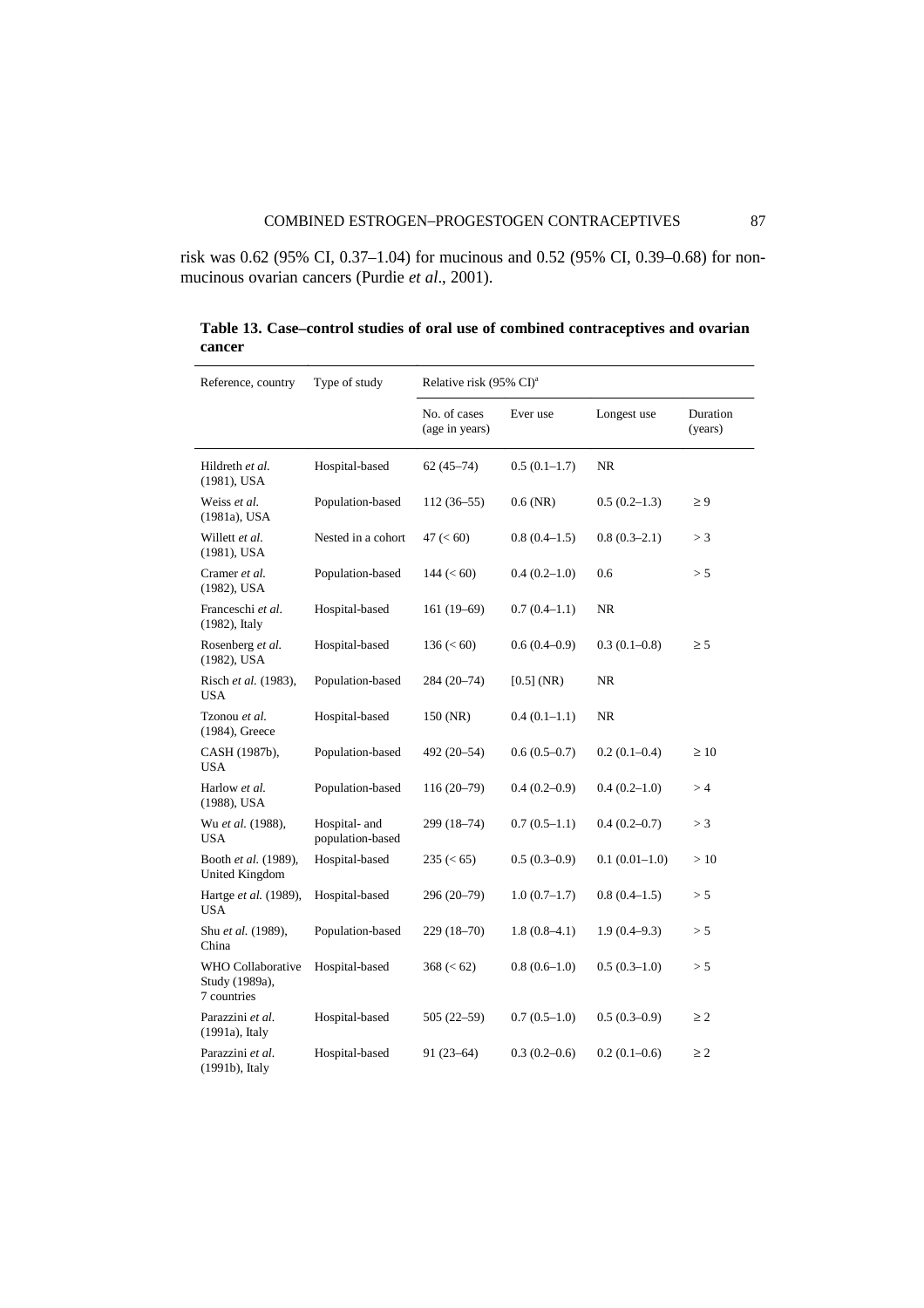risk was 0.62 (95% CI, 0.37–1.04) for mucinous and 0.52 (95% CI, 0.39–0.68) for nonmucinous ovarian cancers (Purdie *et al*., 2001).

| Reference, country                                 | Type of study                     |                                |                |                  |                     |
|----------------------------------------------------|-----------------------------------|--------------------------------|----------------|------------------|---------------------|
|                                                    |                                   | No. of cases<br>(age in years) | Ever use       | Longest use      | Duration<br>(years) |
| Hildreth et al.<br>(1981), USA                     | Hospital-based                    | $62(45-74)$                    | $0.5(0.1-1.7)$ | NR               |                     |
| Weiss et al.<br>(1981a), USA                       | Population-based                  | $112(36-55)$                   | $0.6$ (NR)     | $0.5(0.2-1.3)$   | $\geq 9$            |
| Willett et al.<br>$(1981)$ , USA                   | Nested in a cohort                | 47 (< 60                       | $0.8(0.4-1.5)$ | $0.8(0.3-2.1)$   | > 3                 |
| Cramer et al.<br>(1982), USA                       | Population-based                  | $144 \leq 60$                  | $0.4(0.2-1.0)$ | 0.6              | > 5                 |
| Franceschi et al.<br>(1982), Italy                 | Hospital-based                    | 161 (19-69)                    | $0.7(0.4-1.1)$ | NR               |                     |
| Rosenberg et al.<br>(1982), USA                    | Hospital-based                    | $136 \, (< 60)$                | $0.6(0.4-0.9)$ | $0.3(0.1-0.8)$   | $\geq$ 5            |
| Risch et al. (1983),<br><b>USA</b>                 | Population-based                  | 284 (20-74)                    | $[0.5]$ (NR)   | <b>NR</b>        |                     |
| Tzonou et al.<br>(1984), Greece                    | Hospital-based                    | 150 (NR)                       | $0.4(0.1-1.1)$ | <b>NR</b>        |                     |
| CASH (1987b),<br><b>USA</b>                        | Population-based                  | 492 (20-54)                    | $0.6(0.5-0.7)$ | $0.2(0.1-0.4)$   | $\geq 10$           |
| Harlow et al.<br>(1988), USA                       | Population-based                  | $116(20-79)$                   | $0.4(0.2-0.9)$ | $0.4(0.2-1.0)$   | >4                  |
| Wu et al. (1988),<br><b>USA</b>                    | Hospital- and<br>population-based | 299 (18-74)                    | $0.7(0.5-1.1)$ | $0.4(0.2-0.7)$   | $>$ 3               |
| Booth et al. (1989),<br>United Kingdom             | Hospital-based                    | 235 (< 65)                     | $0.5(0.3-0.9)$ | $0.1(0.01-1.0)$  | >10                 |
| Hartge et al. (1989),<br><b>USA</b>                | Hospital-based                    | 296 (20-79)                    | $1.0(0.7-1.7)$ | $0.8(0.4-1.5)$   | > 5                 |
| Shu et al. (1989),<br>China                        | Population-based                  | $229(18-70)$                   | $1.8(0.8-4.1)$ | $1.9(0.4 - 9.3)$ | > 5                 |
| WHO Collaborative<br>Study (1989a),<br>7 countries | Hospital-based                    | 368 (< 62)                     | $0.8(0.6-1.0)$ | $0.5(0.3-1.0)$   | > 5                 |
| Parazzini et al.<br>$(1991a)$ , Italy              | Hospital-based                    | 505 (22–59)                    | $0.7(0.5-1.0)$ | $0.5(0.3-0.9)$   | $\geq$ 2            |
| Parazzini et al.<br>$(1991b)$ , Italy              | Hospital-based                    | $91(23-64)$                    | $0.3(0.2-0.6)$ | $0.2(0.1-0.6)$   | $\geq$ 2            |

|        | Table 13. Case–control studies of oral use of combined contraceptives and ovarian |  |  |  |
|--------|-----------------------------------------------------------------------------------|--|--|--|
| cancer |                                                                                   |  |  |  |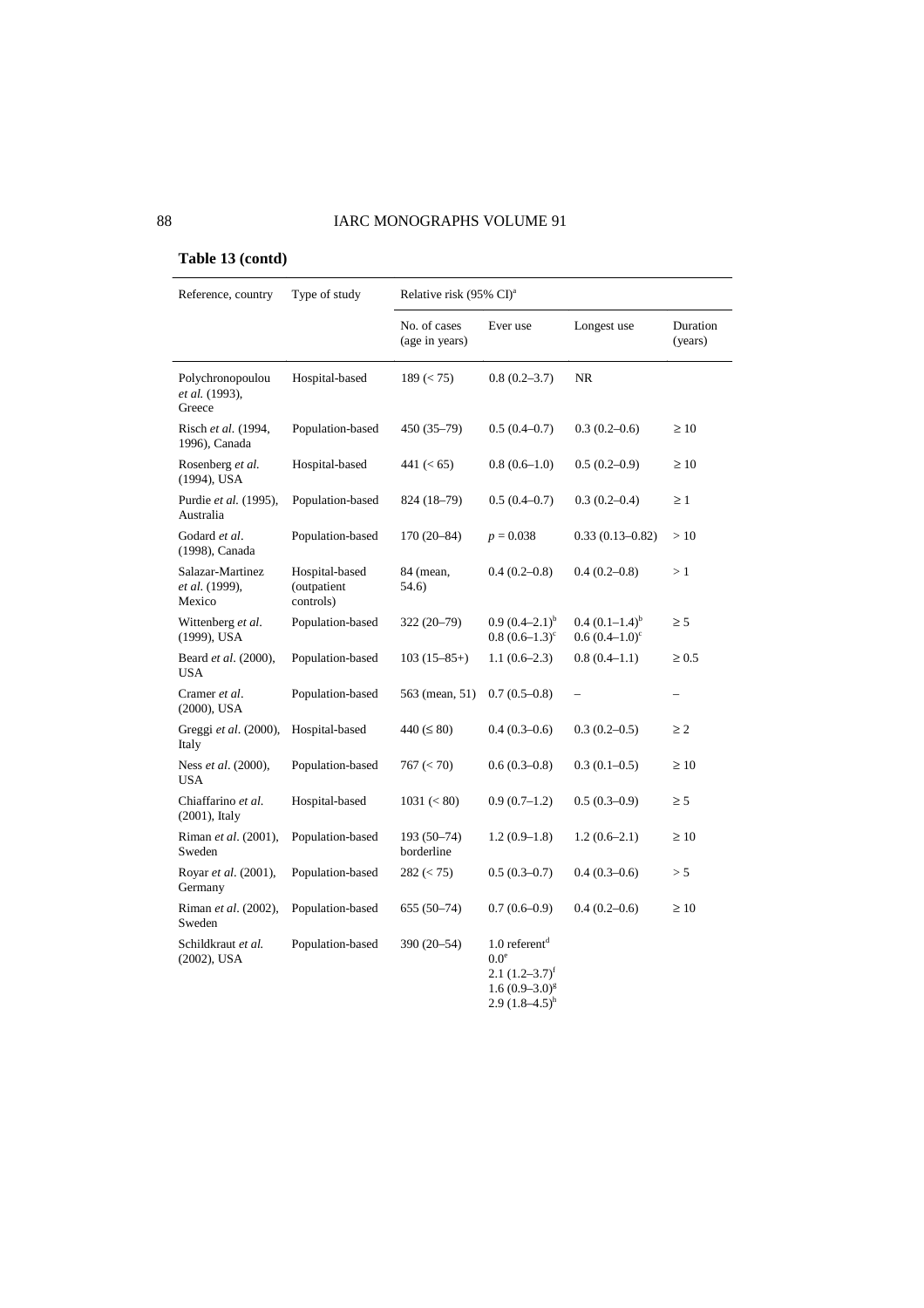# **Table 13 (contd)**

| Reference, country                           | Type of study                              | Relative risk (95% CI) <sup>a</sup> |                                                                                                       |                                            |                          |
|----------------------------------------------|--------------------------------------------|-------------------------------------|-------------------------------------------------------------------------------------------------------|--------------------------------------------|--------------------------|
|                                              |                                            | No. of cases<br>(age in years)      | Ever use                                                                                              | Longest use                                | Duration<br>(years)      |
| Polychronopoulou<br>et al. (1993),<br>Greece | Hospital-based                             | 189 (< 75)                          | $0.8(0.2 - 3.7)$                                                                                      | <b>NR</b>                                  |                          |
| Risch et al. (1994,<br>1996), Canada         | Population-based                           | $450(35-79)$                        | $0.5(0.4-0.7)$                                                                                        | $0.3(0.2-0.6)$                             | $\geq 10$                |
| Rosenberg et al.<br>(1994), USA              | Hospital-based                             | 441 (< 65)                          | $0.8(0.6-1.0)$                                                                                        | $0.5(0.2-0.9)$                             | $\geq 10$                |
| Purdie et al. (1995),<br>Australia           | Population-based                           | 824 (18-79)                         | $0.5(0.4-0.7)$                                                                                        | $0.3(0.2-0.4)$                             | $\geq 1$                 |
| Godard et al.<br>(1998), Canada              | Population-based                           | $170(20-84)$                        | $p = 0.038$                                                                                           | $0.33(0.13 - 0.82)$                        | >10                      |
| Salazar-Martinez<br>et al. (1999),<br>Mexico | Hospital-based<br>(outpatient<br>controls) | 84 (mean,<br>54.6)                  | $0.4(0.2-0.8)$                                                                                        | $0.4(0.2-0.8)$                             | >1                       |
| Wittenberg et al.<br>(1999), USA             | Population-based                           | $322(20-79)$                        | $0.9(0.4-2.1)^{b}$<br>$0.8$ $(0.6-1.3)^c$                                                             | $0.4~(0.1–1.4)^{b}$<br>$0.6 (0.4 - 1.0)^c$ | $\geq 5$                 |
| Beard et al. (2000),<br>USA                  | Population-based                           | $103(15-85+)$                       | $1.1(0.6-2.3)$                                                                                        | $0.8(0.4-1.1)$                             | $\geq 0.5$               |
| Cramer et al.<br>$(2000)$ , USA              | Population-based                           | 563 (mean, 51)                      | $0.7(0.5-0.8)$                                                                                        | $\overline{\phantom{0}}$                   | $\overline{\phantom{0}}$ |
| Greggi et al. (2000),<br>Italy               | Hospital-based                             | 440 ( $\leq$ 80)                    | $0.4(0.3-0.6)$                                                                                        | $0.3(0.2-0.5)$                             | $\geq$ 2                 |
| Ness et al. (2000),<br><b>USA</b>            | Population-based                           | 767 (< 70)                          | $0.6(0.3-0.8)$                                                                                        | $0.3(0.1-0.5)$                             | $\geq 10$                |
| Chiaffarino et al.<br>$(2001)$ , Italy       | Hospital-based                             | 1031 (< 80)                         | $0.9(0.7-1.2)$                                                                                        | $0.5(0.3-0.9)$                             | $\geq$ 5                 |
| Riman et al. (2001),<br>Sweden               | Population-based                           | $193(50-74)$<br>borderline          | $1.2(0.9-1.8)$                                                                                        | $1.2(0.6-2.1)$                             | $\geq 10$                |
| Royar et al. (2001),<br>Germany              | Population-based                           | 282 (< 75)                          | $0.5(0.3-0.7)$                                                                                        | $0.4(0.3-0.6)$                             | > 5                      |
| Riman et al. (2002),<br>Sweden               | Population-based                           | $655(50-74)$                        | $0.7(0.6-0.9)$                                                                                        | $0.4(0.2-0.6)$                             | $\geq 10$                |
| Schildkraut et al.<br>$(2002)$ , USA         | Population-based                           | $390(20-54)$                        | $1.0$ referent <sup>d</sup><br>0.0 <sup>e</sup><br>2.1 $(1.2-3.7)$ <sup>f</sup><br>$1.6(0.9-3.0)^{g}$ |                                            |                          |

 $2.9~(1.8-4.5)$ <sup>h</sup>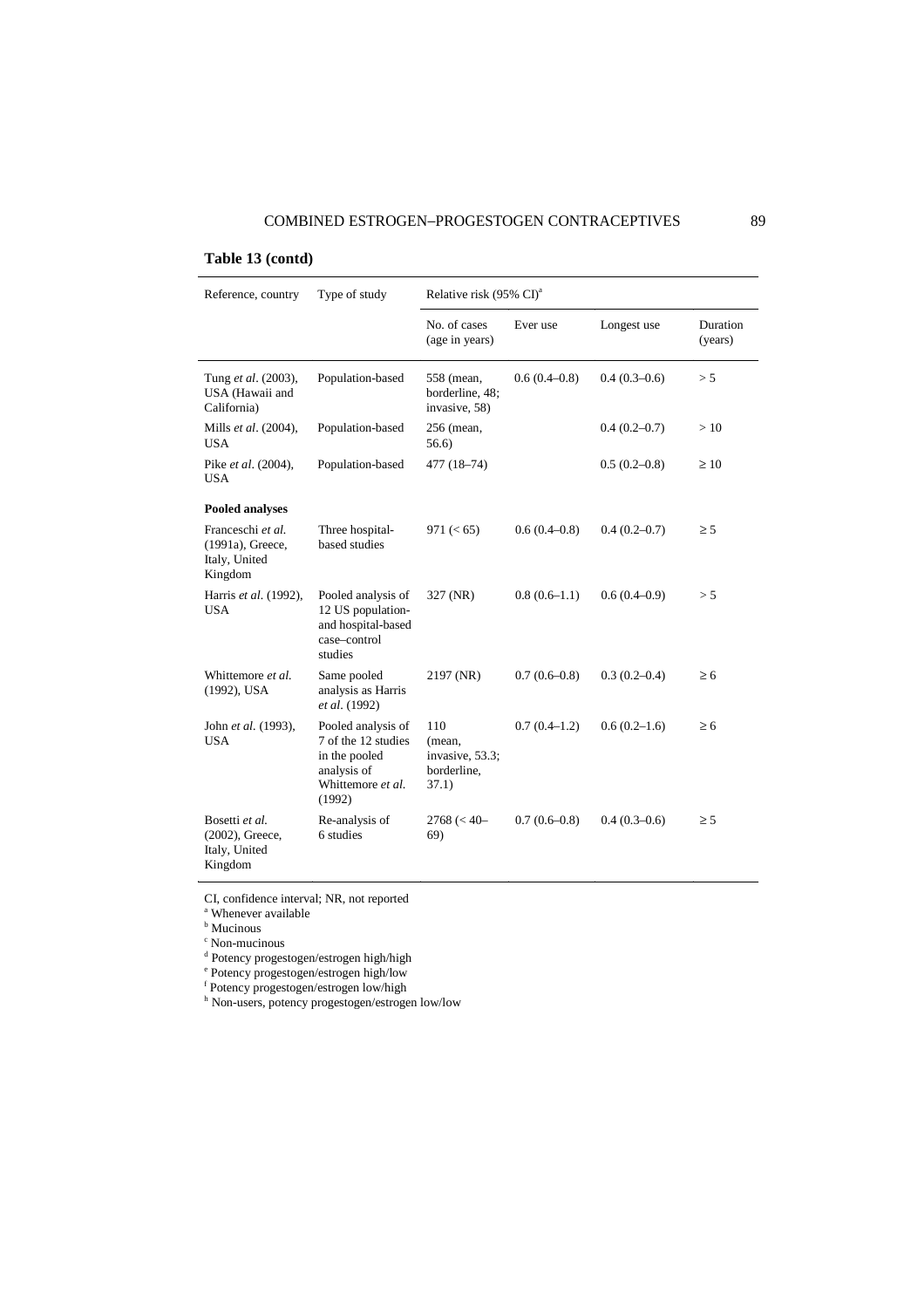# COMBINED ESTROGEN−PROGESTOGEN CONTRACEPTIVES 89

# **Table 13 (contd)**

| Reference, country                                                | Type of study                                                                                            | Relative risk (95% CI) <sup>a</sup>                      |                  |                |                     |
|-------------------------------------------------------------------|----------------------------------------------------------------------------------------------------------|----------------------------------------------------------|------------------|----------------|---------------------|
|                                                                   |                                                                                                          | No. of cases<br>(age in years)                           | Ever use         | Longest use    | Duration<br>(years) |
| Tung et al. (2003),<br>USA (Hawaii and<br>California)             | Population-based                                                                                         | 558 (mean,<br>borderline, 48;<br>invasive, 58)           | $0.6(0.4 - 0.8)$ | $0.4(0.3-0.6)$ | > 5                 |
| Mills et al. (2004),<br><b>USA</b>                                | Population-based                                                                                         | 256 (mean,<br>56.6)                                      |                  | $0.4(0.2-0.7)$ | >10                 |
| Pike <i>et al.</i> (2004),<br><b>USA</b>                          | Population-based                                                                                         | 477 (18-74)                                              |                  | $0.5(0.2-0.8)$ | $\geq 10$           |
| Pooled analyses                                                   |                                                                                                          |                                                          |                  |                |                     |
| Franceschi et al.<br>(1991a), Greece,<br>Italy, United<br>Kingdom | Three hospital-<br>based studies                                                                         | 971 (< 65)                                               | $0.6(0.4-0.8)$   | $0.4(0.2-0.7)$ | $\geq$ 5            |
| Harris et al. (1992),<br><b>USA</b>                               | Pooled analysis of<br>12 US population-<br>and hospital-based<br>case-control<br>studies                 | 327 (NR)                                                 | $0.8(0.6-1.1)$   | $0.6(0.4-0.9)$ | > 5                 |
| Whittemore et al.<br>(1992), USA                                  | Same pooled<br>analysis as Harris<br>et al. (1992)                                                       | 2197 (NR)                                                | $0.7(0.6-0.8)$   | $0.3(0.2-0.4)$ | $\geq 6$            |
| John et al. (1993),<br><b>USA</b>                                 | Pooled analysis of<br>7 of the 12 studies<br>in the pooled<br>analysis of<br>Whittemore et al.<br>(1992) | 110<br>(mean,<br>invasive, 53.3;<br>borderline,<br>37.1) | $0.7(0.4-1.2)$   | $0.6(0.2-1.6)$ | $\geq 6$            |
| Bosetti et al.<br>(2002), Greece,<br>Italy, United<br>Kingdom     | Re-analysis of<br>6 studies                                                                              | $2768 (< 40 -$<br>69)                                    | $0.7(0.6-0.8)$   | $0.4(0.3-0.6)$ | $\geq$ 5            |

CI, confidence interval; NR, not reported

a Whenever available

<sup>b</sup> Mucinous

<sup>c</sup> Non-mucinous<br><sup>d</sup> Potency progestogen/estrogen high/high<br><sup>e</sup> Potency progestogen/estrogen low/high<br><sup>f</sup> Non-users, potency progestogen/estrogen low/low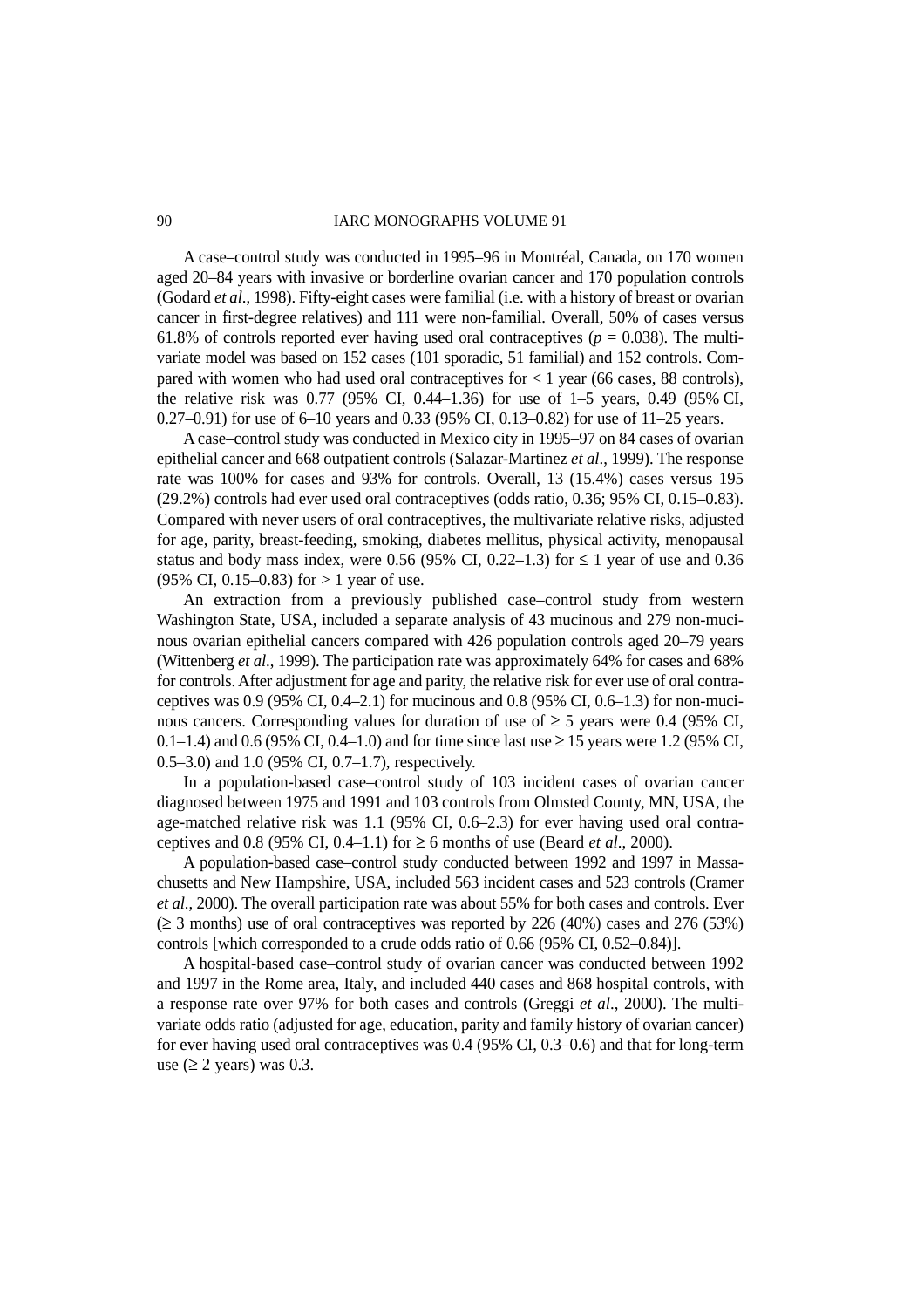A case–control study was conducted in 1995–96 in Montréal, Canada, on 170 women aged 20–84 years with invasive or borderline ovarian cancer and 170 population controls (Godard *et al*., 1998). Fifty-eight cases were familial (i.e. with a history of breast or ovarian cancer in first-degree relatives) and 111 were non-familial. Overall, 50% of cases versus 61.8% of controls reported ever having used oral contraceptives ( $p = 0.038$ ). The multivariate model was based on 152 cases (101 sporadic, 51 familial) and 152 controls. Compared with women who had used oral contraceptives for  $\lt 1$  year (66 cases, 88 controls), the relative risk was 0.77 (95% CI, 0.44–1.36) for use of 1–5 years, 0.49 (95% CI, 0.27–0.91) for use of 6–10 years and 0.33 (95% CI, 0.13–0.82) for use of 11–25 years.

A case–control study was conducted in Mexico city in 1995–97 on 84 cases of ovarian epithelial cancer and 668 outpatient controls (Salazar-Martinez *et al*., 1999). The response rate was 100% for cases and 93% for controls. Overall, 13 (15.4%) cases versus 195 (29.2%) controls had ever used oral contraceptives (odds ratio, 0.36; 95% CI, 0.15–0.83). Compared with never users of oral contraceptives, the multivariate relative risks, adjusted for age, parity, breast-feeding, smoking, diabetes mellitus, physical activity, menopausal status and body mass index, were 0.56 (95% CI, 0.22–1.3) for  $\leq 1$  year of use and 0.36 (95% CI, 0.15–0.83) for  $> 1$  year of use.

An extraction from a previously published case–control study from western Washington State, USA, included a separate analysis of 43 mucinous and 279 non-mucinous ovarian epithelial cancers compared with 426 population controls aged 20–79 years (Wittenberg *et al*., 1999). The participation rate was approximately 64% for cases and 68% for controls. After adjustment for age and parity, the relative risk for ever use of oral contraceptives was  $0.9$  (95% CI,  $0.4-2.1$ ) for mucinous and  $0.8$  (95% CI,  $0.6-1.3$ ) for non-mucinous cancers. Corresponding values for duration of use of  $\geq$  5 years were 0.4 (95% CI, 0.1–1.4) and 0.6 (95% CI, 0.4–1.0) and for time since last use  $\geq$  15 years were 1.2 (95% CI,  $(0.5-3.0)$  and  $1.0$  (95% CI, 0.7–1.7), respectively.

In a population-based case–control study of 103 incident cases of ovarian cancer diagnosed between 1975 and 1991 and 103 controls from Olmsted County, MN, USA, the age-matched relative risk was 1.1 (95% CI, 0.6–2.3) for ever having used oral contraceptives and 0.8 (95% CI, 0.4–1.1) for ≥ 6 months of use (Beard *et al.*, 2000).

A population-based case–control study conducted between 1992 and 1997 in Massachusetts and New Hampshire, USA, included 563 incident cases and 523 controls (Cramer *et al*., 2000). The overall participation rate was about 55% for both cases and controls. Ever  $(\geq 3 \text{ months})$  use of oral contraceptives was reported by 226 (40%) cases and 276 (53%) controls [which corresponded to a crude odds ratio of 0.66 (95% CI, 0.52–0.84)].

A hospital-based case–control study of ovarian cancer was conducted between 1992 and 1997 in the Rome area, Italy, and included 440 cases and 868 hospital controls, with a response rate over 97% for both cases and controls (Greggi *et al*., 2000). The multivariate odds ratio (adjusted for age, education, parity and family history of ovarian cancer) for ever having used oral contraceptives was 0.4 (95% CI, 0.3–0.6) and that for long-term use ( $\geq$  2 years) was 0.3.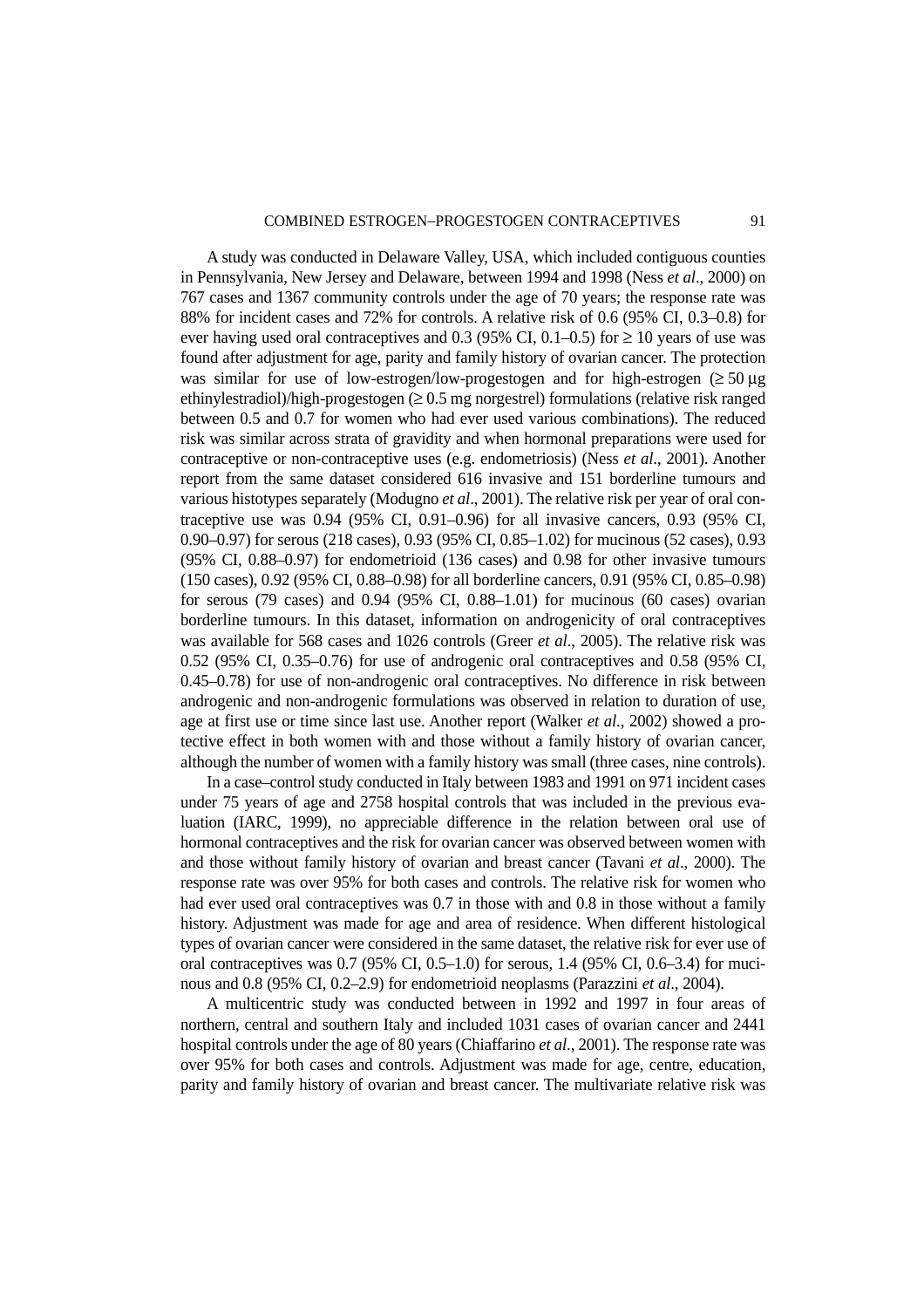#### COMBINED ESTROGEN−PROGESTOGEN CONTRACEPTIVES 91

A study was conducted in Delaware Valley, USA, which included contiguous counties in Pennsylvania, New Jersey and Delaware, between 1994 and 1998 (Ness *et al*., 2000) on 767 cases and 1367 community controls under the age of 70 years; the response rate was 88% for incident cases and 72% for controls. A relative risk of 0.6 (95% CI, 0.3–0.8) for ever having used oral contraceptives and 0.3 (95% CI, 0.1–0.5) for  $\geq$  10 years of use was found after adjustment for age, parity and family history of ovarian cancer. The protection was similar for use of low-estrogen/low-progestogen and for high-estrogen ( $\geq$  50 µg ethinylestradiol)/high-progestogen  $(≥ 0.5$  mg norgestrel) formulations (relative risk ranged between 0.5 and 0.7 for women who had ever used various combinations). The reduced risk was similar across strata of gravidity and when hormonal preparations were used for contraceptive or non-contraceptive uses (e.g. endometriosis) (Ness *et al*., 2001). Another report from the same dataset considered 616 invasive and 151 borderline tumours and various histotypes separately (Modugno *et al*., 2001). The relative risk per year of oral contraceptive use was 0.94 (95% CI, 0.91–0.96) for all invasive cancers, 0.93 (95% CI, 0.90–0.97) for serous (218 cases), 0.93 (95% CI, 0.85–1.02) for mucinous (52 cases), 0.93 (95% CI, 0.88–0.97) for endometrioid (136 cases) and 0.98 for other invasive tumours (150 cases), 0.92 (95% CI, 0.88–0.98) for all borderline cancers, 0.91 (95% CI, 0.85–0.98) for serous (79 cases) and 0.94 (95% CI, 0.88–1.01) for mucinous (60 cases) ovarian borderline tumours. In this dataset, information on androgenicity of oral contraceptives was available for 568 cases and 1026 controls (Greer *et al*., 2005). The relative risk was 0.52 (95% CI, 0.35–0.76) for use of androgenic oral contraceptives and 0.58 (95% CI, 0.45–0.78) for use of non-androgenic oral contraceptives. No difference in risk between androgenic and non-androgenic formulations was observed in relation to duration of use, age at first use or time since last use. Another report (Walker *et al*., 2002) showed a protective effect in both women with and those without a family history of ovarian cancer, although the number of women with a family history was small (three cases, nine controls).

In a case–control study conducted in Italy between 1983 and 1991 on 971 incident cases under 75 years of age and 2758 hospital controls that was included in the previous evaluation (IARC, 1999), no appreciable difference in the relation between oral use of hormonal contraceptives and the risk for ovarian cancer was observed between women with and those without family history of ovarian and breast cancer (Tavani *et al*., 2000). The response rate was over 95% for both cases and controls. The relative risk for women who had ever used oral contraceptives was 0.7 in those with and 0.8 in those without a family history. Adjustment was made for age and area of residence. When different histological types of ovarian cancer were considered in the same dataset, the relative risk for ever use of oral contraceptives was  $0.7$  (95% CI, 0.5–1.0) for serous, 1.4 (95% CI, 0.6–3.4) for mucinous and 0.8 (95% CI, 0.2–2.9) for endometrioid neoplasms (Parazzini *et al*., 2004).

A multicentric study was conducted between in 1992 and 1997 in four areas of northern, central and southern Italy and included 1031 cases of ovarian cancer and 2441 hospital controls under the age of 80 years (Chiaffarino *et al*., 2001). The response rate was over 95% for both cases and controls. Adjustment was made for age, centre, education, parity and family history of ovarian and breast cancer. The multivariate relative risk was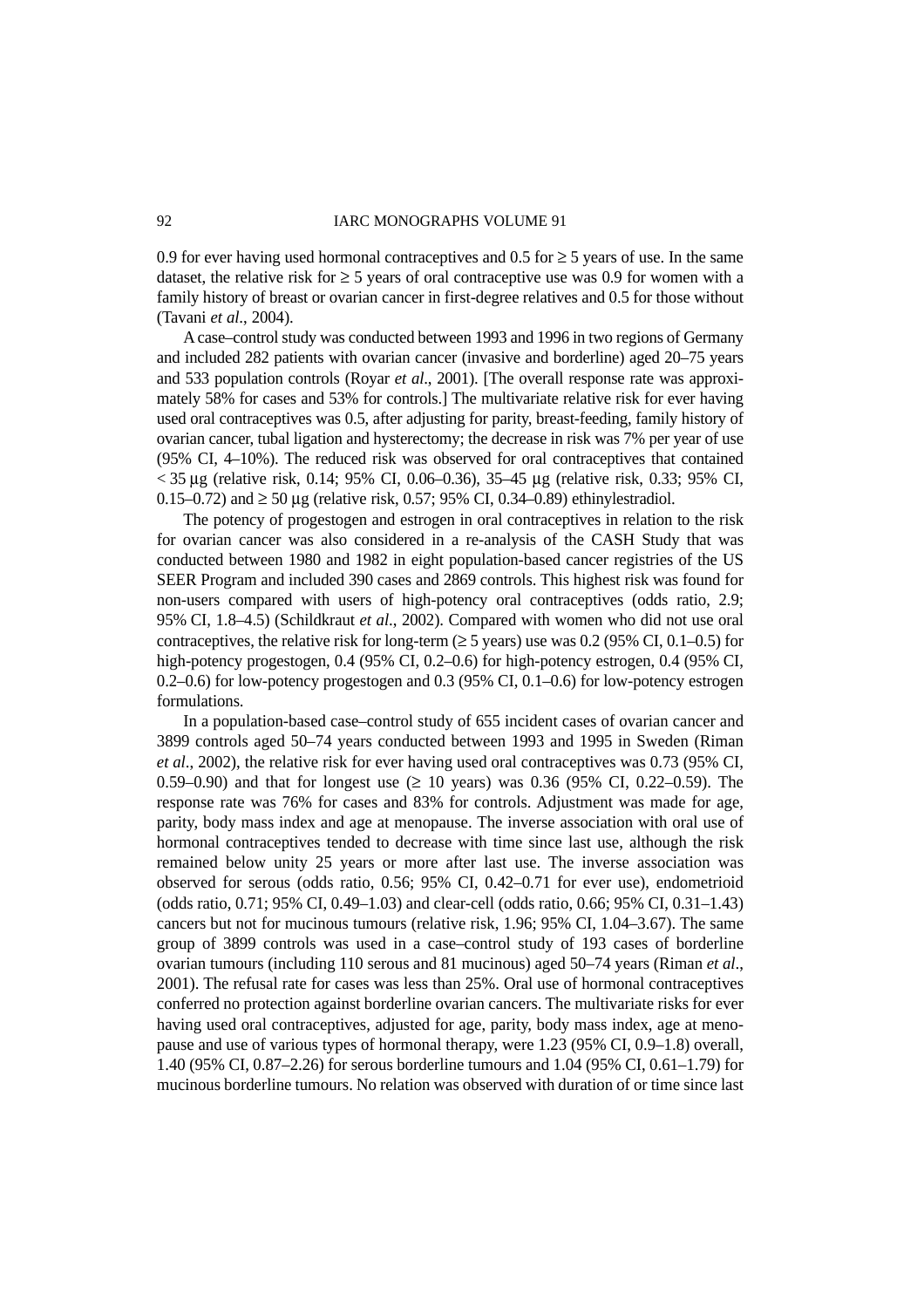0.9 for ever having used hormonal contraceptives and 0.5 for  $\geq$  5 years of use. In the same dataset, the relative risk for  $\geq$  5 years of oral contraceptive use was 0.9 for women with a family history of breast or ovarian cancer in first-degree relatives and 0.5 for those without (Tavani *et al*., 2004).

A case–control study was conducted between 1993 and 1996 in two regions of Germany and included 282 patients with ovarian cancer (invasive and borderline) aged 20–75 years and 533 population controls (Royar *et al*., 2001). [The overall response rate was approximately 58% for cases and 53% for controls.] The multivariate relative risk for ever having used oral contraceptives was 0.5, after adjusting for parity, breast-feeding, family history of ovarian cancer, tubal ligation and hysterectomy; the decrease in risk was 7% per year of use (95% CI, 4–10%). The reduced risk was observed for oral contraceptives that contained < 35 μg (relative risk, 0.14; 95% CI, 0.06–0.36), 35–45 μg (relative risk, 0.33; 95% CI, 0.15–0.72) and  $\geq 50 \mu$ g (relative risk, 0.57; 95% CI, 0.34–0.89) ethinylestradiol.

The potency of progestogen and estrogen in oral contraceptives in relation to the risk for ovarian cancer was also considered in a re-analysis of the CASH Study that was conducted between 1980 and 1982 in eight population-based cancer registries of the US SEER Program and included 390 cases and 2869 controls. This highest risk was found for non-users compared with users of high-potency oral contraceptives (odds ratio, 2.9; 95% CI, 1.8–4.5) (Schildkraut *et al*., 2002). Compared with women who did not use oral contraceptives, the relative risk for long-term ( $\geq 5$  years) use was 0.2 (95% CI, 0.1–0.5) for high-potency progestogen, 0.4 (95% CI, 0.2–0.6) for high-potency estrogen, 0.4 (95% CI, 0.2–0.6) for low-potency progestogen and 0.3 (95% CI, 0.1–0.6) for low-potency estrogen formulations.

In a population-based case–control study of 655 incident cases of ovarian cancer and 3899 controls aged 50–74 years conducted between 1993 and 1995 in Sweden (Riman *et al*., 2002), the relative risk for ever having used oral contraceptives was 0.73 (95% CI, 0.59–0.90) and that for longest use  $(≥ 10$  years) was 0.36 (95% CI, 0.22–0.59). The response rate was 76% for cases and 83% for controls. Adjustment was made for age, parity, body mass index and age at menopause. The inverse association with oral use of hormonal contraceptives tended to decrease with time since last use, although the risk remained below unity 25 years or more after last use. The inverse association was observed for serous (odds ratio, 0.56; 95% CI, 0.42–0.71 for ever use), endometrioid (odds ratio, 0.71; 95% CI, 0.49–1.03) and clear-cell (odds ratio, 0.66; 95% CI, 0.31–1.43) cancers but not for mucinous tumours (relative risk, 1.96; 95% CI, 1.04–3.67). The same group of 3899 controls was used in a case–control study of 193 cases of borderline ovarian tumours (including 110 serous and 81 mucinous) aged 50–74 years (Riman *et al*., 2001). The refusal rate for cases was less than 25%. Oral use of hormonal contraceptives conferred no protection against borderline ovarian cancers. The multivariate risks for ever having used oral contraceptives, adjusted for age, parity, body mass index, age at menopause and use of various types of hormonal therapy, were 1.23 (95% CI, 0.9–1.8) overall, 1.40 (95% CI, 0.87–2.26) for serous borderline tumours and 1.04 (95% CI, 0.61–1.79) for mucinous borderline tumours. No relation was observed with duration of or time since last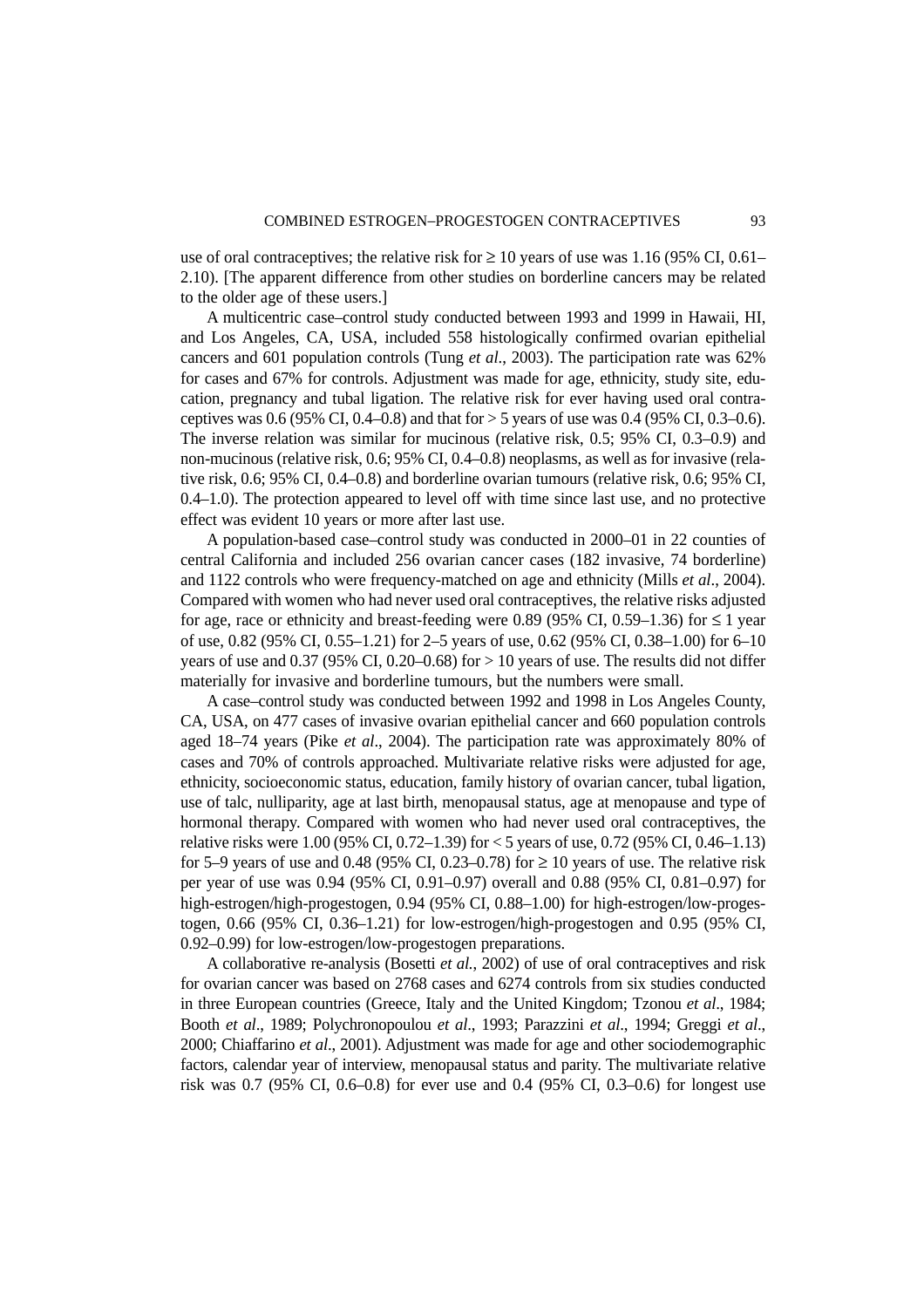use of oral contraceptives; the relative risk for  $\geq 10$  years of use was 1.16 (95% CI, 0.61– 2.10). [The apparent difference from other studies on borderline cancers may be related to the older age of these users.]

A multicentric case–control study conducted between 1993 and 1999 in Hawaii, HI, and Los Angeles, CA, USA, included 558 histologically confirmed ovarian epithelial cancers and 601 population controls (Tung *et al*., 2003). The participation rate was 62% for cases and 67% for controls. Adjustment was made for age, ethnicity, study site, education, pregnancy and tubal ligation. The relative risk for ever having used oral contraceptives was 0.6 (95% CI, 0.4–0.8) and that for  $> 5$  years of use was 0.4 (95% CI, 0.3–0.6). The inverse relation was similar for mucinous (relative risk, 0.5; 95% CI, 0.3–0.9) and non-mucinous (relative risk, 0.6; 95% CI, 0.4–0.8) neoplasms, as well as for invasive (relative risk, 0.6; 95% CI, 0.4–0.8) and borderline ovarian tumours (relative risk, 0.6; 95% CI, 0.4–1.0). The protection appeared to level off with time since last use, and no protective effect was evident 10 years or more after last use.

A population-based case–control study was conducted in 2000–01 in 22 counties of central California and included 256 ovarian cancer cases (182 invasive, 74 borderline) and 1122 controls who were frequency-matched on age and ethnicity (Mills *et al*., 2004). Compared with women who had never used oral contraceptives, the relative risks adjusted for age, race or ethnicity and breast-feeding were 0.89 (95% CI, 0.59–1.36) for  $\leq 1$  year of use, 0.82 (95% CI, 0.55–1.21) for 2–5 years of use, 0.62 (95% CI, 0.38–1.00) for 6–10 years of use and  $0.37$  (95% CI, 0.20–0.68) for  $> 10$  years of use. The results did not differ materially for invasive and borderline tumours, but the numbers were small.

A case–control study was conducted between 1992 and 1998 in Los Angeles County, CA, USA, on 477 cases of invasive ovarian epithelial cancer and 660 population controls aged 18–74 years (Pike *et al*., 2004). The participation rate was approximately 80% of cases and 70% of controls approached. Multivariate relative risks were adjusted for age, ethnicity, socioeconomic status, education, family history of ovarian cancer, tubal ligation, use of talc, nulliparity, age at last birth, menopausal status, age at menopause and type of hormonal therapy. Compared with women who had never used oral contraceptives, the relative risks were 1.00 (95% CI, 0.72–1.39) for < 5 years of use, 0.72 (95% CI, 0.46–1.13) for 5–9 years of use and 0.48 (95% CI, 0.23–0.78) for  $\geq 10$  years of use. The relative risk per year of use was 0.94 (95% CI, 0.91–0.97) overall and 0.88 (95% CI, 0.81–0.97) for high-estrogen/high-progestogen, 0.94 (95% CI, 0.88–1.00) for high-estrogen/low-progestogen, 0.66 (95% CI, 0.36–1.21) for low-estrogen/high-progestogen and 0.95 (95% CI, 0.92–0.99) for low-estrogen/low-progestogen preparations.

A collaborative re-analysis (Bosetti *et al.*, 2002) of use of oral contraceptives and risk for ovarian cancer was based on 2768 cases and 6274 controls from six studies conducted in three European countries (Greece, Italy and the United Kingdom; Tzonou *et al*., 1984; Booth *et al*., 1989; Polychronopoulou *et al*., 1993; Parazzini *et al*., 1994; Greggi *et al*., 2000; Chiaffarino *et al*., 2001). Adjustment was made for age and other sociodemographic factors, calendar year of interview, menopausal status and parity. The multivariate relative risk was 0.7 (95% CI, 0.6–0.8) for ever use and 0.4 (95% CI, 0.3–0.6) for longest use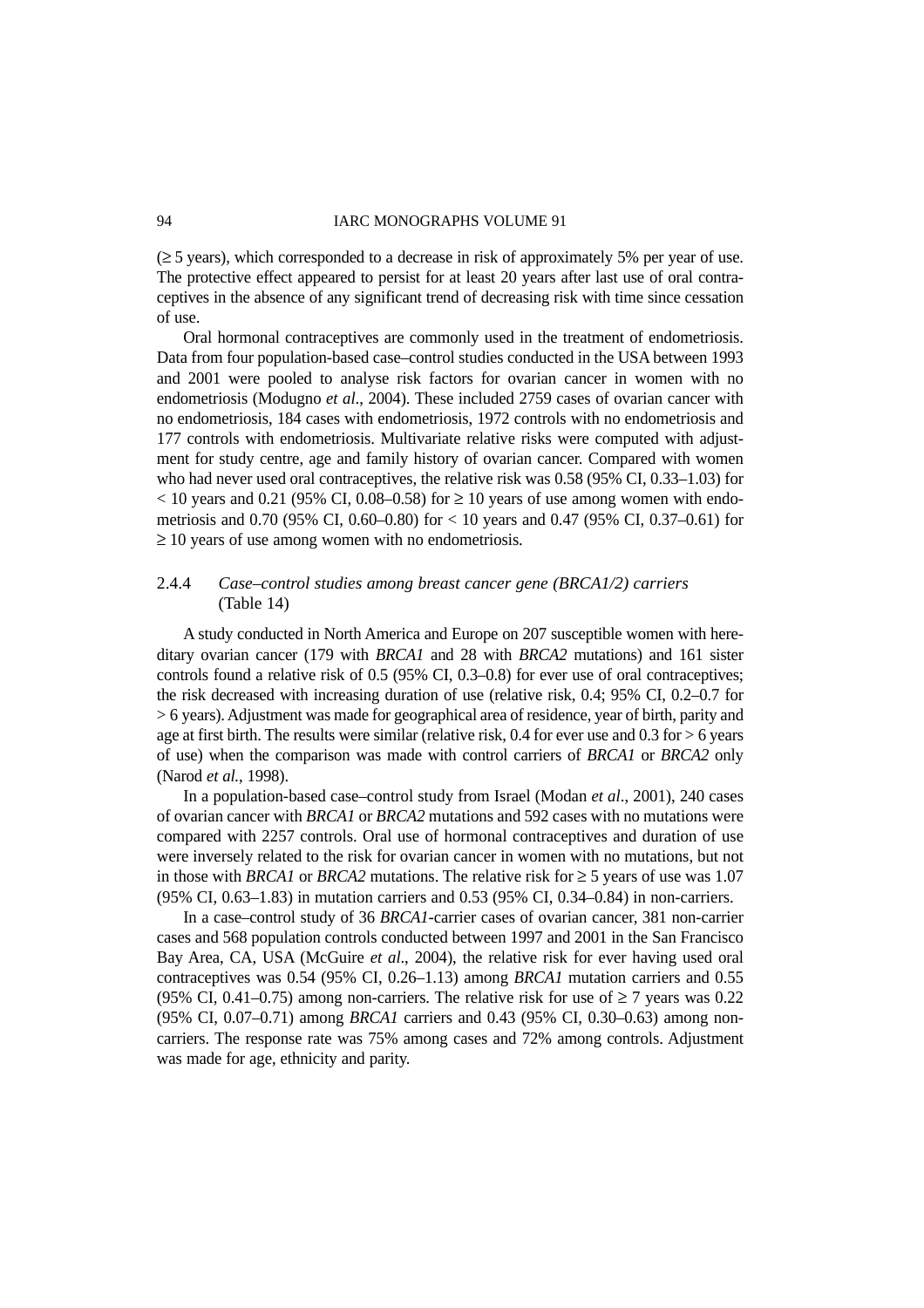$(\geq 5$  years), which corresponded to a decrease in risk of approximately 5% per year of use. The protective effect appeared to persist for at least 20 years after last use of oral contraceptives in the absence of any significant trend of decreasing risk with time since cessation of use.

Oral hormonal contraceptives are commonly used in the treatment of endometriosis. Data from four population-based case–control studies conducted in the USA between 1993 and 2001 were pooled to analyse risk factors for ovarian cancer in women with no endometriosis (Modugno *et al*., 2004). These included 2759 cases of ovarian cancer with no endometriosis, 184 cases with endometriosis, 1972 controls with no endometriosis and 177 controls with endometriosis. Multivariate relative risks were computed with adjustment for study centre, age and family history of ovarian cancer. Compared with women who had never used oral contraceptives, the relative risk was 0.58 (95% CI, 0.33–1.03) for  $<$  10 years and 0.21 (95% CI, 0.08–0.58) for  $\geq$  10 years of use among women with endometriosis and 0.70 (95% CI, 0.60–0.80) for < 10 years and 0.47 (95% CI, 0.37–0.61) for  $\geq$  10 years of use among women with no endometriosis.

# 2.4.4 *Case–control studies among breast cancer gene (BRCA1/2) carriers* (Table 14)

A study conducted in North America and Europe on 207 susceptible women with hereditary ovarian cancer (179 with *BRCA1* and 28 with *BRCA2* mutations) and 161 sister controls found a relative risk of 0.5 (95% CI, 0.3–0.8) for ever use of oral contraceptives; the risk decreased with increasing duration of use (relative risk, 0.4; 95% CI, 0.2–0.7 for > 6 years). Adjustment was made for geographical area of residence, year of birth, parity and age at first birth. The results were similar (relative risk, 0.4 for ever use and 0.3 for > 6 years of use) when the comparison was made with control carriers of *BRCA1* or *BRCA2* only (Narod *et al.*, 1998).

In a population-based case–control study from Israel (Modan *et al*., 2001), 240 cases of ovarian cancer with *BRCA1* or *BRCA2* mutations and 592 cases with no mutations were compared with 2257 controls. Oral use of hormonal contraceptives and duration of use were inversely related to the risk for ovarian cancer in women with no mutations, but not in those with *BRCA1* or *BRCA2* mutations. The relative risk for  $\geq$  5 years of use was 1.07 (95% CI, 0.63–1.83) in mutation carriers and 0.53 (95% CI, 0.34–0.84) in non-carriers.

In a case–control study of 36 *BRCA1*-carrier cases of ovarian cancer, 381 non-carrier cases and 568 population controls conducted between 1997 and 2001 in the San Francisco Bay Area, CA, USA (McGuire *et al*., 2004), the relative risk for ever having used oral contraceptives was 0.54 (95% CI, 0.26–1.13) among *BRCA1* mutation carriers and 0.55 (95% CI, 0.41–0.75) among non-carriers. The relative risk for use of  $\geq$  7 years was 0.22 (95% CI, 0.07–0.71) among *BRCA1* carriers and 0.43 (95% CI, 0.30–0.63) among noncarriers. The response rate was 75% among cases and 72% among controls. Adjustment was made for age, ethnicity and parity.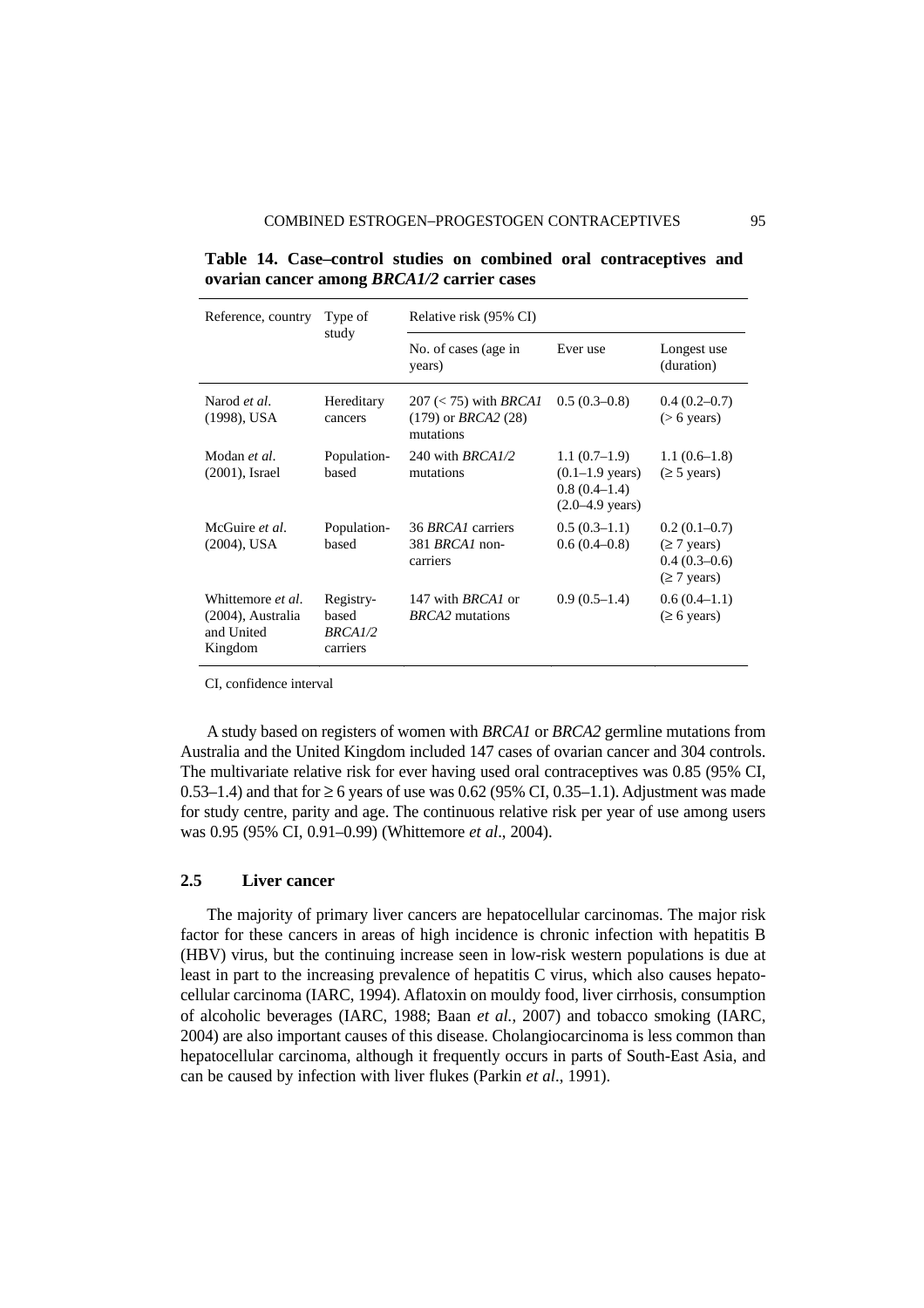**Table 14. Case–control studies on combined oral contraceptives and ovarian cancer among** *BRCA1/2* **carrier cases** 

| Reference, country                                                     | Type of                                   | Relative risk (95% CI)                                                          |                                                                                              |                                                                               |  |  |
|------------------------------------------------------------------------|-------------------------------------------|---------------------------------------------------------------------------------|----------------------------------------------------------------------------------------------|-------------------------------------------------------------------------------|--|--|
|                                                                        | study                                     | No. of cases (age in<br>years)                                                  | Ever use                                                                                     | Longest use<br>(duration)                                                     |  |  |
| Narod et al.<br>$(1998)$ , USA                                         | Hereditary<br>cancers                     | $207 \le 75$ ) with <i>BRCA1</i><br>$(179)$ or <i>BRCA2</i> $(28)$<br>mutations | $0.5(0.3-0.8)$                                                                               | $0.4(0.2-0.7)$<br>$($ > 6 years)                                              |  |  |
| Modan <i>et al</i><br>$(2001)$ , Israel                                | Population-<br>based                      | 240 with $BRCA1/2$<br>mutations                                                 | $1.1(0.7-1.9)$<br>$(0.1-1.9 \text{ years})$<br>$0.8(0.4-1.4)$<br>$(2.0 - 4.9 \text{ years})$ | $1.1(0.6-1.8)$<br>$(\geq 5$ years)                                            |  |  |
| McGuire et al.<br>$(2004)$ , USA                                       | Population-<br>based                      | 36 BRCA1 carriers<br>381 BRCA1 non-<br>carriers                                 | $0.5(0.3-1.1)$<br>$0.6(0.4-0.8)$                                                             | $0.2(0.1-0.7)$<br>$(≥ 7 \text{ years})$<br>$0.4(0.3-0.6)$<br>$(\geq 7$ years) |  |  |
| Whittemore <i>et al.</i><br>(2004), Australia<br>and United<br>Kingdom | Registry-<br>based<br>BRCA1/2<br>carriers | 147 with <i>BRCA1</i> or<br><i>BRCA2</i> mutations                              | $0.9(0.5-1.4)$                                                                               | $0.6(0.4-1.1)$<br>$(≥ 6 \text{ years})$                                       |  |  |

CI, confidence interval

A study based on registers of women with *BRCA1* or *BRCA2* germline mutations from Australia and the United Kingdom included 147 cases of ovarian cancer and 304 controls. The multivariate relative risk for ever having used oral contraceptives was 0.85 (95% CI, 0.53–1.4) and that for  $\geq 6$  years of use was 0.62 (95% CI, 0.35–1.1). Adjustment was made for study centre, parity and age. The continuous relative risk per year of use among users was 0.95 (95% CI, 0.91–0.99) (Whittemore *et al*., 2004).

# **2.5 Liver cancer**

The majority of primary liver cancers are hepatocellular carcinomas. The major risk factor for these cancers in areas of high incidence is chronic infection with hepatitis B (HBV) virus, but the continuing increase seen in low-risk western populations is due at least in part to the increasing prevalence of hepatitis C virus, which also causes hepatocellular carcinoma (IARC, 1994). Aflatoxin on mouldy food, liver cirrhosis, consumption of alcoholic beverages (IARC, 1988; Baan *et al.*, 2007) and tobacco smoking (IARC, 2004) are also important causes of this disease. Cholangiocarcinoma is less common than hepatocellular carcinoma, although it frequently occurs in parts of South-East Asia, and can be caused by infection with liver flukes (Parkin *et al*., 1991).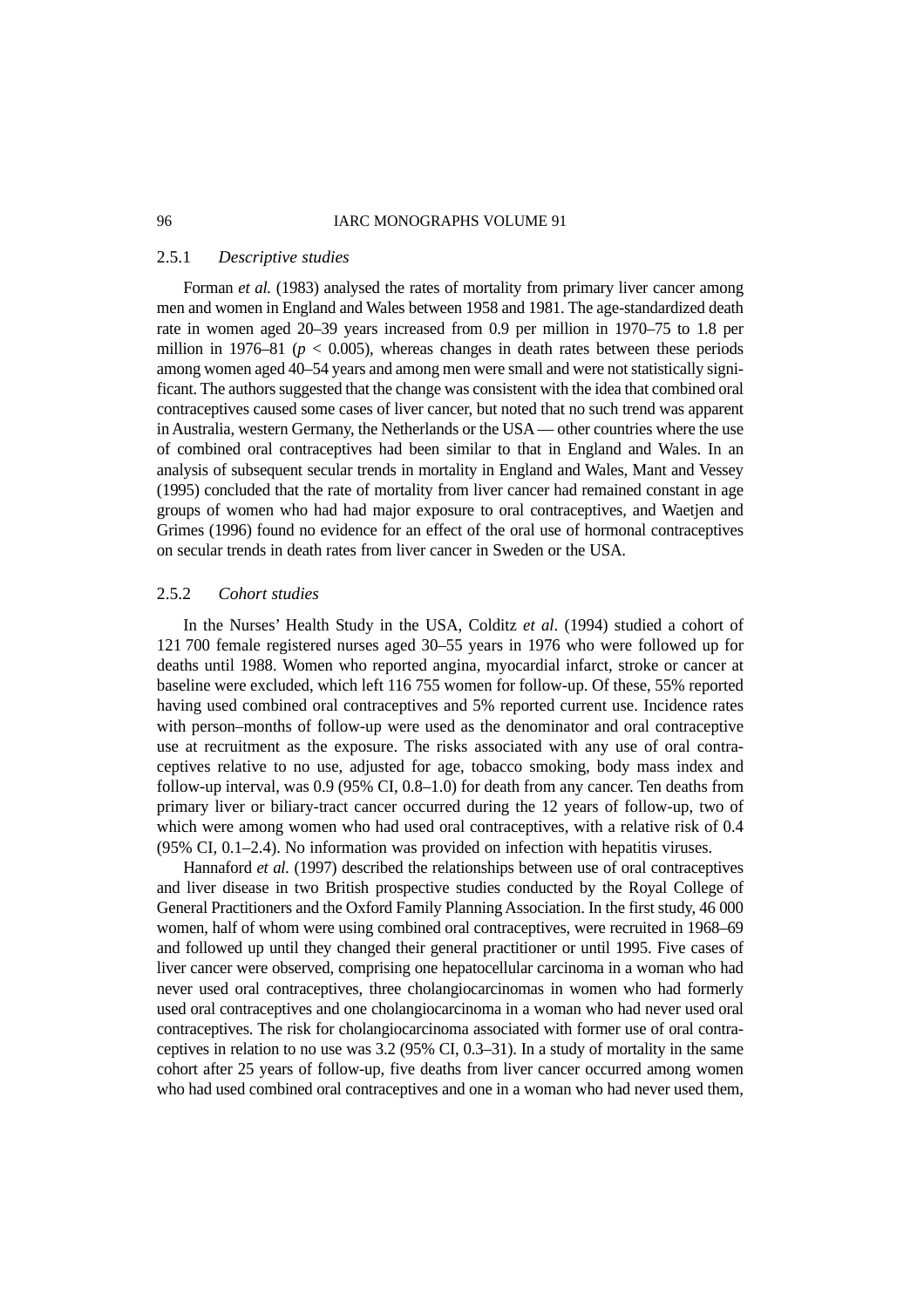### 2.5.1 *Descriptive studies*

Forman *et al.* (1983) analysed the rates of mortality from primary liver cancer among men and women in England and Wales between 1958 and 1981. The age-standardized death rate in women aged 20–39 years increased from 0.9 per million in 1970–75 to 1.8 per million in 1976–81 ( $p < 0.005$ ), whereas changes in death rates between these periods among women aged 40–54 years and among men were small and were not statistically significant. The authors suggested that the change was consistent with the idea that combined oral contraceptives caused some cases of liver cancer, but noted that no such trend was apparent in Australia, western Germany, the Netherlands or the USA — other countries where the use of combined oral contraceptives had been similar to that in England and Wales. In an analysis of subsequent secular trends in mortality in England and Wales, Mant and Vessey (1995) concluded that the rate of mortality from liver cancer had remained constant in age groups of women who had had major exposure to oral contraceptives, and Waetjen and Grimes (1996) found no evidence for an effect of the oral use of hormonal contraceptives on secular trends in death rates from liver cancer in Sweden or the USA.

### 2.5.2 *Cohort studies*

In the Nurses' Health Study in the USA, Colditz *et al*. (1994) studied a cohort of 121 700 female registered nurses aged 30–55 years in 1976 who were followed up for deaths until 1988. Women who reported angina, myocardial infarct, stroke or cancer at baseline were excluded, which left 116 755 women for follow-up. Of these, 55% reported having used combined oral contraceptives and 5% reported current use. Incidence rates with person–months of follow-up were used as the denominator and oral contraceptive use at recruitment as the exposure. The risks associated with any use of oral contraceptives relative to no use, adjusted for age, tobacco smoking, body mass index and follow-up interval, was 0.9 (95% CI, 0.8–1.0) for death from any cancer. Ten deaths from primary liver or biliary-tract cancer occurred during the 12 years of follow-up, two of which were among women who had used oral contraceptives, with a relative risk of 0.4 (95% CI, 0.1–2.4). No information was provided on infection with hepatitis viruses.

Hannaford *et al.* (1997) described the relationships between use of oral contraceptives and liver disease in two British prospective studies conducted by the Royal College of General Practitioners and the Oxford Family Planning Association. In the first study, 46 000 women, half of whom were using combined oral contraceptives, were recruited in 1968–69 and followed up until they changed their general practitioner or until 1995. Five cases of liver cancer were observed, comprising one hepatocellular carcinoma in a woman who had never used oral contraceptives, three cholangiocarcinomas in women who had formerly used oral contraceptives and one cholangiocarcinoma in a woman who had never used oral contraceptives. The risk for cholangiocarcinoma associated with former use of oral contraceptives in relation to no use was 3.2 (95% CI, 0.3–31). In a study of mortality in the same cohort after 25 years of follow-up, five deaths from liver cancer occurred among women who had used combined oral contraceptives and one in a woman who had never used them,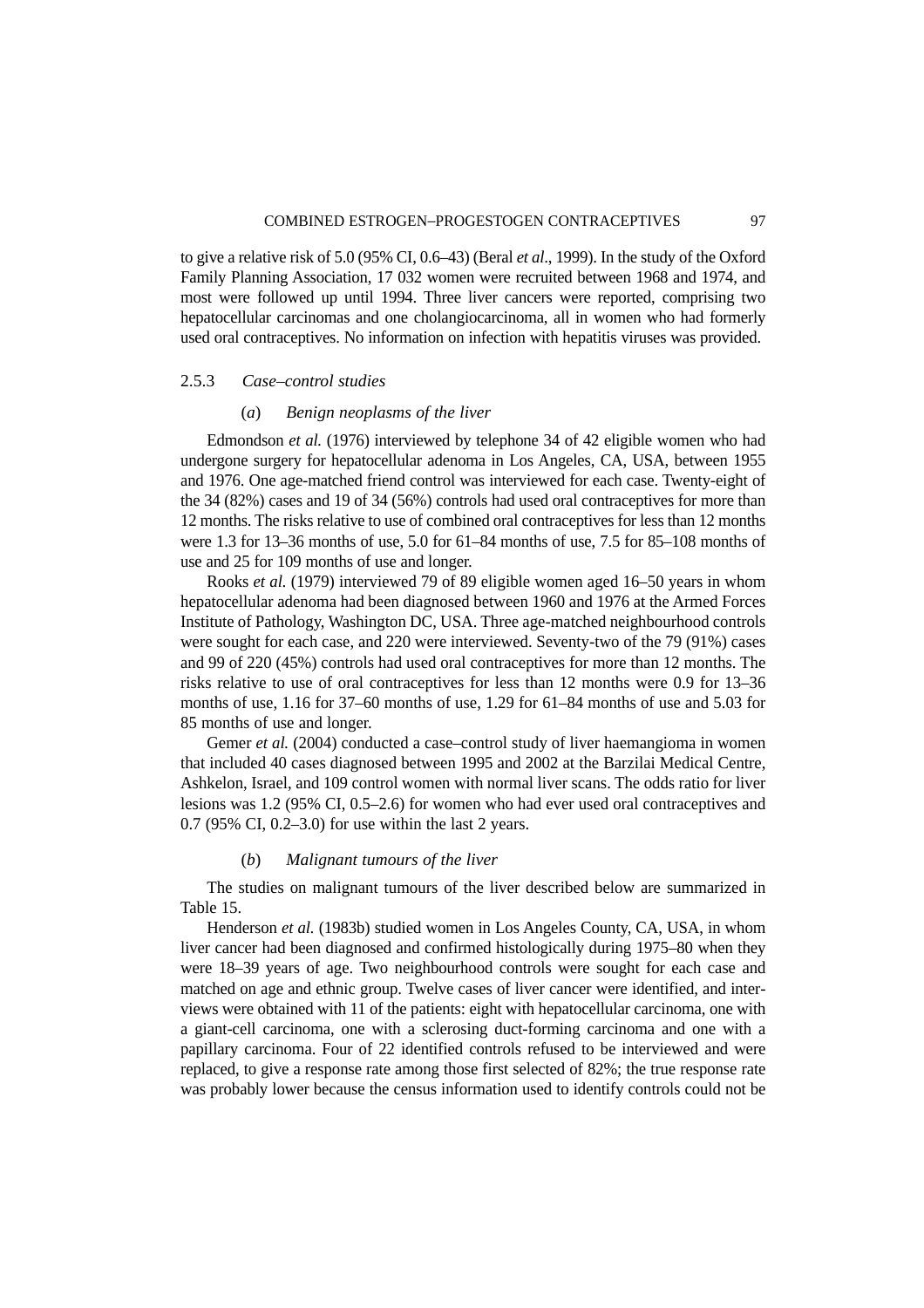to give a relative risk of 5.0 (95% CI, 0.6–43) (Beral *et al*., 1999). In the study of the Oxford Family Planning Association, 17 032 women were recruited between 1968 and 1974, and most were followed up until 1994. Three liver cancers were reported, comprising two hepatocellular carcinomas and one cholangiocarcinoma, all in women who had formerly used oral contraceptives. No information on infection with hepatitis viruses was provided.

### 2.5.3 *Case–control studies*

#### (*a*) *Benign neoplasms of the liver*

Edmondson *et al.* (1976) interviewed by telephone 34 of 42 eligible women who had undergone surgery for hepatocellular adenoma in Los Angeles, CA, USA, between 1955 and 1976. One age-matched friend control was interviewed for each case. Twenty-eight of the 34 (82%) cases and 19 of 34 (56%) controls had used oral contraceptives for more than 12 months. The risks relative to use of combined oral contraceptives for less than 12 months were 1.3 for 13–36 months of use, 5.0 for 61–84 months of use, 7.5 for 85–108 months of use and 25 for 109 months of use and longer.

Rooks *et al.* (1979) interviewed 79 of 89 eligible women aged 16–50 years in whom hepatocellular adenoma had been diagnosed between 1960 and 1976 at the Armed Forces Institute of Pathology, Washington DC, USA. Three age-matched neighbourhood controls were sought for each case, and 220 were interviewed. Seventy-two of the 79 (91%) cases and 99 of 220 (45%) controls had used oral contraceptives for more than 12 months. The risks relative to use of oral contraceptives for less than 12 months were 0.9 for 13–36 months of use, 1.16 for 37–60 months of use, 1.29 for 61–84 months of use and 5.03 for 85 months of use and longer.

Gemer *et al.* (2004) conducted a case–control study of liver haemangioma in women that included 40 cases diagnosed between 1995 and 2002 at the Barzilai Medical Centre, Ashkelon, Israel, and 109 control women with normal liver scans. The odds ratio for liver lesions was 1.2 (95% CI, 0.5–2.6) for women who had ever used oral contraceptives and 0.7 (95% CI, 0.2–3.0) for use within the last 2 years.

### (*b*) *Malignant tumours of the liver*

The studies on malignant tumours of the liver described below are summarized in Table 15.

Henderson *et al.* (1983b) studied women in Los Angeles County, CA, USA, in whom liver cancer had been diagnosed and confirmed histologically during 1975–80 when they were 18–39 years of age. Two neighbourhood controls were sought for each case and matched on age and ethnic group. Twelve cases of liver cancer were identified, and interviews were obtained with 11 of the patients: eight with hepatocellular carcinoma, one with a giant-cell carcinoma, one with a sclerosing duct-forming carcinoma and one with a papillary carcinoma. Four of 22 identified controls refused to be interviewed and were replaced, to give a response rate among those first selected of 82%; the true response rate was probably lower because the census information used to identify controls could not be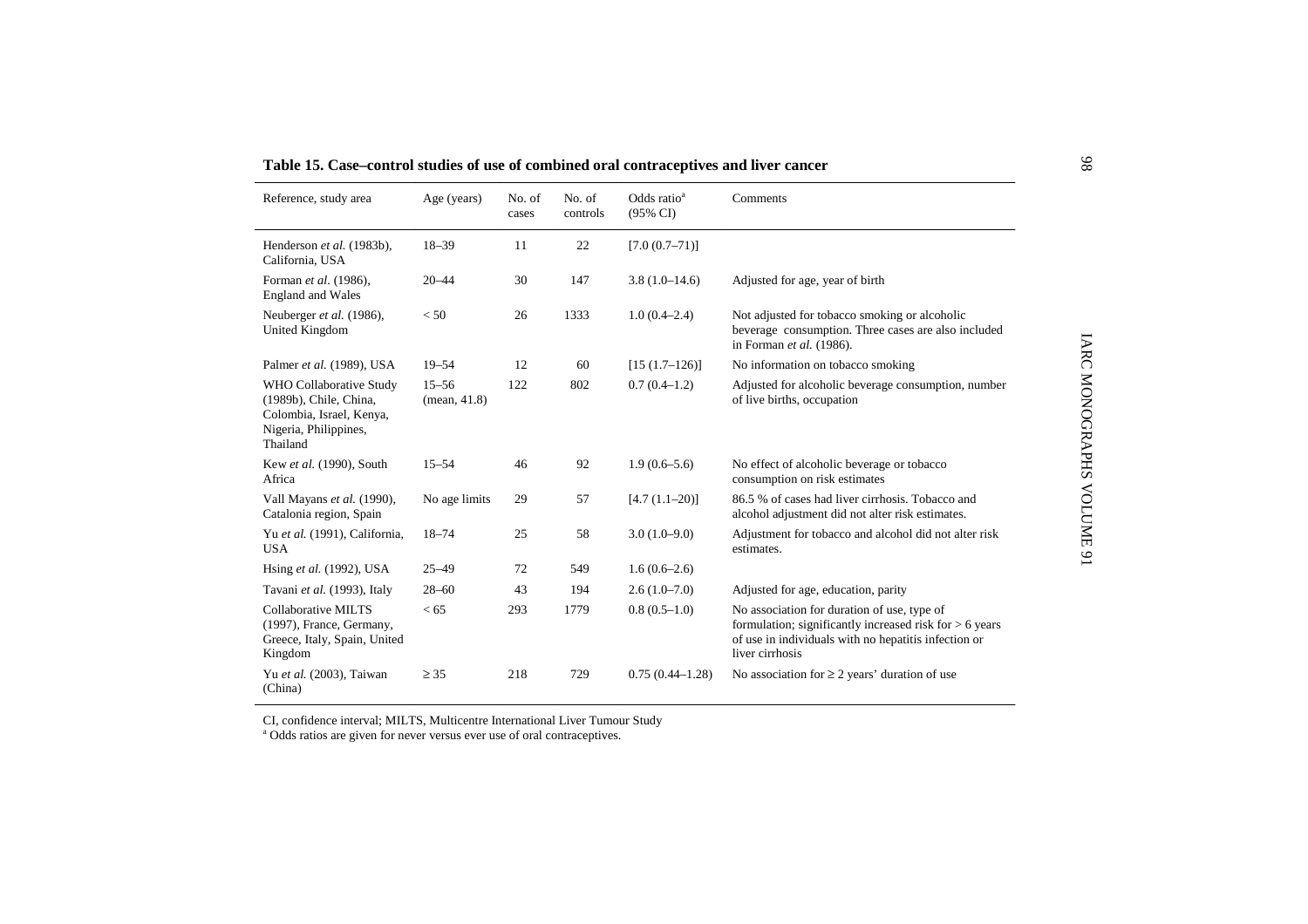|  |  |  | Table 15. Case–control studies of use of combined oral contraceptives and liver cancer |  |
|--|--|--|----------------------------------------------------------------------------------------|--|
|  |  |  |                                                                                        |  |
|  |  |  |                                                                                        |  |

| Reference, study area                                                                                              | Age (years)               | No. of<br>cases | No. of<br>controls | Odds ratio <sup>a</sup><br>$(95\% \text{ CI})$ | Comments                                                                                                                                                                            |
|--------------------------------------------------------------------------------------------------------------------|---------------------------|-----------------|--------------------|------------------------------------------------|-------------------------------------------------------------------------------------------------------------------------------------------------------------------------------------|
| Henderson et al. (1983b),<br>California, USA                                                                       | $18 - 39$                 | 11              | 22                 | $[7.0(0.7-71)]$                                |                                                                                                                                                                                     |
| Forman et al. (1986),<br><b>England and Wales</b>                                                                  | $20 - 44$                 | 30              | 147                | $3.8(1.0-14.6)$                                | Adjusted for age, year of birth                                                                                                                                                     |
| Neuberger et al. (1986),<br><b>United Kingdom</b>                                                                  | < 50                      | 26              | 1333               | $1.0(0.4-2.4)$                                 | Not adjusted for tobacco smoking or alcoholic<br>beverage consumption. Three cases are also included<br>in Forman et al. (1986).                                                    |
| Palmer et al. (1989), USA                                                                                          | $19 - 54$                 | 12              | 60                 | $[15(1.7-126)]$                                | No information on tobacco smoking                                                                                                                                                   |
| WHO Collaborative Study<br>(1989b), Chile, China,<br>Colombia, Israel, Kenya,<br>Nigeria, Philippines,<br>Thailand | $15 - 56$<br>(mean, 41.8) | 122             | 802                | $0.7(0.4-1.2)$                                 | Adjusted for alcoholic beverage consumption, number<br>of live births, occupation                                                                                                   |
| Kew et al. (1990), South<br>Africa                                                                                 | $15 - 54$                 | 46              | 92                 | $1.9(0.6-5.6)$                                 | No effect of alcoholic beverage or tobacco<br>consumption on risk estimates                                                                                                         |
| Vall Mayans et al. (1990),<br>Catalonia region, Spain                                                              | No age limits             | 29              | 57                 | $[4.7(1.1-20)]$                                | 86.5 % of cases had liver cirrhosis. Tobacco and<br>alcohol adjustment did not alter risk estimates.                                                                                |
| Yu et al. (1991), California,<br><b>USA</b>                                                                        | $18 - 74$                 | 25              | 58                 | $3.0(1.0-9.0)$                                 | Adjustment for tobacco and alcohol did not alter risk<br>estimates.                                                                                                                 |
| Hsing et al. (1992), USA                                                                                           | $25 - 49$                 | 72              | 549                | $1.6(0.6-2.6)$                                 |                                                                                                                                                                                     |
| Tavani et al. (1993), Italy                                                                                        | $28 - 60$                 | 43              | 194                | $2.6(1.0-7.0)$                                 | Adjusted for age, education, parity                                                                                                                                                 |
| <b>Collaborative MILTS</b><br>(1997), France, Germany,<br>Greece, Italy, Spain, United<br>Kingdom                  | < 65                      | 293             | 1779               | $0.8(0.5-1.0)$                                 | No association for duration of use, type of<br>formulation; significantly increased risk for $> 6$ years<br>of use in individuals with no hepatitis infection or<br>liver cirrhosis |
| Yu et al. (2003), Taiwan<br>(China)                                                                                | $\geq 35$                 | 218             | 729                | $0.75(0.44 - 1.28)$                            | No association for $\geq 2$ years' duration of use                                                                                                                                  |

CI, confidence interval; MILTS, Multicentre International Liver Tumour Study

<sup>a</sup> Odds ratios are given for never versus ever use of oral contraceptives.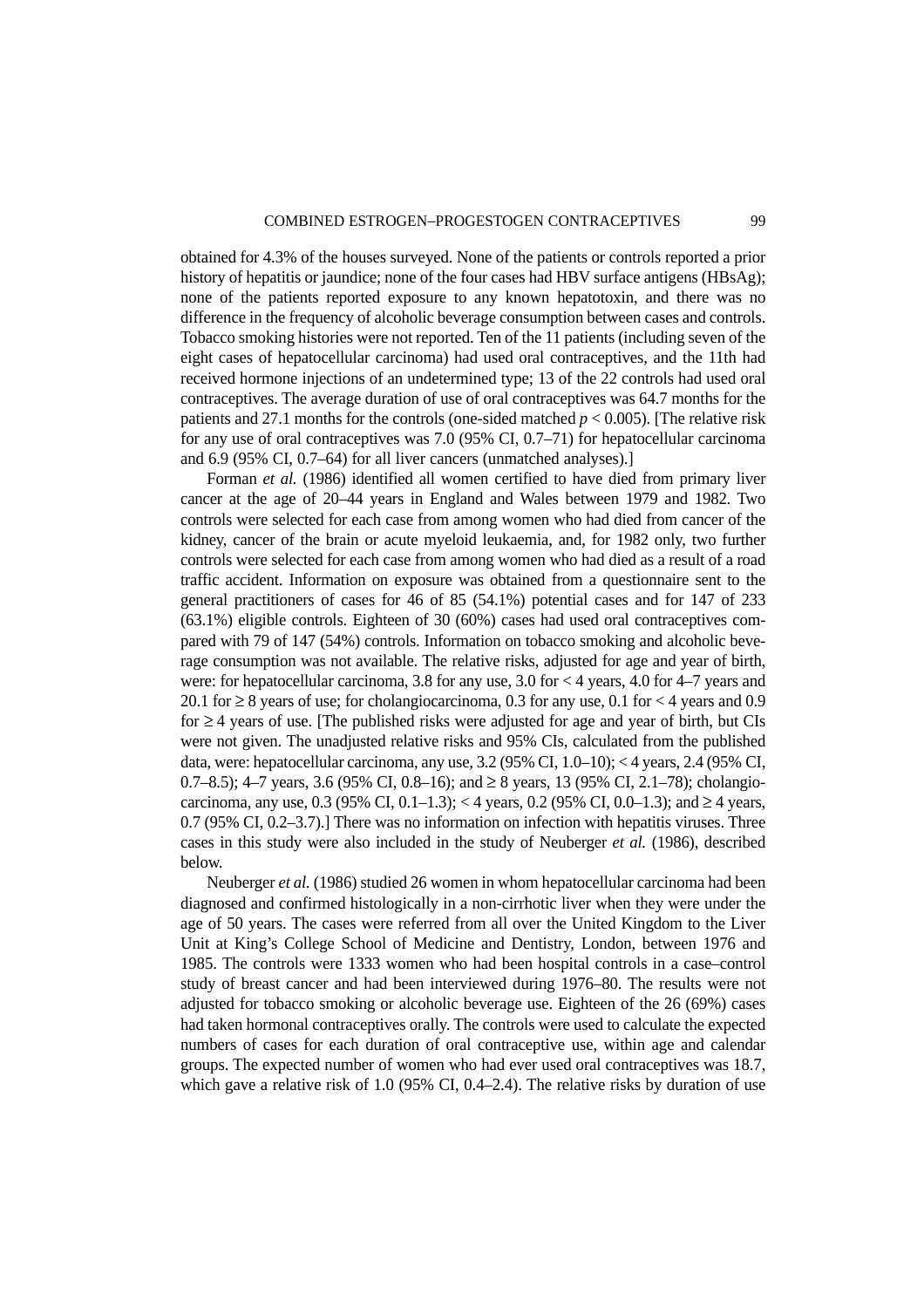obtained for 4.3% of the houses surveyed. None of the patients or controls reported a prior history of hepatitis or jaundice; none of the four cases had HBV surface antigens (HBsAg); none of the patients reported exposure to any known hepatotoxin, and there was no difference in the frequency of alcoholic beverage consumption between cases and controls. Tobacco smoking histories were not reported. Ten of the 11 patients (including seven of the eight cases of hepatocellular carcinoma) had used oral contraceptives, and the 11th had received hormone injections of an undetermined type; 13 of the 22 controls had used oral contraceptives. The average duration of use of oral contraceptives was 64.7 months for the patients and 27.1 months for the controls (one-sided matched  $p < 0.005$ ). [The relative risk for any use of oral contraceptives was 7.0 (95% CI, 0.7–71) for hepatocellular carcinoma and 6.9 (95% CI, 0.7–64) for all liver cancers (unmatched analyses).]

Forman *et al.* (1986) identified all women certified to have died from primary liver cancer at the age of 20–44 years in England and Wales between 1979 and 1982. Two controls were selected for each case from among women who had died from cancer of the kidney, cancer of the brain or acute myeloid leukaemia, and, for 1982 only, two further controls were selected for each case from among women who had died as a result of a road traffic accident. Information on exposure was obtained from a questionnaire sent to the general practitioners of cases for 46 of 85 (54.1%) potential cases and for 147 of 233 (63.1%) eligible controls. Eighteen of 30 (60%) cases had used oral contraceptives compared with 79 of 147 (54%) controls. Information on tobacco smoking and alcoholic beverage consumption was not available. The relative risks, adjusted for age and year of birth, were: for hepatocellular carcinoma, 3.8 for any use, 3.0 for < 4 years, 4.0 for 4–7 years and 20.1 for  $\geq$  8 years of use; for cholangiocarcinoma, 0.3 for any use, 0.1 for  $\lt$  4 years and 0.9 for ≥ 4 years of use. [The published risks were adjusted for age and year of birth, but CIs were not given. The unadjusted relative risks and 95% CIs, calculated from the published data, were: hepatocellular carcinoma, any use,  $3.2$  (95% CI,  $1.0-10$ );  $\lt$  4 years,  $2.4$  (95% CI, 0.7–8.5); 4–7 years, 3.6 (95% CI, 0.8–16); and  $\geq 8$  years, 13 (95% CI, 2.1–78); cholangiocarcinoma, any use, 0.3 (95% CI, 0.1–1.3); < 4 years, 0.2 (95% CI, 0.0–1.3); and  $\geq 4$  years, 0.7 (95% CI, 0.2–3.7).] There was no information on infection with hepatitis viruses. Three cases in this study were also included in the study of Neuberger *et al.* (1986), described below.

Neuberger *et al.* (1986) studied 26 women in whom hepatocellular carcinoma had been diagnosed and confirmed histologically in a non-cirrhotic liver when they were under the age of 50 years. The cases were referred from all over the United Kingdom to the Liver Unit at King's College School of Medicine and Dentistry, London, between 1976 and 1985. The controls were 1333 women who had been hospital controls in a case–control study of breast cancer and had been interviewed during 1976–80. The results were not adjusted for tobacco smoking or alcoholic beverage use. Eighteen of the 26 (69%) cases had taken hormonal contraceptives orally. The controls were used to calculate the expected numbers of cases for each duration of oral contraceptive use, within age and calendar groups. The expected number of women who had ever used oral contraceptives was 18.7, which gave a relative risk of 1.0 (95% CI, 0.4–2.4). The relative risks by duration of use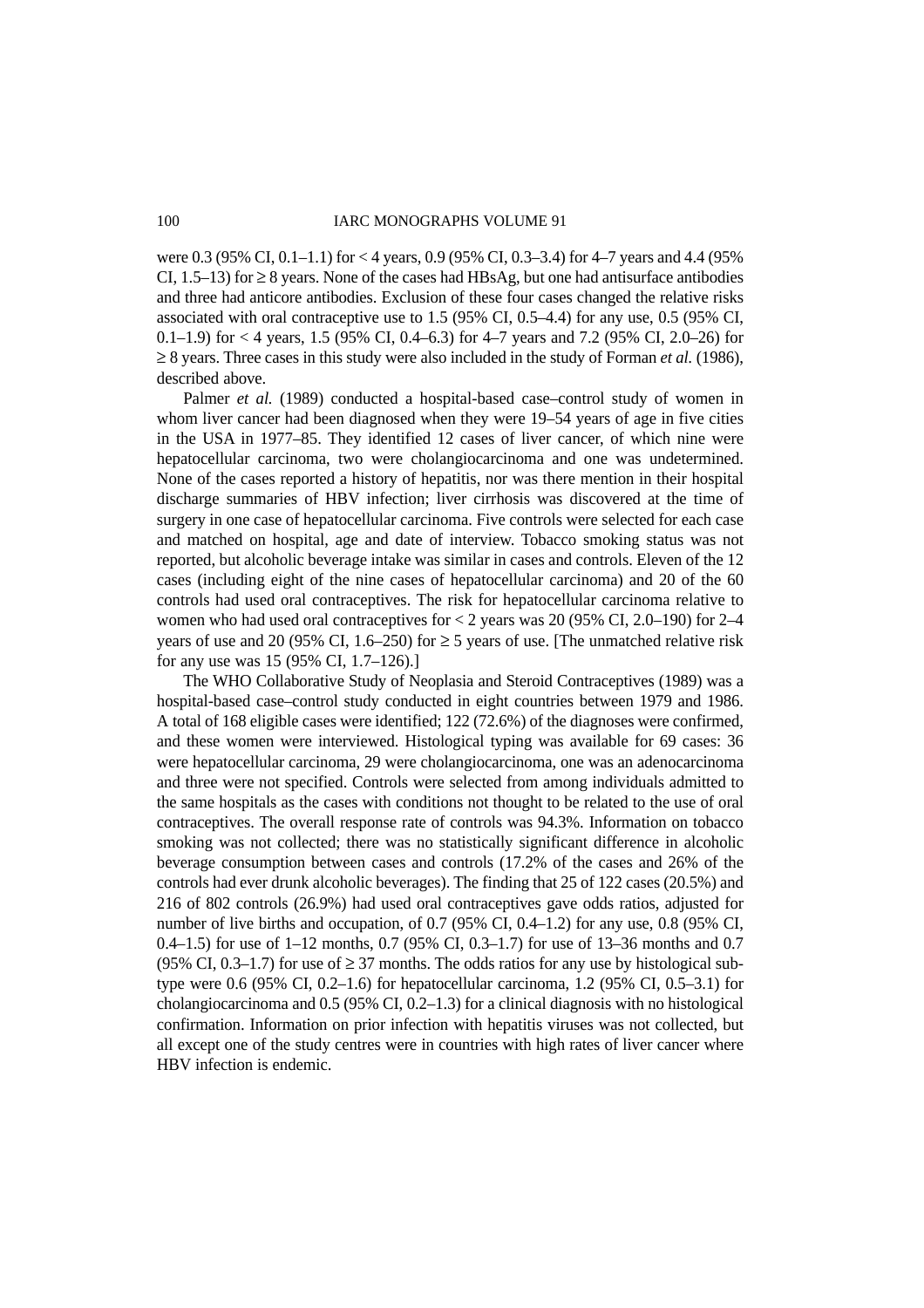were 0.3 (95% CI, 0.1–1.1) for < 4 years, 0.9 (95% CI, 0.3–3.4) for 4–7 years and 4.4 (95% CI, 1.5–13) for  $\geq$  8 years. None of the cases had HBsAg, but one had antisurface antibodies and three had anticore antibodies. Exclusion of these four cases changed the relative risks associated with oral contraceptive use to 1.5 (95% CI, 0.5–4.4) for any use, 0.5 (95% CI, 0.1–1.9) for  $<$  4 years, 1.5 (95% CI, 0.4–6.3) for 4–7 years and 7.2 (95% CI, 2.0–26) for  $\geq$  8 years. Three cases in this study were also included in the study of Forman *et al.* (1986), described above.

Palmer *et al.* (1989) conducted a hospital-based case–control study of women in whom liver cancer had been diagnosed when they were 19–54 years of age in five cities in the USA in 1977–85. They identified 12 cases of liver cancer, of which nine were hepatocellular carcinoma, two were cholangiocarcinoma and one was undetermined. None of the cases reported a history of hepatitis, nor was there mention in their hospital discharge summaries of HBV infection; liver cirrhosis was discovered at the time of surgery in one case of hepatocellular carcinoma. Five controls were selected for each case and matched on hospital, age and date of interview. Tobacco smoking status was not reported, but alcoholic beverage intake was similar in cases and controls. Eleven of the 12 cases (including eight of the nine cases of hepatocellular carcinoma) and 20 of the 60 controls had used oral contraceptives. The risk for hepatocellular carcinoma relative to women who had used oral contraceptives for < 2 years was 20 (95% CI, 2.0–190) for 2–4 years of use and 20 (95% CI, 1.6–250) for  $\geq$  5 years of use. [The unmatched relative risk for any use was 15 (95% CI, 1.7–126).]

The WHO Collaborative Study of Neoplasia and Steroid Contraceptives (1989) was a hospital-based case–control study conducted in eight countries between 1979 and 1986. A total of 168 eligible cases were identified; 122 (72.6%) of the diagnoses were confirmed, and these women were interviewed. Histological typing was available for 69 cases: 36 were hepatocellular carcinoma, 29 were cholangiocarcinoma, one was an adenocarcinoma and three were not specified. Controls were selected from among individuals admitted to the same hospitals as the cases with conditions not thought to be related to the use of oral contraceptives. The overall response rate of controls was 94.3%. Information on tobacco smoking was not collected; there was no statistically significant difference in alcoholic beverage consumption between cases and controls (17.2% of the cases and 26% of the controls had ever drunk alcoholic beverages). The finding that 25 of 122 cases (20.5%) and 216 of 802 controls (26.9%) had used oral contraceptives gave odds ratios, adjusted for number of live births and occupation, of 0.7 (95% CI, 0.4–1.2) for any use, 0.8 (95% CI, 0.4–1.5) for use of 1–12 months, 0.7 (95% CI, 0.3–1.7) for use of 13–36 months and 0.7 (95% CI, 0.3–1.7) for use of  $\geq$  37 months. The odds ratios for any use by histological subtype were 0.6 (95% CI, 0.2–1.6) for hepatocellular carcinoma, 1.2 (95% CI, 0.5–3.1) for cholangiocarcinoma and 0.5 (95% CI, 0.2–1.3) for a clinical diagnosis with no histological confirmation. Information on prior infection with hepatitis viruses was not collected, but all except one of the study centres were in countries with high rates of liver cancer where HBV infection is endemic.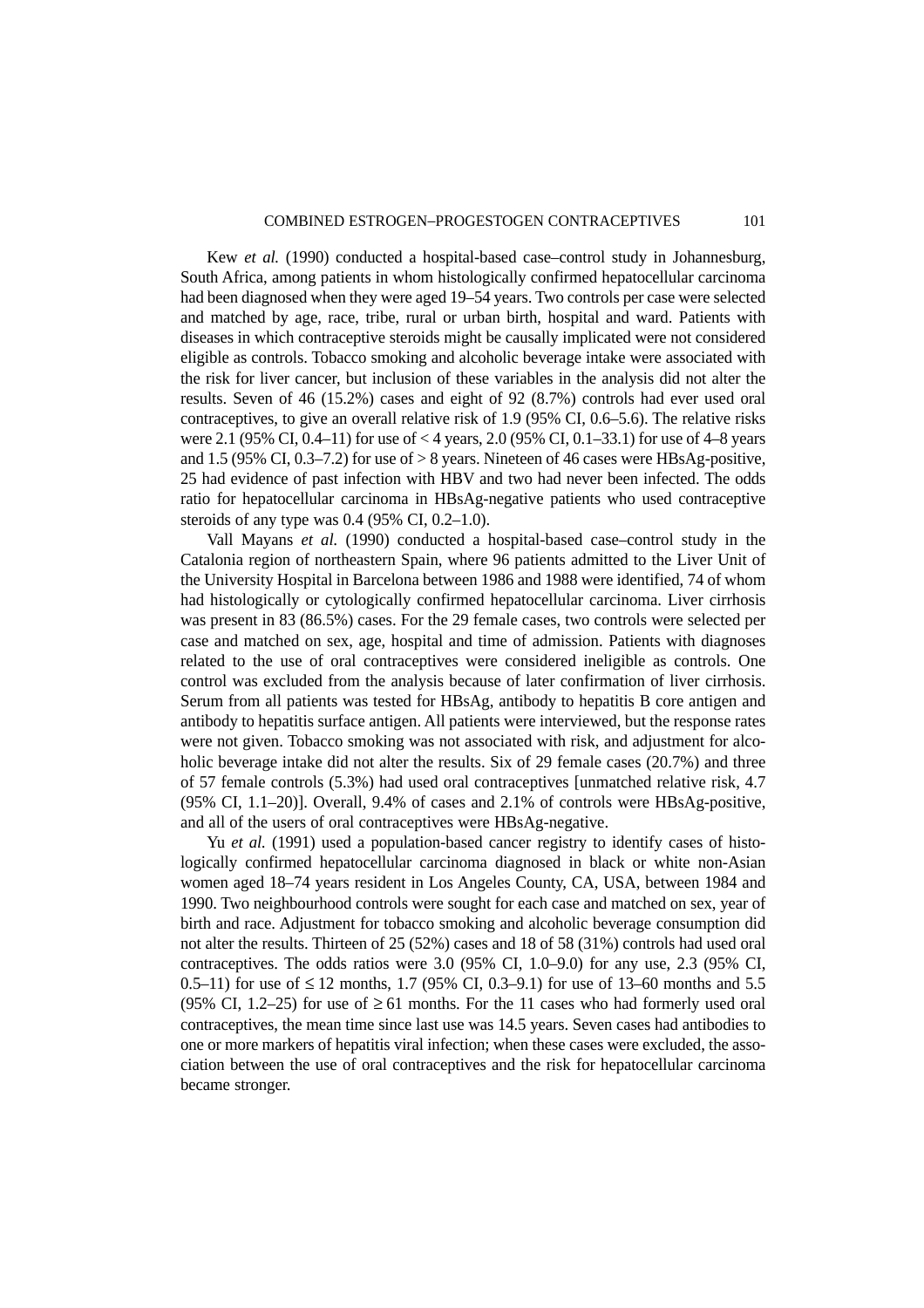Kew *et al.* (1990) conducted a hospital-based case–control study in Johannesburg, South Africa, among patients in whom histologically confirmed hepatocellular carcinoma had been diagnosed when they were aged 19–54 years. Two controls per case were selected and matched by age, race, tribe, rural or urban birth, hospital and ward. Patients with diseases in which contraceptive steroids might be causally implicated were not considered eligible as controls. Tobacco smoking and alcoholic beverage intake were associated with the risk for liver cancer, but inclusion of these variables in the analysis did not alter the results. Seven of 46 (15.2%) cases and eight of 92 (8.7%) controls had ever used oral contraceptives, to give an overall relative risk of 1.9 (95% CI, 0.6–5.6). The relative risks were 2.1 (95% CI, 0.4–11) for use of < 4 years, 2.0 (95% CI, 0.1–33.1) for use of 4–8 years and 1.5 (95% CI,  $0.3-7.2$ ) for use of  $> 8$  years. Nineteen of 46 cases were HBsAg-positive, 25 had evidence of past infection with HBV and two had never been infected. The odds ratio for hepatocellular carcinoma in HBsAg-negative patients who used contraceptive steroids of any type was  $0.4$  (95% CI, 0.2–1.0).

Vall Mayans *et al.* (1990) conducted a hospital-based case–control study in the Catalonia region of northeastern Spain, where 96 patients admitted to the Liver Unit of the University Hospital in Barcelona between 1986 and 1988 were identified, 74 of whom had histologically or cytologically confirmed hepatocellular carcinoma. Liver cirrhosis was present in 83 (86.5%) cases. For the 29 female cases, two controls were selected per case and matched on sex, age, hospital and time of admission. Patients with diagnoses related to the use of oral contraceptives were considered ineligible as controls. One control was excluded from the analysis because of later confirmation of liver cirrhosis. Serum from all patients was tested for HBsAg, antibody to hepatitis B core antigen and antibody to hepatitis surface antigen. All patients were interviewed, but the response rates were not given. Tobacco smoking was not associated with risk, and adjustment for alcoholic beverage intake did not alter the results. Six of 29 female cases (20.7%) and three of 57 female controls (5.3%) had used oral contraceptives [unmatched relative risk, 4.7 (95% CI, 1.1–20)]. Overall, 9.4% of cases and 2.1% of controls were HBsAg-positive, and all of the users of oral contraceptives were HBsAg-negative.

Yu *et al.* (1991) used a population-based cancer registry to identify cases of histologically confirmed hepatocellular carcinoma diagnosed in black or white non-Asian women aged 18–74 years resident in Los Angeles County, CA, USA, between 1984 and 1990. Two neighbourhood controls were sought for each case and matched on sex, year of birth and race. Adjustment for tobacco smoking and alcoholic beverage consumption did not alter the results. Thirteen of 25 (52%) cases and 18 of 58 (31%) controls had used oral contraceptives. The odds ratios were  $3.0$  (95% CI,  $1.0-9.0$ ) for any use,  $2.3$  (95% CI, 0.5–11) for use of  $\leq$  12 months, 1.7 (95% CI, 0.3–9.1) for use of 13–60 months and 5.5 (95% CI, 1.2–25) for use of  $\geq 61$  months. For the 11 cases who had formerly used oral contraceptives, the mean time since last use was 14.5 years. Seven cases had antibodies to one or more markers of hepatitis viral infection; when these cases were excluded, the association between the use of oral contraceptives and the risk for hepatocellular carcinoma became stronger.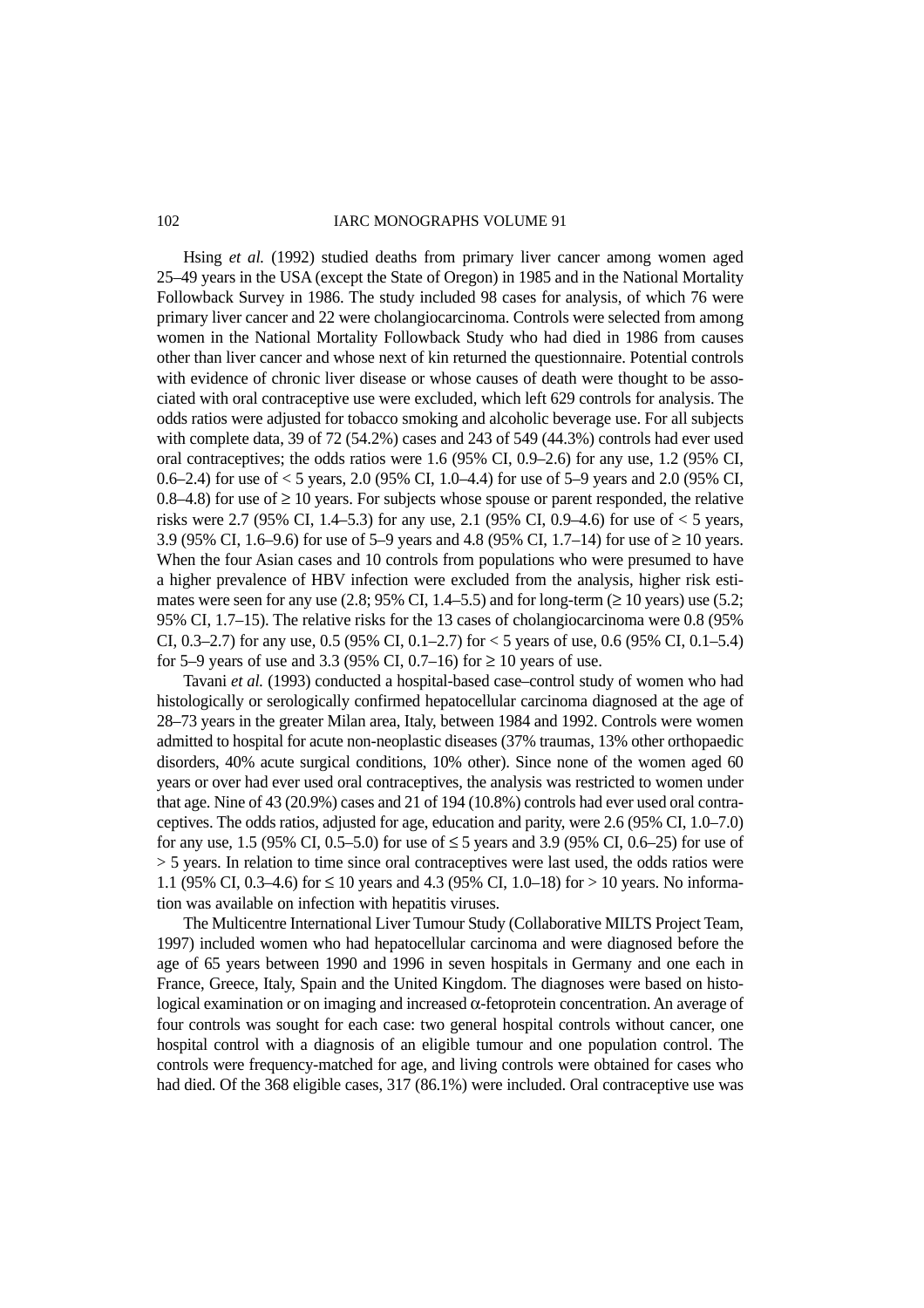Hsing *et al.* (1992) studied deaths from primary liver cancer among women aged 25–49 years in the USA (except the State of Oregon) in 1985 and in the National Mortality Followback Survey in 1986. The study included 98 cases for analysis, of which 76 were primary liver cancer and 22 were cholangiocarcinoma. Controls were selected from among women in the National Mortality Followback Study who had died in 1986 from causes other than liver cancer and whose next of kin returned the questionnaire. Potential controls with evidence of chronic liver disease or whose causes of death were thought to be associated with oral contraceptive use were excluded, which left 629 controls for analysis. The odds ratios were adjusted for tobacco smoking and alcoholic beverage use. For all subjects with complete data, 39 of 72 (54.2%) cases and 243 of 549 (44.3%) controls had ever used oral contraceptives; the odds ratios were 1.6 (95% CI, 0.9–2.6) for any use, 1.2 (95% CI, 0.6–2.4) for use of < 5 years, 2.0 (95% CI, 1.0–4.4) for use of 5–9 years and 2.0 (95% CI, 0.8–4.8) for use of  $\geq$  10 years. For subjects whose spouse or parent responded, the relative risks were 2.7 (95% CI, 1.4–5.3) for any use, 2.1 (95% CI, 0.9–4.6) for use of  $\lt$  5 years, 3.9 (95% CI, 1.6–9.6) for use of 5–9 years and 4.8 (95% CI, 1.7–14) for use of ≥ 10 years. When the four Asian cases and 10 controls from populations who were presumed to have a higher prevalence of HBV infection were excluded from the analysis, higher risk estimates were seen for any use  $(2.8; 95\% \text{ CI}, 1.4-5.5)$  and for long-term  $(\geq 10 \text{ years})$  use  $(5.2;$ 95% CI, 1.7–15). The relative risks for the 13 cases of cholangiocarcinoma were 0.8 (95% CI, 0.3–2.7) for any use, 0.5 (95% CI, 0.1–2.7) for  $\lt$  5 years of use, 0.6 (95% CI, 0.1–5.4) for 5–9 years of use and 3.3 (95% CI, 0.7–16) for ≥ 10 years of use.

Tavani *et al.* (1993) conducted a hospital-based case–control study of women who had histologically or serologically confirmed hepatocellular carcinoma diagnosed at the age of 28–73 years in the greater Milan area, Italy, between 1984 and 1992. Controls were women admitted to hospital for acute non-neoplastic diseases (37% traumas, 13% other orthopaedic disorders, 40% acute surgical conditions, 10% other). Since none of the women aged 60 years or over had ever used oral contraceptives, the analysis was restricted to women under that age. Nine of 43 (20.9%) cases and 21 of 194 (10.8%) controls had ever used oral contraceptives. The odds ratios, adjusted for age, education and parity, were 2.6 (95% CI, 1.0–7.0) for any use, 1.5 (95% CI, 0.5–5.0) for use of  $\leq$  5 years and 3.9 (95% CI, 0.6–25) for use of > 5 years. In relation to time since oral contraceptives were last used, the odds ratios were 1.1 (95% CI, 0.3–4.6) for  $\leq 10$  years and 4.3 (95% CI, 1.0–18) for  $> 10$  years. No information was available on infection with hepatitis viruses.

The Multicentre International Liver Tumour Study (Collaborative MILTS Project Team, 1997) included women who had hepatocellular carcinoma and were diagnosed before the age of 65 years between 1990 and 1996 in seven hospitals in Germany and one each in France, Greece, Italy, Spain and the United Kingdom. The diagnoses were based on histological examination or on imaging and increased α-fetoprotein concentration. An average of four controls was sought for each case: two general hospital controls without cancer, one hospital control with a diagnosis of an eligible tumour and one population control. The controls were frequency-matched for age, and living controls were obtained for cases who had died. Of the 368 eligible cases,  $317(86.1%)$  were included. Oral contraceptive use was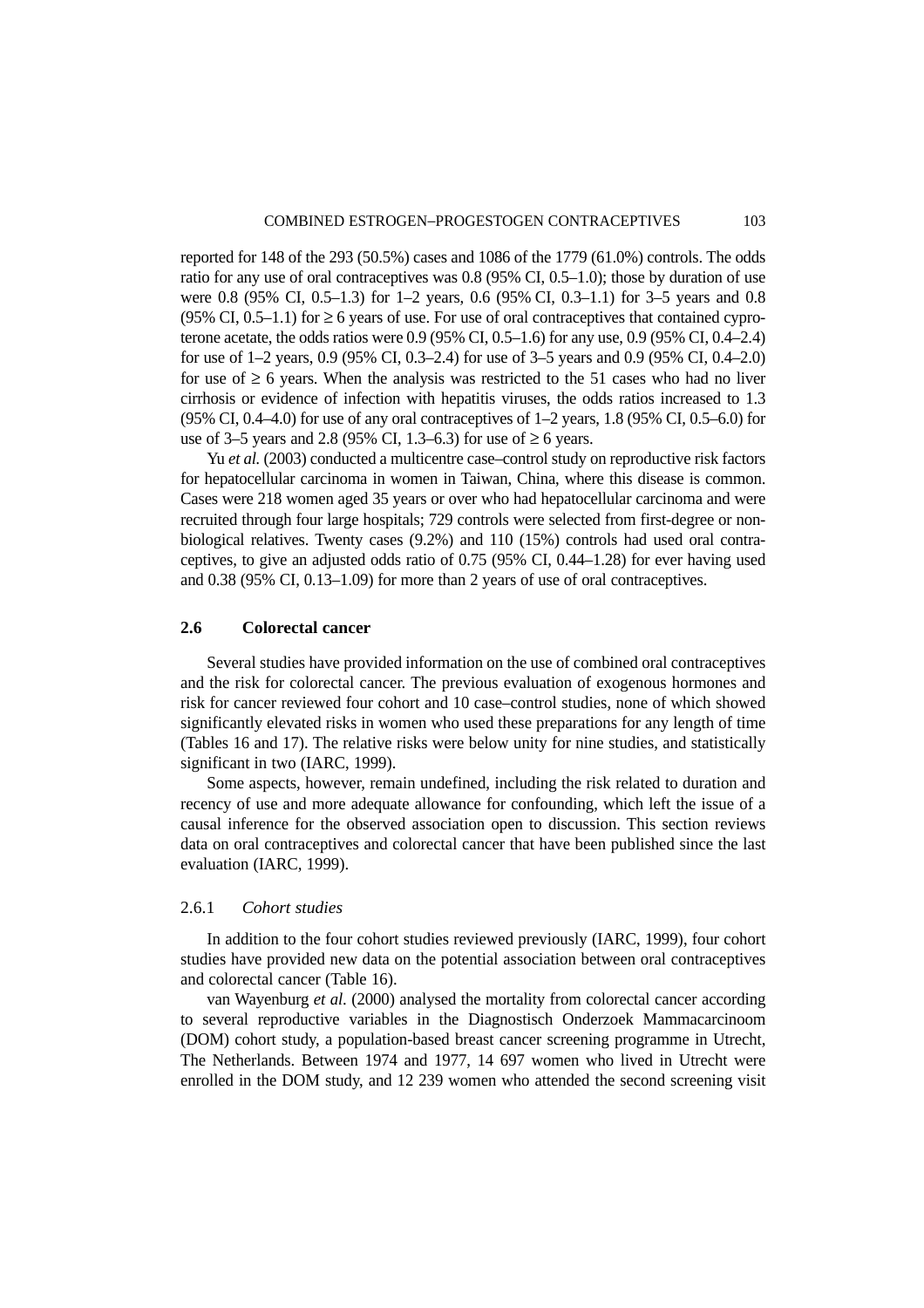reported for 148 of the 293 (50.5%) cases and 1086 of the 1779 (61.0%) controls. The odds ratio for any use of oral contraceptives was 0.8 (95% CI, 0.5–1.0); those by duration of use were 0.8 (95% CI, 0.5–1.3) for 1–2 years, 0.6 (95% CI, 0.3–1.1) for 3–5 years and 0.8 (95% CI, 0.5–1.1) for  $\geq 6$  years of use. For use of oral contraceptives that contained cyproterone acetate, the odds ratios were 0.9 (95% CI, 0.5–1.6) for any use, 0.9 (95% CI, 0.4–2.4) for use of 1–2 years, 0.9 (95% CI, 0.3–2.4) for use of 3–5 years and 0.9 (95% CI, 0.4–2.0) for use of  $\geq 6$  years. When the analysis was restricted to the 51 cases who had no liver cirrhosis or evidence of infection with hepatitis viruses, the odds ratios increased to 1.3 (95% CI, 0.4–4.0) for use of any oral contraceptives of  $1-2$  years, 1.8 (95% CI, 0.5–6.0) for use of 3–5 years and 2.8 (95% CI, 1.3–6.3) for use of ≥ 6 years.

Yu *et al.* (2003) conducted a multicentre case–control study on reproductive risk factors for hepatocellular carcinoma in women in Taiwan, China, where this disease is common. Cases were 218 women aged 35 years or over who had hepatocellular carcinoma and were recruited through four large hospitals; 729 controls were selected from first-degree or nonbiological relatives. Twenty cases (9.2%) and 110 (15%) controls had used oral contraceptives, to give an adjusted odds ratio of 0.75 (95% CI, 0.44–1.28) for ever having used and 0.38 (95% CI, 0.13–1.09) for more than 2 years of use of oral contraceptives.

### **2.6 Colorectal cancer**

Several studies have provided information on the use of combined oral contraceptives and the risk for colorectal cancer. The previous evaluation of exogenous hormones and risk for cancer reviewed four cohort and 10 case–control studies, none of which showed significantly elevated risks in women who used these preparations for any length of time (Tables 16 and 17). The relative risks were below unity for nine studies, and statistically significant in two (IARC, 1999).

Some aspects, however, remain undefined, including the risk related to duration and recency of use and more adequate allowance for confounding, which left the issue of a causal inference for the observed association open to discussion. This section reviews data on oral contraceptives and colorectal cancer that have been published since the last evaluation (IARC, 1999).

# 2.6.1 *Cohort studies*

In addition to the four cohort studies reviewed previously (IARC, 1999), four cohort studies have provided new data on the potential association between oral contraceptives and colorectal cancer (Table 16).

van Wayenburg *et al*. (2000) analysed the mortality from colorectal cancer according to several reproductive variables in the Diagnostisch Onderzoek Mammacarcinoom (DOM) cohort study, a population-based breast cancer screening programme in Utrecht, The Netherlands. Between 1974 and 1977, 14 697 women who lived in Utrecht were enrolled in the DOM study, and 12 239 women who attended the second screening visit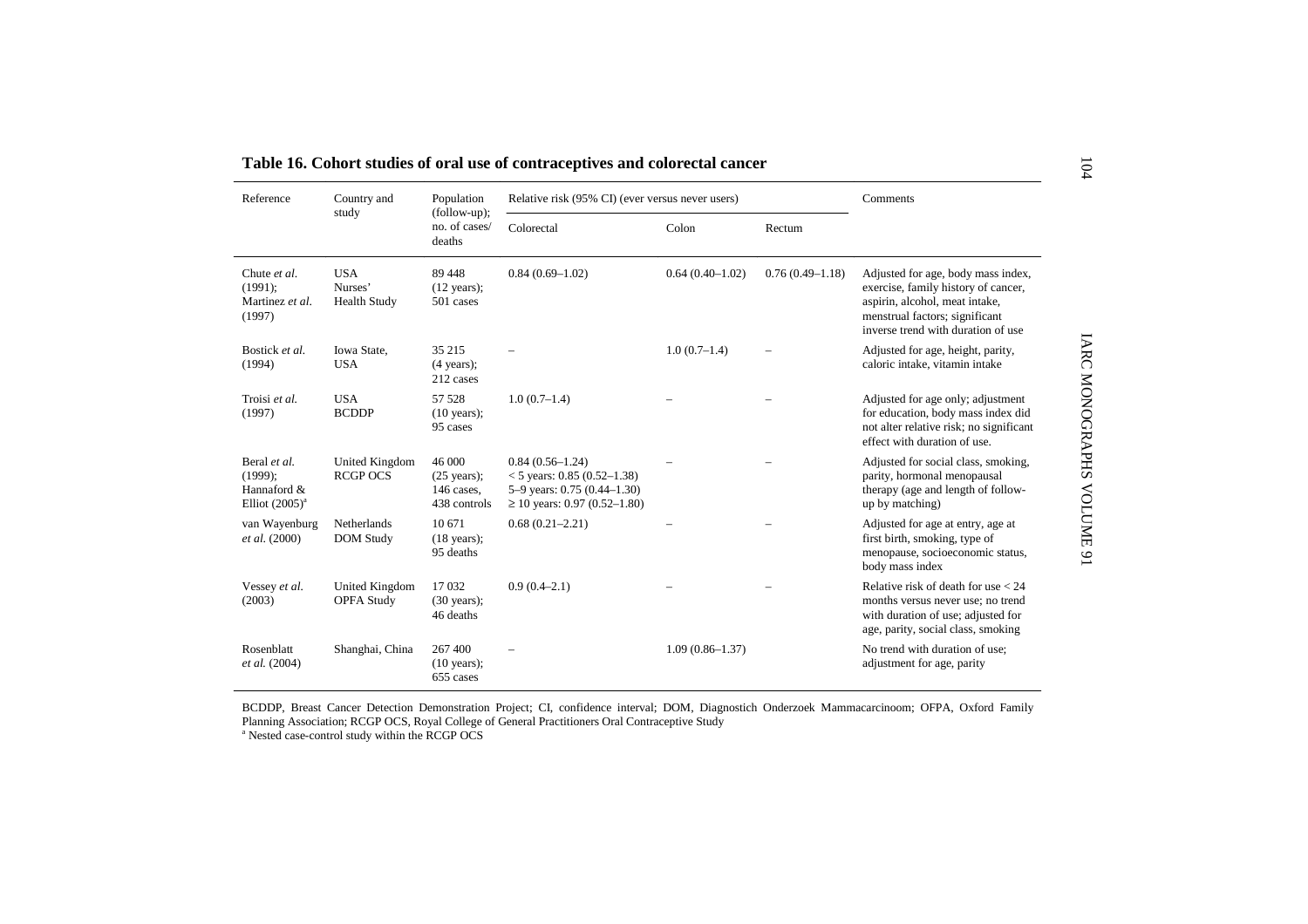| Reference<br>Country and<br>study                              | Population<br>$(follow-up)$ ;                | Relative risk (95% CI) (ever versus never users)               | Comments                                                                                                                  |                     |                   |                                                                                                                                                                                     |  |
|----------------------------------------------------------------|----------------------------------------------|----------------------------------------------------------------|---------------------------------------------------------------------------------------------------------------------------|---------------------|-------------------|-------------------------------------------------------------------------------------------------------------------------------------------------------------------------------------|--|
|                                                                |                                              | no. of cases/<br>deaths                                        | Colorectal                                                                                                                | Colon               | Rectum            |                                                                                                                                                                                     |  |
| Chute et al.<br>(1991):<br>Martinez et al.<br>(1997)           | <b>USA</b><br>Nurses'<br><b>Health Study</b> | 89 4 48<br>$(12 \text{ years})$ ;<br>501 cases                 | $0.84(0.69-1.02)$                                                                                                         | $0.64(0.40-1.02)$   | $0.76(0.49-1.18)$ | Adjusted for age, body mass index,<br>exercise, family history of cancer,<br>aspirin, alcohol, meat intake,<br>menstrual factors; significant<br>inverse trend with duration of use |  |
| Bostick et al.<br>(1994)                                       | Iowa State,<br><b>USA</b>                    | 35 215<br>$(4 \text{ years})$ ;<br>212 cases                   |                                                                                                                           | $1.0(0.7-1.4)$      |                   | Adjusted for age, height, parity,<br>caloric intake, vitamin intake                                                                                                                 |  |
| Troisi et al.<br>(1997)                                        | <b>USA</b><br><b>BCDDP</b>                   | 57 528<br>$(10 \text{ years})$ ;<br>95 cases                   | $1.0(0.7-1.4)$                                                                                                            |                     |                   | Adjusted for age only; adjustment<br>for education, body mass index did<br>not alter relative risk; no significant<br>effect with duration of use.                                  |  |
| Beral et al.<br>$(1999)$ ;<br>Hannaford &<br>Elliot $(2005)^a$ | United Kingdom<br><b>RCGP OCS</b>            | 46 000<br>$(25 \text{ years})$ ;<br>146 cases,<br>438 controls | $0.84(0.56 - 1.24)$<br>$<$ 5 years: 0.85 (0.52–1.38)<br>5–9 years: $0.75(0.44-1.30)$<br>$\geq$ 10 years: 0.97 (0.52–1.80) |                     |                   | Adjusted for social class, smoking,<br>parity, hormonal menopausal<br>therapy (age and length of follow-<br>up by matching)                                                         |  |
| van Wayenburg<br><i>et al.</i> (2000)                          | Netherlands<br><b>DOM Study</b>              | 10 671<br>$(18 \text{ years})$ ;<br>95 deaths                  | $0.68(0.21 - 2.21)$                                                                                                       |                     |                   | Adjusted for age at entry, age at<br>first birth, smoking, type of<br>menopause, socioeconomic status,<br>body mass index                                                           |  |
| Vessey et al.<br>(2003)                                        | United Kingdom<br><b>OPFA Study</b>          | 17 032<br>$(30 \text{ years})$ ;<br>46 deaths                  | $0.9(0.4-2.1)$                                                                                                            |                     |                   | Relative risk of death for use $< 24$<br>months versus never use; no trend<br>with duration of use; adjusted for<br>age, parity, social class, smoking                              |  |
| Rosenblatt<br>et al. (2004)                                    | Shanghai, China                              | 267 400<br>$(10 \text{ years})$ ;<br>655 cases                 |                                                                                                                           | $1.09(0.86 - 1.37)$ |                   | No trend with duration of use;<br>adjustment for age, parity                                                                                                                        |  |

BCDDP, Breast Cancer Detection Demonstration Project; CI, confidence interval; DOM, Diagnostich Onderzoek Mammacarcinoom; OFPA, Oxford Family Planning Association; RCGP OCS, Royal College of General Practitioners Oral Contraceptive Study <sup>a</sup> Nested case-control study within the RCGP OCS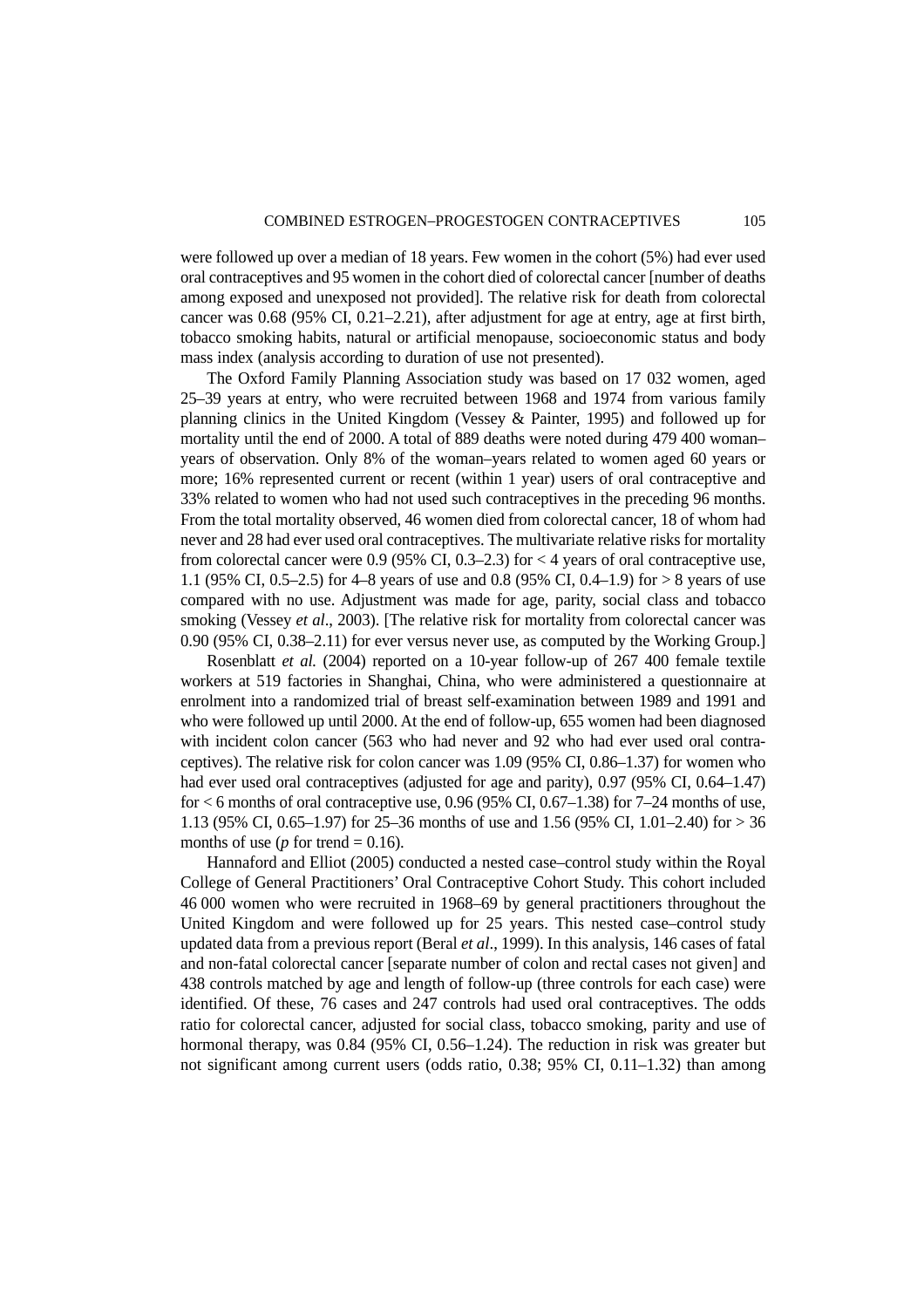were followed up over a median of 18 years. Few women in the cohort (5%) had ever used oral contraceptives and 95 women in the cohort died of colorectal cancer [number of deaths among exposed and unexposed not provided]. The relative risk for death from colorectal cancer was  $0.68$  (95% CI,  $0.21$ –2.21), after adjustment for age at entry, age at first birth, tobacco smoking habits, natural or artificial menopause, socioeconomic status and body mass index (analysis according to duration of use not presented).

The Oxford Family Planning Association study was based on 17 032 women, aged 25–39 years at entry, who were recruited between 1968 and 1974 from various family planning clinics in the United Kingdom (Vessey & Painter, 1995) and followed up for mortality until the end of 2000. A total of 889 deaths were noted during 479 400 woman– years of observation. Only 8% of the woman–years related to women aged 60 years or more; 16% represented current or recent (within 1 year) users of oral contraceptive and 33% related to women who had not used such contraceptives in the preceding 96 months. From the total mortality observed, 46 women died from colorectal cancer, 18 of whom had never and 28 had ever used oral contraceptives. The multivariate relative risks for mortality from colorectal cancer were 0.9 (95% CI,  $0.3-2.3$ ) for  $<$  4 years of oral contraceptive use, 1.1 (95% CI, 0.5–2.5) for 4–8 years of use and 0.8 (95% CI, 0.4–1.9) for > 8 years of use compared with no use. Adjustment was made for age, parity, social class and tobacco smoking (Vessey *et al*., 2003). [The relative risk for mortality from colorectal cancer was 0.90 (95% CI, 0.38–2.11) for ever versus never use, as computed by the Working Group.]

Rosenblatt *et al.* (2004) reported on a 10-year follow-up of 267 400 female textile workers at 519 factories in Shanghai, China, who were administered a questionnaire at enrolment into a randomized trial of breast self-examination between 1989 and 1991 and who were followed up until 2000. At the end of follow-up, 655 women had been diagnosed with incident colon cancer (563 who had never and 92 who had ever used oral contraceptives). The relative risk for colon cancer was 1.09 (95% CI, 0.86–1.37) for women who had ever used oral contraceptives (adjusted for age and parity), 0.97 (95% CI, 0.64–1.47) for  $<$  6 months of oral contraceptive use, 0.96 (95% CI, 0.67–1.38) for 7–24 months of use, 1.13 (95% CI, 0.65–1.97) for 25–36 months of use and 1.56 (95% CI, 1.01–2.40) for > 36 months of use ( $p$  for trend = 0.16).

Hannaford and Elliot (2005) conducted a nested case–control study within the Royal College of General Practitioners' Oral Contraceptive Cohort Study. This cohort included 46 000 women who were recruited in 1968–69 by general practitioners throughout the United Kingdom and were followed up for 25 years. This nested case–control study updated data from a previous report (Beral *et al*., 1999). In this analysis, 146 cases of fatal and non-fatal colorectal cancer [separate number of colon and rectal cases not given] and 438 controls matched by age and length of follow-up (three controls for each case) were identified. Of these, 76 cases and 247 controls had used oral contraceptives. The odds ratio for colorectal cancer, adjusted for social class, tobacco smoking, parity and use of hormonal therapy, was 0.84 (95% CI, 0.56–1.24). The reduction in risk was greater but not significant among current users (odds ratio, 0.38; 95% CI, 0.11–1.32) than among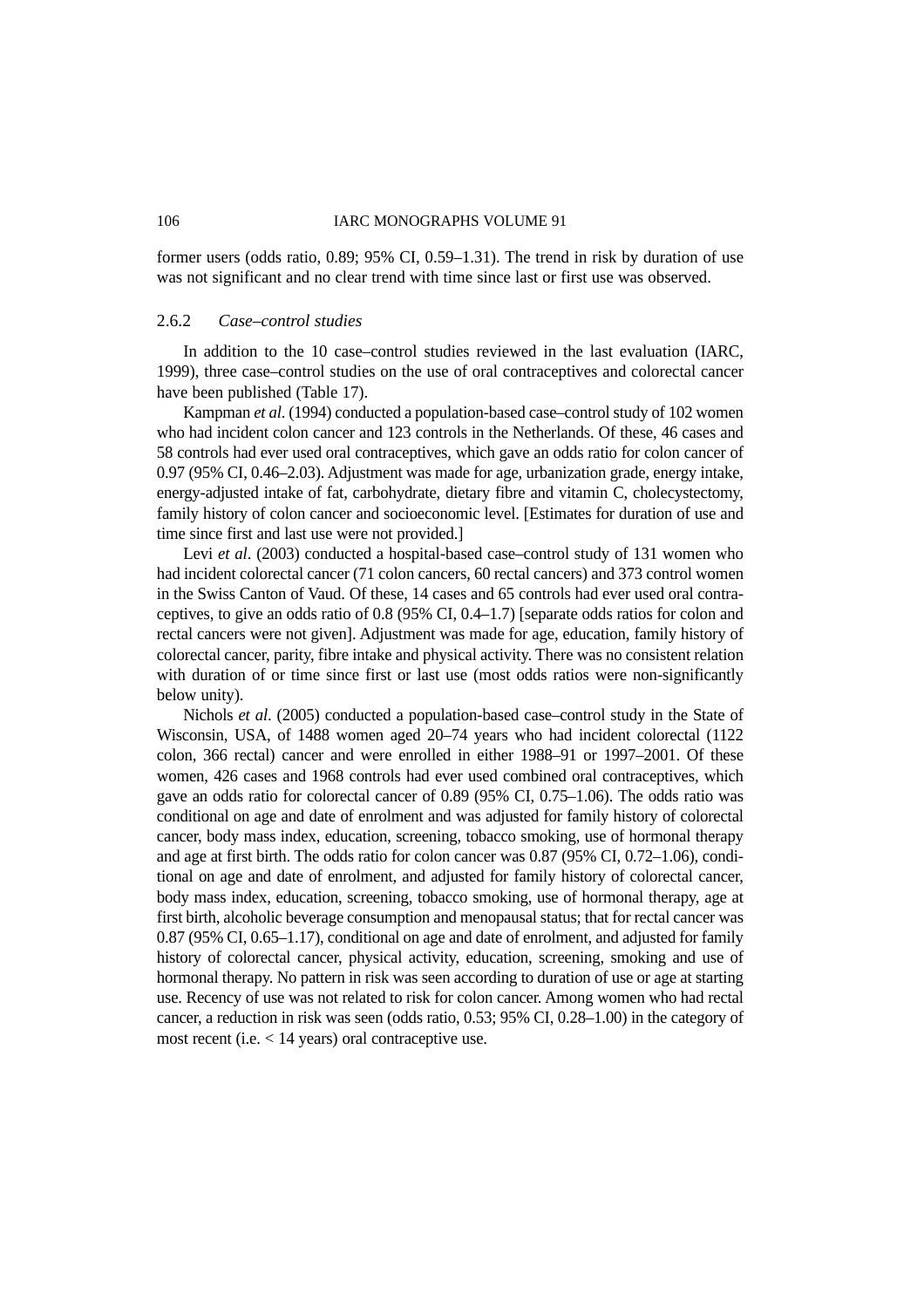former users (odds ratio, 0.89; 95% CI, 0.59–1.31). The trend in risk by duration of use was not significant and no clear trend with time since last or first use was observed.

# 2.6.2 *Case–control studies*

In addition to the 10 case–control studies reviewed in the last evaluation (IARC, 1999), three case–control studies on the use of oral contraceptives and colorectal cancer have been published (Table 17).

Kampman *et al*. (1994) conducted a population-based case–control study of 102 women who had incident colon cancer and 123 controls in the Netherlands. Of these, 46 cases and 58 controls had ever used oral contraceptives, which gave an odds ratio for colon cancer of 0.97 (95% CI, 0.46–2.03). Adjustment was made for age, urbanization grade, energy intake, energy-adjusted intake of fat, carbohydrate, dietary fibre and vitamin C, cholecystectomy, family history of colon cancer and socioeconomic level. [Estimates for duration of use and time since first and last use were not provided.]

Levi *et al*. (2003) conducted a hospital-based case–control study of 131 women who had incident colorectal cancer (71 colon cancers, 60 rectal cancers) and 373 control women in the Swiss Canton of Vaud. Of these, 14 cases and 65 controls had ever used oral contraceptives, to give an odds ratio of 0.8 (95% CI, 0.4–1.7) [separate odds ratios for colon and rectal cancers were not given]. Adjustment was made for age, education, family history of colorectal cancer, parity, fibre intake and physical activity. There was no consistent relation with duration of or time since first or last use (most odds ratios were non-significantly below unity).

Nichols *et al*. (2005) conducted a population-based case–control study in the State of Wisconsin, USA, of 1488 women aged 20–74 years who had incident colorectal (1122 colon, 366 rectal) cancer and were enrolled in either 1988–91 or 1997–2001. Of these women, 426 cases and 1968 controls had ever used combined oral contraceptives, which gave an odds ratio for colorectal cancer of 0.89 (95% CI, 0.75–1.06). The odds ratio was conditional on age and date of enrolment and was adjusted for family history of colorectal cancer, body mass index, education, screening, tobacco smoking, use of hormonal therapy and age at first birth. The odds ratio for colon cancer was 0.87 (95% CI, 0.72–1.06), conditional on age and date of enrolment, and adjusted for family history of colorectal cancer, body mass index, education, screening, tobacco smoking, use of hormonal therapy, age at first birth, alcoholic beverage consumption and menopausal status; that for rectal cancer was 0.87 (95% CI, 0.65–1.17), conditional on age and date of enrolment, and adjusted for family history of colorectal cancer, physical activity, education, screening, smoking and use of hormonal therapy. No pattern in risk was seen according to duration of use or age at starting use. Recency of use was not related to risk for colon cancer. Among women who had rectal cancer, a reduction in risk was seen (odds ratio, 0.53; 95% CI, 0.28–1.00) in the category of most recent (i.e. < 14 years) oral contraceptive use.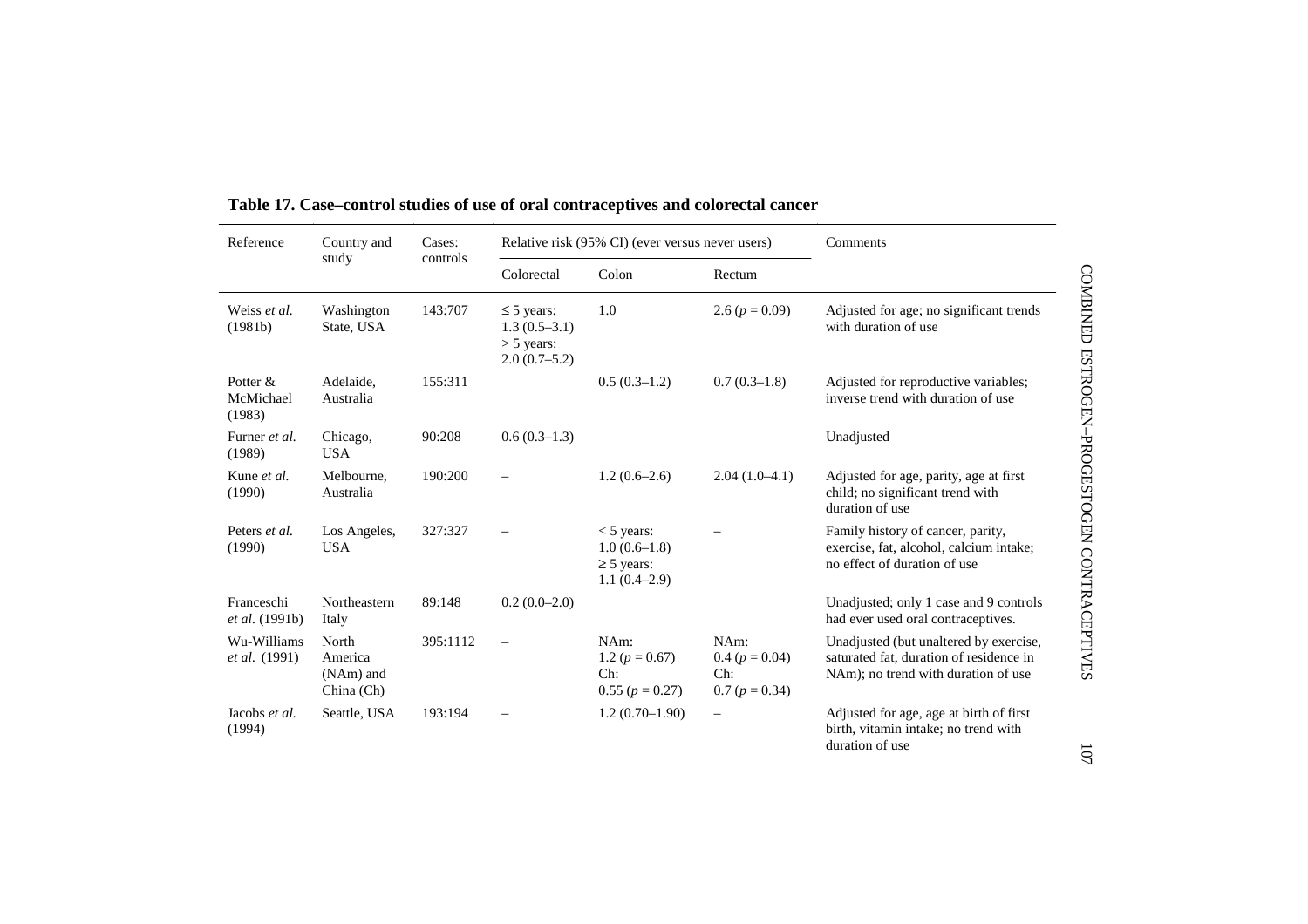| Reference                           | Country and                                 | Cases:   |                                                                     | Relative risk (95% CI) (ever versus never users)                    | Comments                                           |                                                                                                                          |
|-------------------------------------|---------------------------------------------|----------|---------------------------------------------------------------------|---------------------------------------------------------------------|----------------------------------------------------|--------------------------------------------------------------------------------------------------------------------------|
|                                     | study                                       | controls | Colorectal                                                          | Colon                                                               | Rectum                                             |                                                                                                                          |
| Weiss et al.<br>(1981b)             | Washington<br>State, USA                    | 143:707  | $\leq$ 5 years:<br>$1.3(0.5-3.1)$<br>$> 5$ years:<br>$2.0(0.7-5.2)$ | 1.0                                                                 | 2.6 ( $p = 0.09$ )                                 | Adjusted for age; no significant trends<br>with duration of use                                                          |
| Potter &<br>McMichael<br>(1983)     | Adelaide,<br>Australia                      | 155:311  |                                                                     | $0.5(0.3-1.2)$                                                      | $0.7(0.3-1.8)$                                     | Adjusted for reproductive variables;<br>inverse trend with duration of use                                               |
| Furner et al.<br>(1989)             | Chicago,<br><b>USA</b>                      | 90:208   | $0.6(0.3-1.3)$                                                      |                                                                     |                                                    | Unadjusted                                                                                                               |
| Kune <i>et al.</i><br>(1990)        | Melbourne,<br>Australia                     | 190:200  |                                                                     | $1.2(0.6-2.6)$                                                      | $2.04(1.0-4.1)$                                    | Adjusted for age, parity, age at first<br>child; no significant trend with<br>duration of use                            |
| Peters <i>et al.</i><br>(1990)      | Los Angeles,<br><b>USA</b>                  | 327:327  |                                                                     | $<$ 5 years:<br>$1.0(0.6-1.8)$<br>$\geq$ 5 years:<br>$1.1(0.4-2.9)$ |                                                    | Family history of cancer, parity,<br>exercise, fat, alcohol, calcium intake;<br>no effect of duration of use             |
| Franceschi<br><i>et al.</i> (1991b) | Northeastern<br>Italy                       | 89:148   | $0.2(0.0-2.0)$                                                      |                                                                     |                                                    | Unadjusted; only 1 case and 9 controls<br>had ever used oral contraceptives.                                             |
| Wu-Williams<br><i>et al.</i> (1991) | North<br>America<br>(NAm) and<br>China (Ch) | 395:1112 |                                                                     | NAm:<br>1.2 ( $p = 0.67$ )<br>Ch:<br>$0.55 (p = 0.27)$              | NAm:<br>$0.4(p = 0.04)$<br>Ch:<br>$0.7 (p = 0.34)$ | Unadjusted (but unaltered by exercise,<br>saturated fat, duration of residence in<br>NAm); no trend with duration of use |
| Jacobs et al.<br>(1994)             | Seattle, USA                                | 193:194  |                                                                     | $1.2(0.70-1.90)$                                                    |                                                    | Adjusted for age, age at birth of first<br>birth, vitamin intake; no trend with<br>duration of use                       |

# **Table 17. Case–control studies of use of oral contraceptives and colorectal cancer**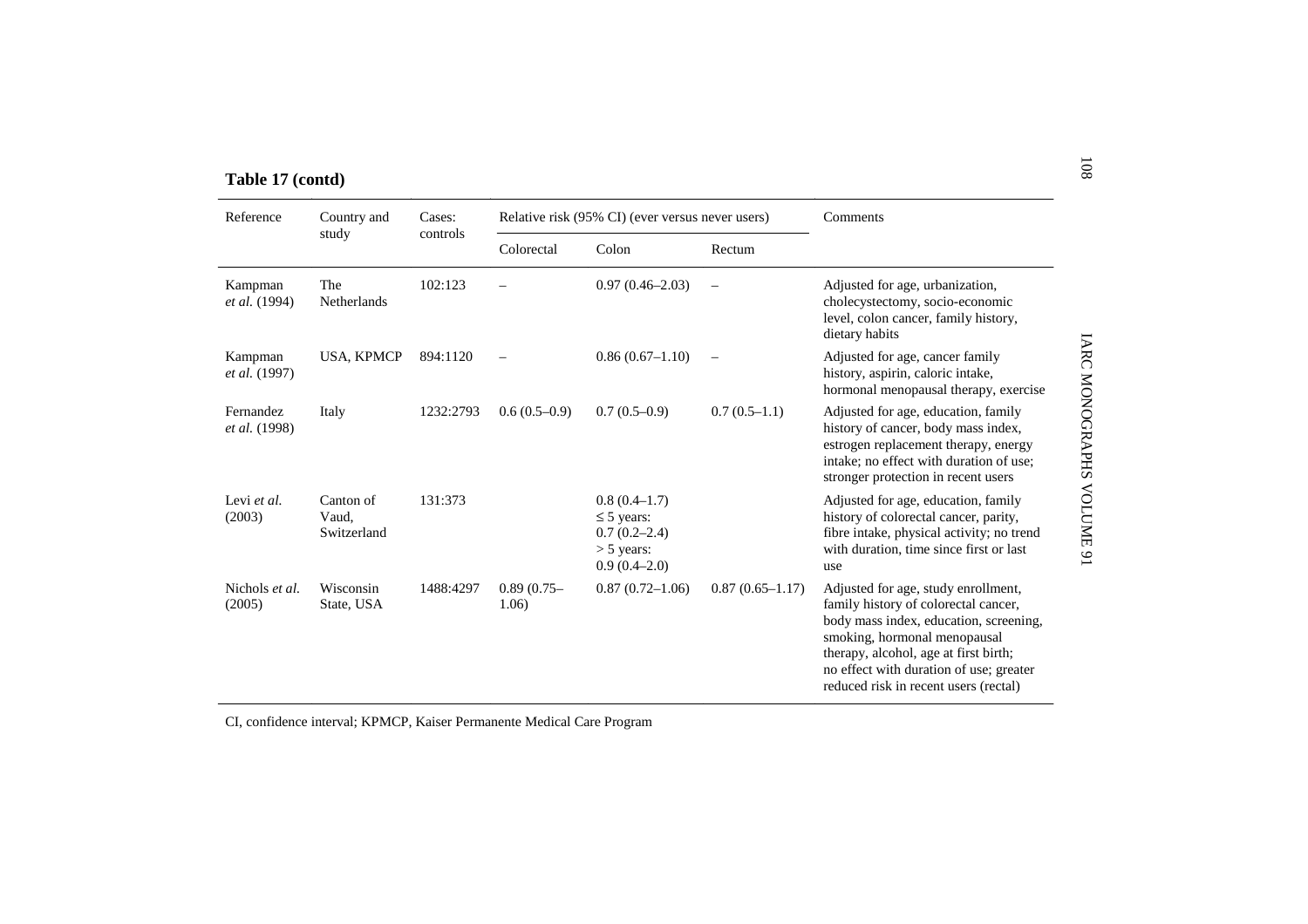|  |  |  |  | Table 17 (contd) |  |
|--|--|--|--|------------------|--|
|--|--|--|--|------------------|--|

| Reference<br>Country and<br>study |                                   | Cases:    |                        | Relative risk (95% CI) (ever versus never users)                                      |                     | Comments                                                                                                                                                                                                                                                                           |
|-----------------------------------|-----------------------------------|-----------|------------------------|---------------------------------------------------------------------------------------|---------------------|------------------------------------------------------------------------------------------------------------------------------------------------------------------------------------------------------------------------------------------------------------------------------------|
|                                   |                                   | controls  | Colorectal             | Colon                                                                                 | Rectum              |                                                                                                                                                                                                                                                                                    |
| Kampman<br>et al. (1994)          | The<br>Netherlands                | 102:123   |                        | $0.97(0.46 - 2.03)$                                                                   |                     | Adjusted for age, urbanization,<br>cholecystectomy, socio-economic<br>level, colon cancer, family history,<br>dietary habits                                                                                                                                                       |
| Kampman<br><i>et al.</i> (1997)   | <b>USA, KPMCP</b>                 | 894:1120  |                        | $0.86(0.67-1.10)$                                                                     |                     | Adjusted for age, cancer family<br>history, aspirin, caloric intake,<br>hormonal menopausal therapy, exercise                                                                                                                                                                      |
| Fernandez<br>et al. (1998)        | Italy                             | 1232:2793 | $0.6(0.5-0.9)$         | $0.7(0.5-0.9)$                                                                        | $0.7(0.5-1.1)$      | Adjusted for age, education, family<br>history of cancer, body mass index,<br>estrogen replacement therapy, energy<br>intake; no effect with duration of use;<br>stronger protection in recent users                                                                               |
| Levi et al.<br>(2003)             | Canton of<br>Vaud,<br>Switzerland | 131:373   |                        | $0.8(0.4-1.7)$<br>$\leq$ 5 years:<br>$0.7(0.2-2.4)$<br>$>$ 5 years:<br>$0.9(0.4-2.0)$ |                     | Adjusted for age, education, family<br>history of colorectal cancer, parity,<br>fibre intake, physical activity; no trend<br>with duration, time since first or last<br>use                                                                                                        |
| Nichols et al.<br>(2005)          | Wisconsin<br>State, USA           | 1488:4297 | $0.89(0.75 -$<br>1.06) | $0.87(0.72 - 1.06)$                                                                   | $0.87(0.65 - 1.17)$ | Adjusted for age, study enrollment,<br>family history of colorectal cancer,<br>body mass index, education, screening,<br>smoking, hormonal menopausal<br>therapy, alcohol, age at first birth;<br>no effect with duration of use; greater<br>reduced risk in recent users (rectal) |

CI, confidence interval; KPMCP, Kaiser Permanente Medical Care Program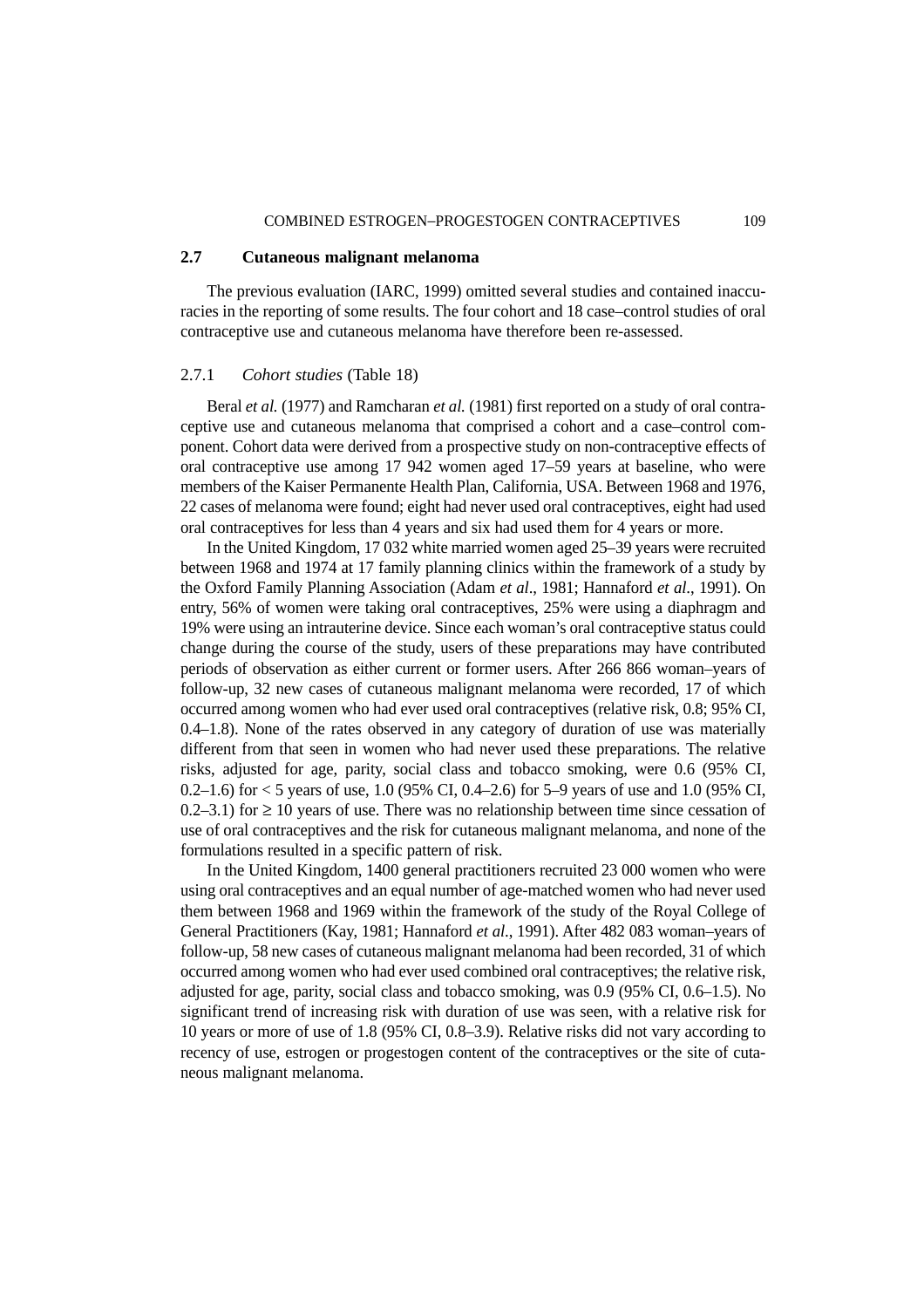#### COMBINED ESTROGEN−PROGESTOGEN CONTRACEPTIVES 109

### **2.7 Cutaneous malignant melanoma**

The previous evaluation (IARC, 1999) omitted several studies and contained inaccuracies in the reporting of some results. The four cohort and 18 case–control studies of oral contraceptive use and cutaneous melanoma have therefore been re-assessed.

#### 2.7.1 *Cohort studies* (Table 18)

Beral *et al.* (1977) and Ramcharan *et al.* (1981) first reported on a study of oral contraceptive use and cutaneous melanoma that comprised a cohort and a case–control component. Cohort data were derived from a prospective study on non-contraceptive effects of oral contraceptive use among 17 942 women aged 17–59 years at baseline, who were members of the Kaiser Permanente Health Plan, California, USA. Between 1968 and 1976, 22 cases of melanoma were found; eight had never used oral contraceptives, eight had used oral contraceptives for less than 4 years and six had used them for 4 years or more.

In the United Kingdom, 17 032 white married women aged 25–39 years were recruited between 1968 and 1974 at 17 family planning clinics within the framework of a study by the Oxford Family Planning Association (Adam *et al*., 1981; Hannaford *et al*., 1991). On entry, 56% of women were taking oral contraceptives, 25% were using a diaphragm and 19% were using an intrauterine device. Since each woman's oral contraceptive status could change during the course of the study, users of these preparations may have contributed periods of observation as either current or former users. After 266 866 woman–years of follow-up, 32 new cases of cutaneous malignant melanoma were recorded, 17 of which occurred among women who had ever used oral contraceptives (relative risk, 0.8; 95% CI, 0.4–1.8). None of the rates observed in any category of duration of use was materially different from that seen in women who had never used these preparations. The relative risks, adjusted for age, parity, social class and tobacco smoking, were 0.6 (95% CI, 0.2–1.6) for < 5 years of use, 1.0 (95% CI, 0.4–2.6) for 5–9 years of use and 1.0 (95% CI, 0.2–3.1) for  $\geq$  10 years of use. There was no relationship between time since cessation of use of oral contraceptives and the risk for cutaneous malignant melanoma, and none of the formulations resulted in a specific pattern of risk.

In the United Kingdom, 1400 general practitioners recruited 23 000 women who were using oral contraceptives and an equal number of age-matched women who had never used them between 1968 and 1969 within the framework of the study of the Royal College of General Practitioners (Kay, 1981; Hannaford *et al*., 1991). After 482 083 woman–years of follow-up, 58 new cases of cutaneous malignant melanoma had been recorded, 31 of which occurred among women who had ever used combined oral contraceptives; the relative risk, adjusted for age, parity, social class and tobacco smoking, was 0.9 (95% CI, 0.6–1.5). No significant trend of increasing risk with duration of use was seen, with a relative risk for 10 years or more of use of 1.8 (95% CI, 0.8–3.9). Relative risks did not vary according to recency of use, estrogen or progestogen content of the contraceptives or the site of cutaneous malignant melanoma.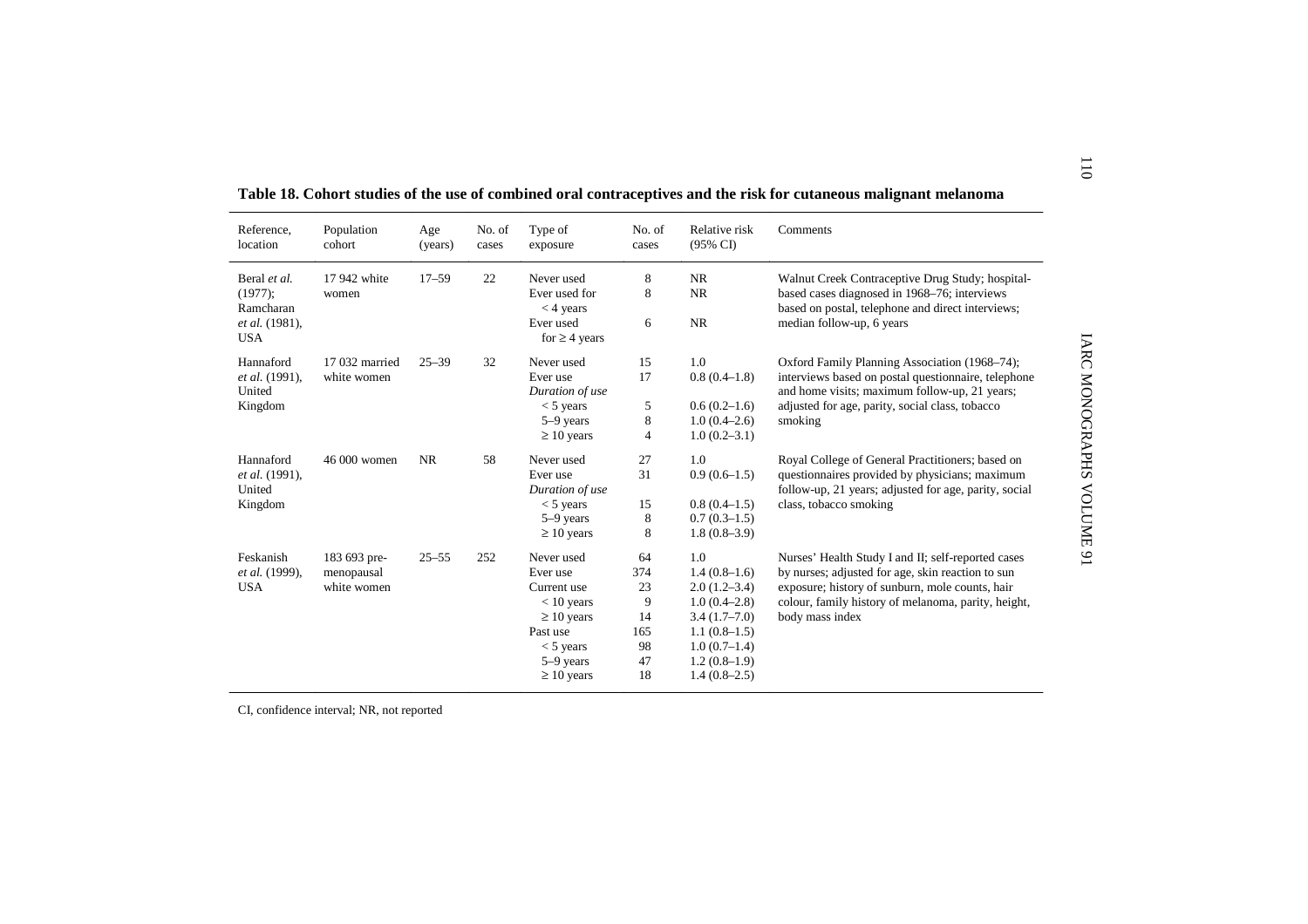| Reference,<br>location              | Population<br>cohort | Age<br>(years) | No. of<br>cases | Type of<br>exposure             | No. of<br>cases | Relative risk<br>$(95\% \text{ CI})$ | Comments                                                                                          |
|-------------------------------------|----------------------|----------------|-----------------|---------------------------------|-----------------|--------------------------------------|---------------------------------------------------------------------------------------------------|
| Beral et al.                        | 17 942 white         | $17 - 59$      | 22              | Never used                      | 8               | <b>NR</b>                            | Walnut Creek Contraceptive Drug Study; hospital-                                                  |
| $(1977)$ ;<br>Ramcharan             | women                |                |                 | Ever used for<br>$<$ 4 years    | 8               | <b>NR</b>                            | based cases diagnosed in 1968–76; interviews<br>based on postal, telephone and direct interviews; |
| <i>et al.</i> (1981).<br><b>USA</b> |                      |                |                 | Ever used<br>for $\geq$ 4 years | 6               | NR                                   | median follow-up, 6 years                                                                         |
| Hannaford                           | 17 032 married       | $25 - 39$      | 32              | Never used                      | 15              | 1.0                                  | Oxford Family Planning Association (1968–74);                                                     |
| et al. (1991),                      | white women          |                |                 | Ever use                        | 17              | $0.8(0.4-1.8)$                       | interviews based on postal questionnaire, telephone                                               |
| United<br>Kingdom                   |                      |                |                 | Duration of use                 |                 |                                      | and home visits; maximum follow-up, 21 years;                                                     |
|                                     |                      |                |                 | $<$ 5 years                     | 5               | $0.6(0.2-1.6)$                       | adjusted for age, parity, social class, tobacco                                                   |
|                                     |                      |                |                 | 5-9 years                       | 8               | $1.0(0.4-2.6)$                       | smoking                                                                                           |
|                                     |                      |                |                 | $\geq 10$ years                 | 4               | $1.0(0.2-3.1)$                       |                                                                                                   |
| Hannaford                           | 46 000 women         | <b>NR</b>      | 58              | Never used                      | 27              | 1.0                                  | Royal College of General Practitioners; based on                                                  |
| et al. (1991),                      |                      |                |                 | Ever use                        | 31              | $0.9(0.6-1.5)$                       | questionnaires provided by physicians; maximum                                                    |
| United                              |                      |                |                 | Duration of use                 |                 |                                      | follow-up, 21 years; adjusted for age, parity, social                                             |
| Kingdom                             |                      |                |                 | $<$ 5 years                     | 15              | $0.8(0.4-1.5)$                       | class, tobacco smoking                                                                            |
|                                     |                      |                |                 | 5-9 years                       | 8               | $0.7(0.3-1.5)$                       |                                                                                                   |
|                                     |                      |                |                 | $\geq 10$ years                 | 8               | $1.8(0.8-3.9)$                       |                                                                                                   |
| Feskanish                           | 183 693 pre-         | $25 - 55$      | 252             | Never used                      | 64              | 1.0                                  | Nurses' Health Study I and II; self-reported cases                                                |
| <i>et al.</i> (1999),               | menopausal           |                |                 | Ever use                        | 374             | $1.4(0.8-1.6)$                       | by nurses; adjusted for age, skin reaction to sun                                                 |
| <b>USA</b>                          | white women          |                |                 | Current use                     | 23              | $2.0(1.2-3.4)$                       | exposure; history of sunburn, mole counts, hair                                                   |
|                                     |                      |                |                 | $< 10$ years                    | 9               | $1.0(0.4-2.8)$                       | colour, family history of melanoma, parity, height,                                               |
|                                     |                      |                |                 | $\geq 10$ years                 | 14              | $3.4(1.7-7.0)$                       | body mass index                                                                                   |
|                                     |                      |                |                 | Past use                        | 165             | $1.1(0.8-1.5)$                       |                                                                                                   |
|                                     |                      |                |                 | $<$ 5 years                     | 98              | $1.0(0.7-1.4)$                       |                                                                                                   |
|                                     |                      |                |                 | 5-9 years                       | 47              | $1.2(0.8-1.9)$                       |                                                                                                   |
|                                     |                      |                |                 | $\geq 10$ years                 | 18              | $1.4(0.8-2.5)$                       |                                                                                                   |

CI, confidence interval; NR, not reported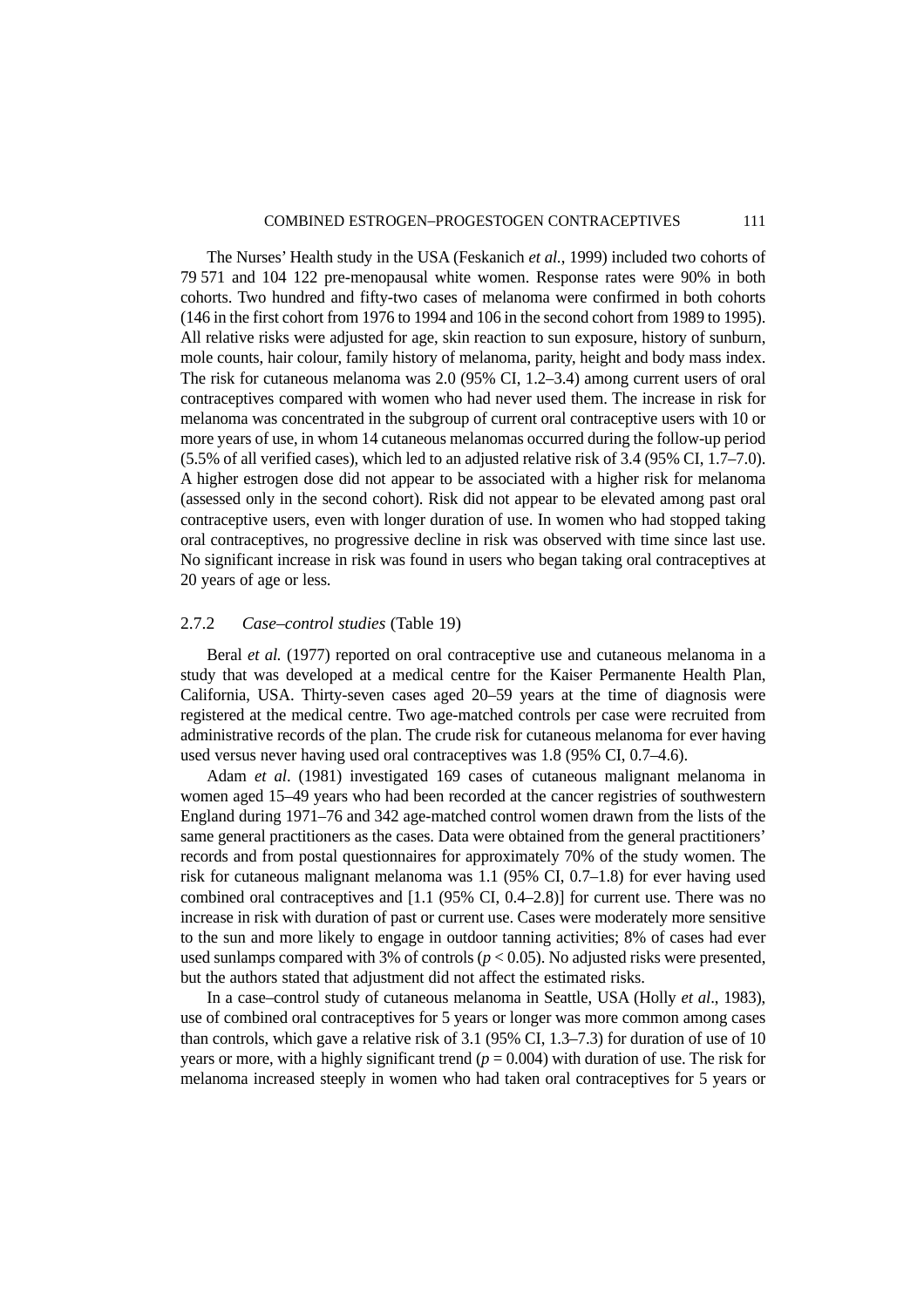The Nurses' Health study in the USA (Feskanich *et al.*, 1999) included two cohorts of 79 571 and 104 122 pre-menopausal white women. Response rates were 90% in both cohorts. Two hundred and fifty-two cases of melanoma were confirmed in both cohorts (146 in the first cohort from 1976 to 1994 and 106 in the second cohort from 1989 to 1995). All relative risks were adjusted for age, skin reaction to sun exposure, history of sunburn, mole counts, hair colour, family history of melanoma, parity, height and body mass index. The risk for cutaneous melanoma was 2.0 (95% CI, 1.2–3.4) among current users of oral contraceptives compared with women who had never used them. The increase in risk for melanoma was concentrated in the subgroup of current oral contraceptive users with 10 or more years of use, in whom 14 cutaneous melanomas occurred during the follow-up period (5.5% of all verified cases), which led to an adjusted relative risk of 3.4 (95% CI, 1.7–7.0). A higher estrogen dose did not appear to be associated with a higher risk for melanoma (assessed only in the second cohort). Risk did not appear to be elevated among past oral contraceptive users, even with longer duration of use. In women who had stopped taking oral contraceptives, no progressive decline in risk was observed with time since last use. No significant increase in risk was found in users who began taking oral contraceptives at 20 years of age or less.

## 2.7.2 *Case–control studies* (Table 19)

Beral *et al.* (1977) reported on oral contraceptive use and cutaneous melanoma in a study that was developed at a medical centre for the Kaiser Permanente Health Plan, California, USA. Thirty-seven cases aged 20–59 years at the time of diagnosis were registered at the medical centre. Two age-matched controls per case were recruited from administrative records of the plan. The crude risk for cutaneous melanoma for ever having used versus never having used oral contraceptives was 1.8 (95% CI, 0.7–4.6).

Adam *et al*. (1981) investigated 169 cases of cutaneous malignant melanoma in women aged 15–49 years who had been recorded at the cancer registries of southwestern England during 1971–76 and 342 age-matched control women drawn from the lists of the same general practitioners as the cases. Data were obtained from the general practitioners' records and from postal questionnaires for approximately 70% of the study women. The risk for cutaneous malignant melanoma was 1.1 (95% CI, 0.7–1.8) for ever having used combined oral contraceptives and [1.1 (95% CI, 0.4–2.8)] for current use. There was no increase in risk with duration of past or current use. Cases were moderately more sensitive to the sun and more likely to engage in outdoor tanning activities; 8% of cases had ever used sunlamps compared with 3% of controls  $(p < 0.05)$ . No adjusted risks were presented, but the authors stated that adjustment did not affect the estimated risks.

In a case–control study of cutaneous melanoma in Seattle, USA (Holly *et al*., 1983), use of combined oral contraceptives for 5 years or longer was more common among cases than controls, which gave a relative risk of 3.1 (95% CI,  $1.3-7.3$ ) for duration of use of 10 years or more, with a highly significant trend  $(p = 0.004)$  with duration of use. The risk for melanoma increased steeply in women who had taken oral contraceptives for 5 years or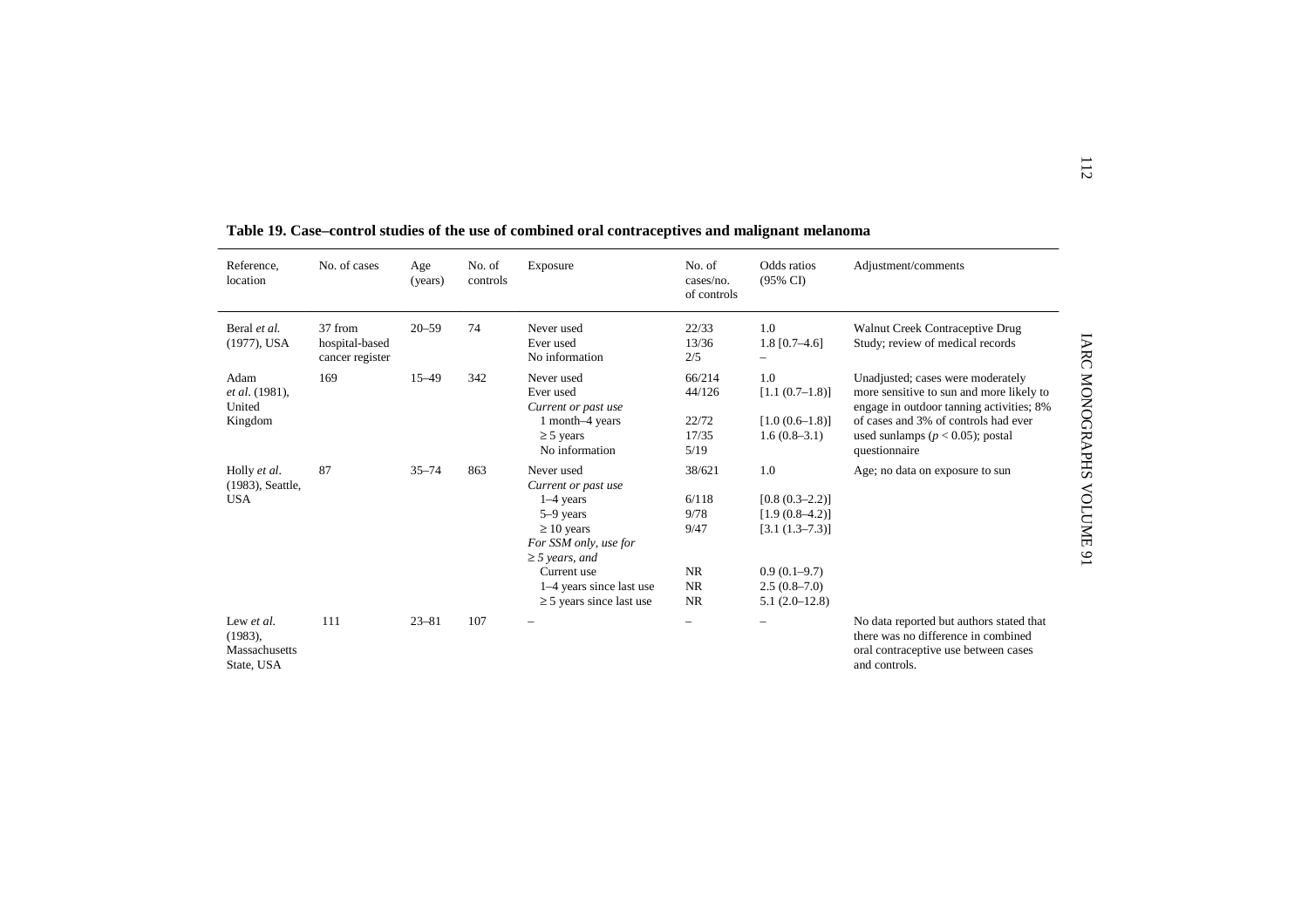|                                                         |                                              |                |                    | Table 19. Case–control studies of the use of combined oral contraceptives and malignant melanoma                                                                                                             |                                                                        |                                                                                                                           | $\overline{5}$                                                                                                                                                                                                                                  |
|---------------------------------------------------------|----------------------------------------------|----------------|--------------------|--------------------------------------------------------------------------------------------------------------------------------------------------------------------------------------------------------------|------------------------------------------------------------------------|---------------------------------------------------------------------------------------------------------------------------|-------------------------------------------------------------------------------------------------------------------------------------------------------------------------------------------------------------------------------------------------|
| Reference,<br>location                                  | No. of cases                                 | Age<br>(years) | No. of<br>controls | Exposure                                                                                                                                                                                                     | No. of<br>cases/no.<br>of controls                                     | Odds ratios<br>$(95\% \text{ CI})$                                                                                        | Adjustment/comments                                                                                                                                                                                                                             |
| Beral et al.<br>$(1977)$ , USA                          | 37 from<br>hospital-based<br>cancer register | $20 - 59$      | 74                 | Never used<br>Ever used<br>No information                                                                                                                                                                    | 22/33<br>13/36<br>2/5                                                  | 1.0<br>$1.8$ [0.7–4.6]<br>-                                                                                               | Walnut Creek Contraceptive Drug<br>IARC<br>Study; review of medical records                                                                                                                                                                     |
| Adam<br><i>et al.</i> (1981),<br>United<br>Kingdom      | 169                                          | $15 - 49$      | 342                | Never used<br>Ever used<br>Current or past use<br>1 month-4 years<br>$\geq$ 5 years<br>No information                                                                                                        | 66/214<br>44/126<br>22/72<br>17/35<br>5/19                             | 1.0<br>[1.1 (0.7–1.8)]<br>$[1.0 (0.6 - 1.8)]$<br>$1.6(0.8-3.1)$                                                           | <b>MONOGRAPHS</b><br>Unadjusted; cases were moderately<br>more sensitive to sun and more likely to<br>engage in outdoor tanning activities; 8%<br>of cases and 3% of controls had ever<br>used sunlamps ( $p < 0.05$ ); postal<br>questionnaire |
| Holly et al.<br>(1983), Seattle,<br><b>USA</b>          | 87                                           | $35 - 74$      | 863                | Never used<br>Current or past use<br>$1-4$ years<br>5-9 years<br>$\geq 10$ years<br>For SSM only, use for<br>$\geq$ 5 years, and<br>Current use<br>1–4 years since last use<br>$\geq$ 5 years since last use | 38/621<br>6/118<br>9/78<br>9/47<br><b>NR</b><br><b>NR</b><br><b>NR</b> | 1.0<br>$[0.8(0.3-2.2)]$<br>$[1.9(0.8-4.2)]$<br>$[3.1 (1.3 - 7.3)]$<br>$0.9(0.1-9.7)$<br>$2.5(0.8-7.0)$<br>$5.1(2.0-12.8)$ | Age; no data on exposure to sun<br><b>AOLUME</b><br>$\overline{6}$                                                                                                                                                                              |
| Lew et al.<br>$(1983)$ .<br>Massachusetts<br>State, USA | 111                                          | $23 - 81$      | 107                |                                                                                                                                                                                                              |                                                                        |                                                                                                                           | No data reported but authors stated that<br>there was no difference in combined<br>oral contraceptive use between cases<br>and controls.                                                                                                        |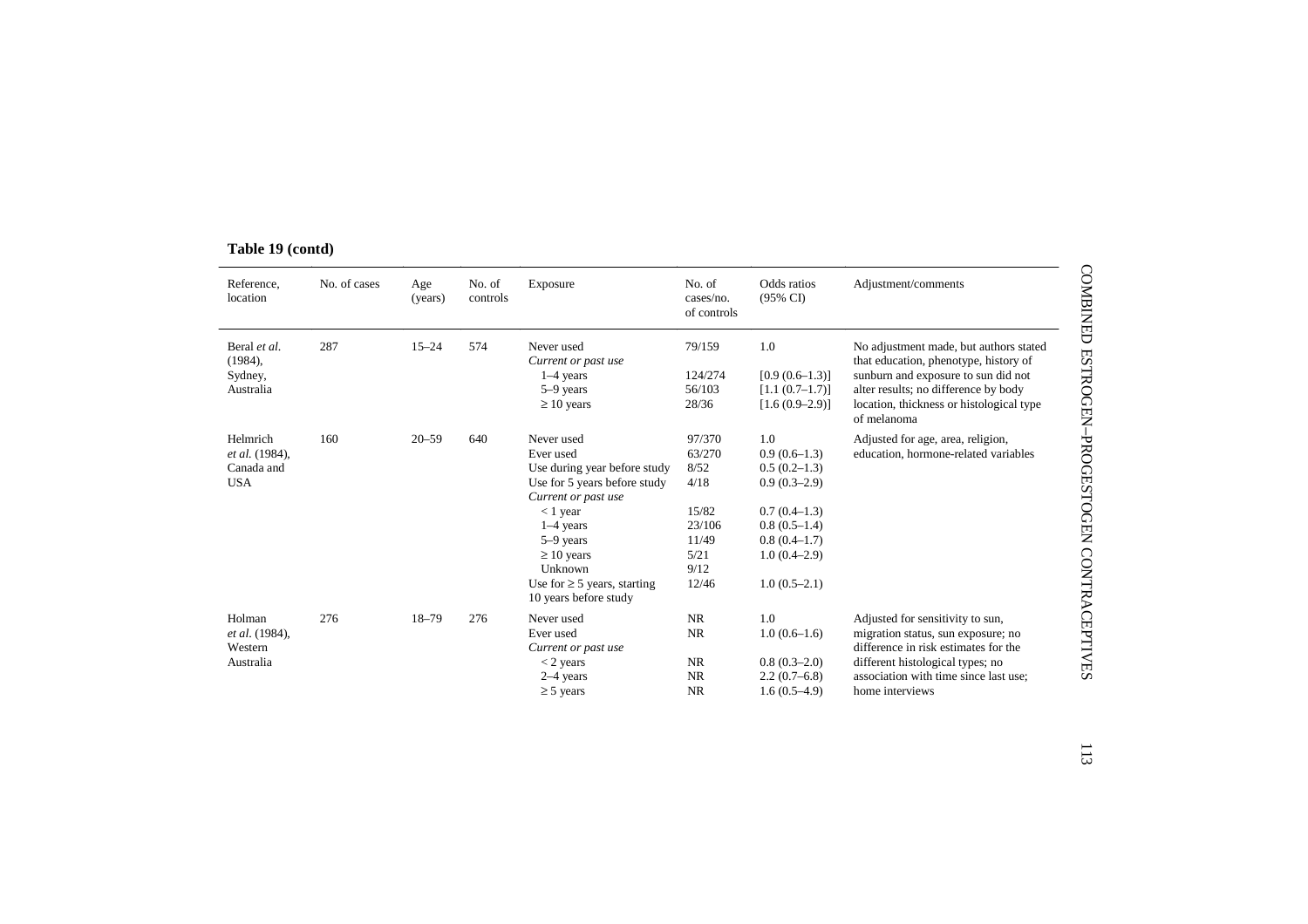| Reference,<br>location                                 | No. of cases | Age<br>(years) | No. of<br>controls | Exposure                                                                                                                                                                                                                                            | No. of<br>cases/no.<br>of controls                                                    | Odds ratios<br>$(95\% \text{ CI})$                                                                                                                  | Adjustment/comments                                                                                                                                                                                                       |
|--------------------------------------------------------|--------------|----------------|--------------------|-----------------------------------------------------------------------------------------------------------------------------------------------------------------------------------------------------------------------------------------------------|---------------------------------------------------------------------------------------|-----------------------------------------------------------------------------------------------------------------------------------------------------|---------------------------------------------------------------------------------------------------------------------------------------------------------------------------------------------------------------------------|
| Beral et al.<br>(1984),<br>Sydney,<br>Australia        | 287          | $15 - 24$      | 574                | Never used<br>Current or past use<br>$1-4$ years<br>5-9 years<br>$\geq 10$ years                                                                                                                                                                    | 79/159<br>124/274<br>56/103<br>28/36                                                  | 1.0<br>$[0.9(0.6-1.3)]$<br>[1.1(0.7–1.7)]<br>$[1.6(0.9-2.9)]$                                                                                       | No adjustment made, but authors stated<br>that education, phenotype, history of<br>sunburn and exposure to sun did not<br>alter results; no difference by body<br>location, thickness or histological type<br>of melanoma |
| Helmrich<br>et al. (1984),<br>Canada and<br><b>USA</b> | 160          | $20 - 59$      | 640                | Never used<br>Ever used<br>Use during year before study<br>Use for 5 years before study<br>Current or past use<br>$<$ 1 year<br>$1-4$ years<br>5-9 years<br>$\geq 10$ years<br>Unknown<br>Use for $\geq$ 5 years, starting<br>10 years before study | 97/370<br>63/270<br>8/52<br>4/18<br>15/82<br>23/106<br>11/49<br>5/21<br>9/12<br>12/46 | 1.0<br>$0.9(0.6-1.3)$<br>$0.5(0.2-1.3)$<br>$0.9(0.3-2.9)$<br>$0.7(0.4-1.3)$<br>$0.8(0.5-1.4)$<br>$0.8(0.4-1.7)$<br>$1.0(0.4-2.9)$<br>$1.0(0.5-2.1)$ | Adjusted for age, area, religion,<br>education, hormone-related variables                                                                                                                                                 |
| Holman<br>et al. (1984),<br>Western<br>Australia       | 276          | $18 - 79$      | 276                | Never used<br>Ever used<br>Current or past use<br>$<$ 2 years<br>$2-4$ years<br>$\geq$ 5 years                                                                                                                                                      | NR<br><b>NR</b><br><b>NR</b><br><b>NR</b><br><b>NR</b>                                | 1.0<br>$1.0(0.6-1.6)$<br>$0.8(0.3-2.0)$<br>$2.2(0.7-6.8)$<br>$1.6(0.5-4.9)$                                                                         | Adjusted for sensitivity to sun,<br>migration status, sun exposure; no<br>difference in risk estimates for the<br>different histological types; no<br>association with time since last use;<br>home interviews            |

# **Table 19 (contd)**

COMBINED ESTROGEN-PROGESTOGEN CONTRACEPTIVES COMBINED ESTROGEN −PROGESTOGEN CONTRACEPTIVES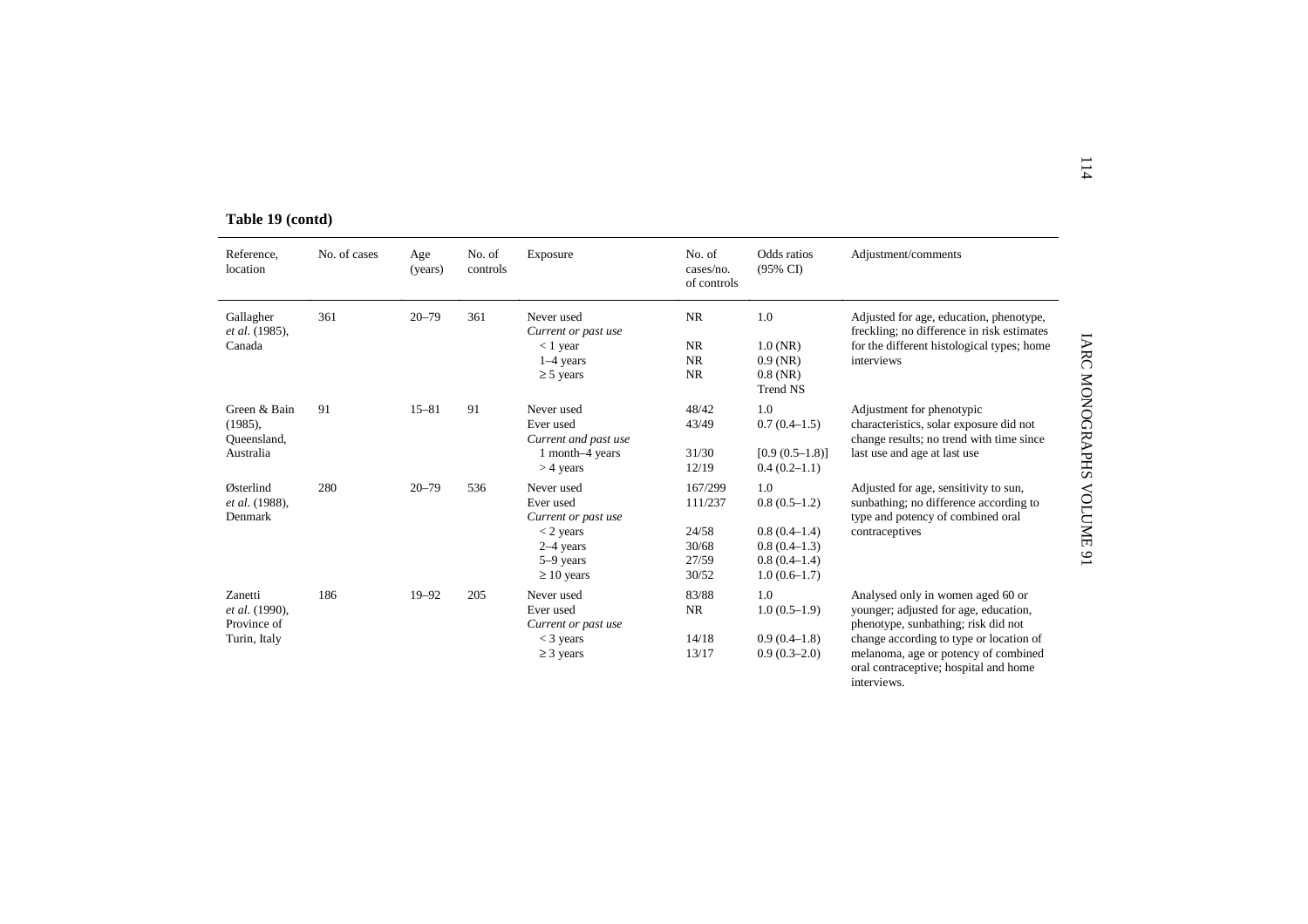|  | Table 19 (conta) |  |
|--|------------------|--|
|  |                  |  |

| Table 19 (contd)                                         |              |                |                    |                                                                                                              |                                                        |                                                                                               |                                                                                                                                                                                                                                                              |  |  |
|----------------------------------------------------------|--------------|----------------|--------------------|--------------------------------------------------------------------------------------------------------------|--------------------------------------------------------|-----------------------------------------------------------------------------------------------|--------------------------------------------------------------------------------------------------------------------------------------------------------------------------------------------------------------------------------------------------------------|--|--|
| Reference.<br>location                                   | No. of cases | Age<br>(years) | No. of<br>controls | Exposure                                                                                                     | No. of<br>cases/no.<br>of controls                     | Odds ratios<br>$(95\% \text{ CI})$                                                            | Adjustment/comments                                                                                                                                                                                                                                          |  |  |
| Gallagher<br>et al. (1985),<br>Canada                    | 361          | $20 - 79$      | 361                | Never used<br>Current or past use<br>$<$ 1 year<br>$1-4$ years<br>$\geq$ 5 years                             | <b>NR</b><br><b>NR</b><br><b>NR</b><br><b>NR</b>       | 1.0<br>$1.0$ (NR)<br>$0.9$ (NR)<br>$0.8$ (NR)<br><b>Trend NS</b>                              | Adjusted for age, education, phenotype,<br>freckling; no difference in risk estimates<br>for the different histological types; home<br>interviews                                                                                                            |  |  |
| Green & Bain<br>(1985),<br>Queensland,<br>Australia      | 91           | $15 - 81$      | 91                 | Never used<br>Ever used<br>Current and past use<br>1 month-4 years<br>$>$ 4 years                            | 48/42<br>43/49<br>31/30<br>12/19                       | 1.0<br>$0.7(0.4-1.5)$<br>$[0.9(0.5-1.8)]$<br>$0.4(0.2-1.1)$                                   | Adjustment for phenotypic<br>characteristics, solar exposure did not<br>change results; no trend with time since<br>last use and age at last use                                                                                                             |  |  |
| Østerlind<br>et al. (1988),<br>Denmark                   | 280          | $20 - 79$      | 536                | Never used<br>Ever used<br>Current or past use<br>$<$ 2 years<br>$2-4$ years<br>5-9 years<br>$\geq 10$ years | 167/299<br>111/237<br>24/58<br>30/68<br>27/59<br>30/52 | 1.0<br>$0.8(0.5-1.2)$<br>$0.8(0.4-1.4)$<br>$0.8(0.4-1.3)$<br>$0.8(0.4-1.4)$<br>$1.0(0.6-1.7)$ | Adjusted for age, sensitivity to sun,<br>sunbathing; no difference according to<br>type and potency of combined oral<br>contraceptives                                                                                                                       |  |  |
| Zanetti<br>et al. (1990),<br>Province of<br>Turin, Italy | 186          | $19 - 92$      | 205                | Never used<br>Ever used<br>Current or past use<br>$<$ 3 years<br>$\geq$ 3 years                              | 83/88<br><b>NR</b><br>14/18<br>13/17                   | 1.0<br>$1.0(0.5-1.9)$<br>$0.9(0.4-1.8)$<br>$0.9(0.3-2.0)$                                     | Analysed only in women aged 60 or<br>younger; adjusted for age, education,<br>phenotype, sunbathing; risk did not<br>change according to type or location of<br>melanoma, age or potency of combined<br>oral contraceptive; hospital and home<br>interviews. |  |  |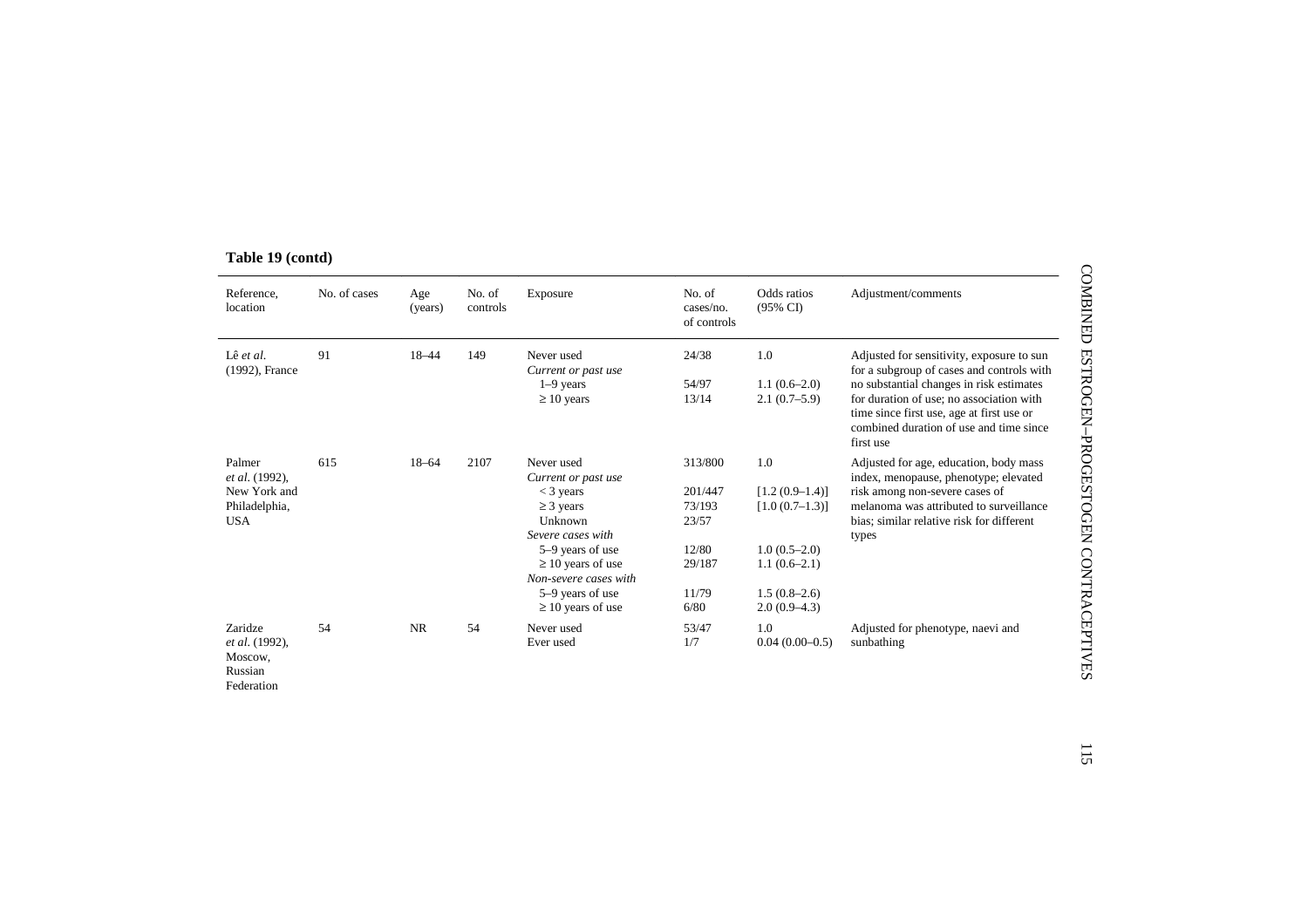| Reference,<br>location                                                  | No. of cases | Age<br>(years) | No. of<br>controls | Exposure                                                                                                                                                                                                                | No. of<br>cases/no.<br>of controls                                        | Odds ratios<br>$(95\% \text{ CI})$                                                                                 | Adjustment/comments                                                                                                                                                                                                                                                                 |
|-------------------------------------------------------------------------|--------------|----------------|--------------------|-------------------------------------------------------------------------------------------------------------------------------------------------------------------------------------------------------------------------|---------------------------------------------------------------------------|--------------------------------------------------------------------------------------------------------------------|-------------------------------------------------------------------------------------------------------------------------------------------------------------------------------------------------------------------------------------------------------------------------------------|
| Lê et al.<br>(1992), France                                             | 91           | 18-44          | 149                | Never used<br>Current or past use<br>$1-9$ years<br>$\geq 10$ years                                                                                                                                                     | 24/38<br>54/97<br>13/14                                                   | 1.0<br>$1.1(0.6-2.0)$<br>$2.1(0.7-5.9)$                                                                            | Adjusted for sensitivity, exposure to sun<br>for a subgroup of cases and controls with<br>no substantial changes in risk estimates<br>for duration of use; no association with<br>time since first use, age at first use or<br>combined duration of use and time since<br>first use |
| Palmer<br>et al. (1992),<br>New York and<br>Philadelphia,<br><b>USA</b> | 615          | $18 - 64$      | 2107               | Never used<br>Current or past use<br>$<$ 3 years<br>$\geq$ 3 years<br>Unknown<br>Severe cases with<br>5–9 years of use<br>$\geq 10$ years of use<br>Non-severe cases with<br>5–9 years of use<br>$\geq 10$ years of use | 313/800<br>201/447<br>73/193<br>23/57<br>12/80<br>29/187<br>11/79<br>6/80 | 1.0<br>$[1.2(0.9-1.4)]$<br>[1.0 (0.7–1.3)]<br>$1.0(0.5-2.0)$<br>$1.1(0.6-2.1)$<br>$1.5(0.8-2.6)$<br>$2.0(0.9-4.3)$ | Adjusted for age, education, body mass<br>index, menopause, phenotype; elevated<br>risk among non-severe cases of<br>melanoma was attributed to surveillance<br>bias; similar relative risk for different<br>types                                                                  |
| Zaridze<br>et al. (1992),<br>Moscow.<br>Russian<br>Federation           | 54           | NR             | 54                 | Never used<br>Ever used                                                                                                                                                                                                 | 53/47<br>1/7                                                              | 1.0<br>$0.04(0.00-0.5)$                                                                                            | Adjusted for phenotype, naevi and<br>sunbathing                                                                                                                                                                                                                                     |

# **Table 19 (contd)**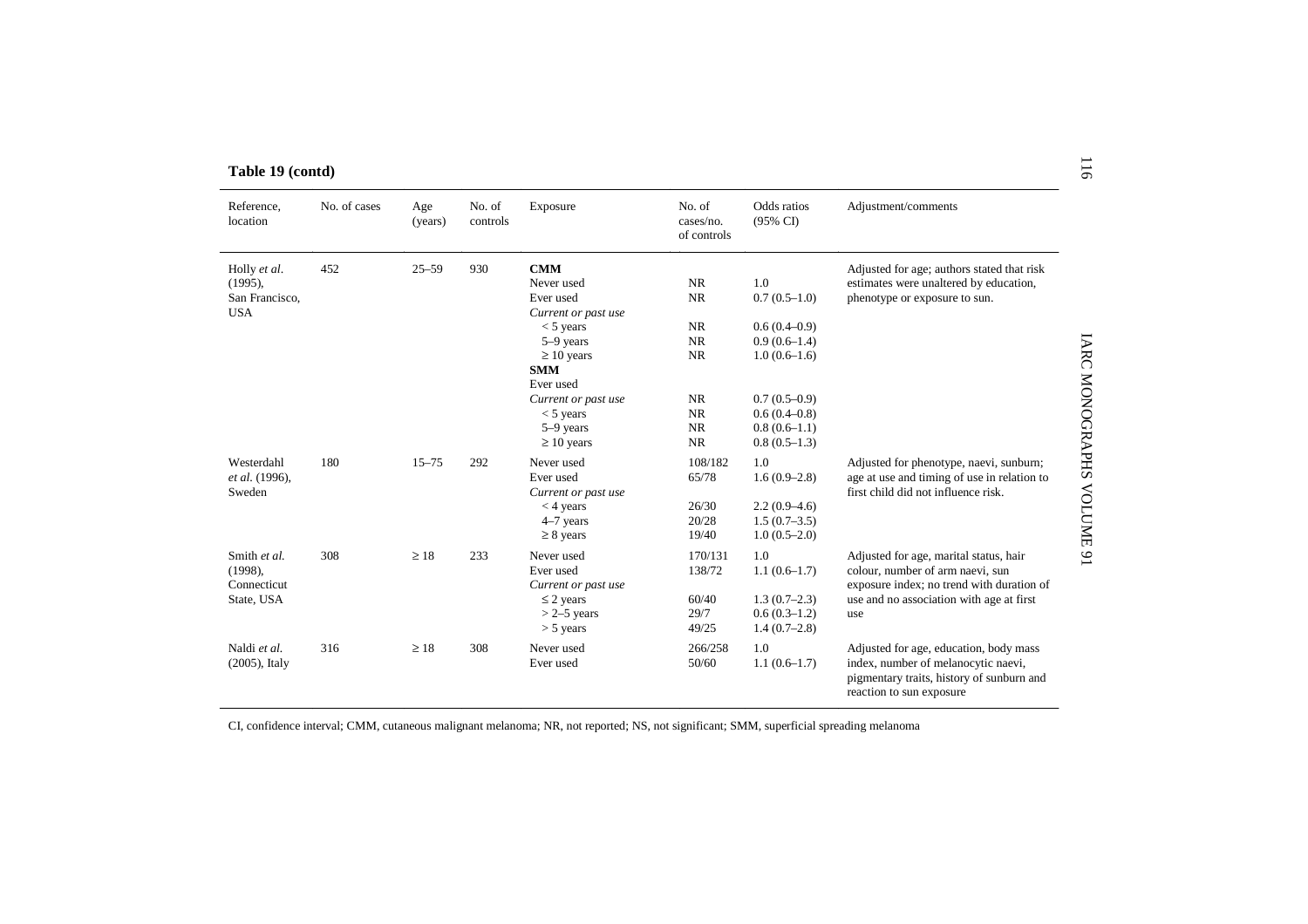|  |  |  | Table 19 (contd) |
|--|--|--|------------------|
|--|--|--|------------------|

|                                                            | 116<br>Table 19 (contd) |                |                    |                                                                                                                                                                              |                                                                                                      |                                                                                                                                   |                                                                                                                                                                                                                |  |  |
|------------------------------------------------------------|-------------------------|----------------|--------------------|------------------------------------------------------------------------------------------------------------------------------------------------------------------------------|------------------------------------------------------------------------------------------------------|-----------------------------------------------------------------------------------------------------------------------------------|----------------------------------------------------------------------------------------------------------------------------------------------------------------------------------------------------------------|--|--|
| Reference,<br>location                                     | No. of cases            | Age<br>(years) | No. of<br>controls | Exposure                                                                                                                                                                     | No. of<br>cases/no.<br>of controls                                                                   | Odds ratios<br>$(95\% \text{ CI})$                                                                                                | Adjustment/comments                                                                                                                                                                                            |  |  |
| Holly et al.<br>$(1995)$ ,<br>San Francisco,<br><b>USA</b> | 452                     | $25 - 59$      | 930                | <b>CMM</b><br>Never used<br>Ever used<br>Current or past use<br>$<$ 5 years<br>5–9 years<br>$\geq 10$ years<br><b>SMM</b><br>Ever used<br>Current or past use<br>$<$ 5 years | <b>NR</b><br><b>NR</b><br><b>NR</b><br><b>NR</b><br><b>NR</b><br><b>NR</b><br><b>NR</b><br><b>NR</b> | 1.0<br>$0.7(0.5-1.0)$<br>$0.6(0.4-0.9)$<br>$0.9(0.6-1.4)$<br>$1.0(0.6-1.6)$<br>$0.7(0.5-0.9)$<br>$0.6(0.4-0.8)$<br>$0.8(0.6-1.1)$ | Adjusted for age; authors stated that risk<br>estimates were unaltered by education,<br>phenotype or exposure to sun.<br><b>LARC MONOGRAPHS</b>                                                                |  |  |
| Westerdahl<br>et al. (1996),<br>Sweden                     | 180                     | $15 - 75$      | 292                | 5–9 years<br>$\geq 10$ years<br>Never used<br>Ever used<br>Current or past use<br>$<$ 4 years                                                                                | <b>NR</b><br>108/182<br>65/78<br>26/30                                                               | $0.8(0.5-1.3)$<br>1.0<br>$1.6(0.9-2.8)$<br>$2.2(0.9-4.6)$                                                                         | Adjusted for phenotype, naevi, sunburn;<br>age at use and timing of use in relation to<br>first child did not influence risk.                                                                                  |  |  |
| Smith et al.<br>$(1998)$ ,<br>Connecticut<br>State, USA    | 308                     | $\geq 18$      | 233                | 4–7 years<br>$\geq 8$ years<br>Never used<br>Ever used<br>Current or past use<br>$\leq$ 2 years<br>$> 2-5$ years<br>$> 5$ years                                              | 20/28<br>19/40<br>170/131<br>138/72<br>60/40<br>29/7<br>49/25                                        | $1.5(0.7-3.5)$<br>$1.0(0.5-2.0)$<br>1.0<br>$1.1(0.6-1.7)$<br>$1.3(0.7-2.3)$<br>$0.6(0.3-1.2)$<br>$1.4(0.7-2.8)$                   | <b>AOLUME</b><br>$\overline{16}$<br>Adjusted for age, marital status, hair<br>colour, number of arm naevi, sun<br>exposure index; no trend with duration of<br>use and no association with age at first<br>use |  |  |
| Naldi et al.<br>$(2005)$ , Italy                           | 316                     | $\geq 18$      | 308                | Never used<br>Ever used                                                                                                                                                      | 266/258<br>50/60                                                                                     | 1.0<br>$1.1(0.6-1.7)$                                                                                                             | Adjusted for age, education, body mass<br>index, number of melanocytic naevi,<br>pigmentary traits, history of sunburn and<br>reaction to sun exposure                                                         |  |  |

CI, confidence interval; CMM, cutaneous malignant melanoma; NR, not reported; NS, not significant; SMM, superficial spreading melanoma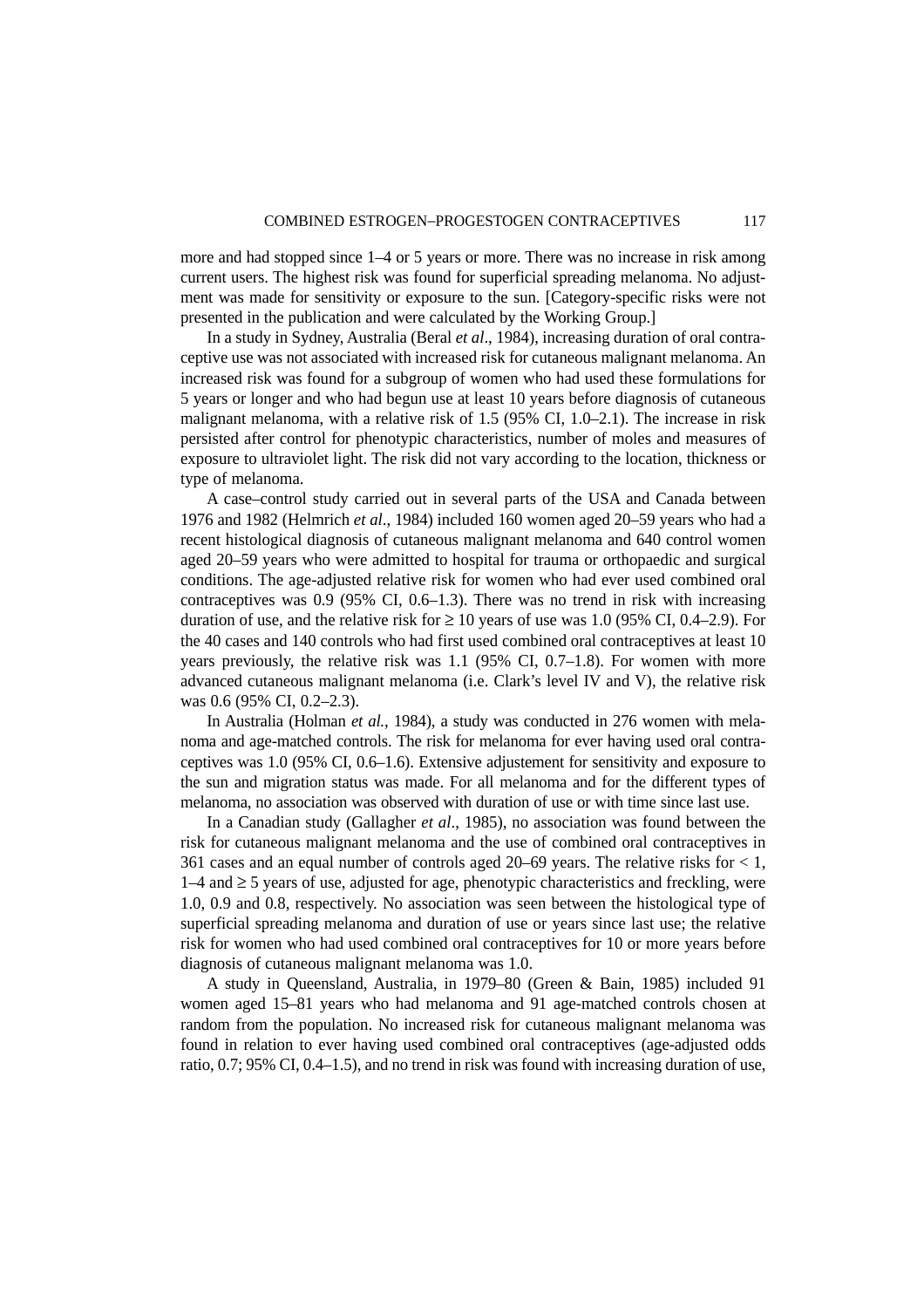more and had stopped since 1–4 or 5 years or more. There was no increase in risk among current users. The highest risk was found for superficial spreading melanoma. No adjustment was made for sensitivity or exposure to the sun. [Category-specific risks were not presented in the publication and were calculated by the Working Group.]

In a study in Sydney, Australia (Beral *et al*., 1984), increasing duration of oral contraceptive use was not associated with increased risk for cutaneous malignant melanoma. An increased risk was found for a subgroup of women who had used these formulations for 5 years or longer and who had begun use at least 10 years before diagnosis of cutaneous malignant melanoma, with a relative risk of 1.5 (95% CI, 1.0–2.1). The increase in risk persisted after control for phenotypic characteristics, number of moles and measures of exposure to ultraviolet light. The risk did not vary according to the location, thickness or type of melanoma.

A case–control study carried out in several parts of the USA and Canada between 1976 and 1982 (Helmrich *et al*., 1984) included 160 women aged 20–59 years who had a recent histological diagnosis of cutaneous malignant melanoma and 640 control women aged 20–59 years who were admitted to hospital for trauma or orthopaedic and surgical conditions. The age-adjusted relative risk for women who had ever used combined oral contraceptives was 0.9 (95% CI, 0.6–1.3). There was no trend in risk with increasing duration of use, and the relative risk for  $\geq 10$  years of use was 1.0 (95% CI, 0.4–2.9). For the 40 cases and 140 controls who had first used combined oral contraceptives at least 10 years previously, the relative risk was 1.1 (95% CI, 0.7–1.8). For women with more advanced cutaneous malignant melanoma (i.e. Clark's level IV and V), the relative risk was 0.6 (95% CI, 0.2–2.3).

In Australia (Holman *et al.*, 1984), a study was conducted in 276 women with melanoma and age-matched controls. The risk for melanoma for ever having used oral contraceptives was 1.0 (95% CI, 0.6–1.6). Extensive adjustement for sensitivity and exposure to the sun and migration status was made. For all melanoma and for the different types of melanoma, no association was observed with duration of use or with time since last use.

In a Canadian study (Gallagher *et al*., 1985), no association was found between the risk for cutaneous malignant melanoma and the use of combined oral contraceptives in 361 cases and an equal number of controls aged 20–69 years. The relative risks for  $\lt 1$ , 1–4 and ≥ 5 years of use, adjusted for age, phenotypic characteristics and freckling, were 1.0, 0.9 and 0.8, respectively. No association was seen between the histological type of superficial spreading melanoma and duration of use or years since last use; the relative risk for women who had used combined oral contraceptives for 10 or more years before diagnosis of cutaneous malignant melanoma was 1.0.

A study in Queensland, Australia, in 1979–80 (Green & Bain, 1985) included 91 women aged 15–81 years who had melanoma and 91 age-matched controls chosen at random from the population. No increased risk for cutaneous malignant melanoma was found in relation to ever having used combined oral contraceptives (age-adjusted odds ratio, 0.7; 95% CI, 0.4–1.5), and no trend in risk was found with increasing duration of use,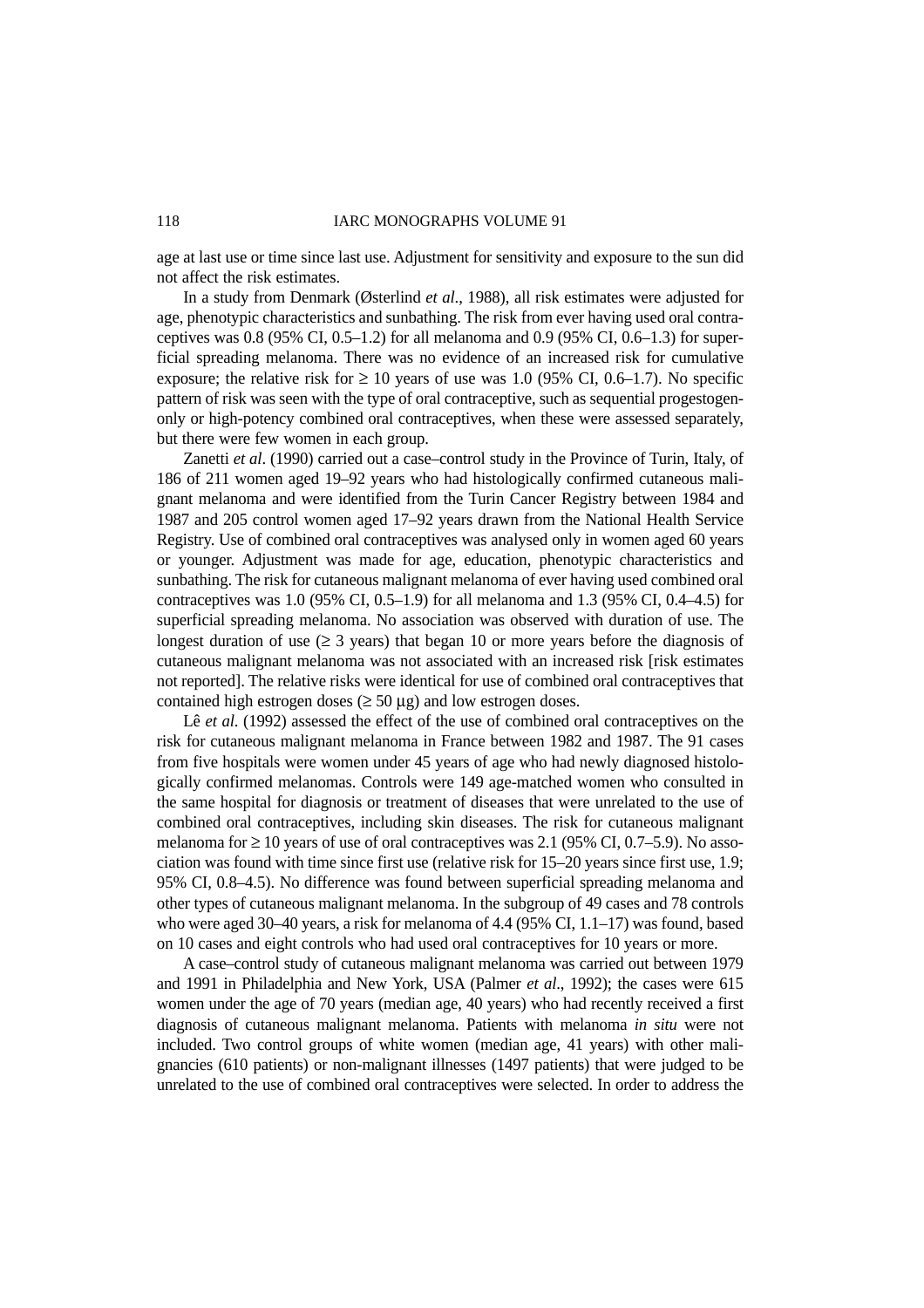age at last use or time since last use. Adjustment for sensitivity and exposure to the sun did not affect the risk estimates.

In a study from Denmark (Østerlind *et al*., 1988), all risk estimates were adjusted for age, phenotypic characteristics and sunbathing. The risk from ever having used oral contraceptives was  $0.8$  (95% CI, 0.5–1.2) for all melanoma and 0.9 (95% CI, 0.6–1.3) for superficial spreading melanoma. There was no evidence of an increased risk for cumulative exposure; the relative risk for  $\geq 10$  years of use was 1.0 (95% CI, 0.6–1.7). No specific pattern of risk was seen with the type of oral contraceptive, such as sequential progestogenonly or high-potency combined oral contraceptives, when these were assessed separately, but there were few women in each group.

Zanetti *et al*. (1990) carried out a case–control study in the Province of Turin, Italy, of 186 of 211 women aged 19–92 years who had histologically confirmed cutaneous malignant melanoma and were identified from the Turin Cancer Registry between 1984 and 1987 and 205 control women aged 17–92 years drawn from the National Health Service Registry. Use of combined oral contraceptives was analysed only in women aged 60 years or younger. Adjustment was made for age, education, phenotypic characteristics and sunbathing. The risk for cutaneous malignant melanoma of ever having used combined oral contraceptives was 1.0 (95% CI, 0.5–1.9) for all melanoma and 1.3 (95% CI, 0.4–4.5) for superficial spreading melanoma. No association was observed with duration of use. The longest duration of use  $(≥ 3$  years) that began 10 or more years before the diagnosis of cutaneous malignant melanoma was not associated with an increased risk [risk estimates not reported]. The relative risks were identical for use of combined oral contraceptives that contained high estrogen doses ( $\geq$  50 µg) and low estrogen doses.

Lê *et al*. (1992) assessed the effect of the use of combined oral contraceptives on the risk for cutaneous malignant melanoma in France between 1982 and 1987. The 91 cases from five hospitals were women under 45 years of age who had newly diagnosed histologically confirmed melanomas. Controls were 149 age-matched women who consulted in the same hospital for diagnosis or treatment of diseases that were unrelated to the use of combined oral contraceptives, including skin diseases. The risk for cutaneous malignant melanoma for  $\geq 10$  years of use of oral contraceptives was 2.1 (95% CI, 0.7–5.9). No association was found with time since first use (relative risk for 15–20 years since first use, 1.9; 95% CI, 0.8–4.5). No difference was found between superficial spreading melanoma and other types of cutaneous malignant melanoma. In the subgroup of 49 cases and 78 controls who were aged 30–40 years, a risk for melanoma of 4.4 (95% CI, 1.1–17) was found, based on 10 cases and eight controls who had used oral contraceptives for 10 years or more.

A case–control study of cutaneous malignant melanoma was carried out between 1979 and 1991 in Philadelphia and New York, USA (Palmer *et al*., 1992); the cases were 615 women under the age of 70 years (median age, 40 years) who had recently received a first diagnosis of cutaneous malignant melanoma. Patients with melanoma *in situ* were not included. Two control groups of white women (median age, 41 years) with other malignancies (610 patients) or non-malignant illnesses (1497 patients) that were judged to be unrelated to the use of combined oral contraceptives were selected. In order to address the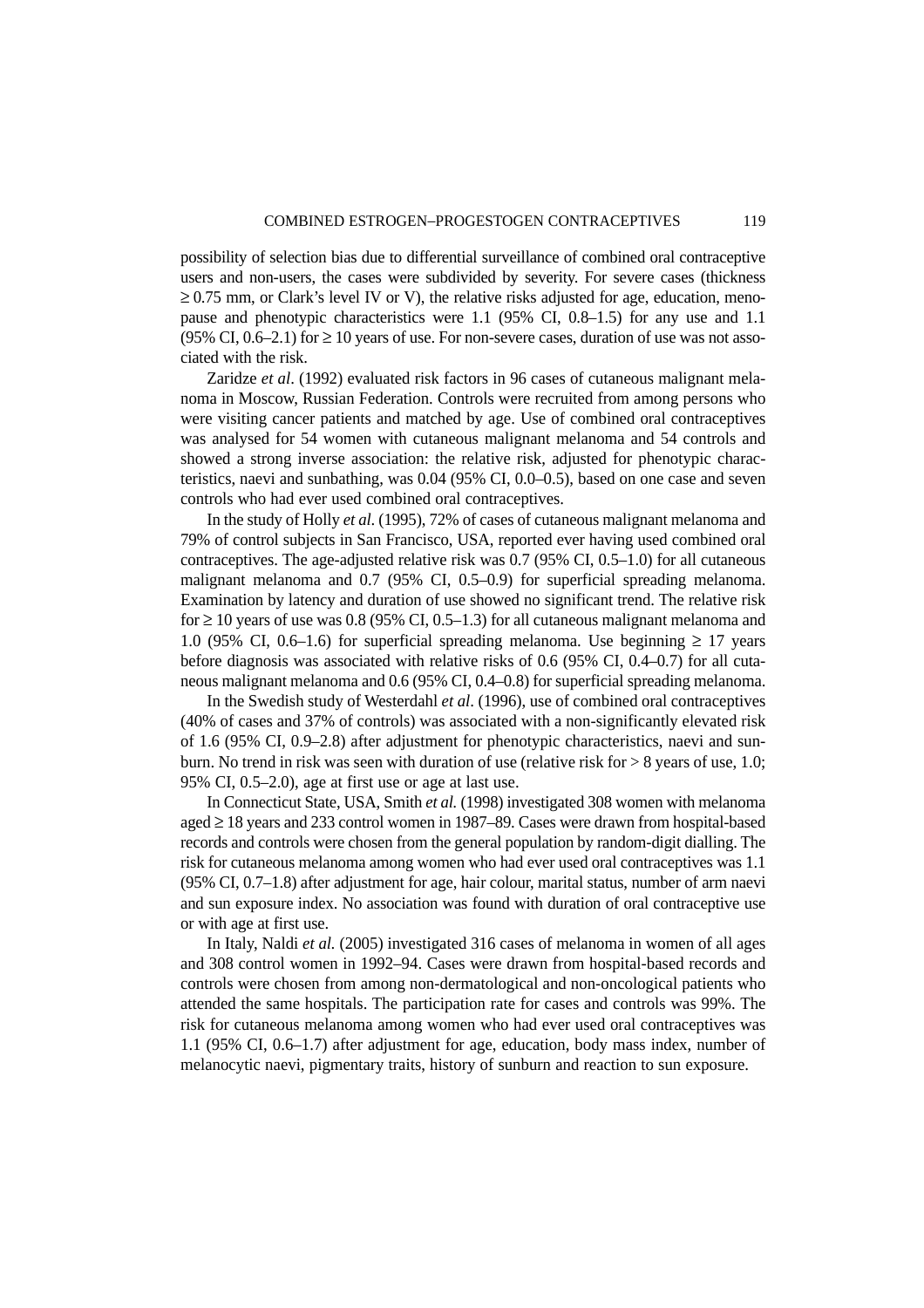possibility of selection bias due to differential surveillance of combined oral contraceptive users and non-users, the cases were subdivided by severity. For severe cases (thickness  $\geq$  0.75 mm, or Clark's level IV or V), the relative risks adjusted for age, education, menopause and phenotypic characteristics were 1.1 (95% CI, 0.8–1.5) for any use and 1.1 (95% CI,  $0.6-2.1$ ) for  $\geq 10$  years of use. For non-severe cases, duration of use was not associated with the risk.

Zaridze *et al*. (1992) evaluated risk factors in 96 cases of cutaneous malignant melanoma in Moscow, Russian Federation. Controls were recruited from among persons who were visiting cancer patients and matched by age. Use of combined oral contraceptives was analysed for 54 women with cutaneous malignant melanoma and 54 controls and showed a strong inverse association: the relative risk, adjusted for phenotypic characteristics, naevi and sunbathing, was 0.04 (95% CI, 0.0–0.5), based on one case and seven controls who had ever used combined oral contraceptives.

In the study of Holly *et al*. (1995), 72% of cases of cutaneous malignant melanoma and 79% of control subjects in San Francisco, USA, reported ever having used combined oral contraceptives. The age-adjusted relative risk was 0.7 (95% CI, 0.5–1.0) for all cutaneous malignant melanoma and 0.7 (95% CI, 0.5–0.9) for superficial spreading melanoma. Examination by latency and duration of use showed no significant trend. The relative risk for  $\geq$  10 years of use was 0.8 (95% CI, 0.5–1.3) for all cutaneous malignant melanoma and 1.0 (95% CI, 0.6–1.6) for superficial spreading melanoma. Use beginning  $\geq$  17 years before diagnosis was associated with relative risks of 0.6 (95% CI, 0.4–0.7) for all cutaneous malignant melanoma and 0.6 (95% CI, 0.4–0.8) for superficial spreading melanoma.

In the Swedish study of Westerdahl *et al*. (1996), use of combined oral contraceptives (40% of cases and 37% of controls) was associated with a non-significantly elevated risk of 1.6 (95% CI, 0.9–2.8) after adjustment for phenotypic characteristics, naevi and sunburn. No trend in risk was seen with duration of use (relative risk for  $> 8$  years of use, 1.0; 95% CI, 0.5–2.0), age at first use or age at last use.

In Connecticut State, USA, Smith *et al.* (1998) investigated 308 women with melanoma aged ≥ 18 years and 233 control women in 1987–89. Cases were drawn from hospital-based records and controls were chosen from the general population by random-digit dialling. The risk for cutaneous melanoma among women who had ever used oral contraceptives was 1.1 (95% CI, 0.7–1.8) after adjustment for age, hair colour, marital status, number of arm naevi and sun exposure index. No association was found with duration of oral contraceptive use or with age at first use.

In Italy, Naldi *et al.* (2005) investigated 316 cases of melanoma in women of all ages and 308 control women in 1992–94. Cases were drawn from hospital-based records and controls were chosen from among non-dermatological and non-oncological patients who attended the same hospitals. The participation rate for cases and controls was 99%. The risk for cutaneous melanoma among women who had ever used oral contraceptives was 1.1 (95% CI, 0.6–1.7) after adjustment for age, education, body mass index, number of melanocytic naevi, pigmentary traits, history of sunburn and reaction to sun exposure.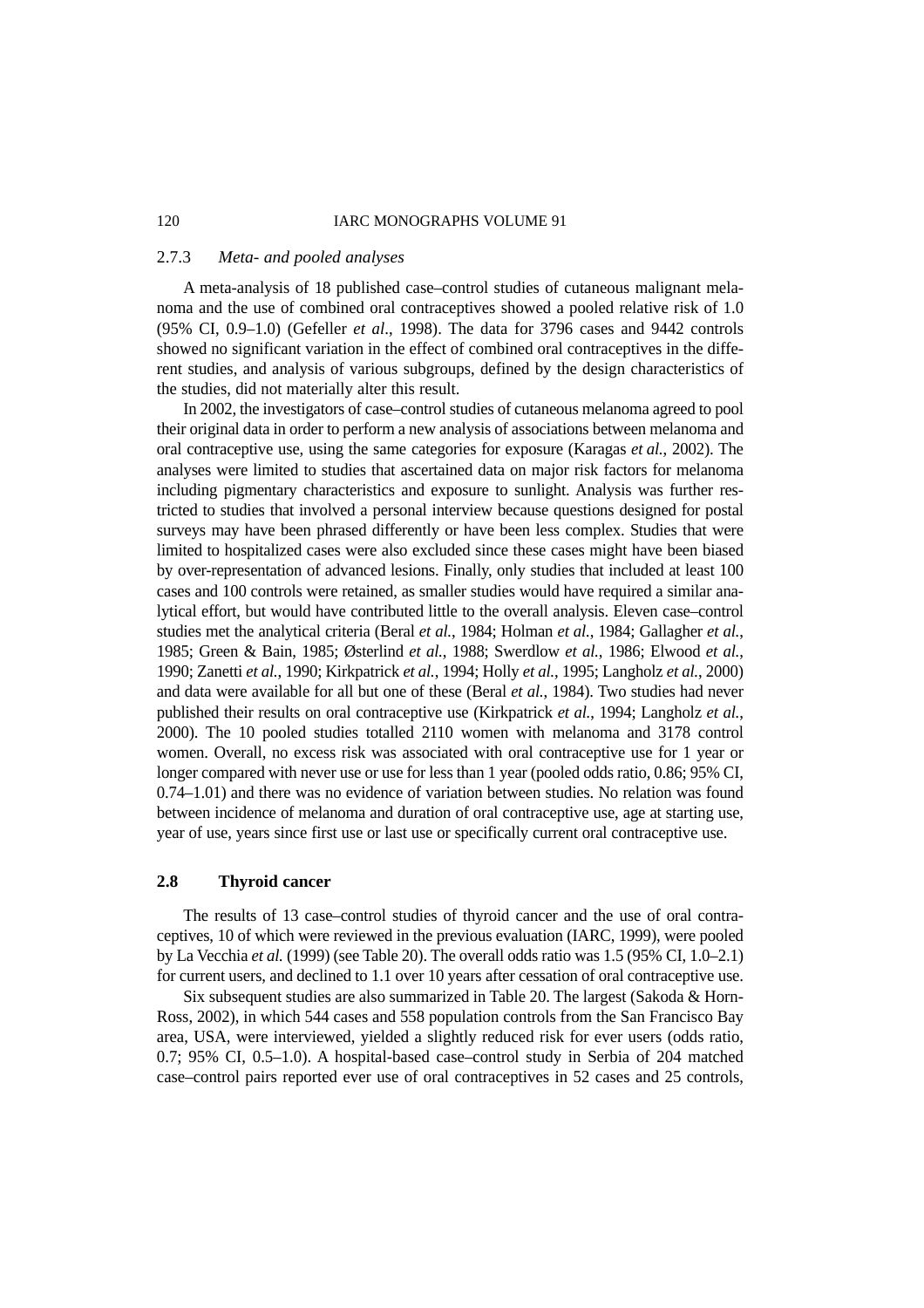## 2.7.3 *Meta- and pooled analyses*

A meta-analysis of 18 published case–control studies of cutaneous malignant melanoma and the use of combined oral contraceptives showed a pooled relative risk of 1.0 (95% CI, 0.9–1.0) (Gefeller *et al*., 1998). The data for 3796 cases and 9442 controls showed no significant variation in the effect of combined oral contraceptives in the different studies, and analysis of various subgroups, defined by the design characteristics of the studies, did not materially alter this result.

In 2002, the investigators of case–control studies of cutaneous melanoma agreed to pool their original data in order to perform a new analysis of associations between melanoma and oral contraceptive use, using the same categories for exposure (Karagas *et al.*, 2002). The analyses were limited to studies that ascertained data on major risk factors for melanoma including pigmentary characteristics and exposure to sunlight. Analysis was further restricted to studies that involved a personal interview because questions designed for postal surveys may have been phrased differently or have been less complex. Studies that were limited to hospitalized cases were also excluded since these cases might have been biased by over-representation of advanced lesions. Finally, only studies that included at least 100 cases and 100 controls were retained, as smaller studies would have required a similar analytical effort, but would have contributed little to the overall analysis. Eleven case–control studies met the analytical criteria (Beral *et al.*, 1984; Holman *et al.*, 1984; Gallagher *et al.*, 1985; Green & Bain, 1985; Østerlind *et al.*, 1988; Swerdlow *et al.*, 1986; Elwood *et al.*, 1990; Zanetti *et al.*, 1990; Kirkpatrick *et al.*, 1994; Holly *et al.*, 1995; Langholz *et al.*, 2000) and data were available for all but one of these (Beral *et al.*, 1984). Two studies had never published their results on oral contraceptive use (Kirkpatrick *et al.*, 1994; Langholz *et al.*, 2000). The 10 pooled studies totalled 2110 women with melanoma and 3178 control women. Overall, no excess risk was associated with oral contraceptive use for 1 year or longer compared with never use or use for less than 1 year (pooled odds ratio, 0.86; 95% CI, 0.74–1.01) and there was no evidence of variation between studies. No relation was found between incidence of melanoma and duration of oral contraceptive use, age at starting use, year of use, years since first use or last use or specifically current oral contraceptive use.

## **2.8 Thyroid cancer**

The results of 13 case–control studies of thyroid cancer and the use of oral contraceptives, 10 of which were reviewed in the previous evaluation (IARC, 1999), were pooled by La Vecchia *et al.* (1999) (see Table 20). The overall odds ratio was 1.5 (95% CI, 1.0–2.1) for current users, and declined to 1.1 over 10 years after cessation of oral contraceptive use.

Six subsequent studies are also summarized in Table 20. The largest (Sakoda & Horn-Ross, 2002), in which 544 cases and 558 population controls from the San Francisco Bay area, USA, were interviewed, yielded a slightly reduced risk for ever users (odds ratio, 0.7; 95% CI, 0.5–1.0). A hospital-based case–control study in Serbia of 204 matched case–control pairs reported ever use of oral contraceptives in 52 cases and 25 controls,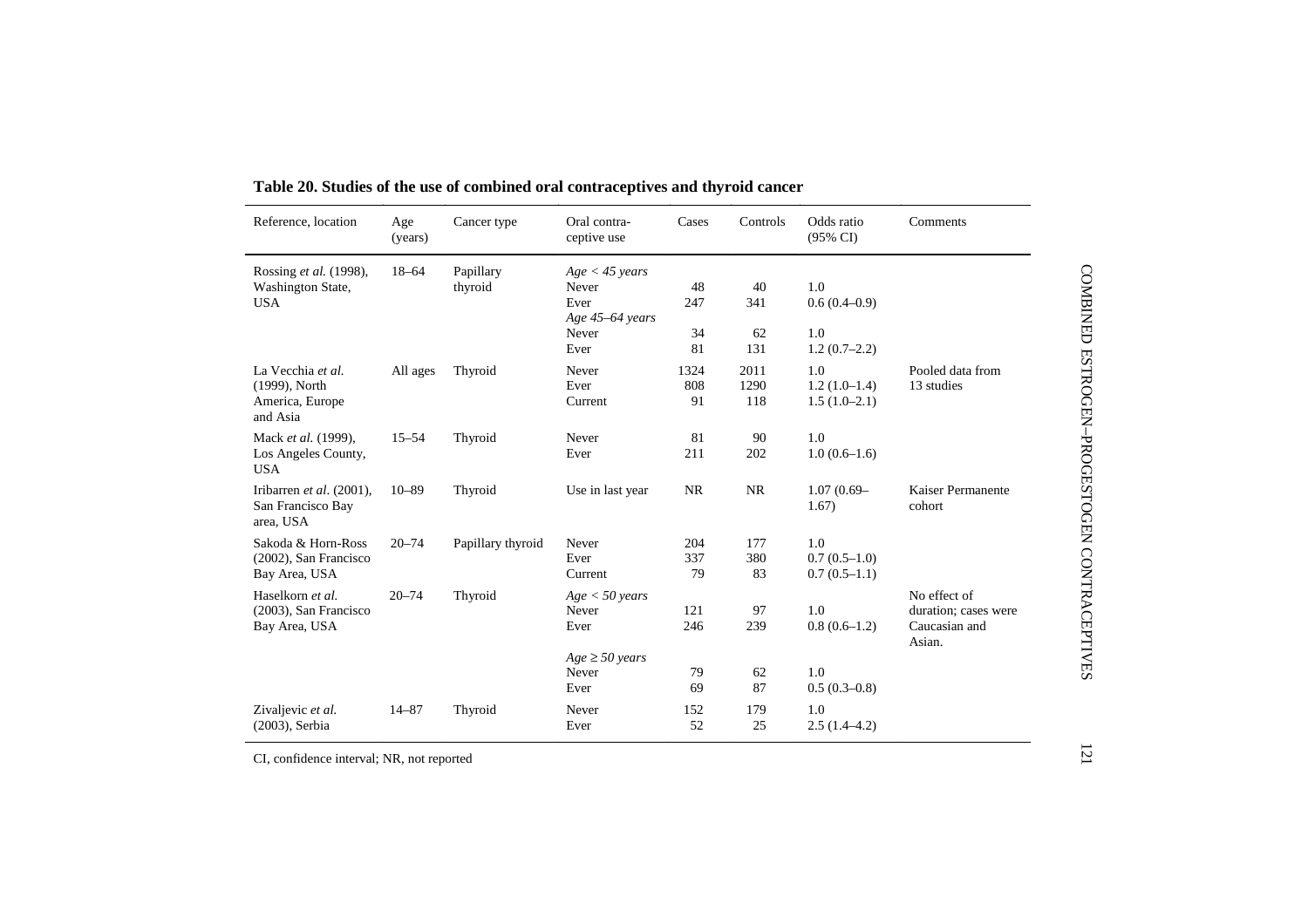| Reference, location                                               | Age<br>(years) | Cancer type          | Oral contra-<br>ceptive use                                   | Cases             | Controls            | Odds ratio<br>$(95\% \text{ CI})$       | Comments                                                        |
|-------------------------------------------------------------------|----------------|----------------------|---------------------------------------------------------------|-------------------|---------------------|-----------------------------------------|-----------------------------------------------------------------|
| Rossing et al. (1998),<br>Washington State,<br><b>USA</b>         | $18 - 64$      | Papillary<br>thyroid | $Age < 45$ years<br>Never<br>Ever<br>Age 45-64 years<br>Never | 48<br>247<br>34   | 40<br>341<br>62     | 1.0<br>$0.6(0.4-0.9)$<br>1.0            |                                                                 |
|                                                                   |                |                      | Ever                                                          | 81                | 131                 | $1.2(0.7-2.2)$                          |                                                                 |
| La Vecchia et al.<br>(1999), North<br>America, Europe<br>and Asia | All ages       | Thyroid              | Never<br>Ever<br>Current                                      | 1324<br>808<br>91 | 2011<br>1290<br>118 | 1.0<br>$1.2(1.0-1.4)$<br>$1.5(1.0-2.1)$ | Pooled data from<br>13 studies                                  |
| Mack et al. (1999),<br>Los Angeles County,<br><b>USA</b>          | $15 - 54$      | Thyroid              | Never<br>Ever                                                 | 81<br>211         | 90<br>202           | 1.0<br>$1.0(0.6-1.6)$                   |                                                                 |
| Iribarren et al. $(2001)$ ,<br>San Francisco Bay<br>area, USA     | $10 - 89$      | Thyroid              | Use in last year                                              | <b>NR</b>         | <b>NR</b>           | $1.07(0.69 -$<br>1.67)                  | Kaiser Permanente<br>cohort                                     |
| Sakoda & Horn-Ross<br>(2002), San Francisco<br>Bay Area, USA      | $20 - 74$      | Papillary thyroid    | Never<br>Ever<br>Current                                      | 204<br>337<br>79  | 177<br>380<br>83    | 1.0<br>$0.7(0.5-1.0)$<br>$0.7(0.5-1.1)$ |                                                                 |
| Haselkorn et al.<br>(2003), San Francisco<br>Bay Area, USA        | $20 - 74$      | Thyroid              | $Age < 50 \text{ years}$<br>Never<br>Ever                     | 121<br>246        | 97<br>239           | 1.0<br>$0.8(0.6-1.2)$                   | No effect of<br>duration; cases were<br>Caucasian and<br>Asian. |
|                                                                   |                |                      | $Age \geq 50 \text{ years}$<br>Never<br>Ever                  | 79<br>69          | 62<br>87            | 1.0<br>$0.5(0.3-0.8)$                   |                                                                 |
| Zivaljevic et al.<br>(2003), Serbia                               | $14 - 87$      | Thyroid              | Never<br>Ever                                                 | 152<br>52         | 179<br>25           | 1.0<br>$2.5(1.4-4.2)$                   |                                                                 |

**Table 20. Studies of the use of combined oral contraceptives and thyroid cancer** 

CI, confidence interval; NR, not reported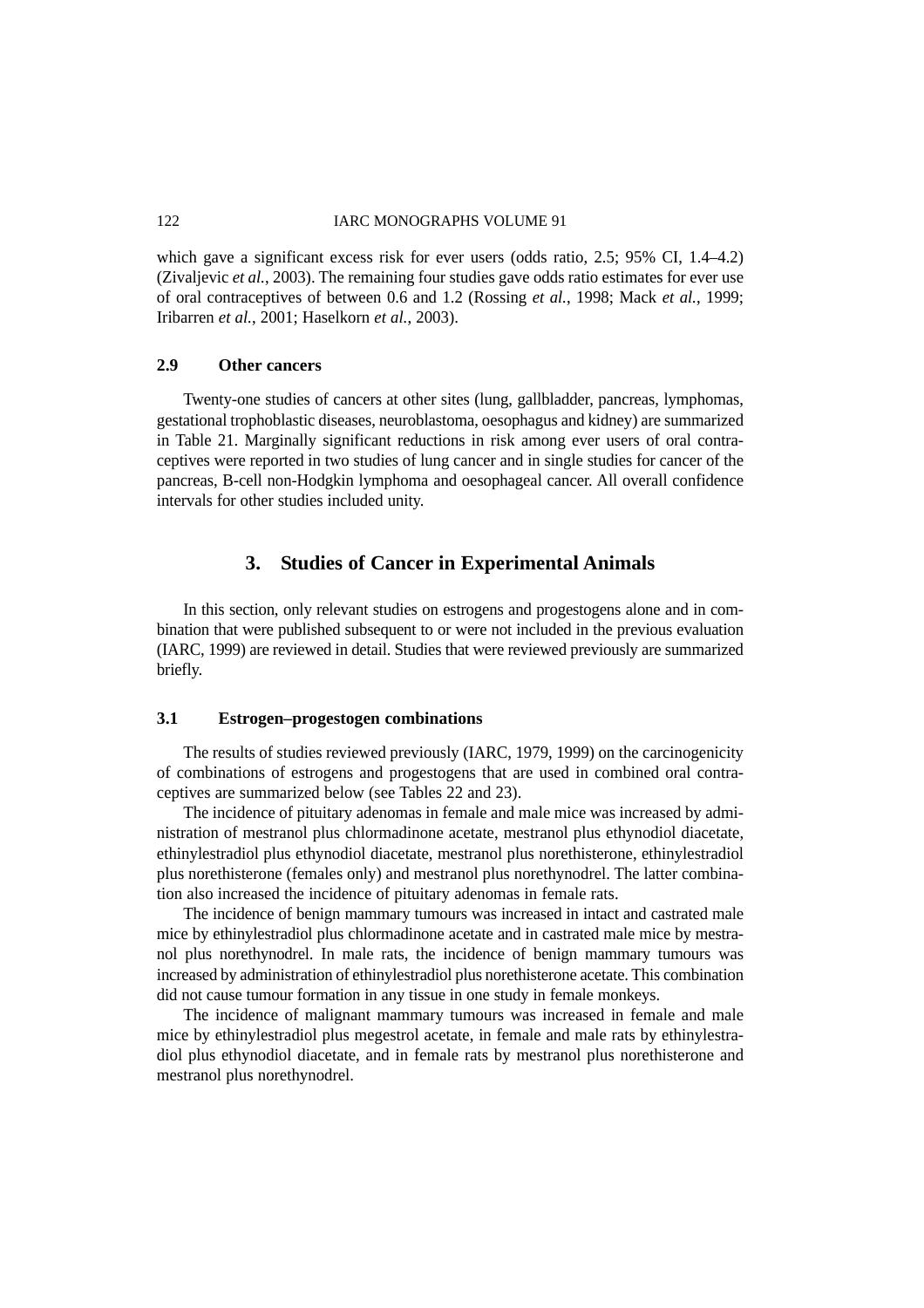which gave a significant excess risk for ever users (odds ratio, 2.5; 95% CI, 1.4–4.2) (Zivaljevic *et al.*, 2003). The remaining four studies gave odds ratio estimates for ever use of oral contraceptives of between 0.6 and 1.2 (Rossing *et al.*, 1998; Mack *et al.*, 1999; Iribarren *et al.*, 2001; Haselkorn *et al.*, 2003).

## **2.9 Other cancers**

Twenty-one studies of cancers at other sites (lung, gallbladder, pancreas, lymphomas, gestational trophoblastic diseases, neuroblastoma, oesophagus and kidney) are summarized in Table 21. Marginally significant reductions in risk among ever users of oral contraceptives were reported in two studies of lung cancer and in single studies for cancer of the pancreas, B-cell non-Hodgkin lymphoma and oesophageal cancer. All overall confidence intervals for other studies included unity.

## **3. Studies of Cancer in Experimental Animals**

In this section, only relevant studies on estrogens and progestogens alone and in combination that were published subsequent to or were not included in the previous evaluation (IARC, 1999) are reviewed in detail. Studies that were reviewed previously are summarized briefly.

## **3.1 Estrogen–progestogen combinations**

The results of studies reviewed previously (IARC, 1979, 1999) on the carcinogenicity of combinations of estrogens and progestogens that are used in combined oral contraceptives are summarized below (see Tables 22 and 23).

The incidence of pituitary adenomas in female and male mice was increased by administration of mestranol plus chlormadinone acetate, mestranol plus ethynodiol diacetate, ethinylestradiol plus ethynodiol diacetate, mestranol plus norethisterone, ethinylestradiol plus norethisterone (females only) and mestranol plus norethynodrel. The latter combination also increased the incidence of pituitary adenomas in female rats.

The incidence of benign mammary tumours was increased in intact and castrated male mice by ethinylestradiol plus chlormadinone acetate and in castrated male mice by mestranol plus norethynodrel. In male rats, the incidence of benign mammary tumours was increased by administration of ethinylestradiol plus norethisterone acetate. This combination did not cause tumour formation in any tissue in one study in female monkeys.

The incidence of malignant mammary tumours was increased in female and male mice by ethinylestradiol plus megestrol acetate, in female and male rats by ethinylestradiol plus ethynodiol diacetate, and in female rats by mestranol plus norethisterone and mestranol plus norethynodrel.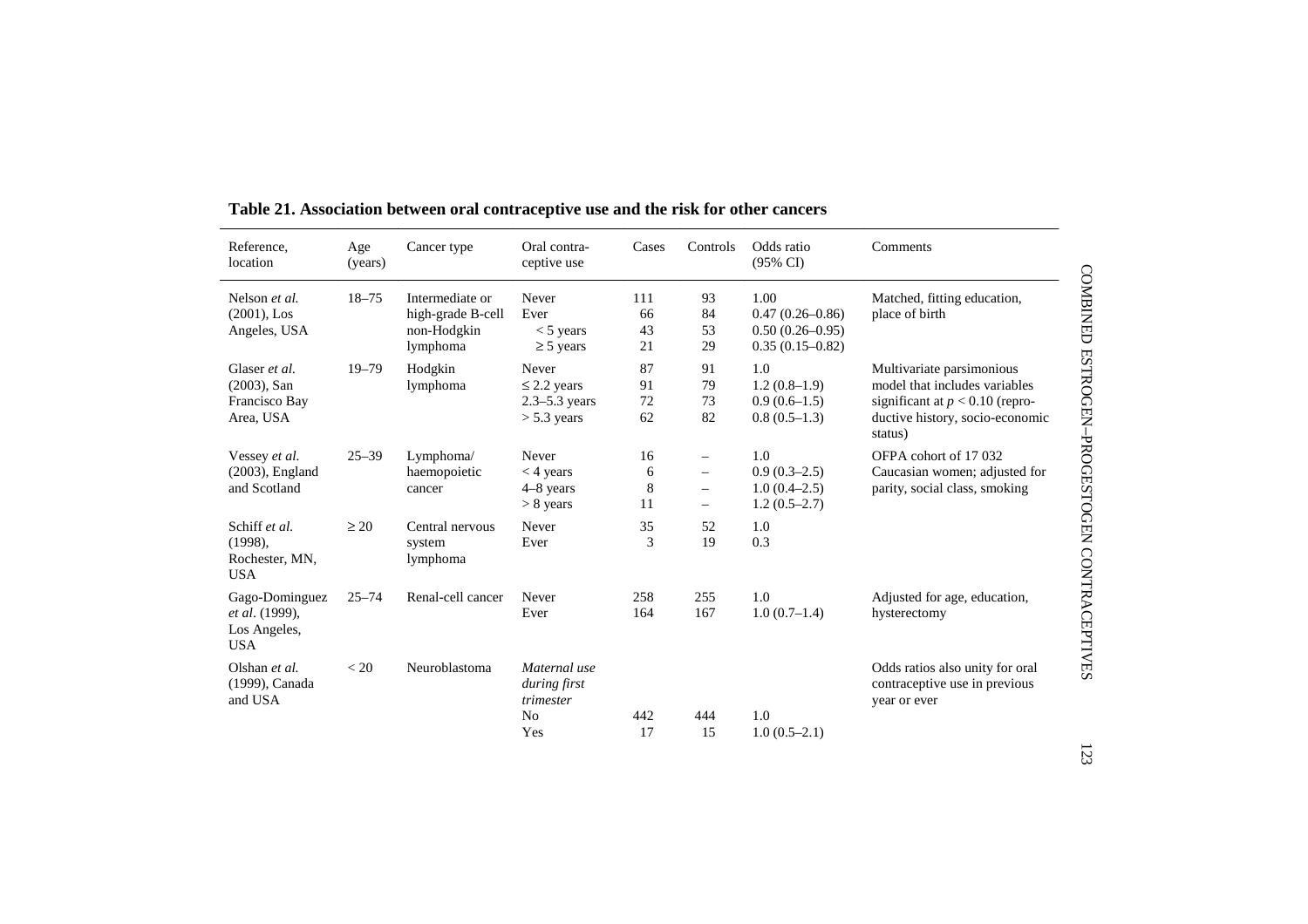| Reference,<br>location                                         | Age<br>(years) | Cancer type                                                     | Oral contra-<br>ceptive use                                        | Cases                 | Controls                                                                                                     | Odds ratio<br>$(95\% \text{ CI})$                                       | Comments                                                                                                                                      |
|----------------------------------------------------------------|----------------|-----------------------------------------------------------------|--------------------------------------------------------------------|-----------------------|--------------------------------------------------------------------------------------------------------------|-------------------------------------------------------------------------|-----------------------------------------------------------------------------------------------------------------------------------------------|
| Nelson et al.<br>$(2001)$ , Los<br>Angeles, USA                | $18 - 75$      | Intermediate or<br>high-grade B-cell<br>non-Hodgkin<br>lymphoma | Never<br>Ever<br>$<$ 5 years<br>$\geq$ 5 years                     | 111<br>66<br>43<br>21 | 93<br>84<br>53<br>29                                                                                         | 1.00<br>$0.47(0.26 - 0.86)$<br>$0.50(0.26 - 0.95)$<br>$0.35(0.15-0.82)$ | Matched, fitting education,<br>place of birth                                                                                                 |
| Glaser et al.<br>$(2003)$ , San<br>Francisco Bay<br>Area, USA  | $19 - 79$      | Hodgkin<br>lymphoma                                             | Never<br>$\leq$ 2.2 years<br>$2.3 - 5.3$ years<br>$> 5.3$ years    | 87<br>91<br>72<br>62  | 91<br>79<br>73<br>82                                                                                         | 1.0<br>$1.2(0.8-1.9)$<br>$0.9(0.6-1.5)$<br>$0.8(0.5-1.3)$               | Multivariate parsimonious<br>model that includes variables<br>significant at $p < 0.10$ (repro-<br>ductive history, socio-economic<br>status) |
| Vessey et al.<br>$(2003)$ , England<br>and Scotland            | $25 - 39$      | Lymphoma/<br>haemopoietic<br>cancer                             | Never<br>$<$ 4 years<br>$4-8$ years<br>$> 8$ years                 | 16<br>6<br>8<br>11    | $\overline{\phantom{0}}$<br>$\overline{\phantom{0}}$<br>$\overline{\phantom{0}}$<br>$\overline{\phantom{0}}$ | 1.0<br>$0.9(0.3-2.5)$<br>$1.0(0.4-2.5)$<br>$1.2(0.5-2.7)$               | OFPA cohort of 17032<br>Caucasian women; adjusted for<br>parity, social class, smoking                                                        |
| Schiff et al.<br>(1998),<br>Rochester, MN,<br><b>USA</b>       | $\geq 20$      | Central nervous<br>system<br>lymphoma                           | Never<br>Ever                                                      | 35<br>3               | 52<br>19                                                                                                     | 1.0<br>0.3                                                              |                                                                                                                                               |
| Gago-Dominguez<br>et al. (1999),<br>Los Angeles,<br><b>USA</b> | $25 - 74$      | Renal-cell cancer                                               | Never<br>Ever                                                      | 258<br>164            | 255<br>167                                                                                                   | 1.0<br>$1.0(0.7-1.4)$                                                   | Adjusted for age, education,<br>hysterectomy                                                                                                  |
| Olshan et al.<br>(1999), Canada<br>and USA                     | < 20           | Neuroblastoma                                                   | Maternal use<br>during first<br>trimester<br>N <sub>o</sub><br>Yes | 442<br>17             | 444<br>15                                                                                                    | 1.0<br>$1.0(0.5-2.1)$                                                   | Odds ratios also unity for oral<br>contraceptive use in previous<br>year or ever                                                              |

**Table 21. Association between oral contraceptive use and the risk for other cancers**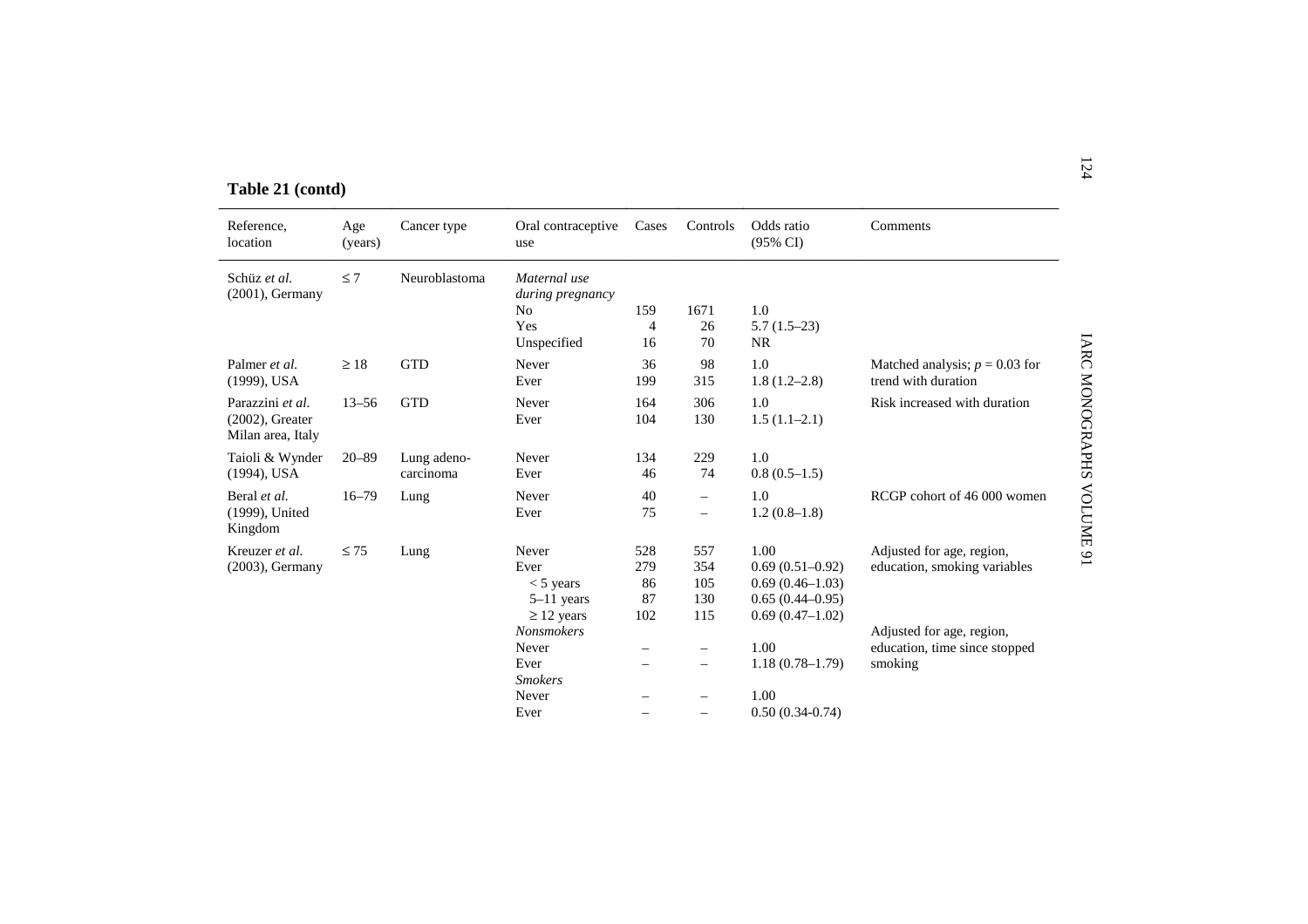|  | Table 21 (contd) |
|--|------------------|
|  |                  |

| 124<br>Table 21 (contd)                                     |                |                          |                                                                          |                               |                                                      |                                                                                            |                                                                       |  |
|-------------------------------------------------------------|----------------|--------------------------|--------------------------------------------------------------------------|-------------------------------|------------------------------------------------------|--------------------------------------------------------------------------------------------|-----------------------------------------------------------------------|--|
| Reference,<br>location                                      | Age<br>(years) | Cancer type              | Oral contraceptive<br>use                                                | Cases                         | Controls                                             | Odds ratio<br>$(95\% \text{ CI})$                                                          | Comments                                                              |  |
| Schüz et al.<br>$(2001)$ , Germany                          | $\leq 7$       | Neuroblastoma            | Maternal use<br>during pregnancy<br>N <sub>0</sub><br>Yes<br>Unspecified | 159<br>4<br>16                | 1671<br>26<br>70                                     | 1.0<br>$5.7(1.5-23)$<br><b>NR</b>                                                          |                                                                       |  |
| Palmer et al.<br>(1999), USA                                | $\geq 18$      | <b>GTD</b>               | Never<br>Ever                                                            | 36<br>199                     | 98<br>315                                            | 1.0<br>$1.8(1.2-2.8)$                                                                      | Matched analysis; $p = 0.03$ for<br>trend with duration               |  |
| Parazzini et al.<br>$(2002)$ , Greater<br>Milan area, Italy | $13 - 56$      | <b>GTD</b>               | Never<br>Ever                                                            | 164<br>104                    | 306<br>130                                           | $1.0\,$<br>$1.5(1.1-2.1)$                                                                  | Risk increased with duration                                          |  |
| Taioli & Wynder<br>$(1994)$ , USA                           | $20 - 89$      | Lung adeno-<br>carcinoma | Never<br>Ever                                                            | 134<br>46                     | 229<br>74                                            | 1.0<br>$0.8(0.5-1.5)$                                                                      |                                                                       |  |
| Beral et al.<br>(1999), United<br>Kingdom                   | $16 - 79$      | Lung                     | Never<br>Ever                                                            | 40<br>75                      | $\equiv$<br>$\overline{\phantom{0}}$                 | 1.0<br>$1.2(0.8-1.8)$                                                                      | RCGP cohort of 46 000 women                                           |  |
| Kreuzer et al.<br>$(2003)$ , Germany                        | $\leq 75$      | Lung                     | Never<br>Ever<br>$<$ 5 years<br>$5-11$ years<br>$\geq$ 12 years          | 528<br>279<br>86<br>87<br>102 | 557<br>354<br>105<br>130<br>115                      | 1.00<br>$0.69(0.51-0.92)$<br>$0.69(0.46-1.03)$<br>$0.65(0.44 - 0.95)$<br>$0.69(0.47-1.02)$ | Adjusted for age, region,<br>education, smoking variables             |  |
|                                                             |                |                          | <b>Nonsmokers</b><br>Never<br>Ever                                       | —                             | $\overline{\phantom{0}}$<br>$\overline{\phantom{m}}$ | 1.00<br>$1.18(0.78-1.79)$                                                                  | Adjusted for age, region,<br>education, time since stopped<br>smoking |  |
|                                                             |                |                          | <b>Smokers</b><br>Never<br>Ever                                          |                               | $\overline{\phantom{0}}$                             | 1.00<br>$0.50(0.34-0.74)$                                                                  |                                                                       |  |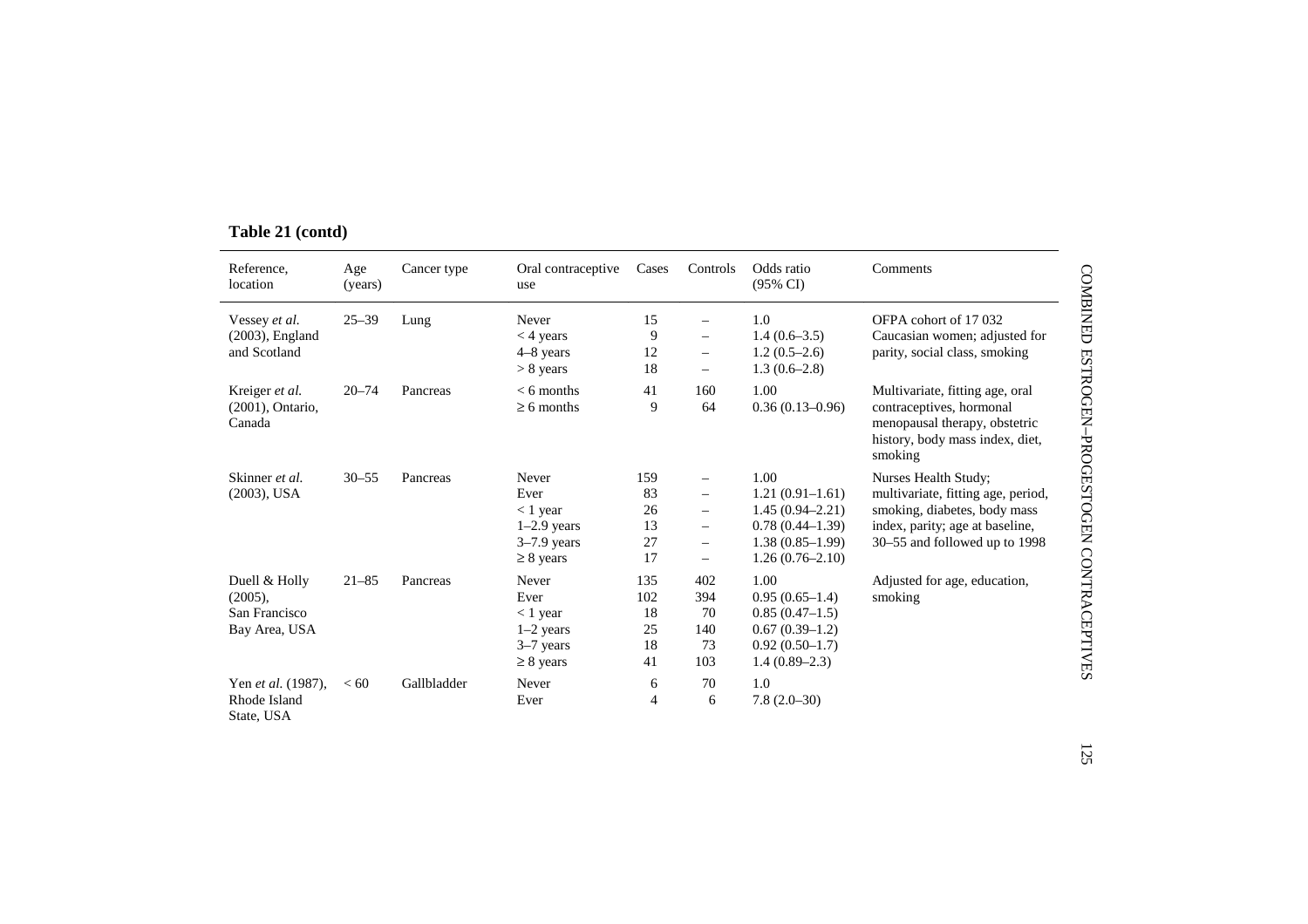| Reference,<br>location                                     | Age<br>(years) | Cancer type | Oral contraceptive<br>use                                                       | Cases                              | Controls                                                                                                                                                             | Odds ratio<br>$(95\% \text{ CI})$                                                                                 | Comments                                                                                                                                                       |
|------------------------------------------------------------|----------------|-------------|---------------------------------------------------------------------------------|------------------------------------|----------------------------------------------------------------------------------------------------------------------------------------------------------------------|-------------------------------------------------------------------------------------------------------------------|----------------------------------------------------------------------------------------------------------------------------------------------------------------|
| Vessey et al.<br>$(2003)$ , England<br>and Scotland        | $25 - 39$      | Lung        | Never<br>$<$ 4 years<br>$4-8$ years<br>$> 8$ years                              | 15<br>9<br>12<br>18                | $\qquad \qquad -$<br>$\overline{\phantom{m}}$<br>$\overline{\phantom{m}}$<br>$\overline{\phantom{m}}$                                                                | 1.0<br>$1.4(0.6-3.5)$<br>$1.2(0.5-2.6)$<br>$1.3(0.6-2.8)$                                                         | OFPA cohort of 17032<br>Caucasian women; adjusted for<br>parity, social class, smoking                                                                         |
| Kreiger et al.<br>$(2001)$ , Ontario,<br>Canada            | $20 - 74$      | Pancreas    | $< 6$ months<br>$\geq 6$ months                                                 | 41<br>9                            | 160<br>64                                                                                                                                                            | 1.00<br>$0.36(0.13-0.96)$                                                                                         | Multivariate, fitting age, oral<br>contraceptives, hormonal<br>menopausal therapy, obstetric<br>history, body mass index, diet,<br>smoking                     |
| Skinner et al.<br>$(2003)$ , USA                           | $30 - 55$      | Pancreas    | Never<br>Ever<br>$< 1$ year<br>$1-2.9$ years<br>$3-7.9$ years<br>$\geq$ 8 years | 159<br>83<br>26<br>13<br>27<br>17  | $\overline{\phantom{m}}$<br>$\overline{\phantom{m}}$<br>$\overline{\phantom{m}}$<br>$\overline{\phantom{m}}$<br>$\overline{\phantom{m}}$<br>$\overline{\phantom{m}}$ | 1.00<br>$1.21(0.91-1.61)$<br>$1.45(0.94 - 2.21)$<br>$0.78(0.44 - 1.39)$<br>$1.38(0.85-1.99)$<br>$1.26(0.76-2.10)$ | Nurses Health Study;<br>multivariate, fitting age, period,<br>smoking, diabetes, body mass<br>index, parity; age at baseline,<br>30–55 and followed up to 1998 |
| Duell & Holly<br>(2005),<br>San Francisco<br>Bay Area, USA | $21 - 85$      | Pancreas    | Never<br>Ever<br>$< 1$ year<br>$1-2$ years<br>$3-7$ years<br>$\geq$ 8 years     | 135<br>102<br>18<br>25<br>18<br>41 | 402<br>394<br>70<br>140<br>73<br>103                                                                                                                                 | 1.00<br>$0.95(0.65-1.4)$<br>$0.85(0.47-1.5)$<br>$0.67(0.39-1.2)$<br>$0.92(0.50-1.7)$<br>$1.4(0.89-2.3)$           | Adjusted for age, education,<br>smoking                                                                                                                        |
| Yen <i>et al.</i> (1987),<br>Rhode Island<br>State, USA    | <60            | Gallbladder | Never<br>Ever                                                                   | 6<br>4                             | 70<br>6                                                                                                                                                              | 1.0<br>$7.8(2.0-30)$                                                                                              |                                                                                                                                                                |

# **Table 21 (contd)**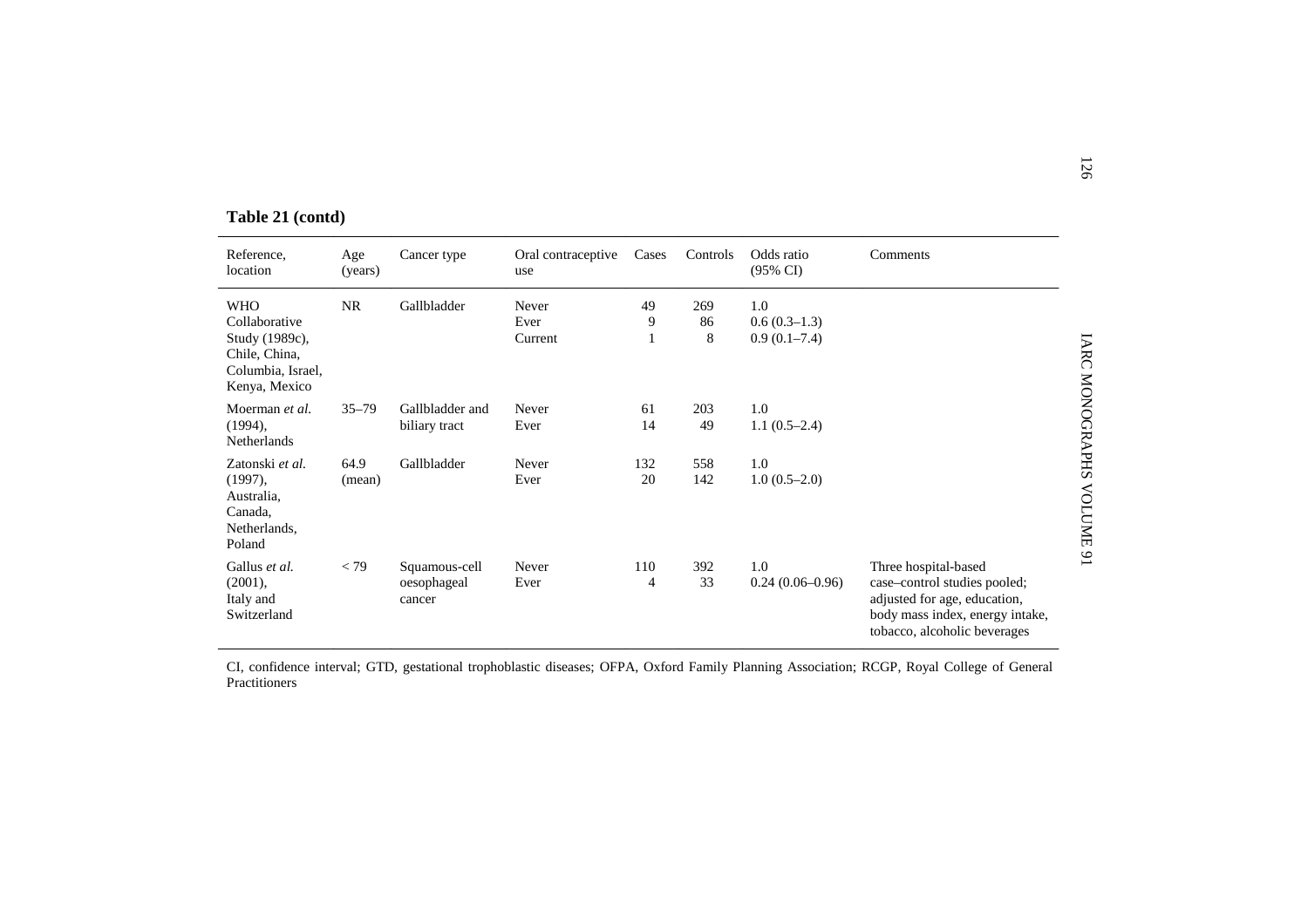| Table 21 (contd)                                                                                     |                |                                        |                           |           |                |                                         |                                                                                                                                                         |
|------------------------------------------------------------------------------------------------------|----------------|----------------------------------------|---------------------------|-----------|----------------|-----------------------------------------|---------------------------------------------------------------------------------------------------------------------------------------------------------|
| Reference,<br>location                                                                               | Age<br>(years) | Cancer type                            | Oral contraceptive<br>use | Cases     | Controls       | Odds ratio<br>(95% CI)                  | Comments                                                                                                                                                |
| <b>WHO</b><br>Collaborative<br>Study (1989c),<br>Chile, China,<br>Columbia, Israel,<br>Kenya, Mexico | <b>NR</b>      | Gallbladder                            | Never<br>Ever<br>Current  | 49<br>9   | 269<br>86<br>8 | 1.0<br>$0.6(0.3-1.3)$<br>$0.9(0.1-7.4)$ |                                                                                                                                                         |
| Moerman et al.<br>(1994),<br>Netherlands                                                             | $35 - 79$      | Gallbladder and<br>biliary tract       | Never<br>Ever             | 61<br>14  | 203<br>49      | 1.0<br>$1.1(0.5-2.4)$                   |                                                                                                                                                         |
| Zatonski et al.<br>(1997),<br>Australia,<br>Canada,<br>Netherlands,<br>Poland                        | 64.9<br>(mean) | Gallbladder                            | Never<br>Ever             | 132<br>20 | 558<br>142     | 1.0<br>$1.0(0.5-2.0)$                   |                                                                                                                                                         |
| Gallus et al.<br>(2001),<br>Italy and<br>Switzerland                                                 | < 79           | Squamous-cell<br>oesophageal<br>cancer | Never<br>Ever             | 110<br>4  | 392<br>33      | 1.0<br>$0.24(0.06 - 0.96)$              | Three hospital-based<br>case-control studies pooled;<br>adjusted for age, education,<br>body mass index, energy intake,<br>tobacco, alcoholic beverages |

CI, confidence interval; GTD, gestational trophoblastic diseases; OFPA, Oxford Family Planning Association; RCGP, Royal College of General Practitioners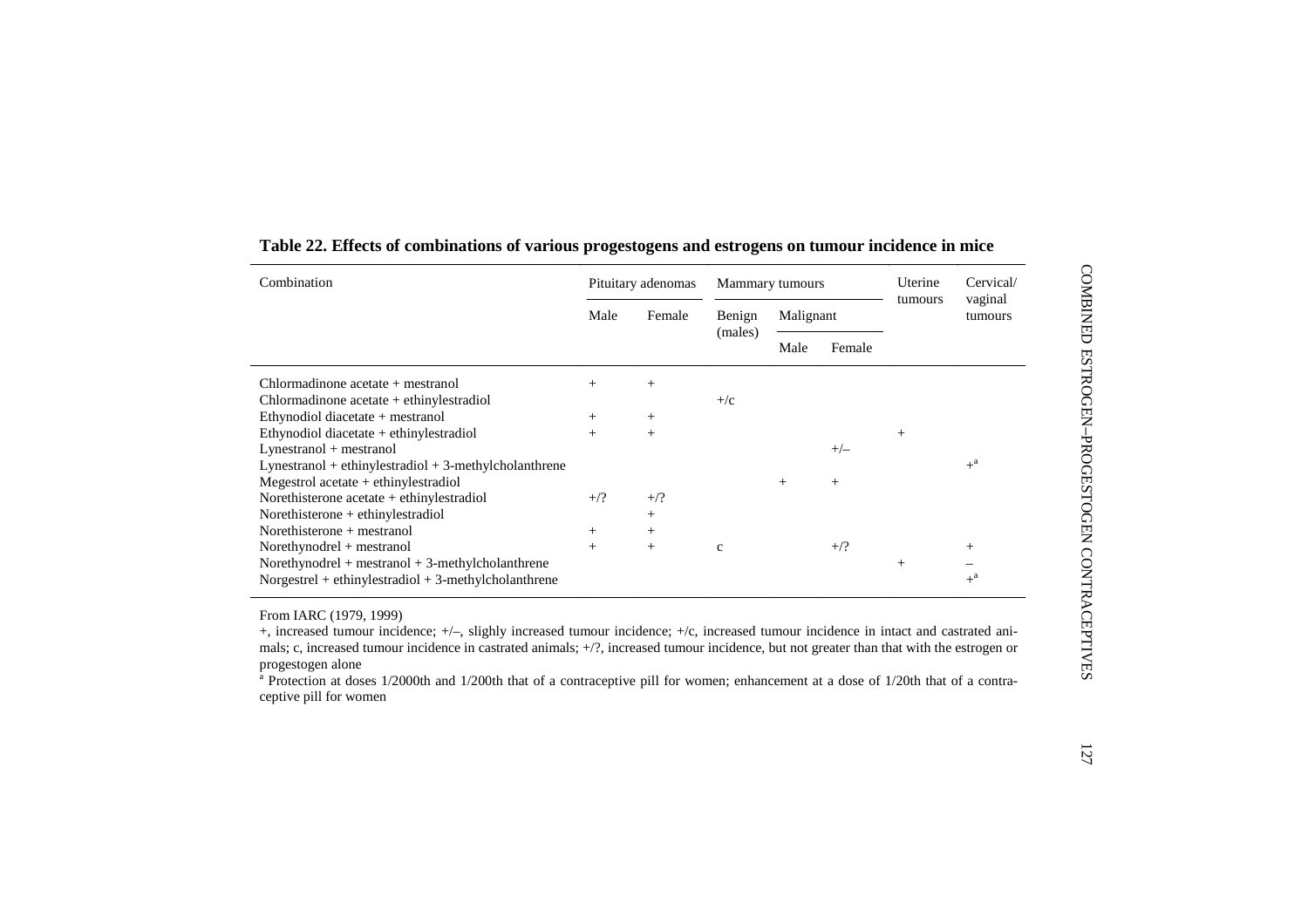| Combination                                             |        | Pituitary adenomas | Mammary tumours |           | Uterine<br>tumours | Cervical/<br>vaginal |                  |
|---------------------------------------------------------|--------|--------------------|-----------------|-----------|--------------------|----------------------|------------------|
|                                                         | Male   | Female             | Benign          | Malignant |                    |                      | tumours          |
|                                                         |        |                    | (males)         | Male      | Female             |                      |                  |
| Chlormadinone acetate + mestranol                       | $^{+}$ | $^{+}$             |                 |           |                    |                      |                  |
| $Chlormadinone acetate + ethinylestradiol$              |        |                    | $+$ / $c$       |           |                    |                      |                  |
| Ethynodiol diacetate + mestranol                        | $^{+}$ | $^{+}$             |                 |           |                    |                      |                  |
| Ethynodiol diacetate $+$ ethinylestradiol               | $^{+}$ | $+$                |                 |           |                    | $^{+}$               |                  |
| Lynestranol + mestranol                                 |        |                    |                 |           | $+/-$              |                      |                  |
| $Lynestranol + ethinylestradiol + 3-methylcholantherne$ |        |                    |                 |           |                    |                      | $+$ <sup>a</sup> |
| Megestrol acetate $+$ ethinylestradiol                  |        |                    |                 |           | $^{+}$             |                      |                  |
| Norethisterone acetate $+$ ethinylestradiol             | $+/?$  | $+$ /?             |                 |           |                    |                      |                  |
| Norethisterone + ethinylestradiol                       |        | $^{+}$             |                 |           |                    |                      |                  |
| Norethisterone + mestranol                              | $^{+}$ | $^{+}$             |                 |           |                    |                      |                  |
| Norethynodrel + mestranol                               | $^{+}$ | $^{+}$             | $\mathbf c$     |           | $+$ /?             |                      | $^{+}$           |
| Norethynodrel + mestranol + 3-methylcholanthrene        |        |                    |                 |           |                    | $+$                  |                  |
| $Norgestrel + ethinylestradiol + 3-methylcholantherne$  |        |                    |                 |           |                    |                      | $+$ <sup>a</sup> |

**Table 22. Effects of combinations of various progestogens and estrogens on tumour incidence in mice**

From IARC (1979, 1999)

+, increased tumour incidence; +/–, slighly increased tumour incidence; +/c, increased tumour incidence in intact and castrated animals; c, increased tumour incidence in castrated animals; +/?, increased tumour incidence, but not greater than that with the estrogen or progestogen alone

 $a$  Protection at doses 1/2000th and 1/200th that of a contraceptive pill for women; enhancement at a dose of 1/20th that of a contraceptive pill for women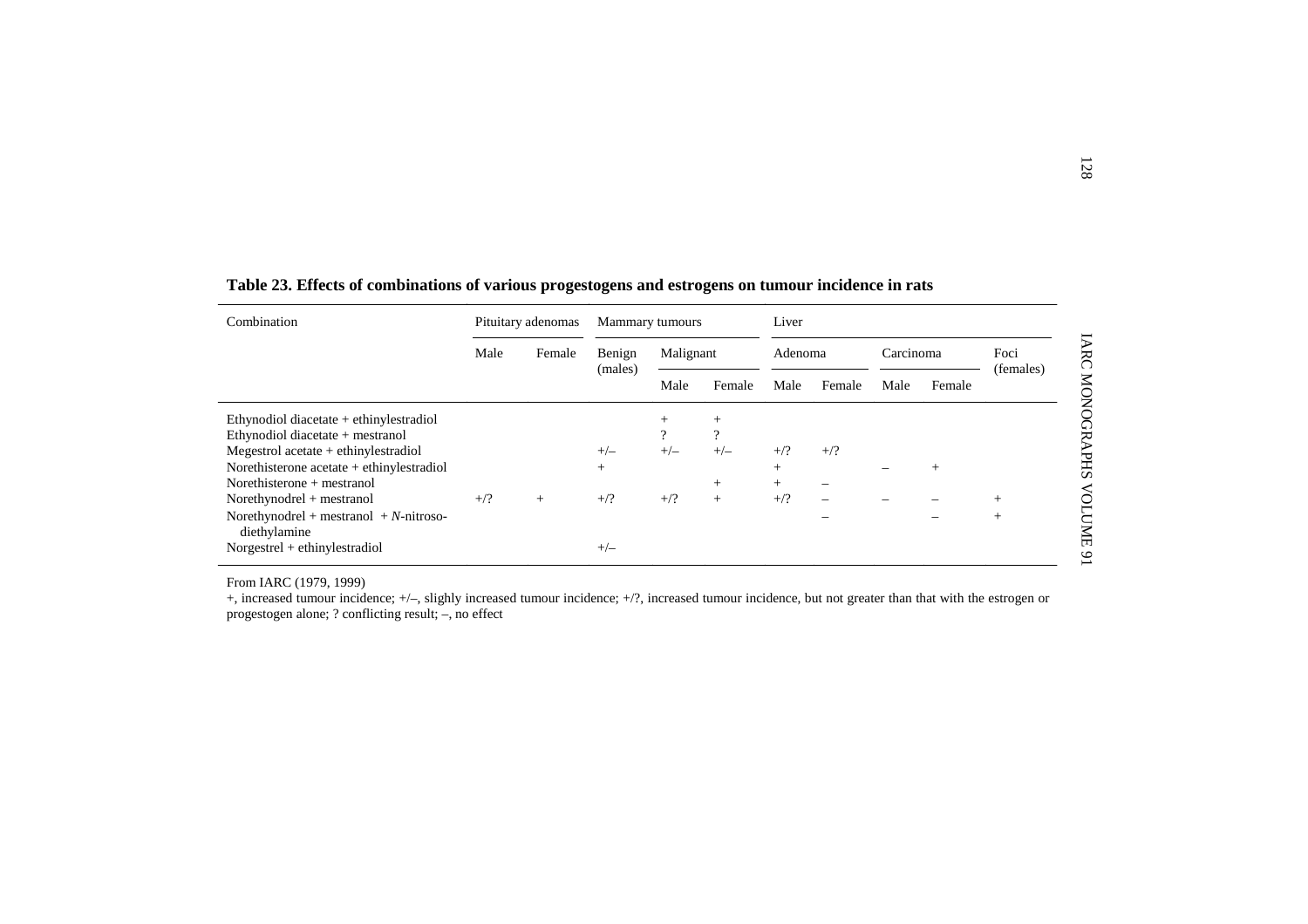| Table 23. Effects of combinations of various progestogens and estrogens on tumour incidence in rats                   |                    |        |                 |                             |                                             |                  |        |           |        |               |  |
|-----------------------------------------------------------------------------------------------------------------------|--------------------|--------|-----------------|-----------------------------|---------------------------------------------|------------------|--------|-----------|--------|---------------|--|
| Combination                                                                                                           | Pituitary adenomas |        | Mammary tumours |                             |                                             | Liver            |        |           |        |               |  |
|                                                                                                                       | Male               | Female | Benign          | Malignant                   |                                             | Adenoma          |        | Carcinoma |        | Foci          |  |
|                                                                                                                       |                    |        | (males)         | Male                        | Female                                      | Male             | Female | Male      | Female | (females)     |  |
| Ethynodiol diacetate + ethinylestradiol<br>Ethynodiol diacetate + mestranol<br>$Megestrol acetate + ethinylestradiol$ |                    |        | $+/-$           | $^{+}$<br>$\gamma$<br>$+/-$ | $^{+}$<br>$\overline{\mathcal{L}}$<br>$+/-$ | $+/?$            | $+/?$  |           |        |               |  |
| Norethisterone $acetate + ethinylestradiol$<br>Norethisterone + mestranol                                             |                    |        | $^{+}$          |                             | $^{+}$                                      | $^{+}$<br>$^{+}$ |        |           | $^{+}$ |               |  |
| Norethynodrel + mestranol<br>Norethynodrel + mestranol + $N$ -nitroso-<br>diethylamine                                | $+/?$              | $^{+}$ | $^{+/?}$        | $+/?$                       | $^{+}$                                      | $^{+/2}$         |        |           |        | $^{+}$<br>$+$ |  |
| $Norgestrel + ethinylestradiol$                                                                                       |                    |        | $+/-$           |                             |                                             |                  |        |           |        |               |  |

From IARC (1979, 1999)

+, increased tumour incidence; +/–, slighly increased tumour incidence; +/?, increased tumour incidence, but not greater than that with the estrogen or progestogen alone; ? conflicting result; –, no effect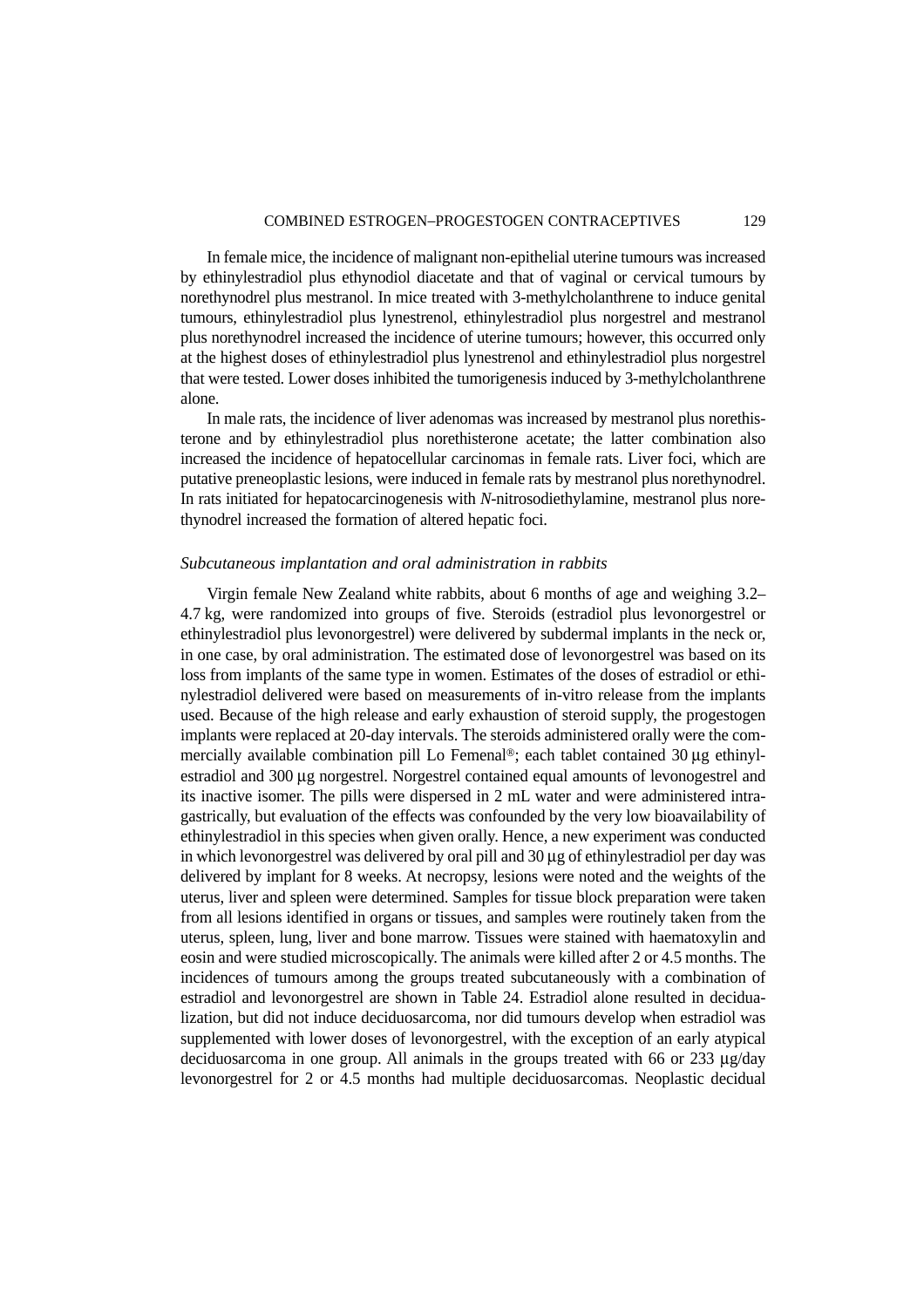In female mice, the incidence of malignant non-epithelial uterine tumours was increased by ethinylestradiol plus ethynodiol diacetate and that of vaginal or cervical tumours by norethynodrel plus mestranol. In mice treated with 3-methylcholanthrene to induce genital tumours, ethinylestradiol plus lynestrenol, ethinylestradiol plus norgestrel and mestranol plus norethynodrel increased the incidence of uterine tumours; however, this occurred only at the highest doses of ethinylestradiol plus lynestrenol and ethinylestradiol plus norgestrel that were tested. Lower doses inhibited the tumorigenesis induced by 3-methylcholanthrene alone.

In male rats, the incidence of liver adenomas was increased by mestranol plus norethisterone and by ethinylestradiol plus norethisterone acetate; the latter combination also increased the incidence of hepatocellular carcinomas in female rats. Liver foci, which are putative preneoplastic lesions, were induced in female rats by mestranol plus norethynodrel. In rats initiated for hepatocarcinogenesis with *N*-nitrosodiethylamine, mestranol plus norethynodrel increased the formation of altered hepatic foci.

### *Subcutaneous implantation and oral administration in rabbits*

Virgin female New Zealand white rabbits, about 6 months of age and weighing 3.2– 4.7 kg, were randomized into groups of five. Steroids (estradiol plus levonorgestrel or ethinylestradiol plus levonorgestrel) were delivered by subdermal implants in the neck or, in one case, by oral administration. The estimated dose of levonorgestrel was based on its loss from implants of the same type in women. Estimates of the doses of estradiol or ethinylestradiol delivered were based on measurements of in-vitro release from the implants used. Because of the high release and early exhaustion of steroid supply, the progestogen implants were replaced at 20-day intervals. The steroids administered orally were the commercially available combination pill Lo Femenal®; each tablet contained 30 μg ethinylestradiol and 300 μg norgestrel. Norgestrel contained equal amounts of levonogestrel and its inactive isomer. The pills were dispersed in 2 mL water and were administered intragastrically, but evaluation of the effects was confounded by the very low bioavailability of ethinylestradiol in this species when given orally. Hence, a new experiment was conducted in which levonorgestrel was delivered by oral pill and 30 μg of ethinylestradiol per day was delivered by implant for 8 weeks. At necropsy, lesions were noted and the weights of the uterus, liver and spleen were determined. Samples for tissue block preparation were taken from all lesions identified in organs or tissues, and samples were routinely taken from the uterus, spleen, lung, liver and bone marrow. Tissues were stained with haematoxylin and eosin and were studied microscopically. The animals were killed after 2 or 4.5 months. The incidences of tumours among the groups treated subcutaneously with a combination of estradiol and levonorgestrel are shown in Table 24. Estradiol alone resulted in decidualization, but did not induce deciduosarcoma, nor did tumours develop when estradiol was supplemented with lower doses of levonorgestrel, with the exception of an early atypical deciduosarcoma in one group. All animals in the groups treated with 66 or 233  $\mu$ g/day levonorgestrel for 2 or 4.5 months had multiple deciduosarcomas. Neoplastic decidual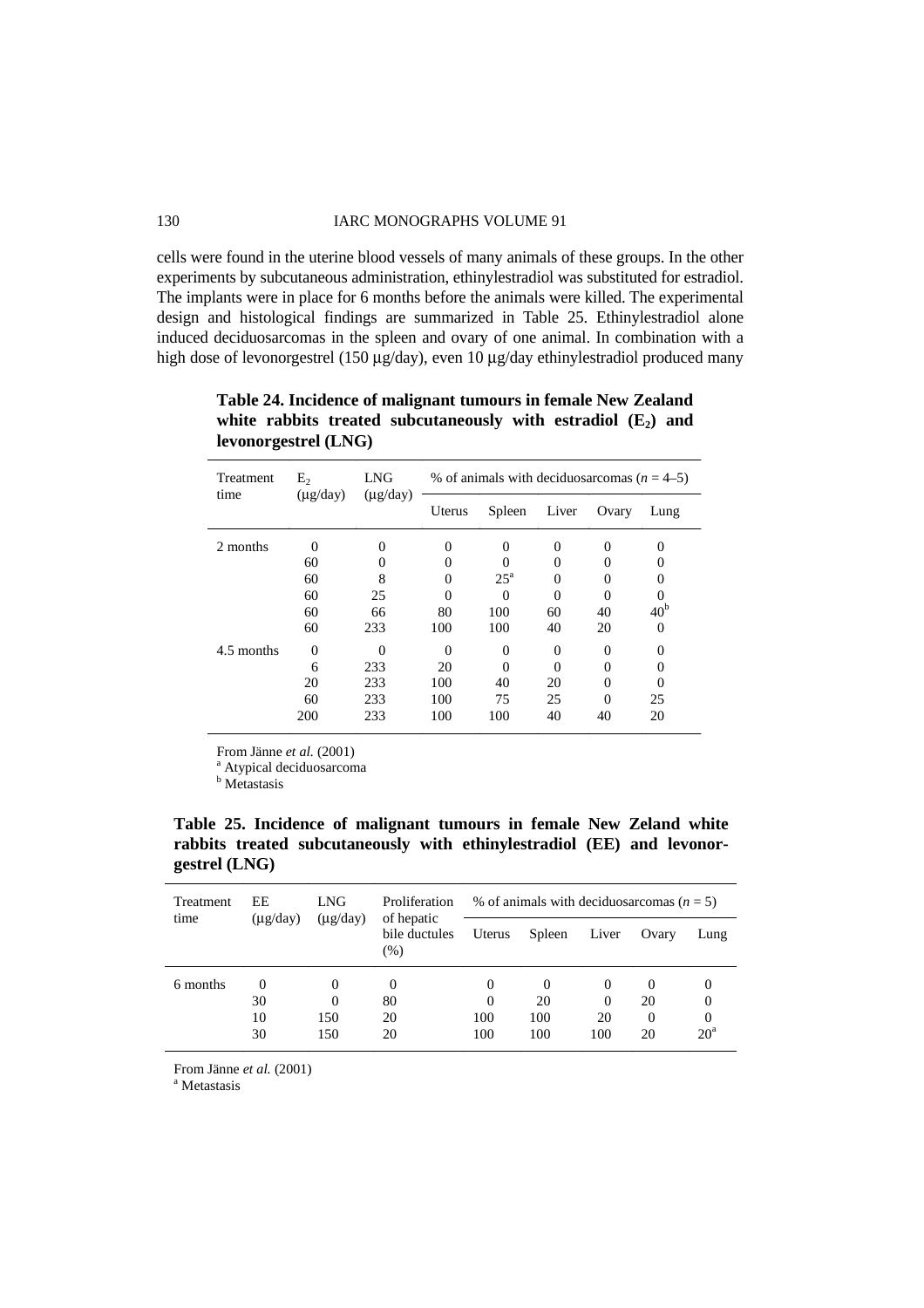cells were found in the uterine blood vessels of many animals of these groups. In the other experiments by subcutaneous administration, ethinylestradiol was substituted for estradiol. The implants were in place for 6 months before the animals were killed. The experimental design and histological findings are summarized in Table 25. Ethinylestradiol alone induced deciduosarcomas in the spleen and ovary of one animal. In combination with a high dose of levonorgestrel (150 μg/day), even 10 μg/day ethinylestradiol produced many

**Table 24. Incidence of malignant tumours in female New Zealand**  white rabbits treated subcutaneously with estradiol  $(E_2)$  and **levonorgestrel (LNG)** 

| Treatment<br>time | E,             | <b>LNG</b>      |          | % of animals with deciduos arcomas ( $n = 4-5$ ) |          |          |                 |
|-------------------|----------------|-----------------|----------|--------------------------------------------------|----------|----------|-----------------|
|                   | $(\mu g/day)$  | $(\mu g / day)$ | Uterus   | Spleen                                           | Liver    | Ovary    | Lung            |
| 2 months          | $\theta$       | $\Omega$        | $\Omega$ | $\Omega$                                         | $\Omega$ | 0        | $\Omega$        |
|                   | 60             | 0               | $\Omega$ | 0                                                | 0        | 0        |                 |
|                   | 60             | 8               | 0        | $25^{\mathrm{a}}$                                | $\Omega$ | $\theta$ | 0               |
|                   | 60             | 25              | $\Omega$ | 0                                                | O        |          |                 |
|                   | 60             | 66              | 80       | 100                                              | 60       | 40       | 40 <sup>b</sup> |
|                   | 60             | 233             | 100      | 100                                              | 40       | 20       | $\Omega$        |
| 4.5 months        | $\overline{0}$ | $\theta$        | $\Omega$ | $\Omega$                                         | $\theta$ | $\Omega$ | $\Omega$        |
|                   | 6              | 233             | 20       | 0                                                |          | 0        |                 |
|                   | 20             | 233             | 100      | 40                                               | 20       | 0        |                 |
|                   | 60             | 233             | 100      | 75                                               | 25       | 0        | 25              |
|                   | 200            | 233             | 100      | 100                                              | 40       | 40       | 20              |

From Jänne *et al.* (2001)

Atypical deciduosarcoma

**b** Metastasis

**Table 25. Incidence of malignant tumours in female New Zeland white rabbits treated subcutaneously with ethinylestradiol (EE) and levonorgestrel (LNG)**

| Treatment | EE                         | LNG                  | Proliferation                         |                             | % of animals with deciduos arcomas ( $n = 5$ ) |                                   |                           |                                                   |
|-----------|----------------------------|----------------------|---------------------------------------|-----------------------------|------------------------------------------------|-----------------------------------|---------------------------|---------------------------------------------------|
| time      | $(\mu$ g/day)              | $(\mu$ g/day)        | of hepatic<br>bile ductules<br>$(\%)$ | Uterus                      | Spleen                                         | Liver                             | Ovary                     | Lung                                              |
| 6 months  | $\Omega$<br>30<br>10<br>30 | 0<br>0<br>150<br>150 | $\Omega$<br>80<br>20<br>20            | $\theta$<br>0<br>100<br>100 | $\theta$<br>20<br>100<br>100                   | $\Omega$<br>$\theta$<br>20<br>100 | 0<br>20<br>$\theta$<br>20 | $_{0}$<br>$\theta$<br>$\Omega$<br>20 <sup>a</sup> |

From Jänne *et al.* (2001)

a Metastasis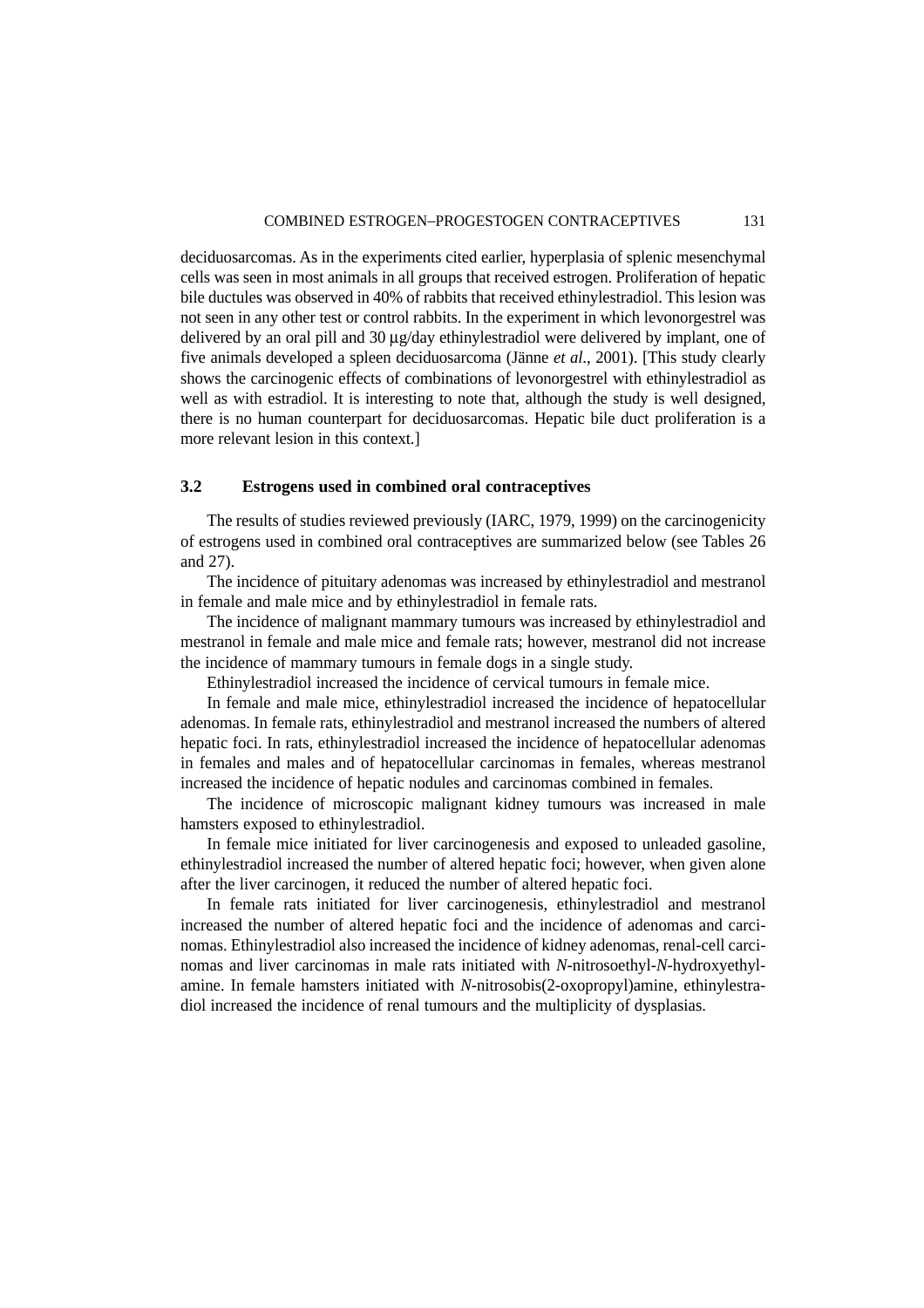deciduosarcomas. As in the experiments cited earlier, hyperplasia of splenic mesenchymal cells was seen in most animals in all groups that received estrogen. Proliferation of hepatic bile ductules was observed in 40% of rabbits that received ethinylestradiol. This lesion was not seen in any other test or control rabbits. In the experiment in which levonorgestrel was delivered by an oral pill and 30 μg/day ethinylestradiol were delivered by implant, one of five animals developed a spleen deciduosarcoma (Jänne *et al*., 2001). [This study clearly shows the carcinogenic effects of combinations of levonorgestrel with ethinylestradiol as well as with estradiol. It is interesting to note that, although the study is well designed, there is no human counterpart for deciduosarcomas. Hepatic bile duct proliferation is a more relevant lesion in this context.]

## **3.2 Estrogens used in combined oral contraceptives**

The results of studies reviewed previously (IARC, 1979, 1999) on the carcinogenicity of estrogens used in combined oral contraceptives are summarized below (see Tables 26 and 27).

The incidence of pituitary adenomas was increased by ethinylestradiol and mestranol in female and male mice and by ethinylestradiol in female rats.

The incidence of malignant mammary tumours was increased by ethinylestradiol and mestranol in female and male mice and female rats; however, mestranol did not increase the incidence of mammary tumours in female dogs in a single study.

Ethinylestradiol increased the incidence of cervical tumours in female mice.

In female and male mice, ethinylestradiol increased the incidence of hepatocellular adenomas. In female rats, ethinylestradiol and mestranol increased the numbers of altered hepatic foci. In rats, ethinylestradiol increased the incidence of hepatocellular adenomas in females and males and of hepatocellular carcinomas in females, whereas mestranol increased the incidence of hepatic nodules and carcinomas combined in females.

The incidence of microscopic malignant kidney tumours was increased in male hamsters exposed to ethinylestradiol.

In female mice initiated for liver carcinogenesis and exposed to unleaded gasoline, ethinylestradiol increased the number of altered hepatic foci; however, when given alone after the liver carcinogen, it reduced the number of altered hepatic foci.

In female rats initiated for liver carcinogenesis, ethinylestradiol and mestranol increased the number of altered hepatic foci and the incidence of adenomas and carcinomas. Ethinylestradiol also increased the incidence of kidney adenomas, renal-cell carcinomas and liver carcinomas in male rats initiated with *N*-nitrosoethyl-*N*-hydroxyethylamine. In female hamsters initiated with *N*-nitrosobis(2-oxopropyl)amine, ethinylestradiol increased the incidence of renal tumours and the multiplicity of dysplasias.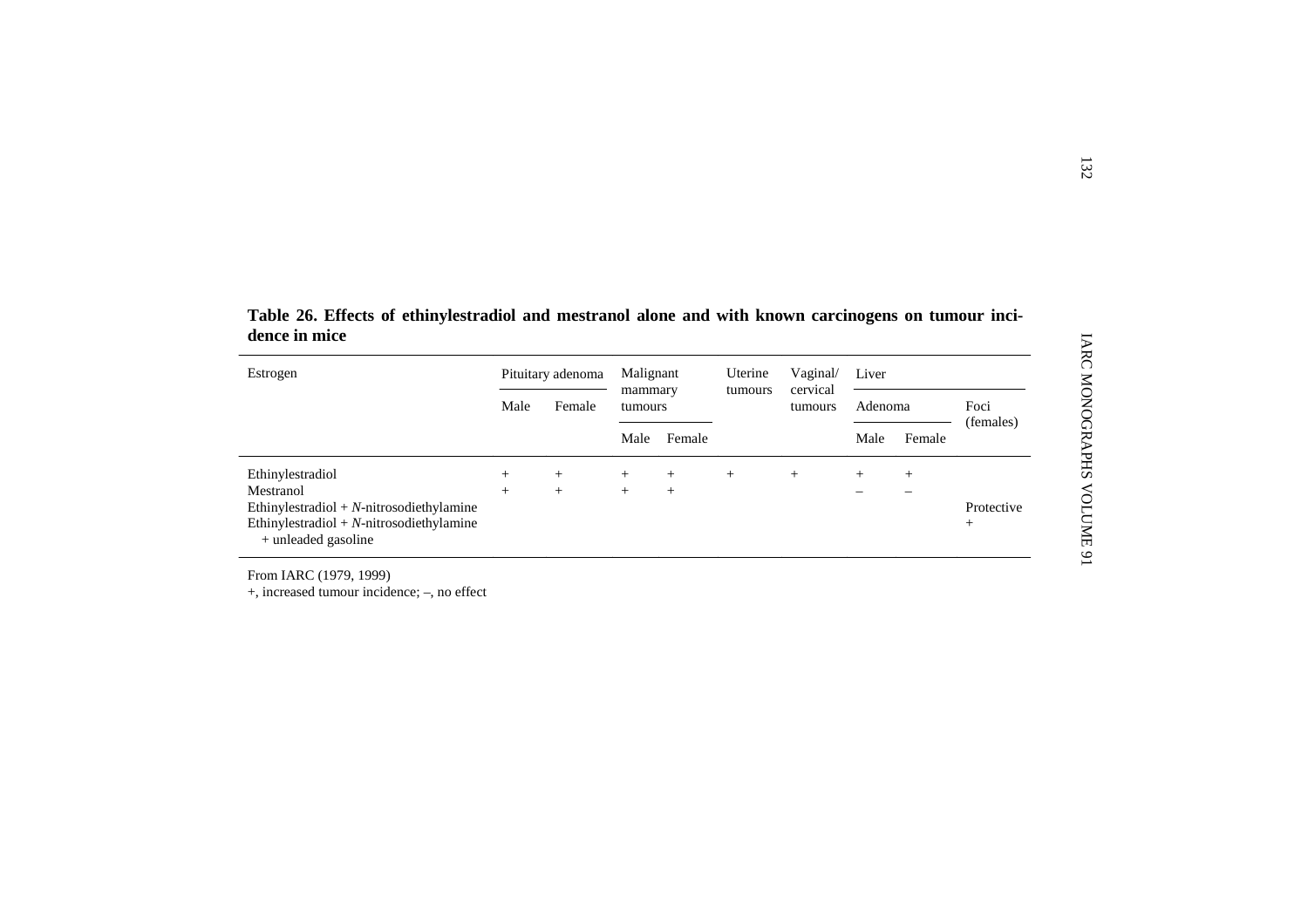|               |  |  |  |  |  | Table 26. Effects of ethinylestradiol and mestranol alone and with known carcinogens on tumour inci- |  |  |
|---------------|--|--|--|--|--|------------------------------------------------------------------------------------------------------|--|--|
| dence in mice |  |  |  |  |  |                                                                                                      |  |  |

| Table 26. Effects of ethinylestradiol and mestranol alone and with known carcinogens on tumour inci- |        |                   |                    |        |         |                     |         |        |           |
|------------------------------------------------------------------------------------------------------|--------|-------------------|--------------------|--------|---------|---------------------|---------|--------|-----------|
| dence in mice<br>Estrogen                                                                            |        | Pituitary adenoma | Malignant          |        | Uterine | Vaginal/            | Liver   |        |           |
|                                                                                                      | Male   | Female            | mammary<br>tumours |        | tumours | cervical<br>tumours | Adenoma |        | Foci      |
|                                                                                                      |        |                   |                    |        |         |                     |         |        |           |
|                                                                                                      |        |                   | Male               | Female |         |                     | Male    | Female | (females) |
| Ethinylestradiol                                                                                     | $^{+}$ | $^{+}$            | $^{+}$             | $^{+}$ | $+$     | $+$                 | $^{+}$  | $^{+}$ |           |

From IARC (1979, 1999)

+, increased tumour incidence; –, no effect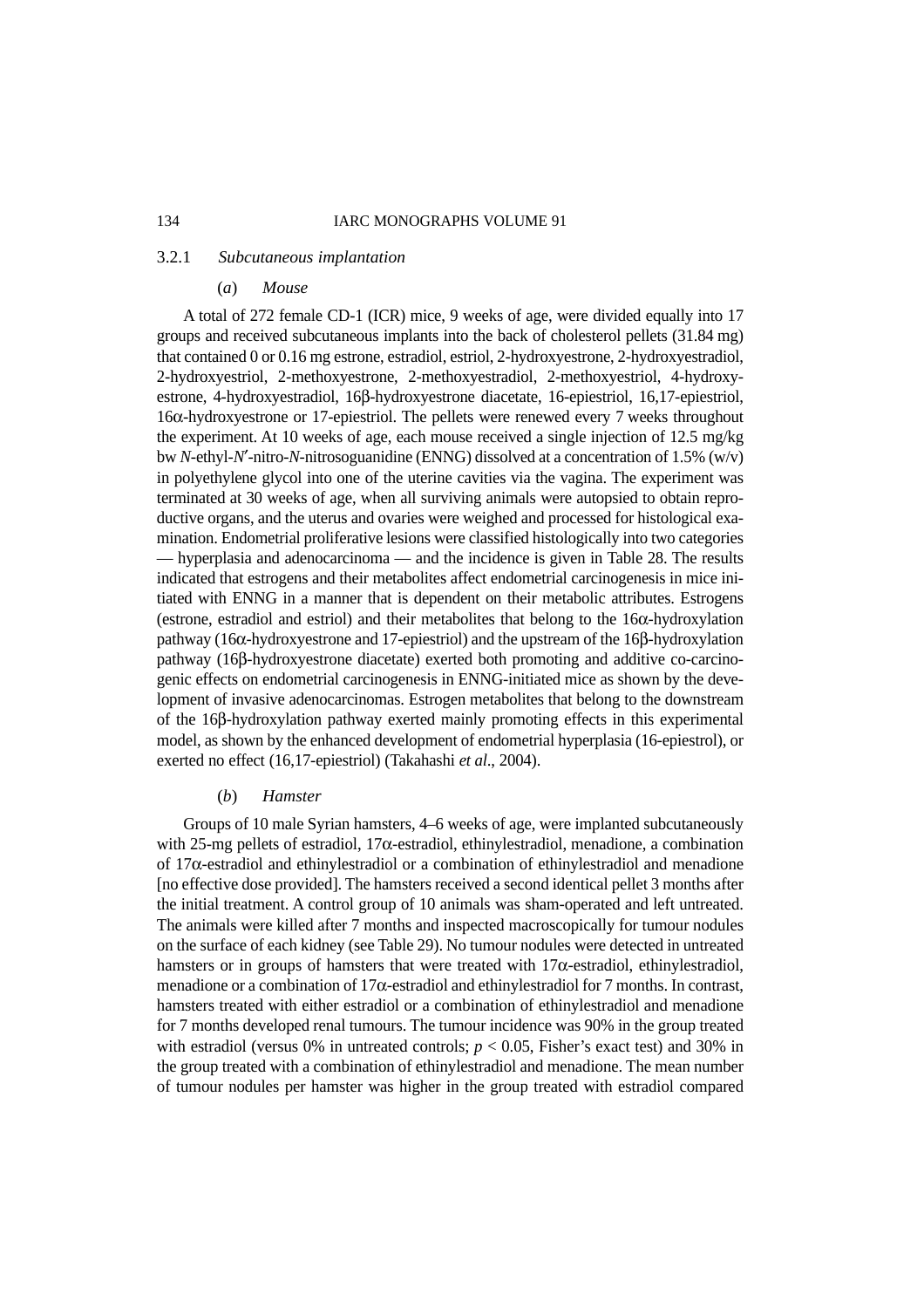## 3.2.1 *Subcutaneous implantation*

## (*a*) *Mouse*

A total of 272 female CD-1 (ICR) mice, 9 weeks of age, were divided equally into 17 groups and received subcutaneous implants into the back of cholesterol pellets (31.84 mg) that contained 0 or 0.16 mg estrone, estradiol, estriol, 2-hydroxyestrone, 2-hydroxyestradiol, 2-hydroxyestriol, 2-methoxyestrone, 2-methoxyestradiol, 2-methoxyestriol, 4-hydroxyestrone, 4-hydroxyestradiol, 16β-hydroxyestrone diacetate, 16-epiestriol, 16,17-epiestriol, 16α-hydroxyestrone or 17-epiestriol. The pellets were renewed every 7 weeks throughout the experiment. At 10 weeks of age, each mouse received a single injection of 12.5 mg/kg bw *N*-ethyl-*N*′-nitro-*N*-nitrosoguanidine (ENNG) dissolved at a concentration of 1.5% (w/v) in polyethylene glycol into one of the uterine cavities via the vagina. The experiment was terminated at 30 weeks of age, when all surviving animals were autopsied to obtain reproductive organs, and the uterus and ovaries were weighed and processed for histological examination. Endometrial proliferative lesions were classified histologically into two categories — hyperplasia and adenocarcinoma — and the incidence is given in Table 28. The results indicated that estrogens and their metabolites affect endometrial carcinogenesis in mice initiated with ENNG in a manner that is dependent on their metabolic attributes. Estrogens (estrone, estradiol and estriol) and their metabolites that belong to the 16α-hydroxylation pathway (16α-hydroxyestrone and 17-epiestriol) and the upstream of the 16β-hydroxylation pathway (16β-hydroxyestrone diacetate) exerted both promoting and additive co-carcinogenic effects on endometrial carcinogenesis in ENNG-initiated mice as shown by the development of invasive adenocarcinomas. Estrogen metabolites that belong to the downstream of the 16β-hydroxylation pathway exerted mainly promoting effects in this experimental model, as shown by the enhanced development of endometrial hyperplasia (16-epiestrol), or exerted no effect (16,17-epiestriol) (Takahashi *et al*., 2004).

### (*b*) *Hamster*

Groups of 10 male Syrian hamsters, 4–6 weeks of age, were implanted subcutaneously with 25-mg pellets of estradiol, 17α-estradiol, ethinylestradiol, menadione, a combination of 17α-estradiol and ethinylestradiol or a combination of ethinylestradiol and menadione [no effective dose provided]. The hamsters received a second identical pellet 3 months after the initial treatment. A control group of 10 animals was sham-operated and left untreated. The animals were killed after 7 months and inspected macroscopically for tumour nodules on the surface of each kidney (see Table 29). No tumour nodules were detected in untreated hamsters or in groups of hamsters that were treated with  $17\alpha$ -estradiol, ethinylestradiol, menadione or a combination of 17α-estradiol and ethinylestradiol for 7 months. In contrast, hamsters treated with either estradiol or a combination of ethinylestradiol and menadione for 7 months developed renal tumours. The tumour incidence was 90% in the group treated with estradiol (versus  $0\%$  in untreated controls;  $p < 0.05$ , Fisher's exact test) and 30% in the group treated with a combination of ethinylestradiol and menadione. The mean number of tumour nodules per hamster was higher in the group treated with estradiol compared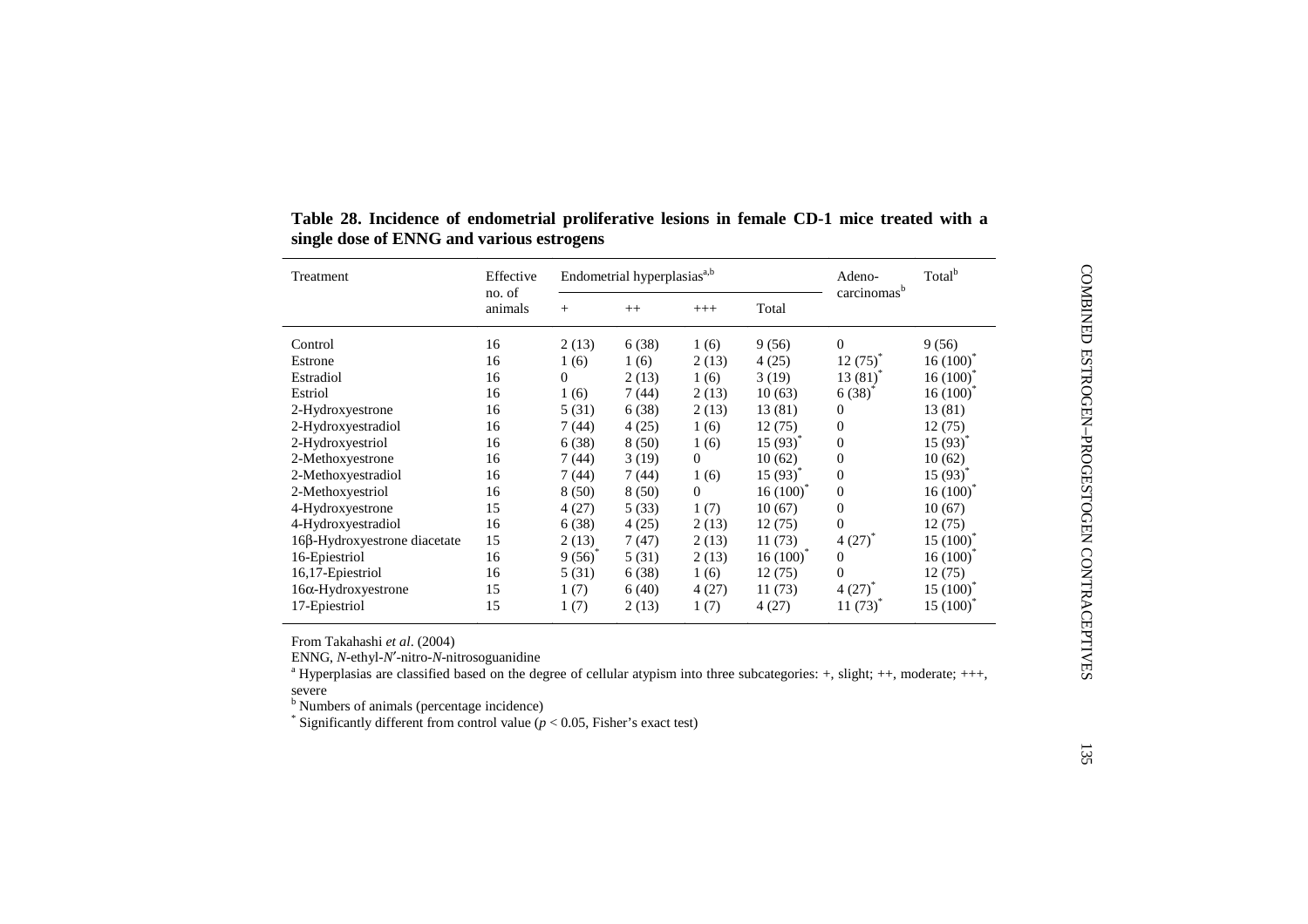| Treatment                    | Effective<br>no. of |                   | Endometrial hyperplasias <sup>a,b</sup> | Adeno-<br>carcinomas <sup>b</sup> | Total <sup>b</sup>  |                       |                      |
|------------------------------|---------------------|-------------------|-----------------------------------------|-----------------------------------|---------------------|-----------------------|----------------------|
|                              | animals             | $^{+}$            | $++$                                    | $+++$                             | Total               |                       |                      |
| Control                      | 16                  | 2(13)             | 6(38)                                   | 1(6)                              | 9(56)               | 0                     | 9(56)                |
| Estrone                      | 16                  | 1(6)              | 1(6)                                    | 2(13)                             | 4(25)               | $12(75)$ <sup>*</sup> | $16(100)^*$          |
| Estradiol                    | 16                  | $\Omega$          | 2(13)                                   | 1(6)                              | 3(19)               | $13(81)$ <sup>*</sup> | $16(100)^{*}$        |
| Estriol                      | 16                  | 1(6)              | 7(44)                                   | 2(13)                             | 10(63)              | $6(38)^{^*}$          | $16(100)^{*}$        |
| 2-Hydroxyestrone             | 16                  | 5(31)             | 6(38)                                   | 2(13)                             | 13 (81)             | 0                     | 13 (81)              |
| 2-Hydroxyestradiol           | 16                  | 7(44)             | 4(25)                                   | 1(6)                              | 12(75)              | $\overline{0}$        | 12(75)               |
| 2-Hydroxyestriol             | 16                  | 6(38)             | 8(50)                                   | 1(6)                              | $15(93)^{^{\circ}}$ | $\overline{0}$        | $15(93)^{*}$         |
| 2-Methoxyestrone             | 16                  | 7(44)             | 3(19)                                   | $\Omega$                          | 10(62)              | $\overline{0}$        | 10(62)               |
| 2-Methoxyestradiol           | 16                  | 7(44)             | 7(44)                                   | 1(6)                              | $15(93)^{*}$        | $\overline{0}$        | $15(93)^{*}$         |
| 2-Methoxyestriol             | 16                  | 8(50)             | 8(50)                                   | $\Omega$                          | $16(100)^*$         | $\mathbf{0}$          | $16(100)^{*}$        |
| 4-Hydroxyestrone             | 15                  | 4(27)             | 5(33)                                   | 1(7)                              | 10(67)              | $\overline{0}$        | 10(67)               |
| 4-Hydroxyestradiol           | 16                  | 6(38)             | 4(25)                                   | 2(13)                             | 12(75)              | $\theta$              | 12(75)               |
| 16β-Hydroxyestrone diacetate | 15                  | 2(13)             | 7(47)                                   | 2(13)                             | 11(73)              | $4(27)^*$             | $15(100)^{^{\circ}}$ |
| 16-Epiestriol                | 16                  | $9(56)^{\degree}$ | 5(31)                                   | 2(13)                             | $16(100)^*$         | $\mathbf{0}$          | $16(100)^*$          |
| 16,17-Epiestriol             | 16                  | 5(31)             | 6(38)                                   | 1(6)                              | 12(75)              | $\theta$              | 12(75)               |
| 16α-Hydroxyestrone           | 15                  | 1(7)              | 6(40)                                   | 4(27)                             | 11(73)              | $4(27)^{3}$           | $15(100)^{^{\circ}}$ |
| 17-Epiestriol                | 15                  | 1(7)              | 2(13)                                   | 1(7)                              | 4(27)               | $11(73)^*$            | $15(100)^{*}$        |

**Table 28. Incidence of endometrial proliferative lesions in female CD-1 mice treated with a single dose of ENNG and various estrogens**

From Takahashi *et al*. (2004)

ENNG, *N*-ethyl-*N'*-nitro-*N*-nitrosoguanidine<br><sup>a</sup> Hyperplasias are classified based on the degree of cellular atypism into three subcategories: +, slight; ++, moderate; +++, severe

<sup>b</sup> Numbers of animals (percentage incidence)<br>\* Significantly different from control value ( $p < 0.05$ , Fisher's exact test)

135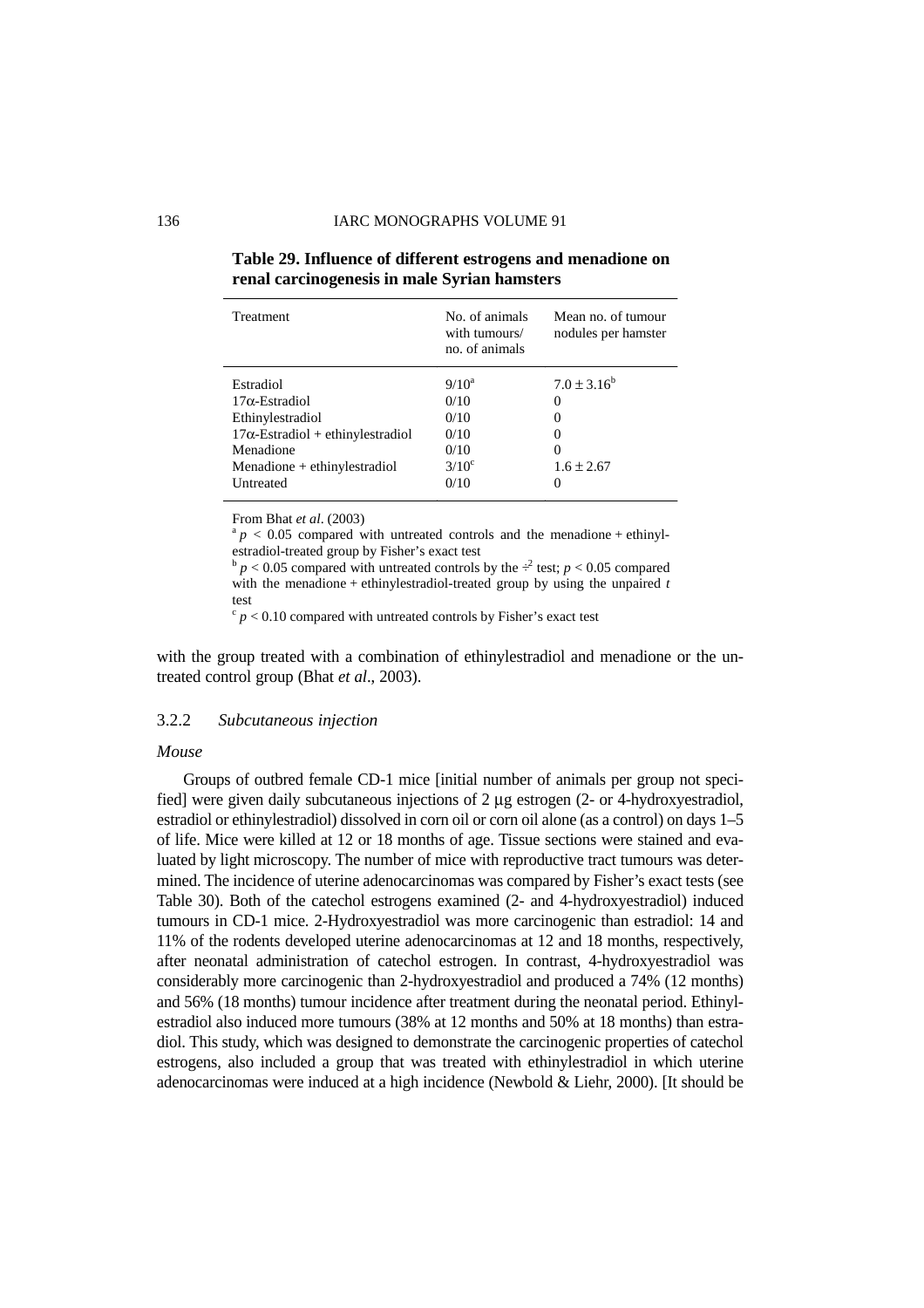| Treatment                                | No. of animals<br>with tumours/<br>no. of animals | Mean no. of tumour<br>nodules per hamster |
|------------------------------------------|---------------------------------------------------|-------------------------------------------|
| Estradiol                                | $9/10^a$                                          | $7.0 \pm 3.16^b$                          |
| $17\alpha$ -Estradiol                    | 0/10                                              | $\theta$                                  |
| Ethinylestradiol                         | 0/10                                              | 0                                         |
| $17\alpha$ -Estradiol + ethinylestradiol | 0/10                                              | 0                                         |
| Menadione                                | 0/10                                              | 0                                         |
| $Mendione + ethinylestradiol$            | $3/10^{\circ}$                                    | $1.6 \pm 2.67$                            |
| Untreated                                | 0/10                                              | $\theta$                                  |

**Table 29. Influence of different estrogens and menadione on renal carcinogenesis in male Syrian hamsters** 

From Bhat *et al.* (2003) **a**  $p < 0.05$  compared with untreated controls and the menadione + ethinylestradiol-treated group by Fisher's exact test

 $b$   $p$  < 0.05 compared with untreated controls by the  $\div^2$  test;  $p$  < 0.05 compared with the menadione + ethinylestradiol-treated group by using the unpaired *t* test

 $c$   $p$  < 0.10 compared with untreated controls by Fisher's exact test

with the group treated with a combination of ethinylestradiol and menadione or the untreated control group (Bhat *et al*., 2003).

#### 3.2.2 *Subcutaneous injection*

#### *Mouse*

Groups of outbred female CD-1 mice [initial number of animals per group not specified] were given daily subcutaneous injections of 2 μg estrogen (2- or 4-hydroxyestradiol, estradiol or ethinylestradiol) dissolved in corn oil or corn oil alone (as a control) on days 1–5 of life. Mice were killed at 12 or 18 months of age. Tissue sections were stained and evaluated by light microscopy. The number of mice with reproductive tract tumours was determined. The incidence of uterine adenocarcinomas was compared by Fisher's exact tests (see Table 30). Both of the catechol estrogens examined (2- and 4-hydroxyestradiol) induced tumours in CD-1 mice. 2-Hydroxyestradiol was more carcinogenic than estradiol: 14 and 11% of the rodents developed uterine adenocarcinomas at 12 and 18 months, respectively, after neonatal administration of catechol estrogen. In contrast, 4-hydroxyestradiol was considerably more carcinogenic than 2-hydroxyestradiol and produced a 74% (12 months) and 56% (18 months) tumour incidence after treatment during the neonatal period. Ethinylestradiol also induced more tumours (38% at 12 months and 50% at 18 months) than estradiol. This study, which was designed to demonstrate the carcinogenic properties of catechol estrogens, also included a group that was treated with ethinylestradiol in which uterine adenocarcinomas were induced at a high incidence (Newbold & Liehr, 2000). [It should be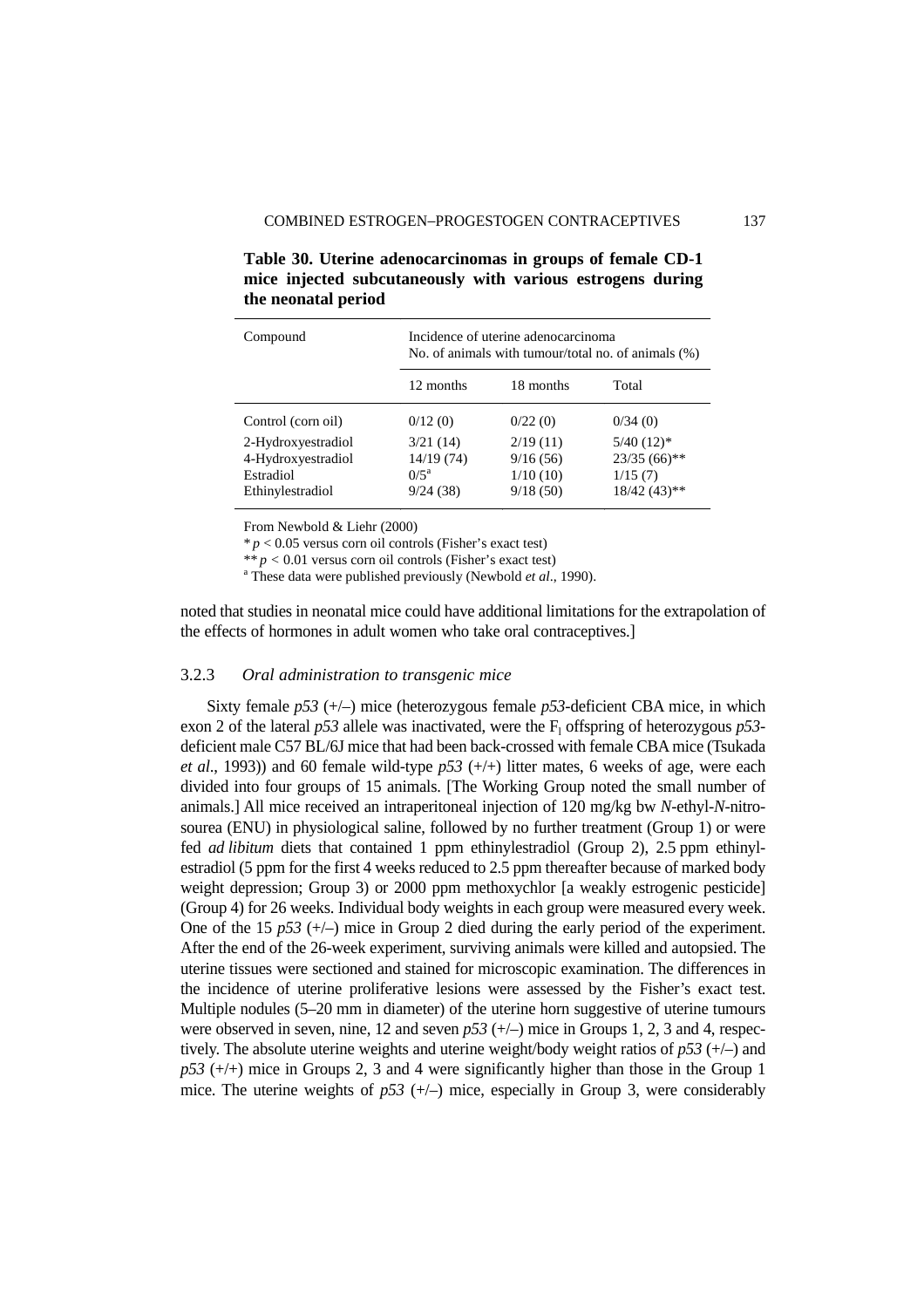**Table 30. Uterine adenocarcinomas in groups of female CD-1 mice injected subcutaneously with various estrogens during the neonatal period** 

| Compound                                                                                        | Incidence of uterine adenocarcinoma<br>No. of animals with tumour/total no. of animals (%) |                                                         |                                                                                    |  |  |  |  |
|-------------------------------------------------------------------------------------------------|--------------------------------------------------------------------------------------------|---------------------------------------------------------|------------------------------------------------------------------------------------|--|--|--|--|
|                                                                                                 | 12 months                                                                                  | 18 months                                               | Total                                                                              |  |  |  |  |
| Control (corn oil)<br>2-Hydroxyestradiol<br>4-Hydroxyestradiol<br>Estradiol<br>Ethinylestradiol | 0/12(0)<br>3/21(14)<br>14/19(74)<br>$0/5^a$<br>9/24(38)                                    | 0/22(0)<br>2/19(11)<br>9/16(56)<br>1/10(10)<br>9/18(50) | 0/34(0)<br>$5/40$ (12) <sup>*</sup><br>$23/35(66)$ **<br>1/15(7)<br>$18/42$ (43)** |  |  |  |  |

From Newbold & Liehr (2000)

\* *p* < 0.05 versus corn oil controls (Fisher's exact test)

 $** p < 0.01$  versus corn oil controls (Fisher's exact test)

These data were published previously (Newbold *et al*., 1990).

noted that studies in neonatal mice could have additional limitations for the extrapolation of the effects of hormones in adult women who take oral contraceptives.]

## 3.2.3 *Oral administration to transgenic mice*

Sixty female *p53* (+/–) mice (heterozygous female *p53*-deficient CBA mice, in which exon 2 of the lateral  $p53$  allele was inactivated, were the F<sub>1</sub> offspring of heterozygous  $p53$ deficient male C57 BL/6J mice that had been back-crossed with female CBA mice (Tsukada *et al.*, 1993)) and 60 female wild-type  $p53$  (+/+) litter mates, 6 weeks of age, were each divided into four groups of 15 animals. [The Working Group noted the small number of animals.] All mice received an intraperitoneal injection of 120 mg/kg bw *N*-ethyl-*N*-nitrosourea (ENU) in physiological saline, followed by no further treatment (Group 1) or were fed *ad libitum* diets that contained 1 ppm ethinylestradiol (Group 2), 2.5 ppm ethinylestradiol (5 ppm for the first 4 weeks reduced to 2.5 ppm thereafter because of marked body weight depression; Group 3) or 2000 ppm methoxychlor [a weakly estrogenic pesticide] (Group 4) for 26 weeks. Individual body weights in each group were measured every week. One of the 15  $p53$  (+/-) mice in Group 2 died during the early period of the experiment. After the end of the 26-week experiment, surviving animals were killed and autopsied. The uterine tissues were sectioned and stained for microscopic examination. The differences in the incidence of uterine proliferative lesions were assessed by the Fisher's exact test. Multiple nodules (5–20 mm in diameter) of the uterine horn suggestive of uterine tumours were observed in seven, nine, 12 and seven  $p53 (+/-)$  mice in Groups 1, 2, 3 and 4, respectively. The absolute uterine weights and uterine weight/body weight ratios of  $p53 (+/-)$  and  $p53$  ( $+/-$ ) mice in Groups 2, 3 and 4 were significantly higher than those in the Group 1 mice. The uterine weights of  $p53 (+/-)$  mice, especially in Group 3, were considerably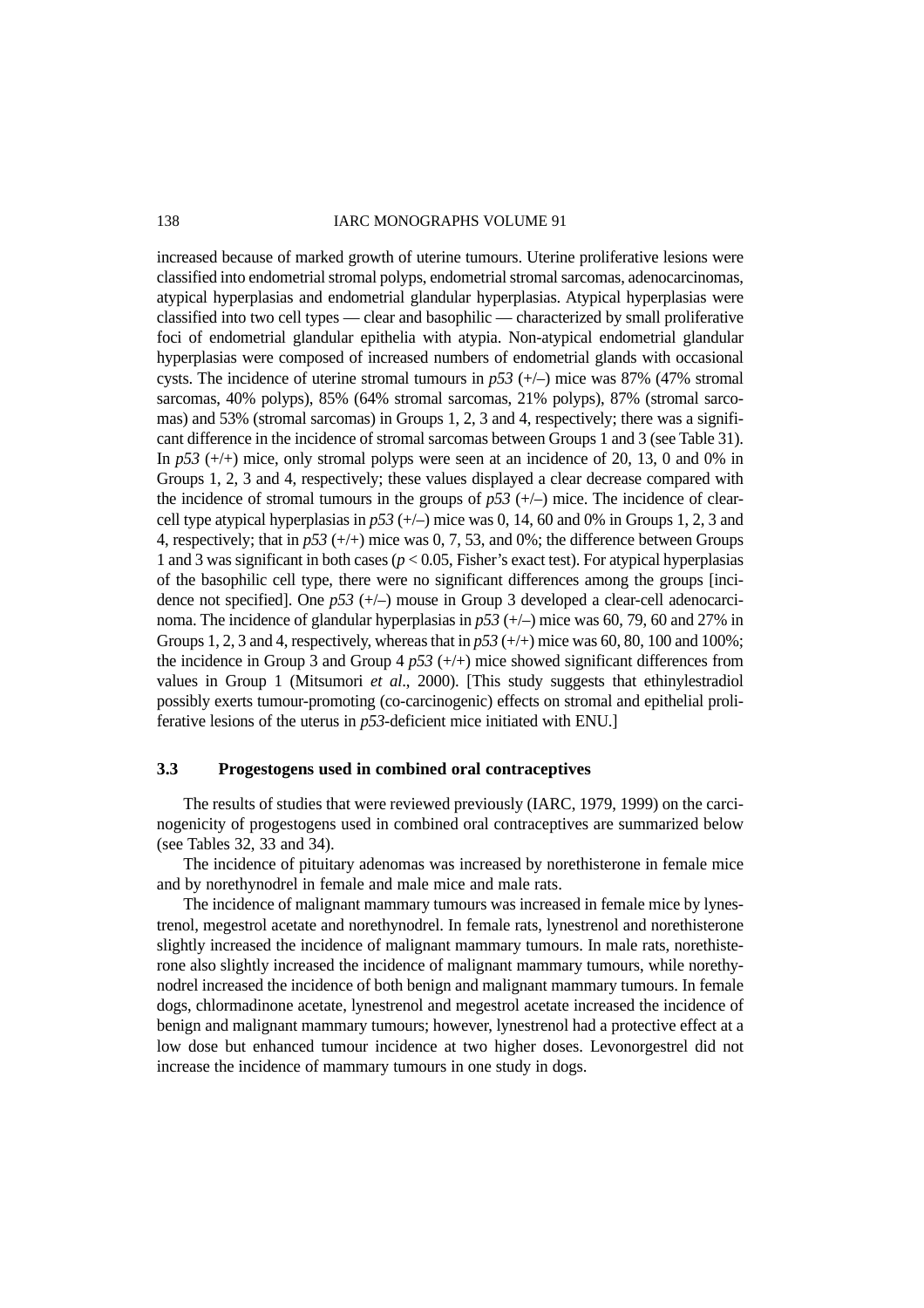increased because of marked growth of uterine tumours. Uterine proliferative lesions were classified into endometrial stromal polyps, endometrial stromal sarcomas, adenocarcinomas, atypical hyperplasias and endometrial glandular hyperplasias. Atypical hyperplasias were classified into two cell types — clear and basophilic — characterized by small proliferative foci of endometrial glandular epithelia with atypia. Non-atypical endometrial glandular hyperplasias were composed of increased numbers of endometrial glands with occasional cysts. The incidence of uterine stromal tumours in  $p53 (+/-)$  mice was 87% (47% stromal sarcomas, 40% polyps), 85% (64% stromal sarcomas, 21% polyps), 87% (stromal sarcomas) and 53% (stromal sarcomas) in Groups 1, 2, 3 and 4, respectively; there was a significant difference in the incidence of stromal sarcomas between Groups 1 and 3 (see Table 31). In  $p53$  ( $+/-$ ) mice, only stromal polyps were seen at an incidence of 20, 13, 0 and 0% in Groups 1, 2, 3 and 4, respectively; these values displayed a clear decrease compared with the incidence of stromal tumours in the groups of  $p53 (+/-)$  mice. The incidence of clearcell type atypical hyperplasias in  $p53 (+/-)$  mice was 0, 14, 60 and 0% in Groups 1, 2, 3 and 4, respectively; that in  $p\bar{53}$  (+/+) mice was 0, 7, 53, and 0%; the difference between Groups 1 and 3 was significant in both cases (*p* < 0.05, Fisher's exact test). For atypical hyperplasias of the basophilic cell type, there were no significant differences among the groups [incidence not specified]. One *p53* (+/–) mouse in Group 3 developed a clear-cell adenocarcinoma. The incidence of glandular hyperplasias in  $p53 (+/-)$  mice was 60, 79, 60 and 27% in Groups 1, 2, 3 and 4, respectively, whereas that in  $p53$  (+/+) mice was 60, 80, 100 and 100%; the incidence in Group 3 and Group 4  $p53$  (+/+) mice showed significant differences from values in Group 1 (Mitsumori *et al*., 2000). [This study suggests that ethinylestradiol possibly exerts tumour-promoting (co-carcinogenic) effects on stromal and epithelial proliferative lesions of the uterus in *p53*-deficient mice initiated with ENU.]

## **3.3 Progestogens used in combined oral contraceptives**

The results of studies that were reviewed previously (IARC, 1979, 1999) on the carcinogenicity of progestogens used in combined oral contraceptives are summarized below (see Tables 32, 33 and 34).

The incidence of pituitary adenomas was increased by norethisterone in female mice and by norethynodrel in female and male mice and male rats.

The incidence of malignant mammary tumours was increased in female mice by lynestrenol, megestrol acetate and norethynodrel. In female rats, lynestrenol and norethisterone slightly increased the incidence of malignant mammary tumours. In male rats, norethisterone also slightly increased the incidence of malignant mammary tumours, while norethynodrel increased the incidence of both benign and malignant mammary tumours. In female dogs, chlormadinone acetate, lynestrenol and megestrol acetate increased the incidence of benign and malignant mammary tumours; however, lynestrenol had a protective effect at a low dose but enhanced tumour incidence at two higher doses. Levonorgestrel did not increase the incidence of mammary tumours in one study in dogs.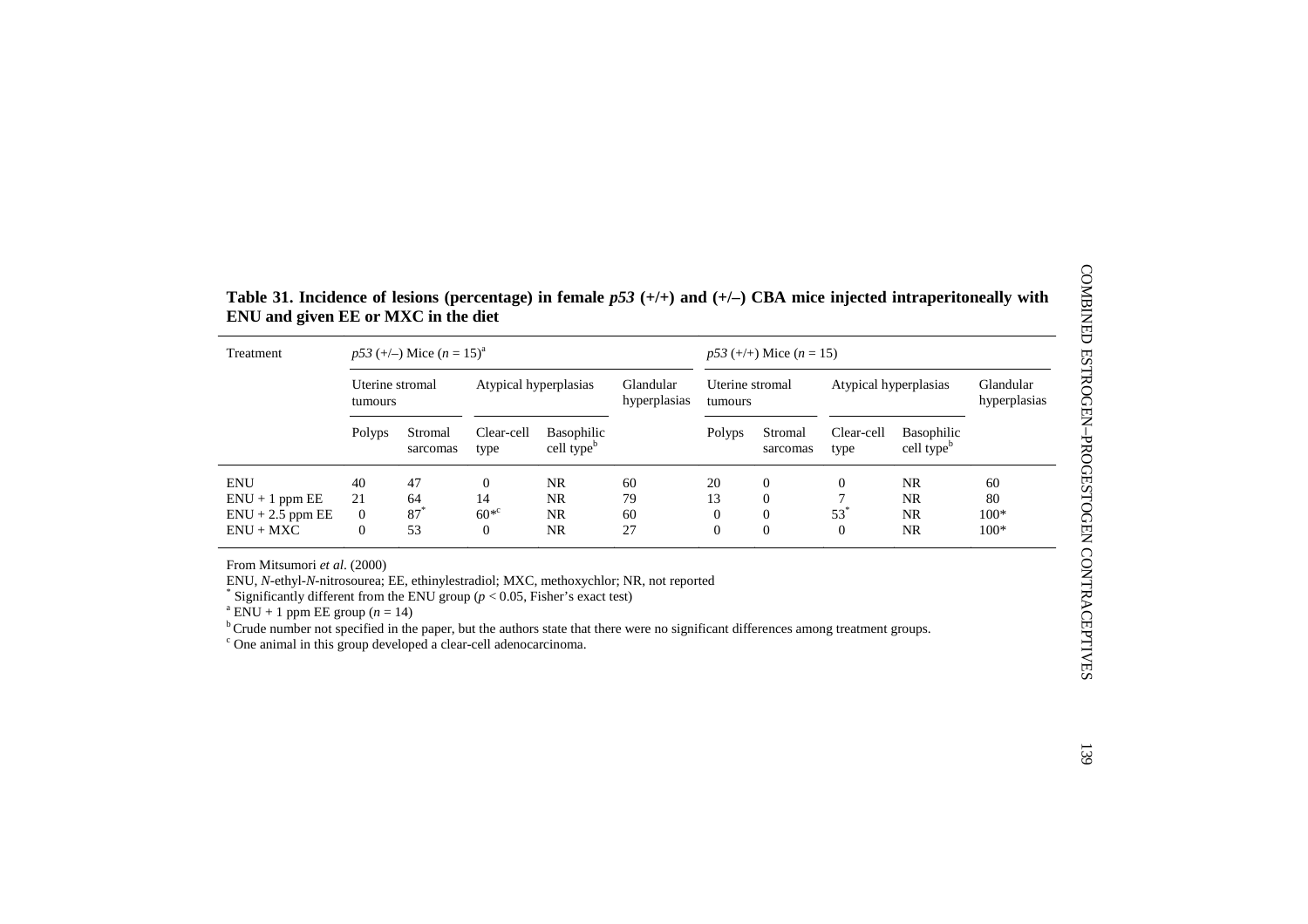| Treatment                                                                                                                                                                                               |                                                | $p53 (+/-)$ Mice $(n = 15)^a$ |                       |                                      |                           | $p53 (+/+)$ Mice $(n = 15)$ |                     |                                                                                                                                                |                                      |                           |  |
|---------------------------------------------------------------------------------------------------------------------------------------------------------------------------------------------------------|------------------------------------------------|-------------------------------|-----------------------|--------------------------------------|---------------------------|-----------------------------|---------------------|------------------------------------------------------------------------------------------------------------------------------------------------|--------------------------------------|---------------------------|--|
|                                                                                                                                                                                                         | Uterine stromal<br>tumours                     |                               | Atypical hyperplasias |                                      | Glandular<br>hyperplasias | Uterine stromal<br>tumours  |                     | Atypical hyperplasias                                                                                                                          |                                      | Glandular<br>hyperplasias |  |
|                                                                                                                                                                                                         | Polyps                                         | Stromal<br>sarcomas           | Clear-cell<br>type    | Basophilic<br>cell type <sup>b</sup> |                           | Polyps                      | Stromal<br>sarcomas | Clear-cell<br>type                                                                                                                             | Basophilic<br>cell type <sup>b</sup> |                           |  |
| <b>ENU</b>                                                                                                                                                                                              | 40                                             | 47                            | $\Omega$              | <b>NR</b>                            | 60                        | 20                          | $\Omega$            | $\Omega$                                                                                                                                       | <b>NR</b>                            | 60                        |  |
| $ENU + 1$ ppm $EE$                                                                                                                                                                                      | 21                                             | 64                            | 14                    | <b>NR</b>                            | 79                        | 13                          | $\Omega$            |                                                                                                                                                | <b>NR</b>                            | 80                        |  |
| $ENU + 2.5$ ppm EE                                                                                                                                                                                      | $\overline{0}$                                 | $87^{\degree}$                | $60^{*c}$             | <b>NR</b>                            | 60                        | $\Omega$                    | $\Omega$            | $53^*$                                                                                                                                         | <b>NR</b>                            | $100*$                    |  |
| $ENU + MXC$                                                                                                                                                                                             | 0                                              | 53                            | $\left($              | <b>NR</b>                            | 27                        | $\mathbf{0}$                | $\theta$            | $\theta$                                                                                                                                       | <b>NR</b>                            | $100*$                    |  |
| From Mitsumori et al. (2000)<br>ENU, N-ethyl-N-nitrosourea; EE, ethinylestradiol; MXC, methoxychlor; NR, not reported<br>Significantly different from the ENU group ( $p < 0.05$ , Fisher's exact test) | <sup>a</sup> ENU + 1 ppm EE group ( $n = 14$ ) |                               |                       |                                      |                           |                             |                     | <sup>b</sup> Crude number not specified in the paper, but the authors state that there were no significant differences among treatment groups. |                                      |                           |  |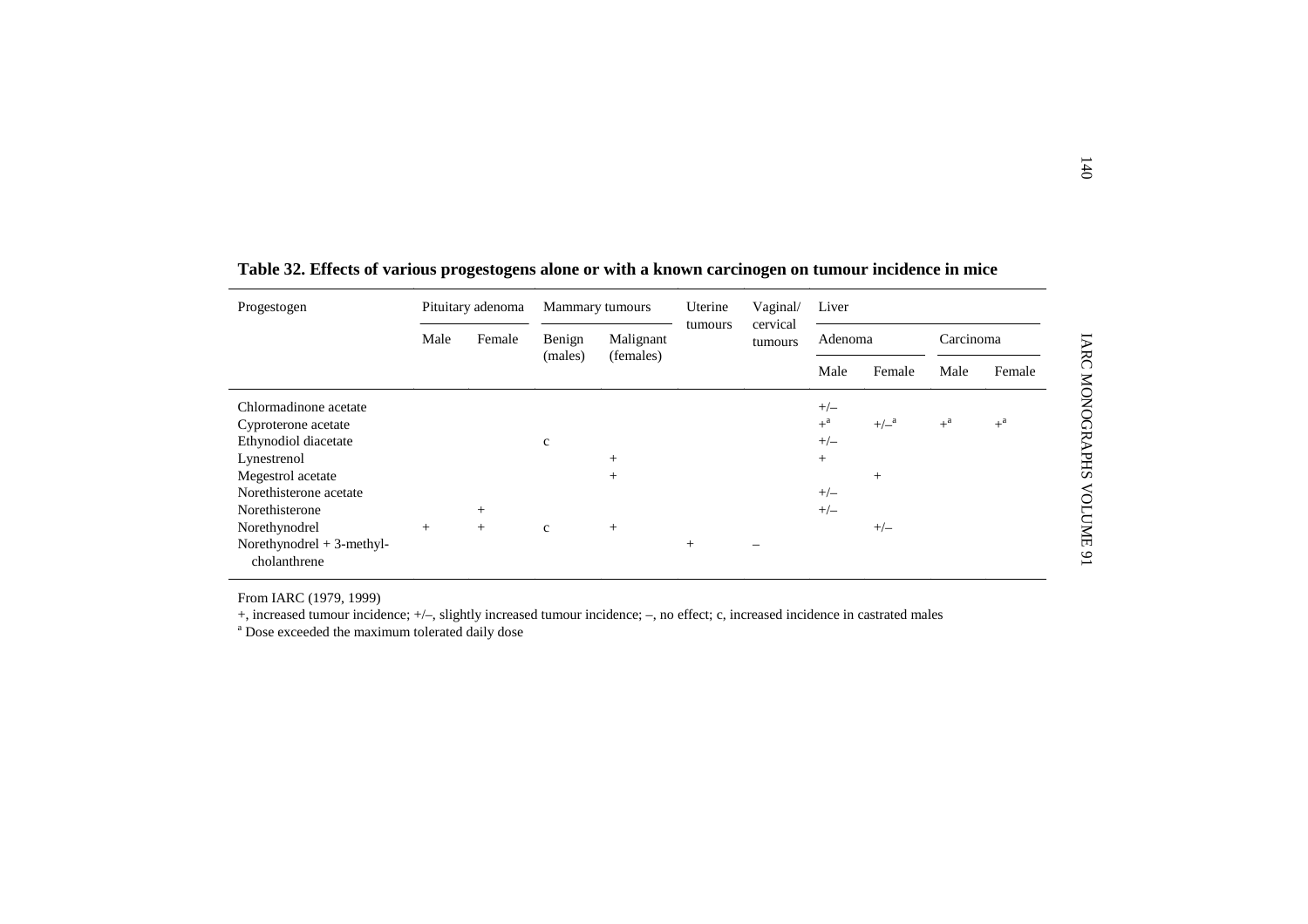| Progestogen                                                          | Pituitary adenoma |        | Mammary tumours   |            | Uterine | Vaginal/            | Table 32. Effects of various progestogens alone or with a known carcinogen on tumour incidence in mice<br>Liver |        |                  |                  |
|----------------------------------------------------------------------|-------------------|--------|-------------------|------------|---------|---------------------|-----------------------------------------------------------------------------------------------------------------|--------|------------------|------------------|
|                                                                      | Female<br>Male    |        | Benign<br>(males) | Malignant  | tumours | cervical<br>tumours | Adenoma                                                                                                         |        | Carcinoma        |                  |
|                                                                      |                   |        |                   | (females)  |         |                     | Male                                                                                                            | Female | Male             | Female           |
| Chlormadinone acetate<br>Cyproterone acetate<br>Ethynodiol diacetate |                   |        | $\mathbf c$       |            |         |                     | $+/-$<br>$+$ <sup>a</sup><br>$+/-$                                                                              | $+/-a$ | $+$ <sup>a</sup> | $+$ <sup>a</sup> |
| Lynestrenol<br>Megestrol acetate                                     |                   |        |                   | $+$<br>$+$ |         |                     | $^{+}$                                                                                                          | $^{+}$ |                  |                  |
| Norethisterone acetate<br>Norethisterone                             |                   | $^{+}$ |                   |            |         |                     | $+/-$<br>$+/-$                                                                                                  |        |                  |                  |
| Norethynodrel<br>Norethynodrel $+3$ -methyl-<br>cholanthrene         | $+$               | $+$    | $\mathbf{C}$      | $+$        | $+$     |                     |                                                                                                                 | $+/-$  |                  |                  |

From IARC (1979, 1999)

+, increased tumour incidence; +/–, slightly increased tumour incidence; –, no effect; c, increased incidence in castrated males

<sup>a</sup> Dose exceeded the maximum tolerated daily dose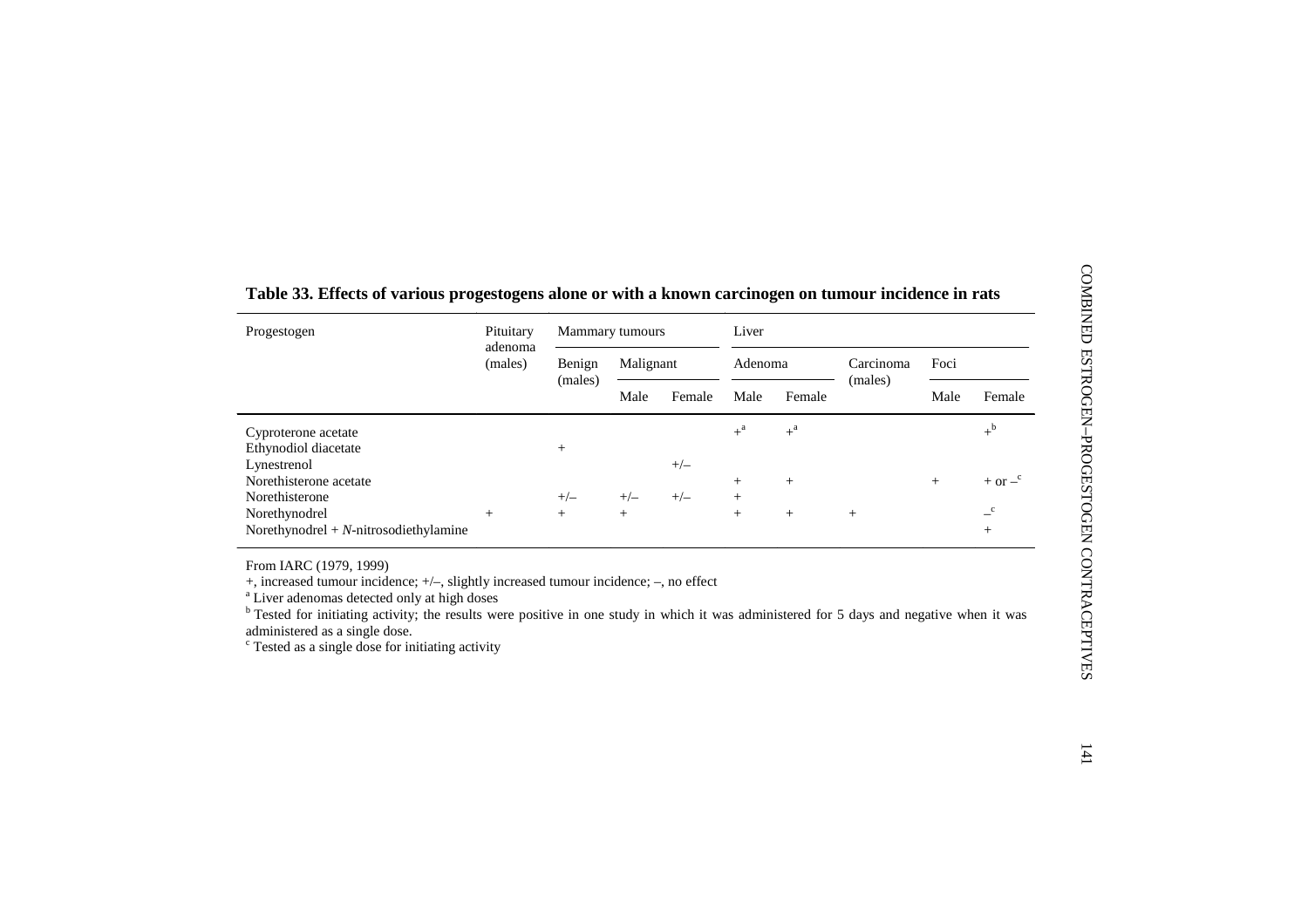| Progestogen                                                                                                     | Pituitary<br>adenoma<br>(males)                         | Mammary tumours                                                                                                                                      |           |        | Liver            |                  |           |        |                                  |
|-----------------------------------------------------------------------------------------------------------------|---------------------------------------------------------|------------------------------------------------------------------------------------------------------------------------------------------------------|-----------|--------|------------------|------------------|-----------|--------|----------------------------------|
|                                                                                                                 |                                                         | Benign<br>(males)                                                                                                                                    | Malignant |        | Adenoma          |                  | Carcinoma | Foci   |                                  |
|                                                                                                                 |                                                         |                                                                                                                                                      | Male      | Female | Male             | Female           | (males)   | Male   | Female                           |
| Cyproterone acetate                                                                                             |                                                         |                                                                                                                                                      |           |        | $+$ <sup>a</sup> | $+$ <sup>a</sup> |           |        | $+^{\rm b}$                      |
| Ethynodiol diacetate                                                                                            |                                                         | $^{+}$                                                                                                                                               |           |        |                  |                  |           |        |                                  |
| Lynestrenol                                                                                                     |                                                         |                                                                                                                                                      |           | $+/-$  |                  |                  |           |        |                                  |
| Norethisterone acetate                                                                                          |                                                         |                                                                                                                                                      |           |        | $^{+}$           | $^{+}$           |           | $^{+}$ | $+$ or $-$ <sup>c</sup>          |
| Norethisterone                                                                                                  |                                                         | $+/-$                                                                                                                                                | $+/-$     | $+/-$  |                  |                  |           |        |                                  |
| Norethynodrel                                                                                                   | $^{+}$                                                  | $^{+}$                                                                                                                                               | $^{+}$    |        | $^{+}$           | $+$              | $^{+}$    |        | $\overline{\phantom{a}}^{\rm c}$ |
| Norethynodrel + $N$ -nitrosodiethylamine                                                                        |                                                         |                                                                                                                                                      |           |        |                  |                  |           |        | $^{+}$                           |
| From IARC (1979, 1999)<br>+, increased tumour incidence; +/-, slightly increased tumour incidence; -, no effect | <sup>a</sup> Liver adenomas detected only at high doses | <sup>b</sup> Tested for initiating activity; the results were positive in one study in which it was administered for 5 days and negative when it was |           |        |                  |                  |           |        |                                  |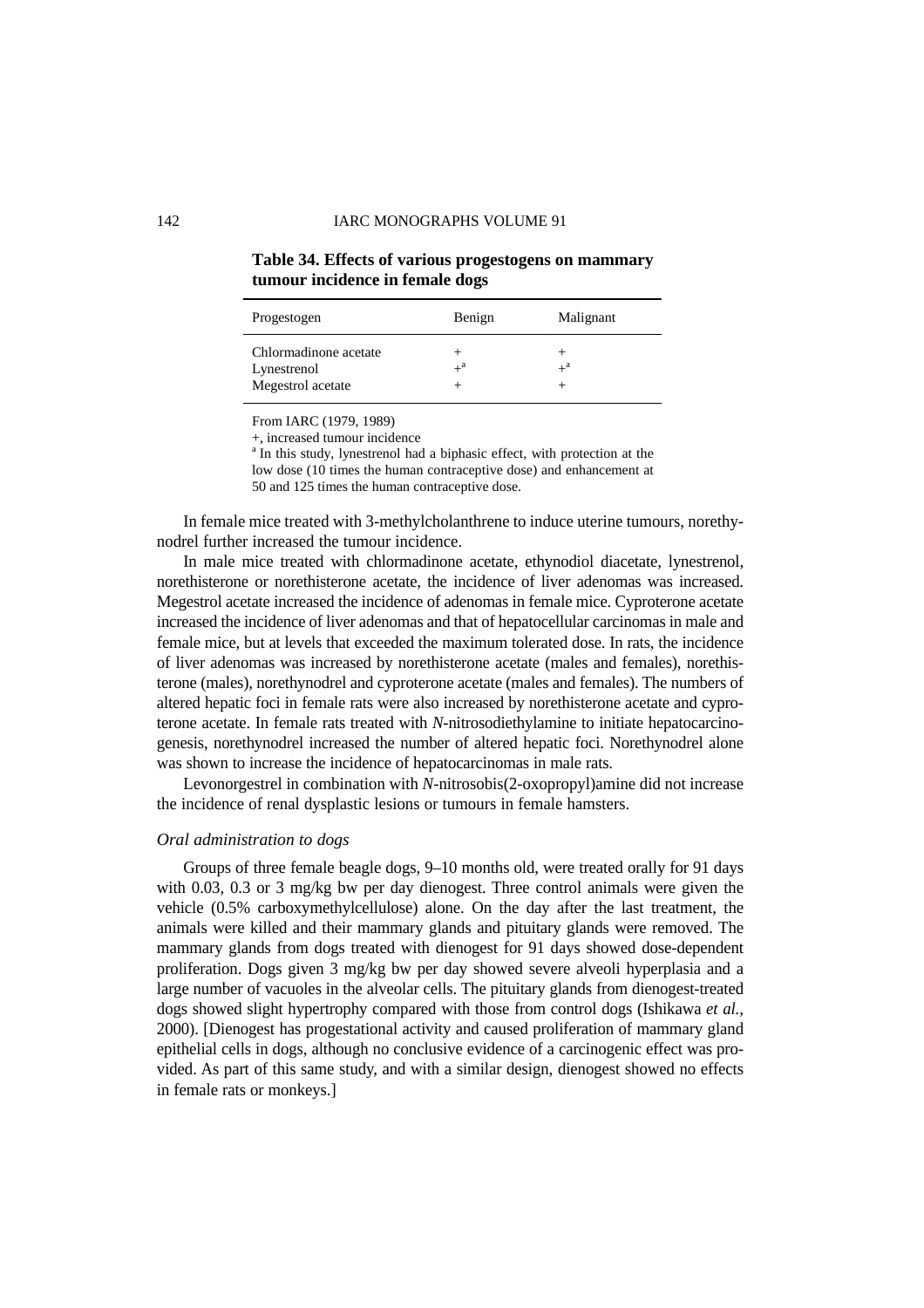| Table 34. Effects of various progestogens on mammary |
|------------------------------------------------------|
| tumour incidence in female dogs                      |
|                                                      |

| Progestogen                                               | Benign             | Malignant      |
|-----------------------------------------------------------|--------------------|----------------|
| Chlormadinone acetate<br>Lynestrenol<br>Megestrol acetate | $\perp^{\text{a}}$ | ⊥ <sup>a</sup> |

From IARC (1979, 1989)

+, increased tumour incidence

<sup>a</sup> In this study, lynestrenol had a biphasic effect, with protection at the low dose (10 times the human contraceptive dose) and enhancement at 50 and 125 times the human contraceptive dose.

In female mice treated with 3-methylcholanthrene to induce uterine tumours, norethynodrel further increased the tumour incidence.

In male mice treated with chlormadinone acetate, ethynodiol diacetate, lynestrenol, norethisterone or norethisterone acetate, the incidence of liver adenomas was increased. Megestrol acetate increased the incidence of adenomas in female mice. Cyproterone acetate increased the incidence of liver adenomas and that of hepatocellular carcinomas in male and female mice, but at levels that exceeded the maximum tolerated dose. In rats, the incidence of liver adenomas was increased by norethisterone acetate (males and females), norethisterone (males), norethynodrel and cyproterone acetate (males and females). The numbers of altered hepatic foci in female rats were also increased by norethisterone acetate and cyproterone acetate. In female rats treated with *N*-nitrosodiethylamine to initiate hepatocarcinogenesis, norethynodrel increased the number of altered hepatic foci. Norethynodrel alone was shown to increase the incidence of hepatocarcinomas in male rats.

Levonorgestrel in combination with *N*-nitrosobis(2-oxopropyl)amine did not increase the incidence of renal dysplastic lesions or tumours in female hamsters.

## *Oral administration to dogs*

Groups of three female beagle dogs, 9–10 months old, were treated orally for 91 days with 0.03, 0.3 or 3 mg/kg bw per day dienogest. Three control animals were given the vehicle (0.5% carboxymethylcellulose) alone. On the day after the last treatment, the animals were killed and their mammary glands and pituitary glands were removed. The mammary glands from dogs treated with dienogest for 91 days showed dose-dependent proliferation. Dogs given 3 mg/kg bw per day showed severe alveoli hyperplasia and a large number of vacuoles in the alveolar cells. The pituitary glands from dienogest-treated dogs showed slight hypertrophy compared with those from control dogs (Ishikawa *et al.*, 2000). [Dienogest has progestational activity and caused proliferation of mammary gland epithelial cells in dogs, although no conclusive evidence of a carcinogenic effect was provided. As part of this same study, and with a similar design, dienogest showed no effects in female rats or monkeys.]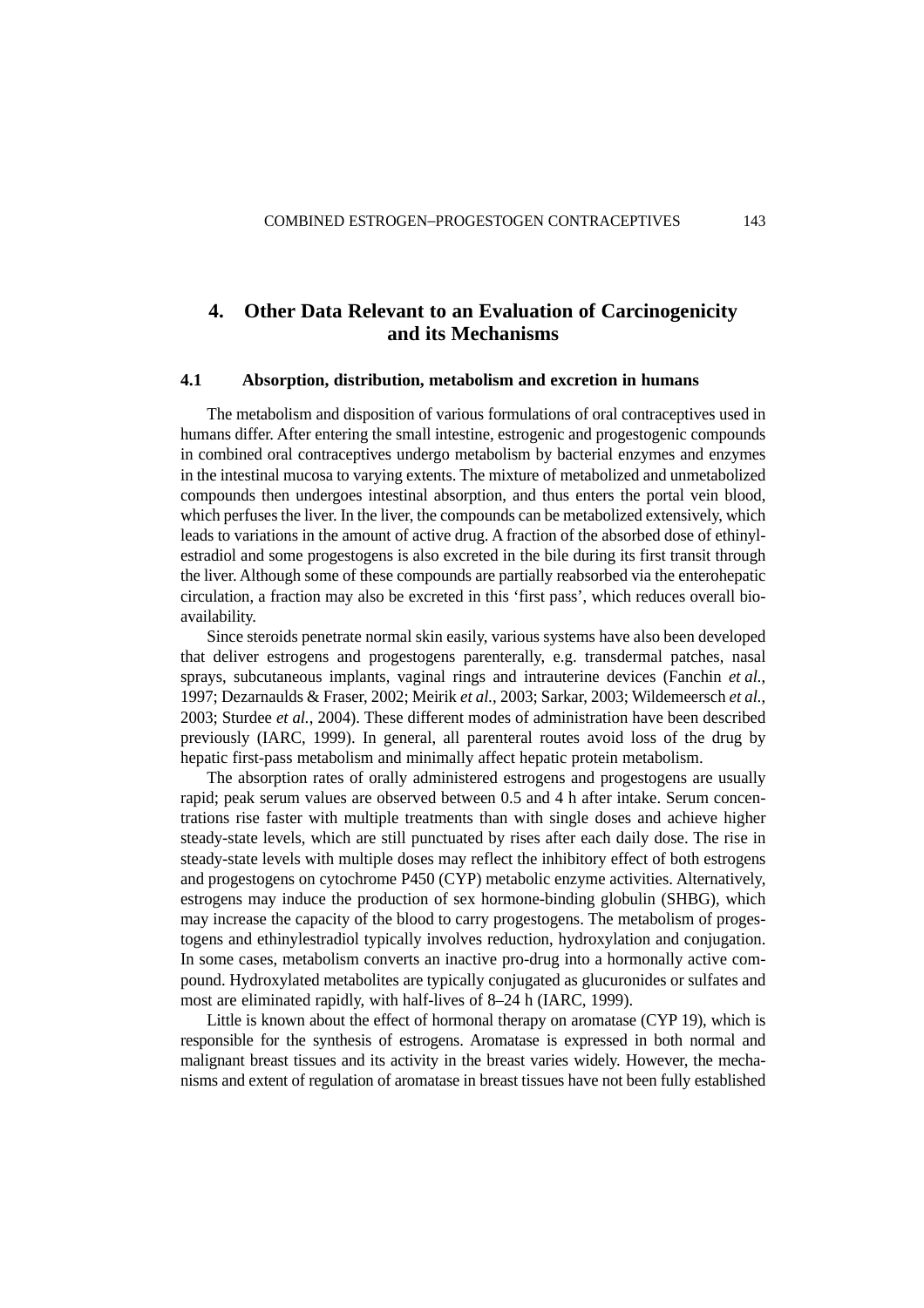# **4. Other Data Relevant to an Evaluation of Carcinogenicity and its Mechanisms**

#### **4.1 Absorption, distribution, metabolism and excretion in humans**

The metabolism and disposition of various formulations of oral contraceptives used in humans differ. After entering the small intestine, estrogenic and progestogenic compounds in combined oral contraceptives undergo metabolism by bacterial enzymes and enzymes in the intestinal mucosa to varying extents. The mixture of metabolized and unmetabolized compounds then undergoes intestinal absorption, and thus enters the portal vein blood, which perfuses the liver. In the liver, the compounds can be metabolized extensively, which leads to variations in the amount of active drug. A fraction of the absorbed dose of ethinylestradiol and some progestogens is also excreted in the bile during its first transit through the liver. Although some of these compounds are partially reabsorbed via the enterohepatic circulation, a fraction may also be excreted in this 'first pass', which reduces overall bioavailability.

Since steroids penetrate normal skin easily, various systems have also been developed that deliver estrogens and progestogens parenterally, e.g. transdermal patches, nasal sprays, subcutaneous implants, vaginal rings and intrauterine devices (Fanchin *et al.*, 1997; Dezarnaulds & Fraser, 2002; Meirik *et al.*, 2003; Sarkar, 2003; Wildemeersch *et al.*, 2003; Sturdee *et al.*, 2004). These different modes of administration have been described previously (IARC, 1999). In general, all parenteral routes avoid loss of the drug by hepatic first-pass metabolism and minimally affect hepatic protein metabolism.

The absorption rates of orally administered estrogens and progestogens are usually rapid; peak serum values are observed between 0.5 and 4 h after intake. Serum concentrations rise faster with multiple treatments than with single doses and achieve higher steady-state levels, which are still punctuated by rises after each daily dose. The rise in steady-state levels with multiple doses may reflect the inhibitory effect of both estrogens and progestogens on cytochrome P450 (CYP) metabolic enzyme activities. Alternatively, estrogens may induce the production of sex hormone-binding globulin (SHBG), which may increase the capacity of the blood to carry progestogens. The metabolism of progestogens and ethinylestradiol typically involves reduction, hydroxylation and conjugation. In some cases, metabolism converts an inactive pro-drug into a hormonally active compound. Hydroxylated metabolites are typically conjugated as glucuronides or sulfates and most are eliminated rapidly, with half-lives of 8–24 h (IARC, 1999).

Little is known about the effect of hormonal therapy on aromatase (CYP 19), which is responsible for the synthesis of estrogens. Aromatase is expressed in both normal and malignant breast tissues and its activity in the breast varies widely. However, the mechanisms and extent of regulation of aromatase in breast tissues have not been fully established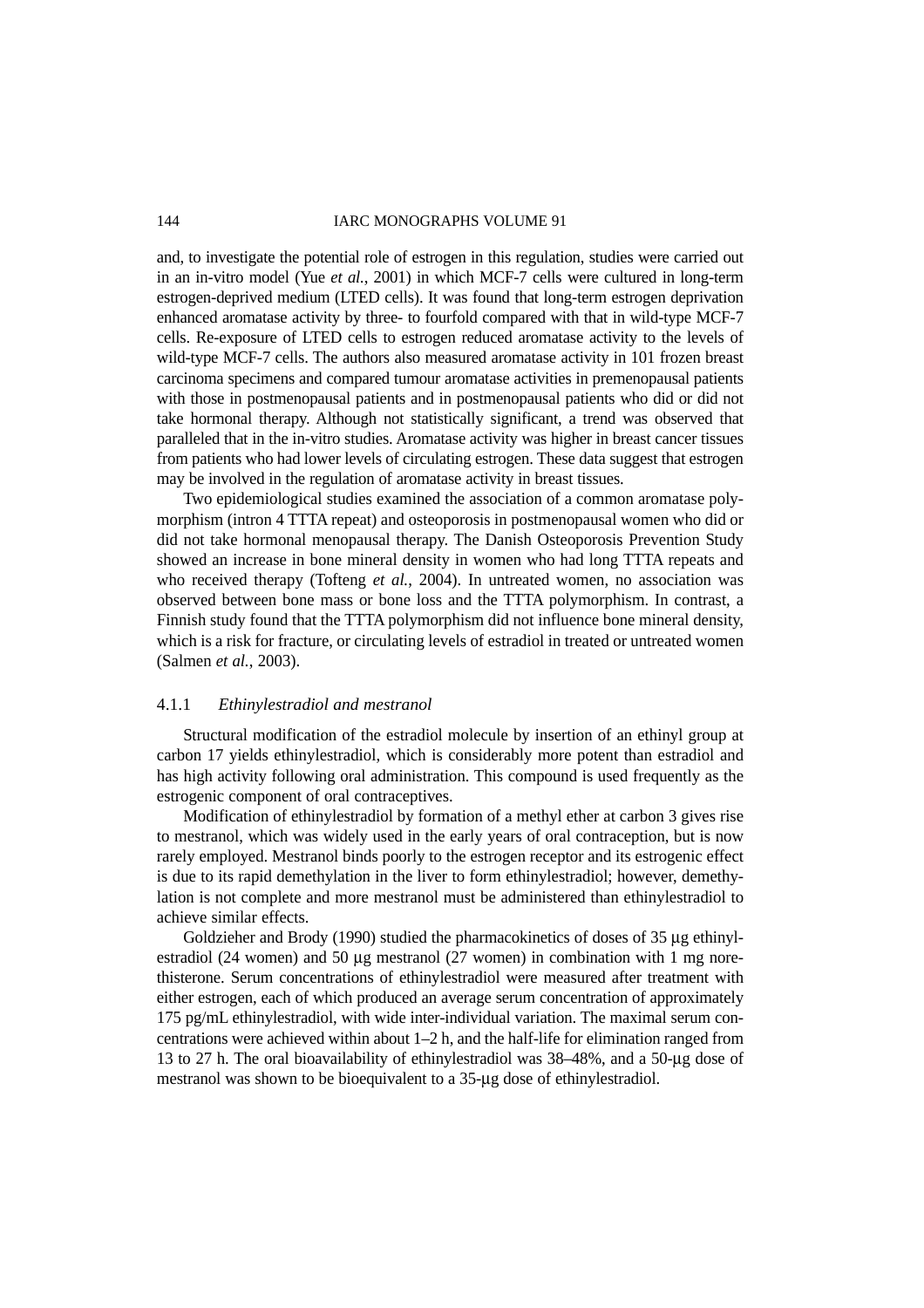and, to investigate the potential role of estrogen in this regulation, studies were carried out in an in-vitro model (Yue *et al.*, 2001) in which MCF-7 cells were cultured in long-term estrogen-deprived medium (LTED cells). It was found that long-term estrogen deprivation enhanced aromatase activity by three- to fourfold compared with that in wild-type MCF-7 cells. Re-exposure of LTED cells to estrogen reduced aromatase activity to the levels of wild-type MCF-7 cells. The authors also measured aromatase activity in 101 frozen breast carcinoma specimens and compared tumour aromatase activities in premenopausal patients with those in postmenopausal patients and in postmenopausal patients who did or did not take hormonal therapy. Although not statistically significant, a trend was observed that paralleled that in the in-vitro studies. Aromatase activity was higher in breast cancer tissues from patients who had lower levels of circulating estrogen. These data suggest that estrogen may be involved in the regulation of aromatase activity in breast tissues.

Two epidemiological studies examined the association of a common aromatase polymorphism (intron 4 TTTA repeat) and osteoporosis in postmenopausal women who did or did not take hormonal menopausal therapy. The Danish Osteoporosis Prevention Study showed an increase in bone mineral density in women who had long TTTA repeats and who received therapy (Tofteng *et al.*, 2004). In untreated women, no association was observed between bone mass or bone loss and the TTTA polymorphism. In contrast, a Finnish study found that the TTTA polymorphism did not influence bone mineral density, which is a risk for fracture, or circulating levels of estradiol in treated or untreated women (Salmen *et al.*, 2003).

## 4.1.1 *Ethinylestradiol and mestranol*

Structural modification of the estradiol molecule by insertion of an ethinyl group at carbon 17 yields ethinylestradiol, which is considerably more potent than estradiol and has high activity following oral administration. This compound is used frequently as the estrogenic component of oral contraceptives.

Modification of ethinylestradiol by formation of a methyl ether at carbon 3 gives rise to mestranol, which was widely used in the early years of oral contraception, but is now rarely employed. Mestranol binds poorly to the estrogen receptor and its estrogenic effect is due to its rapid demethylation in the liver to form ethinylestradiol; however, demethylation is not complete and more mestranol must be administered than ethinylestradiol to achieve similar effects.

Goldzieher and Brody (1990) studied the pharmacokinetics of doses of 35 μg ethinylestradiol (24 women) and 50 μg mestranol (27 women) in combination with 1 mg norethisterone. Serum concentrations of ethinylestradiol were measured after treatment with either estrogen, each of which produced an average serum concentration of approximately 175 pg/mL ethinylestradiol, with wide inter-individual variation. The maximal serum concentrations were achieved within about 1–2 h, and the half-life for elimination ranged from 13 to 27 h. The oral bioavailability of ethinylestradiol was 38–48%, and a 50-μg dose of mestranol was shown to be bioequivalent to a 35-μg dose of ethinylestradiol.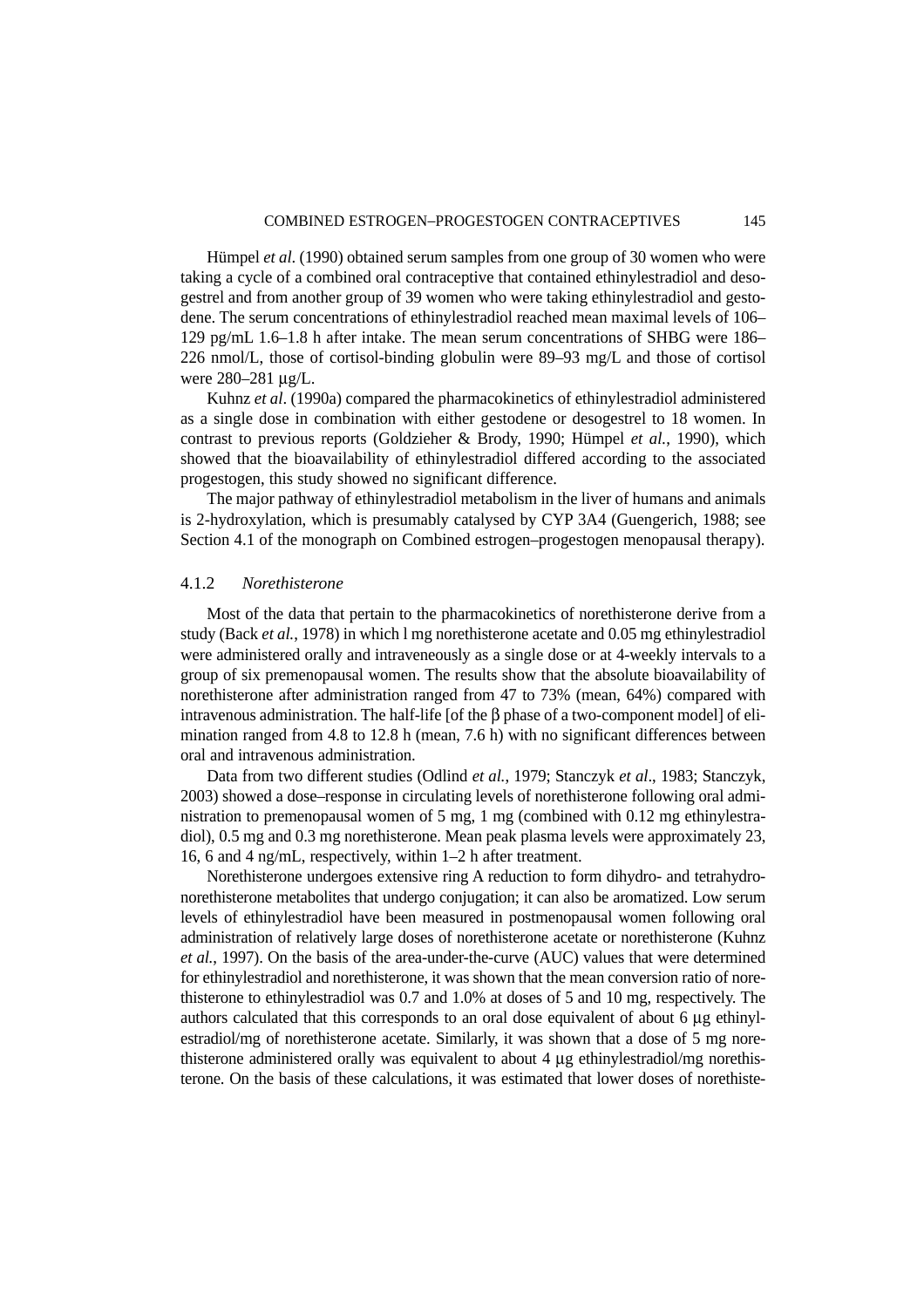Hümpel *et al*. (1990) obtained serum samples from one group of 30 women who were taking a cycle of a combined oral contraceptive that contained ethinylestradiol and desogestrel and from another group of 39 women who were taking ethinylestradiol and gestodene. The serum concentrations of ethinylestradiol reached mean maximal levels of 106– 129 pg/mL 1.6–1.8 h after intake. The mean serum concentrations of SHBG were 186– 226 nmol/L, those of cortisol-binding globulin were 89–93 mg/L and those of cortisol were 280–281 μg/L.

Kuhnz *et al*. (1990a) compared the pharmacokinetics of ethinylestradiol administered as a single dose in combination with either gestodene or desogestrel to 18 women. In contrast to previous reports (Goldzieher & Brody, 1990; Hümpel *et al.*, 1990), which showed that the bioavailability of ethinylestradiol differed according to the associated progestogen, this study showed no significant difference.

The major pathway of ethinylestradiol metabolism in the liver of humans and animals is 2-hydroxylation, which is presumably catalysed by CYP 3A4 (Guengerich, 1988; see Section 4.1 of the monograph on Combined estrogen–progestogen menopausal therapy).

#### 4.1.2 *Norethisterone*

Most of the data that pertain to the pharmacokinetics of norethisterone derive from a study (Back *et al.*, 1978) in which l mg norethisterone acetate and 0.05 mg ethinylestradiol were administered orally and intraveneously as a single dose or at 4-weekly intervals to a group of six premenopausal women. The results show that the absolute bioavailability of norethisterone after administration ranged from 47 to 73% (mean, 64%) compared with intravenous administration. The half-life [of the β phase of a two-component model] of elimination ranged from 4.8 to 12.8 h (mean, 7.6 h) with no significant differences between oral and intravenous administration.

Data from two different studies (Odlind *et al.*, 1979; Stanczyk *et al*., 1983; Stanczyk, 2003) showed a dose–response in circulating levels of norethisterone following oral administration to premenopausal women of 5 mg, 1 mg (combined with 0.12 mg ethinylestradiol), 0.5 mg and 0.3 mg norethisterone. Mean peak plasma levels were approximately 23, 16, 6 and 4 ng/mL, respectively, within 1–2 h after treatment.

Norethisterone undergoes extensive ring A reduction to form dihydro- and tetrahydronorethisterone metabolites that undergo conjugation; it can also be aromatized. Low serum levels of ethinylestradiol have been measured in postmenopausal women following oral administration of relatively large doses of norethisterone acetate or norethisterone (Kuhnz *et al.*, 1997). On the basis of the area-under-the-curve (AUC) values that were determined for ethinylestradiol and norethisterone, it was shown that the mean conversion ratio of norethisterone to ethinylestradiol was 0.7 and 1.0% at doses of 5 and 10 mg, respectively. The authors calculated that this corresponds to an oral dose equivalent of about 6 μg ethinylestradiol/mg of norethisterone acetate. Similarly, it was shown that a dose of 5 mg norethisterone administered orally was equivalent to about 4 μg ethinylestradiol/mg norethisterone. On the basis of these calculations, it was estimated that lower doses of norethiste-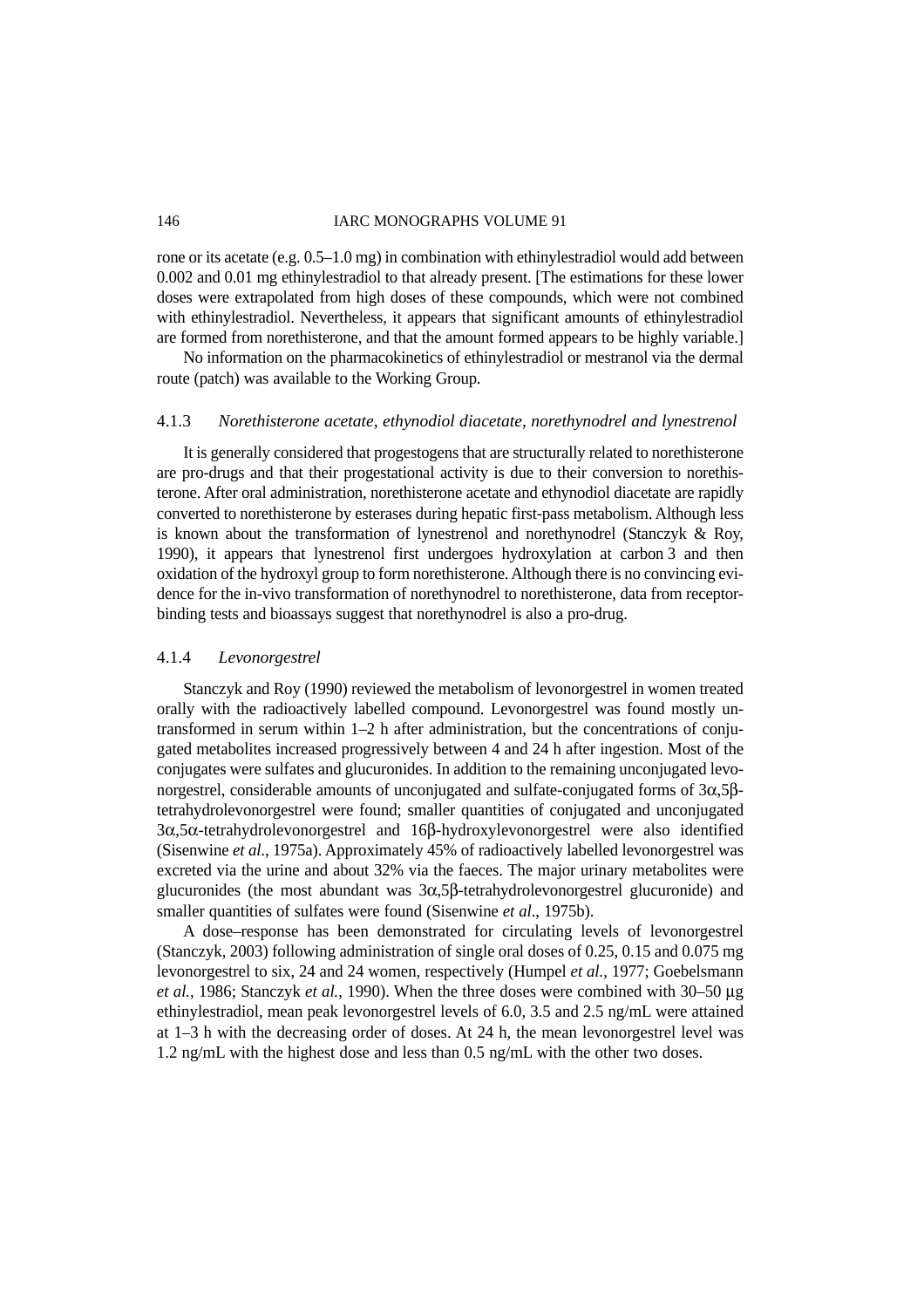rone or its acetate (e.g.  $0.5-1.0$  mg) in combination with ethinylestradiol would add between 0.002 and 0.01 mg ethinylestradiol to that already present. [The estimations for these lower doses were extrapolated from high doses of these compounds, which were not combined with ethinylestradiol. Nevertheless, it appears that significant amounts of ethinylestradiol are formed from norethisterone, and that the amount formed appears to be highly variable.]

No information on the pharmacokinetics of ethinylestradiol or mestranol via the dermal route (patch) was available to the Working Group.

#### 4.1.3 *Norethisterone acetate, ethynodiol diacetate, norethynodrel and lynestrenol*

It is generally considered that progestogens that are structurally related to norethisterone are pro-drugs and that their progestational activity is due to their conversion to norethisterone. After oral administration, norethisterone acetate and ethynodiol diacetate are rapidly converted to norethisterone by esterases during hepatic first-pass metabolism. Although less is known about the transformation of lynestrenol and norethynodrel (Stanczyk & Roy, 1990), it appears that lynestrenol first undergoes hydroxylation at carbon 3 and then oxidation of the hydroxyl group to form norethisterone. Although there is no convincing evidence for the in-vivo transformation of norethynodrel to norethisterone, data from receptorbinding tests and bioassays suggest that norethynodrel is also a pro-drug.

#### 4.1.4 *Levonorgestrel*

Stanczyk and Roy (1990) reviewed the metabolism of levonorgestrel in women treated orally with the radioactively labelled compound. Levonorgestrel was found mostly untransformed in serum within 1–2 h after administration, but the concentrations of conjugated metabolites increased progressively between 4 and 24 h after ingestion. Most of the conjugates were sulfates and glucuronides. In addition to the remaining unconjugated levonorgestrel, considerable amounts of unconjugated and sulfate-conjugated forms of 3α,5βtetrahydrolevonorgestrel were found; smaller quantities of conjugated and unconjugated 3α,5α-tetrahydrolevonorgestrel and 16β-hydroxylevonorgestrel were also identified (Sisenwine *et al*., 1975a). Approximately 45% of radioactively labelled levonorgestrel was excreted via the urine and about 32% via the faeces. The major urinary metabolites were glucuronides (the most abundant was 3α,5β-tetrahydrolevonorgestrel glucuronide) and smaller quantities of sulfates were found (Sisenwine *et al*., 1975b).

A dose–response has been demonstrated for circulating levels of levonorgestrel (Stanczyk, 2003) following administration of single oral doses of 0.25, 0.15 and 0.075 mg levonorgestrel to six, 24 and 24 women, respectively (Humpel *et al.*, 1977; Goebelsmann *et al.*, 1986; Stanczyk *et al.*, 1990). When the three doses were combined with 30–50 μg ethinylestradiol, mean peak levonorgestrel levels of 6.0, 3.5 and 2.5 ng/mL were attained at 1–3 h with the decreasing order of doses. At 24 h, the mean levonorgestrel level was 1.2 ng/mL with the highest dose and less than 0.5 ng/mL with the other two doses.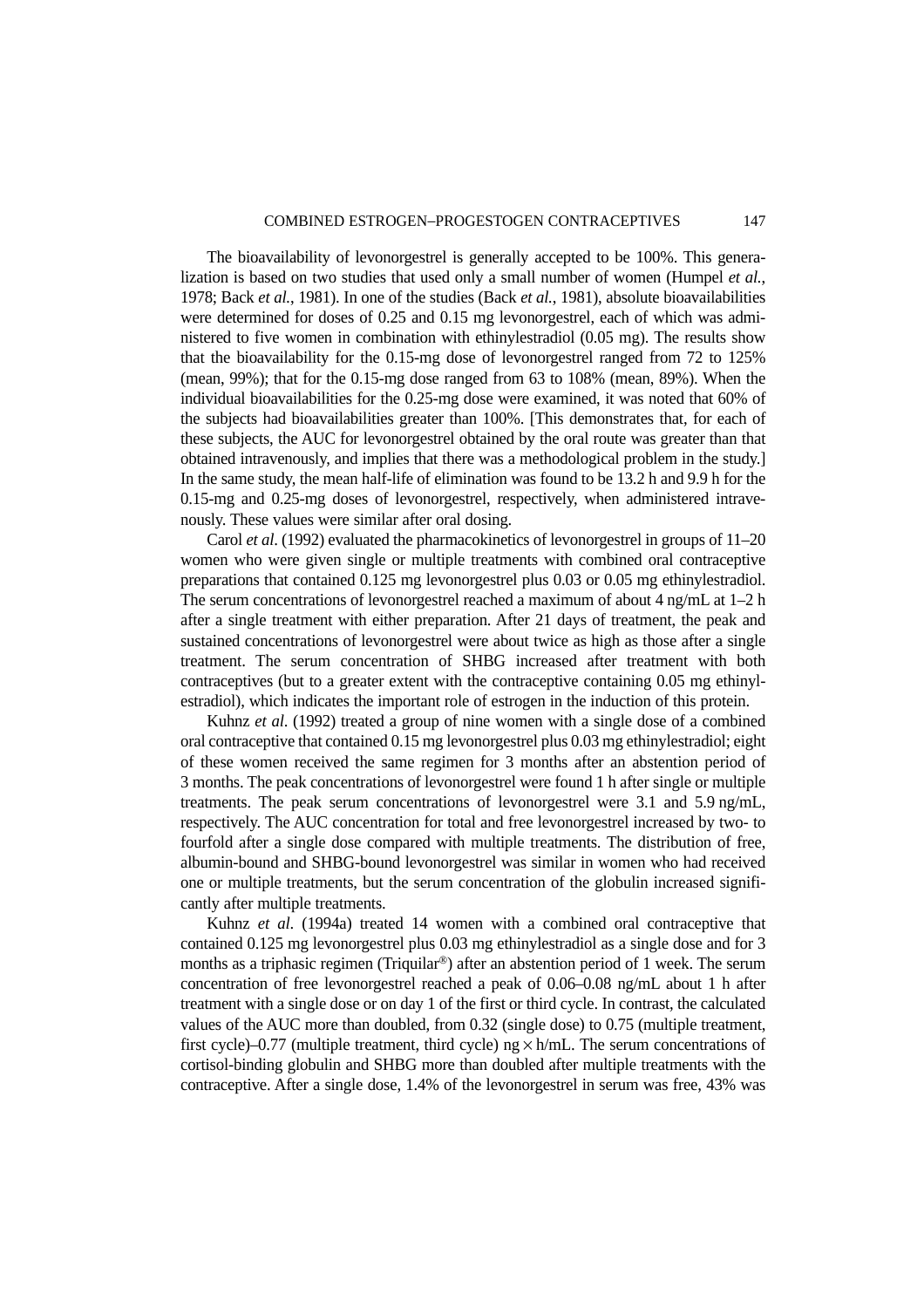The bioavailability of levonorgestrel is generally accepted to be 100%. This generalization is based on two studies that used only a small number of women (Humpel *et al.*, 1978; Back *et al.*, 1981). In one of the studies (Back *et al.*, 1981), absolute bioavailabilities were determined for doses of 0.25 and 0.15 mg levonorgestrel, each of which was administered to five women in combination with ethinylestradiol (0.05 mg). The results show that the bioavailability for the 0.15-mg dose of levonorgestrel ranged from 72 to 125% (mean, 99%); that for the 0.15-mg dose ranged from 63 to 108% (mean, 89%). When the individual bioavailabilities for the 0.25-mg dose were examined, it was noted that 60% of the subjects had bioavailabilities greater than 100%. [This demonstrates that, for each of these subjects, the AUC for levonorgestrel obtained by the oral route was greater than that obtained intravenously, and implies that there was a methodological problem in the study.] In the same study, the mean half-life of elimination was found to be 13.2 h and 9.9 h for the 0.15-mg and 0.25-mg doses of levonorgestrel, respectively, when administered intravenously. These values were similar after oral dosing.

Carol *et al*. (1992) evaluated the pharmacokinetics of levonorgestrel in groups of 11–20 women who were given single or multiple treatments with combined oral contraceptive preparations that contained 0.125 mg levonorgestrel plus 0.03 or 0.05 mg ethinylestradiol. The serum concentrations of levonorgestrel reached a maximum of about 4 ng/mL at 1–2 h after a single treatment with either preparation. After 21 days of treatment, the peak and sustained concentrations of levonorgestrel were about twice as high as those after a single treatment. The serum concentration of SHBG increased after treatment with both contraceptives (but to a greater extent with the contraceptive containing 0.05 mg ethinylestradiol), which indicates the important role of estrogen in the induction of this protein.

Kuhnz *et al*. (1992) treated a group of nine women with a single dose of a combined oral contraceptive that contained 0.15 mg levonorgestrel plus 0.03 mg ethinylestradiol; eight of these women received the same regimen for 3 months after an abstention period of 3 months. The peak concentrations of levonorgestrel were found 1 h after single or multiple treatments. The peak serum concentrations of levonorgestrel were 3.1 and 5.9 ng/mL, respectively. The AUC concentration for total and free levonorgestrel increased by two- to fourfold after a single dose compared with multiple treatments. The distribution of free, albumin-bound and SHBG-bound levonorgestrel was similar in women who had received one or multiple treatments, but the serum concentration of the globulin increased significantly after multiple treatments.

Kuhnz *et al*. (1994a) treated 14 women with a combined oral contraceptive that contained 0.125 mg levonorgestrel plus 0.03 mg ethinylestradiol as a single dose and for 3 months as a triphasic regimen (Triquilar<sup>®</sup>) after an abstention period of 1 week. The serum concentration of free levonorgestrel reached a peak of 0.06–0.08 ng/mL about 1 h after treatment with a single dose or on day 1 of the first or third cycle. In contrast, the calculated values of the AUC more than doubled, from 0.32 (single dose) to 0.75 (multiple treatment, first cycle)–0.77 (multiple treatment, third cycle) ng  $\times$  h/mL. The serum concentrations of cortisol-binding globulin and SHBG more than doubled after multiple treatments with the contraceptive. After a single dose, 1.4% of the levonorgestrel in serum was free, 43% was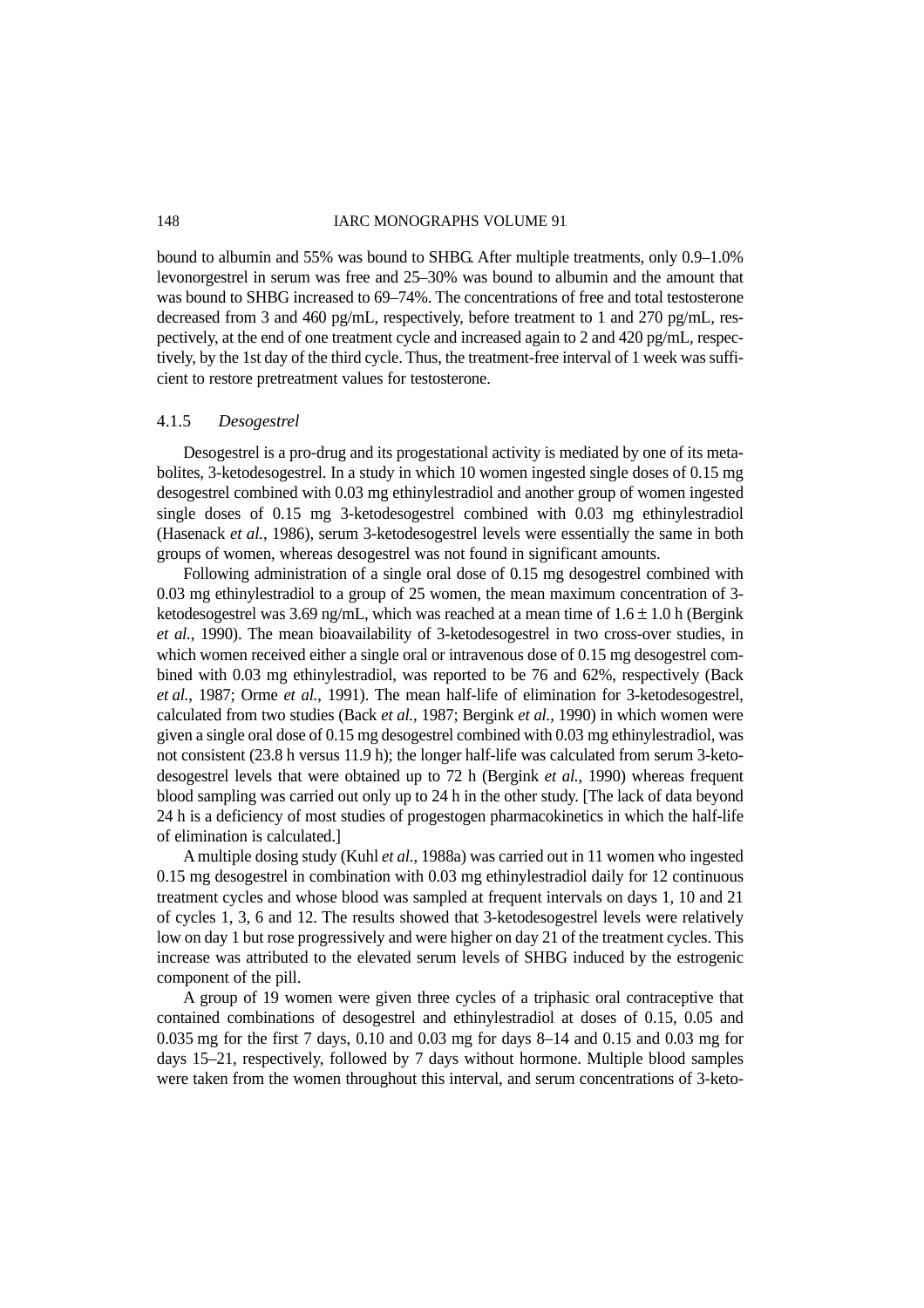bound to albumin and 55% was bound to SHBG. After multiple treatments, only 0.9–1.0% levonorgestrel in serum was free and 25–30% was bound to albumin and the amount that was bound to SHBG increased to 69–74%. The concentrations of free and total testosterone decreased from 3 and 460 pg/mL, respectively, before treatment to 1 and 270 pg/mL, respectively, at the end of one treatment cycle and increased again to 2 and 420 pg/mL, respectively, by the 1st day of the third cycle. Thus, the treatment-free interval of 1 week was sufficient to restore pretreatment values for testosterone.

## 4.1.5 *Desogestrel*

Desogestrel is a pro-drug and its progestational activity is mediated by one of its metabolites, 3-ketodesogestrel. In a study in which 10 women ingested single doses of 0.15 mg desogestrel combined with 0.03 mg ethinylestradiol and another group of women ingested single doses of 0.15 mg 3-ketodesogestrel combined with 0.03 mg ethinylestradiol (Hasenack *et al.*, 1986), serum 3-ketodesogestrel levels were essentially the same in both groups of women, whereas desogestrel was not found in significant amounts.

Following administration of a single oral dose of 0.15 mg desogestrel combined with 0.03 mg ethinylestradiol to a group of 25 women, the mean maximum concentration of 3 ketodesogestrel was 3.69 ng/mL, which was reached at a mean time of  $1.6 \pm 1.0$  h (Bergink *et al.*, 1990). The mean bioavailability of 3-ketodesogestrel in two cross-over studies, in which women received either a single oral or intravenous dose of 0.15 mg desogestrel combined with 0.03 mg ethinylestradiol, was reported to be 76 and 62%, respectively (Back *et al.*, 1987; Orme *et al.*, 1991). The mean half-life of elimination for 3-ketodesogestrel, calculated from two studies (Back *et al.*, 1987; Bergink *et al.*, 1990) in which women were given a single oral dose of 0.15 mg desogestrel combined with 0.03 mg ethinylestradiol, was not consistent (23.8 h versus 11.9 h); the longer half-life was calculated from serum 3-ketodesogestrel levels that were obtained up to 72 h (Bergink *et al.*, 1990) whereas frequent blood sampling was carried out only up to 24 h in the other study. [The lack of data beyond 24 h is a deficiency of most studies of progestogen pharmacokinetics in which the half-life of elimination is calculated.]

A multiple dosing study (Kuhl *et al.*, 1988a) was carried out in 11 women who ingested 0.15 mg desogestrel in combination with 0.03 mg ethinylestradiol daily for 12 continuous treatment cycles and whose blood was sampled at frequent intervals on days 1, 10 and 21 of cycles 1, 3, 6 and 12. The results showed that 3-ketodesogestrel levels were relatively low on day 1 but rose progressively and were higher on day 21 of the treatment cycles. This increase was attributed to the elevated serum levels of SHBG induced by the estrogenic component of the pill.

A group of 19 women were given three cycles of a triphasic oral contraceptive that contained combinations of desogestrel and ethinylestradiol at doses of 0.15, 0.05 and 0.035 mg for the first 7 days, 0.10 and 0.03 mg for days 8–14 and 0.15 and 0.03 mg for days 15–21, respectively, followed by 7 days without hormone. Multiple blood samples were taken from the women throughout this interval, and serum concentrations of 3-keto-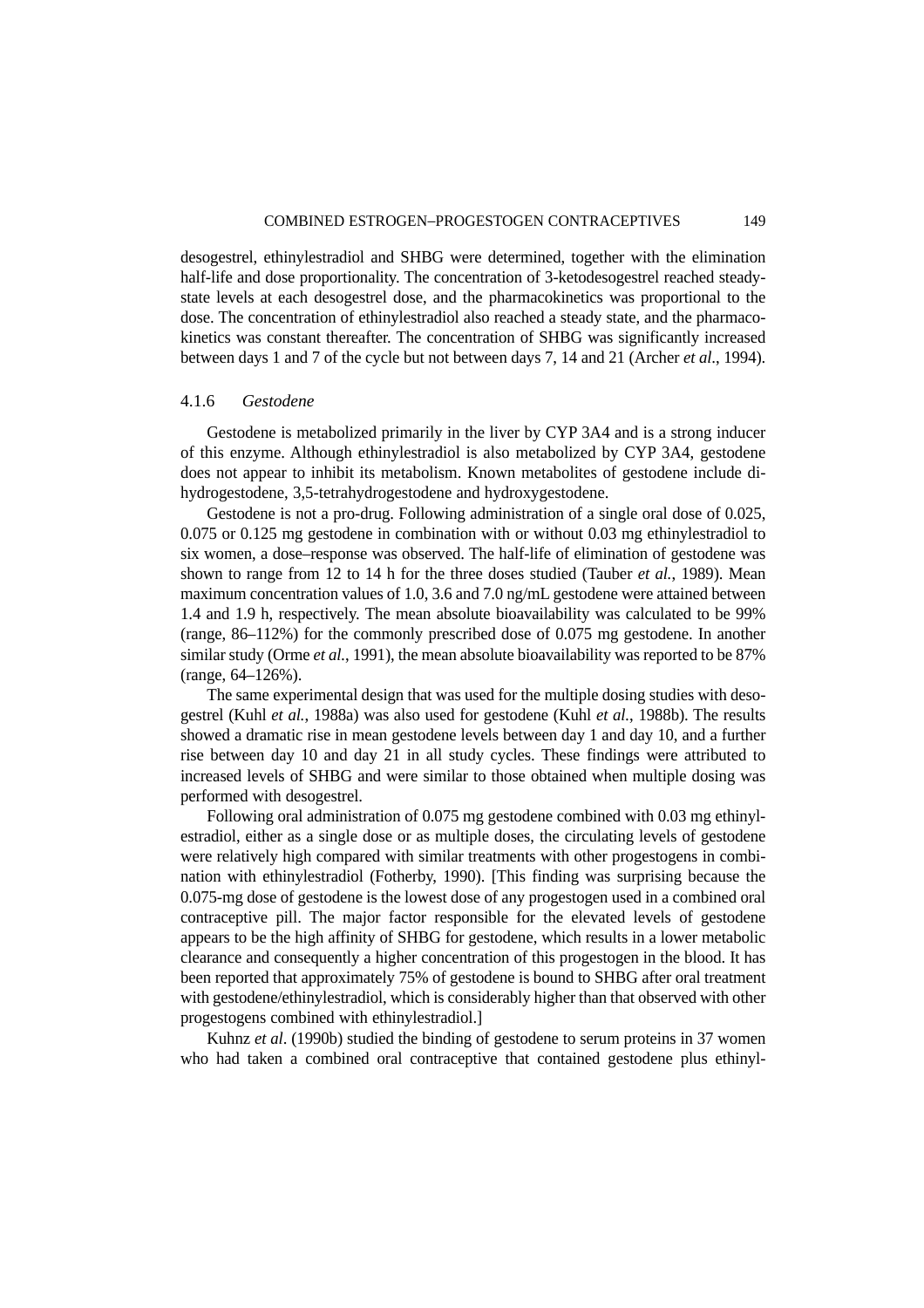desogestrel, ethinylestradiol and SHBG were determined, together with the elimination half-life and dose proportionality. The concentration of 3-ketodesogestrel reached steadystate levels at each desogestrel dose, and the pharmacokinetics was proportional to the dose. The concentration of ethinylestradiol also reached a steady state, and the pharmacokinetics was constant thereafter. The concentration of SHBG was significantly increased between days 1 and 7 of the cycle but not between days 7, 14 and 21 (Archer *et al*., 1994).

## 4.1.6 *Gestodene*

Gestodene is metabolized primarily in the liver by CYP 3A4 and is a strong inducer of this enzyme. Although ethinylestradiol is also metabolized by CYP 3A4, gestodene does not appear to inhibit its metabolism. Known metabolites of gestodene include dihydrogestodene, 3,5-tetrahydrogestodene and hydroxygestodene.

Gestodene is not a pro-drug. Following administration of a single oral dose of 0.025, 0.075 or 0.125 mg gestodene in combination with or without 0.03 mg ethinylestradiol to six women, a dose–response was observed. The half-life of elimination of gestodene was shown to range from 12 to 14 h for the three doses studied (Tauber *et al.*, 1989). Mean maximum concentration values of 1.0, 3.6 and 7.0 ng/mL gestodene were attained between 1.4 and 1.9 h, respectively. The mean absolute bioavailability was calculated to be 99% (range, 86–112%) for the commonly prescribed dose of 0.075 mg gestodene. In another similar study (Orme *et al.*, 1991), the mean absolute bioavailability was reported to be 87% (range, 64–126%).

The same experimental design that was used for the multiple dosing studies with desogestrel (Kuhl *et al.*, 1988a) was also used for gestodene (Kuhl *et al.*, 1988b). The results showed a dramatic rise in mean gestodene levels between day 1 and day 10, and a further rise between day 10 and day 21 in all study cycles. These findings were attributed to increased levels of SHBG and were similar to those obtained when multiple dosing was performed with desogestrel.

Following oral administration of 0.075 mg gestodene combined with 0.03 mg ethinylestradiol, either as a single dose or as multiple doses, the circulating levels of gestodene were relatively high compared with similar treatments with other progestogens in combination with ethinylestradiol (Fotherby, 1990). [This finding was surprising because the 0.075-mg dose of gestodene is the lowest dose of any progestogen used in a combined oral contraceptive pill. The major factor responsible for the elevated levels of gestodene appears to be the high affinity of SHBG for gestodene, which results in a lower metabolic clearance and consequently a higher concentration of this progestogen in the blood. It has been reported that approximately 75% of gestodene is bound to SHBG after oral treatment with gestodene/ethinylestradiol, which is considerably higher than that observed with other progestogens combined with ethinylestradiol.]

Kuhnz *et al*. (1990b) studied the binding of gestodene to serum proteins in 37 women who had taken a combined oral contraceptive that contained gestodene plus ethinyl-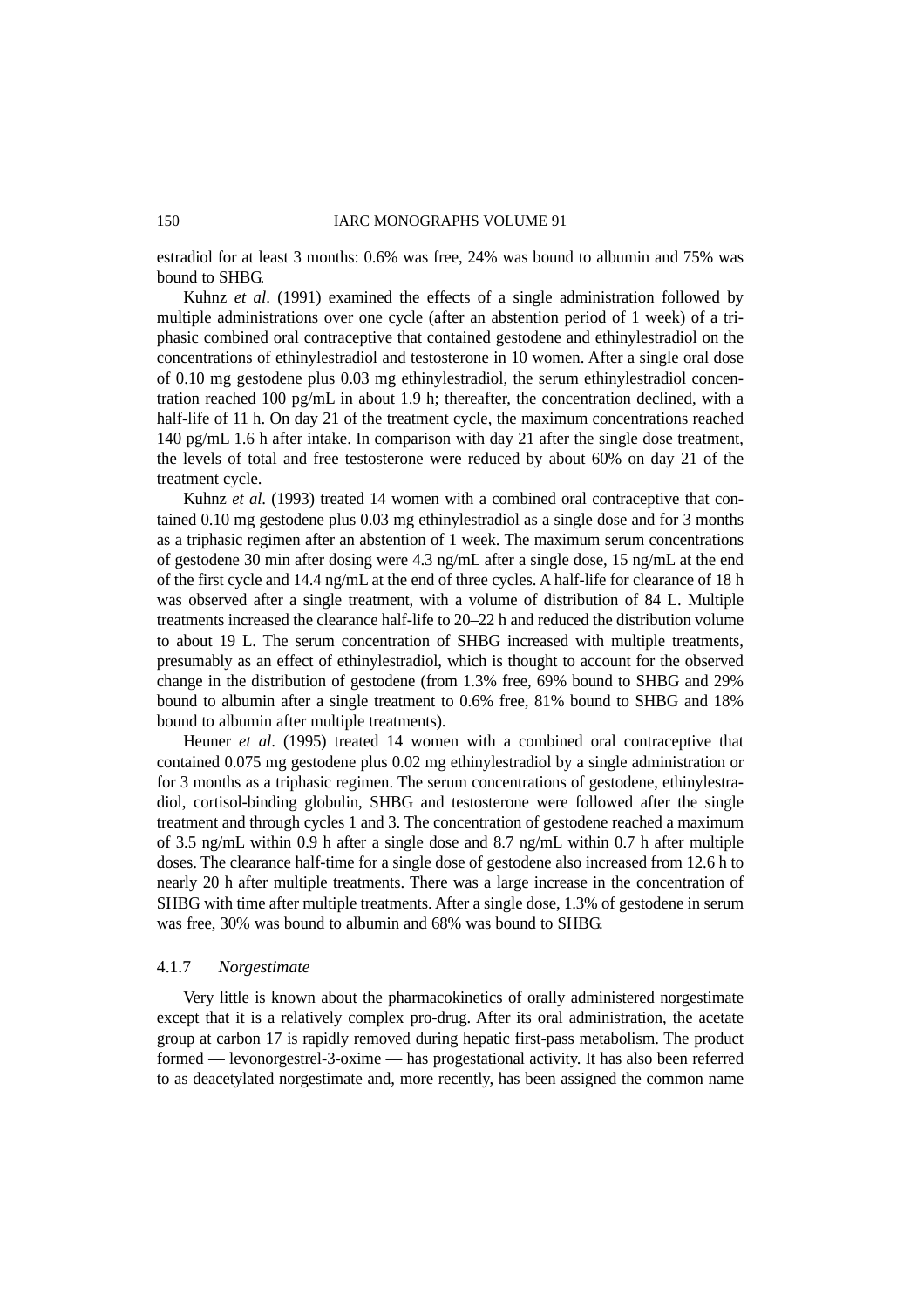estradiol for at least 3 months: 0.6% was free, 24% was bound to albumin and 75% was bound to SHBG.

Kuhnz *et al*. (1991) examined the effects of a single administration followed by multiple administrations over one cycle (after an abstention period of 1 week) of a triphasic combined oral contraceptive that contained gestodene and ethinylestradiol on the concentrations of ethinylestradiol and testosterone in 10 women. After a single oral dose of 0.10 mg gestodene plus 0.03 mg ethinylestradiol, the serum ethinylestradiol concentration reached 100 pg/mL in about 1.9 h; thereafter, the concentration declined, with a half-life of 11 h. On day 21 of the treatment cycle, the maximum concentrations reached 140 pg/mL 1.6 h after intake. In comparison with day 21 after the single dose treatment, the levels of total and free testosterone were reduced by about 60% on day 21 of the treatment cycle.

Kuhnz *et al*. (1993) treated 14 women with a combined oral contraceptive that contained 0.10 mg gestodene plus 0.03 mg ethinylestradiol as a single dose and for 3 months as a triphasic regimen after an abstention of 1 week. The maximum serum concentrations of gestodene 30 min after dosing were 4.3 ng/mL after a single dose, 15 ng/mL at the end of the first cycle and 14.4 ng/mL at the end of three cycles. A half-life for clearance of 18 h was observed after a single treatment, with a volume of distribution of 84 L. Multiple treatments increased the clearance half-life to 20–22 h and reduced the distribution volume to about 19 L. The serum concentration of SHBG increased with multiple treatments, presumably as an effect of ethinylestradiol, which is thought to account for the observed change in the distribution of gestodene (from 1.3% free, 69% bound to SHBG and 29% bound to albumin after a single treatment to 0.6% free, 81% bound to SHBG and 18% bound to albumin after multiple treatments).

Heuner *et al*. (1995) treated 14 women with a combined oral contraceptive that contained 0.075 mg gestodene plus 0.02 mg ethinylestradiol by a single administration or for 3 months as a triphasic regimen. The serum concentrations of gestodene, ethinylestradiol, cortisol-binding globulin, SHBG and testosterone were followed after the single treatment and through cycles 1 and 3. The concentration of gestodene reached a maximum of 3.5 ng/mL within 0.9 h after a single dose and 8.7 ng/mL within 0.7 h after multiple doses. The clearance half-time for a single dose of gestodene also increased from 12.6 h to nearly 20 h after multiple treatments. There was a large increase in the concentration of SHBG with time after multiple treatments. After a single dose, 1.3% of gestodene in serum was free, 30% was bound to albumin and 68% was bound to SHBG.

#### 4.1.7 *Norgestimate*

Very little is known about the pharmacokinetics of orally administered norgestimate except that it is a relatively complex pro-drug. After its oral administration, the acetate group at carbon 17 is rapidly removed during hepatic first-pass metabolism. The product formed — levonorgestrel-3-oxime — has progestational activity. It has also been referred to as deacetylated norgestimate and, more recently, has been assigned the common name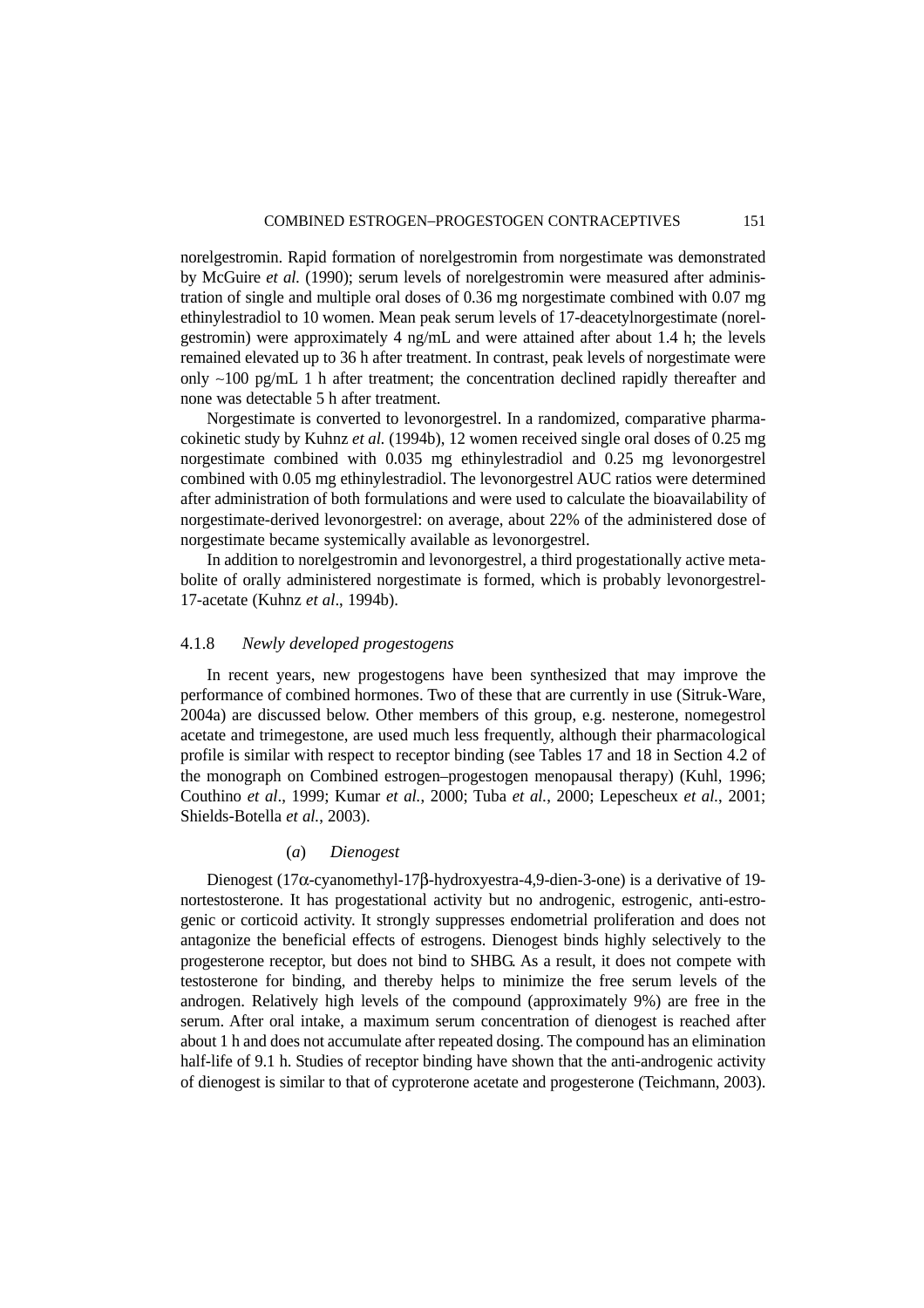norelgestromin. Rapid formation of norelgestromin from norgestimate was demonstrated by McGuire *et al.* (1990); serum levels of norelgestromin were measured after administration of single and multiple oral doses of 0.36 mg norgestimate combined with 0.07 mg ethinylestradiol to 10 women. Mean peak serum levels of 17-deacetylnorgestimate (norelgestromin) were approximately 4 ng/mL and were attained after about 1.4 h; the levels remained elevated up to 36 h after treatment. In contrast, peak levels of norgestimate were only ∼100 pg/mL 1 h after treatment; the concentration declined rapidly thereafter and none was detectable 5 h after treatment.

Norgestimate is converted to levonorgestrel. In a randomized, comparative pharmacokinetic study by Kuhnz *et al.* (1994b), 12 women received single oral doses of 0.25 mg norgestimate combined with 0.035 mg ethinylestradiol and 0.25 mg levonorgestrel combined with 0.05 mg ethinylestradiol. The levonorgestrel AUC ratios were determined after administration of both formulations and were used to calculate the bioavailability of norgestimate-derived levonorgestrel: on average, about 22% of the administered dose of norgestimate became systemically available as levonorgestrel.

In addition to norelgestromin and levonorgestrel, a third progestationally active metabolite of orally administered norgestimate is formed, which is probably levonorgestrel-17-acetate (Kuhnz *et al*., 1994b).

# 4.1.8 *Newly developed progestogens*

In recent years, new progestogens have been synthesized that may improve the performance of combined hormones. Two of these that are currently in use (Sitruk-Ware, 2004a) are discussed below. Other members of this group, e.g. nesterone, nomegestrol acetate and trimegestone, are used much less frequently, although their pharmacological profile is similar with respect to receptor binding (see Tables 17 and 18 in Section 4.2 of the monograph on Combined estrogen–progestogen menopausal therapy) (Kuhl, 1996; Couthino *et al*., 1999; Kumar *et al.*, 2000; Tuba *et al.*, 2000; Lepescheux *et al.*, 2001; Shields-Botella *et al.*, 2003).

## (*a*) *Dienogest*

Dienogest (17α-cyanomethyl-17β-hydroxyestra-4,9-dien-3-one) is a derivative of 19 nortestosterone. It has progestational activity but no androgenic, estrogenic, anti-estrogenic or corticoid activity. It strongly suppresses endometrial proliferation and does not antagonize the beneficial effects of estrogens. Dienogest binds highly selectively to the progesterone receptor, but does not bind to SHBG. As a result, it does not compete with testosterone for binding, and thereby helps to minimize the free serum levels of the androgen. Relatively high levels of the compound (approximately 9%) are free in the serum. After oral intake, a maximum serum concentration of dienogest is reached after about 1 h and does not accumulate after repeated dosing. The compound has an elimination half-life of 9.1 h. Studies of receptor binding have shown that the anti-androgenic activity of dienogest is similar to that of cyproterone acetate and progesterone (Teichmann, 2003).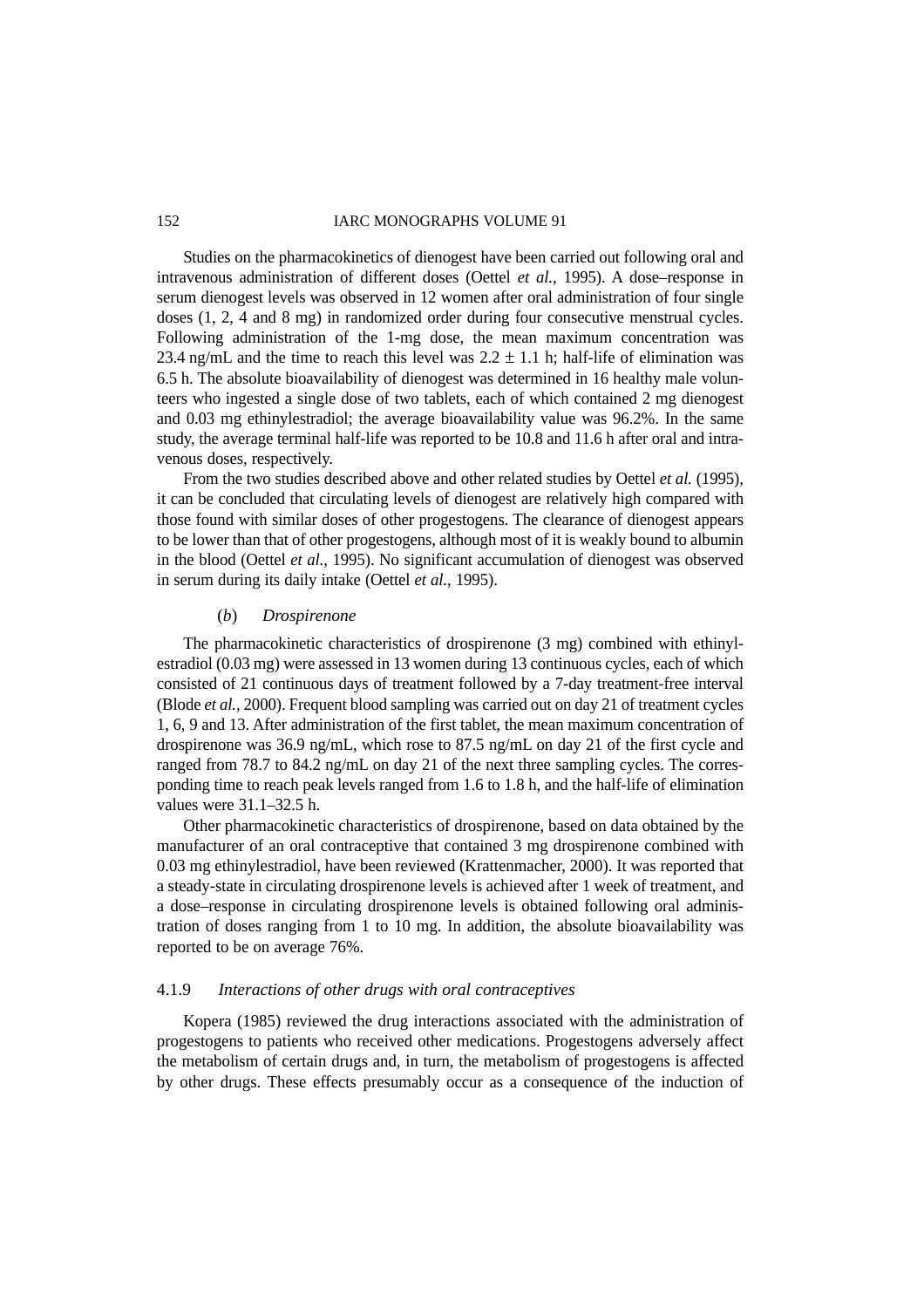Studies on the pharmacokinetics of dienogest have been carried out following oral and intravenous administration of different doses (Oettel *et al.*, 1995). A dose–response in serum dienogest levels was observed in 12 women after oral administration of four single doses (1, 2, 4 and 8 mg) in randomized order during four consecutive menstrual cycles. Following administration of the 1-mg dose, the mean maximum concentration was 23.4 ng/mL and the time to reach this level was  $2.2 \pm 1.1$  h; half-life of elimination was 6.5 h. The absolute bioavailability of dienogest was determined in 16 healthy male volunteers who ingested a single dose of two tablets, each of which contained 2 mg dienogest and 0.03 mg ethinylestradiol; the average bioavailability value was 96.2%. In the same study, the average terminal half-life was reported to be 10.8 and 11.6 h after oral and intravenous doses, respectively.

From the two studies described above and other related studies by Oettel *et al.* (1995), it can be concluded that circulating levels of dienogest are relatively high compared with those found with similar doses of other progestogens. The clearance of dienogest appears to be lower than that of other progestogens, although most of it is weakly bound to albumin in the blood (Oettel *et al.*, 1995). No significant accumulation of dienogest was observed in serum during its daily intake (Oettel *et al.*, 1995).

## (*b*) *Drospirenone*

The pharmacokinetic characteristics of drospirenone (3 mg) combined with ethinylestradiol (0.03 mg) were assessed in 13 women during 13 continuous cycles, each of which consisted of 21 continuous days of treatment followed by a 7-day treatment-free interval (Blode *et al.*, 2000). Frequent blood sampling was carried out on day 21 of treatment cycles 1, 6, 9 and 13. After administration of the first tablet, the mean maximum concentration of drospirenone was 36.9 ng/mL, which rose to 87.5 ng/mL on day 21 of the first cycle and ranged from 78.7 to 84.2 ng/mL on day 21 of the next three sampling cycles. The corresponding time to reach peak levels ranged from 1.6 to 1.8 h, and the half-life of elimination values were 31.1–32.5 h.

Other pharmacokinetic characteristics of drospirenone, based on data obtained by the manufacturer of an oral contraceptive that contained 3 mg drospirenone combined with 0.03 mg ethinylestradiol, have been reviewed (Krattenmacher, 2000). It was reported that a steady-state in circulating drospirenone levels is achieved after 1 week of treatment, and a dose–response in circulating drospirenone levels is obtained following oral administration of doses ranging from 1 to 10 mg. In addition, the absolute bioavailability was reported to be on average 76%.

### 4.1.9 *Interactions of other drugs with oral contraceptives*

Kopera (1985) reviewed the drug interactions associated with the administration of progestogens to patients who received other medications. Progestogens adversely affect the metabolism of certain drugs and, in turn, the metabolism of progestogens is affected by other drugs. These effects presumably occur as a consequence of the induction of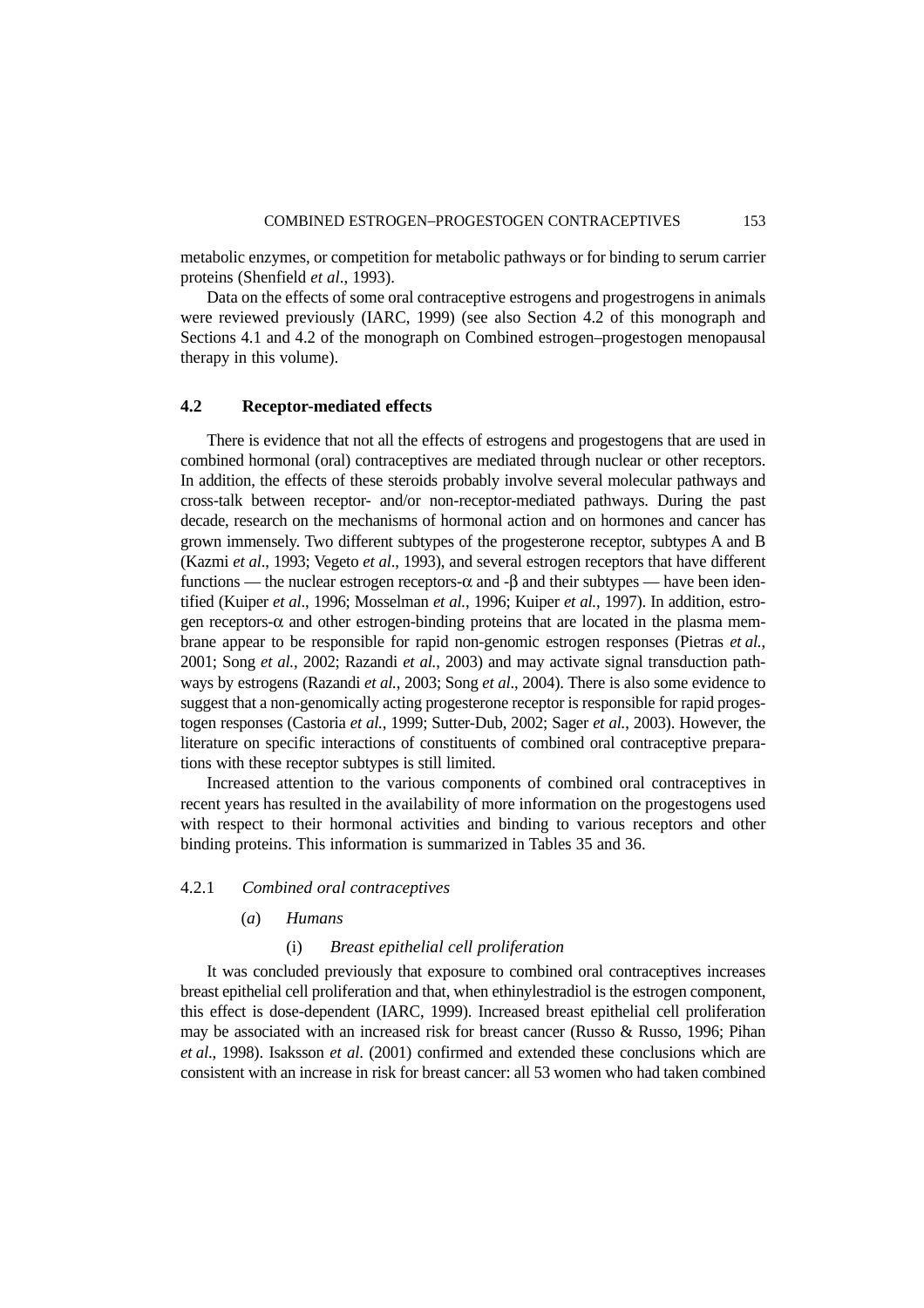metabolic enzymes, or competition for metabolic pathways or for binding to serum carrier proteins (Shenfield *et al*., 1993).

Data on the effects of some oral contraceptive estrogens and progestrogens in animals were reviewed previously (IARC, 1999) (see also Section 4.2 of this monograph and Sections 4.1 and 4.2 of the monograph on Combined estrogen–progestogen menopausal therapy in this volume).

### **4.2 Receptor-mediated effects**

There is evidence that not all the effects of estrogens and progestogens that are used in combined hormonal (oral) contraceptives are mediated through nuclear or other receptors. In addition, the effects of these steroids probably involve several molecular pathways and cross-talk between receptor- and/or non-receptor-mediated pathways. During the past decade, research on the mechanisms of hormonal action and on hormones and cancer has grown immensely. Two different subtypes of the progesterone receptor, subtypes A and B (Kazmi *et al*., 1993; Vegeto *et al*., 1993), and several estrogen receptors that have different functions — the nuclear estrogen receptors- $\alpha$  and - $\beta$  and their subtypes — have been identified (Kuiper *et al*., 1996; Mosselman *et al.*, 1996; Kuiper *et al.*, 1997). In addition, estrogen receptors- $\alpha$  and other estrogen-binding proteins that are located in the plasma membrane appear to be responsible for rapid non-genomic estrogen responses (Pietras *et al.*, 2001; Song *et al.*, 2002; Razandi *et al.*, 2003) and may activate signal transduction pathways by estrogens (Razandi *et al.*, 2003; Song *et al*., 2004). There is also some evidence to suggest that a non-genomically acting progesterone receptor is responsible for rapid progestogen responses (Castoria *et al.*, 1999; Sutter-Dub, 2002; Sager *et al.*, 2003). However, the literature on specific interactions of constituents of combined oral contraceptive preparations with these receptor subtypes is still limited.

Increased attention to the various components of combined oral contraceptives in recent years has resulted in the availability of more information on the progestogens used with respect to their hormonal activities and binding to various receptors and other binding proteins. This information is summarized in Tables 35 and 36.

## 4.2.1 *Combined oral contraceptives*

#### (*a*) *Humans*

## (i) *Breast epithelial cell proliferation*

It was concluded previously that exposure to combined oral contraceptives increases breast epithelial cell proliferation and that, when ethinylestradiol is the estrogen component, this effect is dose-dependent (IARC, 1999). Increased breast epithelial cell proliferation may be associated with an increased risk for breast cancer (Russo & Russo, 1996; Pihan *et al*., 1998). Isaksson *et al*. (2001) confirmed and extended these conclusions which are consistent with an increase in risk for breast cancer: all 53 women who had taken combined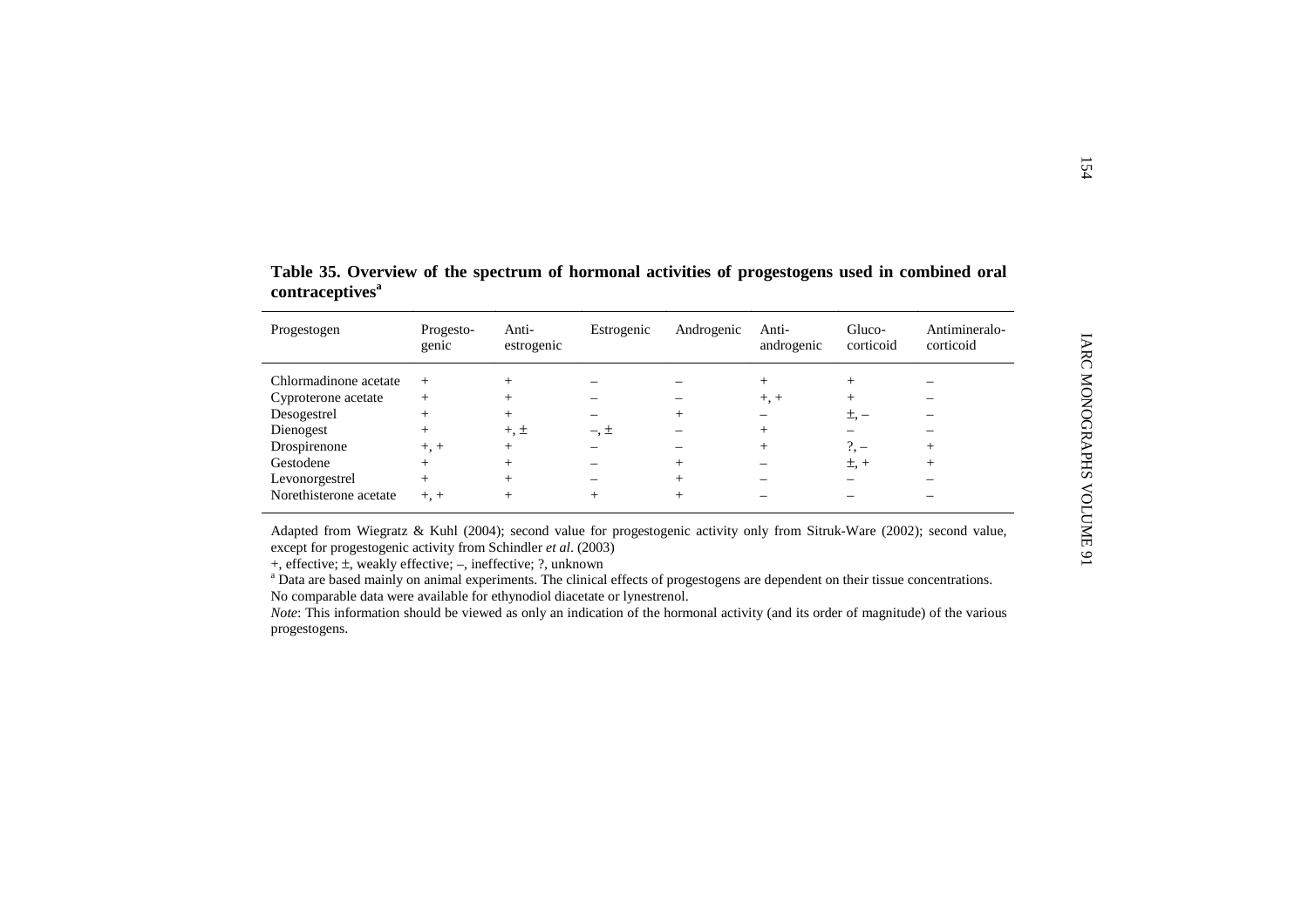| Table 35. Overview of the spectrum of hormonal activities of progestogens used in combined oral<br>contraceptives <sup>a</sup> |        |         |             |        |        |             |        |
|--------------------------------------------------------------------------------------------------------------------------------|--------|---------|-------------|--------|--------|-------------|--------|
|                                                                                                                                |        |         |             |        |        |             |        |
| Chlormadinone acetate                                                                                                          | $^{+}$ | $^{+}$  |             |        | $^{+}$ |             |        |
| Cyproterone acetate                                                                                                            | $^{+}$ | $^{+}$  |             |        | $+, +$ | $^{+}$      |        |
| Desogestrel                                                                                                                    | $^{+}$ | $^{+}$  |             | $^+$   |        | $\pm$ , $-$ |        |
| Dienogest                                                                                                                      | $+$    | $+,\pm$ | $-$ , $\pm$ |        | $^{+}$ |             |        |
| Drospirenone                                                                                                                   | $+, +$ | $^{+}$  |             |        | $^{+}$ | $?,-$       | $^{+}$ |
| Gestodene                                                                                                                      | $^{+}$ | $^{+}$  |             | $^+$   |        | $\pm$ , $+$ |        |
| Levonorgestrel                                                                                                                 | $^{+}$ | $^{+}$  |             | $^+$   |        |             |        |
| Norethisterone acetate                                                                                                         | $+, +$ | $^{+}$  |             | $^{+}$ |        |             |        |

|                             |  | Table 35. Overview of the spectrum of hormonal activities of progestogens used in combined oral |  |  |  |
|-----------------------------|--|-------------------------------------------------------------------------------------------------|--|--|--|
| contraceptives <sup>a</sup> |  |                                                                                                 |  |  |  |

+, effective; ±, weakly effective; –, ineffective; ?, unknown

<sup>a</sup> Data are based mainly on animal experiments. The clinical effects of progestogens are dependent on their tissue concentrations. No comparable data were available for ethynodiol diacetate or lynestrenol.

*Note*: This information should be viewed as only an indication of the hormonal activity (and its order of magnitude) of the various progestogens.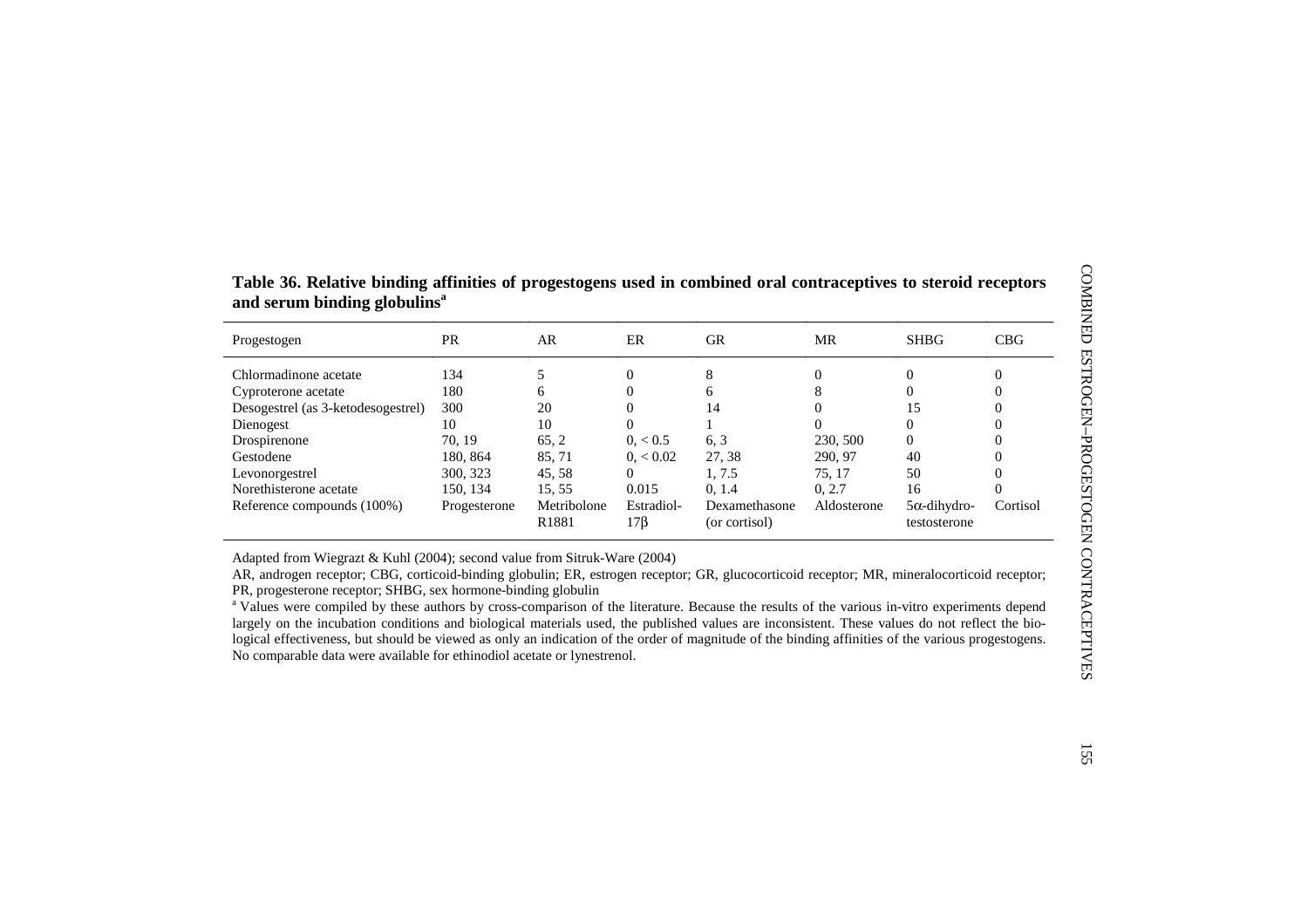| Progestogen                                                                                                                                                                                                                                                                                                                                                                                                                                           | <b>PR</b>    | AR                   | ER                      | GR                                                                                                                                                                                                                                                                                                    | MR          | <b>SHBG</b>                         | CBG      |
|-------------------------------------------------------------------------------------------------------------------------------------------------------------------------------------------------------------------------------------------------------------------------------------------------------------------------------------------------------------------------------------------------------------------------------------------------------|--------------|----------------------|-------------------------|-------------------------------------------------------------------------------------------------------------------------------------------------------------------------------------------------------------------------------------------------------------------------------------------------------|-------------|-------------------------------------|----------|
| Chlormadinone acetate                                                                                                                                                                                                                                                                                                                                                                                                                                 | 134          | 5                    | $\Omega$                | 8                                                                                                                                                                                                                                                                                                     | $\Omega$    | $\Omega$                            | $\theta$ |
| Cyproterone acetate                                                                                                                                                                                                                                                                                                                                                                                                                                   | 180          | 6                    |                         | 6                                                                                                                                                                                                                                                                                                     | 8           | 0                                   |          |
| Desogestrel (as 3-ketodesogestrel)                                                                                                                                                                                                                                                                                                                                                                                                                    | 300          | 20                   | $^{(1)}$                | 14                                                                                                                                                                                                                                                                                                    | 0           | 15                                  | $\theta$ |
| Dienogest                                                                                                                                                                                                                                                                                                                                                                                                                                             | 10           | 10                   |                         |                                                                                                                                                                                                                                                                                                       | 0           | 0                                   |          |
| Drospirenone                                                                                                                                                                                                                                                                                                                                                                                                                                          | 70, 19       | 65, 2                | 0, < 0.5                | 6, 3                                                                                                                                                                                                                                                                                                  | 230, 500    | 0                                   |          |
| Gestodene                                                                                                                                                                                                                                                                                                                                                                                                                                             | 180, 864     | 85, 71               | 0, < 0.02               | 27, 38                                                                                                                                                                                                                                                                                                | 290, 97     | 40                                  |          |
| Levonorgestrel                                                                                                                                                                                                                                                                                                                                                                                                                                        | 300, 323     | 45,58                | 0                       | 1, 7.5                                                                                                                                                                                                                                                                                                | 75, 17      | 50                                  |          |
| Norethisterone acetate                                                                                                                                                                                                                                                                                                                                                                                                                                | 150, 134     | 15, 55               | 0.015                   | 0, 1.4                                                                                                                                                                                                                                                                                                | 0, 2.7      | 16                                  |          |
| Reference compounds (100%)                                                                                                                                                                                                                                                                                                                                                                                                                            | Progesterone | Metribolone<br>R1881 | Estradiol-<br>$17\beta$ | Dexamethasone<br>(or cortisol)                                                                                                                                                                                                                                                                        | Aldosterone | $5\alpha$ -dihydro-<br>testosterone | Cortisol |
| Adapted from Wiegrazt & Kuhl (2004); second value from Sitruk-Ware (2004)<br>AR, androgen receptor; CBG, corticoid-binding globulin; ER, estrogen receptor; GR, glucocorticoid receptor; MR, mineralocorticoid receptor;<br>PR, progesterone receptor; SHBG, sex hormone-binding globulin<br><sup>a</sup> Values were compiled by these authors by cross-comparison of the literature. Because the results of the various in-vitro experiments depend |              |                      |                         | largely on the incubation conditions and biological materials used, the published values are inconsistent. These values do not reflect the bio-<br>logical effectiveness, but should be viewed as only an indication of the order of magnitude of the binding affinities of the various progestogens. |             |                                     |          |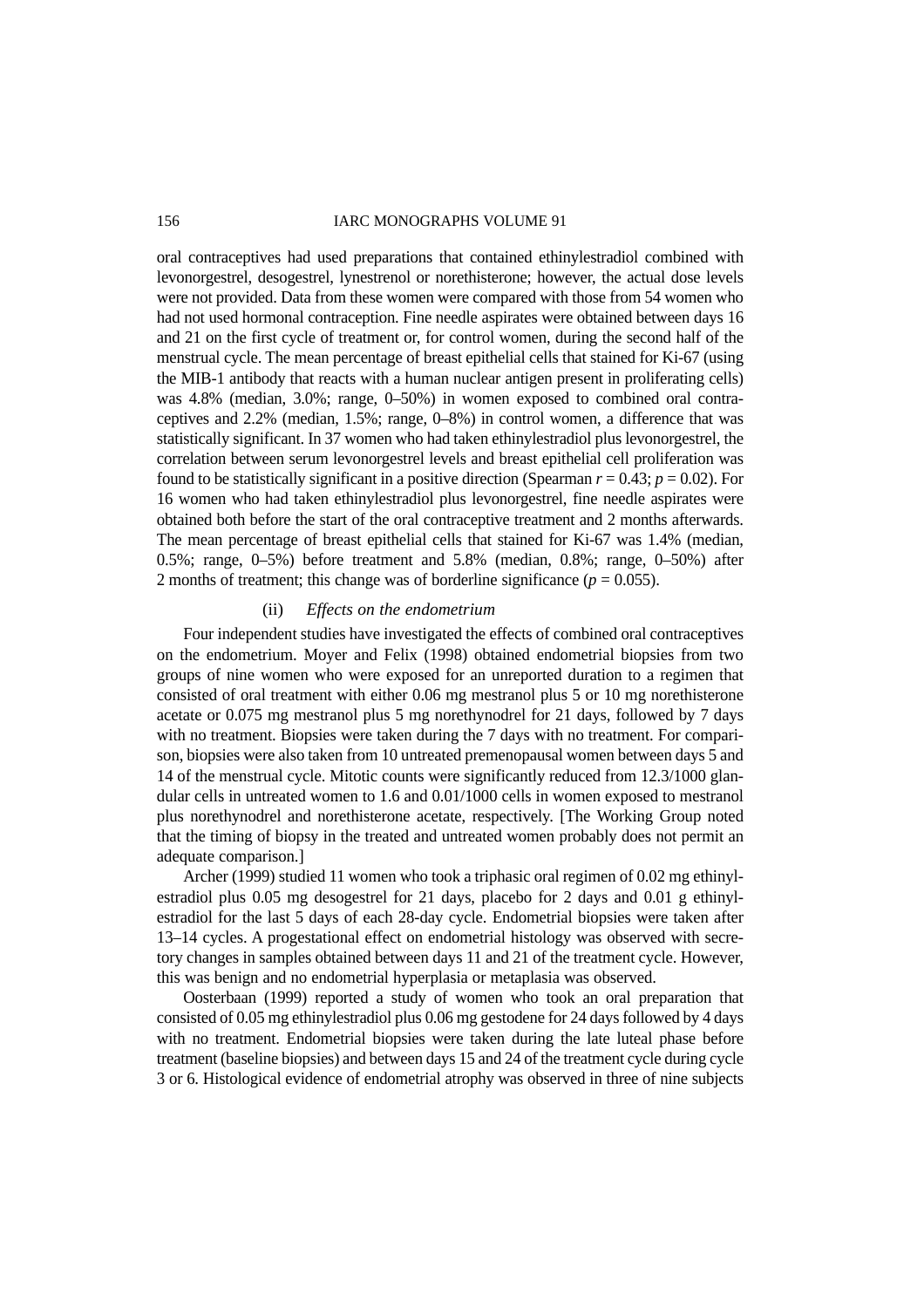oral contraceptives had used preparations that contained ethinylestradiol combined with levonorgestrel, desogestrel, lynestrenol or norethisterone; however, the actual dose levels were not provided. Data from these women were compared with those from 54 women who had not used hormonal contraception. Fine needle aspirates were obtained between days 16 and 21 on the first cycle of treatment or, for control women, during the second half of the menstrual cycle. The mean percentage of breast epithelial cells that stained for Ki-67 (using the MIB-1 antibody that reacts with a human nuclear antigen present in proliferating cells) was 4.8% (median, 3.0%; range, 0–50%) in women exposed to combined oral contraceptives and 2.2% (median, 1.5%; range, 0–8%) in control women, a difference that was statistically significant. In 37 women who had taken ethinylestradiol plus levonorgestrel, the correlation between serum levonorgestrel levels and breast epithelial cell proliferation was found to be statistically significant in a positive direction (Spearman  $r = 0.43$ ;  $p = 0.02$ ). For 16 women who had taken ethinylestradiol plus levonorgestrel, fine needle aspirates were obtained both before the start of the oral contraceptive treatment and 2 months afterwards. The mean percentage of breast epithelial cells that stained for Ki-67 was 1.4% (median, 0.5%; range, 0–5%) before treatment and 5.8% (median, 0.8%; range, 0–50%) after 2 months of treatment; this change was of borderline significance ( $p = 0.055$ ).

## (ii) *Effects on the endometrium*

Four independent studies have investigated the effects of combined oral contraceptives on the endometrium. Moyer and Felix (1998) obtained endometrial biopsies from two groups of nine women who were exposed for an unreported duration to a regimen that consisted of oral treatment with either 0.06 mg mestranol plus 5 or 10 mg norethisterone acetate or 0.075 mg mestranol plus 5 mg norethynodrel for 21 days, followed by 7 days with no treatment. Biopsies were taken during the 7 days with no treatment. For comparison, biopsies were also taken from 10 untreated premenopausal women between days 5 and 14 of the menstrual cycle. Mitotic counts were significantly reduced from 12.3/1000 glandular cells in untreated women to 1.6 and 0.01/1000 cells in women exposed to mestranol plus norethynodrel and norethisterone acetate, respectively. [The Working Group noted that the timing of biopsy in the treated and untreated women probably does not permit an adequate comparison.]

Archer (1999) studied 11 women who took a triphasic oral regimen of 0.02 mg ethinylestradiol plus 0.05 mg desogestrel for 21 days, placebo for 2 days and 0.01 g ethinylestradiol for the last 5 days of each 28-day cycle. Endometrial biopsies were taken after 13–14 cycles. A progestational effect on endometrial histology was observed with secretory changes in samples obtained between days 11 and 21 of the treatment cycle. However, this was benign and no endometrial hyperplasia or metaplasia was observed.

Oosterbaan (1999) reported a study of women who took an oral preparation that consisted of 0.05 mg ethinylestradiol plus 0.06 mg gestodene for 24 days followed by 4 days with no treatment. Endometrial biopsies were taken during the late luteal phase before treatment (baseline biopsies) and between days 15 and 24 of the treatment cycle during cycle 3 or 6. Histological evidence of endometrial atrophy was observed in three of nine subjects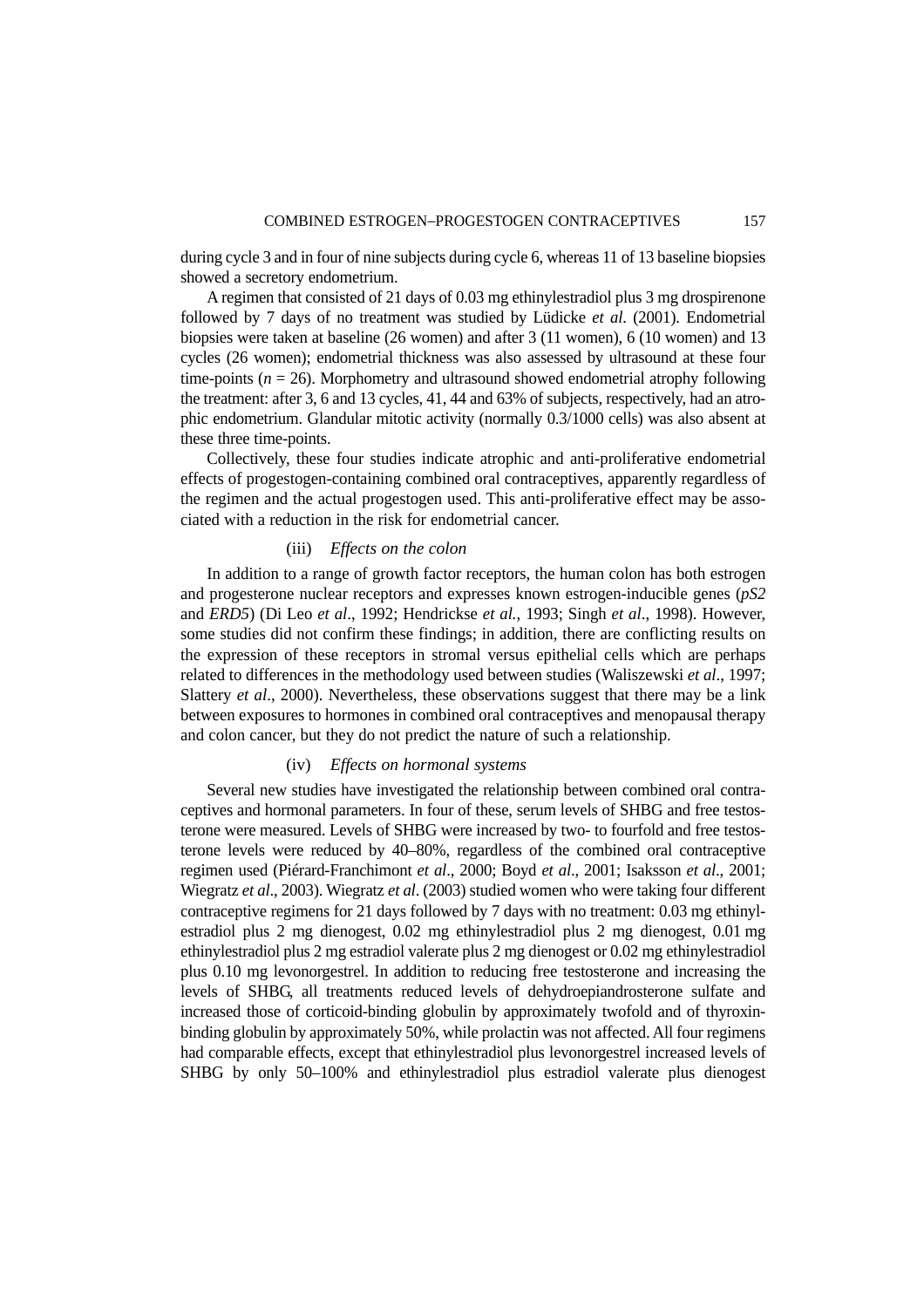during cycle 3 and in four of nine subjects during cycle 6, whereas 11 of 13 baseline biopsies showed a secretory endometrium.

A regimen that consisted of 21 days of 0.03 mg ethinylestradiol plus 3 mg drospirenone followed by 7 days of no treatment was studied by Lüdicke *et al*. (2001). Endometrial biopsies were taken at baseline (26 women) and after 3 (11 women), 6 (10 women) and 13 cycles (26 women); endometrial thickness was also assessed by ultrasound at these four time-points  $(n = 26)$ . Morphometry and ultrasound showed endometrial atrophy following the treatment: after 3, 6 and 13 cycles, 41, 44 and 63% of subjects, respectively, had an atrophic endometrium. Glandular mitotic activity (normally 0.3/1000 cells) was also absent at these three time-points.

Collectively, these four studies indicate atrophic and anti-proliferative endometrial effects of progestogen-containing combined oral contraceptives, apparently regardless of the regimen and the actual progestogen used. This anti-proliferative effect may be associated with a reduction in the risk for endometrial cancer.

#### (iii) *Effects on the colon*

In addition to a range of growth factor receptors, the human colon has both estrogen and progesterone nuclear receptors and expresses known estrogen-inducible genes (*pS2* and *ERD5*) (Di Leo *et al*., 1992; Hendrickse *et al.*, 1993; Singh *et al*., 1998). However, some studies did not confirm these findings; in addition, there are conflicting results on the expression of these receptors in stromal versus epithelial cells which are perhaps related to differences in the methodology used between studies (Waliszewski *et al*., 1997; Slattery *et al*., 2000). Nevertheless, these observations suggest that there may be a link between exposures to hormones in combined oral contraceptives and menopausal therapy and colon cancer, but they do not predict the nature of such a relationship.

# (iv) *Effects on hormonal systems*

Several new studies have investigated the relationship between combined oral contraceptives and hormonal parameters. In four of these, serum levels of SHBG and free testosterone were measured. Levels of SHBG were increased by two- to fourfold and free testosterone levels were reduced by 40–80%, regardless of the combined oral contraceptive regimen used (Piérard-Franchimont *et al*., 2000; Boyd *et al*., 2001; Isaksson *et al*., 2001; Wiegratz *et al*., 2003). Wiegratz *et al*. (2003) studied women who were taking four different contraceptive regimens for 21 days followed by 7 days with no treatment: 0.03 mg ethinylestradiol plus 2 mg dienogest, 0.02 mg ethinylestradiol plus 2 mg dienogest, 0.01 mg ethinylestradiol plus 2 mg estradiol valerate plus 2 mg dienogest or 0.02 mg ethinylestradiol plus 0.10 mg levonorgestrel. In addition to reducing free testosterone and increasing the levels of SHBG, all treatments reduced levels of dehydroepiandrosterone sulfate and increased those of corticoid-binding globulin by approximately twofold and of thyroxinbinding globulin by approximately 50%, while prolactin was not affected. All four regimens had comparable effects, except that ethinylestradiol plus levonorgestrel increased levels of SHBG by only 50–100% and ethinylestradiol plus estradiol valerate plus dienogest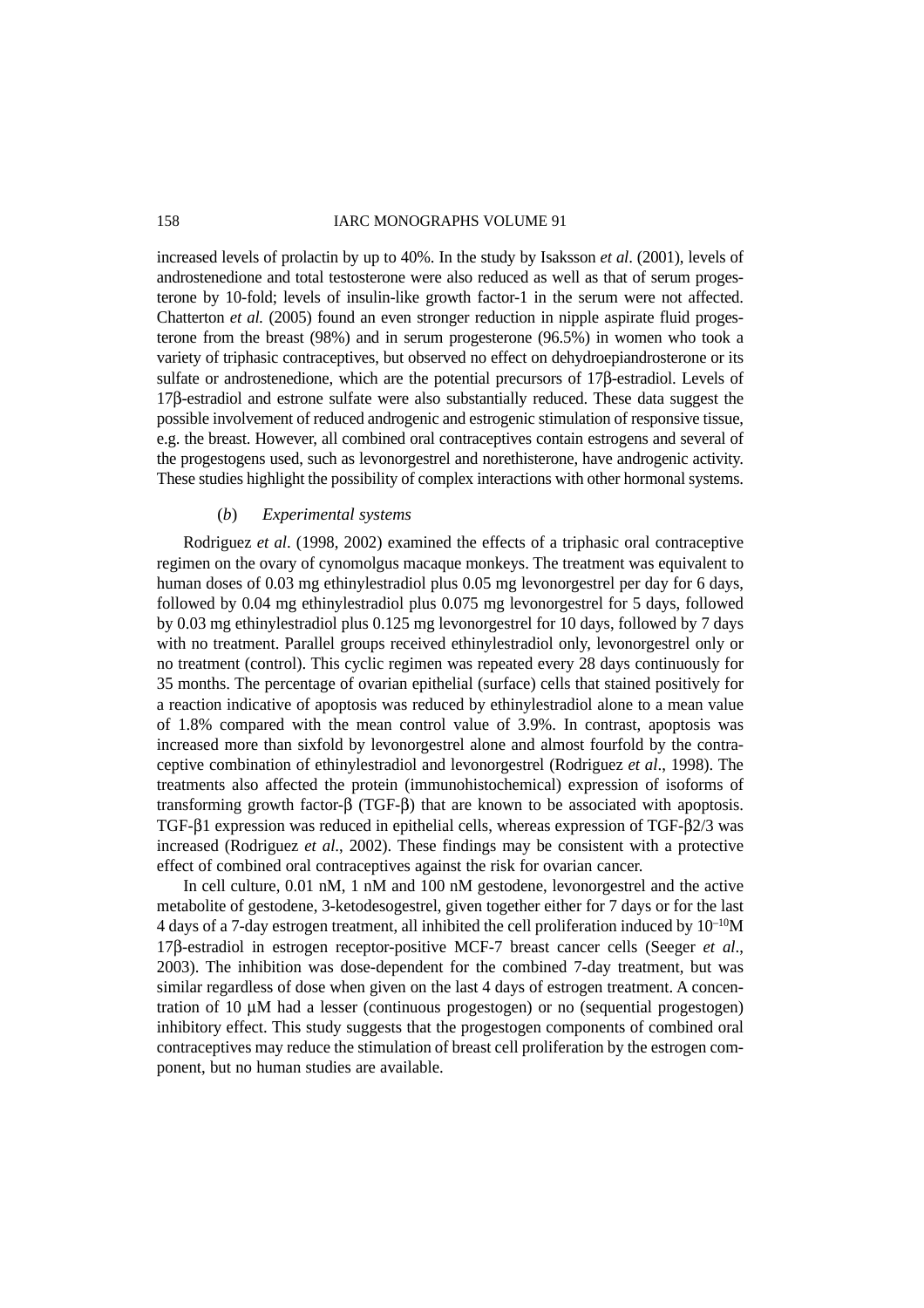increased levels of prolactin by up to 40%. In the study by Isaksson *et al*. (2001), levels of androstenedione and total testosterone were also reduced as well as that of serum progesterone by 10-fold; levels of insulin-like growth factor-1 in the serum were not affected. Chatterton *et al.* (2005) found an even stronger reduction in nipple aspirate fluid progesterone from the breast (98%) and in serum progesterone (96.5%) in women who took a variety of triphasic contraceptives, but observed no effect on dehydroepiandrosterone or its sulfate or androstenedione, which are the potential precursors of 17β-estradiol. Levels of 17β-estradiol and estrone sulfate were also substantially reduced. These data suggest the possible involvement of reduced androgenic and estrogenic stimulation of responsive tissue, e.g. the breast. However, all combined oral contraceptives contain estrogens and several of the progestogens used, such as levonorgestrel and norethisterone, have androgenic activity. These studies highlight the possibility of complex interactions with other hormonal systems.

## (*b*) *Experimental systems*

Rodriguez *et al*. (1998, 2002) examined the effects of a triphasic oral contraceptive regimen on the ovary of cynomolgus macaque monkeys. The treatment was equivalent to human doses of 0.03 mg ethinylestradiol plus 0.05 mg levonorgestrel per day for 6 days, followed by 0.04 mg ethinylestradiol plus 0.075 mg levonorgestrel for 5 days, followed by 0.03 mg ethinylestradiol plus 0.125 mg levonorgestrel for 10 days, followed by 7 days with no treatment. Parallel groups received ethinylestradiol only, levonorgestrel only or no treatment (control). This cyclic regimen was repeated every 28 days continuously for 35 months. The percentage of ovarian epithelial (surface) cells that stained positively for a reaction indicative of apoptosis was reduced by ethinylestradiol alone to a mean value of 1.8% compared with the mean control value of 3.9%. In contrast, apoptosis was increased more than sixfold by levonorgestrel alone and almost fourfold by the contraceptive combination of ethinylestradiol and levonorgestrel (Rodriguez *et al*., 1998). The treatments also affected the protein (immunohistochemical) expression of isoforms of transforming growth factor-β (TGF-β) that are known to be associated with apoptosis. TGF-β1 expression was reduced in epithelial cells, whereas expression of TGF-β2/3 was increased (Rodriguez *et al*., 2002). These findings may be consistent with a protective effect of combined oral contraceptives against the risk for ovarian cancer.

In cell culture, 0.01 nM, 1 nM and 100 nM gestodene, levonorgestrel and the active metabolite of gestodene, 3-ketodesogestrel, given together either for 7 days or for the last 4 days of a 7-day estrogen treatment, all inhibited the cell proliferation induced by 10–10M 17β-estradiol in estrogen receptor-positive MCF-7 breast cancer cells (Seeger *et al*., 2003). The inhibition was dose-dependent for the combined 7-day treatment, but was similar regardless of dose when given on the last 4 days of estrogen treatment. A concentration of 10 μM had a lesser (continuous progestogen) or no (sequential progestogen) inhibitory effect. This study suggests that the progestogen components of combined oral contraceptives may reduce the stimulation of breast cell proliferation by the estrogen component, but no human studies are available.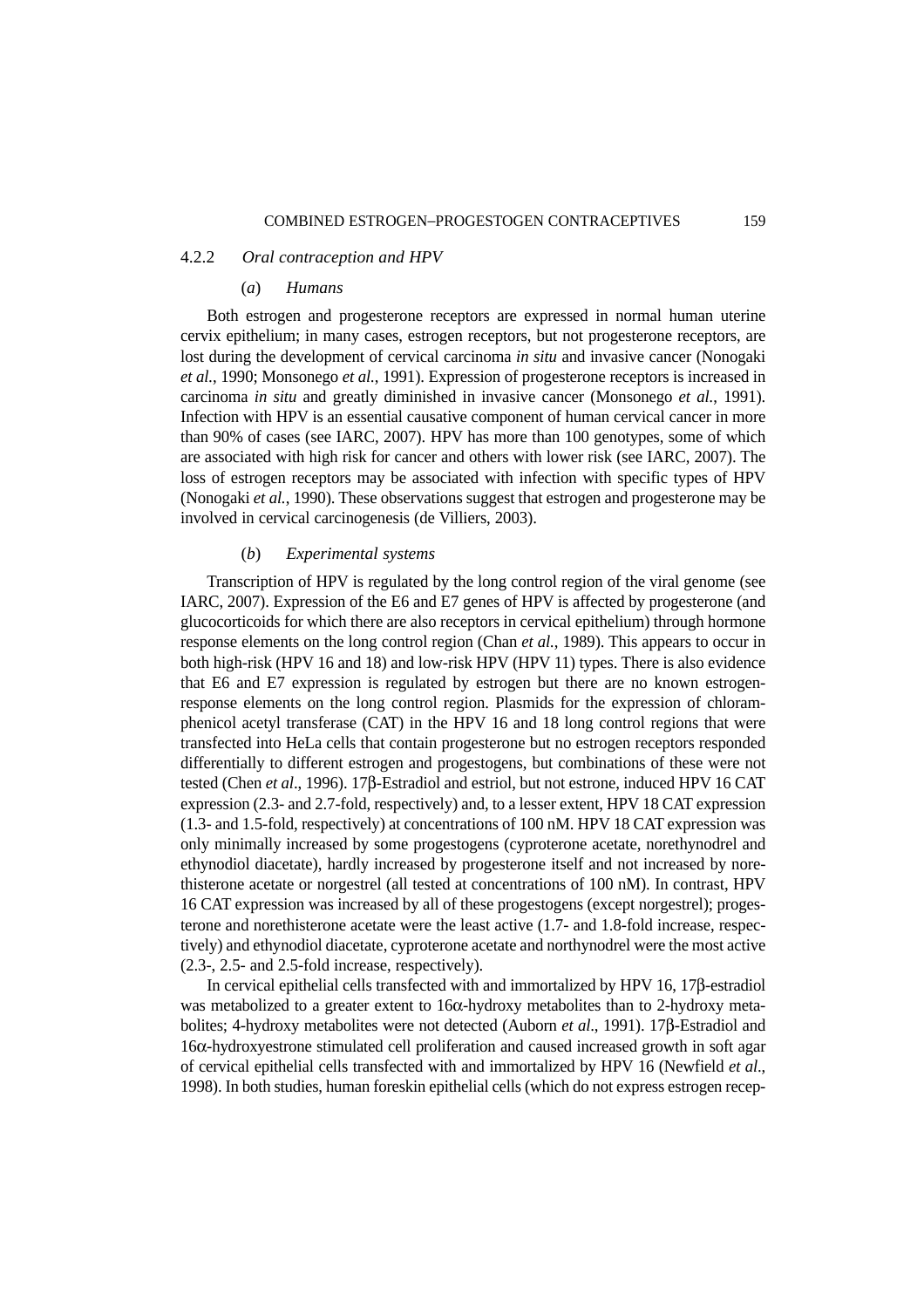## COMBINED ESTROGEN−PROGESTOGEN CONTRACEPTIVES 159

## 4.2.2 *Oral contraception and HPV*

## (*a*) *Humans*

Both estrogen and progesterone receptors are expressed in normal human uterine cervix epithelium; in many cases, estrogen receptors, but not progesterone receptors, are lost during the development of cervical carcinoma *in situ* and invasive cancer (Nonogaki *et al.*, 1990; Monsonego *et al.*, 1991). Expression of progesterone receptors is increased in carcinoma *in situ* and greatly diminished in invasive cancer (Monsonego *et al.*, 1991). Infection with HPV is an essential causative component of human cervical cancer in more than 90% of cases (see IARC, 2007). HPV has more than 100 genotypes, some of which are associated with high risk for cancer and others with lower risk (see IARC, 2007). The loss of estrogen receptors may be associated with infection with specific types of HPV (Nonogaki *et al.*, 1990). These observations suggest that estrogen and progesterone may be involved in cervical carcinogenesis (de Villiers, 2003).

## (*b*) *Experimental systems*

Transcription of HPV is regulated by the long control region of the viral genome (see IARC, 2007). Expression of the E6 and E7 genes of HPV is affected by progesterone (and glucocorticoids for which there are also receptors in cervical epithelium) through hormone response elements on the long control region (Chan *et al.*, 1989). This appears to occur in both high-risk (HPV 16 and 18) and low-risk HPV (HPV 11) types. There is also evidence that E6 and E7 expression is regulated by estrogen but there are no known estrogenresponse elements on the long control region. Plasmids for the expression of chloramphenicol acetyl transferase (CAT) in the HPV 16 and 18 long control regions that were transfected into HeLa cells that contain progesterone but no estrogen receptors responded differentially to different estrogen and progestogens, but combinations of these were not tested (Chen *et al*., 1996). 17β-Estradiol and estriol, but not estrone, induced HPV 16 CAT expression (2.3- and 2.7-fold, respectively) and, to a lesser extent, HPV 18 CAT expression (1.3- and 1.5-fold, respectively) at concentrations of 100 nM. HPV 18 CAT expression was only minimally increased by some progestogens (cyproterone acetate, norethynodrel and ethynodiol diacetate), hardly increased by progesterone itself and not increased by norethisterone acetate or norgestrel (all tested at concentrations of 100 nM). In contrast, HPV 16 CAT expression was increased by all of these progestogens (except norgestrel); progesterone and norethisterone acetate were the least active (1.7- and 1.8-fold increase, respectively) and ethynodiol diacetate, cyproterone acetate and northynodrel were the most active (2.3-, 2.5- and 2.5-fold increase, respectively).

In cervical epithelial cells transfected with and immortalized by HPV 16, 17β-estradiol was metabolized to a greater extent to 16α-hydroxy metabolites than to 2-hydroxy metabolites; 4-hydroxy metabolites were not detected (Auborn *et al*., 1991). 17β-Estradiol and 16α-hydroxyestrone stimulated cell proliferation and caused increased growth in soft agar of cervical epithelial cells transfected with and immortalized by HPV 16 (Newfield *et al*., 1998). In both studies, human foreskin epithelial cells (which do not express estrogen recep-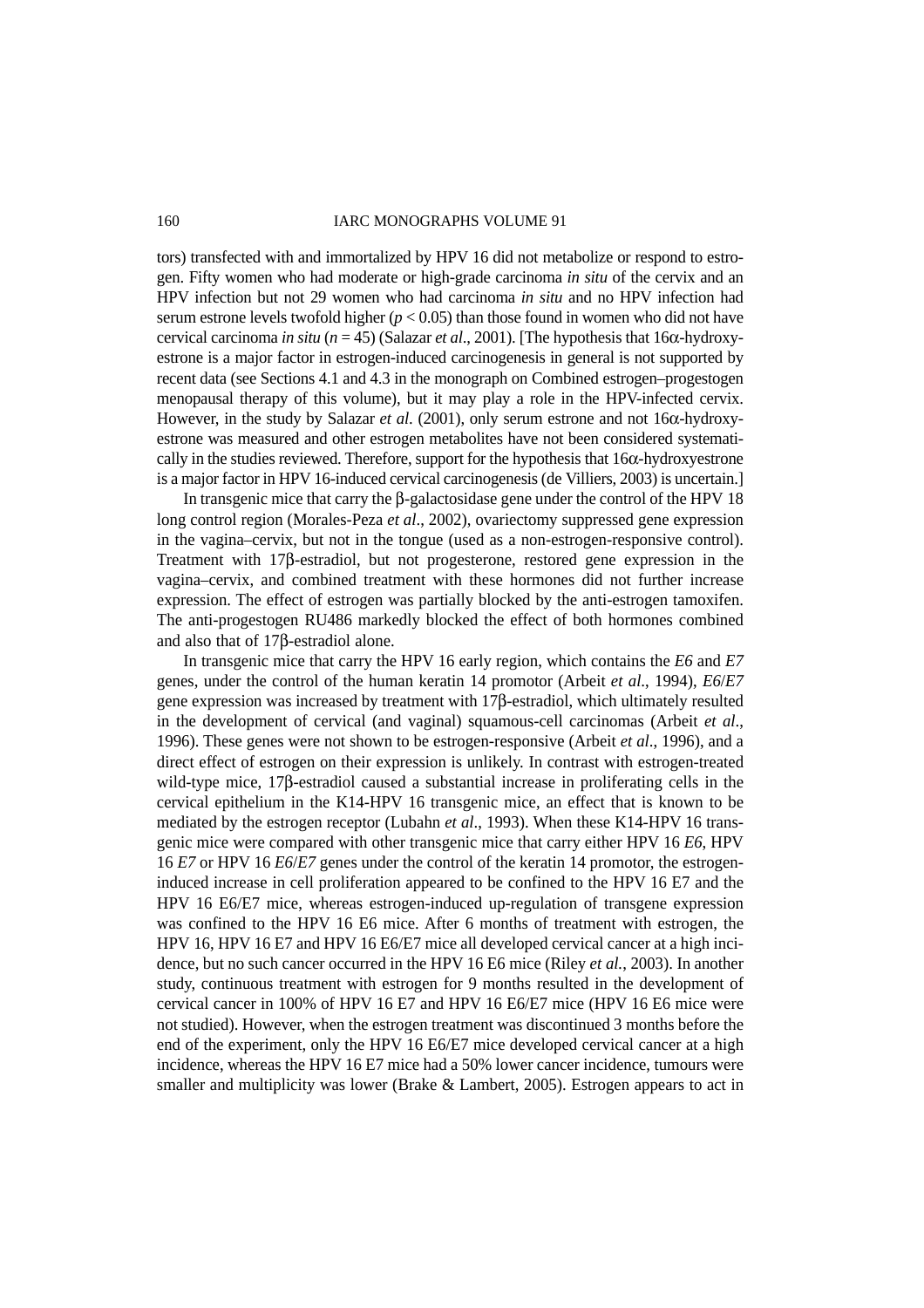tors) transfected with and immortalized by HPV 16 did not metabolize or respond to estrogen. Fifty women who had moderate or high-grade carcinoma *in situ* of the cervix and an HPV infection but not 29 women who had carcinoma *in situ* and no HPV infection had serum estrone levels twofold higher  $(p < 0.05)$  than those found in women who did not have cervical carcinoma *in situ* (*n* = 45) (Salazar *et al*., 2001). [The hypothesis that 16α-hydroxyestrone is a major factor in estrogen-induced carcinogenesis in general is not supported by recent data (see Sections 4.1 and 4.3 in the monograph on Combined estrogen–progestogen menopausal therapy of this volume), but it may play a role in the HPV-infected cervix. However, in the study by Salazar *et al*. (2001), only serum estrone and not 16α-hydroxyestrone was measured and other estrogen metabolites have not been considered systematically in the studies reviewed. Therefore, support for the hypothesis that 16α-hydroxyestrone is a major factor in HPV 16-induced cervical carcinogenesis (de Villiers, 2003) is uncertain.]

In transgenic mice that carry the β-galactosidase gene under the control of the HPV 18 long control region (Morales-Peza *et al*., 2002), ovariectomy suppressed gene expression in the vagina–cervix, but not in the tongue (used as a non-estrogen-responsive control). Treatment with 17β-estradiol, but not progesterone, restored gene expression in the vagina–cervix, and combined treatment with these hormones did not further increase expression. The effect of estrogen was partially blocked by the anti-estrogen tamoxifen. The anti-progestogen RU486 markedly blocked the effect of both hormones combined and also that of 17β-estradiol alone.

In transgenic mice that carry the HPV 16 early region, which contains the *E6* and *E7* genes, under the control of the human keratin 14 promotor (Arbeit *et al*., 1994), *E6*/*E7* gene expression was increased by treatment with 17β-estradiol, which ultimately resulted in the development of cervical (and vaginal) squamous-cell carcinomas (Arbeit *et al*., 1996). These genes were not shown to be estrogen-responsive (Arbeit *et al*., 1996), and a direct effect of estrogen on their expression is unlikely. In contrast with estrogen-treated wild-type mice, 17β-estradiol caused a substantial increase in proliferating cells in the cervical epithelium in the K14-HPV 16 transgenic mice, an effect that is known to be mediated by the estrogen receptor (Lubahn *et al*., 1993). When these K14-HPV 16 transgenic mice were compared with other transgenic mice that carry either HPV 16 *E6*, HPV 16 *E7* or HPV 16 *E6*/*E7* genes under the control of the keratin 14 promotor, the estrogeninduced increase in cell proliferation appeared to be confined to the HPV 16 E7 and the HPV 16 E6/E7 mice, whereas estrogen-induced up-regulation of transgene expression was confined to the HPV 16 E6 mice. After 6 months of treatment with estrogen, the HPV 16, HPV 16 E7 and HPV 16 E6/E7 mice all developed cervical cancer at a high incidence, but no such cancer occurred in the HPV 16 E6 mice (Riley *et al.*, 2003). In another study, continuous treatment with estrogen for 9 months resulted in the development of cervical cancer in 100% of HPV 16 E7 and HPV 16 E6/E7 mice (HPV 16 E6 mice were not studied). However, when the estrogen treatment was discontinued 3 months before the end of the experiment, only the HPV 16 E6/E7 mice developed cervical cancer at a high incidence, whereas the HPV 16 E7 mice had a 50% lower cancer incidence, tumours were smaller and multiplicity was lower (Brake & Lambert, 2005). Estrogen appears to act in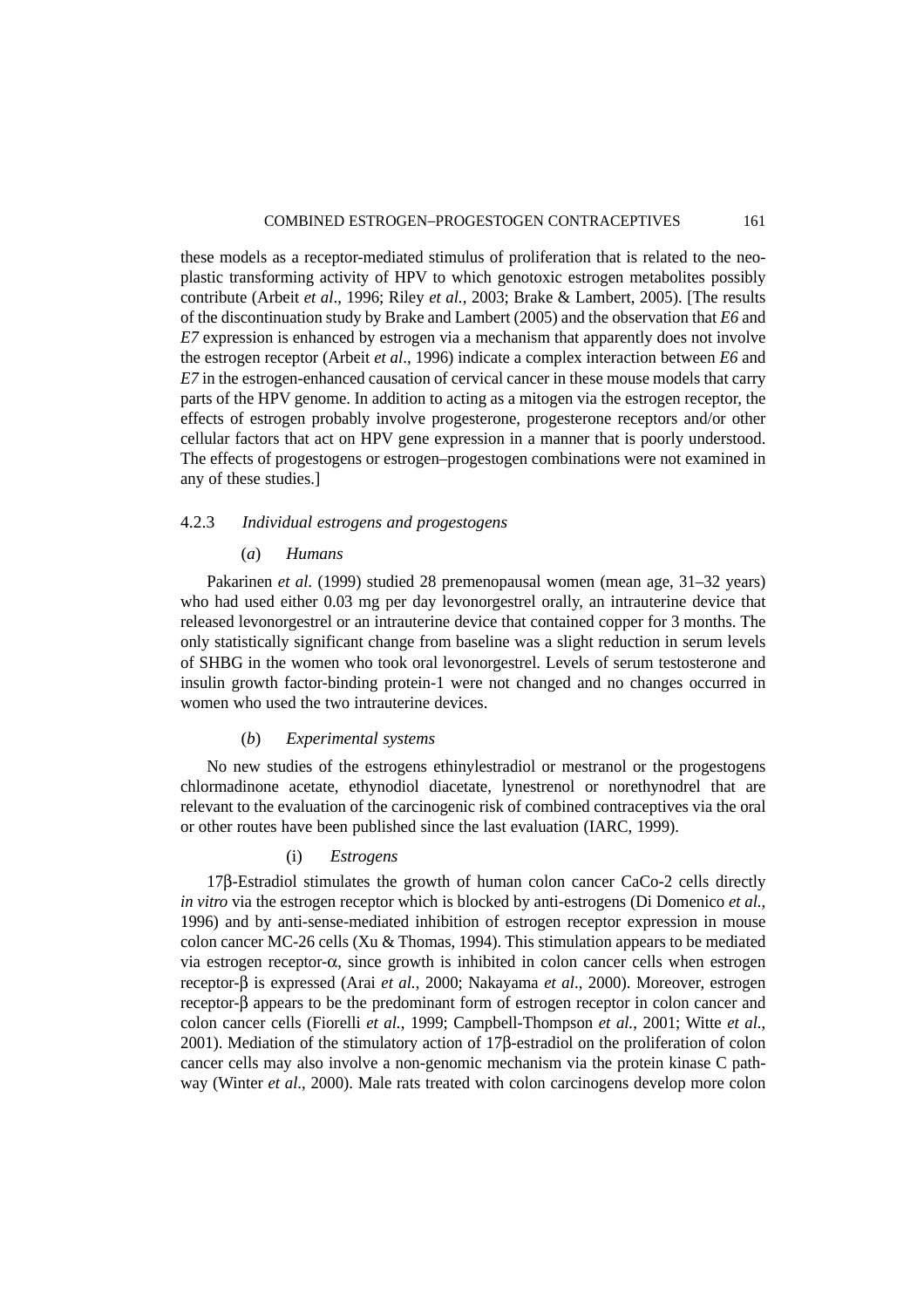these models as a receptor-mediated stimulus of proliferation that is related to the neoplastic transforming activity of HPV to which genotoxic estrogen metabolites possibly contribute (Arbeit *et al*., 1996; Riley *et al.*, 2003; Brake & Lambert, 2005). [The results of the discontinuation study by Brake and Lambert (2005) and the observation that *E6* and *E7* expression is enhanced by estrogen via a mechanism that apparently does not involve the estrogen receptor (Arbeit *et al*., 1996) indicate a complex interaction between *E6* and *E7* in the estrogen-enhanced causation of cervical cancer in these mouse models that carry parts of the HPV genome. In addition to acting as a mitogen via the estrogen receptor, the effects of estrogen probably involve progesterone, progesterone receptors and/or other cellular factors that act on HPV gene expression in a manner that is poorly understood. The effects of progestogens or estrogen–progestogen combinations were not examined in any of these studies.]

# 4.2.3 *Individual estrogens and progestogens*

## (*a*) *Humans*

Pakarinen *et al*. (1999) studied 28 premenopausal women (mean age, 31–32 years) who had used either 0.03 mg per day levonorgestrel orally, an intrauterine device that released levonorgestrel or an intrauterine device that contained copper for 3 months. The only statistically significant change from baseline was a slight reduction in serum levels of SHBG in the women who took oral levonorgestrel. Levels of serum testosterone and insulin growth factor-binding protein-1 were not changed and no changes occurred in women who used the two intrauterine devices.

#### (*b*) *Experimental systems*

No new studies of the estrogens ethinylestradiol or mestranol or the progestogens chlormadinone acetate, ethynodiol diacetate, lynestrenol or norethynodrel that are relevant to the evaluation of the carcinogenic risk of combined contraceptives via the oral or other routes have been published since the last evaluation (IARC, 1999).

## (i) *Estrogens*

17β-Estradiol stimulates the growth of human colon cancer CaCo-2 cells directly *in vitro* via the estrogen receptor which is blocked by anti-estrogens (Di Domenico *et al.*, 1996) and by anti-sense-mediated inhibition of estrogen receptor expression in mouse colon cancer MC-26 cells (Xu & Thomas, 1994). This stimulation appears to be mediated via estrogen receptor-α, since growth is inhibited in colon cancer cells when estrogen receptor-β is expressed (Arai *et al.*, 2000; Nakayama *et al*., 2000). Moreover, estrogen receptor-β appears to be the predominant form of estrogen receptor in colon cancer and colon cancer cells (Fiorelli *et al.*, 1999; Campbell-Thompson *et al.*, 2001; Witte *et al.*, 2001). Mediation of the stimulatory action of 17β-estradiol on the proliferation of colon cancer cells may also involve a non-genomic mechanism via the protein kinase C pathway (Winter *et al*., 2000). Male rats treated with colon carcinogens develop more colon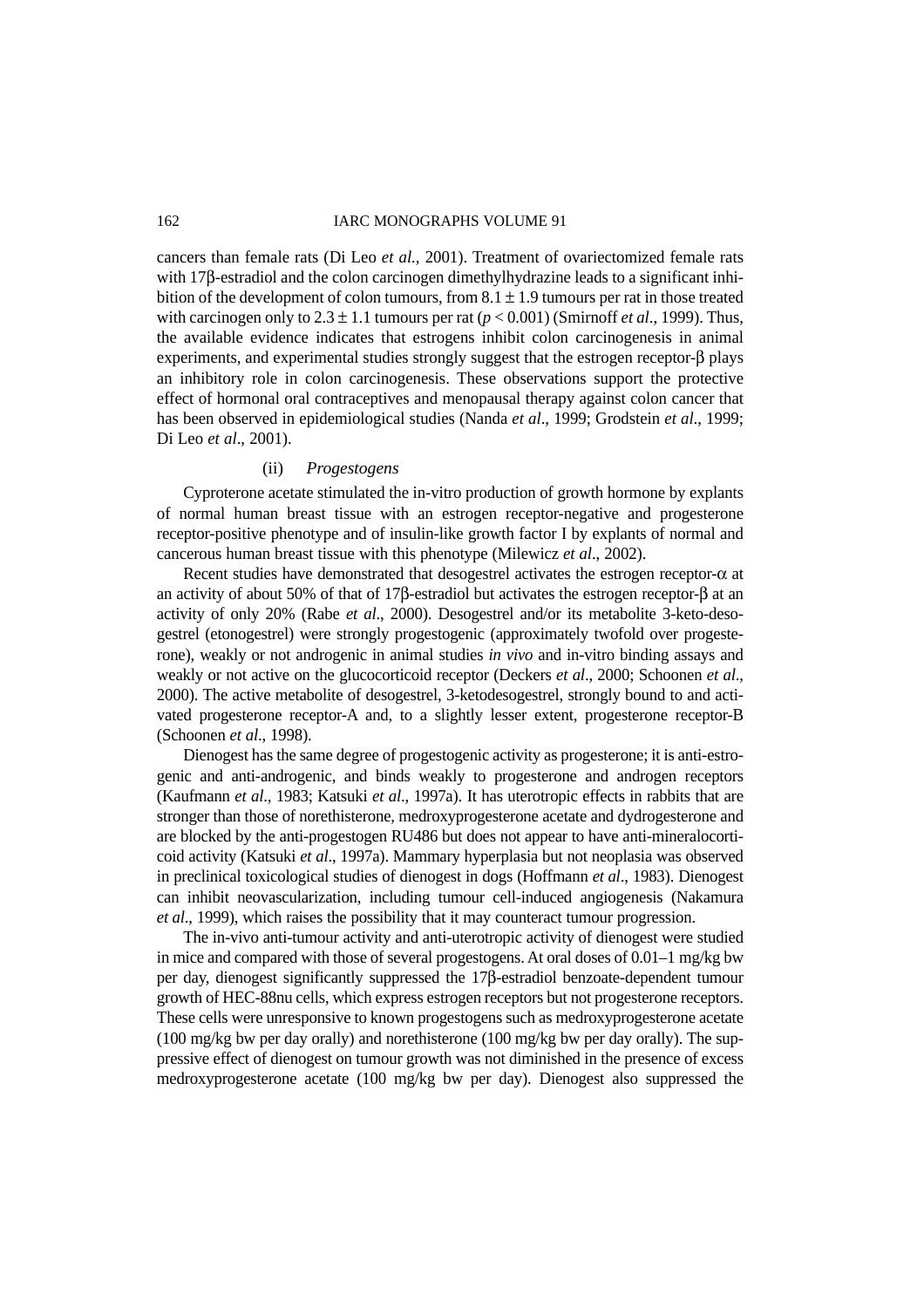cancers than female rats (Di Leo *et al.*, 2001). Treatment of ovariectomized female rats with 17β-estradiol and the colon carcinogen dimethylhydrazine leads to a significant inhibition of the development of colon tumours, from  $8.1 \pm 1.9$  tumours per rat in those treated with carcinogen only to  $2.3 \pm 1.1$  tumours per rat ( $p < 0.001$ ) (Smirnoff *et al.*, 1999). Thus, the available evidence indicates that estrogens inhibit colon carcinogenesis in animal experiments, and experimental studies strongly suggest that the estrogen receptor-β plays an inhibitory role in colon carcinogenesis. These observations support the protective effect of hormonal oral contraceptives and menopausal therapy against colon cancer that has been observed in epidemiological studies (Nanda *et al*., 1999; Grodstein *et al*., 1999; Di Leo *et al*., 2001).

### (ii) *Progestogens*

Cyproterone acetate stimulated the in-vitro production of growth hormone by explants of normal human breast tissue with an estrogen receptor-negative and progesterone receptor-positive phenotype and of insulin-like growth factor I by explants of normal and cancerous human breast tissue with this phenotype (Milewicz *et al*., 2002).

Recent studies have demonstrated that desogestrel activates the estrogen receptor-α at an activity of about 50% of that of 17β-estradiol but activates the estrogen receptor-β at an activity of only 20% (Rabe *et al*., 2000). Desogestrel and/or its metabolite 3-keto-desogestrel (etonogestrel) were strongly progestogenic (approximately twofold over progesterone), weakly or not androgenic in animal studies *in vivo* and in-vitro binding assays and weakly or not active on the glucocorticoid receptor (Deckers *et al*., 2000; Schoonen *et al*., 2000). The active metabolite of desogestrel, 3-ketodesogestrel, strongly bound to and activated progesterone receptor-A and, to a slightly lesser extent, progesterone receptor-B (Schoonen *et al*., 1998).

Dienogest has the same degree of progestogenic activity as progesterone; it is anti-estrogenic and anti-androgenic, and binds weakly to progesterone and androgen receptors (Kaufmann *et al*., 1983; Katsuki *et al*., 1997a). It has uterotropic effects in rabbits that are stronger than those of norethisterone, medroxyprogesterone acetate and dydrogesterone and are blocked by the anti-progestogen RU486 but does not appear to have anti-mineralocorticoid activity (Katsuki *et al*., 1997a). Mammary hyperplasia but not neoplasia was observed in preclinical toxicological studies of dienogest in dogs (Hoffmann *et al*., 1983). Dienogest can inhibit neovascularization, including tumour cell-induced angiogenesis (Nakamura *et al*., 1999), which raises the possibility that it may counteract tumour progression.

The in-vivo anti-tumour activity and anti-uterotropic activity of dienogest were studied in mice and compared with those of several progestogens. At oral doses of 0.01–1 mg/kg bw per day, dienogest significantly suppressed the 17β-estradiol benzoate-dependent tumour growth of HEC-88nu cells, which express estrogen receptors but not progesterone receptors. These cells were unresponsive to known progestogens such as medroxyprogesterone acetate (100 mg/kg bw per day orally) and norethisterone (100 mg/kg bw per day orally). The suppressive effect of dienogest on tumour growth was not diminished in the presence of excess medroxyprogesterone acetate (100 mg/kg bw per day). Dienogest also suppressed the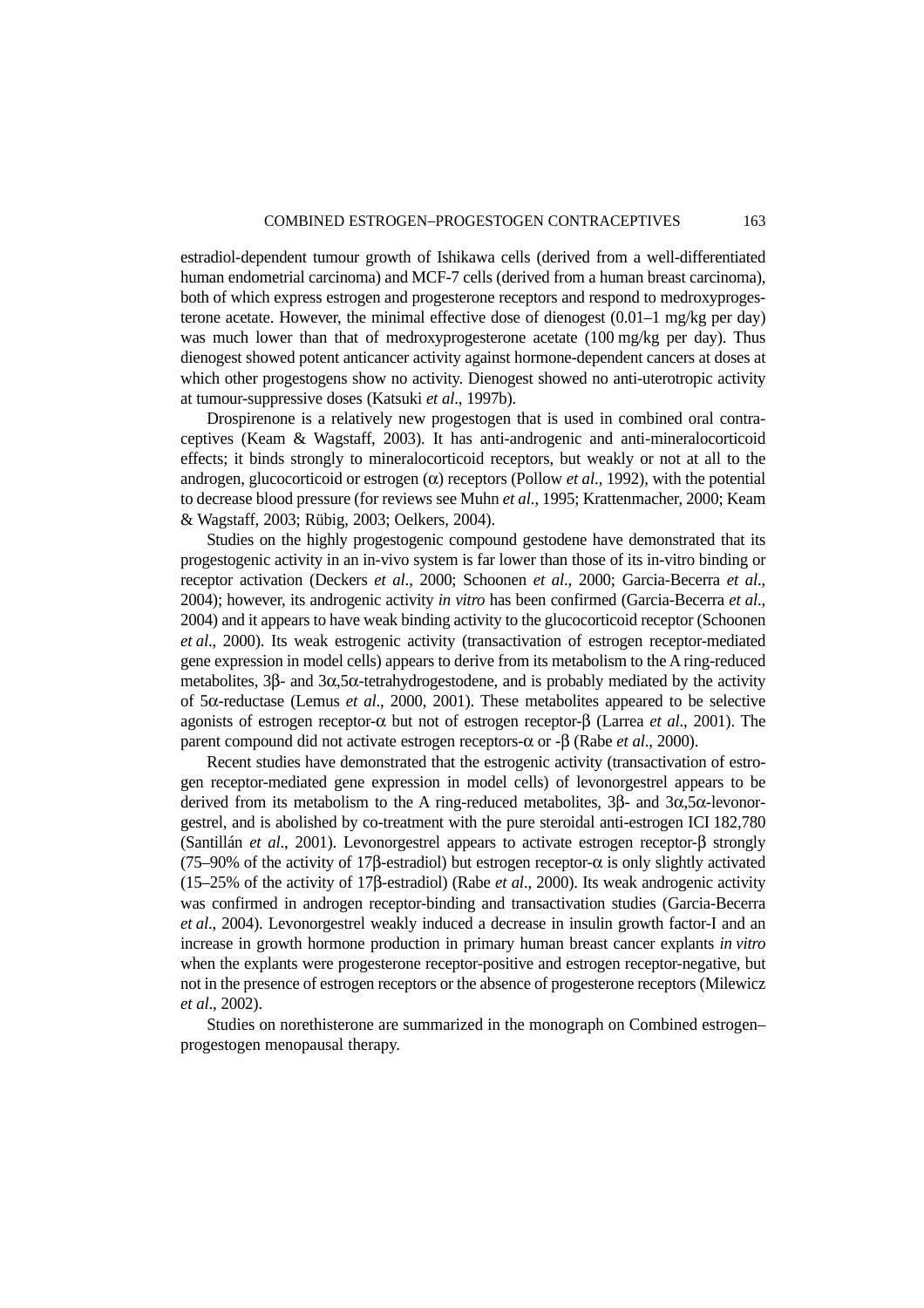estradiol-dependent tumour growth of Ishikawa cells (derived from a well-differentiated human endometrial carcinoma) and MCF-7 cells (derived from a human breast carcinoma), both of which express estrogen and progesterone receptors and respond to medroxyprogesterone acetate. However, the minimal effective dose of dienogest  $(0.01-1 \text{ mg/kg per day})$ was much lower than that of medroxyprogesterone acetate (100 mg/kg per day). Thus dienogest showed potent anticancer activity against hormone-dependent cancers at doses at which other progestogens show no activity. Dienogest showed no anti-uterotropic activity at tumour-suppressive doses (Katsuki *et al*., 1997b).

Drospirenone is a relatively new progestogen that is used in combined oral contraceptives (Keam & Wagstaff, 2003). It has anti-androgenic and anti-mineralocorticoid effects; it binds strongly to mineralocorticoid receptors, but weakly or not at all to the androgen, glucocorticoid or estrogen (α) receptors (Pollow *et al*., 1992), with the potential to decrease blood pressure (for reviews see Muhn *et al*., 1995; Krattenmacher, 2000; Keam & Wagstaff, 2003; Rübig, 2003; Oelkers, 2004).

Studies on the highly progestogenic compound gestodene have demonstrated that its progestogenic activity in an in-vivo system is far lower than those of its in-vitro binding or receptor activation (Deckers *et al*., 2000; Schoonen *et al*., 2000; Garcia-Becerra *et al*., 2004); however, its androgenic activity *in vitro* has been confirmed (Garcia-Becerra *et al*., 2004) and it appears to have weak binding activity to the glucocorticoid receptor (Schoonen *et al*., 2000). Its weak estrogenic activity (transactivation of estrogen receptor-mediated gene expression in model cells) appears to derive from its metabolism to the A ring-reduced metabolites,  $3\beta$ - and  $3\alpha$ ,5 $\alpha$ -tetrahydrogestodene, and is probably mediated by the activity of 5α-reductase (Lemus *et al*., 2000, 2001). These metabolites appeared to be selective agonists of estrogen receptor-α but not of estrogen receptor-β (Larrea *et al*., 2001). The parent compound did not activate estrogen receptors-α or -β (Rabe *et al*., 2000).

Recent studies have demonstrated that the estrogenic activity (transactivation of estrogen receptor-mediated gene expression in model cells) of levonorgestrel appears to be derived from its metabolism to the A ring-reduced metabolites,  $3\beta$ - and  $3\alpha, 5\alpha$ -levonorgestrel, and is abolished by co-treatment with the pure steroidal anti-estrogen ICI 182,780 (Santillán *et al*., 2001). Levonorgestrel appears to activate estrogen receptor-β strongly (75–90% of the activity of 17β-estradiol) but estrogen receptor-α is only slightly activated (15–25% of the activity of 17β-estradiol) (Rabe *et al*., 2000). Its weak androgenic activity was confirmed in androgen receptor-binding and transactivation studies (Garcia-Becerra *et al*., 2004). Levonorgestrel weakly induced a decrease in insulin growth factor-I and an increase in growth hormone production in primary human breast cancer explants *in vitro* when the explants were progesterone receptor-positive and estrogen receptor-negative, but not in the presence of estrogen receptors or the absence of progesterone receptors (Milewicz *et al*., 2002).

Studies on norethisterone are summarized in the monograph on Combined estrogen– progestogen menopausal therapy.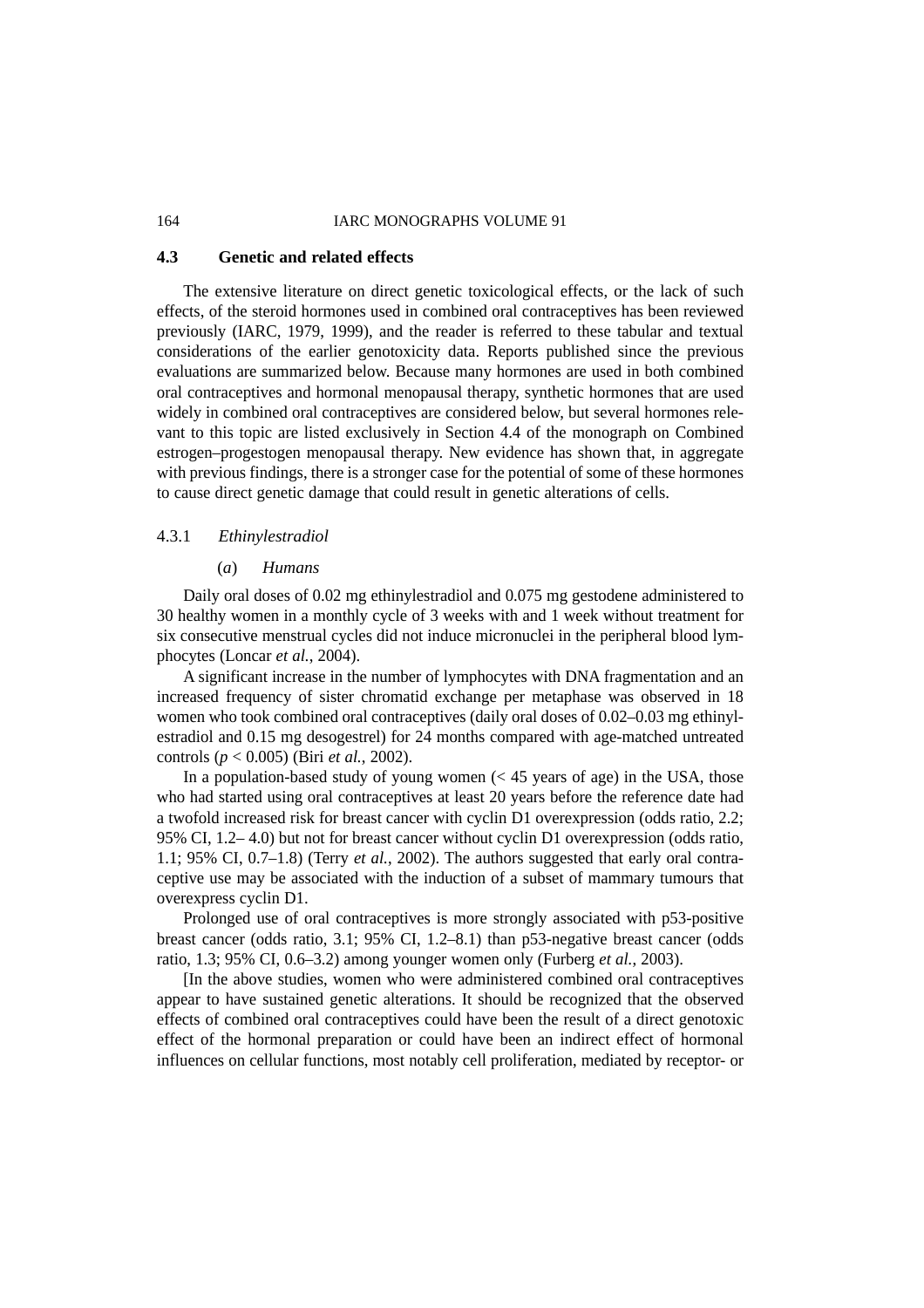# **4.3 Genetic and related effects**

The extensive literature on direct genetic toxicological effects, or the lack of such effects, of the steroid hormones used in combined oral contraceptives has been reviewed previously (IARC, 1979, 1999), and the reader is referred to these tabular and textual considerations of the earlier genotoxicity data. Reports published since the previous evaluations are summarized below. Because many hormones are used in both combined oral contraceptives and hormonal menopausal therapy, synthetic hormones that are used widely in combined oral contraceptives are considered below, but several hormones relevant to this topic are listed exclusively in Section 4.4 of the monograph on Combined estrogen–progestogen menopausal therapy. New evidence has shown that, in aggregate with previous findings, there is a stronger case for the potential of some of these hormones to cause direct genetic damage that could result in genetic alterations of cells.

#### 4.3.1 *Ethinylestradiol*

## (*a*) *Humans*

Daily oral doses of 0.02 mg ethinylestradiol and 0.075 mg gestodene administered to 30 healthy women in a monthly cycle of 3 weeks with and 1 week without treatment for six consecutive menstrual cycles did not induce micronuclei in the peripheral blood lymphocytes (Loncar *et al.*, 2004).

A significant increase in the number of lymphocytes with DNA fragmentation and an increased frequency of sister chromatid exchange per metaphase was observed in 18 women who took combined oral contraceptives (daily oral doses of 0.02–0.03 mg ethinylestradiol and 0.15 mg desogestrel) for 24 months compared with age-matched untreated controls (*p* < 0.005) (Biri *et al.*, 2002).

In a population-based study of young women  $\ll$  45 years of age) in the USA, those who had started using oral contraceptives at least 20 years before the reference date had a twofold increased risk for breast cancer with cyclin D1 overexpression (odds ratio, 2.2; 95% CI, 1.2– 4.0) but not for breast cancer without cyclin D1 overexpression (odds ratio, 1.1; 95% CI, 0.7–1.8) (Terry *et al.*, 2002). The authors suggested that early oral contraceptive use may be associated with the induction of a subset of mammary tumours that overexpress cyclin D1.

Prolonged use of oral contraceptives is more strongly associated with p53-positive breast cancer (odds ratio, 3.1; 95% CI, 1.2–8.1) than p53-negative breast cancer (odds ratio, 1.3; 95% CI, 0.6–3.2) among younger women only (Furberg *et al.*, 2003).

[In the above studies, women who were administered combined oral contraceptives appear to have sustained genetic alterations. It should be recognized that the observed effects of combined oral contraceptives could have been the result of a direct genotoxic effect of the hormonal preparation or could have been an indirect effect of hormonal influences on cellular functions, most notably cell proliferation, mediated by receptor- or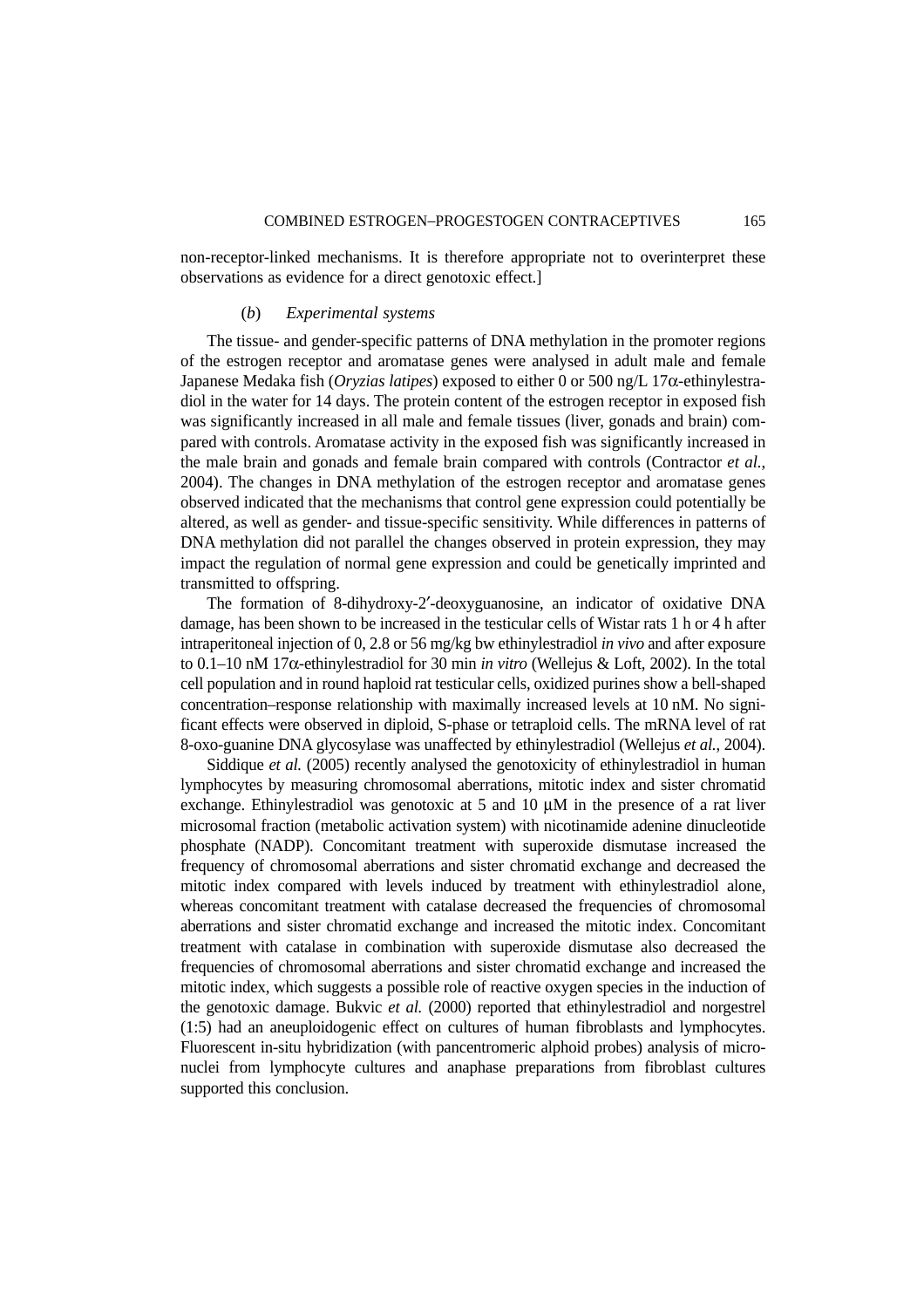non-receptor-linked mechanisms. It is therefore appropriate not to overinterpret these observations as evidence for a direct genotoxic effect.]

## (*b*) *Experimental systems*

The tissue- and gender-specific patterns of DNA methylation in the promoter regions of the estrogen receptor and aromatase genes were analysed in adult male and female Japanese Medaka fish (*Oryzias latipes*) exposed to either 0 or 500 ng/L 17α-ethinylestradiol in the water for 14 days. The protein content of the estrogen receptor in exposed fish was significantly increased in all male and female tissues (liver, gonads and brain) compared with controls. Aromatase activity in the exposed fish was significantly increased in the male brain and gonads and female brain compared with controls (Contractor *et al.*, 2004). The changes in DNA methylation of the estrogen receptor and aromatase genes observed indicated that the mechanisms that control gene expression could potentially be altered, as well as gender- and tissue-specific sensitivity. While differences in patterns of DNA methylation did not parallel the changes observed in protein expression, they may impact the regulation of normal gene expression and could be genetically imprinted and transmitted to offspring.

The formation of 8-dihydroxy-2′-deoxyguanosine, an indicator of oxidative DNA damage, has been shown to be increased in the testicular cells of Wistar rats 1 h or 4 h after intraperitoneal injection of 0, 2.8 or 56 mg/kg bw ethinylestradiol *in vivo* and after exposure to 0.1–10 nM 17α-ethinylestradiol for 30 min *in vitro* (Wellejus & Loft, 2002). In the total cell population and in round haploid rat testicular cells, oxidized purines show a bell-shaped concentration–response relationship with maximally increased levels at 10 nM. No significant effects were observed in diploid, S-phase or tetraploid cells. The mRNA level of rat 8-oxo-guanine DNA glycosylase was unaffected by ethinylestradiol (Wellejus *et al.*, 2004).

Siddique *et al.* (2005) recently analysed the genotoxicity of ethinylestradiol in human lymphocytes by measuring chromosomal aberrations, mitotic index and sister chromatid exchange. Ethinylestradiol was genotoxic at 5 and 10 μM in the presence of a rat liver microsomal fraction (metabolic activation system) with nicotinamide adenine dinucleotide phosphate (NADP). Concomitant treatment with superoxide dismutase increased the frequency of chromosomal aberrations and sister chromatid exchange and decreased the mitotic index compared with levels induced by treatment with ethinylestradiol alone, whereas concomitant treatment with catalase decreased the frequencies of chromosomal aberrations and sister chromatid exchange and increased the mitotic index. Concomitant treatment with catalase in combination with superoxide dismutase also decreased the frequencies of chromosomal aberrations and sister chromatid exchange and increased the mitotic index, which suggests a possible role of reactive oxygen species in the induction of the genotoxic damage. Bukvic *et al.* (2000) reported that ethinylestradiol and norgestrel (1:5) had an aneuploidogenic effect on cultures of human fibroblasts and lymphocytes. Fluorescent in-situ hybridization (with pancentromeric alphoid probes) analysis of micronuclei from lymphocyte cultures and anaphase preparations from fibroblast cultures supported this conclusion.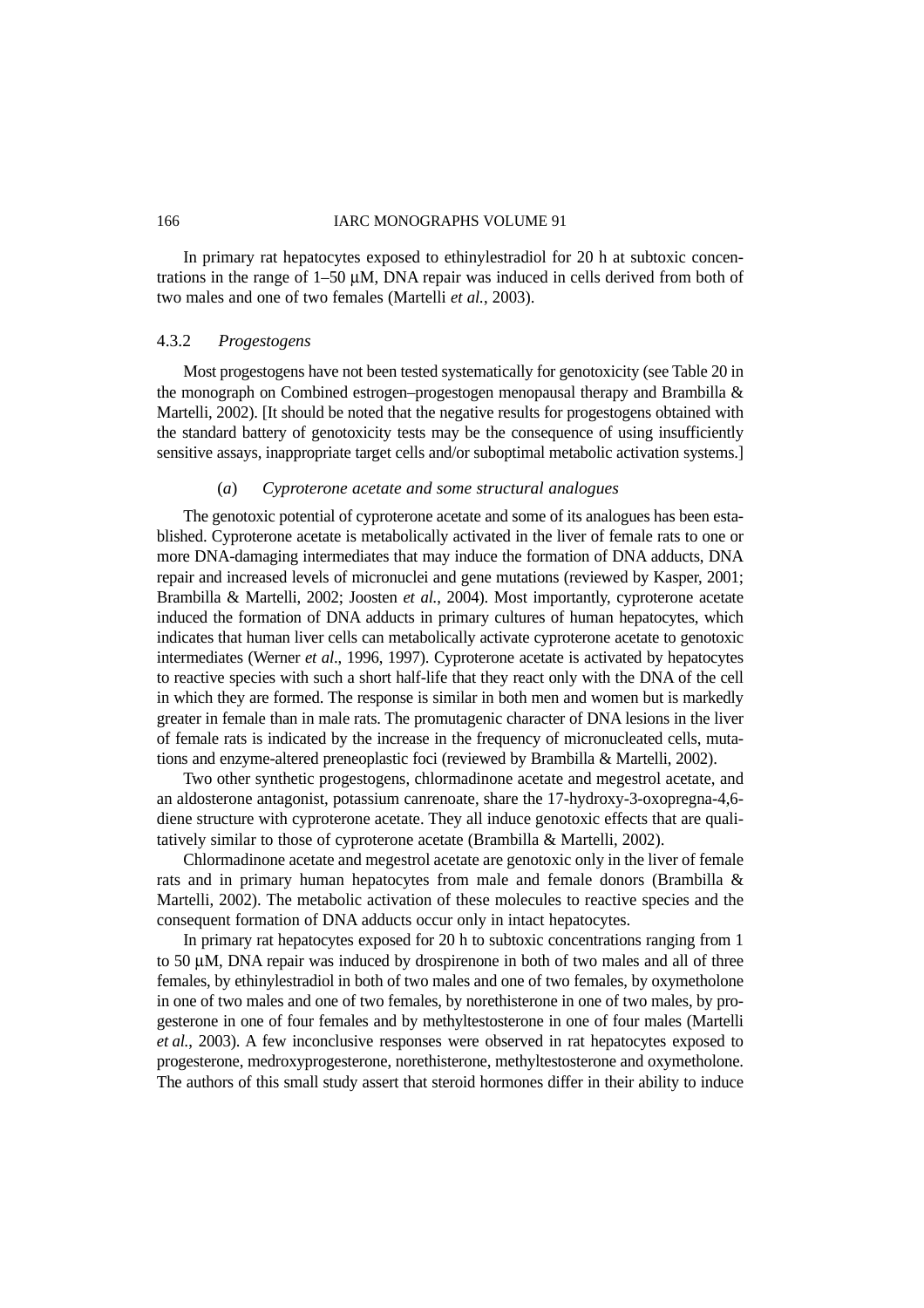In primary rat hepatocytes exposed to ethinylestradiol for 20 h at subtoxic concentrations in the range of 1–50 μM, DNA repair was induced in cells derived from both of two males and one of two females (Martelli *et al.*, 2003).

## 4.3.2 *Progestogens*

Most progestogens have not been tested systematically for genotoxicity (see Table 20 in the monograph on Combined estrogen–progestogen menopausal therapy and Brambilla & Martelli, 2002). [It should be noted that the negative results for progestogens obtained with the standard battery of genotoxicity tests may be the consequence of using insufficiently sensitive assays, inappropriate target cells and/or suboptimal metabolic activation systems.]

## (*a*) *Cyproterone acetate and some structural analogues*

The genotoxic potential of cyproterone acetate and some of its analogues has been established. Cyproterone acetate is metabolically activated in the liver of female rats to one or more DNA-damaging intermediates that may induce the formation of DNA adducts, DNA repair and increased levels of micronuclei and gene mutations (reviewed by Kasper, 2001; Brambilla & Martelli, 2002; Joosten *et al.*, 2004). Most importantly, cyproterone acetate induced the formation of DNA adducts in primary cultures of human hepatocytes, which indicates that human liver cells can metabolically activate cyproterone acetate to genotoxic intermediates (Werner *et al*., 1996, 1997). Cyproterone acetate is activated by hepatocytes to reactive species with such a short half-life that they react only with the DNA of the cell in which they are formed. The response is similar in both men and women but is markedly greater in female than in male rats. The promutagenic character of DNA lesions in the liver of female rats is indicated by the increase in the frequency of micronucleated cells, mutations and enzyme-altered preneoplastic foci (reviewed by Brambilla & Martelli, 2002).

Two other synthetic progestogens, chlormadinone acetate and megestrol acetate, and an aldosterone antagonist, potassium canrenoate, share the 17-hydroxy-3-oxopregna-4,6 diene structure with cyproterone acetate. They all induce genotoxic effects that are qualitatively similar to those of cyproterone acetate (Brambilla & Martelli, 2002).

Chlormadinone acetate and megestrol acetate are genotoxic only in the liver of female rats and in primary human hepatocytes from male and female donors (Brambilla & Martelli, 2002). The metabolic activation of these molecules to reactive species and the consequent formation of DNA adducts occur only in intact hepatocytes.

In primary rat hepatocytes exposed for 20 h to subtoxic concentrations ranging from 1 to 50 μM, DNA repair was induced by drospirenone in both of two males and all of three females, by ethinylestradiol in both of two males and one of two females, by oxymetholone in one of two males and one of two females, by norethisterone in one of two males, by progesterone in one of four females and by methyltestosterone in one of four males (Martelli *et al.*, 2003). A few inconclusive responses were observed in rat hepatocytes exposed to progesterone, medroxyprogesterone, norethisterone, methyltestosterone and oxymetholone. The authors of this small study assert that steroid hormones differ in their ability to induce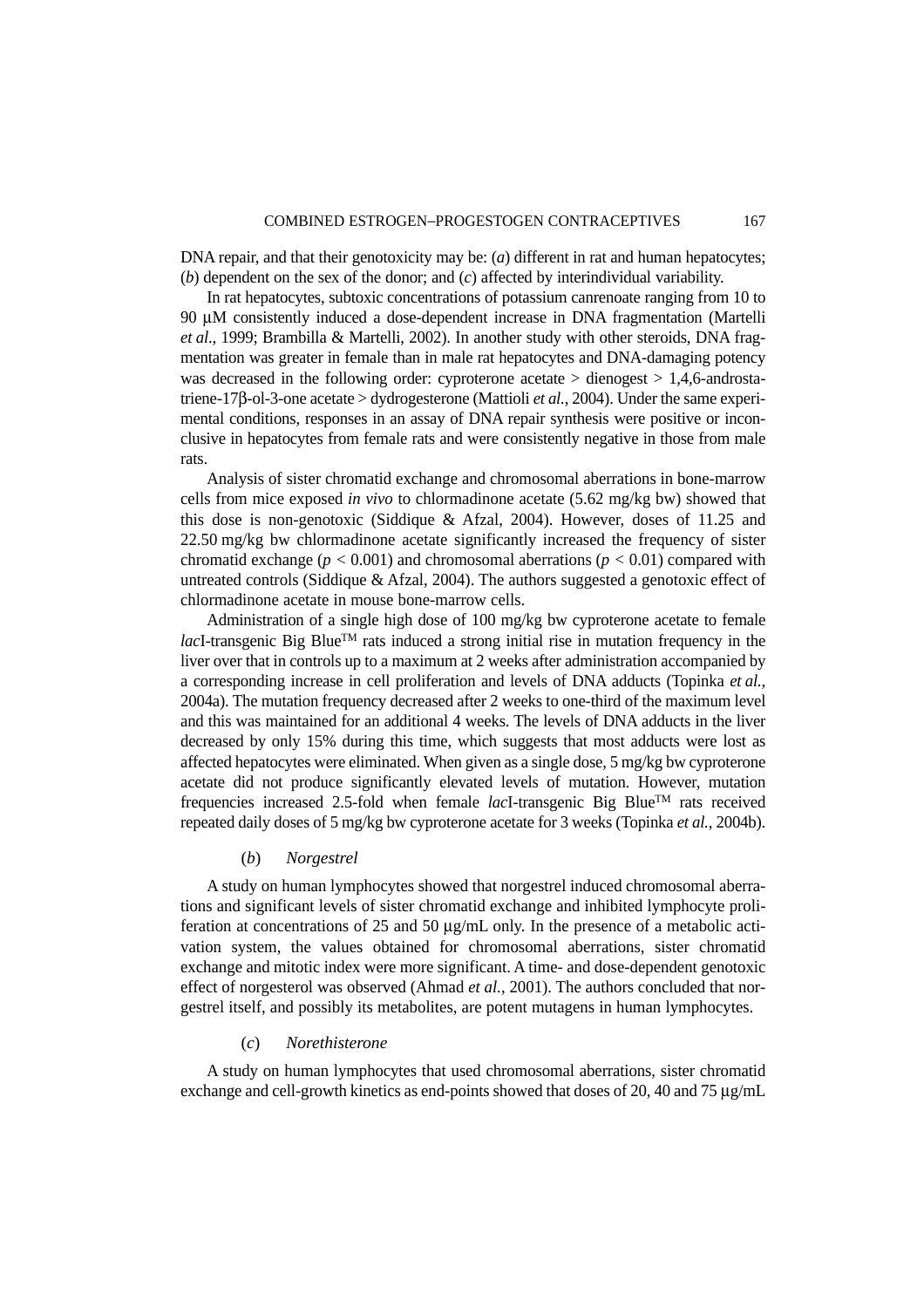## COMBINED ESTROGEN−PROGESTOGEN CONTRACEPTIVES 167

DNA repair, and that their genotoxicity may be: (*a*) different in rat and human hepatocytes; (*b*) dependent on the sex of the donor; and (*c*) affected by interindividual variability.

In rat hepatocytes, subtoxic concentrations of potassium canrenoate ranging from 10 to 90 μM consistently induced a dose-dependent increase in DNA fragmentation (Martelli *et al*., 1999; Brambilla & Martelli, 2002). In another study with other steroids, DNA fragmentation was greater in female than in male rat hepatocytes and DNA-damaging potency was decreased in the following order: cyproterone acetate > dienogest > 1,4,6-androstatriene-17β-ol-3-one acetate > dydrogesterone (Mattioli *et al.*, 2004). Under the same experimental conditions, responses in an assay of DNA repair synthesis were positive or inconclusive in hepatocytes from female rats and were consistently negative in those from male rats.

Analysis of sister chromatid exchange and chromosomal aberrations in bone-marrow cells from mice exposed *in vivo* to chlormadinone acetate (5.62 mg/kg bw) showed that this dose is non-genotoxic (Siddique & Afzal, 2004). However, doses of 11.25 and 22.50 mg/kg bw chlormadinone acetate significantly increased the frequency of sister chromatid exchange ( $p < 0.001$ ) and chromosomal aberrations ( $p < 0.01$ ) compared with untreated controls (Siddique & Afzal, 2004). The authors suggested a genotoxic effect of chlormadinone acetate in mouse bone-marrow cells.

Administration of a single high dose of 100 mg/kg bw cyproterone acetate to female  $lacI$ -transgenic Big Blue<sup>TM</sup> rats induced a strong initial rise in mutation frequency in the liver over that in controls up to a maximum at 2 weeks after administration accompanied by a corresponding increase in cell proliferation and levels of DNA adducts (Topinka *et al.*, 2004a). The mutation frequency decreased after 2 weeks to one-third of the maximum level and this was maintained for an additional 4 weeks. The levels of DNA adducts in the liver decreased by only 15% during this time, which suggests that most adducts were lost as affected hepatocytes were eliminated. When given as a single dose, 5 mg/kg bw cyproterone acetate did not produce significantly elevated levels of mutation. However, mutation frequencies increased 2.5-fold when female *lac*I-transgenic Big BlueTM rats received repeated daily doses of 5 mg/kg bw cyproterone acetate for 3 weeks (Topinka *et al.*, 2004b).

## (*b*) *Norgestrel*

A study on human lymphocytes showed that norgestrel induced chromosomal aberrations and significant levels of sister chromatid exchange and inhibited lymphocyte proliferation at concentrations of 25 and 50 μg/mL only. In the presence of a metabolic activation system, the values obtained for chromosomal aberrations, sister chromatid exchange and mitotic index were more significant. A time- and dose-dependent genotoxic effect of norgesterol was observed (Ahmad *et al.*, 2001). The authors concluded that norgestrel itself, and possibly its metabolites, are potent mutagens in human lymphocytes.

## (*c*) *Norethisterone*

A study on human lymphocytes that used chromosomal aberrations, sister chromatid exchange and cell-growth kinetics as end-points showed that doses of 20, 40 and 75 μg/mL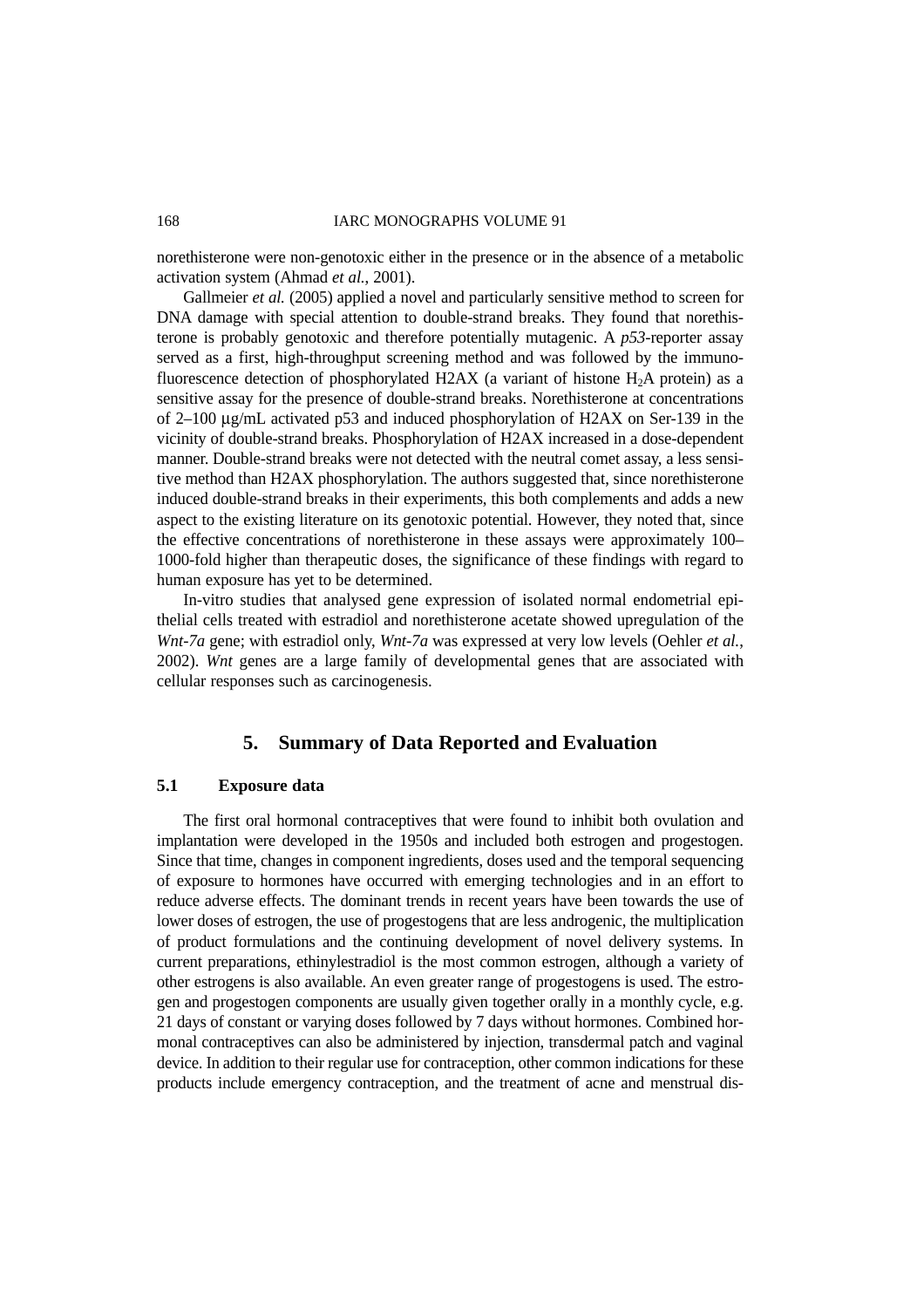norethisterone were non-genotoxic either in the presence or in the absence of a metabolic activation system (Ahmad *et al.*, 2001).

Gallmeier *et al.* (2005) applied a novel and particularly sensitive method to screen for DNA damage with special attention to double-strand breaks. They found that norethisterone is probably genotoxic and therefore potentially mutagenic. A *p53*-reporter assay served as a first, high-throughput screening method and was followed by the immunofluorescence detection of phosphorylated H2AX (a variant of histone  $H_2A$  protein) as a sensitive assay for the presence of double-strand breaks. Norethisterone at concentrations of 2–100 μg/mL activated p53 and induced phosphorylation of H2AX on Ser-139 in the vicinity of double-strand breaks. Phosphorylation of H2AX increased in a dose-dependent manner. Double-strand breaks were not detected with the neutral comet assay, a less sensitive method than H2AX phosphorylation. The authors suggested that, since norethisterone induced double-strand breaks in their experiments, this both complements and adds a new aspect to the existing literature on its genotoxic potential. However, they noted that, since the effective concentrations of norethisterone in these assays were approximately 100– 1000-fold higher than therapeutic doses, the significance of these findings with regard to human exposure has yet to be determined.

In-vitro studies that analysed gene expression of isolated normal endometrial epithelial cells treated with estradiol and norethisterone acetate showed upregulation of the *Wnt-7a* gene; with estradiol only, *Wnt-7a* was expressed at very low levels (Oehler *et al.*, 2002). *Wnt* genes are a large family of developmental genes that are associated with cellular responses such as carcinogenesis.

# **5. Summary of Data Reported and Evaluation**

## **5.1 Exposure data**

The first oral hormonal contraceptives that were found to inhibit both ovulation and implantation were developed in the 1950s and included both estrogen and progestogen. Since that time, changes in component ingredients, doses used and the temporal sequencing of exposure to hormones have occurred with emerging technologies and in an effort to reduce adverse effects. The dominant trends in recent years have been towards the use of lower doses of estrogen, the use of progestogens that are less androgenic, the multiplication of product formulations and the continuing development of novel delivery systems. In current preparations, ethinylestradiol is the most common estrogen, although a variety of other estrogens is also available. An even greater range of progestogens is used. The estrogen and progestogen components are usually given together orally in a monthly cycle, e.g. 21 days of constant or varying doses followed by 7 days without hormones. Combined hormonal contraceptives can also be administered by injection, transdermal patch and vaginal device. In addition to their regular use for contraception, other common indications for these products include emergency contraception, and the treatment of acne and menstrual dis-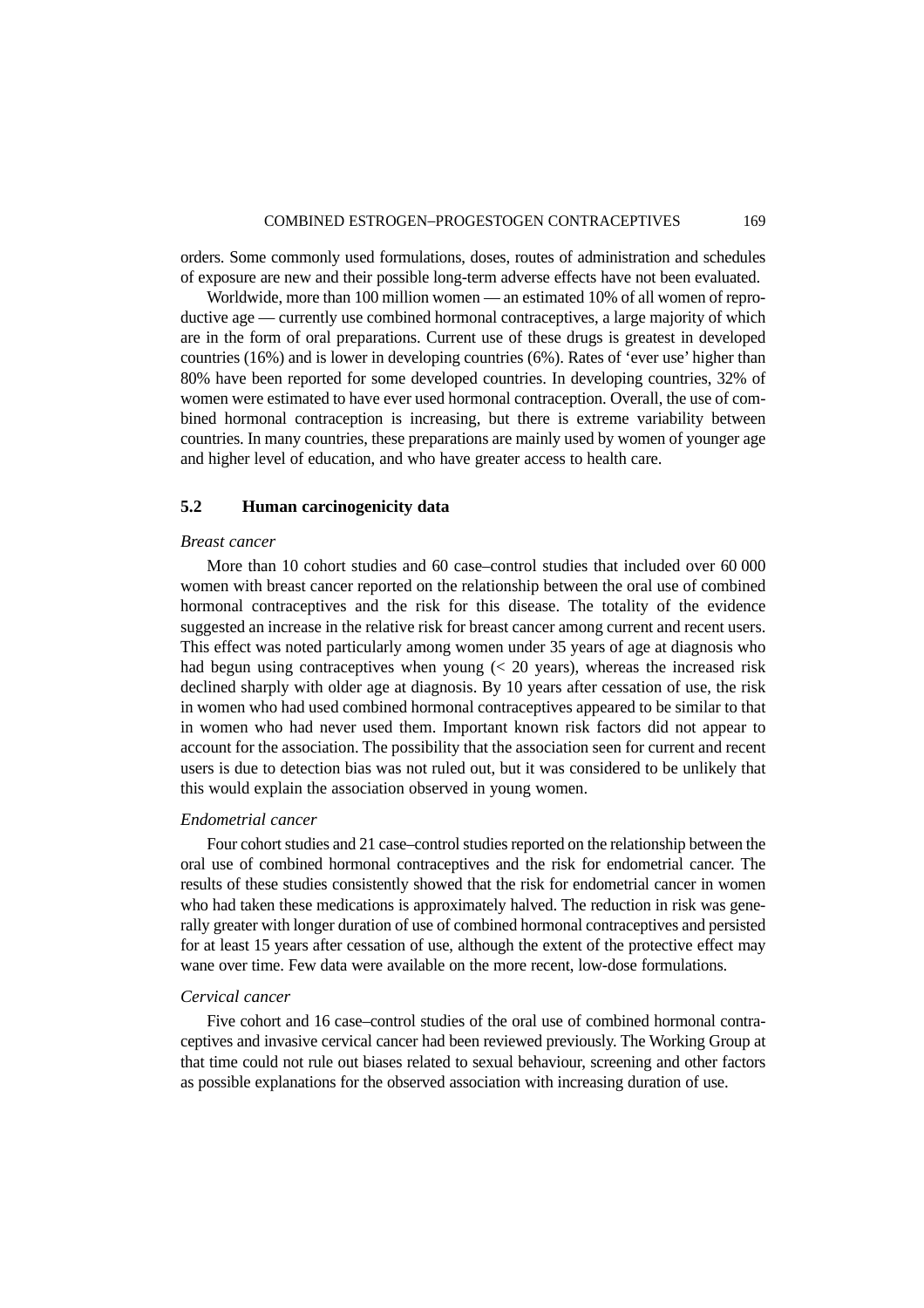orders. Some commonly used formulations, doses, routes of administration and schedules of exposure are new and their possible long-term adverse effects have not been evaluated.

Worldwide, more than 100 million women — an estimated 10% of all women of reproductive age — currently use combined hormonal contraceptives, a large majority of which are in the form of oral preparations. Current use of these drugs is greatest in developed countries (16%) and is lower in developing countries (6%). Rates of 'ever use' higher than 80% have been reported for some developed countries. In developing countries, 32% of women were estimated to have ever used hormonal contraception. Overall, the use of combined hormonal contraception is increasing, but there is extreme variability between countries. In many countries, these preparations are mainly used by women of younger age and higher level of education, and who have greater access to health care.

## **5.2 Human carcinogenicity data**

## *Breast cancer*

More than 10 cohort studies and 60 case–control studies that included over 60 000 women with breast cancer reported on the relationship between the oral use of combined hormonal contraceptives and the risk for this disease. The totality of the evidence suggested an increase in the relative risk for breast cancer among current and recent users. This effect was noted particularly among women under 35 years of age at diagnosis who had begun using contraceptives when young  $\langle \langle 20 \rangle$  years), whereas the increased risk declined sharply with older age at diagnosis. By 10 years after cessation of use, the risk in women who had used combined hormonal contraceptives appeared to be similar to that in women who had never used them. Important known risk factors did not appear to account for the association. The possibility that the association seen for current and recent users is due to detection bias was not ruled out, but it was considered to be unlikely that this would explain the association observed in young women.

#### *Endometrial cancer*

Four cohort studies and 21 case–control studies reported on the relationship between the oral use of combined hormonal contraceptives and the risk for endometrial cancer. The results of these studies consistently showed that the risk for endometrial cancer in women who had taken these medications is approximately halved. The reduction in risk was generally greater with longer duration of use of combined hormonal contraceptives and persisted for at least 15 years after cessation of use, although the extent of the protective effect may wane over time. Few data were available on the more recent, low-dose formulations.

## *Cervical cancer*

Five cohort and 16 case–control studies of the oral use of combined hormonal contraceptives and invasive cervical cancer had been reviewed previously. The Working Group at that time could not rule out biases related to sexual behaviour, screening and other factors as possible explanations for the observed association with increasing duration of use.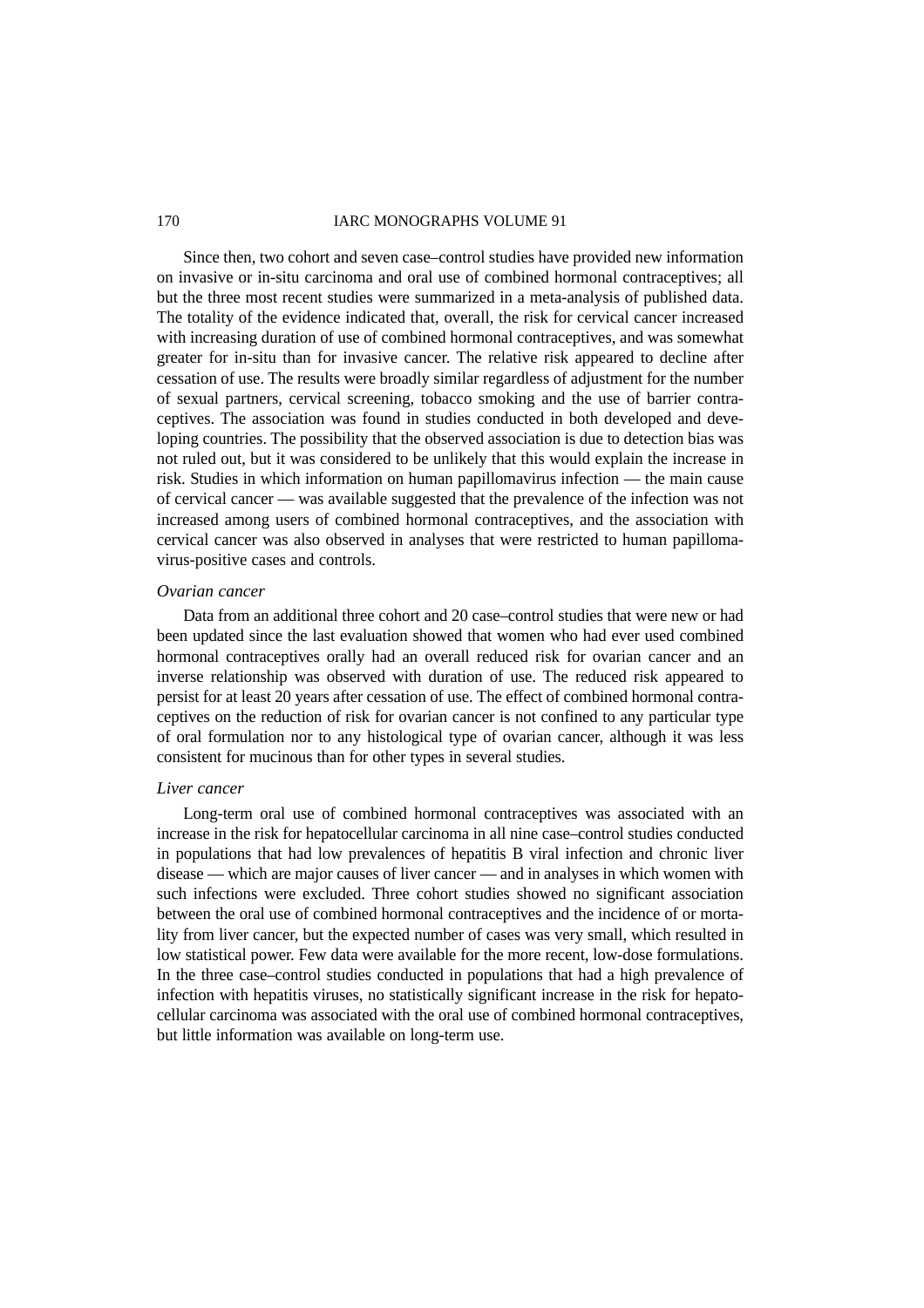Since then, two cohort and seven case–control studies have provided new information on invasive or in-situ carcinoma and oral use of combined hormonal contraceptives; all but the three most recent studies were summarized in a meta-analysis of published data. The totality of the evidence indicated that, overall, the risk for cervical cancer increased with increasing duration of use of combined hormonal contraceptives, and was somewhat greater for in-situ than for invasive cancer. The relative risk appeared to decline after cessation of use. The results were broadly similar regardless of adjustment for the number of sexual partners, cervical screening, tobacco smoking and the use of barrier contraceptives. The association was found in studies conducted in both developed and developing countries. The possibility that the observed association is due to detection bias was not ruled out, but it was considered to be unlikely that this would explain the increase in risk. Studies in which information on human papillomavirus infection — the main cause of cervical cancer — was available suggested that the prevalence of the infection was not increased among users of combined hormonal contraceptives, and the association with cervical cancer was also observed in analyses that were restricted to human papillomavirus-positive cases and controls.

#### *Ovarian cancer*

Data from an additional three cohort and 20 case–control studies that were new or had been updated since the last evaluation showed that women who had ever used combined hormonal contraceptives orally had an overall reduced risk for ovarian cancer and an inverse relationship was observed with duration of use. The reduced risk appeared to persist for at least 20 years after cessation of use. The effect of combined hormonal contraceptives on the reduction of risk for ovarian cancer is not confined to any particular type of oral formulation nor to any histological type of ovarian cancer, although it was less consistent for mucinous than for other types in several studies.

#### *Liver cancer*

Long-term oral use of combined hormonal contraceptives was associated with an increase in the risk for hepatocellular carcinoma in all nine case–control studies conducted in populations that had low prevalences of hepatitis B viral infection and chronic liver disease — which are major causes of liver cancer — and in analyses in which women with such infections were excluded. Three cohort studies showed no significant association between the oral use of combined hormonal contraceptives and the incidence of or mortality from liver cancer, but the expected number of cases was very small, which resulted in low statistical power. Few data were available for the more recent, low-dose formulations. In the three case–control studies conducted in populations that had a high prevalence of infection with hepatitis viruses, no statistically significant increase in the risk for hepatocellular carcinoma was associated with the oral use of combined hormonal contraceptives, but little information was available on long-term use.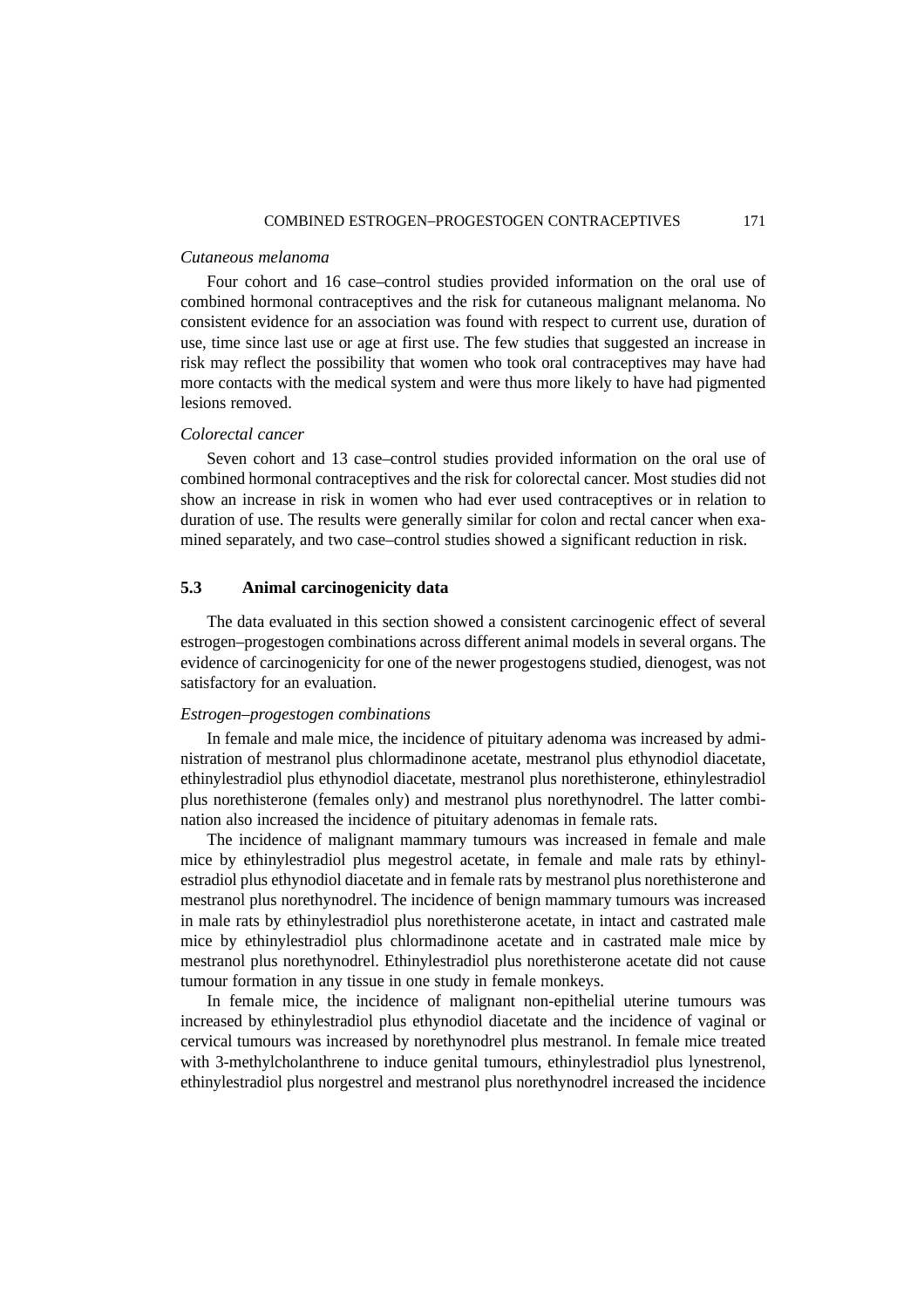#### *Cutaneous melanoma*

Four cohort and 16 case–control studies provided information on the oral use of combined hormonal contraceptives and the risk for cutaneous malignant melanoma. No consistent evidence for an association was found with respect to current use, duration of use, time since last use or age at first use. The few studies that suggested an increase in risk may reflect the possibility that women who took oral contraceptives may have had more contacts with the medical system and were thus more likely to have had pigmented lesions removed.

## *Colorectal cancer*

Seven cohort and 13 case–control studies provided information on the oral use of combined hormonal contraceptives and the risk for colorectal cancer. Most studies did not show an increase in risk in women who had ever used contraceptives or in relation to duration of use. The results were generally similar for colon and rectal cancer when examined separately, and two case–control studies showed a significant reduction in risk.

# **5.3 Animal carcinogenicity data**

The data evaluated in this section showed a consistent carcinogenic effect of several estrogen–progestogen combinations across different animal models in several organs. The evidence of carcinogenicity for one of the newer progestogens studied, dienogest, was not satisfactory for an evaluation.

#### *Estrogen–progestogen combinations*

In female and male mice, the incidence of pituitary adenoma was increased by administration of mestranol plus chlormadinone acetate, mestranol plus ethynodiol diacetate, ethinylestradiol plus ethynodiol diacetate, mestranol plus norethisterone, ethinylestradiol plus norethisterone (females only) and mestranol plus norethynodrel. The latter combination also increased the incidence of pituitary adenomas in female rats.

The incidence of malignant mammary tumours was increased in female and male mice by ethinylestradiol plus megestrol acetate, in female and male rats by ethinylestradiol plus ethynodiol diacetate and in female rats by mestranol plus norethisterone and mestranol plus norethynodrel. The incidence of benign mammary tumours was increased in male rats by ethinylestradiol plus norethisterone acetate, in intact and castrated male mice by ethinylestradiol plus chlormadinone acetate and in castrated male mice by mestranol plus norethynodrel. Ethinylestradiol plus norethisterone acetate did not cause tumour formation in any tissue in one study in female monkeys.

In female mice, the incidence of malignant non-epithelial uterine tumours was increased by ethinylestradiol plus ethynodiol diacetate and the incidence of vaginal or cervical tumours was increased by norethynodrel plus mestranol. In female mice treated with 3-methylcholanthrene to induce genital tumours, ethinylestradiol plus lynestrenol, ethinylestradiol plus norgestrel and mestranol plus norethynodrel increased the incidence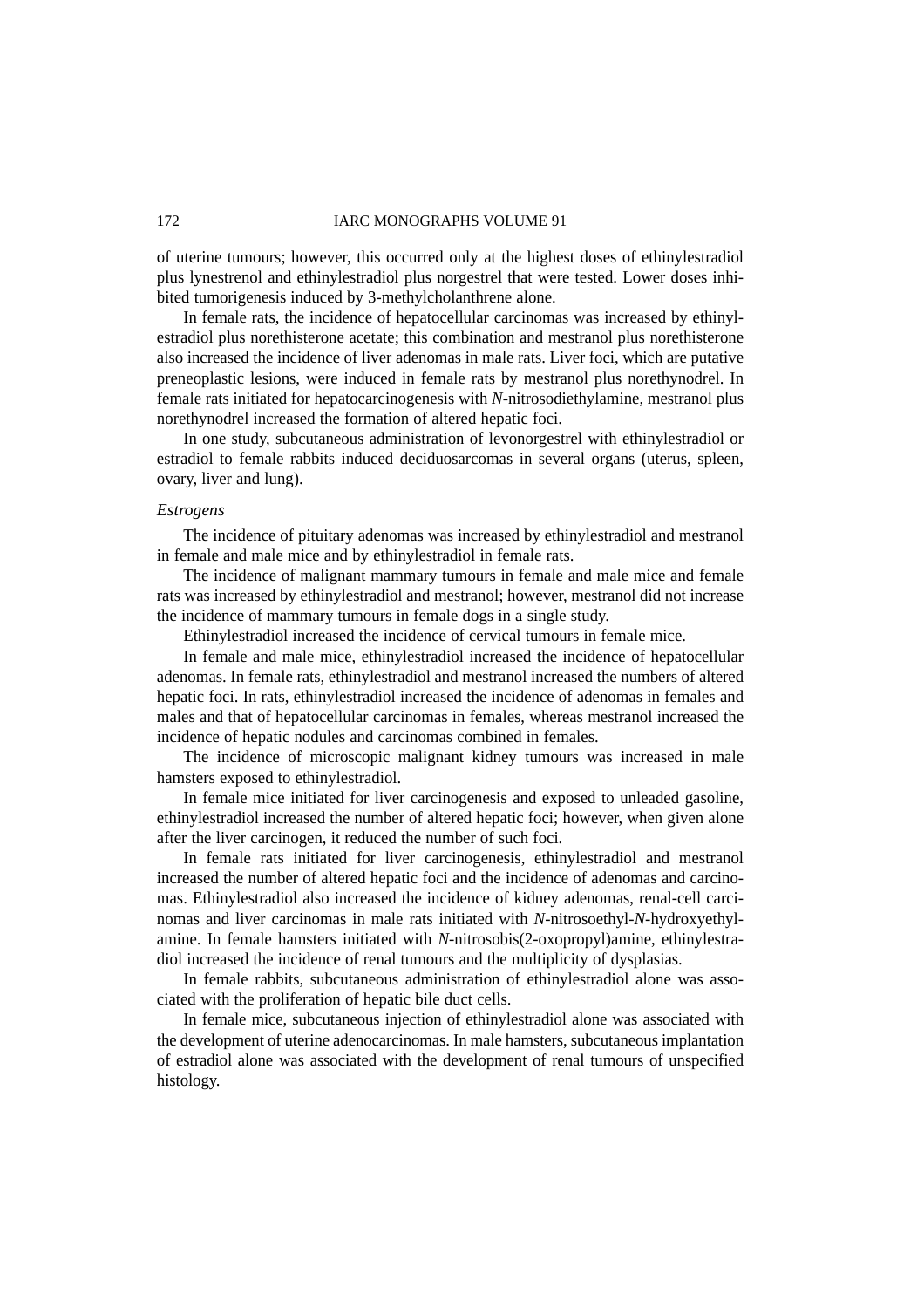of uterine tumours; however, this occurred only at the highest doses of ethinylestradiol plus lynestrenol and ethinylestradiol plus norgestrel that were tested. Lower doses inhibited tumorigenesis induced by 3-methylcholanthrene alone.

In female rats, the incidence of hepatocellular carcinomas was increased by ethinylestradiol plus norethisterone acetate; this combination and mestranol plus norethisterone also increased the incidence of liver adenomas in male rats. Liver foci, which are putative preneoplastic lesions, were induced in female rats by mestranol plus norethynodrel. In female rats initiated for hepatocarcinogenesis with *N*-nitrosodiethylamine, mestranol plus norethynodrel increased the formation of altered hepatic foci.

In one study, subcutaneous administration of levonorgestrel with ethinylestradiol or estradiol to female rabbits induced deciduosarcomas in several organs (uterus, spleen, ovary, liver and lung).

#### *Estrogens*

The incidence of pituitary adenomas was increased by ethinylestradiol and mestranol in female and male mice and by ethinylestradiol in female rats.

The incidence of malignant mammary tumours in female and male mice and female rats was increased by ethinylestradiol and mestranol; however, mestranol did not increase the incidence of mammary tumours in female dogs in a single study.

Ethinylestradiol increased the incidence of cervical tumours in female mice.

In female and male mice, ethinylestradiol increased the incidence of hepatocellular adenomas. In female rats, ethinylestradiol and mestranol increased the numbers of altered hepatic foci. In rats, ethinylestradiol increased the incidence of adenomas in females and males and that of hepatocellular carcinomas in females, whereas mestranol increased the incidence of hepatic nodules and carcinomas combined in females.

The incidence of microscopic malignant kidney tumours was increased in male hamsters exposed to ethinylestradiol.

In female mice initiated for liver carcinogenesis and exposed to unleaded gasoline, ethinylestradiol increased the number of altered hepatic foci; however, when given alone after the liver carcinogen, it reduced the number of such foci.

In female rats initiated for liver carcinogenesis, ethinylestradiol and mestranol increased the number of altered hepatic foci and the incidence of adenomas and carcinomas. Ethinylestradiol also increased the incidence of kidney adenomas, renal-cell carcinomas and liver carcinomas in male rats initiated with *N*-nitrosoethyl-*N*-hydroxyethylamine. In female hamsters initiated with *N*-nitrosobis(2-oxopropyl)amine, ethinylestradiol increased the incidence of renal tumours and the multiplicity of dysplasias.

In female rabbits, subcutaneous administration of ethinylestradiol alone was associated with the proliferation of hepatic bile duct cells.

In female mice, subcutaneous injection of ethinylestradiol alone was associated with the development of uterine adenocarcinomas. In male hamsters, subcutaneous implantation of estradiol alone was associated with the development of renal tumours of unspecified histology.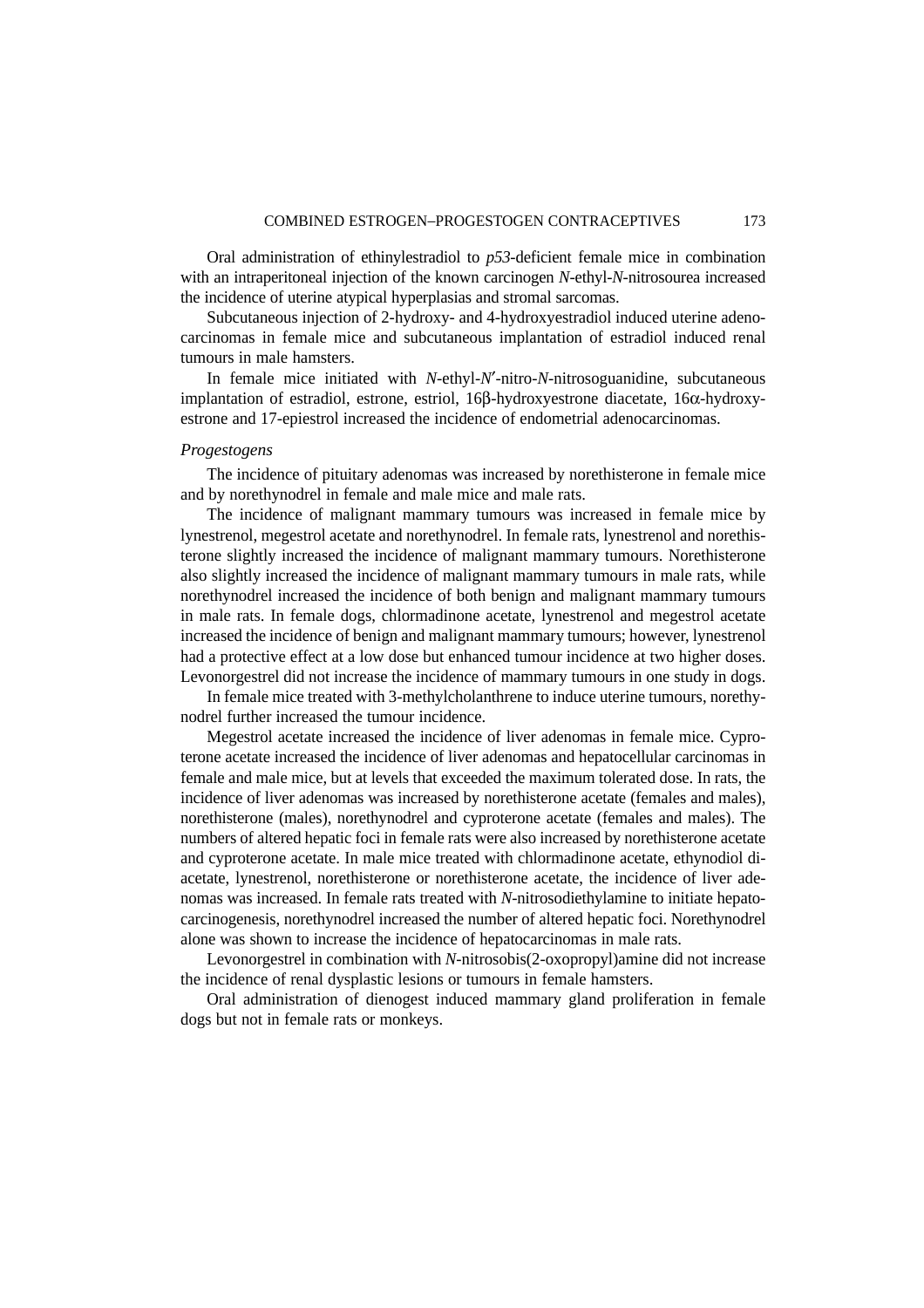Oral administration of ethinylestradiol to *p53*-deficient female mice in combination with an intraperitoneal injection of the known carcinogen *N*-ethyl-*N*-nitrosourea increased the incidence of uterine atypical hyperplasias and stromal sarcomas.

Subcutaneous injection of 2-hydroxy- and 4-hydroxyestradiol induced uterine adenocarcinomas in female mice and subcutaneous implantation of estradiol induced renal tumours in male hamsters.

In female mice initiated with *N*-ethyl-*N*′-nitro-*N*-nitrosoguanidine, subcutaneous implantation of estradiol, estrone, estriol, 16β-hydroxyestrone diacetate, 16α-hydroxyestrone and 17-epiestrol increased the incidence of endometrial adenocarcinomas.

#### *Progestogens*

The incidence of pituitary adenomas was increased by norethisterone in female mice and by norethynodrel in female and male mice and male rats.

The incidence of malignant mammary tumours was increased in female mice by lynestrenol, megestrol acetate and norethynodrel. In female rats, lynestrenol and norethisterone slightly increased the incidence of malignant mammary tumours. Norethisterone also slightly increased the incidence of malignant mammary tumours in male rats, while norethynodrel increased the incidence of both benign and malignant mammary tumours in male rats. In female dogs, chlormadinone acetate, lynestrenol and megestrol acetate increased the incidence of benign and malignant mammary tumours; however, lynestrenol had a protective effect at a low dose but enhanced tumour incidence at two higher doses. Levonorgestrel did not increase the incidence of mammary tumours in one study in dogs.

In female mice treated with 3-methylcholanthrene to induce uterine tumours, norethynodrel further increased the tumour incidence.

Megestrol acetate increased the incidence of liver adenomas in female mice. Cyproterone acetate increased the incidence of liver adenomas and hepatocellular carcinomas in female and male mice, but at levels that exceeded the maximum tolerated dose. In rats, the incidence of liver adenomas was increased by norethisterone acetate (females and males), norethisterone (males), norethynodrel and cyproterone acetate (females and males). The numbers of altered hepatic foci in female rats were also increased by norethisterone acetate and cyproterone acetate. In male mice treated with chlormadinone acetate, ethynodiol diacetate, lynestrenol, norethisterone or norethisterone acetate, the incidence of liver adenomas was increased. In female rats treated with *N*-nitrosodiethylamine to initiate hepatocarcinogenesis, norethynodrel increased the number of altered hepatic foci. Norethynodrel alone was shown to increase the incidence of hepatocarcinomas in male rats.

Levonorgestrel in combination with *N*-nitrosobis(2-oxopropyl)amine did not increase the incidence of renal dysplastic lesions or tumours in female hamsters.

Oral administration of dienogest induced mammary gland proliferation in female dogs but not in female rats or monkeys.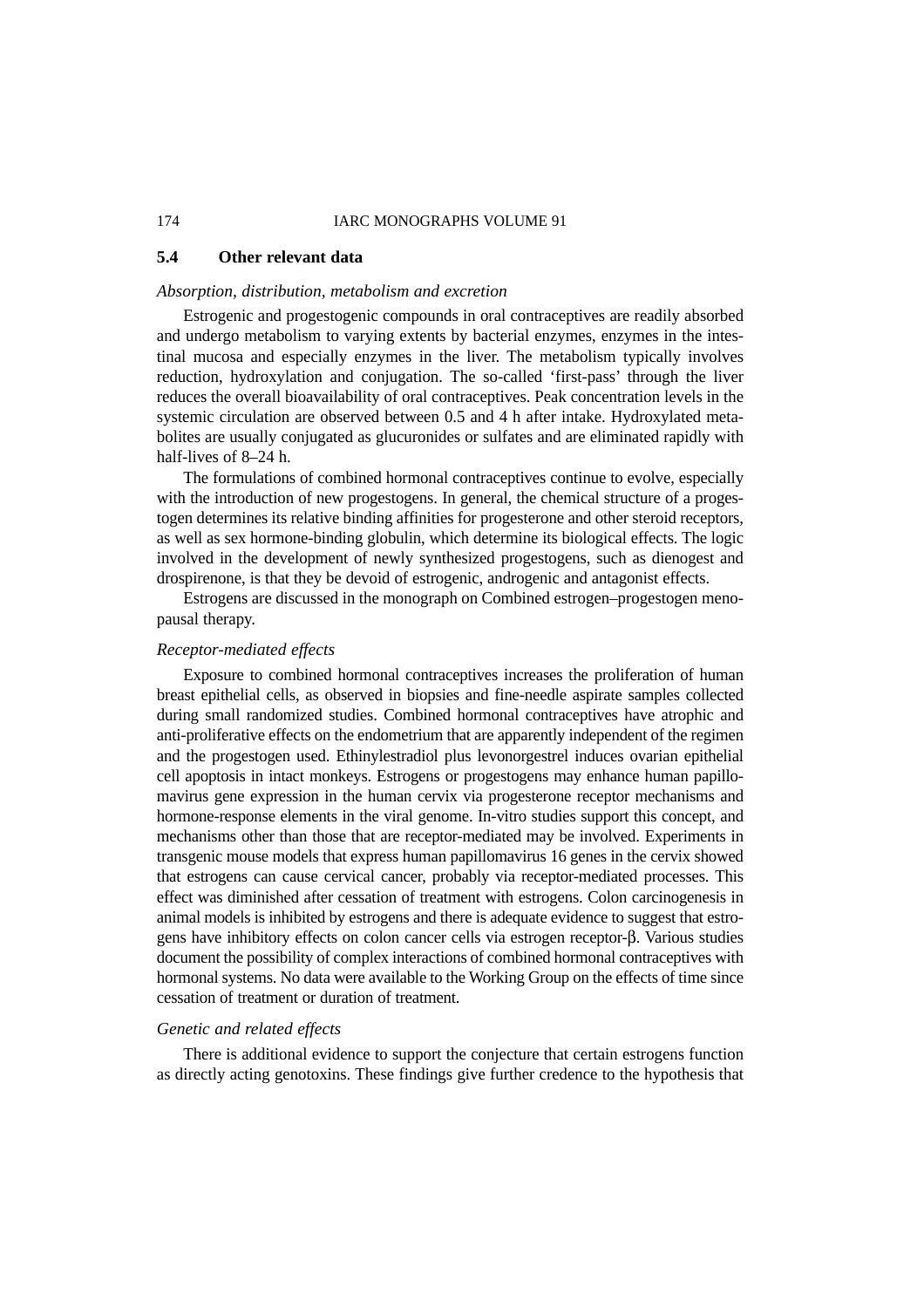## **5.4 Other relevant data**

## *Absorption, distribution, metabolism and excretion*

Estrogenic and progestogenic compounds in oral contraceptives are readily absorbed and undergo metabolism to varying extents by bacterial enzymes, enzymes in the intestinal mucosa and especially enzymes in the liver. The metabolism typically involves reduction, hydroxylation and conjugation. The so-called 'first-pass' through the liver reduces the overall bioavailability of oral contraceptives. Peak concentration levels in the systemic circulation are observed between 0.5 and 4 h after intake. Hydroxylated metabolites are usually conjugated as glucuronides or sulfates and are eliminated rapidly with half-lives of 8–24 h.

The formulations of combined hormonal contraceptives continue to evolve, especially with the introduction of new progestogens. In general, the chemical structure of a progestogen determines its relative binding affinities for progesterone and other steroid receptors, as well as sex hormone-binding globulin, which determine its biological effects. The logic involved in the development of newly synthesized progestogens, such as dienogest and drospirenone, is that they be devoid of estrogenic, androgenic and antagonist effects.

Estrogens are discussed in the monograph on Combined estrogen–progestogen menopausal therapy.

## *Receptor-mediated effects*

Exposure to combined hormonal contraceptives increases the proliferation of human breast epithelial cells, as observed in biopsies and fine-needle aspirate samples collected during small randomized studies. Combined hormonal contraceptives have atrophic and anti-proliferative effects on the endometrium that are apparently independent of the regimen and the progestogen used. Ethinylestradiol plus levonorgestrel induces ovarian epithelial cell apoptosis in intact monkeys. Estrogens or progestogens may enhance human papillomavirus gene expression in the human cervix via progesterone receptor mechanisms and hormone-response elements in the viral genome. In-vitro studies support this concept, and mechanisms other than those that are receptor-mediated may be involved. Experiments in transgenic mouse models that express human papillomavirus 16 genes in the cervix showed that estrogens can cause cervical cancer, probably via receptor-mediated processes. This effect was diminished after cessation of treatment with estrogens. Colon carcinogenesis in animal models is inhibited by estrogens and there is adequate evidence to suggest that estrogens have inhibitory effects on colon cancer cells via estrogen receptor-β. Various studies document the possibility of complex interactions of combined hormonal contraceptives with hormonal systems. No data were available to the Working Group on the effects of time since cessation of treatment or duration of treatment.

## *Genetic and related effects*

There is additional evidence to support the conjecture that certain estrogens function as directly acting genotoxins. These findings give further credence to the hypothesis that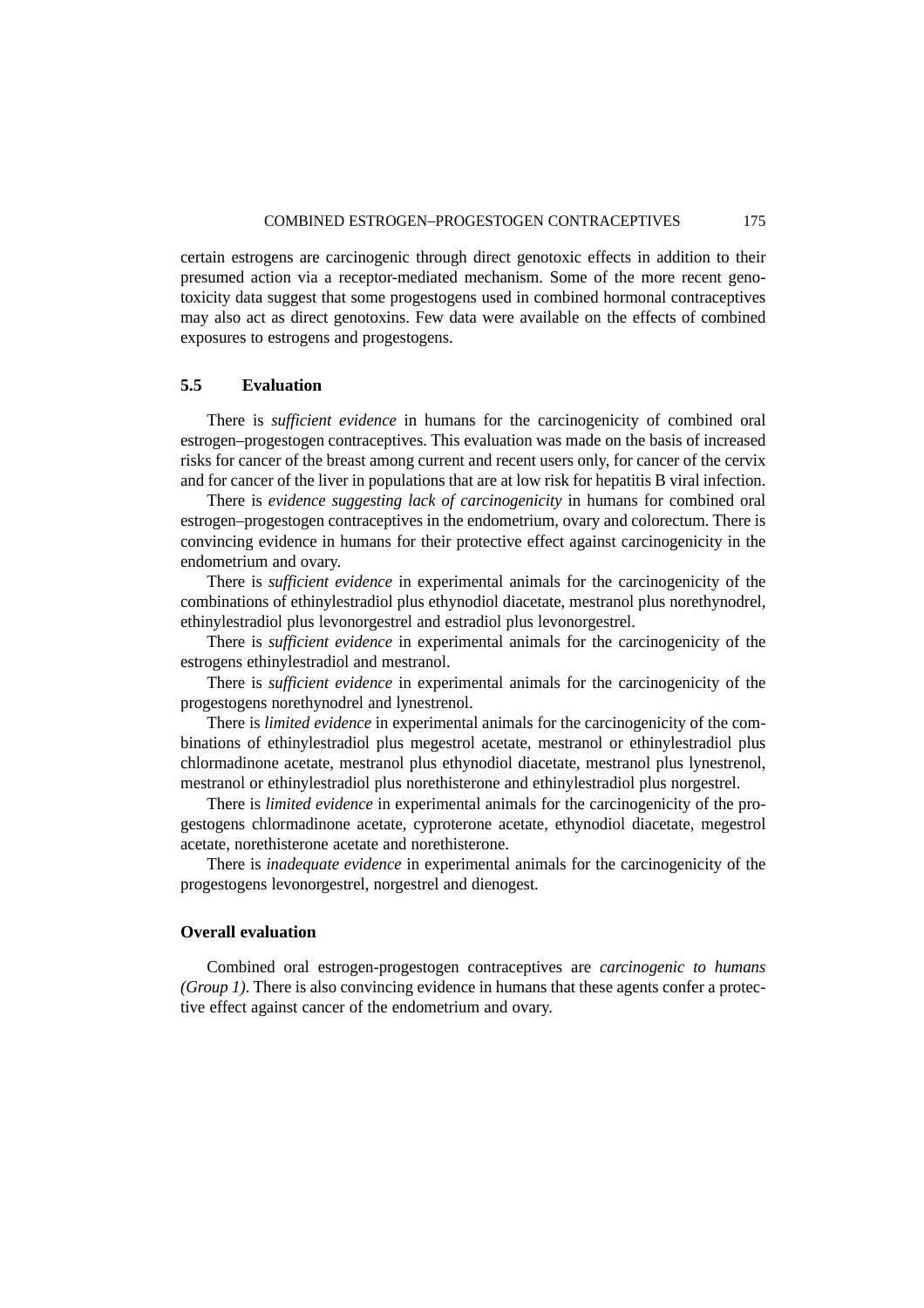certain estrogens are carcinogenic through direct genotoxic effects in addition to their presumed action via a receptor-mediated mechanism. Some of the more recent genotoxicity data suggest that some progestogens used in combined hormonal contraceptives may also act as direct genotoxins. Few data were available on the effects of combined exposures to estrogens and progestogens.

# **5.5 Evaluation**

There is *sufficient evidence* in humans for the carcinogenicity of combined oral estrogen–progestogen contraceptives. This evaluation was made on the basis of increased risks for cancer of the breast among current and recent users only, for cancer of the cervix and for cancer of the liver in populations that are at low risk for hepatitis B viral infection.

There is *evidence suggesting lack of carcinogenicity* in humans for combined oral estrogen–progestogen contraceptives in the endometrium, ovary and colorectum. There is convincing evidence in humans for their protective effect against carcinogenicity in the endometrium and ovary.

There is *sufficient evidence* in experimental animals for the carcinogenicity of the combinations of ethinylestradiol plus ethynodiol diacetate, mestranol plus norethynodrel, ethinylestradiol plus levonorgestrel and estradiol plus levonorgestrel.

There is *sufficient evidence* in experimental animals for the carcinogenicity of the estrogens ethinylestradiol and mestranol.

There is *sufficient evidence* in experimental animals for the carcinogenicity of the progestogens norethynodrel and lynestrenol.

There is *limited evidence* in experimental animals for the carcinogenicity of the combinations of ethinylestradiol plus megestrol acetate, mestranol or ethinylestradiol plus chlormadinone acetate, mestranol plus ethynodiol diacetate, mestranol plus lynestrenol, mestranol or ethinylestradiol plus norethisterone and ethinylestradiol plus norgestrel.

There is *limited evidence* in experimental animals for the carcinogenicity of the progestogens chlormadinone acetate, cyproterone acetate, ethynodiol diacetate, megestrol acetate, norethisterone acetate and norethisterone.

There is *inadequate evidence* in experimental animals for the carcinogenicity of the progestogens levonorgestrel, norgestrel and dienogest.

## **Overall evaluation**

Combined oral estrogen-progestogen contraceptives are *carcinogenic to humans (Group 1)*. There is also convincing evidence in humans that these agents confer a protective effect against cancer of the endometrium and ovary.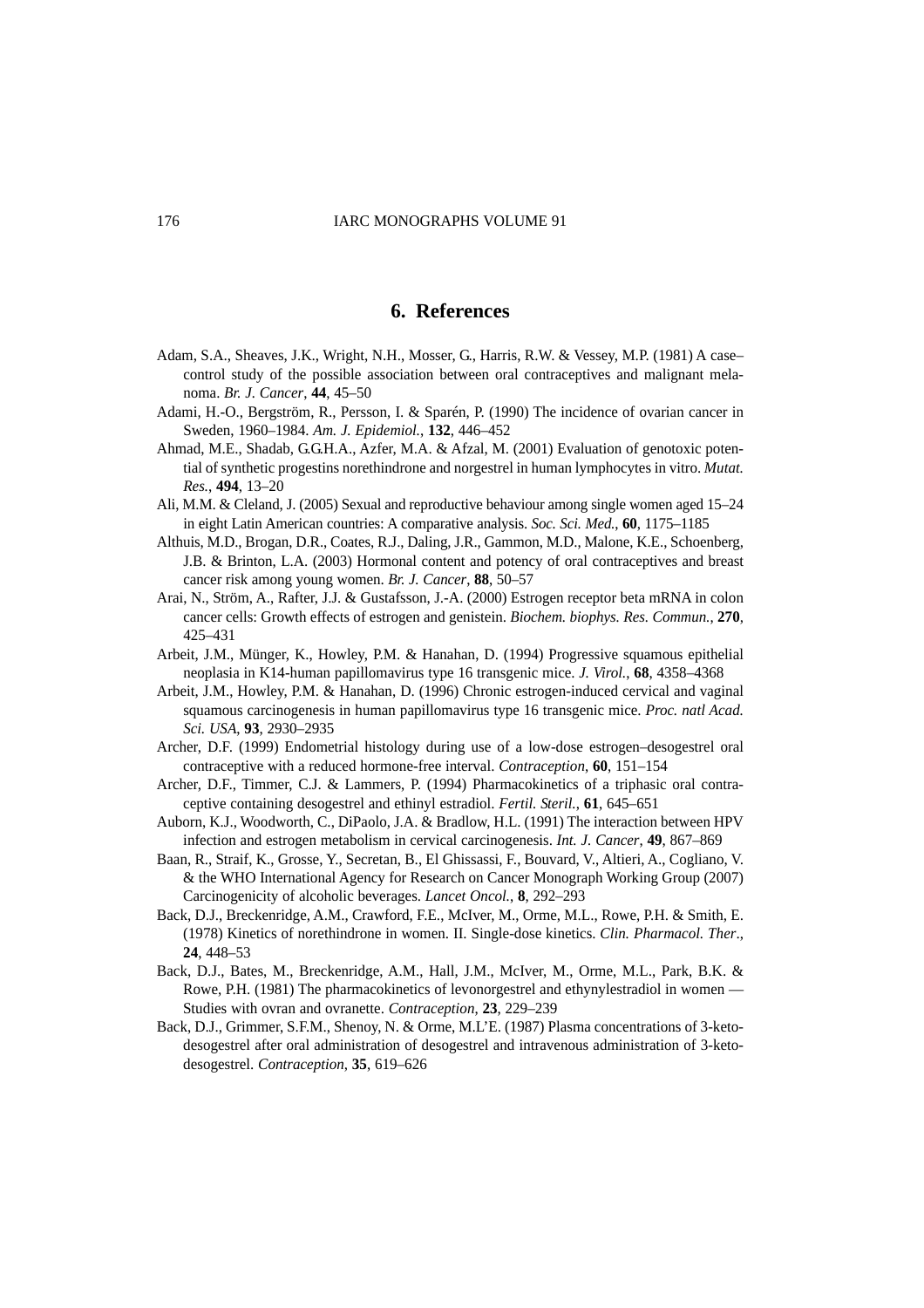# **6. References**

- Adam, S.A., Sheaves, J.K., Wright, N.H., Mosser, G., Harris, R.W. & Vessey, M.P. (1981) A case– control study of the possible association between oral contraceptives and malignant melanoma. *Br. J. Cancer*, **44**, 45–50
- Adami, H.-O., Bergström, R., Persson, I. & Sparén, P. (1990) The incidence of ovarian cancer in Sweden, 1960–1984. *Am. J. Epidemiol.*, **132**, 446–452
- Ahmad, M.E., Shadab, G.G.H.A., Azfer, M.A. & Afzal, M. (2001) Evaluation of genotoxic potential of synthetic progestins norethindrone and norgestrel in human lymphocytes in vitro. *Mutat. Res.*, **494**, 13–20
- Ali, M.M. & Cleland, J. (2005) Sexual and reproductive behaviour among single women aged 15–24 in eight Latin American countries: A comparative analysis. *Soc. Sci. Med.*, **60**, 1175–1185
- Althuis, M.D., Brogan, D.R., Coates, R.J., Daling, J.R., Gammon, M.D., Malone, K.E., Schoenberg, J.B. & Brinton, L.A. (2003) Hormonal content and potency of oral contraceptives and breast cancer risk among young women. *Br. J. Cancer*, **88**, 50–57
- Arai, N., Ström, A., Rafter, J.J. & Gustafsson, J.-A. (2000) Estrogen receptor beta mRNA in colon cancer cells: Growth effects of estrogen and genistein. *Biochem. biophys. Res. Commun.*, **270**, 425–431
- Arbeit, J.M., Münger, K., Howley, P.M. & Hanahan, D. (1994) Progressive squamous epithelial neoplasia in K14-human papillomavirus type 16 transgenic mice. *J. Virol.*, **68**, 4358–4368
- Arbeit, J.M., Howley, P.M. & Hanahan, D. (1996) Chronic estrogen-induced cervical and vaginal squamous carcinogenesis in human papillomavirus type 16 transgenic mice. *Proc. natl Acad. Sci. USA*, **93**, 2930–2935
- Archer, D.F. (1999) Endometrial histology during use of a low-dose estrogen–desogestrel oral contraceptive with a reduced hormone-free interval. *Contraception*, **60**, 151–154
- Archer, D.F., Timmer, C.J. & Lammers, P. (1994) Pharmacokinetics of a triphasic oral contraceptive containing desogestrel and ethinyl estradiol. *Fertil. Steril.*, **61**, 645–651
- Auborn, K.J., Woodworth, C., DiPaolo, J.A. & Bradlow, H.L. (1991) The interaction between HPV infection and estrogen metabolism in cervical carcinogenesis. *Int. J. Cancer*, **49**, 867–869
- Baan, R., Straif, K., Grosse, Y., Secretan, B., El Ghissassi, F., Bouvard, V., Altieri, A., Cogliano, V. & the WHO International Agency for Research on Cancer Monograph Working Group (2007) Carcinogenicity of alcoholic beverages. *Lancet Oncol.*, **8**, 292–293
- Back, D.J., Breckenridge, A.M., Crawford, F.E., McIver, M., Orme, M.L., Rowe, P.H. & Smith, E. (1978) Kinetics of norethindrone in women. II. Single-dose kinetics. *Clin. Pharmacol. Ther*., **24**, 448–53
- Back, D.J., Bates, M., Breckenridge, A.M., Hall, J.M., McIver, M., Orme, M.L., Park, B.K. & Rowe, P.H. (1981) The pharmacokinetics of levonorgestrel and ethynylestradiol in women — Studies with ovran and ovranette. *Contraception*, **23**, 229–239
- Back, D.J., Grimmer, S.F.M., Shenoy, N. & Orme, M.L'E. (1987) Plasma concentrations of 3-ketodesogestrel after oral administration of desogestrel and intravenous administration of 3-ketodesogestrel. *Contraception*, **35**, 619–626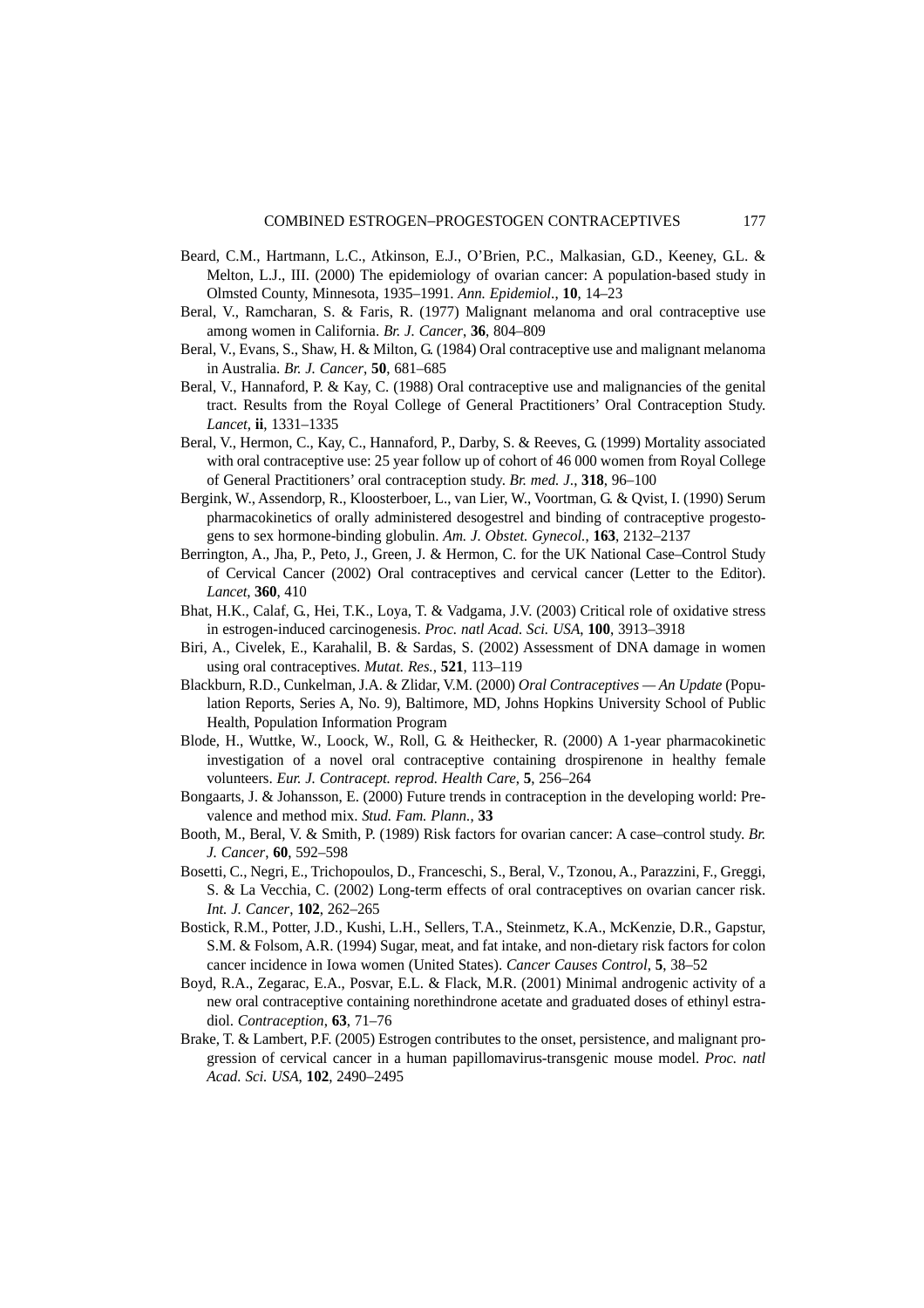- Beard, C.M., Hartmann, L.C., Atkinson, E.J., O'Brien, P.C., Malkasian, G.D., Keeney, G.L. & Melton, L.J., III. (2000) The epidemiology of ovarian cancer: A population-based study in Olmsted County, Minnesota, 1935–1991. *Ann. Epidemiol*., **10**, 14–23
- Beral, V., Ramcharan, S. & Faris, R. (1977) Malignant melanoma and oral contraceptive use among women in California. *Br. J. Cancer*, **36**, 804–809
- Beral, V., Evans, S., Shaw, H. & Milton, G. (1984) Oral contraceptive use and malignant melanoma in Australia. *Br. J. Cancer*, **50**, 681–685
- Beral, V., Hannaford, P. & Kay, C. (1988) Oral contraceptive use and malignancies of the genital tract. Results from the Royal College of General Practitioners' Oral Contraception Study. *Lancet*, **ii**, 1331–1335
- Beral, V., Hermon, C., Kay, C., Hannaford, P., Darby, S. & Reeves, G. (1999) Mortality associated with oral contraceptive use: 25 year follow up of cohort of 46 000 women from Royal College of General Practitioners' oral contraception study. *Br. med. J*., **318**, 96–100
- Bergink, W., Assendorp, R., Kloosterboer, L., van Lier, W., Voortman, G. & Qvist, I. (1990) Serum pharmacokinetics of orally administered desogestrel and binding of contraceptive progestogens to sex hormone-binding globulin. *Am. J. Obstet. Gynecol.*, **163**, 2132–2137
- Berrington, A., Jha, P., Peto, J., Green, J. & Hermon, C. for the UK National Case–Control Study of Cervical Cancer (2002) Oral contraceptives and cervical cancer (Letter to the Editor). *Lancet*, **360**, 410
- Bhat, H.K., Calaf, G., Hei, T.K., Loya, T. & Vadgama, J.V. (2003) Critical role of oxidative stress in estrogen-induced carcinogenesis. *Proc. natl Acad. Sci. USA*, **100**, 3913–3918
- Biri, A., Civelek, E., Karahalil, B. & Sardas, S. (2002) Assessment of DNA damage in women using oral contraceptives. *Mutat. Res.*, **521**, 113–119
- Blackburn, R.D., Cunkelman, J.A. & Zlidar, V.M. (2000) *Oral Contraceptives An Update* (Population Reports, Series A, No. 9), Baltimore, MD, Johns Hopkins University School of Public Health, Population Information Program
- Blode, H., Wuttke, W., Loock, W., Roll, G. & Heithecker, R. (2000) A 1-year pharmacokinetic investigation of a novel oral contraceptive containing drospirenone in healthy female volunteers. *Eur. J. Contracept. reprod. Health Care*, **5**, 256–264
- Bongaarts, J. & Johansson, E. (2000) Future trends in contraception in the developing world: Prevalence and method mix. *Stud. Fam. Plann.*, **33**
- Booth, M., Beral, V. & Smith, P. (1989) Risk factors for ovarian cancer: A case–control study. *Br. J. Cancer*, **60**, 592–598
- Bosetti, C., Negri, E., Trichopoulos, D., Franceschi, S., Beral, V., Tzonou, A., Parazzini, F., Greggi, S. & La Vecchia, C. (2002) Long-term effects of oral contraceptives on ovarian cancer risk. *Int. J. Cancer*, **102**, 262–265
- Bostick, R.M., Potter, J.D., Kushi, L.H., Sellers, T.A., Steinmetz, K.A., McKenzie, D.R., Gapstur, S.M. & Folsom, A.R. (1994) Sugar, meat, and fat intake, and non-dietary risk factors for colon cancer incidence in Iowa women (United States). *Cancer Causes Control*, **5**, 38–52
- Boyd, R.A., Zegarac, E.A., Posvar, E.L. & Flack, M.R. (2001) Minimal androgenic activity of a new oral contraceptive containing norethindrone acetate and graduated doses of ethinyl estradiol. *Contraception*, **63**, 71–76
- Brake, T. & Lambert, P.F. (2005) Estrogen contributes to the onset, persistence, and malignant progression of cervical cancer in a human papillomavirus-transgenic mouse model. *Proc. natl Acad. Sci. USA*, **102**, 2490–2495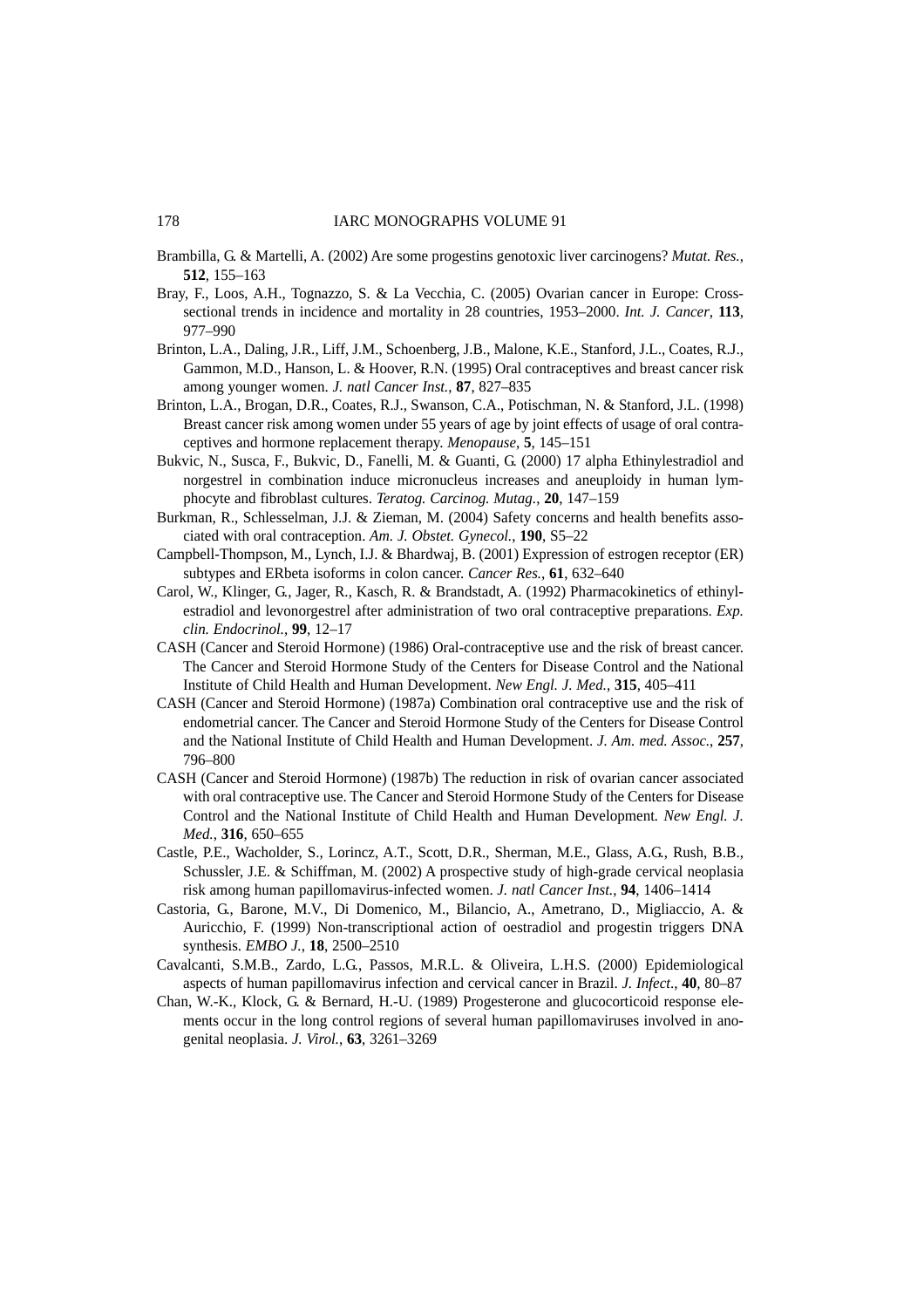- Brambilla, G. & Martelli, A. (2002) Are some progestins genotoxic liver carcinogens? *Mutat. Res.*, **512**, 155–163
- Bray, F., Loos, A.H., Tognazzo, S. & La Vecchia, C. (2005) Ovarian cancer in Europe: Crosssectional trends in incidence and mortality in 28 countries, 1953–2000. *Int. J. Cancer*, **113**, 977–990
- Brinton, L.A., Daling, J.R., Liff, J.M., Schoenberg, J.B., Malone, K.E., Stanford, J.L., Coates, R.J., Gammon, M.D., Hanson, L. & Hoover, R.N. (1995) Oral contraceptives and breast cancer risk among younger women. *J. natl Cancer Inst.*, **87**, 827–835
- Brinton, L.A., Brogan, D.R., Coates, R.J., Swanson, C.A., Potischman, N. & Stanford, J.L. (1998) Breast cancer risk among women under 55 years of age by joint effects of usage of oral contraceptives and hormone replacement therapy. *Menopause*, **5**, 145–151
- Bukvic, N., Susca, F., Bukvic, D., Fanelli, M. & Guanti, G. (2000) 17 alpha Ethinylestradiol and norgestrel in combination induce micronucleus increases and aneuploidy in human lymphocyte and fibroblast cultures. *Teratog. Carcinog. Mutag.*, **20**, 147–159
- Burkman, R., Schlesselman, J.J. & Zieman, M. (2004) Safety concerns and health benefits associated with oral contraception. *Am. J. Obstet. Gynecol.*, **190**, S5–22
- Campbell-Thompson, M., Lynch, I.J. & Bhardwaj, B. (2001) Expression of estrogen receptor (ER) subtypes and ERbeta isoforms in colon cancer. *Cancer Res.*, **61**, 632–640
- Carol, W., Klinger, G., Jager, R., Kasch, R. & Brandstadt, A. (1992) Pharmacokinetics of ethinylestradiol and levonorgestrel after administration of two oral contraceptive preparations. *Exp. clin. Endocrinol.*, **99**, 12–17
- CASH (Cancer and Steroid Hormone) (1986) Oral-contraceptive use and the risk of breast cancer. The Cancer and Steroid Hormone Study of the Centers for Disease Control and the National Institute of Child Health and Human Development. *New Engl. J. Med.*, **315**, 405–411
- CASH (Cancer and Steroid Hormone) (1987a) Combination oral contraceptive use and the risk of endometrial cancer. The Cancer and Steroid Hormone Study of the Centers for Disease Control and the National Institute of Child Health and Human Development. *J. Am. med. Assoc.*, **257**, 796–800
- CASH (Cancer and Steroid Hormone) (1987b) The reduction in risk of ovarian cancer associated with oral contraceptive use. The Cancer and Steroid Hormone Study of the Centers for Disease Control and the National Institute of Child Health and Human Development*. New Engl. J. Med.*, **316**, 650–655
- Castle, P.E., Wacholder, S., Lorincz, A.T., Scott, D.R., Sherman, M.E., Glass, A.G., Rush, B.B., Schussler, J.E. & Schiffman, M. (2002) A prospective study of high-grade cervical neoplasia risk among human papillomavirus-infected women. *J. natl Cancer Inst.*, **94**, 1406–1414
- Castoria, G., Barone, M.V., Di Domenico, M., Bilancio, A., Ametrano, D., Migliaccio, A. & Auricchio, F. (1999) Non-transcriptional action of oestradiol and progestin triggers DNA synthesis. *EMBO J.*, **18**, 2500–2510
- Cavalcanti, S.M.B., Zardo, L.G., Passos, M.R.L. & Oliveira, L.H.S. (2000) Epidemiological aspects of human papillomavirus infection and cervical cancer in Brazil. *J. Infect*., **40**, 80–87
- Chan, W.-K., Klock, G. & Bernard, H.-U. (1989) Progesterone and glucocorticoid response elements occur in the long control regions of several human papillomaviruses involved in anogenital neoplasia. *J. Virol.*, **63**, 3261–3269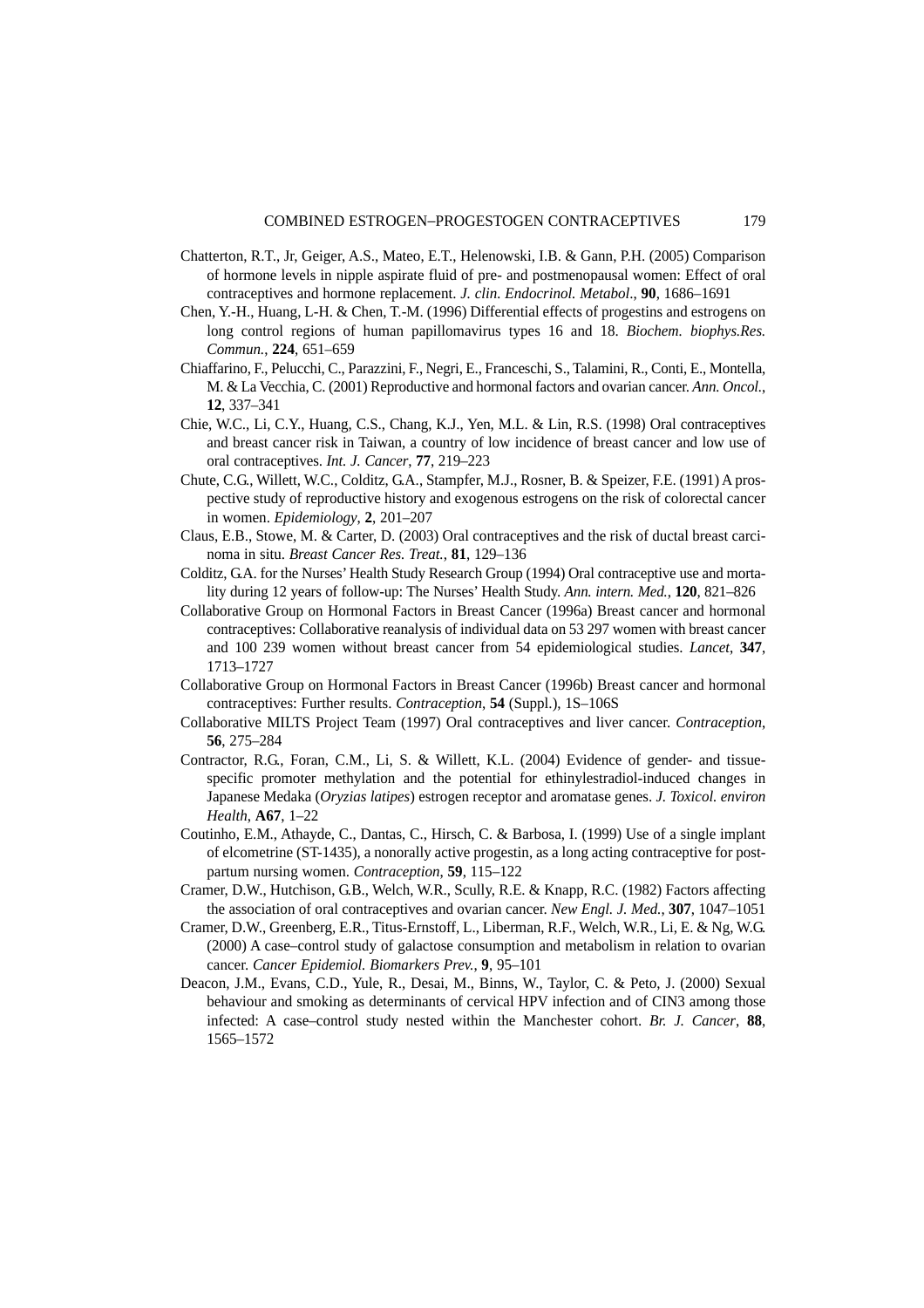- Chatterton, R.T., Jr, Geiger, A.S., Mateo, E.T., Helenowski, I.B. & Gann, P.H. (2005) Comparison of hormone levels in nipple aspirate fluid of pre- and postmenopausal women: Effect of oral contraceptives and hormone replacement. *J. clin. Endocrinol. Metabol*., **90**, 1686–1691
- Chen, Y.-H., Huang, L-H. & Chen, T.-M. (1996) Differential effects of progestins and estrogens on long control regions of human papillomavirus types 16 and 18. *Biochem. biophys.Res. Commun.*, **224**, 651–659
- Chiaffarino, F., Pelucchi, C., Parazzini, F., Negri, E., Franceschi, S., Talamini, R., Conti, E., Montella, M. & La Vecchia, C. (2001) Reproductive and hormonal factors and ovarian cancer. *Ann. Oncol.*, **12**, 337–341
- Chie, W.C., Li, C.Y., Huang, C.S., Chang, K.J., Yen, M.L. & Lin, R.S. (1998) Oral contraceptives and breast cancer risk in Taiwan, a country of low incidence of breast cancer and low use of oral contraceptives. *Int. J. Cancer*, **77**, 219–223
- Chute, C.G., Willett, W.C., Colditz, G.A., Stampfer, M.J., Rosner, B. & Speizer, F.E. (1991) A prospective study of reproductive history and exogenous estrogens on the risk of colorectal cancer in women. *Epidemiology*, **2**, 201–207
- Claus, E.B., Stowe, M. & Carter, D. (2003) Oral contraceptives and the risk of ductal breast carcinoma in situ. *Breast Cancer Res. Treat.*, **81**, 129–136
- Colditz, G.A. for the Nurses' Health Study Research Group (1994) Oral contraceptive use and mortality during 12 years of follow-up: The Nurses' Health Study. *Ann. intern. Med.*, **120**, 821–826
- Collaborative Group on Hormonal Factors in Breast Cancer (1996a) Breast cancer and hormonal contraceptives: Collaborative reanalysis of individual data on 53 297 women with breast cancer and 100 239 women without breast cancer from 54 epidemiological studies. *Lancet*, **347**, 1713–1727
- Collaborative Group on Hormonal Factors in Breast Cancer (1996b) Breast cancer and hormonal contraceptives: Further results. *Contraception*, **54** (Suppl.), 1S–106S
- Collaborative MILTS Project Team (1997) Oral contraceptives and liver cancer. *Contraception*, **56**, 275–284
- Contractor, R.G., Foran, C.M., Li, S. & Willett, K.L. (2004) Evidence of gender- and tissuespecific promoter methylation and the potential for ethinylestradiol-induced changes in Japanese Medaka (*Oryzias latipes*) estrogen receptor and aromatase genes. *J. Toxicol. environ Health*, **A67**, 1–22
- Coutinho, E.M., Athayde, C., Dantas, C., Hirsch, C. & Barbosa, I. (1999) Use of a single implant of elcometrine (ST-1435), a nonorally active progestin, as a long acting contraceptive for postpartum nursing women. *Contraception*, **59**, 115–122
- Cramer, D.W., Hutchison, G.B., Welch, W.R., Scully, R.E. & Knapp, R.C. (1982) Factors affecting the association of oral contraceptives and ovarian cancer. *New Engl. J. Med.*, **307**, 1047–1051
- Cramer, D.W., Greenberg, E.R., Titus-Ernstoff, L., Liberman, R.F., Welch, W.R., Li, E. & Ng, W.G. (2000) A case–control study of galactose consumption and metabolism in relation to ovarian cancer. *Cancer Epidemiol. Biomarkers Prev.*, **9**, 95–101
- Deacon, J.M., Evans, C.D., Yule, R., Desai, M., Binns, W., Taylor, C. & Peto, J. (2000) Sexual behaviour and smoking as determinants of cervical HPV infection and of CIN3 among those infected: A case–control study nested within the Manchester cohort. *Br. J. Cancer*, **88**, 1565–1572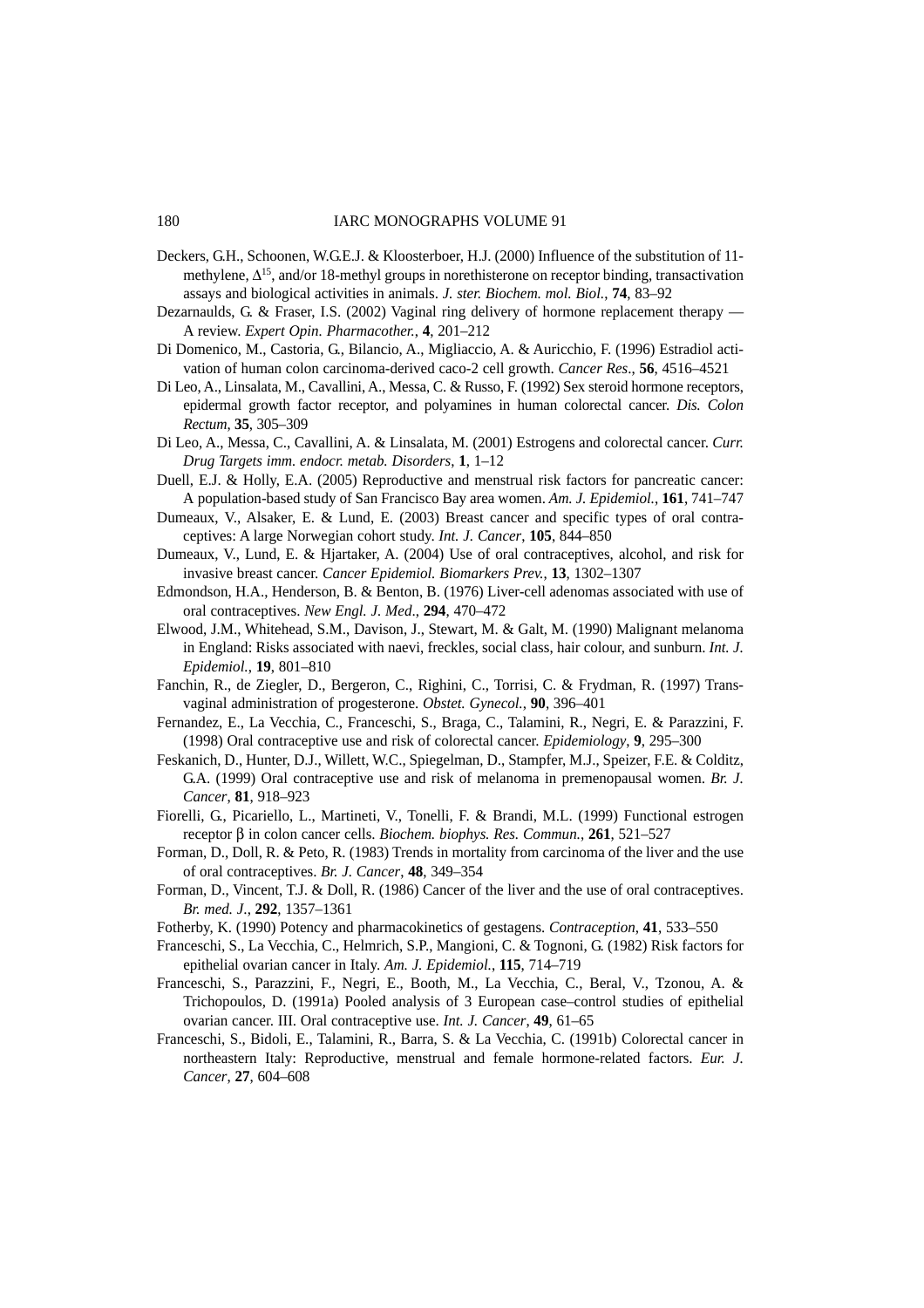- Deckers, G.H., Schoonen, W.G.E.J. & Kloosterboer, H.J. (2000) Influence of the substitution of 11methylene,  $\Delta^{15}$ , and/or 18-methyl groups in norethisterone on receptor binding, transactivation assays and biological activities in animals. *J. ster. Biochem. mol. Biol.*, **74**, 83–92
- Dezarnaulds, G. & Fraser, I.S. (2002) Vaginal ring delivery of hormone replacement therapy A review. *Expert Opin. Pharmacother.*, **4**, 201–212
- Di Domenico, M., Castoria, G., Bilancio, A., Migliaccio, A. & Auricchio, F. (1996) Estradiol activation of human colon carcinoma-derived caco-2 cell growth. *Cancer Res*., **56**, 4516–4521
- Di Leo, A., Linsalata, M., Cavallini, A., Messa, C. & Russo, F. (1992) Sex steroid hormone receptors, epidermal growth factor receptor, and polyamines in human colorectal cancer. *Dis. Colon Rectum*, **35**, 305–309
- Di Leo, A., Messa, C., Cavallini, A. & Linsalata, M. (2001) Estrogens and colorectal cancer. *Curr. Drug Targets imm. endocr. metab. Disorders*, **1**, 1–12
- Duell, E.J. & Holly, E.A. (2005) Reproductive and menstrual risk factors for pancreatic cancer: A population-based study of San Francisco Bay area women. *Am. J. Epidemiol.*, **161**, 741–747
- Dumeaux, V., Alsaker, E. & Lund, E. (2003) Breast cancer and specific types of oral contraceptives: A large Norwegian cohort study. *Int. J. Cancer*, **105**, 844–850
- Dumeaux, V., Lund, E. & Hjartaker, A. (2004) Use of oral contraceptives, alcohol, and risk for invasive breast cancer. *Cancer Epidemiol. Biomarkers Prev.*, **13**, 1302–1307
- Edmondson, H.A., Henderson, B. & Benton, B. (1976) Liver-cell adenomas associated with use of oral contraceptives. *New Engl. J. Med*., **294**, 470–472
- Elwood, J.M., Whitehead, S.M., Davison, J., Stewart, M. & Galt, M. (1990) Malignant melanoma in England: Risks associated with naevi, freckles, social class, hair colour, and sunburn. *Int. J. Epidemiol.*, **19**, 801–810
- Fanchin, R., de Ziegler, D., Bergeron, C., Righini, C., Torrisi, C. & Frydman, R. (1997) Transvaginal administration of progesterone. *Obstet. Gynecol.*, **90**, 396–401
- Fernandez, E., La Vecchia, C., Franceschi, S., Braga, C., Talamini, R., Negri, E. & Parazzini, F. (1998) Oral contraceptive use and risk of colorectal cancer. *Epidemiology*, **9**, 295–300
- Feskanich, D., Hunter, D.J., Willett, W.C., Spiegelman, D., Stampfer, M.J., Speizer, F.E. & Colditz, G.A. (1999) Oral contraceptive use and risk of melanoma in premenopausal women. *Br. J. Cancer*, **81**, 918–923
- Fiorelli, G., Picariello, L., Martineti, V., Tonelli, F. & Brandi, M.L. (1999) Functional estrogen receptor β in colon cancer cells. *Biochem. biophys. Res. Commun.*, **261**, 521–527
- Forman, D., Doll, R. & Peto, R. (1983) Trends in mortality from carcinoma of the liver and the use of oral contraceptives. *Br. J. Cancer*, **48**, 349–354
- Forman, D., Vincent, T.J. & Doll, R. (1986) Cancer of the liver and the use of oral contraceptives. *Br. med. J*., **292**, 1357–1361
- Fotherby, K. (1990) Potency and pharmacokinetics of gestagens. *Contraception*, **41**, 533–550
- Franceschi, S., La Vecchia, C., Helmrich, S.P., Mangioni, C. & Tognoni, G. (1982) Risk factors for epithelial ovarian cancer in Italy. *Am. J. Epidemiol.*, **115**, 714–719
- Franceschi, S., Parazzini, F., Negri, E., Booth, M., La Vecchia, C., Beral, V., Tzonou, A. & Trichopoulos, D. (1991a) Pooled analysis of 3 European case–control studies of epithelial ovarian cancer. III. Oral contraceptive use. *Int. J. Cancer*, **49**, 61–65
- Franceschi, S., Bidoli, E., Talamini, R., Barra, S. & La Vecchia, C. (1991b) Colorectal cancer in northeastern Italy: Reproductive, menstrual and female hormone-related factors. *Eur. J. Cancer*, **27**, 604–608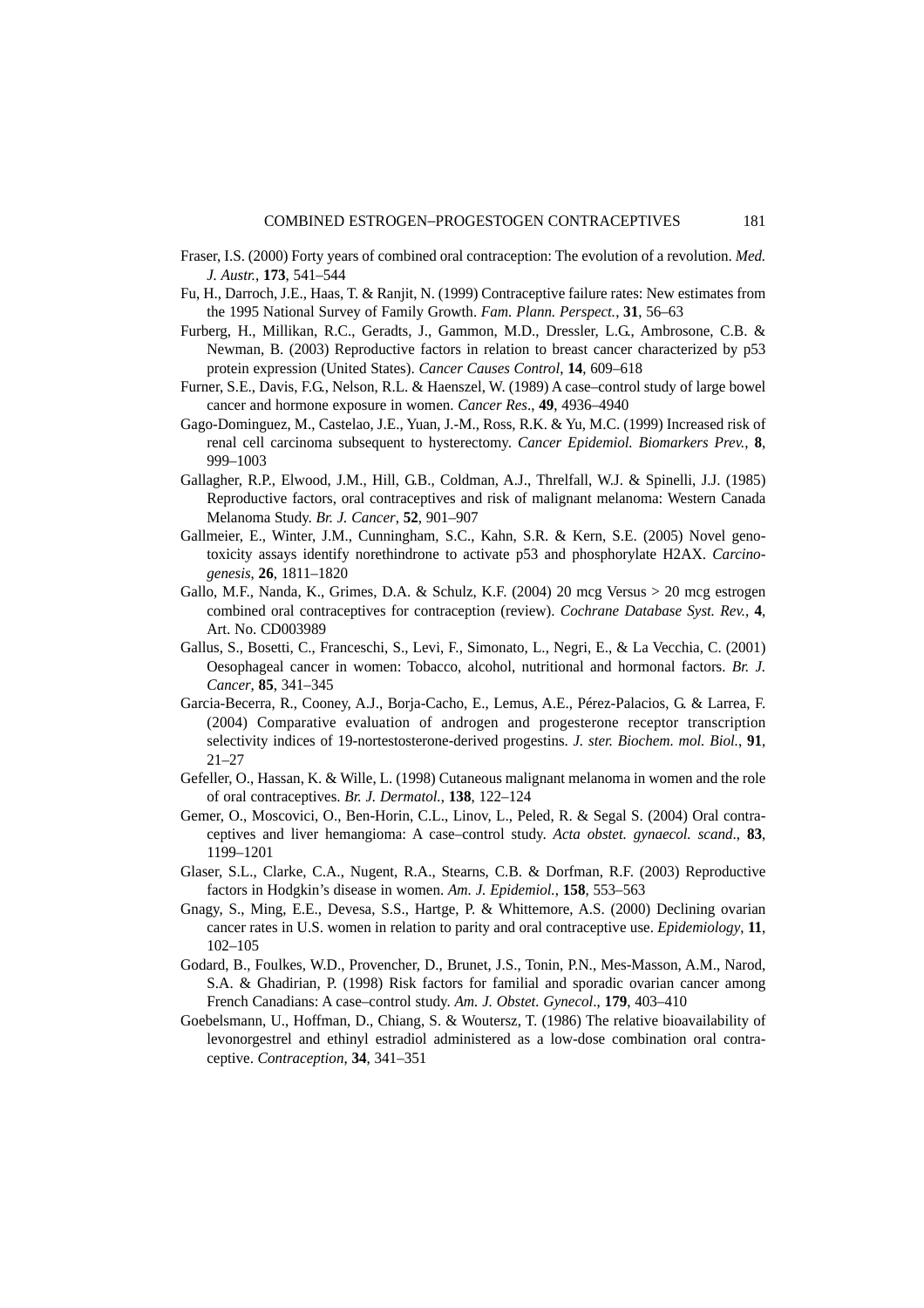- Fraser, I.S. (2000) Forty years of combined oral contraception: The evolution of a revolution. *Med. J. Austr.*, **173**, 541–544
- Fu, H., Darroch, J.E., Haas, T. & Ranjit, N. (1999) Contraceptive failure rates: New estimates from the 1995 National Survey of Family Growth. *Fam. Plann. Perspect.*, **31**, 56–63
- Furberg, H., Millikan, R.C., Geradts, J., Gammon, M.D., Dressler, L.G., Ambrosone, C.B. & Newman, B. (2003) Reproductive factors in relation to breast cancer characterized by p53 protein expression (United States). *Cancer Causes Control*, **14**, 609–618
- Furner, S.E., Davis, F.G., Nelson, R.L. & Haenszel, W. (1989) A case–control study of large bowel cancer and hormone exposure in women. *Cancer Res*., **49**, 4936–4940
- Gago-Dominguez, M., Castelao, J.E., Yuan, J.-M., Ross, R.K. & Yu, M.C. (1999) Increased risk of renal cell carcinoma subsequent to hysterectomy. *Cancer Epidemiol. Biomarkers Prev.*, **8**, 999–1003
- Gallagher, R.P., Elwood, J.M., Hill, G.B., Coldman, A.J., Threlfall, W.J. & Spinelli, J.J. (1985) Reproductive factors, oral contraceptives and risk of malignant melanoma: Western Canada Melanoma Study. *Br. J. Cancer*, **52**, 901–907
- Gallmeier, E., Winter, J.M., Cunningham, S.C., Kahn, S.R. & Kern, S.E. (2005) Novel genotoxicity assays identify norethindrone to activate p53 and phosphorylate H2AX. *Carcinogenesis*, **26**, 1811–1820
- Gallo, M.F., Nanda, K., Grimes, D.A. & Schulz, K.F. (2004) 20 mcg Versus > 20 mcg estrogen combined oral contraceptives for contraception (review). *Cochrane Database Syst. Rev.*, **4**, Art. No. CD003989
- Gallus, S., Bosetti, C., Franceschi, S., Levi, F., Simonato, L., Negri, E., & La Vecchia, C. (2001) Oesophageal cancer in women: Tobacco, alcohol, nutritional and hormonal factors. *Br. J. Cancer*, **85**, 341–345
- Garcia-Becerra, R., Cooney, A.J., Borja-Cacho, E., Lemus, A.E., Pérez-Palacios, G. & Larrea, F. (2004) Comparative evaluation of androgen and progesterone receptor transcription selectivity indices of 19-nortestosterone-derived progestins. *J. ster. Biochem. mol. Biol.*, **91**, 21–27
- Gefeller, O., Hassan, K. & Wille, L. (1998) Cutaneous malignant melanoma in women and the role of oral contraceptives. *Br. J. Dermatol.*, **138**, 122–124
- Gemer, O., Moscovici, O., Ben-Horin, C.L., Linov, L., Peled, R. & Segal S. (2004) Oral contraceptives and liver hemangioma: A case–control study. *Acta obstet. gynaecol. scand*., **83**, 1199–1201
- Glaser, S.L., Clarke, C.A., Nugent, R.A., Stearns, C.B. & Dorfman, R.F. (2003) Reproductive factors in Hodgkin's disease in women. *Am. J. Epidemiol.*, **158**, 553–563
- Gnagy, S., Ming, E.E., Devesa, S.S., Hartge, P. & Whittemore, A.S. (2000) Declining ovarian cancer rates in U.S. women in relation to parity and oral contraceptive use. *Epidemiology*, **11**, 102–105
- Godard, B., Foulkes, W.D., Provencher, D., Brunet, J.S., Tonin, P.N., Mes-Masson, A.M., Narod, S.A. & Ghadirian, P. (1998) Risk factors for familial and sporadic ovarian cancer among French Canadians: A case–control study. *Am. J. Obstet. Gynecol*., **179**, 403–410
- Goebelsmann, U., Hoffman, D., Chiang, S. & Woutersz, T. (1986) The relative bioavailability of levonorgestrel and ethinyl estradiol administered as a low-dose combination oral contraceptive. *Contraception*, **34**, 341–351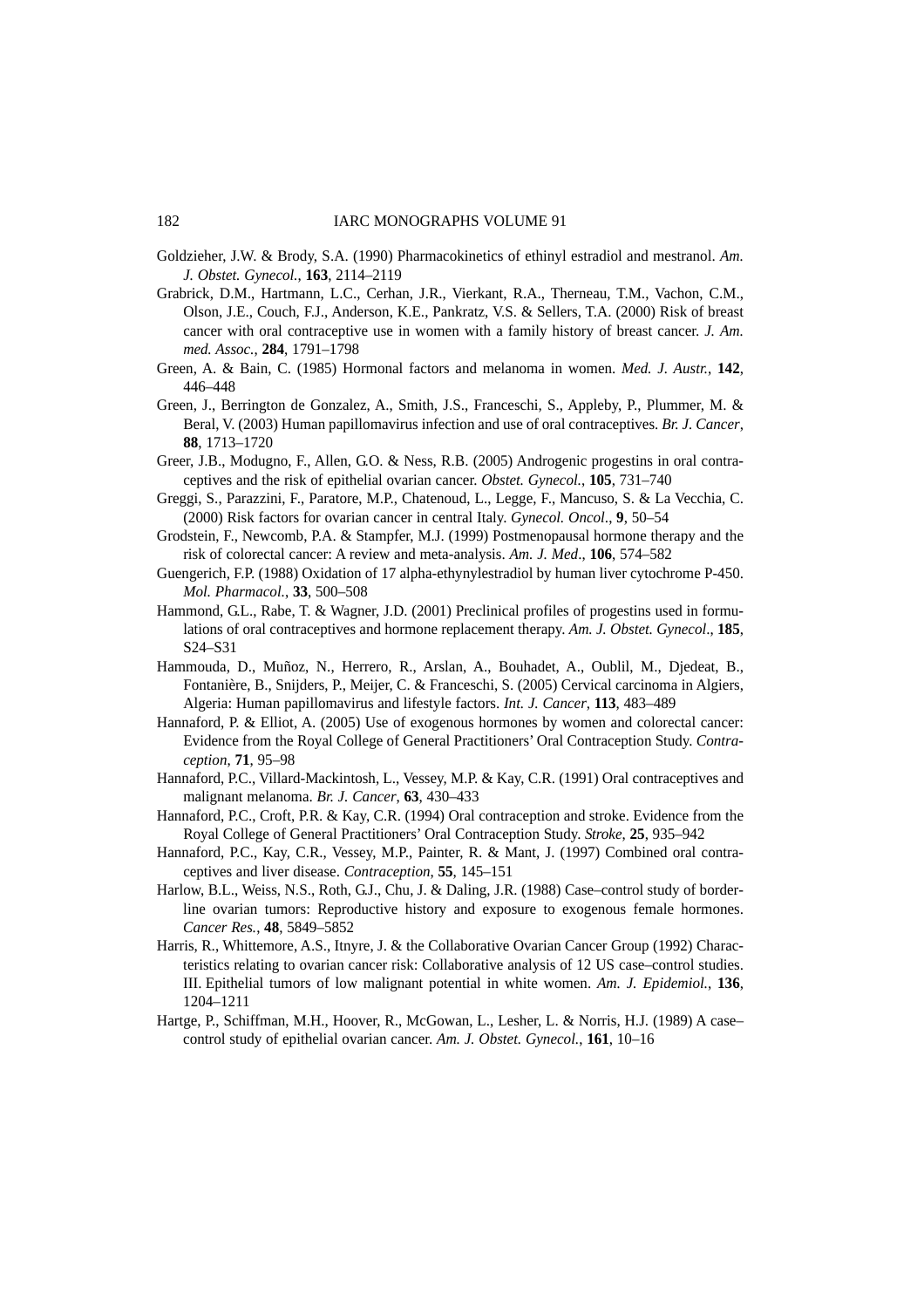- Goldzieher, J.W. & Brody, S.A. (1990) Pharmacokinetics of ethinyl estradiol and mestranol. *Am. J. Obstet. Gynecol.*, **163**, 2114–2119
- Grabrick, D.M., Hartmann, L.C., Cerhan, J.R., Vierkant, R.A., Therneau, T.M., Vachon, C.M., Olson, J.E., Couch, F.J., Anderson, K.E., Pankratz, V.S. & Sellers, T.A. (2000) Risk of breast cancer with oral contraceptive use in women with a family history of breast cancer. *J. Am. med. Assoc.*, **284**, 1791–1798
- Green, A. & Bain, C. (1985) Hormonal factors and melanoma in women. *Med. J. Austr.*, **142**, 446–448
- Green, J., Berrington de Gonzalez, A., Smith, J.S., Franceschi, S., Appleby, P., Plummer, M. & Beral, V. (2003) Human papillomavirus infection and use of oral contraceptives. *Br. J. Cancer*, **88**, 1713–1720
- Greer, J.B., Modugno, F., Allen, G.O. & Ness, R.B. (2005) Androgenic progestins in oral contraceptives and the risk of epithelial ovarian cancer. *Obstet. Gynecol.*, **105**, 731–740
- Greggi, S., Parazzini, F., Paratore, M.P., Chatenoud, L., Legge, F., Mancuso, S. & La Vecchia, C. (2000) Risk factors for ovarian cancer in central Italy. *Gynecol. Oncol*., **9**, 50–54
- Grodstein, F., Newcomb, P.A. & Stampfer, M.J. (1999) Postmenopausal hormone therapy and the risk of colorectal cancer: A review and meta-analysis. *Am. J. Med*., **106**, 574–582
- Guengerich, F.P. (1988) Oxidation of 17 alpha-ethynylestradiol by human liver cytochrome P-450. *Mol. Pharmacol.*, **33**, 500–508
- Hammond, G.L., Rabe, T. & Wagner, J.D. (2001) Preclinical profiles of progestins used in formulations of oral contraceptives and hormone replacement therapy. *Am. J. Obstet. Gynecol*., **185**, S24–S31
- Hammouda, D., Muñoz, N., Herrero, R., Arslan, A., Bouhadet, A., Oublil, M., Djedeat, B., Fontanière, B., Snijders, P., Meijer, C. & Franceschi, S. (2005) Cervical carcinoma in Algiers, Algeria: Human papillomavirus and lifestyle factors. *Int. J. Cancer*, **113**, 483–489
- Hannaford, P. & Elliot, A. (2005) Use of exogenous hormones by women and colorectal cancer: Evidence from the Royal College of General Practitioners' Oral Contraception Study. *Contraception*, **71**, 95–98
- Hannaford, P.C., Villard-Mackintosh, L., Vessey, M.P. & Kay, C.R. (1991) Oral contraceptives and malignant melanoma. *Br. J. Cancer*, **63**, 430–433
- Hannaford, P.C., Croft, P.R. & Kay, C.R. (1994) Oral contraception and stroke. Evidence from the Royal College of General Practitioners' Oral Contraception Study. *Stroke*, **25**, 935–942
- Hannaford, P.C., Kay, C.R., Vessey, M.P., Painter, R. & Mant, J. (1997) Combined oral contraceptives and liver disease. *Contraception*, **55**, 145–151
- Harlow, B.L., Weiss, N.S., Roth, G.J., Chu, J. & Daling, J.R. (1988) Case–control study of borderline ovarian tumors: Reproductive history and exposure to exogenous female hormones. *Cancer Res.*, **48**, 5849–5852
- Harris, R., Whittemore, A.S., Itnyre, J. & the Collaborative Ovarian Cancer Group (1992) Characteristics relating to ovarian cancer risk: Collaborative analysis of 12 US case–control studies. III. Epithelial tumors of low malignant potential in white women. *Am. J. Epidemiol.*, **136**, 1204–1211
- Hartge, P., Schiffman, M.H., Hoover, R., McGowan, L., Lesher, L. & Norris, H.J. (1989) A case– control study of epithelial ovarian cancer. *Am. J. Obstet. Gynecol.*, **161**, 10–16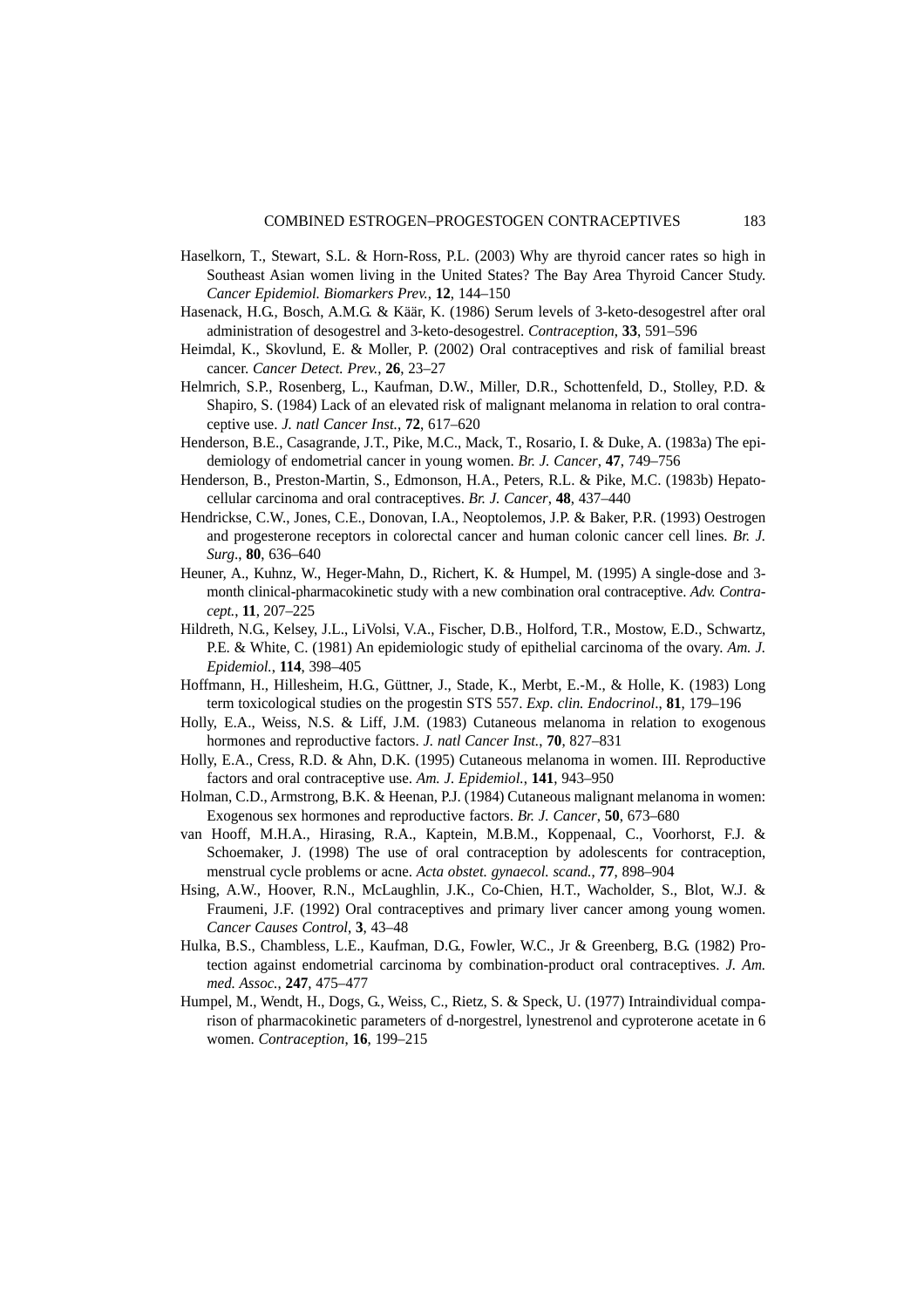- Haselkorn, T., Stewart, S.L. & Horn-Ross, P.L. (2003) Why are thyroid cancer rates so high in Southeast Asian women living in the United States? The Bay Area Thyroid Cancer Study. *Cancer Epidemiol. Biomarkers Prev.*, **12**, 144–150
- Hasenack, H.G., Bosch, A.M.G. & Käär, K. (1986) Serum levels of 3-keto-desogestrel after oral administration of desogestrel and 3-keto-desogestrel. *Contraception*, **33**, 591–596
- Heimdal, K., Skovlund, E. & Moller, P. (2002) Oral contraceptives and risk of familial breast cancer. *Cancer Detect. Prev.*, **26**, 23–27
- Helmrich, S.P., Rosenberg, L., Kaufman, D.W., Miller, D.R., Schottenfeld, D., Stolley, P.D. & Shapiro, S. (1984) Lack of an elevated risk of malignant melanoma in relation to oral contraceptive use. *J. natl Cancer Inst.*, **72**, 617–620
- Henderson, B.E., Casagrande, J.T., Pike, M.C., Mack, T., Rosario, I. & Duke, A. (1983a) The epidemiology of endometrial cancer in young women. *Br. J. Cancer*, **47**, 749–756
- Henderson, B., Preston-Martin, S., Edmonson, H.A., Peters, R.L. & Pike, M.C. (1983b) Hepatocellular carcinoma and oral contraceptives. *Br. J. Cancer*, **48**, 437–440
- Hendrickse, C.W., Jones, C.E., Donovan, I.A., Neoptolemos, J.P. & Baker, P.R. (1993) Oestrogen and progesterone receptors in colorectal cancer and human colonic cancer cell lines. *Br. J. Surg*., **80**, 636–640
- Heuner, A., Kuhnz, W., Heger-Mahn, D., Richert, K. & Humpel, M. (1995) A single-dose and 3 month clinical-pharmacokinetic study with a new combination oral contraceptive. *Adv. Contracept.*, **11**, 207–225
- Hildreth, N.G., Kelsey, J.L., LiVolsi, V.A., Fischer, D.B., Holford, T.R., Mostow, E.D., Schwartz, P.E. & White, C. (1981) An epidemiologic study of epithelial carcinoma of the ovary. *Am. J. Epidemiol.*, **114**, 398–405
- Hoffmann, H., Hillesheim, H.G., Güttner, J., Stade, K., Merbt, E.-M., & Holle, K. (1983) Long term toxicological studies on the progestin STS 557. *Exp. clin. Endocrinol*., **81**, 179–196
- Holly, E.A., Weiss, N.S. & Liff, J.M. (1983) Cutaneous melanoma in relation to exogenous hormones and reproductive factors. *J. natl Cancer Inst.*, **70**, 827–831
- Holly, E.A., Cress, R.D. & Ahn, D.K. (1995) Cutaneous melanoma in women. III. Reproductive factors and oral contraceptive use. *Am. J. Epidemiol.*, **141**, 943–950
- Holman, C.D., Armstrong, B.K. & Heenan, P.J. (1984) Cutaneous malignant melanoma in women: Exogenous sex hormones and reproductive factors. *Br. J. Cancer*, **50**, 673–680
- van Hooff, M.H.A., Hirasing, R.A., Kaptein, M.B.M., Koppenaal, C., Voorhorst, F.J. & Schoemaker, J. (1998) The use of oral contraception by adolescents for contraception, menstrual cycle problems or acne. *Acta obstet. gynaecol. scand.*, **77**, 898–904
- Hsing, A.W., Hoover, R.N., McLaughlin, J.K., Co-Chien, H.T., Wacholder, S., Blot, W.J. & Fraumeni, J.F. (1992) Oral contraceptives and primary liver cancer among young women. *Cancer Causes Control*, **3**, 43–48
- Hulka, B.S., Chambless, L.E., Kaufman, D.G., Fowler, W.C., Jr & Greenberg, B.G. (1982) Protection against endometrial carcinoma by combination-product oral contraceptives. *J. Am. med. Assoc.*, **247**, 475–477
- Humpel, M., Wendt, H., Dogs, G., Weiss, C., Rietz, S. & Speck, U. (1977) Intraindividual comparison of pharmacokinetic parameters of d-norgestrel, lynestrenol and cyproterone acetate in 6 women. *Contraception*, **16**, 199–215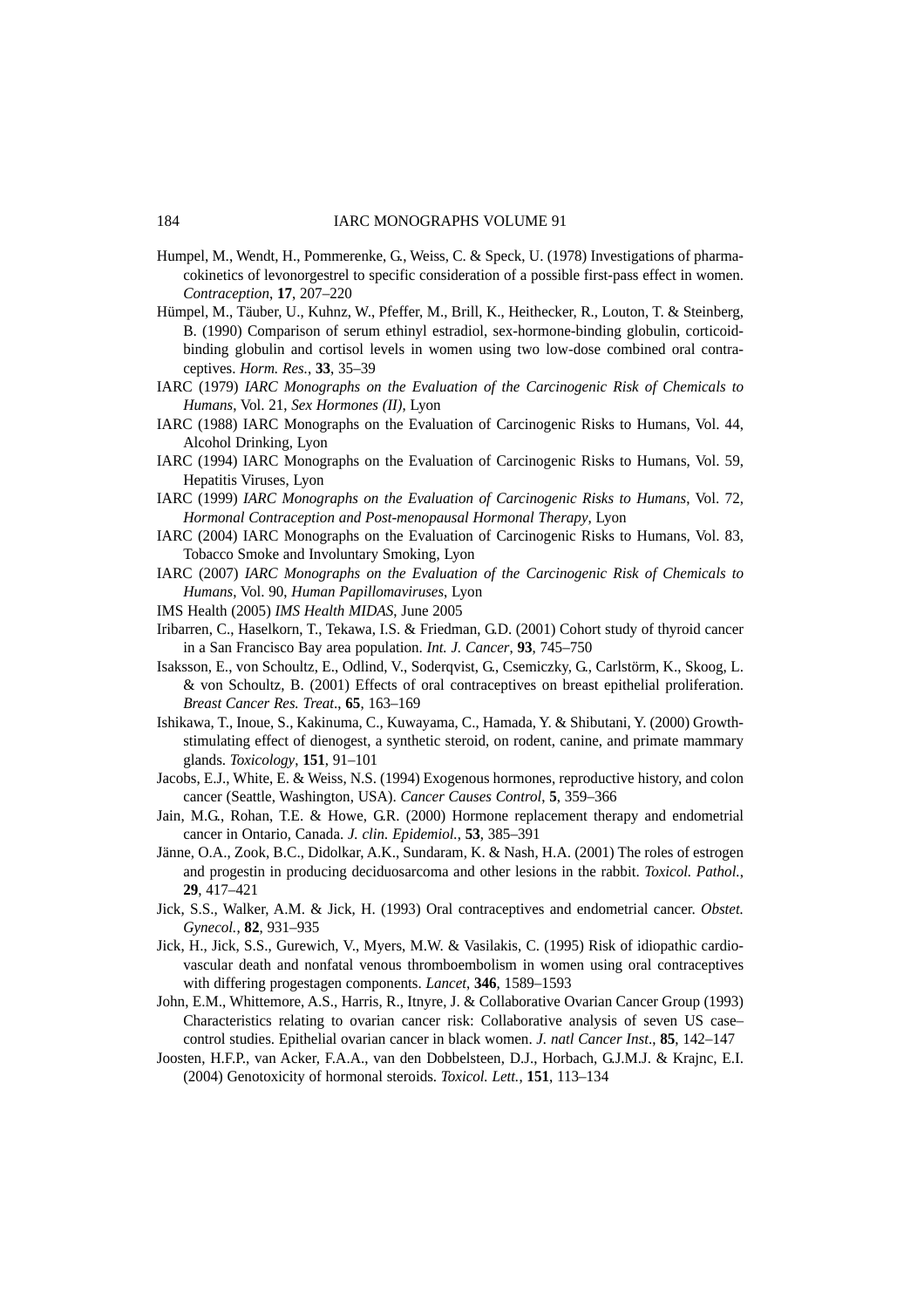- Humpel, M., Wendt, H., Pommerenke, G., Weiss, C. & Speck, U. (1978) Investigations of pharmacokinetics of levonorgestrel to specific consideration of a possible first-pass effect in women. *Contraception*, **17**, 207–220
- Hümpel, M., Täuber, U., Kuhnz, W., Pfeffer, M., Brill, K., Heithecker, R., Louton, T. & Steinberg, B. (1990) Comparison of serum ethinyl estradiol, sex-hormone-binding globulin, corticoidbinding globulin and cortisol levels in women using two low-dose combined oral contraceptives. *Horm. Res.*, **33**, 35–39
- IARC (1979) *IARC Monographs on the Evaluation of the Carcinogenic Risk of Chemicals to Humans*, Vol. 21, *Sex Hormones (II)*, Lyon
- IARC (1988) IARC Monographs on the Evaluation of Carcinogenic Risks to Humans, Vol. 44, Alcohol Drinking, Lyon
- IARC (1994) IARC Monographs on the Evaluation of Carcinogenic Risks to Humans, Vol. 59, Hepatitis Viruses, Lyon
- IARC (1999) *IARC Monographs on the Evaluation of Carcinogenic Risks to Humans*, Vol. 72, *Hormonal Contraception and Post-menopausal Hormonal Therapy*, Lyon
- IARC (2004) IARC Monographs on the Evaluation of Carcinogenic Risks to Humans, Vol. 83, Tobacco Smoke and Involuntary Smoking, Lyon
- IARC (2007) *IARC Monographs on the Evaluation of the Carcinogenic Risk of Chemicals to Humans*, Vol. 90, *Human Papillomaviruses*, Lyon
- IMS Health (2005) *IMS Health MIDAS*, June 2005
- Iribarren, C., Haselkorn, T., Tekawa, I.S. & Friedman, G.D. (2001) Cohort study of thyroid cancer in a San Francisco Bay area population. *Int. J. Cancer*, **93**, 745–750
- Isaksson, E., von Schoultz, E., Odlind, V., Soderqvist, G., Csemiczky, G., Carlstörm, K., Skoog, L. & von Schoultz, B. (2001) Effects of oral contraceptives on breast epithelial proliferation. *Breast Cancer Res. Treat*., **65**, 163–169
- Ishikawa, T., Inoue, S., Kakinuma, C., Kuwayama, C., Hamada, Y. & Shibutani, Y. (2000) Growthstimulating effect of dienogest, a synthetic steroid, on rodent, canine, and primate mammary glands. *Toxicology*, **151**, 91–101
- Jacobs, E.J., White, E. & Weiss, N.S. (1994) Exogenous hormones, reproductive history, and colon cancer (Seattle, Washington, USA). *Cancer Causes Control*, **5**, 359–366
- Jain, M.G., Rohan, T.E. & Howe, G.R. (2000) Hormone replacement therapy and endometrial cancer in Ontario, Canada. *J. clin. Epidemiol.*, **53**, 385–391
- Jänne, O.A., Zook, B.C., Didolkar, A.K., Sundaram, K. & Nash, H.A. (2001) The roles of estrogen and progestin in producing deciduosarcoma and other lesions in the rabbit. *Toxicol. Pathol.*, **29**, 417–421
- Jick, S.S., Walker, A.M. & Jick, H. (1993) Oral contraceptives and endometrial cancer. *Obstet. Gynecol.*, **82**, 931–935
- Jick, H., Jick, S.S., Gurewich, V., Myers, M.W. & Vasilakis, C. (1995) Risk of idiopathic cardiovascular death and nonfatal venous thromboembolism in women using oral contraceptives with differing progestagen components. *Lancet*, **346**, 1589–1593
- John, E.M., Whittemore, A.S., Harris, R., Itnyre, J. & Collaborative Ovarian Cancer Group (1993) Characteristics relating to ovarian cancer risk: Collaborative analysis of seven US case– control studies. Epithelial ovarian cancer in black women. *J. natl Cancer Inst*., **85**, 142–147
- Joosten, H.F.P., van Acker, F.A.A., van den Dobbelsteen, D.J., Horbach, G.J.M.J. & Krajnc, E.I. (2004) Genotoxicity of hormonal steroids. *Toxicol. Lett.*, **151**, 113–134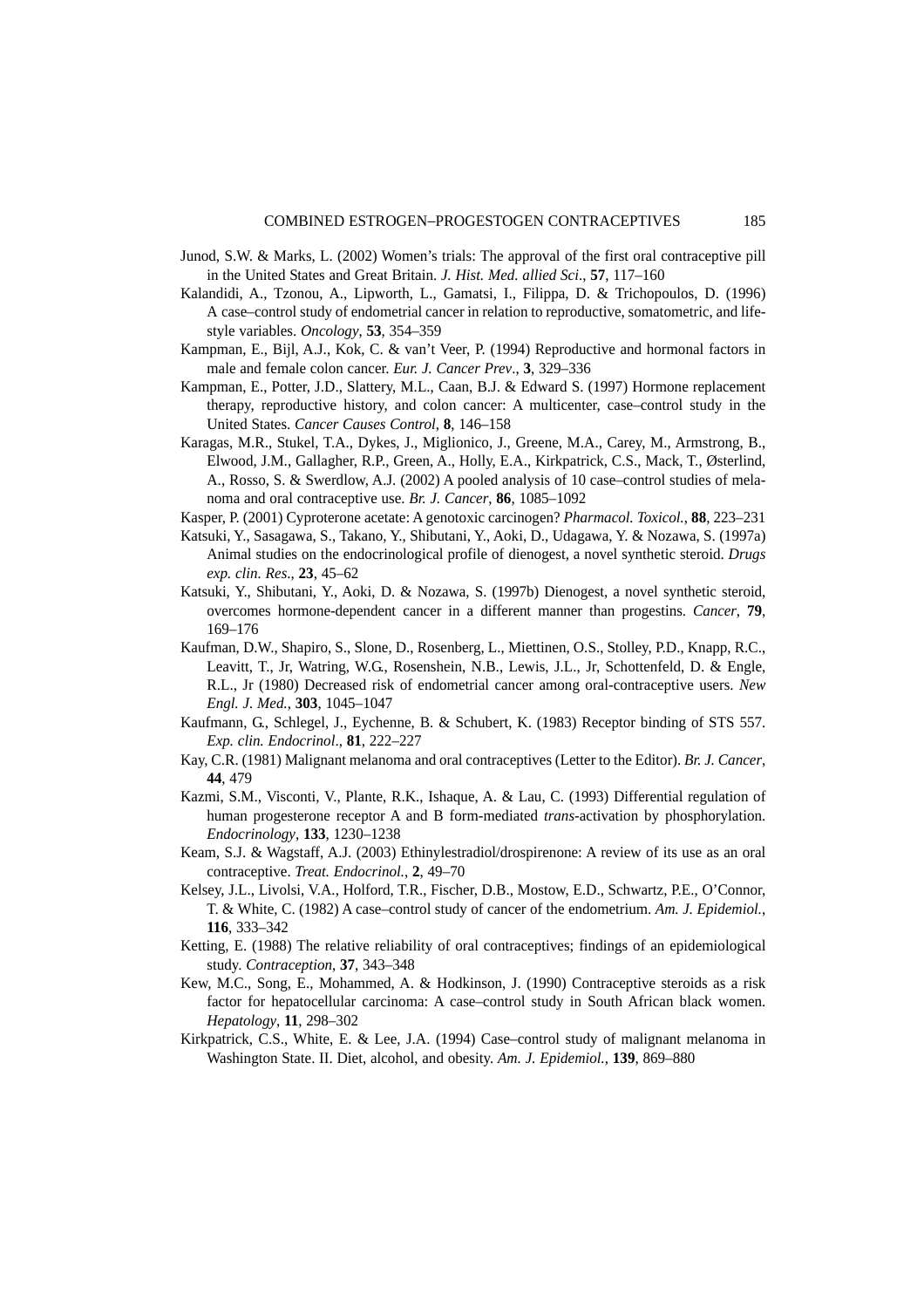- Junod, S.W. & Marks, L. (2002) Women's trials: The approval of the first oral contraceptive pill in the United States and Great Britain. *J. Hist. Med. allied Sci*., **57**, 117–160
- Kalandidi, A., Tzonou, A., Lipworth, L., Gamatsi, I., Filippa, D. & Trichopoulos, D. (1996) A case–control study of endometrial cancer in relation to reproductive, somatometric, and lifestyle variables. *Oncology*, **53**, 354–359
- Kampman, E., Bijl, A.J., Kok, C. & van't Veer, P. (1994) Reproductive and hormonal factors in male and female colon cancer. *Eur. J. Cancer Prev*., **3**, 329–336
- Kampman, E., Potter, J.D., Slattery, M.L., Caan, B.J. & Edward S. (1997) Hormone replacement therapy, reproductive history, and colon cancer: A multicenter, case–control study in the United States. *Cancer Causes Control*, **8**, 146–158
- Karagas, M.R., Stukel, T.A., Dykes, J., Miglionico, J., Greene, M.A., Carey, M., Armstrong, B., Elwood, J.M., Gallagher, R.P., Green, A., Holly, E.A., Kirkpatrick, C.S., Mack, T., Østerlind, A., Rosso, S. & Swerdlow, A.J. (2002) A pooled analysis of 10 case–control studies of melanoma and oral contraceptive use. *Br. J. Cancer*, **86**, 1085–1092
- Kasper, P. (2001) Cyproterone acetate: A genotoxic carcinogen? *Pharmacol. Toxicol.*, **88**, 223–231
- Katsuki, Y., Sasagawa, S., Takano, Y., Shibutani, Y., Aoki, D., Udagawa, Y. & Nozawa, S. (1997a) Animal studies on the endocrinological profile of dienogest, a novel synthetic steroid. *Drugs exp. clin. Res*., **23**, 45–62
- Katsuki, Y., Shibutani, Y., Aoki, D. & Nozawa, S. (1997b) Dienogest, a novel synthetic steroid, overcomes hormone-dependent cancer in a different manner than progestins. *Cancer*, **79**, 169–176
- Kaufman, D.W., Shapiro, S., Slone, D., Rosenberg, L., Miettinen, O.S., Stolley, P.D., Knapp, R.C., Leavitt, T., Jr, Watring, W.G., Rosenshein, N.B., Lewis, J.L., Jr, Schottenfeld, D. & Engle, R.L., Jr (1980) Decreased risk of endometrial cancer among oral-contraceptive users. *New Engl. J. Med.*, **303**, 1045–1047
- Kaufmann, G., Schlegel, J., Eychenne, B. & Schubert, K. (1983) Receptor binding of STS 557. *Exp. clin. Endocrinol*., **81**, 222–227
- Kay, C.R. (1981) Malignant melanoma and oral contraceptives (Letter to the Editor). *Br. J. Cancer*, **44**, 479
- Kazmi, S.M., Visconti, V., Plante, R.K., Ishaque, A. & Lau, C. (1993) Differential regulation of human progesterone receptor A and B form-mediated *trans*-activation by phosphorylation. *Endocrinology*, **133**, 1230–1238
- Keam, S.J. & Wagstaff, A.J. (2003) Ethinylestradiol/drospirenone: A review of its use as an oral contraceptive. *Treat. Endocrinol.*, **2**, 49–70
- Kelsey, J.L., Livolsi, V.A., Holford, T.R., Fischer, D.B., Mostow, E.D., Schwartz, P.E., O'Connor, T. & White, C. (1982) A case–control study of cancer of the endometrium. *Am. J. Epidemiol.*, **116**, 333–342
- Ketting, E. (1988) The relative reliability of oral contraceptives; findings of an epidemiological study. *Contraception*, **37**, 343–348
- Kew, M.C., Song, E., Mohammed, A. & Hodkinson, J. (1990) Contraceptive steroids as a risk factor for hepatocellular carcinoma: A case–control study in South African black women. *Hepatology*, **11**, 298–302
- Kirkpatrick, C.S., White, E. & Lee, J.A. (1994) Case–control study of malignant melanoma in Washington State. II. Diet, alcohol, and obesity. *Am. J. Epidemiol.*, **139**, 869–880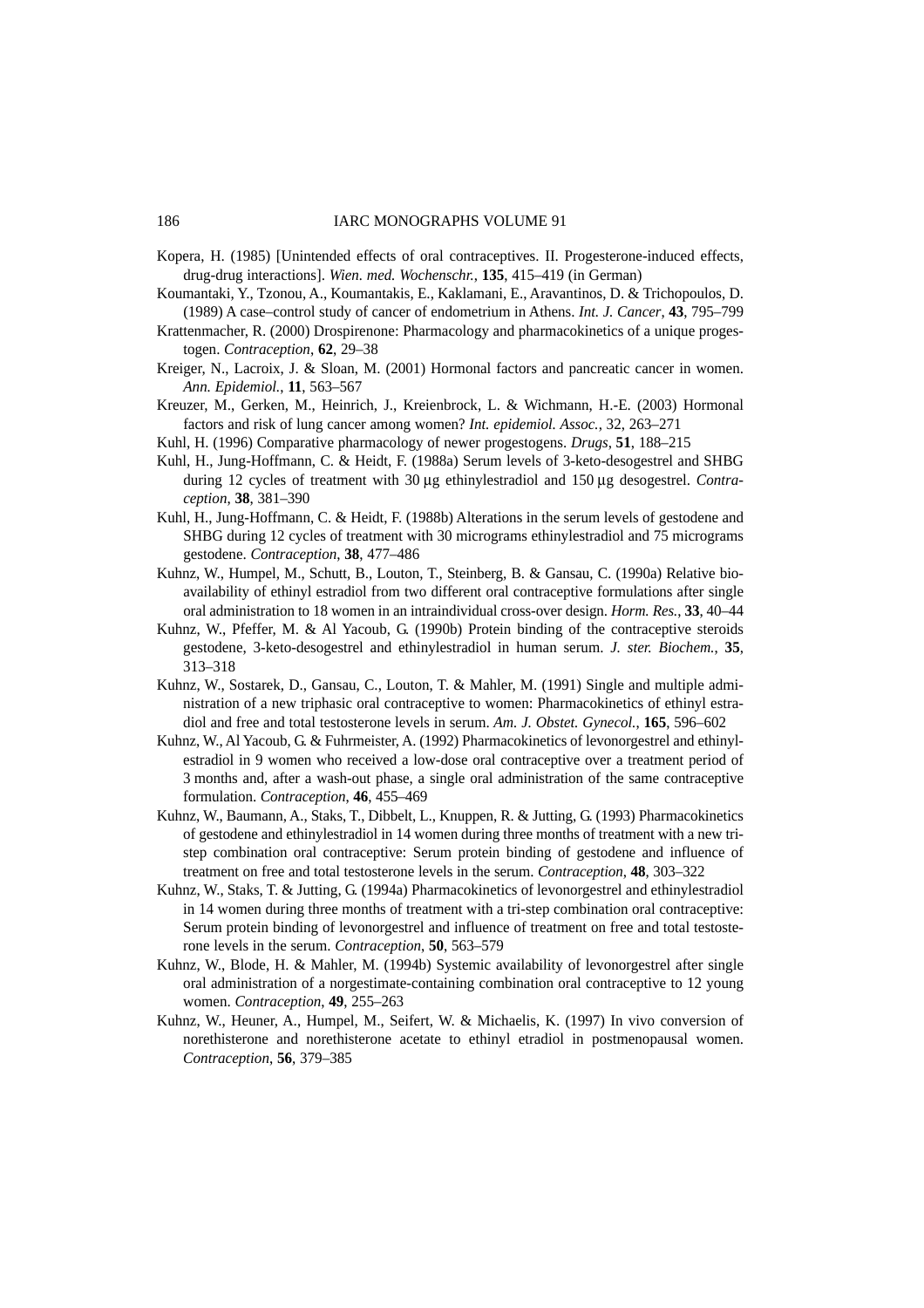- Kopera, H. (1985) [Unintended effects of oral contraceptives. II. Progesterone-induced effects, drug-drug interactions]. *Wien. med. Wochenschr.*, **135**, 415–419 (in German)
- Koumantaki, Y., Tzonou, A., Koumantakis, E., Kaklamani, E., Aravantinos, D. & Trichopoulos, D. (1989) A case–control study of cancer of endometrium in Athens. *Int. J. Cancer*, **43**, 795–799
- Krattenmacher, R. (2000) Drospirenone: Pharmacology and pharmacokinetics of a unique progestogen. *Contraception*, **62**, 29–38
- Kreiger, N., Lacroix, J. & Sloan, M. (2001) Hormonal factors and pancreatic cancer in women. *Ann. Epidemiol.*, **11**, 563–567
- Kreuzer, M., Gerken, M., Heinrich, J., Kreienbrock, L. & Wichmann, H.-E. (2003) Hormonal factors and risk of lung cancer among women? *Int. epidemiol. Assoc.*, 32, 263–271
- Kuhl, H. (1996) Comparative pharmacology of newer progestogens. *Drugs*, **51**, 188–215
- Kuhl, H., Jung-Hoffmann, C. & Heidt, F. (1988a) Serum levels of 3-keto-desogestrel and SHBG during 12 cycles of treatment with 30 μg ethinylestradiol and 150 μg desogestrel. *Contraception*, **38**, 381–390
- Kuhl, H., Jung-Hoffmann, C. & Heidt, F. (1988b) Alterations in the serum levels of gestodene and SHBG during 12 cycles of treatment with 30 micrograms ethinylestradiol and 75 micrograms gestodene. *Contraception*, **38**, 477–486
- Kuhnz, W., Humpel, M., Schutt, B., Louton, T., Steinberg, B. & Gansau, C. (1990a) Relative bioavailability of ethinyl estradiol from two different oral contraceptive formulations after single oral administration to 18 women in an intraindividual cross-over design. *Horm. Res.*, **33**, 40–44
- Kuhnz, W., Pfeffer, M. & Al Yacoub, G. (1990b) Protein binding of the contraceptive steroids gestodene, 3-keto-desogestrel and ethinylestradiol in human serum. *J. ster. Biochem.*, **35**, 313–318
- Kuhnz, W., Sostarek, D., Gansau, C., Louton, T. & Mahler, M. (1991) Single and multiple administration of a new triphasic oral contraceptive to women: Pharmacokinetics of ethinyl estradiol and free and total testosterone levels in serum. *Am. J. Obstet. Gynecol.*, **165**, 596–602
- Kuhnz, W., Al Yacoub, G. & Fuhrmeister, A. (1992) Pharmacokinetics of levonorgestrel and ethinylestradiol in 9 women who received a low-dose oral contraceptive over a treatment period of 3 months and, after a wash-out phase, a single oral administration of the same contraceptive formulation. *Contraception*, **46**, 455–469
- Kuhnz, W., Baumann, A., Staks, T., Dibbelt, L., Knuppen, R. & Jutting, G. (1993) Pharmacokinetics of gestodene and ethinylestradiol in 14 women during three months of treatment with a new tristep combination oral contraceptive: Serum protein binding of gestodene and influence of treatment on free and total testosterone levels in the serum. *Contraception*, **48**, 303–322
- Kuhnz, W., Staks, T. & Jutting, G. (1994a) Pharmacokinetics of levonorgestrel and ethinylestradiol in 14 women during three months of treatment with a tri-step combination oral contraceptive: Serum protein binding of levonorgestrel and influence of treatment on free and total testosterone levels in the serum. *Contraception*, **50**, 563–579
- Kuhnz, W., Blode, H. & Mahler, M. (1994b) Systemic availability of levonorgestrel after single oral administration of a norgestimate-containing combination oral contraceptive to 12 young women. *Contraception*, **49**, 255–263
- Kuhnz, W., Heuner, A., Humpel, M., Seifert, W. & Michaelis, K. (1997) In vivo conversion of norethisterone and norethisterone acetate to ethinyl etradiol in postmenopausal women. *Contraception*, **56**, 379–385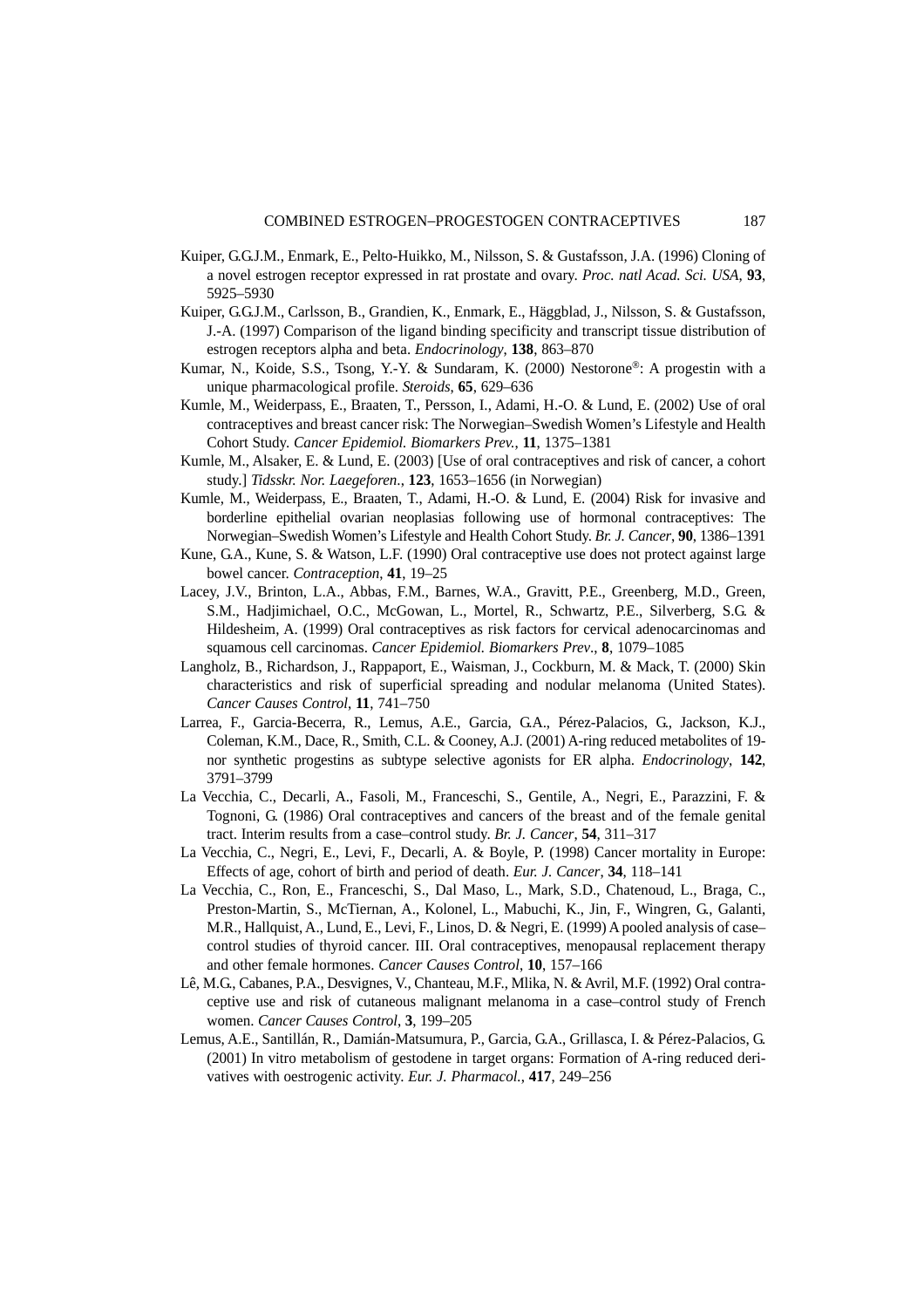- Kuiper, G.G.J.M., Enmark, E., Pelto-Huikko, M., Nilsson, S. & Gustafsson, J.A. (1996) Cloning of a novel estrogen receptor expressed in rat prostate and ovary. *Proc. natl Acad. Sci. USA*, **93**, 5925–5930
- Kuiper, G.G.J.M., Carlsson, B., Grandien, K., Enmark, E., Häggblad, J., Nilsson, S. & Gustafsson, J.-A. (1997) Comparison of the ligand binding specificity and transcript tissue distribution of estrogen receptors alpha and beta. *Endocrinology*, **138**, 863–870
- Kumar, N., Koide, S.S., Tsong, Y.-Y. & Sundaram, K. (2000) Nestorone®: A progestin with a unique pharmacological profile. *Steroids*, **65**, 629–636
- Kumle, M., Weiderpass, E., Braaten, T., Persson, I., Adami, H.-O. & Lund, E. (2002) Use of oral contraceptives and breast cancer risk: The Norwegian–Swedish Women's Lifestyle and Health Cohort Study. *Cancer Epidemiol. Biomarkers Prev.*, **11**, 1375–1381
- Kumle, M., Alsaker, E. & Lund, E. (2003) [Use of oral contraceptives and risk of cancer, a cohort study.] *Tidsskr. Nor. Laegeforen*., **123**, 1653–1656 (in Norwegian)
- Kumle, M., Weiderpass, E., Braaten, T., Adami, H.-O. & Lund, E. (2004) Risk for invasive and borderline epithelial ovarian neoplasias following use of hormonal contraceptives: The Norwegian–Swedish Women's Lifestyle and Health Cohort Study. *Br. J. Cancer*, **90**, 1386–1391
- Kune, G.A., Kune, S. & Watson, L.F. (1990) Oral contraceptive use does not protect against large bowel cancer. *Contraception*, **41**, 19–25
- Lacey, J.V., Brinton, L.A., Abbas, F.M., Barnes, W.A., Gravitt, P.E., Greenberg, M.D., Green, S.M., Hadjimichael, O.C., McGowan, L., Mortel, R., Schwartz, P.E., Silverberg, S.G. & Hildesheim, A. (1999) Oral contraceptives as risk factors for cervical adenocarcinomas and squamous cell carcinomas. *Cancer Epidemiol. Biomarkers Prev*., **8**, 1079–1085
- Langholz, B., Richardson, J., Rappaport, E., Waisman, J., Cockburn, M. & Mack, T. (2000) Skin characteristics and risk of superficial spreading and nodular melanoma (United States). *Cancer Causes Control*, **11**, 741–750
- Larrea, F., Garcia-Becerra, R., Lemus, A.E., Garcia, G.A., Pérez-Palacios, G., Jackson, K.J., Coleman, K.M., Dace, R., Smith, C.L. & Cooney, A.J. (2001) A-ring reduced metabolites of 19 nor synthetic progestins as subtype selective agonists for ER alpha. *Endocrinology*, **142**, 3791–3799
- La Vecchia, C., Decarli, A., Fasoli, M., Franceschi, S., Gentile, A., Negri, E., Parazzini, F. & Tognoni, G. (1986) Oral contraceptives and cancers of the breast and of the female genital tract. Interim results from a case–control study. *Br. J. Cancer*, **54**, 311–317
- La Vecchia, C., Negri, E., Levi, F., Decarli, A. & Boyle, P. (1998) Cancer mortality in Europe: Effects of age, cohort of birth and period of death. *Eur. J. Cancer*, **34**, 118–141
- La Vecchia, C., Ron, E., Franceschi, S., Dal Maso, L., Mark, S.D., Chatenoud, L., Braga, C., Preston-Martin, S., McTiernan, A., Kolonel, L., Mabuchi, K., Jin, F., Wingren, G., Galanti, M.R., Hallquist, A., Lund, E., Levi, F., Linos, D. & Negri, E. (1999) A pooled analysis of case– control studies of thyroid cancer. III. Oral contraceptives, menopausal replacement therapy and other female hormones. *Cancer Causes Control*, **10**, 157–166
- Lê, M.G., Cabanes, P.A., Desvignes, V., Chanteau, M.F., Mlika, N. & Avril, M.F. (1992) Oral contraceptive use and risk of cutaneous malignant melanoma in a case–control study of French women. *Cancer Causes Control*, **3**, 199–205
- Lemus, A.E., Santillán, R., Damián-Matsumura, P., Garcia, G.A., Grillasca, I. & Pérez-Palacios, G. (2001) In vitro metabolism of gestodene in target organs: Formation of A-ring reduced derivatives with oestrogenic activity. *Eur. J. Pharmacol.*, **417**, 249–256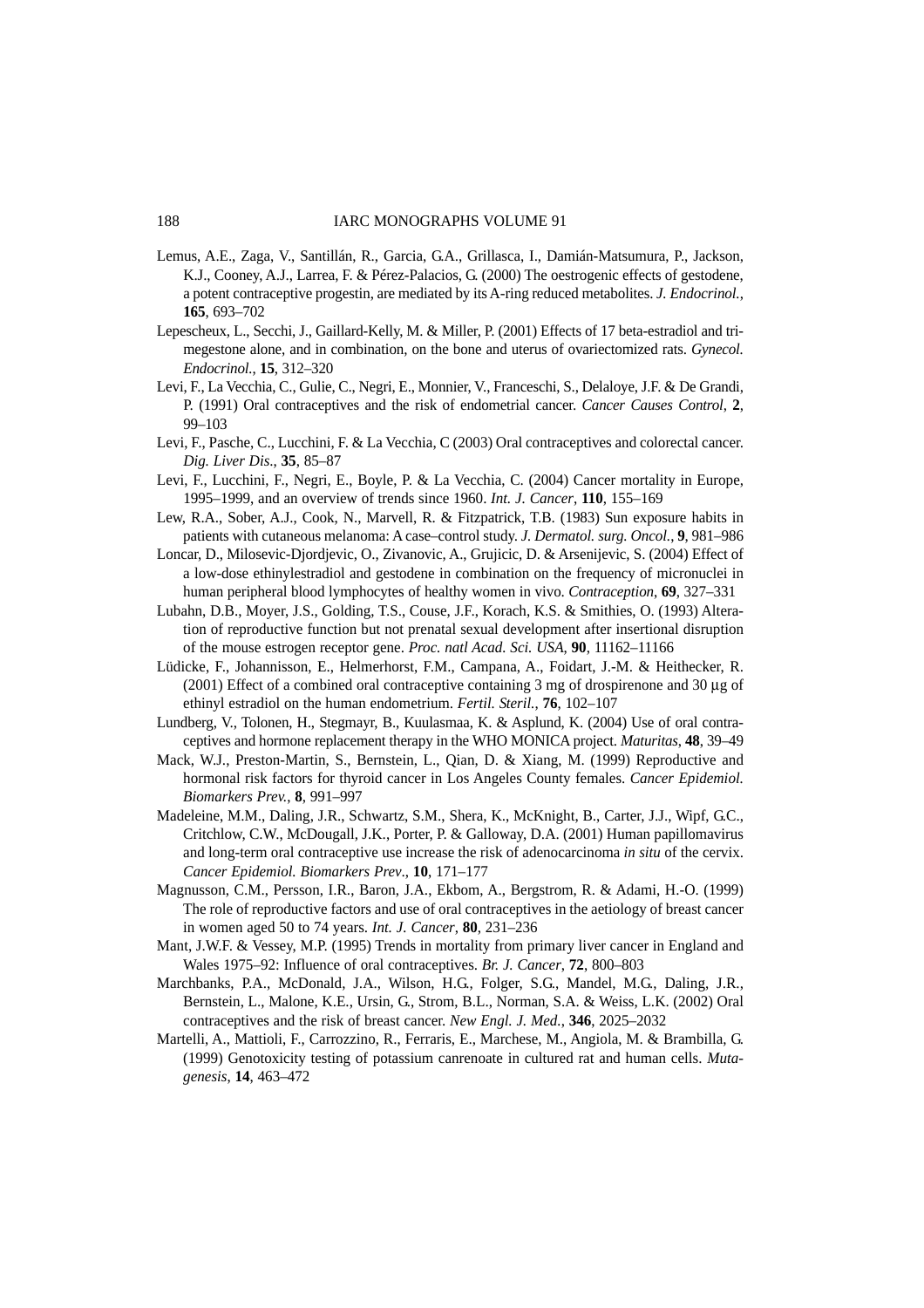- Lemus, A.E., Zaga, V., Santillán, R., Garcia, G.A., Grillasca, I., Damián-Matsumura, P., Jackson, K.J., Cooney, A.J., Larrea, F. & Pérez-Palacios, G. (2000) The oestrogenic effects of gestodene, a potent contraceptive progestin, are mediated by its A-ring reduced metabolites. *J. Endocrinol.*, **165**, 693–702
- Lepescheux, L., Secchi, J., Gaillard-Kelly, M. & Miller, P. (2001) Effects of 17 beta-estradiol and trimegestone alone, and in combination, on the bone and uterus of ovariectomized rats. *Gynecol. Endocrinol.*, **15**, 312–320
- Levi, F., La Vecchia, C., Gulie, C., Negri, E., Monnier, V., Franceschi, S., Delaloye, J.F. & De Grandi, P. (1991) Oral contraceptives and the risk of endometrial cancer. *Cancer Causes Control*, **2**, 99–103
- Levi, F., Pasche, C., Lucchini, F. & La Vecchia, C (2003) Oral contraceptives and colorectal cancer. *Dig. Liver Dis*., **35**, 85–87
- Levi, F., Lucchini, F., Negri, E., Boyle, P. & La Vecchia, C. (2004) Cancer mortality in Europe, 1995–1999, and an overview of trends since 1960. *Int. J. Cancer*, **110**, 155–169
- Lew, R.A., Sober, A.J., Cook, N., Marvell, R. & Fitzpatrick, T.B. (1983) Sun exposure habits in patients with cutaneous melanoma: A case–control study. *J. Dermatol. surg. Oncol.*, **9**, 981–986
- Loncar, D., Milosevic-Djordjevic, O., Zivanovic, A., Grujicic, D. & Arsenijevic, S. (2004) Effect of a low-dose ethinylestradiol and gestodene in combination on the frequency of micronuclei in human peripheral blood lymphocytes of healthy women in vivo. *Contraception*, **69**, 327–331
- Lubahn, D.B., Moyer, J.S., Golding, T.S., Couse, J.F., Korach, K.S. & Smithies, O. (1993) Alteration of reproductive function but not prenatal sexual development after insertional disruption of the mouse estrogen receptor gene. *Proc. natl Acad. Sci. USA*, **90**, 11162–11166
- Lüdicke, F., Johannisson, E., Helmerhorst, F.M., Campana, A., Foidart, J.-M. & Heithecker, R. (2001) Effect of a combined oral contraceptive containing 3 mg of drospirenone and 30 μg of ethinyl estradiol on the human endometrium. *Fertil. Steril.*, **76**, 102–107
- Lundberg, V., Tolonen, H., Stegmayr, B., Kuulasmaa, K. & Asplund, K. (2004) Use of oral contraceptives and hormone replacement therapy in the WHO MONICA project. *Maturitas*, **48**, 39–49
- Mack, W.J., Preston-Martin, S., Bernstein, L., Qian, D. & Xiang, M. (1999) Reproductive and hormonal risk factors for thyroid cancer in Los Angeles County females. *Cancer Epidemiol. Biomarkers Prev.*, **8**, 991–997
- Madeleine, M.M., Daling, J.R., Schwartz, S.M., Shera, K., McKnight, B., Carter, J.J., Wipf, G.C., Critchlow, C.W., McDougall, J.K., Porter, P. & Galloway, D.A. (2001) Human papillomavirus and long-term oral contraceptive use increase the risk of adenocarcinoma *in situ* of the cervix. *Cancer Epidemiol. Biomarkers Prev*., **10**, 171–177
- Magnusson, C.M., Persson, I.R., Baron, J.A., Ekbom, A., Bergstrom, R. & Adami, H.-O. (1999) The role of reproductive factors and use of oral contraceptives in the aetiology of breast cancer in women aged 50 to 74 years. *Int. J. Cancer*, **80**, 231–236
- Mant, J.W.F. & Vessey, M.P. (1995) Trends in mortality from primary liver cancer in England and Wales 1975–92: Influence of oral contraceptives. *Br. J. Cancer*, **72**, 800–803
- Marchbanks, P.A., McDonald, J.A., Wilson, H.G., Folger, S.G., Mandel, M.G., Daling, J.R., Bernstein, L., Malone, K.E., Ursin, G., Strom, B.L., Norman, S.A. & Weiss, L.K. (2002) Oral contraceptives and the risk of breast cancer. *New Engl. J. Med.*, **346**, 2025–2032
- Martelli, A., Mattioli, F., Carrozzino, R., Ferraris, E., Marchese, M., Angiola, M. & Brambilla, G. (1999) Genotoxicity testing of potassium canrenoate in cultured rat and human cells. *Mutagenesis*, **14**, 463–472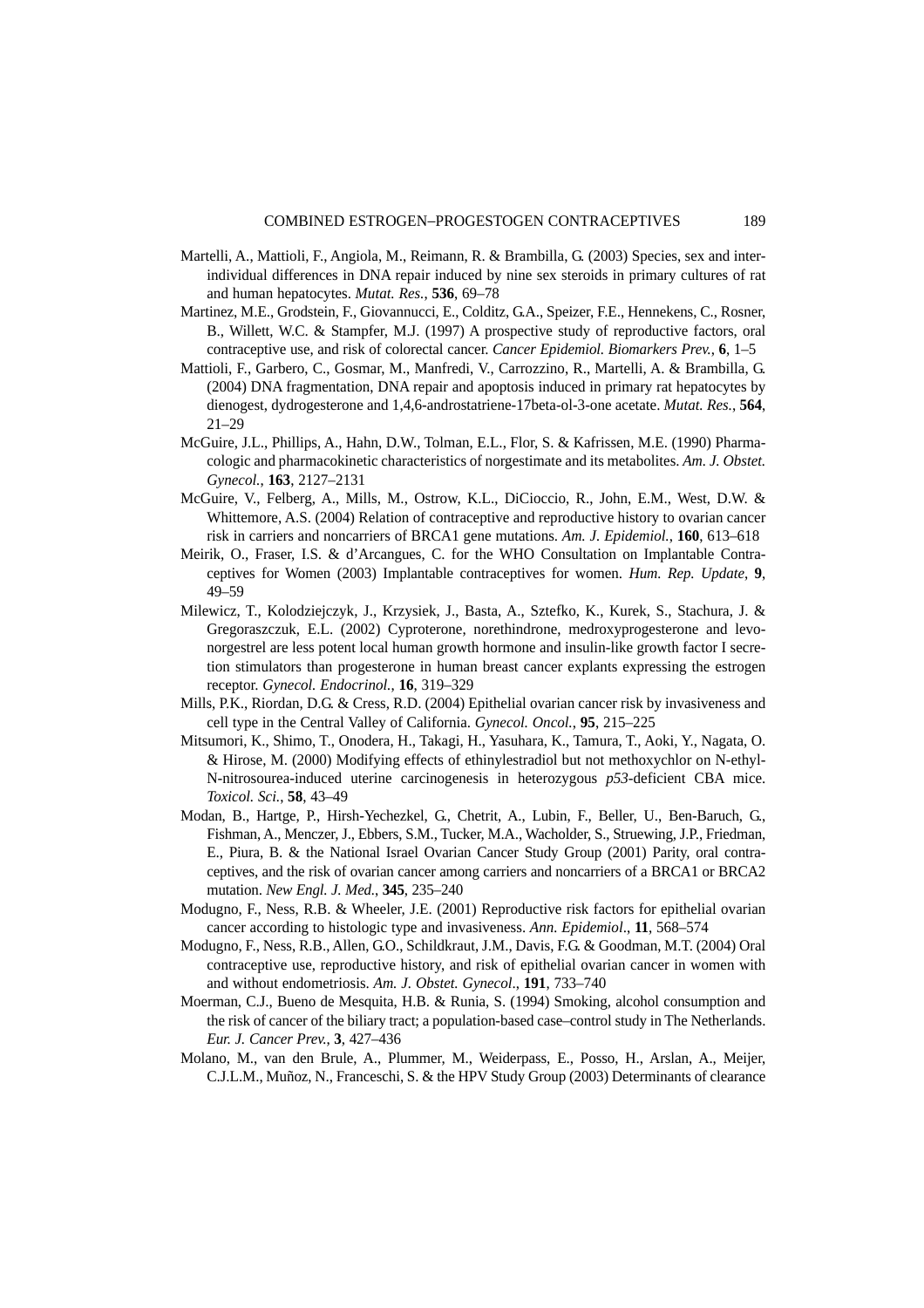- Martelli, A., Mattioli, F., Angiola, M., Reimann, R. & Brambilla, G. (2003) Species, sex and interindividual differences in DNA repair induced by nine sex steroids in primary cultures of rat and human hepatocytes. *Mutat. Res.*, **536**, 69–78
- Martinez, M.E., Grodstein, F., Giovannucci, E., Colditz, G.A., Speizer, F.E., Hennekens, C., Rosner, B., Willett, W.C. & Stampfer, M.J. (1997) A prospective study of reproductive factors, oral contraceptive use, and risk of colorectal cancer. *Cancer Epidemiol. Biomarkers Prev.*, **6**, 1–5
- Mattioli, F., Garbero, C., Gosmar, M., Manfredi, V., Carrozzino, R., Martelli, A. & Brambilla, G. (2004) DNA fragmentation, DNA repair and apoptosis induced in primary rat hepatocytes by dienogest, dydrogesterone and 1,4,6-androstatriene-17beta-ol-3-one acetate. *Mutat. Res.*, **564**, 21–29
- McGuire, J.L., Phillips, A., Hahn, D.W., Tolman, E.L., Flor, S. & Kafrissen, M.E. (1990) Pharmacologic and pharmacokinetic characteristics of norgestimate and its metabolites. *Am. J. Obstet. Gynecol.*, **163**, 2127–2131
- McGuire, V., Felberg, A., Mills, M., Ostrow, K.L., DiCioccio, R., John, E.M., West, D.W. & Whittemore, A.S. (2004) Relation of contraceptive and reproductive history to ovarian cancer risk in carriers and noncarriers of BRCA1 gene mutations. *Am. J. Epidemiol.*, **160**, 613–618
- Meirik, O., Fraser, I.S. & d'Arcangues, C. for the WHO Consultation on Implantable Contraceptives for Women (2003) Implantable contraceptives for women. *Hum. Rep. Update*, **9**, 49–59
- Milewicz, T., Kolodziejczyk, J., Krzysiek, J., Basta, A., Sztefko, K., Kurek, S., Stachura, J. & Gregoraszczuk, E.L. (2002) Cyproterone, norethindrone, medroxyprogesterone and levonorgestrel are less potent local human growth hormone and insulin-like growth factor I secretion stimulators than progesterone in human breast cancer explants expressing the estrogen receptor. *Gynecol. Endocrinol.*, **16**, 319–329
- Mills, P.K., Riordan, D.G. & Cress, R.D. (2004) Epithelial ovarian cancer risk by invasiveness and cell type in the Central Valley of California. *Gynecol. Oncol.*, **95**, 215–225
- Mitsumori, K., Shimo, T., Onodera, H., Takagi, H., Yasuhara, K., Tamura, T., Aoki, Y., Nagata, O. & Hirose, M. (2000) Modifying effects of ethinylestradiol but not methoxychlor on N-ethyl-N-nitrosourea-induced uterine carcinogenesis in heterozygous *p53*-deficient CBA mice. *Toxicol. Sci.*, **58**, 43–49
- Modan, B., Hartge, P., Hirsh-Yechezkel, G., Chetrit, A., Lubin, F., Beller, U., Ben-Baruch, G., Fishman, A., Menczer, J., Ebbers, S.M., Tucker, M.A., Wacholder, S., Struewing, J.P., Friedman, E., Piura, B. & the National Israel Ovarian Cancer Study Group (2001) Parity, oral contraceptives, and the risk of ovarian cancer among carriers and noncarriers of a BRCA1 or BRCA2 mutation. *New Engl. J. Med.*, **345**, 235–240
- Modugno, F., Ness, R.B. & Wheeler, J.E. (2001) Reproductive risk factors for epithelial ovarian cancer according to histologic type and invasiveness. *Ann. Epidemiol*., **11**, 568–574
- Modugno, F., Ness, R.B., Allen, G.O., Schildkraut, J.M., Davis, F.G. & Goodman, M.T. (2004) Oral contraceptive use, reproductive history, and risk of epithelial ovarian cancer in women with and without endometriosis. *Am. J. Obstet. Gynecol*., **191**, 733–740
- Moerman, C.J., Bueno de Mesquita, H.B. & Runia, S. (1994) Smoking, alcohol consumption and the risk of cancer of the biliary tract; a population-based case–control study in The Netherlands. *Eur. J. Cancer Prev.*, **3**, 427–436
- Molano, M., van den Brule, A., Plummer, M., Weiderpass, E., Posso, H., Arslan, A., Meijer, C.J.L.M., Muñoz, N., Franceschi, S. & the HPV Study Group (2003) Determinants of clearance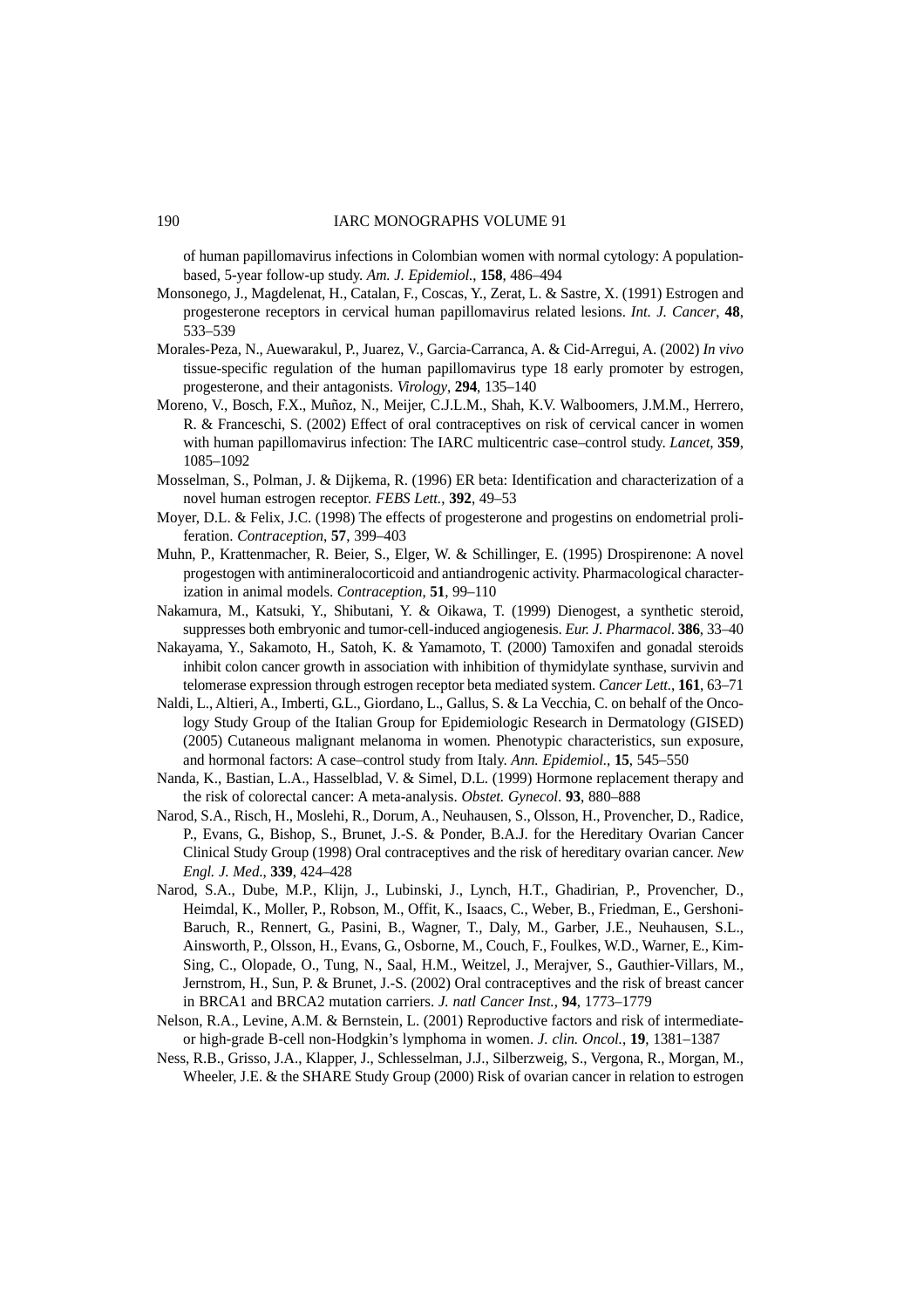of human papillomavirus infections in Colombian women with normal cytology: A populationbased, 5-year follow-up study. *Am. J. Epidemiol.*, **158**, 486–494

- Monsonego, J., Magdelenat, H., Catalan, F., Coscas, Y., Zerat, L. & Sastre, X. (1991) Estrogen and progesterone receptors in cervical human papillomavirus related lesions. *Int. J. Cancer*, **48**, 533–539
- Morales-Peza, N., Auewarakul, P., Juarez, V., Garcia-Carranca, A. & Cid-Arregui, A. (2002) *In vivo* tissue-specific regulation of the human papillomavirus type 18 early promoter by estrogen, progesterone, and their antagonists. *Virology*, **294**, 135–140
- Moreno, V., Bosch, F.X., Muñoz, N., Meijer, C.J.L.M., Shah, K.V. Walboomers, J.M.M., Herrero, R. & Franceschi, S. (2002) Effect of oral contraceptives on risk of cervical cancer in women with human papillomavirus infection: The IARC multicentric case–control study. *Lancet*, **359**, 1085–1092
- Mosselman, S., Polman, J. & Dijkema, R. (1996) ER beta: Identification and characterization of a novel human estrogen receptor. *FEBS Lett.*, **392**, 49–53
- Moyer, D.L. & Felix, J.C. (1998) The effects of progesterone and progestins on endometrial proliferation. *Contraception*, **57**, 399–403
- Muhn, P., Krattenmacher, R. Beier, S., Elger, W. & Schillinger, E. (1995) Drospirenone: A novel progestogen with antimineralocorticoid and antiandrogenic activity. Pharmacological characterization in animal models. *Contraception*, **51**, 99–110
- Nakamura, M., Katsuki, Y., Shibutani, Y. & Oikawa, T. (1999) Dienogest, a synthetic steroid, suppresses both embryonic and tumor-cell-induced angiogenesis. *Eur. J. Pharmacol*. **386**, 33–40
- Nakayama, Y., Sakamoto, H., Satoh, K. & Yamamoto, T. (2000) Tamoxifen and gonadal steroids inhibit colon cancer growth in association with inhibition of thymidylate synthase, survivin and telomerase expression through estrogen receptor beta mediated system. *Cancer Lett.*, **161**, 63–71
- Naldi, L., Altieri, A., Imberti, G.L., Giordano, L., Gallus, S. & La Vecchia, C. on behalf of the Oncology Study Group of the Italian Group for Epidemiologic Research in Dermatology (GISED) (2005) Cutaneous malignant melanoma in women. Phenotypic characteristics, sun exposure, and hormonal factors: A case–control study from Italy. *Ann. Epidemiol.*, **15**, 545–550
- Nanda, K., Bastian, L.A., Hasselblad, V. & Simel, D.L. (1999) Hormone replacement therapy and the risk of colorectal cancer: A meta-analysis. *Obstet. Gynecol*. **93**, 880–888
- Narod, S.A., Risch, H., Moslehi, R., Dorum, A., Neuhausen, S., Olsson, H., Provencher, D., Radice, P., Evans, G., Bishop, S., Brunet, J.-S. & Ponder, B.A.J. for the Hereditary Ovarian Cancer Clinical Study Group (1998) Oral contraceptives and the risk of hereditary ovarian cancer. *New Engl. J. Med*., **339**, 424–428
- Narod, S.A., Dube, M.P., Klijn, J., Lubinski, J., Lynch, H.T., Ghadirian, P., Provencher, D., Heimdal, K., Moller, P., Robson, M., Offit, K., Isaacs, C., Weber, B., Friedman, E., Gershoni-Baruch, R., Rennert, G., Pasini, B., Wagner, T., Daly, M., Garber, J.E., Neuhausen, S.L., Ainsworth, P., Olsson, H., Evans, G., Osborne, M., Couch, F., Foulkes, W.D., Warner, E., Kim-Sing, C., Olopade, O., Tung, N., Saal, H.M., Weitzel, J., Merajver, S., Gauthier-Villars, M., Jernstrom, H., Sun, P. & Brunet, J.-S. (2002) Oral contraceptives and the risk of breast cancer in BRCA1 and BRCA2 mutation carriers. *J. natl Cancer Inst.*, **94**, 1773–1779
- Nelson, R.A., Levine, A.M. & Bernstein, L. (2001) Reproductive factors and risk of intermediateor high-grade B-cell non-Hodgkin's lymphoma in women. *J. clin. Oncol.*, **19**, 1381–1387
- Ness, R.B., Grisso, J.A., Klapper, J., Schlesselman, J.J., Silberzweig, S., Vergona, R., Morgan, M., Wheeler, J.E. & the SHARE Study Group (2000) Risk of ovarian cancer in relation to estrogen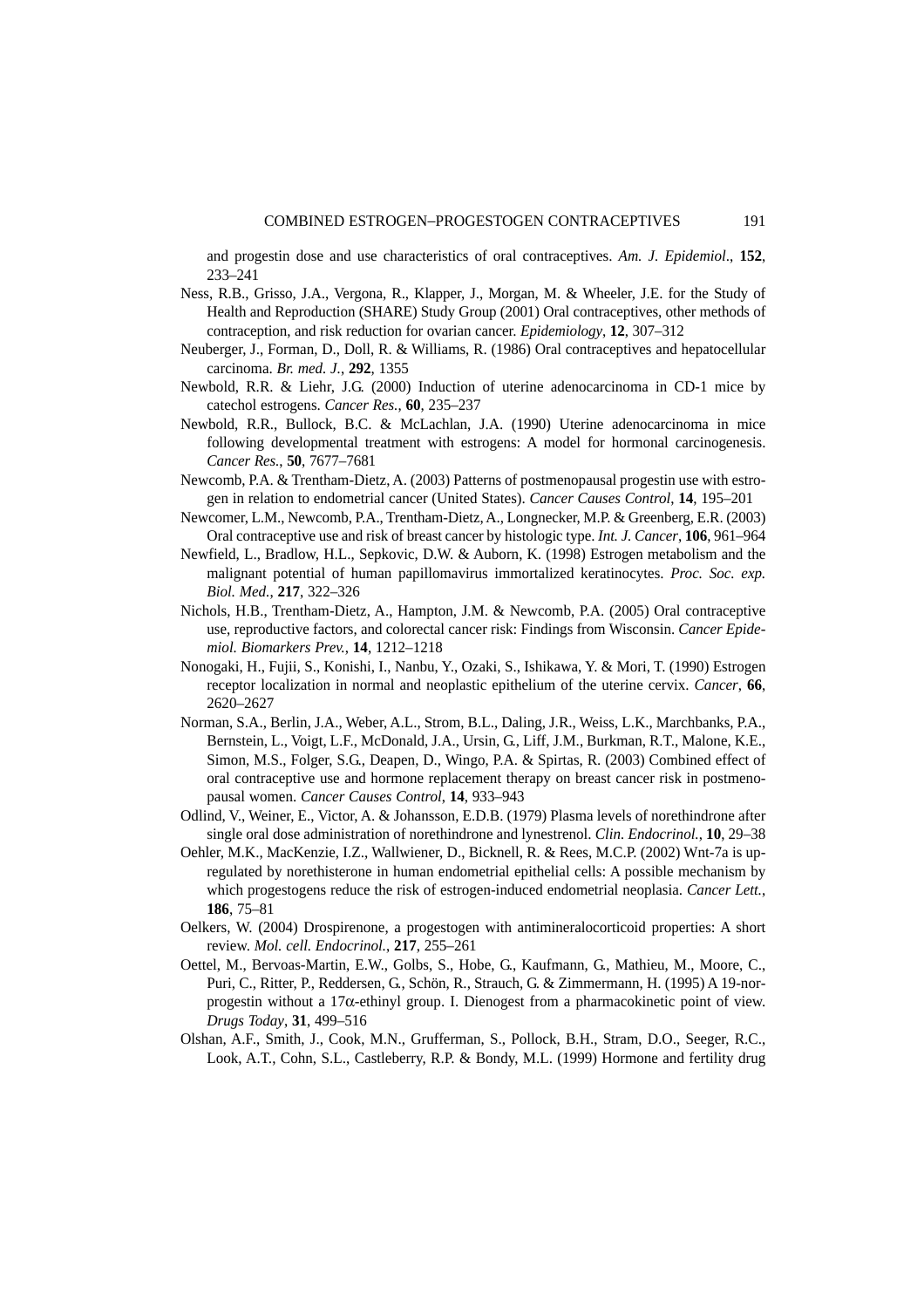and progestin dose and use characteristics of oral contraceptives. *Am. J. Epidemiol*., **152**, 233–241

- Ness, R.B., Grisso, J.A., Vergona, R., Klapper, J., Morgan, M. & Wheeler, J.E. for the Study of Health and Reproduction (SHARE) Study Group (2001) Oral contraceptives, other methods of contraception, and risk reduction for ovarian cancer. *Epidemiology*, **12**, 307–312
- Neuberger, J., Forman, D., Doll, R. & Williams, R. (1986) Oral contraceptives and hepatocellular carcinoma. *Br. med. J.*, **292**, 1355
- Newbold, R.R. & Liehr, J.G. (2000) Induction of uterine adenocarcinoma in CD-1 mice by catechol estrogens. *Cancer Res.*, **60**, 235–237
- Newbold, R.R., Bullock, B.C. & McLachlan, J.A. (1990) Uterine adenocarcinoma in mice following developmental treatment with estrogens: A model for hormonal carcinogenesis. *Cancer Res.*, **50**, 7677–7681
- Newcomb, P.A. & Trentham-Dietz, A. (2003) Patterns of postmenopausal progestin use with estrogen in relation to endometrial cancer (United States). *Cancer Causes Control*, **14**, 195–201
- Newcomer, L.M., Newcomb, P.A., Trentham-Dietz, A., Longnecker, M.P. & Greenberg, E.R. (2003) Oral contraceptive use and risk of breast cancer by histologic type. *Int. J. Cancer*, **106**, 961–964
- Newfield, L., Bradlow, H.L., Sepkovic, D.W. & Auborn, K. (1998) Estrogen metabolism and the malignant potential of human papillomavirus immortalized keratinocytes. *Proc. Soc. exp. Biol. Med.*, **217**, 322–326
- Nichols, H.B., Trentham-Dietz, A., Hampton, J.M. & Newcomb, P.A. (2005) Oral contraceptive use, reproductive factors, and colorectal cancer risk: Findings from Wisconsin. *Cancer Epidemiol. Biomarkers Prev.*, **14**, 1212–1218
- Nonogaki, H., Fujii, S., Konishi, I., Nanbu, Y., Ozaki, S., Ishikawa, Y. & Mori, T. (1990) Estrogen receptor localization in normal and neoplastic epithelium of the uterine cervix. *Cancer*, **66**, 2620–2627
- Norman, S.A., Berlin, J.A., Weber, A.L., Strom, B.L., Daling, J.R., Weiss, L.K., Marchbanks, P.A., Bernstein, L., Voigt, L.F., McDonald, J.A., Ursin, G., Liff, J.M., Burkman, R.T., Malone, K.E., Simon, M.S., Folger, S.G., Deapen, D., Wingo, P.A. & Spirtas, R. (2003) Combined effect of oral contraceptive use and hormone replacement therapy on breast cancer risk in postmenopausal women. *Cancer Causes Control*, **14**, 933–943
- Odlind, V., Weiner, E., Victor, A. & Johansson, E.D.B. (1979) Plasma levels of norethindrone after single oral dose administration of norethindrone and lynestrenol. *Clin. Endocrinol.*, **10**, 29–38
- Oehler, M.K., MacKenzie, I.Z., Wallwiener, D., Bicknell, R. & Rees, M.C.P. (2002) Wnt-7a is upregulated by norethisterone in human endometrial epithelial cells: A possible mechanism by which progestogens reduce the risk of estrogen-induced endometrial neoplasia. *Cancer Lett.*, **186**, 75–81
- Oelkers, W. (2004) Drospirenone, a progestogen with antimineralocorticoid properties: A short review. *Mol. cell. Endocrinol.*, **217**, 255–261
- Oettel, M., Bervoas-Martin, E.W., Golbs, S., Hobe, G., Kaufmann, G., Mathieu, M., Moore, C., Puri, C., Ritter, P., Reddersen, G., Schön, R., Strauch, G. & Zimmermann, H. (1995) A 19-norprogestin without a 17α-ethinyl group. I. Dienogest from a pharmacokinetic point of view. *Drugs Today*, **31**, 499–516
- Olshan, A.F., Smith, J., Cook, M.N., Grufferman, S., Pollock, B.H., Stram, D.O., Seeger, R.C., Look, A.T., Cohn, S.L., Castleberry, R.P. & Bondy, M.L. (1999) Hormone and fertility drug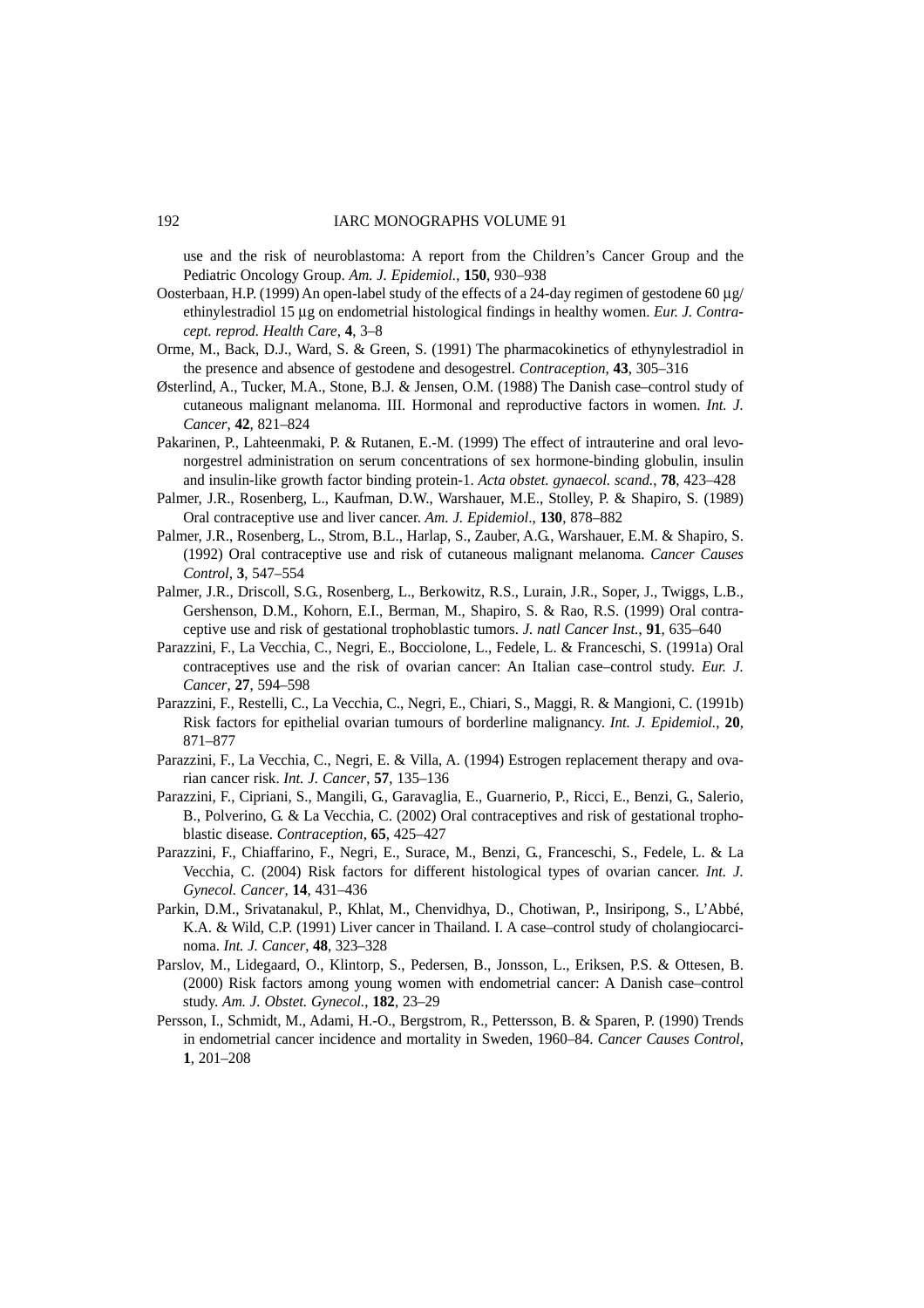use and the risk of neuroblastoma: A report from the Children's Cancer Group and the Pediatric Oncology Group. *Am. J. Epidemiol.*, **150**, 930–938

- Oosterbaan, H.P. (1999) An open-label study of the effects of a 24-day regimen of gestodene 60 μg/ ethinylestradiol 15 μg on endometrial histological findings in healthy women. *Eur. J. Contracept. reprod. Health Care*, **4**, 3–8
- Orme, M., Back, D.J., Ward, S. & Green, S. (1991) The pharmacokinetics of ethynylestradiol in the presence and absence of gestodene and desogestrel. *Contraception*, **43**, 305–316
- Østerlind, A., Tucker, M.A., Stone, B.J. & Jensen, O.M. (1988) The Danish case–control study of cutaneous malignant melanoma. III. Hormonal and reproductive factors in women. *Int. J. Cancer*, **42**, 821–824
- Pakarinen, P., Lahteenmaki, P. & Rutanen, E.-M. (1999) The effect of intrauterine and oral levonorgestrel administration on serum concentrations of sex hormone-binding globulin, insulin and insulin-like growth factor binding protein-1. *Acta obstet. gynaecol. scand.*, **78**, 423–428
- Palmer, J.R., Rosenberg, L., Kaufman, D.W., Warshauer, M.E., Stolley, P. & Shapiro, S. (1989) Oral contraceptive use and liver cancer. *Am. J. Epidemiol*., **130**, 878–882
- Palmer, J.R., Rosenberg, L., Strom, B.L., Harlap, S., Zauber, A.G., Warshauer, E.M. & Shapiro, S. (1992) Oral contraceptive use and risk of cutaneous malignant melanoma. *Cancer Causes Control*, **3**, 547–554
- Palmer, J.R., Driscoll, S.G., Rosenberg, L., Berkowitz, R.S., Lurain, J.R., Soper, J., Twiggs, L.B., Gershenson, D.M., Kohorn, E.I., Berman, M., Shapiro, S. & Rao, R.S. (1999) Oral contraceptive use and risk of gestational trophoblastic tumors. *J. natl Cancer Inst.*, **91**, 635–640
- Parazzini, F., La Vecchia, C., Negri, E., Bocciolone, L., Fedele, L. & Franceschi, S. (1991a) Oral contraceptives use and the risk of ovarian cancer: An Italian case–control study. *Eur. J. Cancer*, **27**, 594–598
- Parazzini, F., Restelli, C., La Vecchia, C., Negri, E., Chiari, S., Maggi, R. & Mangioni, C. (1991b) Risk factors for epithelial ovarian tumours of borderline malignancy. *Int. J. Epidemiol.*, **20**, 871–877
- Parazzini, F., La Vecchia, C., Negri, E. & Villa, A. (1994) Estrogen replacement therapy and ovarian cancer risk. *Int. J. Cancer*, **57**, 135–136
- Parazzini, F., Cipriani, S., Mangili, G., Garavaglia, E., Guarnerio, P., Ricci, E., Benzi, G., Salerio, B., Polverino, G. & La Vecchia, C. (2002) Oral contraceptives and risk of gestational trophoblastic disease. *Contraception*, **65**, 425–427
- Parazzini, F., Chiaffarino, F., Negri, E., Surace, M., Benzi, G., Franceschi, S., Fedele, L. & La Vecchia, C. (2004) Risk factors for different histological types of ovarian cancer. *Int. J. Gynecol. Cancer*, **14**, 431–436
- Parkin, D.M., Srivatanakul, P., Khlat, M., Chenvidhya, D., Chotiwan, P., Insiripong, S., L'Abbé, K.A. & Wild, C.P. (1991) Liver cancer in Thailand. I. A case–control study of cholangiocarcinoma. *Int. J. Cancer*, **48**, 323–328
- Parslov, M., Lidegaard, O., Klintorp, S., Pedersen, B., Jonsson, L., Eriksen, P.S. & Ottesen, B. (2000) Risk factors among young women with endometrial cancer: A Danish case–control study. *Am. J. Obstet. Gynecol.*, **182**, 23–29
- Persson, I., Schmidt, M., Adami, H.-O., Bergstrom, R., Pettersson, B. & Sparen, P. (1990) Trends in endometrial cancer incidence and mortality in Sweden, 1960–84. *Cancer Causes Control*, **1**, 201–208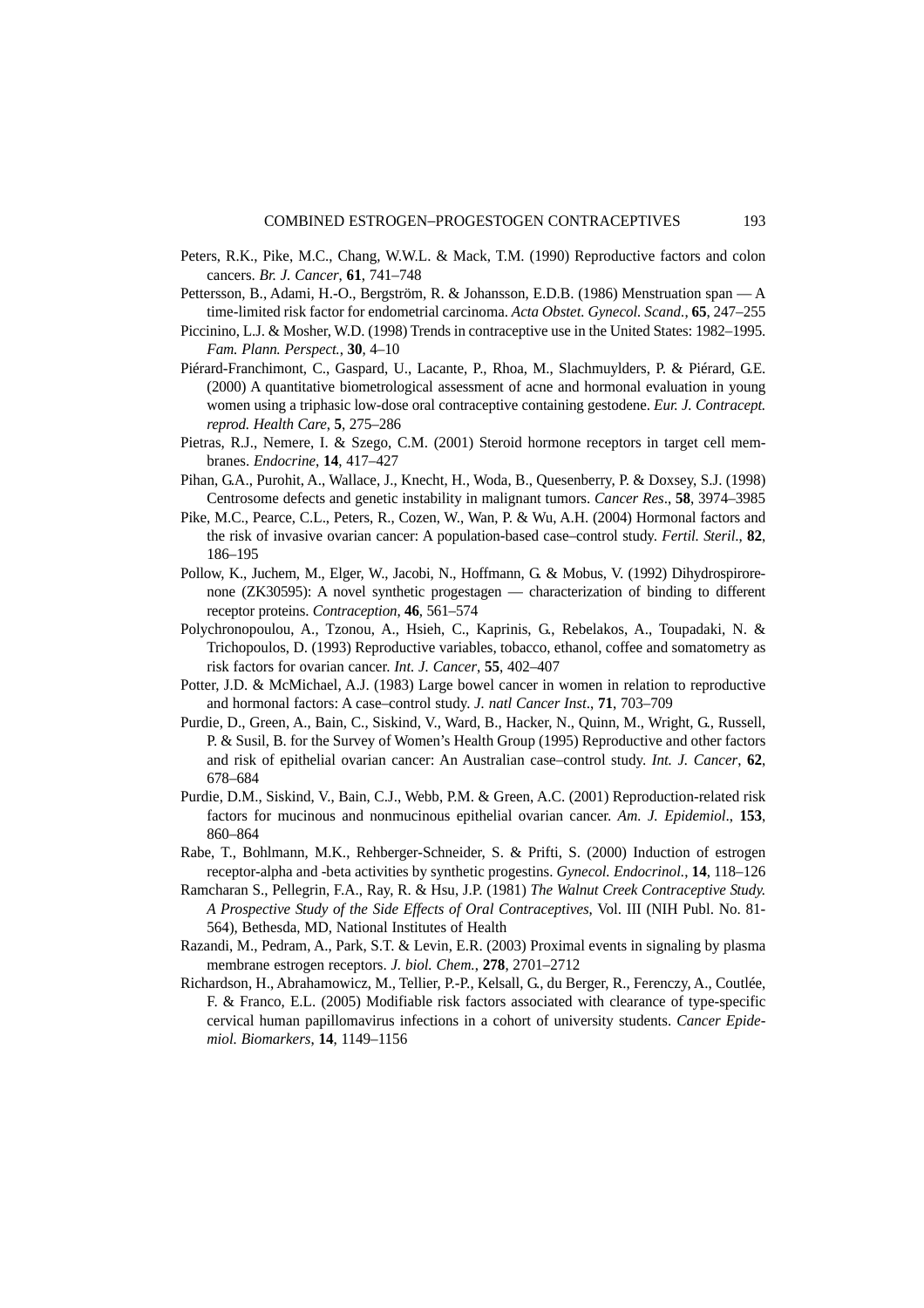- Peters, R.K., Pike, M.C., Chang, W.W.L. & Mack, T.M. (1990) Reproductive factors and colon cancers. *Br. J. Cancer*, **61**, 741–748
- Pettersson, B., Adami, H.-O., Bergström, R. & Johansson, E.D.B. (1986) Menstruation span A time-limited risk factor for endometrial carcinoma. *Acta Obstet. Gynecol. Scand.*, **65**, 247–255
- Piccinino, L.J. & Mosher, W.D. (1998) Trends in contraceptive use in the United States: 1982–1995. *Fam. Plann. Perspect.*, **30**, 4–10
- Piérard-Franchimont, C., Gaspard, U., Lacante, P., Rhoa, M., Slachmuylders, P. & Piérard, G.E. (2000) A quantitative biometrological assessment of acne and hormonal evaluation in young women using a triphasic low-dose oral contraceptive containing gestodene. *Eur. J. Contracept. reprod. Health Care*, **5**, 275–286
- Pietras, R.J., Nemere, I. & Szego, C.M. (2001) Steroid hormone receptors in target cell membranes. *Endocrine*, **14**, 417–427
- Pihan, G.A., Purohit, A., Wallace, J., Knecht, H., Woda, B., Quesenberry, P. & Doxsey, S.J. (1998) Centrosome defects and genetic instability in malignant tumors. *Cancer Res*., **58**, 3974–3985
- Pike, M.C., Pearce, C.L., Peters, R., Cozen, W., Wan, P. & Wu, A.H. (2004) Hormonal factors and the risk of invasive ovarian cancer: A population-based case–control study. *Fertil. Steril*., **82**, 186–195
- Pollow, K., Juchem, M., Elger, W., Jacobi, N., Hoffmann, G. & Mobus, V. (1992) Dihydrospirorenone (ZK30595): A novel synthetic progestagen — characterization of binding to different receptor proteins. *Contraception*, **46**, 561–574
- Polychronopoulou, A., Tzonou, A., Hsieh, C., Kaprinis, G., Rebelakos, A., Toupadaki, N. & Trichopoulos, D. (1993) Reproductive variables, tobacco, ethanol, coffee and somatometry as risk factors for ovarian cancer. *Int. J. Cancer*, **55**, 402–407
- Potter, J.D. & McMichael, A.J. (1983) Large bowel cancer in women in relation to reproductive and hormonal factors: A case–control study. *J. natl Cancer Inst*., **71**, 703–709
- Purdie, D., Green, A., Bain, C., Siskind, V., Ward, B., Hacker, N., Quinn, M., Wright, G., Russell, P. & Susil, B. for the Survey of Women's Health Group (1995) Reproductive and other factors and risk of epithelial ovarian cancer: An Australian case–control study. *Int. J. Cancer*, **62**, 678–684
- Purdie, D.M., Siskind, V., Bain, C.J., Webb, P.M. & Green, A.C. (2001) Reproduction-related risk factors for mucinous and nonmucinous epithelial ovarian cancer. *Am. J. Epidemiol*., **153**, 860–864
- Rabe, T., Bohlmann, M.K., Rehberger-Schneider, S. & Prifti, S. (2000) Induction of estrogen receptor-alpha and -beta activities by synthetic progestins. *Gynecol. Endocrinol.*, **14**, 118–126
- Ramcharan S., Pellegrin, F.A., Ray, R. & Hsu, J.P. (1981) *The Walnut Creek Contraceptive Study. A Prospective Study of the Side Effects of Oral Contraceptives*, Vol. III (NIH Publ. No. 81- 564), Bethesda, MD, National Institutes of Health
- Razandi, M., Pedram, A., Park, S.T. & Levin, E.R. (2003) Proximal events in signaling by plasma membrane estrogen receptors. *J. biol. Chem.*, **278**, 2701–2712
- Richardson, H., Abrahamowicz, M., Tellier, P.-P., Kelsall, G., du Berger, R., Ferenczy, A., Coutlée, F. & Franco, E.L. (2005) Modifiable risk factors associated with clearance of type-specific cervical human papillomavirus infections in a cohort of university students. *Cancer Epidemiol. Biomarkers*, **14**, 1149–1156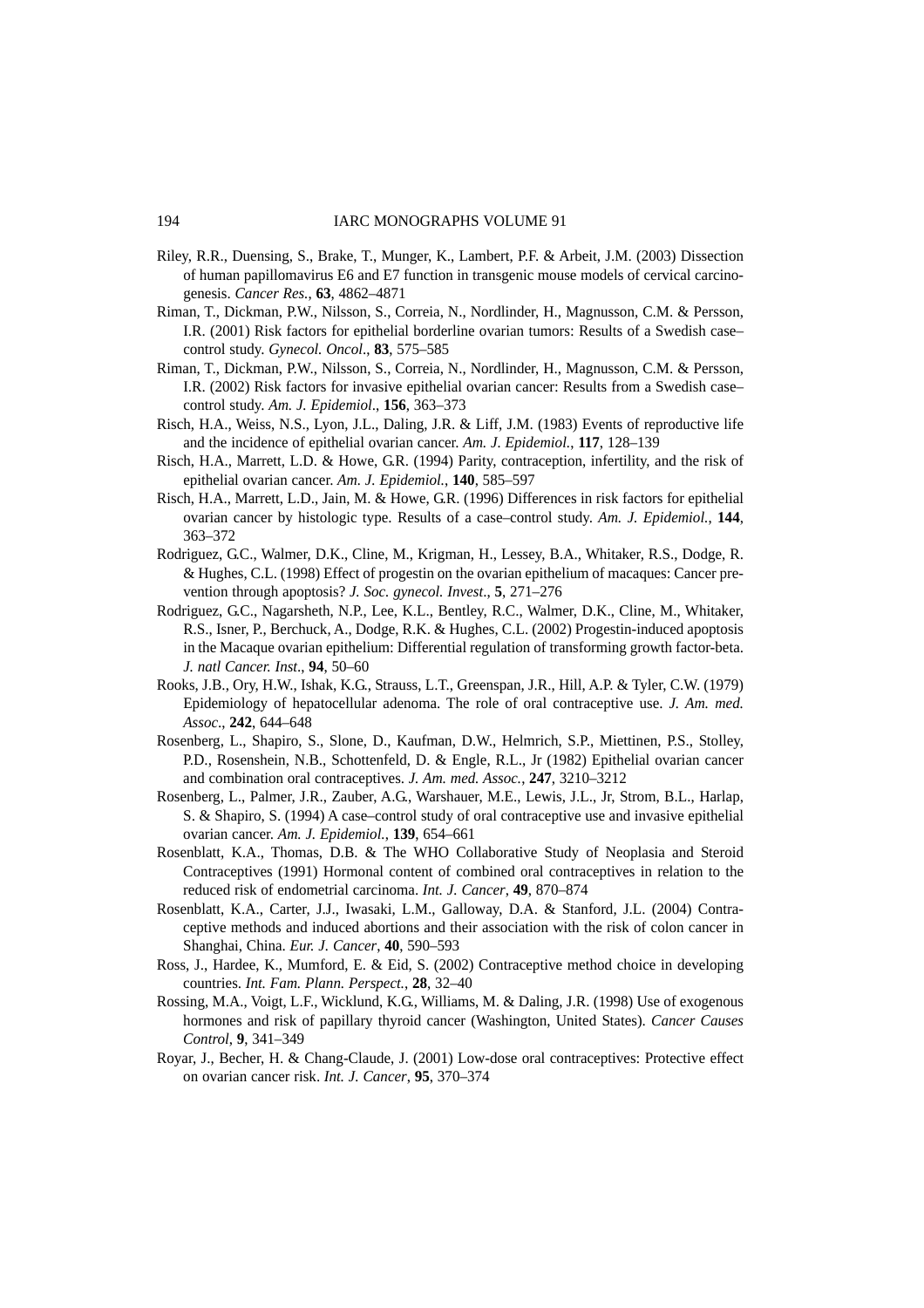- Riley, R.R., Duensing, S., Brake, T., Munger, K., Lambert, P.F. & Arbeit, J.M. (2003) Dissection of human papillomavirus E6 and E7 function in transgenic mouse models of cervical carcinogenesis. *Cancer Res.*, **63**, 4862–4871
- Riman, T., Dickman, P.W., Nilsson, S., Correia, N., Nordlinder, H., Magnusson, C.M. & Persson, I.R. (2001) Risk factors for epithelial borderline ovarian tumors: Results of a Swedish case– control study. *Gynecol. Oncol*., **83**, 575–585
- Riman, T., Dickman, P.W., Nilsson, S., Correia, N., Nordlinder, H., Magnusson, C.M. & Persson, I.R. (2002) Risk factors for invasive epithelial ovarian cancer: Results from a Swedish case– control study. *Am. J. Epidemiol*., **156**, 363–373
- Risch, H.A., Weiss, N.S., Lyon, J.L., Daling, J.R. & Liff, J.M. (1983) Events of reproductive life and the incidence of epithelial ovarian cancer. *Am. J. Epidemiol.*, **117**, 128–139
- Risch, H.A., Marrett, L.D. & Howe, G.R. (1994) Parity, contraception, infertility, and the risk of epithelial ovarian cancer. *Am. J. Epidemiol.*, **140**, 585–597
- Risch, H.A., Marrett, L.D., Jain, M. & Howe, G.R. (1996) Differences in risk factors for epithelial ovarian cancer by histologic type. Results of a case–control study. *Am. J. Epidemiol.*, **144**, 363–372
- Rodriguez, G.C., Walmer, D.K., Cline, M., Krigman, H., Lessey, B.A., Whitaker, R.S., Dodge, R. & Hughes, C.L. (1998) Effect of progestin on the ovarian epithelium of macaques: Cancer prevention through apoptosis? *J. Soc. gynecol. Invest*., **5**, 271–276
- Rodriguez, G.C., Nagarsheth, N.P., Lee, K.L., Bentley, R.C., Walmer, D.K., Cline, M., Whitaker, R.S., Isner, P., Berchuck, A., Dodge, R.K. & Hughes, C.L. (2002) Progestin-induced apoptosis in the Macaque ovarian epithelium: Differential regulation of transforming growth factor-beta. *J. natl Cancer. Inst*., **94**, 50–60
- Rooks, J.B., Ory, H.W., Ishak, K.G., Strauss, L.T., Greenspan, J.R., Hill, A.P. & Tyler, C.W. (1979) Epidemiology of hepatocellular adenoma. The role of oral contraceptive use. *J. Am. med. Assoc*., **242**, 644–648
- Rosenberg, L., Shapiro, S., Slone, D., Kaufman, D.W., Helmrich, S.P., Miettinen, P.S., Stolley, P.D., Rosenshein, N.B., Schottenfeld, D. & Engle, R.L., Jr (1982) Epithelial ovarian cancer and combination oral contraceptives. *J. Am. med. Assoc.*, **247**, 3210–3212
- Rosenberg, L., Palmer, J.R., Zauber, A.G., Warshauer, M.E., Lewis, J.L., Jr, Strom, B.L., Harlap, S. & Shapiro, S. (1994) A case–control study of oral contraceptive use and invasive epithelial ovarian cancer. *Am. J. Epidemiol.*, **139**, 654–661
- Rosenblatt, K.A., Thomas, D.B. & The WHO Collaborative Study of Neoplasia and Steroid Contraceptives (1991) Hormonal content of combined oral contraceptives in relation to the reduced risk of endometrial carcinoma. *Int. J. Cancer*, **49**, 870–874
- Rosenblatt, K.A., Carter, J.J., Iwasaki, L.M., Galloway, D.A. & Stanford, J.L. (2004) Contraceptive methods and induced abortions and their association with the risk of colon cancer in Shanghai, China. *Eur. J. Cancer*, **40**, 590–593
- Ross, J., Hardee, K., Mumford, E. & Eid, S. (2002) Contraceptive method choice in developing countries. *Int. Fam. Plann. Perspect.*, **28**, 32–40
- Rossing, M.A., Voigt, L.F., Wicklund, K.G., Williams, M. & Daling, J.R. (1998) Use of exogenous hormones and risk of papillary thyroid cancer (Washington, United States). *Cancer Causes Control*, **9**, 341–349
- Royar, J., Becher, H. & Chang-Claude, J. (2001) Low-dose oral contraceptives: Protective effect on ovarian cancer risk. *Int. J. Cancer*, **95**, 370–374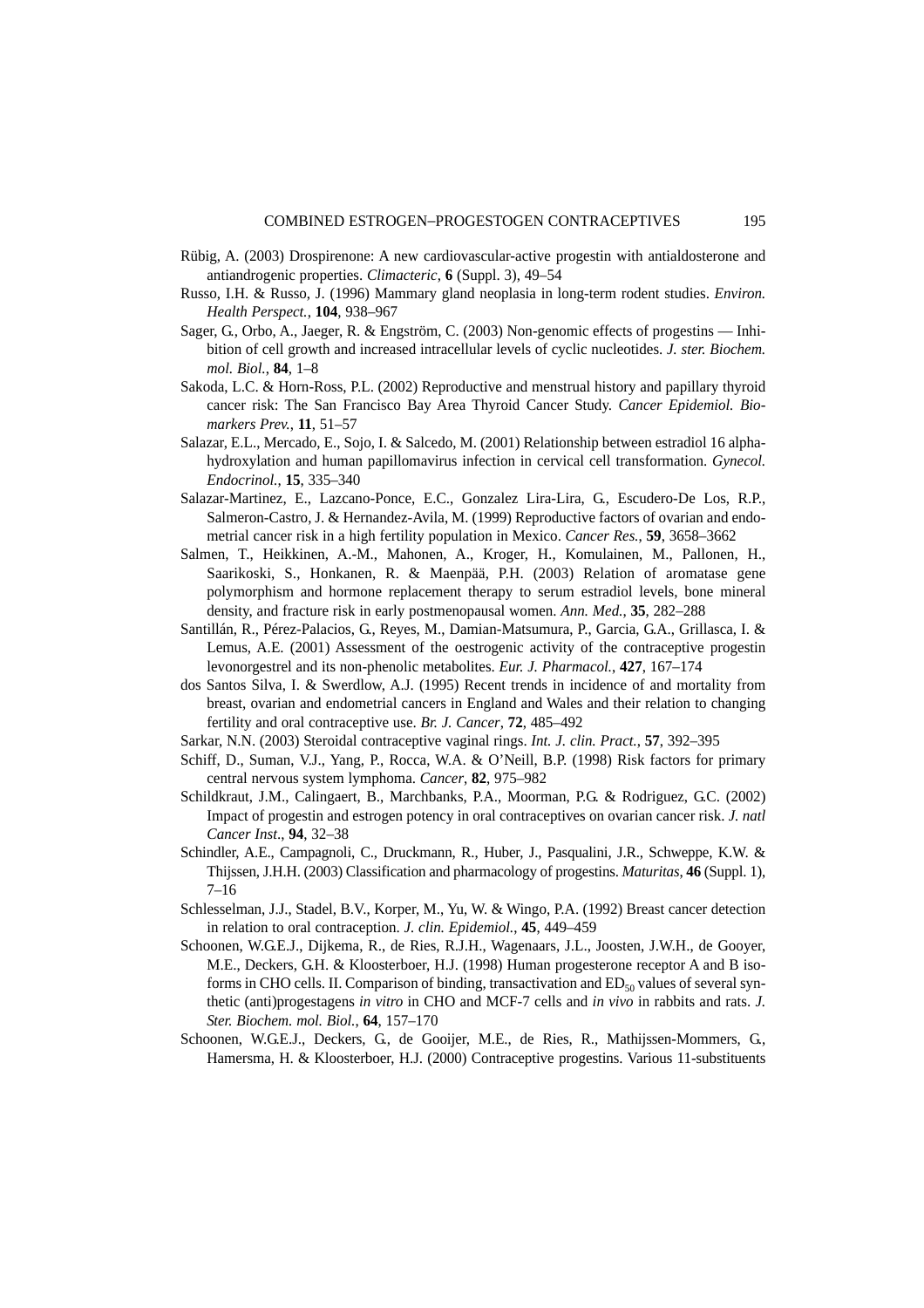- Rübig, A. (2003) Drospirenone: A new cardiovascular-active progestin with antialdosterone and antiandrogenic properties. *Climacteric*, **6** (Suppl. 3), 49–54
- Russo, I.H. & Russo, J. (1996) Mammary gland neoplasia in long-term rodent studies. *Environ. Health Perspect.*, **104**, 938–967
- Sager, G., Orbo, A., Jaeger, R. & Engström, C. (2003) Non-genomic effects of progestins Inhibition of cell growth and increased intracellular levels of cyclic nucleotides. *J. ster. Biochem. mol. Biol.*, **84**, 1–8
- Sakoda, L.C. & Horn-Ross, P.L. (2002) Reproductive and menstrual history and papillary thyroid cancer risk: The San Francisco Bay Area Thyroid Cancer Study. *Cancer Epidemiol. Biomarkers Prev.*, **11**, 51–57
- Salazar, E.L., Mercado, E., Sojo, I. & Salcedo, M. (2001) Relationship between estradiol 16 alphahydroxylation and human papillomavirus infection in cervical cell transformation. *Gynecol. Endocrinol.*, **15**, 335–340
- Salazar-Martinez, E., Lazcano-Ponce, E.C., Gonzalez Lira-Lira, G., Escudero-De Los, R.P., Salmeron-Castro, J. & Hernandez-Avila, M. (1999) Reproductive factors of ovarian and endometrial cancer risk in a high fertility population in Mexico. *Cancer Res.*, **59**, 3658–3662
- Salmen, T., Heikkinen, A.-M., Mahonen, A., Kroger, H., Komulainen, M., Pallonen, H., Saarikoski, S., Honkanen, R. & Maenpää, P.H. (2003) Relation of aromatase gene polymorphism and hormone replacement therapy to serum estradiol levels, bone mineral density, and fracture risk in early postmenopausal women. *Ann. Med.*, **35**, 282–288
- Santillán, R., Pérez-Palacios, G., Reyes, M., Damian-Matsumura, P., Garcia, G.A., Grillasca, I. & Lemus, A.E. (2001) Assessment of the oestrogenic activity of the contraceptive progestin levonorgestrel and its non-phenolic metabolites. *Eur. J. Pharmacol.*, **427**, 167–174
- dos Santos Silva, I. & Swerdlow, A.J. (1995) Recent trends in incidence of and mortality from breast, ovarian and endometrial cancers in England and Wales and their relation to changing fertility and oral contraceptive use. *Br. J. Cancer*, **72**, 485–492
- Sarkar, N.N. (2003) Steroidal contraceptive vaginal rings. *Int. J. clin. Pract.*, **57**, 392–395
- Schiff, D., Suman, V.J., Yang, P., Rocca, W.A. & O'Neill, B.P. (1998) Risk factors for primary central nervous system lymphoma. *Cancer*, **82**, 975–982
- Schildkraut, J.M., Calingaert, B., Marchbanks, P.A., Moorman, P.G. & Rodriguez, G.C. (2002) Impact of progestin and estrogen potency in oral contraceptives on ovarian cancer risk. *J. natl Cancer Inst*., **94**, 32–38
- Schindler, A.E., Campagnoli, C., Druckmann, R., Huber, J., Pasqualini, J.R., Schweppe, K.W. & Thijssen, J.H.H. (2003) Classification and pharmacology of progestins. *Maturitas*, **46** (Suppl. 1), 7–16
- Schlesselman, J.J., Stadel, B.V., Korper, M., Yu, W. & Wingo, P.A. (1992) Breast cancer detection in relation to oral contraception. *J. clin. Epidemiol.*, **45**, 449–459
- Schoonen, W.G.E.J., Dijkema, R., de Ries, R.J.H., Wagenaars, J.L., Joosten, J.W.H., de Gooyer, M.E., Deckers, G.H. & Kloosterboer, H.J. (1998) Human progesterone receptor A and B isoforms in CHO cells. II. Comparison of binding, transactivation and  $ED_{50}$  values of several synthetic (anti)progestagens *in vitro* in CHO and MCF-7 cells and *in vivo* in rabbits and rats. *J. Ster. Biochem. mol. Biol.*, **64**, 157–170
- Schoonen, W.G.E.J., Deckers, G., de Gooijer, M.E., de Ries, R., Mathijssen-Mommers, G., Hamersma, H. & Kloosterboer, H.J. (2000) Contraceptive progestins. Various 11-substituents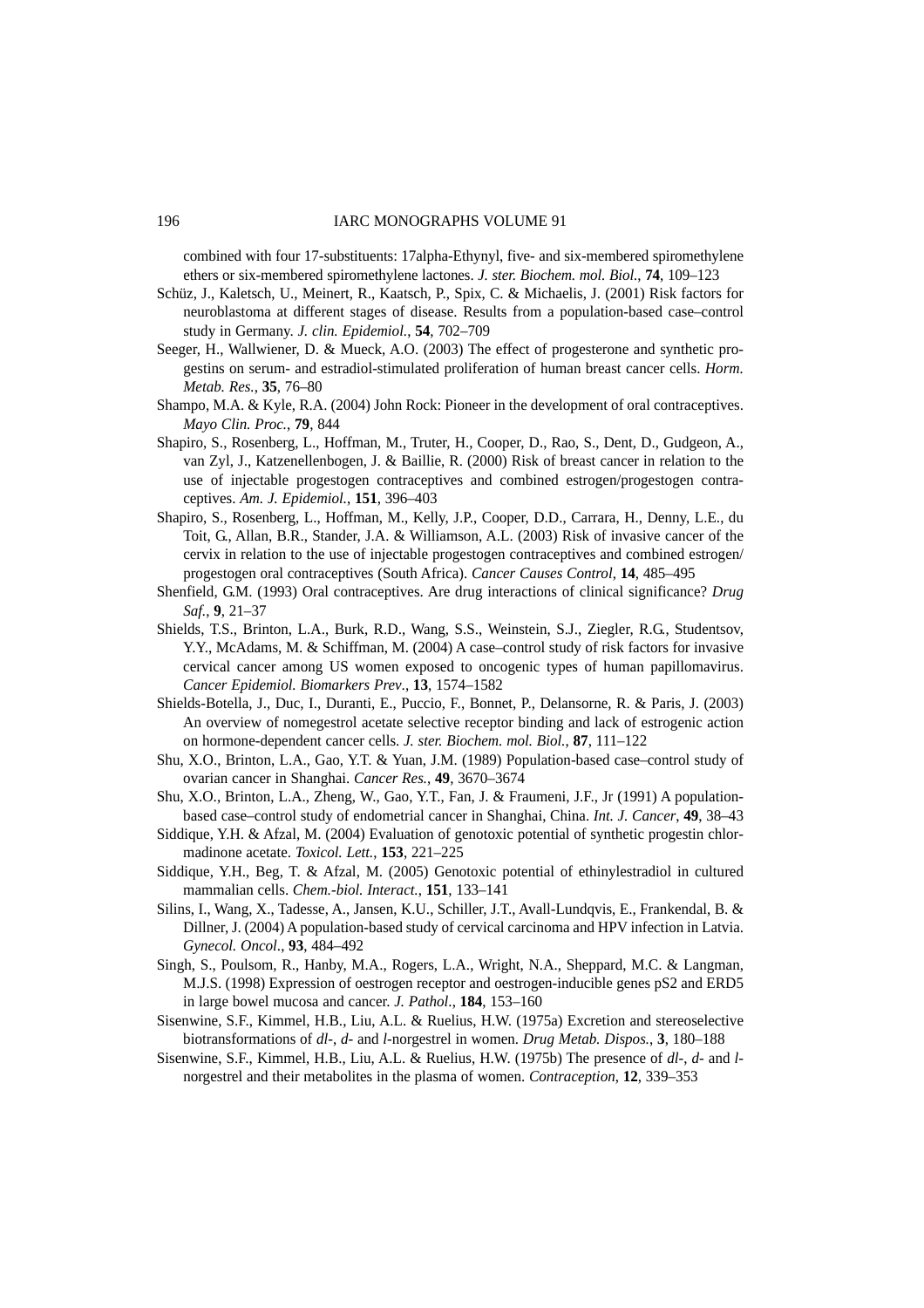combined with four 17-substituents: 17alpha-Ethynyl, five- and six-membered spiromethylene ethers or six-membered spiromethylene lactones. *J. ster. Biochem. mol. Biol.*, **74**, 109–123

- Schüz, J., Kaletsch, U., Meinert, R., Kaatsch, P., Spix, C. & Michaelis, J. (2001) Risk factors for neuroblastoma at different stages of disease. Results from a population-based case–control study in Germany. *J. clin. Epidemiol.*, **54**, 702–709
- Seeger, H., Wallwiener, D. & Mueck, A.O. (2003) The effect of progesterone and synthetic progestins on serum- and estradiol-stimulated proliferation of human breast cancer cells. *Horm. Metab. Res.*, **35**, 76–80
- Shampo, M.A. & Kyle, R.A. (2004) John Rock: Pioneer in the development of oral contraceptives. *Mayo Clin. Proc.*, **79**, 844
- Shapiro, S., Rosenberg, L., Hoffman, M., Truter, H., Cooper, D., Rao, S., Dent, D., Gudgeon, A., van Zyl, J., Katzenellenbogen, J. & Baillie, R. (2000) Risk of breast cancer in relation to the use of injectable progestogen contraceptives and combined estrogen/progestogen contraceptives. *Am. J. Epidemiol.*, **151**, 396–403
- Shapiro, S., Rosenberg, L., Hoffman, M., Kelly, J.P., Cooper, D.D., Carrara, H., Denny, L.E., du Toit, G., Allan, B.R., Stander, J.A. & Williamson, A.L. (2003) Risk of invasive cancer of the cervix in relation to the use of injectable progestogen contraceptives and combined estrogen/ progestogen oral contraceptives (South Africa). *Cancer Causes Control*, **14**, 485–495
- Shenfield, G.M. (1993) Oral contraceptives. Are drug interactions of clinical significance? *Drug Saf.*, **9**, 21–37
- Shields, T.S., Brinton, L.A., Burk, R.D., Wang, S.S., Weinstein, S.J., Ziegler, R.G., Studentsov, Y.Y., McAdams, M. & Schiffman, M. (2004) A case–control study of risk factors for invasive cervical cancer among US women exposed to oncogenic types of human papillomavirus. *Cancer Epidemiol. Biomarkers Prev*., **13**, 1574–1582
- Shields-Botella, J., Duc, I., Duranti, E., Puccio, F., Bonnet, P., Delansorne, R. & Paris, J. (2003) An overview of nomegestrol acetate selective receptor binding and lack of estrogenic action on hormone-dependent cancer cells. *J. ster. Biochem. mol. Biol.*, **87**, 111–122
- Shu, X.O., Brinton, L.A., Gao, Y.T. & Yuan, J.M. (1989) Population-based case–control study of ovarian cancer in Shanghai. *Cancer Res.*, **49**, 3670–3674
- Shu, X.O., Brinton, L.A., Zheng, W., Gao, Y.T., Fan, J. & Fraumeni, J.F., Jr (1991) A populationbased case–control study of endometrial cancer in Shanghai, China. *Int. J. Cancer*, **49**, 38–43
- Siddique, Y.H. & Afzal, M. (2004) Evaluation of genotoxic potential of synthetic progestin chlormadinone acetate. *Toxicol. Lett.*, **153**, 221–225
- Siddique, Y.H., Beg, T. & Afzal, M. (2005) Genotoxic potential of ethinylestradiol in cultured mammalian cells. *Chem.-biol. Interact.*, **151**, 133–141
- Silins, I., Wang, X., Tadesse, A., Jansen, K.U., Schiller, J.T., Avall-Lundqvis, E., Frankendal, B. & Dillner, J. (2004) A population-based study of cervical carcinoma and HPV infection in Latvia. *Gynecol. Oncol*., **93**, 484–492
- Singh, S., Poulsom, R., Hanby, M.A., Rogers, L.A., Wright, N.A., Sheppard, M.C. & Langman, M.J.S. (1998) Expression of oestrogen receptor and oestrogen-inducible genes pS2 and ERD5 in large bowel mucosa and cancer. *J. Pathol*., **184**, 153–160
- Sisenwine, S.F., Kimmel, H.B., Liu, A.L. & Ruelius, H.W. (1975a) Excretion and stereoselective biotransformations of *dl*-, *d*- and *l*-norgestrel in women. *Drug Metab. Dispos.*, **3**, 180–188
- Sisenwine, S.F., Kimmel, H.B., Liu, A.L. & Ruelius, H.W. (1975b) The presence of *dl*-, *d* and *l*norgestrel and their metabolites in the plasma of women. *Contraception*, **12**, 339–353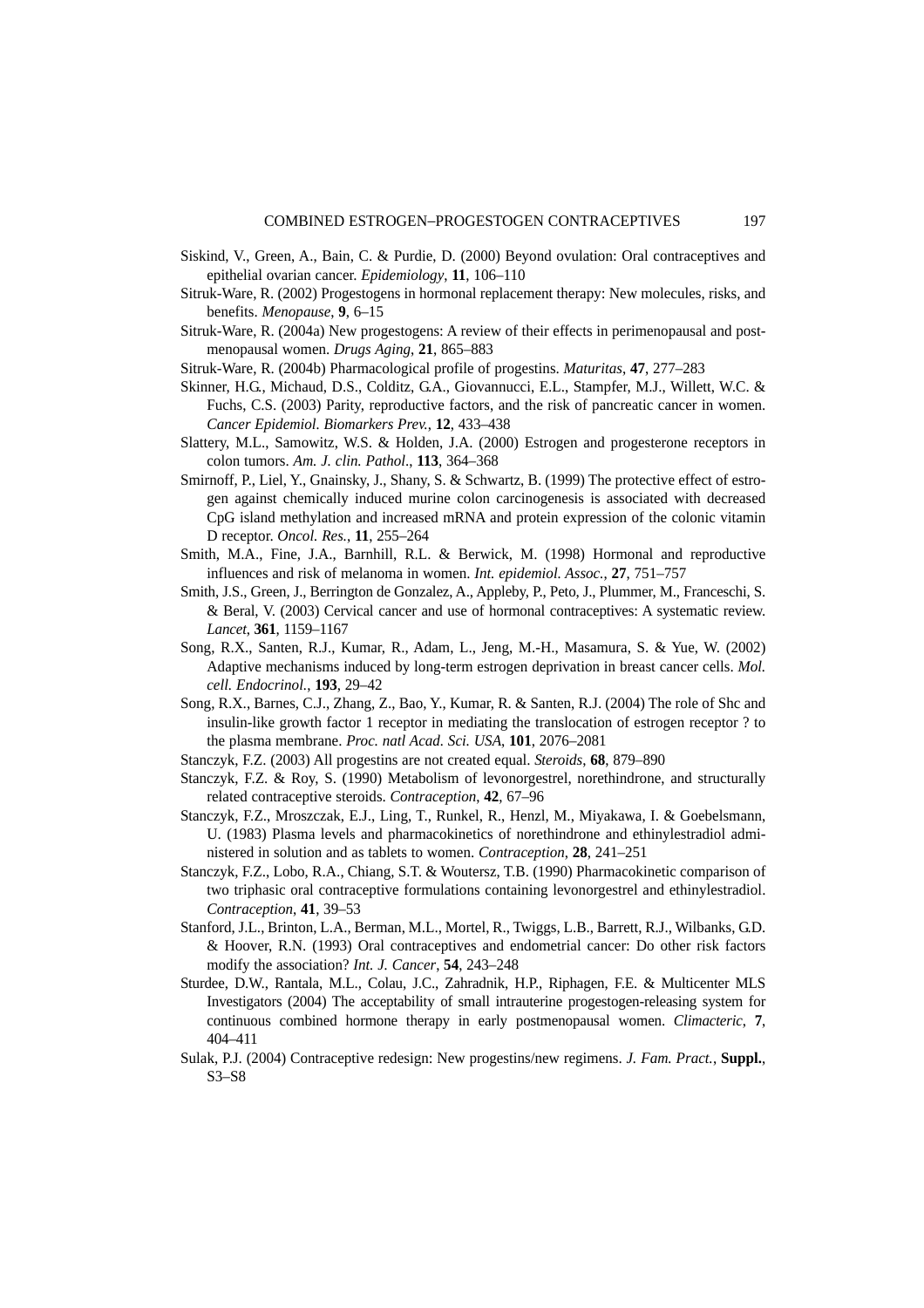- Siskind, V., Green, A., Bain, C. & Purdie, D. (2000) Beyond ovulation: Oral contraceptives and epithelial ovarian cancer. *Epidemiology*, **11**, 106–110
- Sitruk-Ware, R. (2002) Progestogens in hormonal replacement therapy: New molecules, risks, and benefits. *Menopause*, **9**, 6–15
- Sitruk-Ware, R. (2004a) New progestogens: A review of their effects in perimenopausal and postmenopausal women. *Drugs Aging*, **21**, 865–883
- Sitruk-Ware, R. (2004b) Pharmacological profile of progestins. *Maturitas*, **47**, 277–283
- Skinner, H.G., Michaud, D.S., Colditz, G.A., Giovannucci, E.L., Stampfer, M.J., Willett, W.C. & Fuchs, C.S. (2003) Parity, reproductive factors, and the risk of pancreatic cancer in women. *Cancer Epidemiol. Biomarkers Prev.*, **12**, 433–438
- Slattery, M.L., Samowitz, W.S. & Holden, J.A. (2000) Estrogen and progesterone receptors in colon tumors. *Am. J. clin. Pathol*., **113**, 364–368
- Smirnoff, P., Liel, Y., Gnainsky, J., Shany, S. & Schwartz, B. (1999) The protective effect of estrogen against chemically induced murine colon carcinogenesis is associated with decreased CpG island methylation and increased mRNA and protein expression of the colonic vitamin D receptor. *Oncol. Res.*, **11**, 255–264
- Smith, M.A., Fine, J.A., Barnhill, R.L. & Berwick, M. (1998) Hormonal and reproductive influences and risk of melanoma in women. *Int. epidemiol. Assoc.*, **27**, 751–757
- Smith, J.S., Green, J., Berrington de Gonzalez, A., Appleby, P., Peto, J., Plummer, M., Franceschi, S. & Beral, V. (2003) Cervical cancer and use of hormonal contraceptives: A systematic review. *Lancet*, **361**, 1159–1167
- Song, R.X., Santen, R.J., Kumar, R., Adam, L., Jeng, M.-H., Masamura, S. & Yue, W. (2002) Adaptive mechanisms induced by long-term estrogen deprivation in breast cancer cells. *Mol. cell. Endocrinol.*, **193**, 29–42
- Song, R.X., Barnes, C.J., Zhang, Z., Bao, Y., Kumar, R. & Santen, R.J. (2004) The role of Shc and insulin-like growth factor 1 receptor in mediating the translocation of estrogen receptor ? to the plasma membrane. *Proc. natl Acad. Sci. USA*, **101**, 2076–2081
- Stanczyk, F.Z. (2003) All progestins are not created equal. *Steroids*, **68**, 879–890
- Stanczyk, F.Z. & Roy, S. (1990) Metabolism of levonorgestrel, norethindrone, and structurally related contraceptive steroids. *Contraception*, **42**, 67–96
- Stanczyk, F.Z., Mroszczak, E.J., Ling, T., Runkel, R., Henzl, M., Miyakawa, I. & Goebelsmann, U. (1983) Plasma levels and pharmacokinetics of norethindrone and ethinylestradiol administered in solution and as tablets to women. *Contraception*, **28**, 241–251
- Stanczyk, F.Z., Lobo, R.A., Chiang, S.T. & Woutersz, T.B. (1990) Pharmacokinetic comparison of two triphasic oral contraceptive formulations containing levonorgestrel and ethinylestradiol. *Contraception*, **41**, 39–53
- Stanford, J.L., Brinton, L.A., Berman, M.L., Mortel, R., Twiggs, L.B., Barrett, R.J., Wilbanks, G.D. & Hoover, R.N. (1993) Oral contraceptives and endometrial cancer: Do other risk factors modify the association? *Int. J. Cancer*, **54**, 243–248
- Sturdee, D.W., Rantala, M.L., Colau, J.C., Zahradnik, H.P., Riphagen, F.E. & Multicenter MLS Investigators (2004) The acceptability of small intrauterine progestogen-releasing system for continuous combined hormone therapy in early postmenopausal women. *Climacteric*, **7**, 404–411
- Sulak, P.J. (2004) Contraceptive redesign: New progestins/new regimens. *J. Fam. Pract.*, **Suppl.**, S3–S8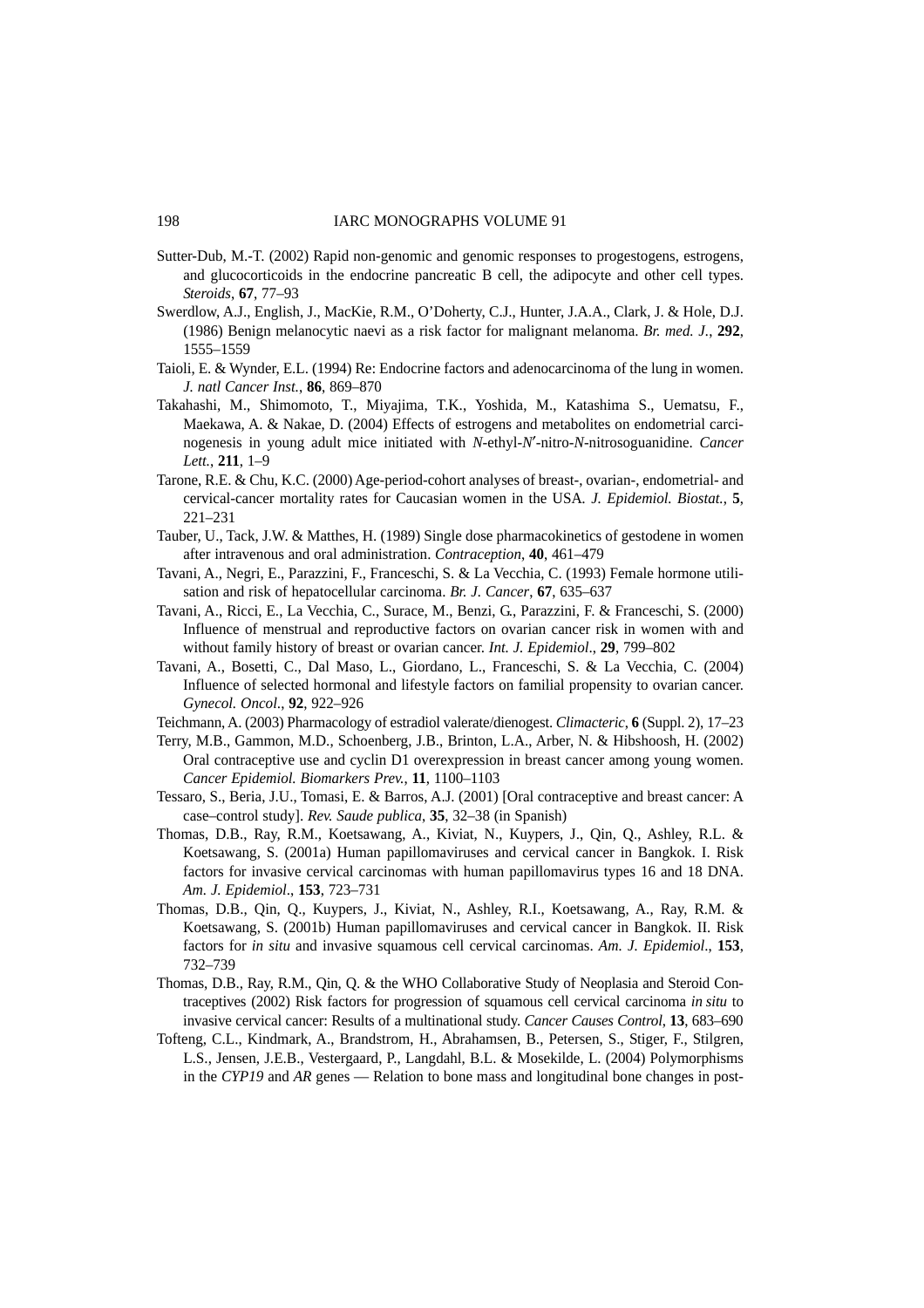- Sutter-Dub, M.-T. (2002) Rapid non-genomic and genomic responses to progestogens, estrogens, and glucocorticoids in the endocrine pancreatic B cell, the adipocyte and other cell types. *Steroids*, **67**, 77–93
- Swerdlow, A.J., English, J., MacKie, R.M., O'Doherty, C.J., Hunter, J.A.A., Clark, J. & Hole, D.J. (1986) Benign melanocytic naevi as a risk factor for malignant melanoma. *Br. med. J.*, **292**, 1555–1559
- Taioli, E. & Wynder, E.L. (1994) Re: Endocrine factors and adenocarcinoma of the lung in women. *J. natl Cancer Inst.*, **86**, 869–870
- Takahashi, M., Shimomoto, T., Miyajima, T.K., Yoshida, M., Katashima S., Uematsu, F., Maekawa, A. & Nakae, D. (2004) Effects of estrogens and metabolites on endometrial carcinogenesis in young adult mice initiated with *N*-ethyl-*N*′-nitro-*N*-nitrosoguanidine. *Cancer Lett.*, **211**, 1–9
- Tarone, R.E. & Chu, K.C. (2000) Age-period-cohort analyses of breast-, ovarian-, endometrial- and cervical-cancer mortality rates for Caucasian women in the USA*. J. Epidemiol. Biostat.*, **5**, 221–231
- Tauber, U., Tack, J.W. & Matthes, H. (1989) Single dose pharmacokinetics of gestodene in women after intravenous and oral administration. *Contraception*, **40**, 461–479
- Tavani, A., Negri, E., Parazzini, F., Franceschi, S. & La Vecchia, C. (1993) Female hormone utilisation and risk of hepatocellular carcinoma. *Br. J. Cancer*, **67**, 635–637
- Tavani, A., Ricci, E., La Vecchia, C., Surace, M., Benzi, G., Parazzini, F. & Franceschi, S. (2000) Influence of menstrual and reproductive factors on ovarian cancer risk in women with and without family history of breast or ovarian cancer. *Int. J. Epidemiol*., **29**, 799–802
- Tavani, A., Bosetti, C., Dal Maso, L., Giordano, L., Franceschi, S. & La Vecchia, C. (2004) Influence of selected hormonal and lifestyle factors on familial propensity to ovarian cancer. *Gynecol. Oncol*., **92**, 922–926
- Teichmann, A. (2003) Pharmacology of estradiol valerate/dienogest. *Climacteric*, **6** (Suppl. 2), 17–23
- Terry, M.B., Gammon, M.D., Schoenberg, J.B., Brinton, L.A., Arber, N. & Hibshoosh, H. (2002) Oral contraceptive use and cyclin D1 overexpression in breast cancer among young women. *Cancer Epidemiol. Biomarkers Prev.*, **11**, 1100–1103
- Tessaro, S., Beria, J.U., Tomasi, E. & Barros, A.J. (2001) [Oral contraceptive and breast cancer: A case–control study]. *Rev. Saude publica*, **35**, 32–38 (in Spanish)
- Thomas, D.B., Ray, R.M., Koetsawang, A., Kiviat, N., Kuypers, J., Qin, Q., Ashley, R.L. & Koetsawang, S. (2001a) Human papillomaviruses and cervical cancer in Bangkok. I. Risk factors for invasive cervical carcinomas with human papillomavirus types 16 and 18 DNA. *Am. J. Epidemiol*., **153**, 723–731
- Thomas, D.B., Qin, Q., Kuypers, J., Kiviat, N., Ashley, R.I., Koetsawang, A., Ray, R.M. & Koetsawang, S. (2001b) Human papillomaviruses and cervical cancer in Bangkok. II. Risk factors for *in situ* and invasive squamous cell cervical carcinomas. *Am. J. Epidemiol*., **153**, 732–739
- Thomas, D.B., Ray, R.M., Qin, Q. & the WHO Collaborative Study of Neoplasia and Steroid Contraceptives (2002) Risk factors for progression of squamous cell cervical carcinoma *in situ* to invasive cervical cancer: Results of a multinational study. *Cancer Causes Control*, **13**, 683–690
- Tofteng, C.L., Kindmark, A., Brandstrom, H., Abrahamsen, B., Petersen, S., Stiger, F., Stilgren, L.S., Jensen, J.E.B., Vestergaard, P., Langdahl, B.L. & Mosekilde, L. (2004) Polymorphisms in the *CYP19* and *AR* genes — Relation to bone mass and longitudinal bone changes in post-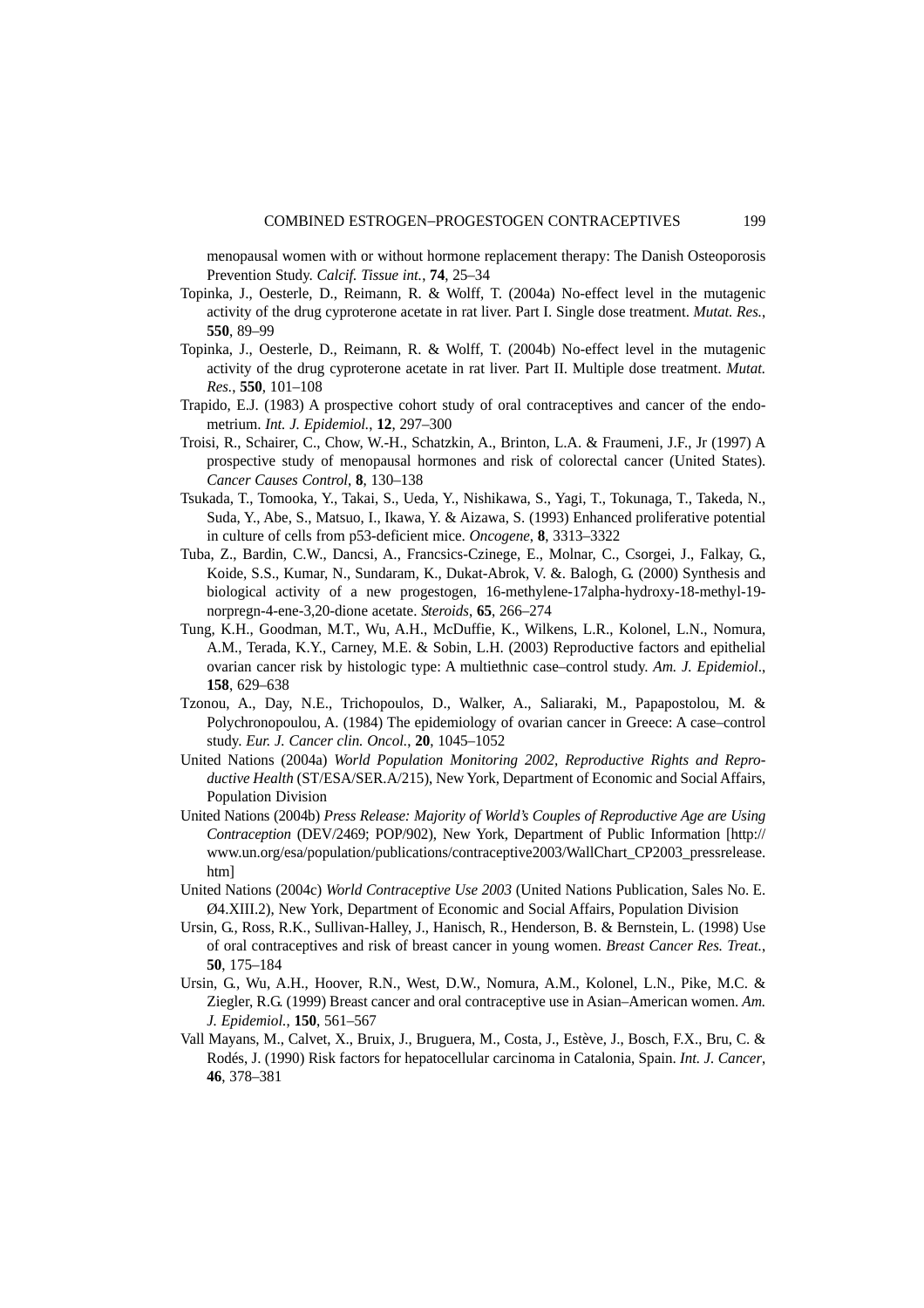menopausal women with or without hormone replacement therapy: The Danish Osteoporosis Prevention Study. *Calcif. Tissue int.*, **74**, 25–34

- Topinka, J., Oesterle, D., Reimann, R. & Wolff, T. (2004a) No-effect level in the mutagenic activity of the drug cyproterone acetate in rat liver. Part I. Single dose treatment. *Mutat. Res.*, **550**, 89–99
- Topinka, J., Oesterle, D., Reimann, R. & Wolff, T. (2004b) No-effect level in the mutagenic activity of the drug cyproterone acetate in rat liver. Part II. Multiple dose treatment. *Mutat. Res.*, **550**, 101–108
- Trapido, E.J. (1983) A prospective cohort study of oral contraceptives and cancer of the endometrium. *Int. J. Epidemiol.*, **12**, 297–300
- Troisi, R., Schairer, C., Chow, W.-H., Schatzkin, A., Brinton, L.A. & Fraumeni, J.F., Jr (1997) A prospective study of menopausal hormones and risk of colorectal cancer (United States). *Cancer Causes Control*, **8**, 130–138
- Tsukada, T., Tomooka, Y., Takai, S., Ueda, Y., Nishikawa, S., Yagi, T., Tokunaga, T., Takeda, N., Suda, Y., Abe, S., Matsuo, I., Ikawa, Y. & Aizawa, S. (1993) Enhanced proliferative potential in culture of cells from p53-deficient mice. *Oncogene*, **8**, 3313–3322
- Tuba, Z., Bardin, C.W., Dancsi, A., Francsics-Czinege, E., Molnar, C., Csorgei, J., Falkay, G., Koide, S.S., Kumar, N., Sundaram, K., Dukat-Abrok, V. &. Balogh, G. (2000) Synthesis and biological activity of a new progestogen, 16-methylene-17alpha-hydroxy-18-methyl-19 norpregn-4-ene-3,20-dione acetate. *Steroids*, **65**, 266–274
- Tung, K.H., Goodman, M.T., Wu, A.H., McDuffie, K., Wilkens, L.R., Kolonel, L.N., Nomura, A.M., Terada, K.Y., Carney, M.E. & Sobin, L.H. (2003) Reproductive factors and epithelial ovarian cancer risk by histologic type: A multiethnic case–control study. *Am. J. Epidemiol*., **158**, 629–638
- Tzonou, A., Day, N.E., Trichopoulos, D., Walker, A., Saliaraki, M., Papapostolou, M. & Polychronopoulou, A. (1984) The epidemiology of ovarian cancer in Greece: A case–control study. *Eur. J. Cancer clin. Oncol.*, **20**, 1045–1052
- United Nations (2004a) *World Population Monitoring 2002, Reproductive Rights and Reproductive Health* (ST/ESA/SER.A/215), New York, Department of Economic and Social Affairs, Population Division
- United Nations (2004b) *Press Release: Majority of World's Couples of Reproductive Age are Using Contraception* (DEV/2469; POP/902), New York, Department of Public Information [http:// www.un.org/esa/population/publications/contraceptive2003/WallChart\_CP2003\_pressrelease. htm]
- United Nations (2004c) *World Contraceptive Use 2003* (United Nations Publication, Sales No. E. Ø4.XIII.2), New York, Department of Economic and Social Affairs, Population Division
- Ursin, G., Ross, R.K., Sullivan-Halley, J., Hanisch, R., Henderson, B. & Bernstein, L. (1998) Use of oral contraceptives and risk of breast cancer in young women. *Breast Cancer Res. Treat.*, **50**, 175–184
- Ursin, G., Wu, A.H., Hoover, R.N., West, D.W., Nomura, A.M., Kolonel, L.N., Pike, M.C. & Ziegler, R.G. (1999) Breast cancer and oral contraceptive use in Asian–American women. *Am. J. Epidemiol.*, **150**, 561–567
- Vall Mayans, M., Calvet, X., Bruix, J., Bruguera, M., Costa, J., Estève, J., Bosch, F.X., Bru, C. & Rodés, J. (1990) Risk factors for hepatocellular carcinoma in Catalonia, Spain. *Int. J. Cancer*, **46**, 378–381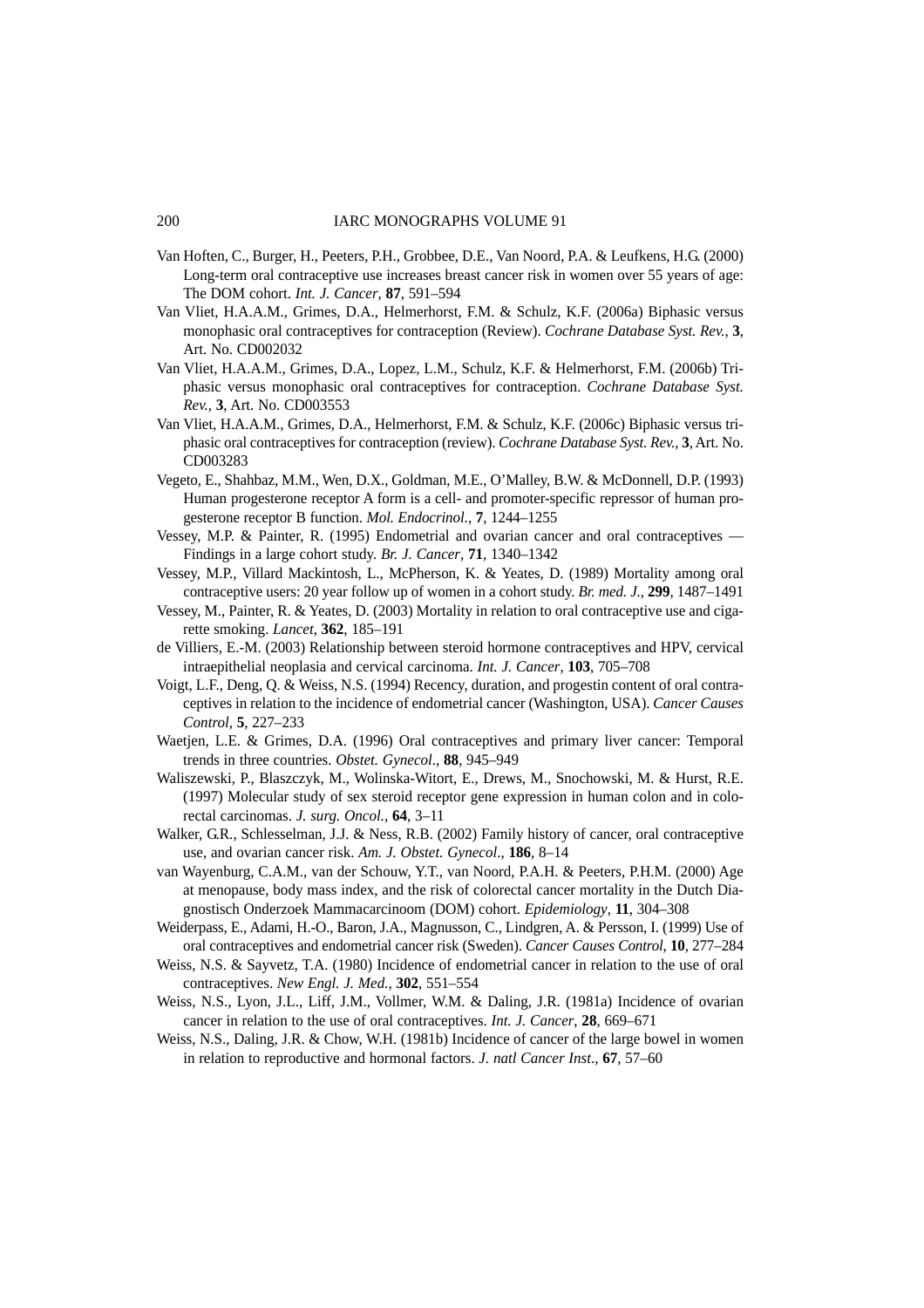- Van Hoften, C., Burger, H., Peeters, P.H., Grobbee, D.E., Van Noord, P.A. & Leufkens, H.G. (2000) Long-term oral contraceptive use increases breast cancer risk in women over 55 years of age: The DOM cohort. *Int. J. Cancer*, **87**, 591–594
- Van Vliet, H.A.A.M., Grimes, D.A., Helmerhorst, F.M. & Schulz, K.F. (2006a) Biphasic versus monophasic oral contraceptives for contraception (Review). *Cochrane Database Syst. Rev.*, **3**, Art. No. CD002032
- Van Vliet, H.A.A.M., Grimes, D.A., Lopez, L.M., Schulz, K.F. & Helmerhorst, F.M. (2006b) Triphasic versus monophasic oral contraceptives for contraception. *Cochrane Database Syst. Rev.*, **3**, Art. No. CD003553
- Van Vliet, H.A.A.M., Grimes, D.A., Helmerhorst, F.M. & Schulz, K.F. (2006c) Biphasic versus triphasic oral contraceptives for contraception (review). *Cochrane Database Syst. Rev.*, **3**, Art. No. CD003283
- Vegeto, E., Shahbaz, M.M., Wen, D.X., Goldman, M.E., O'Malley, B.W. & McDonnell, D.P. (1993) Human progesterone receptor A form is a cell- and promoter-specific repressor of human progesterone receptor B function. *Mol. Endocrinol.*, **7**, 1244–1255
- Vessey, M.P. & Painter, R. (1995) Endometrial and ovarian cancer and oral contraceptives Findings in a large cohort study. *Br. J. Cancer*, **71**, 1340–1342
- Vessey, M.P., Villard Mackintosh, L., McPherson, K. & Yeates, D. (1989) Mortality among oral contraceptive users: 20 year follow up of women in a cohort study. *Br. med. J.*, **299**, 1487–1491
- Vessey, M., Painter, R. & Yeates, D. (2003) Mortality in relation to oral contraceptive use and cigarette smoking. *Lancet*, **362**, 185–191
- de Villiers, E.-M. (2003) Relationship between steroid hormone contraceptives and HPV, cervical intraepithelial neoplasia and cervical carcinoma. *Int. J. Cancer*, **103**, 705–708
- Voigt, L.F., Deng, Q. & Weiss, N.S. (1994) Recency, duration, and progestin content of oral contraceptives in relation to the incidence of endometrial cancer (Washington, USA). *Cancer Causes Control*, **5**, 227–233
- Waetjen, L.E. & Grimes, D.A. (1996) Oral contraceptives and primary liver cancer: Temporal trends in three countries. *Obstet. Gynecol*., **88**, 945–949
- Waliszewski, P., Blaszczyk, M., Wolinska-Witort, E., Drews, M., Snochowski, M. & Hurst, R.E. (1997) Molecular study of sex steroid receptor gene expression in human colon and in colorectal carcinomas. *J. surg. Oncol.*, **64**, 3–11
- Walker, G.R., Schlesselman, J.J. & Ness, R.B. (2002) Family history of cancer, oral contraceptive use, and ovarian cancer risk. *Am. J. Obstet. Gynecol*., **186**, 8–14
- van Wayenburg, C.A.M., van der Schouw, Y.T., van Noord, P.A.H. & Peeters, P.H.M. (2000) Age at menopause, body mass index, and the risk of colorectal cancer mortality in the Dutch Diagnostisch Onderzoek Mammacarcinoom (DOM) cohort. *Epidemiology*, **11**, 304–308
- Weiderpass, E., Adami, H.-O., Baron, J.A., Magnusson, C., Lindgren, A. & Persson, I. (1999) Use of oral contraceptives and endometrial cancer risk (Sweden). *Cancer Causes Control*, **10**, 277–284
- Weiss, N.S. & Sayvetz, T.A. (1980) Incidence of endometrial cancer in relation to the use of oral contraceptives. *New Engl. J. Med.*, **302**, 551–554
- Weiss, N.S., Lyon, J.L., Liff, J.M., Vollmer, W.M. & Daling, J.R. (1981a) Incidence of ovarian cancer in relation to the use of oral contraceptives. *Int. J. Cancer*, **28**, 669–671
- Weiss, N.S., Daling, J.R. & Chow, W.H. (1981b) Incidence of cancer of the large bowel in women in relation to reproductive and hormonal factors. *J. natl Cancer Inst*., **67**, 57–60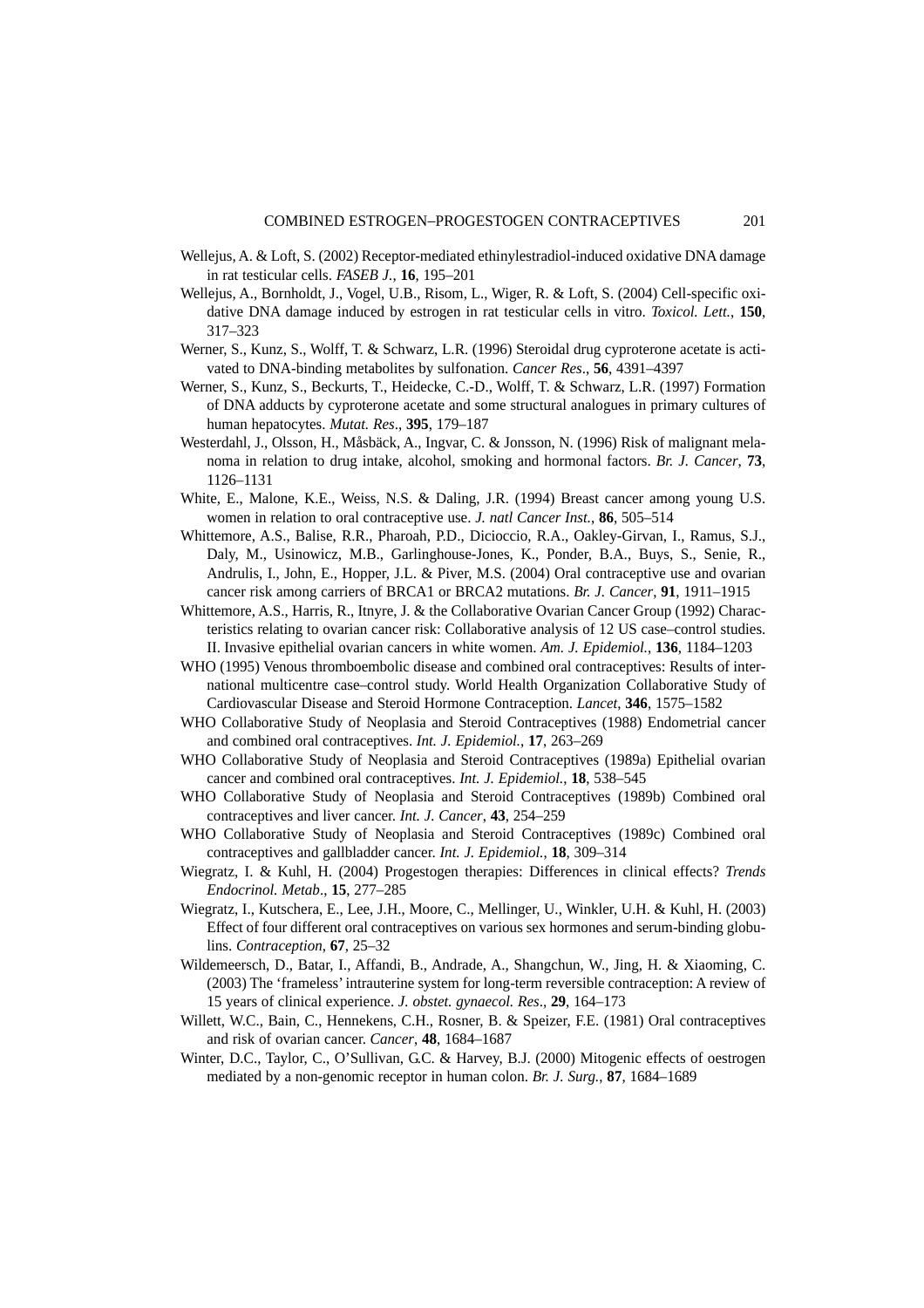- Wellejus, A. & Loft, S. (2002) Receptor-mediated ethinylestradiol-induced oxidative DNA damage in rat testicular cells. *FASEB J.*, **16**, 195–201
- Wellejus, A., Bornholdt, J., Vogel, U.B., Risom, L., Wiger, R. & Loft, S. (2004) Cell-specific oxidative DNA damage induced by estrogen in rat testicular cells in vitro. *Toxicol. Lett.*, **150**, 317–323
- Werner, S., Kunz, S., Wolff, T. & Schwarz, L.R. (1996) Steroidal drug cyproterone acetate is activated to DNA-binding metabolites by sulfonation. *Cancer Res*., **56**, 4391–4397
- Werner, S., Kunz, S., Beckurts, T., Heidecke, C.-D., Wolff, T. & Schwarz, L.R. (1997) Formation of DNA adducts by cyproterone acetate and some structural analogues in primary cultures of human hepatocytes. *Mutat. Res*., **395**, 179–187
- Westerdahl, J., Olsson, H., Måsbäck, A., Ingvar, C. & Jonsson, N. (1996) Risk of malignant melanoma in relation to drug intake, alcohol, smoking and hormonal factors. *Br. J. Cancer*, **73**, 1126–1131
- White, E., Malone, K.E., Weiss, N.S. & Daling, J.R. (1994) Breast cancer among young U.S. women in relation to oral contraceptive use. *J. natl Cancer Inst.*, **86**, 505–514
- Whittemore, A.S., Balise, R.R., Pharoah, P.D., Dicioccio, R.A., Oakley-Girvan, I., Ramus, S.J., Daly, M., Usinowicz, M.B., Garlinghouse-Jones, K., Ponder, B.A., Buys, S., Senie, R., Andrulis, I., John, E., Hopper, J.L. & Piver, M.S. (2004) Oral contraceptive use and ovarian cancer risk among carriers of BRCA1 or BRCA2 mutations. *Br. J. Cancer*, **91**, 1911–1915
- Whittemore, A.S., Harris, R., Itnyre, J. & the Collaborative Ovarian Cancer Group (1992) Characteristics relating to ovarian cancer risk: Collaborative analysis of 12 US case–control studies. II. Invasive epithelial ovarian cancers in white women. *Am. J. Epidemiol.*, **136**, 1184–1203
- WHO (1995) Venous thromboembolic disease and combined oral contraceptives: Results of international multicentre case–control study. World Health Organization Collaborative Study of Cardiovascular Disease and Steroid Hormone Contraception. *Lancet*, **346**, 1575–1582
- WHO Collaborative Study of Neoplasia and Steroid Contraceptives (1988) Endometrial cancer and combined oral contraceptives. *Int. J. Epidemiol.*, **17**, 263–269
- WHO Collaborative Study of Neoplasia and Steroid Contraceptives (1989a) Epithelial ovarian cancer and combined oral contraceptives. *Int. J. Epidemiol.*, **18**, 538–545
- WHO Collaborative Study of Neoplasia and Steroid Contraceptives (1989b) Combined oral contraceptives and liver cancer. *Int. J. Cancer*, **43**, 254–259
- WHO Collaborative Study of Neoplasia and Steroid Contraceptives (1989c) Combined oral contraceptives and gallbladder cancer. *Int. J. Epidemiol.*, **18**, 309–314
- Wiegratz, I. & Kuhl, H. (2004) Progestogen therapies: Differences in clinical effects? *Trends Endocrinol. Metab*., **15**, 277–285
- Wiegratz, I., Kutschera, E., Lee, J.H., Moore, C., Mellinger, U., Winkler, U.H. & Kuhl, H. (2003) Effect of four different oral contraceptives on various sex hormones and serum-binding globulins. *Contraception*, **67**, 25–32
- Wildemeersch, D., Batar, I., Affandi, B., Andrade, A., Shangchun, W., Jing, H. & Xiaoming, C. (2003) The 'frameless' intrauterine system for long-term reversible contraception: A review of 15 years of clinical experience. *J. obstet. gynaecol. Res*.*,* **29**, 164–173
- Willett, W.C., Bain, C., Hennekens, C.H., Rosner, B. & Speizer, F.E. (1981) Oral contraceptives and risk of ovarian cancer. *Cancer*, **48**, 1684–1687
- Winter, D.C., Taylor, C., O'Sullivan, G.C. & Harvey, B.J. (2000) Mitogenic effects of oestrogen mediated by a non-genomic receptor in human colon. *Br. J. Surg.*, **87**, 1684–1689